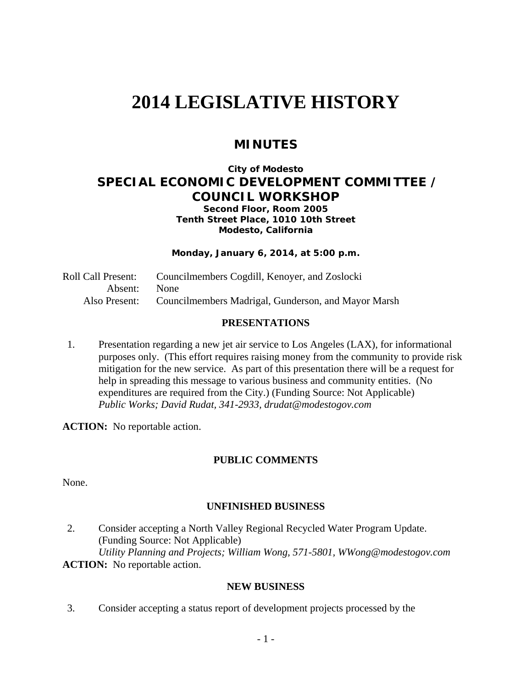# **2014 LEGISLATIVE HISTORY**

# **MINUTES**

## **City of Modesto SPECIAL ECONOMIC DEVELOPMENT COMMITTEE / COUNCIL WORKSHOP**

**Second Floor, Room 2005 Tenth Street Place, 1010 10th Street Modesto, California**

**Monday, January 6, 2014, at 5:00 p.m.** 

Roll Call Present: Councilmembers Cogdill, Kenoyer, and Zoslocki Absent: None Also Present: Councilmembers Madrigal, Gunderson, and Mayor Marsh

#### **PRESENTATIONS**

1. Presentation regarding a new jet air service to Los Angeles (LAX), for informational purposes only. (This effort requires raising money from the community to provide risk mitigation for the new service. As part of this presentation there will be a request for help in spreading this message to various business and community entities. (No expenditures are required from the City.) (Funding Source: Not Applicable)  *Public Works; David Rudat, 341-2933, drudat@modestogov.com* 

**ACTION:** No reportable action.

## **PUBLIC COMMENTS**

None.

## **UNFINISHED BUSINESS**

2. Consider accepting a North Valley Regional Recycled Water Program Update. (Funding Source: Not Applicable)  *Utility Planning and Projects; William Wong, 571-5801, WWong@modestogov.com*  **ACTION:** No reportable action.

#### **NEW BUSINESS**

3. Consider accepting a status report of development projects processed by the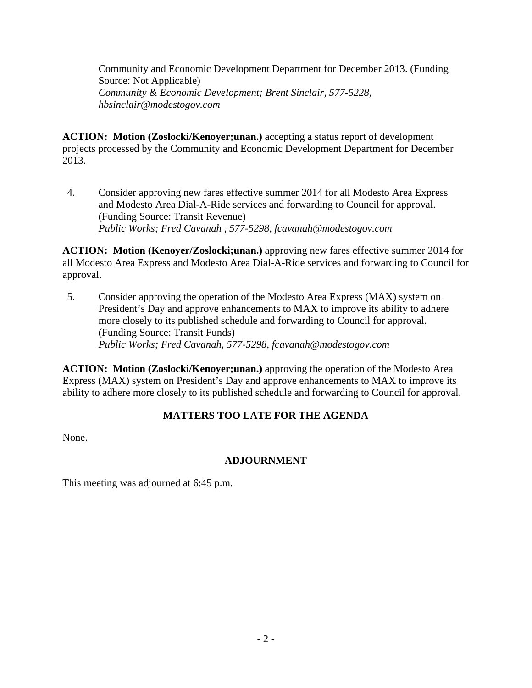Community and Economic Development Department for December 2013. (Funding Source: Not Applicable)  *Community & Economic Development; Brent Sinclair, 577-5228, hbsinclair@modestogov.com* 

**ACTION: Motion (Zoslocki/Kenoyer;unan.)** accepting a status report of development projects processed by the Community and Economic Development Department for December 2013.

4. Consider approving new fares effective summer 2014 for all Modesto Area Express and Modesto Area Dial-A-Ride services and forwarding to Council for approval. (Funding Source: Transit Revenue)  *Public Works; Fred Cavanah , 577-5298, fcavanah@modestogov.com* 

**ACTION: Motion (Kenoyer/Zoslocki;unan.)** approving new fares effective summer 2014 for all Modesto Area Express and Modesto Area Dial-A-Ride services and forwarding to Council for approval.

5. Consider approving the operation of the Modesto Area Express (MAX) system on President's Day and approve enhancements to MAX to improve its ability to adhere more closely to its published schedule and forwarding to Council for approval. (Funding Source: Transit Funds)  *Public Works; Fred Cavanah, 577-5298, fcavanah@modestogov.com* 

**ACTION: Motion (Zoslocki/Kenoyer;unan.)** approving the operation of the Modesto Area Express (MAX) system on President's Day and approve enhancements to MAX to improve its ability to adhere more closely to its published schedule and forwarding to Council for approval.

## **MATTERS TOO LATE FOR THE AGENDA**

None.

## **ADJOURNMENT**

This meeting was adjourned at 6:45 p.m.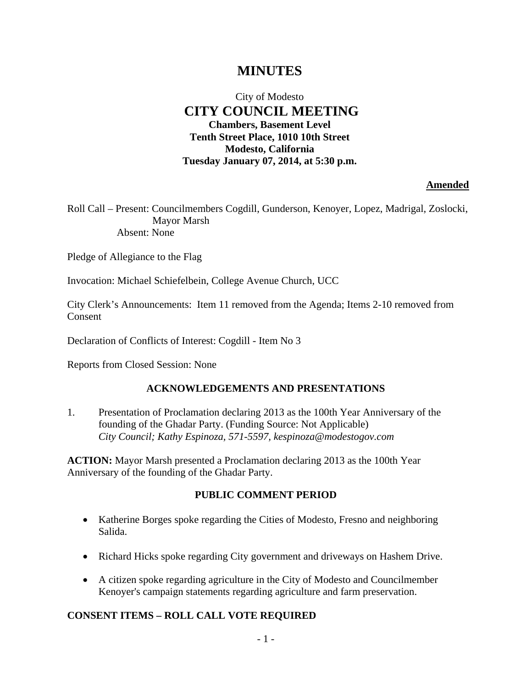# **MINUTES**

## City of Modesto  **CITY COUNCIL MEETING Chambers, Basement Level Tenth Street Place, 1010 10th Street Modesto, California Tuesday January 07, 2014, at 5:30 p.m.**

#### **Amended**

Roll Call – Present: Councilmembers Cogdill, Gunderson, Kenoyer, Lopez, Madrigal, Zoslocki, Mayor Marsh Absent: None

Pledge of Allegiance to the Flag

Invocation: Michael Schiefelbein, College Avenue Church, UCC

City Clerk's Announcements: Item 11 removed from the Agenda; Items 2-10 removed from Consent

Declaration of Conflicts of Interest: Cogdill - Item No 3

Reports from Closed Session: None

#### **ACKNOWLEDGEMENTS AND PRESENTATIONS**

1. Presentation of Proclamation declaring 2013 as the 100th Year Anniversary of the founding of the Ghadar Party. (Funding Source: Not Applicable)  *City Council; Kathy Espinoza, 571-5597, kespinoza@modestogov.com* 

**ACTION:** Mayor Marsh presented a Proclamation declaring 2013 as the 100th Year Anniversary of the founding of the Ghadar Party.

#### **PUBLIC COMMENT PERIOD**

- Katherine Borges spoke regarding the Cities of Modesto, Fresno and neighboring Salida.
- Richard Hicks spoke regarding City government and driveways on Hashem Drive.
- A citizen spoke regarding agriculture in the City of Modesto and Councilmember Kenoyer's campaign statements regarding agriculture and farm preservation.

#### **CONSENT ITEMS – ROLL CALL VOTE REQUIRED**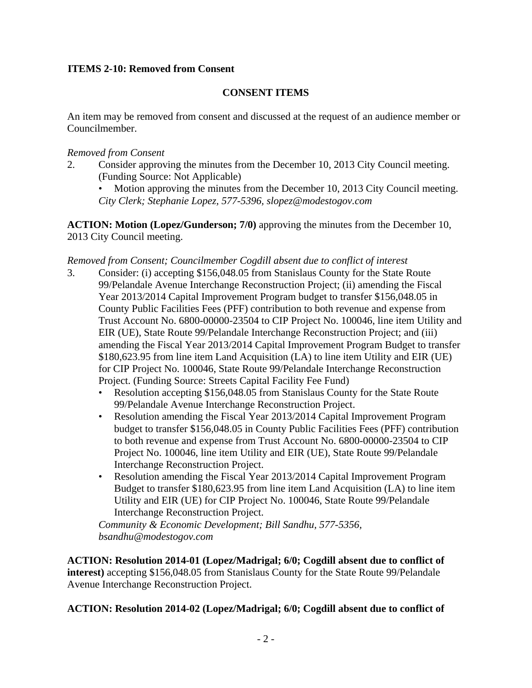## **ITEMS 2-10: Removed from Consent**

## **CONSENT ITEMS**

An item may be removed from consent and discussed at the request of an audience member or Councilmember.

## *Removed from Consent*

- 2. Consider approving the minutes from the December 10, 2013 City Council meeting. (Funding Source: Not Applicable)
	- Motion approving the minutes from the December 10, 2013 City Council meeting. *City Clerk; Stephanie Lopez, 577-5396, slopez@modestogov.com*

**ACTION: Motion (Lopez/Gunderson; 7/0)** approving the minutes from the December 10, 2013 City Council meeting.

#### *Removed from Consent; Councilmember Cogdill absent due to conflict of interest*

- 3. Consider: (i) accepting \$156,048.05 from Stanislaus County for the State Route 99/Pelandale Avenue Interchange Reconstruction Project; (ii) amending the Fiscal Year 2013/2014 Capital Improvement Program budget to transfer \$156,048.05 in County Public Facilities Fees (PFF) contribution to both revenue and expense from Trust Account No. 6800-00000-23504 to CIP Project No. 100046, line item Utility and EIR (UE), State Route 99/Pelandale Interchange Reconstruction Project; and (iii) amending the Fiscal Year 2013/2014 Capital Improvement Program Budget to transfer \$180,623.95 from line item Land Acquisition (LA) to line item Utility and EIR (UE) for CIP Project No. 100046, State Route 99/Pelandale Interchange Reconstruction Project. (Funding Source: Streets Capital Facility Fee Fund)
	- Resolution accepting \$156,048.05 from Stanislaus County for the State Route 99/Pelandale Avenue Interchange Reconstruction Project.
	- Resolution amending the Fiscal Year 2013/2014 Capital Improvement Program budget to transfer \$156,048.05 in County Public Facilities Fees (PFF) contribution to both revenue and expense from Trust Account No. 6800-00000-23504 to CIP Project No. 100046, line item Utility and EIR (UE), State Route 99/Pelandale Interchange Reconstruction Project.
	- Resolution amending the Fiscal Year 2013/2014 Capital Improvement Program Budget to transfer \$180,623.95 from line item Land Acquisition (LA) to line item Utility and EIR (UE) for CIP Project No. 100046, State Route 99/Pelandale Interchange Reconstruction Project.

*Community & Economic Development; Bill Sandhu, 577-5356, bsandhu@modestogov.com* 

**ACTION: Resolution 2014-01 (Lopez/Madrigal; 6/0; Cogdill absent due to conflict of interest)** accepting \$156,048.05 from Stanislaus County for the State Route 99/Pelandale Avenue Interchange Reconstruction Project.

**ACTION: Resolution 2014-02 (Lopez/Madrigal; 6/0; Cogdill absent due to conflict of**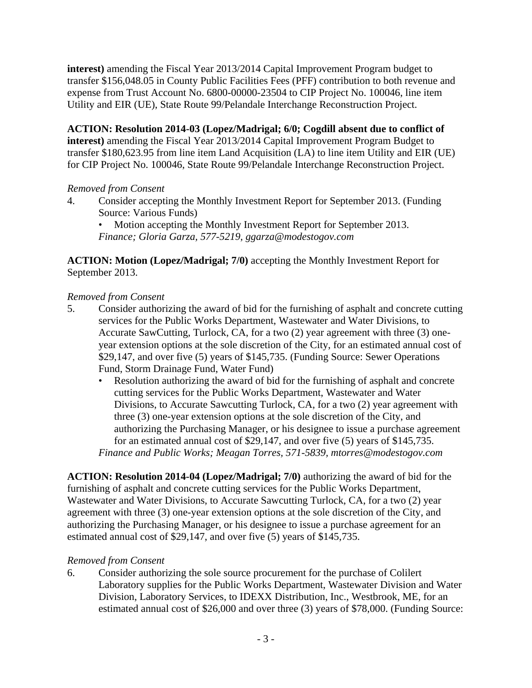**interest)** amending the Fiscal Year 2013/2014 Capital Improvement Program budget to transfer \$156,048.05 in County Public Facilities Fees (PFF) contribution to both revenue and expense from Trust Account No. 6800-00000-23504 to CIP Project No. 100046, line item Utility and EIR (UE), State Route 99/Pelandale Interchange Reconstruction Project.

**ACTION: Resolution 2014-03 (Lopez/Madrigal; 6/0; Cogdill absent due to conflict of interest)** amending the Fiscal Year 2013/2014 Capital Improvement Program Budget to transfer \$180,623.95 from line item Land Acquisition (LA) to line item Utility and EIR (UE) for CIP Project No. 100046, State Route 99/Pelandale Interchange Reconstruction Project.

## *Removed from Consent*

- 4. Consider accepting the Monthly Investment Report for September 2013. (Funding Source: Various Funds)
	- Motion accepting the Monthly Investment Report for September 2013. *Finance; Gloria Garza, 577-5219, ggarza@modestogov.com*

**ACTION: Motion (Lopez/Madrigal; 7/0)** accepting the Monthly Investment Report for September 2013.

#### *Removed from Consent*

- 5. Consider authorizing the award of bid for the furnishing of asphalt and concrete cutting services for the Public Works Department, Wastewater and Water Divisions, to Accurate SawCutting, Turlock, CA, for a two (2) year agreement with three (3) oneyear extension options at the sole discretion of the City, for an estimated annual cost of \$29,147, and over five (5) years of \$145,735. (Funding Source: Sewer Operations Fund, Storm Drainage Fund, Water Fund)
	- Resolution authorizing the award of bid for the furnishing of asphalt and concrete cutting services for the Public Works Department, Wastewater and Water Divisions, to Accurate Sawcutting Turlock, CA, for a two (2) year agreement with three (3) one-year extension options at the sole discretion of the City, and authorizing the Purchasing Manager, or his designee to issue a purchase agreement for an estimated annual cost of \$29,147, and over five (5) years of \$145,735. *Finance and Public Works; Meagan Torres, 571-5839, mtorres@modestogov.com*

**ACTION: Resolution 2014-04 (Lopez/Madrigal; 7/0)** authorizing the award of bid for the furnishing of asphalt and concrete cutting services for the Public Works Department, Wastewater and Water Divisions, to Accurate Sawcutting Turlock, CA, for a two (2) year agreement with three (3) one-year extension options at the sole discretion of the City, and authorizing the Purchasing Manager, or his designee to issue a purchase agreement for an estimated annual cost of \$29,147, and over five (5) years of \$145,735.

#### *Removed from Consent*

6. Consider authorizing the sole source procurement for the purchase of Colilert Laboratory supplies for the Public Works Department, Wastewater Division and Water Division, Laboratory Services, to IDEXX Distribution, Inc., Westbrook, ME, for an estimated annual cost of \$26,000 and over three (3) years of \$78,000. (Funding Source: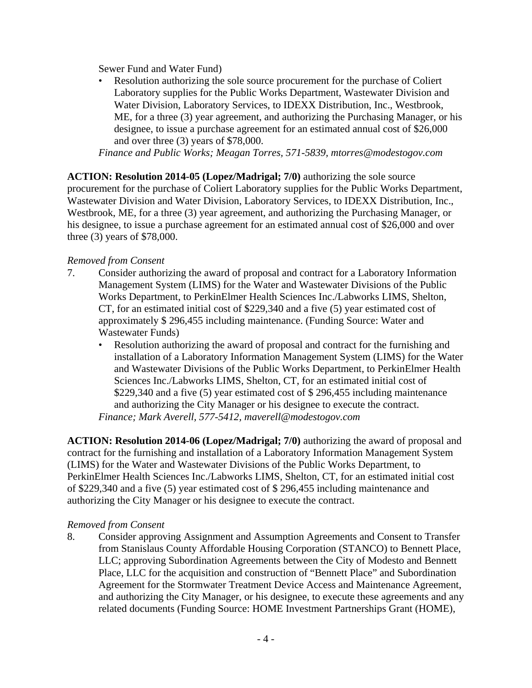Sewer Fund and Water Fund)

• Resolution authorizing the sole source procurement for the purchase of Coliert Laboratory supplies for the Public Works Department, Wastewater Division and Water Division, Laboratory Services, to IDEXX Distribution, Inc., Westbrook, ME, for a three (3) year agreement, and authorizing the Purchasing Manager, or his designee, to issue a purchase agreement for an estimated annual cost of \$26,000 and over three (3) years of \$78,000.

*Finance and Public Works; Meagan Torres, 571-5839, mtorres@modestogov.com* 

**ACTION: Resolution 2014-05 (Lopez/Madrigal; 7/0)** authorizing the sole source procurement for the purchase of Coliert Laboratory supplies for the Public Works Department, Wastewater Division and Water Division, Laboratory Services, to IDEXX Distribution, Inc., Westbrook, ME, for a three (3) year agreement, and authorizing the Purchasing Manager, or his designee, to issue a purchase agreement for an estimated annual cost of \$26,000 and over three (3) years of \$78,000.

## *Removed from Consent*

- 7. Consider authorizing the award of proposal and contract for a Laboratory Information Management System (LIMS) for the Water and Wastewater Divisions of the Public Works Department, to PerkinElmer Health Sciences Inc./Labworks LIMS, Shelton, CT, for an estimated initial cost of \$229,340 and a five (5) year estimated cost of approximately \$ 296,455 including maintenance. (Funding Source: Water and Wastewater Funds)
	- Resolution authorizing the award of proposal and contract for the furnishing and installation of a Laboratory Information Management System (LIMS) for the Water and Wastewater Divisions of the Public Works Department, to PerkinElmer Health Sciences Inc./Labworks LIMS, Shelton, CT, for an estimated initial cost of \$229,340 and a five (5) year estimated cost of \$ 296,455 including maintenance and authorizing the City Manager or his designee to execute the contract. *Finance; Mark Averell, 577-5412, maverell@modestogov.com*

**ACTION: Resolution 2014-06 (Lopez/Madrigal; 7/0)** authorizing the award of proposal and contract for the furnishing and installation of a Laboratory Information Management System (LIMS) for the Water and Wastewater Divisions of the Public Works Department, to PerkinElmer Health Sciences Inc./Labworks LIMS, Shelton, CT, for an estimated initial cost of \$229,340 and a five (5) year estimated cost of \$ 296,455 including maintenance and authorizing the City Manager or his designee to execute the contract.

## *Removed from Consent*

8. Consider approving Assignment and Assumption Agreements and Consent to Transfer from Stanislaus County Affordable Housing Corporation (STANCO) to Bennett Place, LLC; approving Subordination Agreements between the City of Modesto and Bennett Place, LLC for the acquisition and construction of "Bennett Place" and Subordination Agreement for the Stormwater Treatment Device Access and Maintenance Agreement, and authorizing the City Manager, or his designee, to execute these agreements and any related documents (Funding Source: HOME Investment Partnerships Grant (HOME),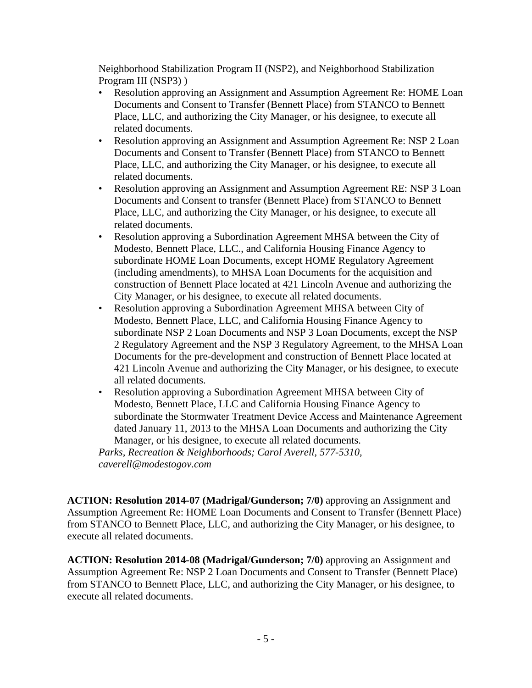Neighborhood Stabilization Program II (NSP2), and Neighborhood Stabilization Program III (NSP3) )

- Resolution approving an Assignment and Assumption Agreement Re: HOME Loan Documents and Consent to Transfer (Bennett Place) from STANCO to Bennett Place, LLC, and authorizing the City Manager, or his designee, to execute all related documents.
- Resolution approving an Assignment and Assumption Agreement Re: NSP 2 Loan Documents and Consent to Transfer (Bennett Place) from STANCO to Bennett Place, LLC, and authorizing the City Manager, or his designee, to execute all related documents.
- Resolution approving an Assignment and Assumption Agreement RE: NSP 3 Loan Documents and Consent to transfer (Bennett Place) from STANCO to Bennett Place, LLC, and authorizing the City Manager, or his designee, to execute all related documents.
- Resolution approving a Subordination Agreement MHSA between the City of Modesto, Bennett Place, LLC., and California Housing Finance Agency to subordinate HOME Loan Documents, except HOME Regulatory Agreement (including amendments), to MHSA Loan Documents for the acquisition and construction of Bennett Place located at 421 Lincoln Avenue and authorizing the City Manager, or his designee, to execute all related documents.
- Resolution approving a Subordination Agreement MHSA between City of Modesto, Bennett Place, LLC, and California Housing Finance Agency to subordinate NSP 2 Loan Documents and NSP 3 Loan Documents, except the NSP 2 Regulatory Agreement and the NSP 3 Regulatory Agreement, to the MHSA Loan Documents for the pre-development and construction of Bennett Place located at 421 Lincoln Avenue and authorizing the City Manager, or his designee, to execute all related documents.
- Resolution approving a Subordination Agreement MHSA between City of Modesto, Bennett Place, LLC and California Housing Finance Agency to subordinate the Stormwater Treatment Device Access and Maintenance Agreement dated January 11, 2013 to the MHSA Loan Documents and authorizing the City Manager, or his designee, to execute all related documents.

*Parks, Recreation & Neighborhoods; Carol Averell, 577-5310, caverell@modestogov.com* 

**ACTION: Resolution 2014-07 (Madrigal/Gunderson; 7/0)** approving an Assignment and Assumption Agreement Re: HOME Loan Documents and Consent to Transfer (Bennett Place) from STANCO to Bennett Place, LLC, and authorizing the City Manager, or his designee, to execute all related documents.

**ACTION: Resolution 2014-08 (Madrigal/Gunderson; 7/0)** approving an Assignment and Assumption Agreement Re: NSP 2 Loan Documents and Consent to Transfer (Bennett Place) from STANCO to Bennett Place, LLC, and authorizing the City Manager, or his designee, to execute all related documents.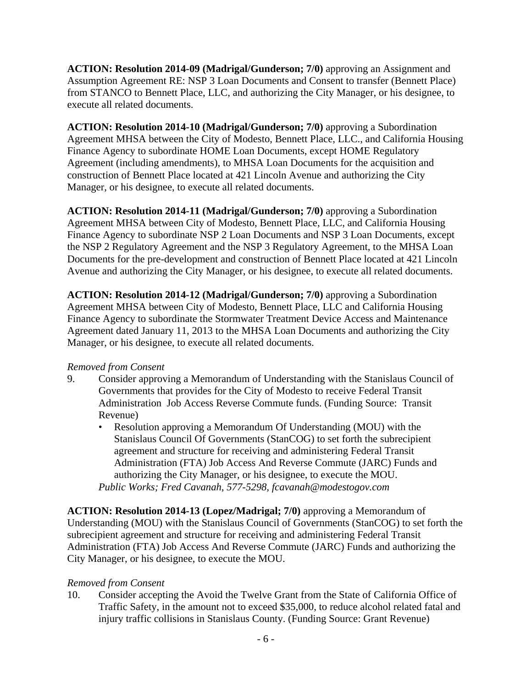**ACTION: Resolution 2014-09 (Madrigal/Gunderson; 7/0)** approving an Assignment and Assumption Agreement RE: NSP 3 Loan Documents and Consent to transfer (Bennett Place) from STANCO to Bennett Place, LLC, and authorizing the City Manager, or his designee, to execute all related documents.

**ACTION: Resolution 2014-10 (Madrigal/Gunderson; 7/0)** approving a Subordination Agreement MHSA between the City of Modesto, Bennett Place, LLC., and California Housing Finance Agency to subordinate HOME Loan Documents, except HOME Regulatory Agreement (including amendments), to MHSA Loan Documents for the acquisition and construction of Bennett Place located at 421 Lincoln Avenue and authorizing the City Manager, or his designee, to execute all related documents.

**ACTION: Resolution 2014-11 (Madrigal/Gunderson; 7/0)** approving a Subordination Agreement MHSA between City of Modesto, Bennett Place, LLC, and California Housing Finance Agency to subordinate NSP 2 Loan Documents and NSP 3 Loan Documents, except the NSP 2 Regulatory Agreement and the NSP 3 Regulatory Agreement, to the MHSA Loan Documents for the pre-development and construction of Bennett Place located at 421 Lincoln Avenue and authorizing the City Manager, or his designee, to execute all related documents.

**ACTION: Resolution 2014-12 (Madrigal/Gunderson; 7/0)** approving a Subordination Agreement MHSA between City of Modesto, Bennett Place, LLC and California Housing Finance Agency to subordinate the Stormwater Treatment Device Access and Maintenance Agreement dated January 11, 2013 to the MHSA Loan Documents and authorizing the City Manager, or his designee, to execute all related documents.

## *Removed from Consent*

- 9. Consider approving a Memorandum of Understanding with the Stanislaus Council of Governments that provides for the City of Modesto to receive Federal Transit Administration Job Access Reverse Commute funds. (Funding Source: Transit Revenue)
	- Resolution approving a Memorandum Of Understanding (MOU) with the Stanislaus Council Of Governments (StanCOG) to set forth the subrecipient agreement and structure for receiving and administering Federal Transit Administration (FTA) Job Access And Reverse Commute (JARC) Funds and authorizing the City Manager, or his designee, to execute the MOU. *Public Works; Fred Cavanah, 577-5298, fcavanah@modestogov.com*

**ACTION: Resolution 2014-13 (Lopez/Madrigal; 7/0)** approving a Memorandum of Understanding (MOU) with the Stanislaus Council of Governments (StanCOG) to set forth the subrecipient agreement and structure for receiving and administering Federal Transit Administration (FTA) Job Access And Reverse Commute (JARC) Funds and authorizing the City Manager, or his designee, to execute the MOU.

## *Removed from Consent*

10. Consider accepting the Avoid the Twelve Grant from the State of California Office of Traffic Safety, in the amount not to exceed \$35,000, to reduce alcohol related fatal and injury traffic collisions in Stanislaus County. (Funding Source: Grant Revenue)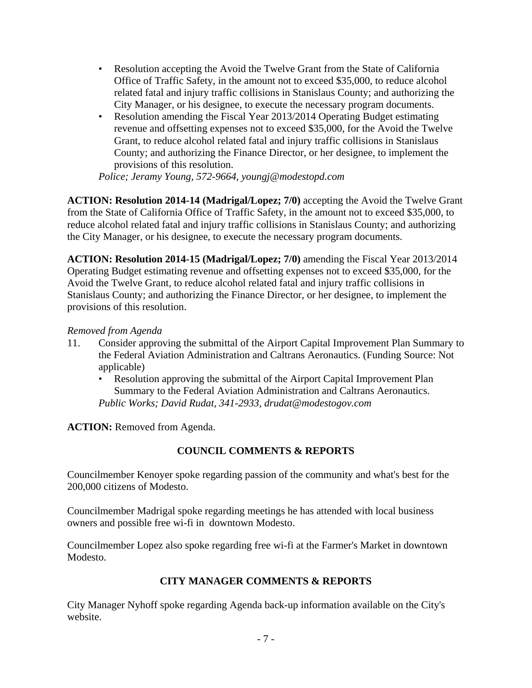- Resolution accepting the Avoid the Twelve Grant from the State of California Office of Traffic Safety, in the amount not to exceed \$35,000, to reduce alcohol related fatal and injury traffic collisions in Stanislaus County; and authorizing the City Manager, or his designee, to execute the necessary program documents.
- Resolution amending the Fiscal Year 2013/2014 Operating Budget estimating revenue and offsetting expenses not to exceed \$35,000, for the Avoid the Twelve Grant, to reduce alcohol related fatal and injury traffic collisions in Stanislaus County; and authorizing the Finance Director, or her designee, to implement the provisions of this resolution.

*Police; Jeramy Young, 572-9664, youngj@modestopd.com* 

**ACTION: Resolution 2014-14 (Madrigal/Lopez; 7/0)** accepting the Avoid the Twelve Grant from the State of California Office of Traffic Safety, in the amount not to exceed \$35,000, to reduce alcohol related fatal and injury traffic collisions in Stanislaus County; and authorizing the City Manager, or his designee, to execute the necessary program documents.

**ACTION: Resolution 2014-15 (Madrigal/Lopez; 7/0)** amending the Fiscal Year 2013/2014 Operating Budget estimating revenue and offsetting expenses not to exceed \$35,000, for the Avoid the Twelve Grant, to reduce alcohol related fatal and injury traffic collisions in Stanislaus County; and authorizing the Finance Director, or her designee, to implement the provisions of this resolution.

## *Removed from Agenda*

- 11. Consider approving the submittal of the Airport Capital Improvement Plan Summary to the Federal Aviation Administration and Caltrans Aeronautics. (Funding Source: Not applicable)
	- Resolution approving the submittal of the Airport Capital Improvement Plan Summary to the Federal Aviation Administration and Caltrans Aeronautics. *Public Works; David Rudat, 341-2933, drudat@modestogov.com*

**ACTION:** Removed from Agenda.

## **COUNCIL COMMENTS & REPORTS**

Councilmember Kenoyer spoke regarding passion of the community and what's best for the 200,000 citizens of Modesto.

Councilmember Madrigal spoke regarding meetings he has attended with local business owners and possible free wi-fi in downtown Modesto.

Councilmember Lopez also spoke regarding free wi-fi at the Farmer's Market in downtown Modesto.

## **CITY MANAGER COMMENTS & REPORTS**

City Manager Nyhoff spoke regarding Agenda back-up information available on the City's website.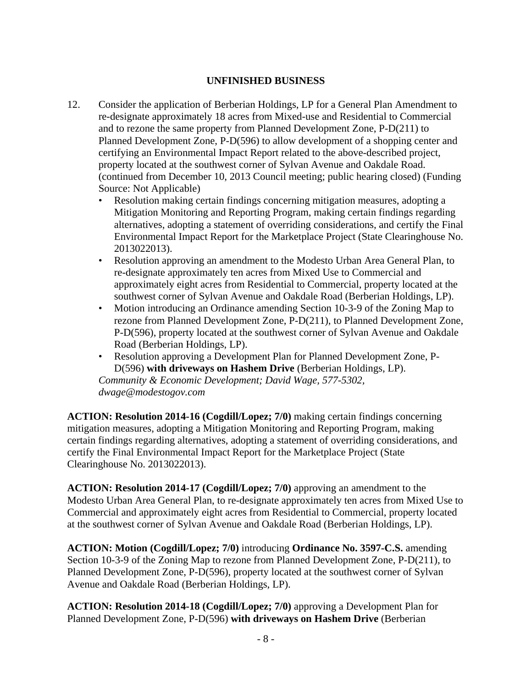### **UNFINISHED BUSINESS**

- 12. Consider the application of Berberian Holdings, LP for a General Plan Amendment to re-designate approximately 18 acres from Mixed-use and Residential to Commercial and to rezone the same property from Planned Development Zone, P-D(211) to Planned Development Zone, P-D(596) to allow development of a shopping center and certifying an Environmental Impact Report related to the above-described project, property located at the southwest corner of Sylvan Avenue and Oakdale Road. (continued from December 10, 2013 Council meeting; public hearing closed) (Funding Source: Not Applicable)
	- Resolution making certain findings concerning mitigation measures, adopting a Mitigation Monitoring and Reporting Program, making certain findings regarding alternatives, adopting a statement of overriding considerations, and certify the Final Environmental Impact Report for the Marketplace Project (State Clearinghouse No. 2013022013).
	- Resolution approving an amendment to the Modesto Urban Area General Plan, to re-designate approximately ten acres from Mixed Use to Commercial and approximately eight acres from Residential to Commercial, property located at the southwest corner of Sylvan Avenue and Oakdale Road (Berberian Holdings, LP).
	- Motion introducing an Ordinance amending Section 10-3-9 of the Zoning Map to rezone from Planned Development Zone, P-D(211), to Planned Development Zone, P-D(596), property located at the southwest corner of Sylvan Avenue and Oakdale Road (Berberian Holdings, LP).
	- Resolution approving a Development Plan for Planned Development Zone, P-D(596) **with driveways on Hashem Drive** (Berberian Holdings, LP). *Community & Economic Development; David Wage, 577-5302, dwage@modestogov.com*

**ACTION: Resolution 2014-16 (Cogdill/Lopez; 7/0)** making certain findings concerning mitigation measures, adopting a Mitigation Monitoring and Reporting Program, making certain findings regarding alternatives, adopting a statement of overriding considerations, and certify the Final Environmental Impact Report for the Marketplace Project (State Clearinghouse No. 2013022013).

**ACTION: Resolution 2014-17 (Cogdill/Lopez; 7/0)** approving an amendment to the Modesto Urban Area General Plan, to re-designate approximately ten acres from Mixed Use to Commercial and approximately eight acres from Residential to Commercial, property located at the southwest corner of Sylvan Avenue and Oakdale Road (Berberian Holdings, LP).

**ACTION: Motion (Cogdill/Lopez; 7/0)** introducing **Ordinance No. 3597-C.S.** amending Section 10-3-9 of the Zoning Map to rezone from Planned Development Zone, P-D(211), to Planned Development Zone, P-D(596), property located at the southwest corner of Sylvan Avenue and Oakdale Road (Berberian Holdings, LP).

**ACTION: Resolution 2014-18 (Cogdill/Lopez; 7/0)** approving a Development Plan for Planned Development Zone, P-D(596) **with driveways on Hashem Drive** (Berberian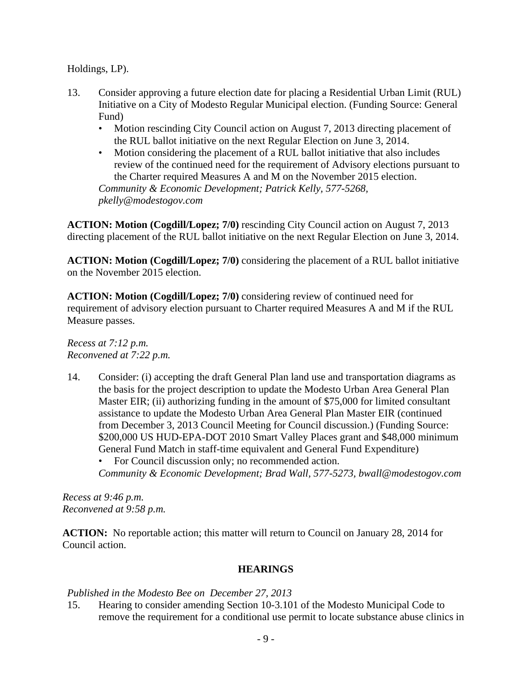Holdings, LP).

- 13. Consider approving a future election date for placing a Residential Urban Limit (RUL) Initiative on a City of Modesto Regular Municipal election. (Funding Source: General Fund)
	- Motion rescinding City Council action on August 7, 2013 directing placement of the RUL ballot initiative on the next Regular Election on June 3, 2014.
	- Motion considering the placement of a RUL ballot initiative that also includes review of the continued need for the requirement of Advisory elections pursuant to the Charter required Measures A and M on the November 2015 election.

*Community & Economic Development; Patrick Kelly, 577-5268, pkelly@modestogov.com* 

**ACTION: Motion (Cogdill/Lopez; 7/0)** rescinding City Council action on August 7, 2013 directing placement of the RUL ballot initiative on the next Regular Election on June 3, 2014.

**ACTION: Motion (Cogdill/Lopez; 7/0)** considering the placement of a RUL ballot initiative on the November 2015 election.

**ACTION: Motion (Cogdill/Lopez; 7/0)** considering review of continued need for requirement of advisory election pursuant to Charter required Measures A and M if the RUL Measure passes.

*Recess at 7:12 p.m. Reconvened at 7:22 p.m.* 

14. Consider: (i) accepting the draft General Plan land use and transportation diagrams as the basis for the project description to update the Modesto Urban Area General Plan Master EIR; (ii) authorizing funding in the amount of \$75,000 for limited consultant assistance to update the Modesto Urban Area General Plan Master EIR (continued from December 3, 2013 Council Meeting for Council discussion.) (Funding Source: \$200,000 US HUD-EPA-DOT 2010 Smart Valley Places grant and \$48,000 minimum General Fund Match in staff-time equivalent and General Fund Expenditure)

For Council discussion only; no recommended action. *Community & Economic Development; Brad Wall, 577-5273, bwall@modestogov.com* 

*Recess at 9:46 p.m. Reconvened at 9:58 p.m.*

**ACTION:** No reportable action; this matter will return to Council on January 28, 2014 for Council action.

## **HEARINGS**

*Published in the Modesto Bee on December 27, 2013* 

15. Hearing to consider amending Section 10-3.101 of the Modesto Municipal Code to remove the requirement for a conditional use permit to locate substance abuse clinics in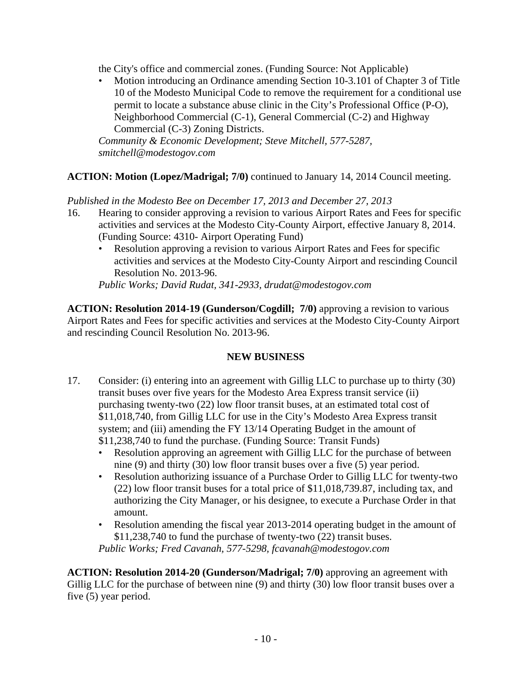the City's office and commercial zones. (Funding Source: Not Applicable)

• Motion introducing an Ordinance amending Section 10-3.101 of Chapter 3 of Title 10 of the Modesto Municipal Code to remove the requirement for a conditional use permit to locate a substance abuse clinic in the City's Professional Office (P-O), Neighborhood Commercial (C-1), General Commercial (C-2) and Highway Commercial (C-3) Zoning Districts.

*Community & Economic Development; Steve Mitchell, 577-5287, smitchell@modestogov.com* 

## **ACTION: Motion (Lopez/Madrigal; 7/0)** continued to January 14, 2014 Council meeting.

*Published in the Modesto Bee on December 17, 2013 and December 27, 2013* 

- 16. Hearing to consider approving a revision to various Airport Rates and Fees for specific activities and services at the Modesto City-County Airport, effective January 8, 2014. (Funding Source: 4310- Airport Operating Fund)
	- Resolution approving a revision to various Airport Rates and Fees for specific activities and services at the Modesto City-County Airport and rescinding Council Resolution No. 2013-96.

*Public Works; David Rudat, 341-2933, drudat@modestogov.com* 

**ACTION: Resolution 2014-19 (Gunderson/Cogdill; 7/0)** approving a revision to various Airport Rates and Fees for specific activities and services at the Modesto City-County Airport and rescinding Council Resolution No. 2013-96.

## **NEW BUSINESS**

- 17. Consider: (i) entering into an agreement with Gillig LLC to purchase up to thirty (30) transit buses over five years for the Modesto Area Express transit service (ii) purchasing twenty-two (22) low floor transit buses, at an estimated total cost of \$11,018,740, from Gillig LLC for use in the City's Modesto Area Express transit system; and (iii) amending the FY 13/14 Operating Budget in the amount of \$11,238,740 to fund the purchase. (Funding Source: Transit Funds)
	- Resolution approving an agreement with Gillig LLC for the purchase of between nine (9) and thirty (30) low floor transit buses over a five (5) year period.
	- Resolution authorizing issuance of a Purchase Order to Gillig LLC for twenty-two (22) low floor transit buses for a total price of \$11,018,739.87, including tax, and authorizing the City Manager, or his designee, to execute a Purchase Order in that amount.
	- Resolution amending the fiscal year 2013-2014 operating budget in the amount of \$11,238,740 to fund the purchase of twenty-two (22) transit buses. *Public Works; Fred Cavanah, 577-5298, fcavanah@modestogov.com*

**ACTION: Resolution 2014-20 (Gunderson/Madrigal; 7/0)** approving an agreement with Gillig LLC for the purchase of between nine (9) and thirty (30) low floor transit buses over a five (5) year period.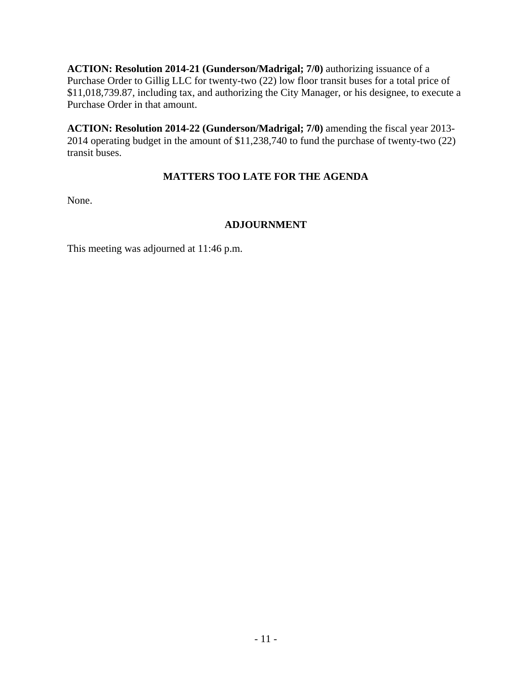**ACTION: Resolution 2014-21 (Gunderson/Madrigal; 7/0)** authorizing issuance of a Purchase Order to Gillig LLC for twenty-two (22) low floor transit buses for a total price of \$11,018,739.87, including tax, and authorizing the City Manager, or his designee, to execute a Purchase Order in that amount.

**ACTION: Resolution 2014-22 (Gunderson/Madrigal; 7/0)** amending the fiscal year 2013- 2014 operating budget in the amount of \$11,238,740 to fund the purchase of twenty-two (22) transit buses.

## **MATTERS TOO LATE FOR THE AGENDA**

None.

## **ADJOURNMENT**

This meeting was adjourned at 11:46 p.m.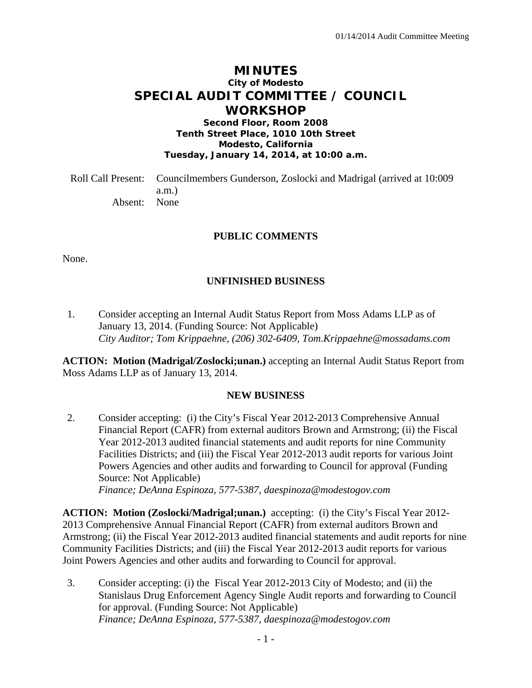## **MINUTES City of Modesto SPECIAL AUDIT COMMITTEE / COUNCIL WORKSHOP**

**Second Floor, Room 2008 Tenth Street Place, 1010 10th Street Modesto, California Tuesday, January 14, 2014, at 10:00 a.m.** 

Roll Call Present: Councilmembers Gunderson, Zoslocki and Madrigal (arrived at 10:009 a.m.) Absent: None

#### **PUBLIC COMMENTS**

None.

#### **UNFINISHED BUSINESS**

1. Consider accepting an Internal Audit Status Report from Moss Adams LLP as of January 13, 2014. (Funding Source: Not Applicable)  *City Auditor; Tom Krippaehne, (206) 302-6409, Tom.Krippaehne@mossadams.com* 

**ACTION: Motion (Madrigal/Zoslocki;unan.)** accepting an Internal Audit Status Report from Moss Adams LLP as of January 13, 2014.

#### **NEW BUSINESS**

2. Consider accepting: (i) the City's Fiscal Year 2012-2013 Comprehensive Annual Financial Report (CAFR) from external auditors Brown and Armstrong; (ii) the Fiscal Year 2012-2013 audited financial statements and audit reports for nine Community Facilities Districts; and (iii) the Fiscal Year 2012-2013 audit reports for various Joint Powers Agencies and other audits and forwarding to Council for approval (Funding Source: Not Applicable)  *Finance; DeAnna Espinoza, 577-5387, daespinoza@modestogov.com* 

**ACTION: Motion (Zoslocki/Madrigal;unan.)** accepting: (i) the City's Fiscal Year 2012- 2013 Comprehensive Annual Financial Report (CAFR) from external auditors Brown and Armstrong; (ii) the Fiscal Year 2012-2013 audited financial statements and audit reports for nine Community Facilities Districts; and (iii) the Fiscal Year 2012-2013 audit reports for various Joint Powers Agencies and other audits and forwarding to Council for approval.

3. Consider accepting: (i) the Fiscal Year 2012-2013 City of Modesto; and (ii) the Stanislaus Drug Enforcement Agency Single Audit reports and forwarding to Council for approval. (Funding Source: Not Applicable)  *Finance; DeAnna Espinoza, 577-5387, daespinoza@modestogov.com*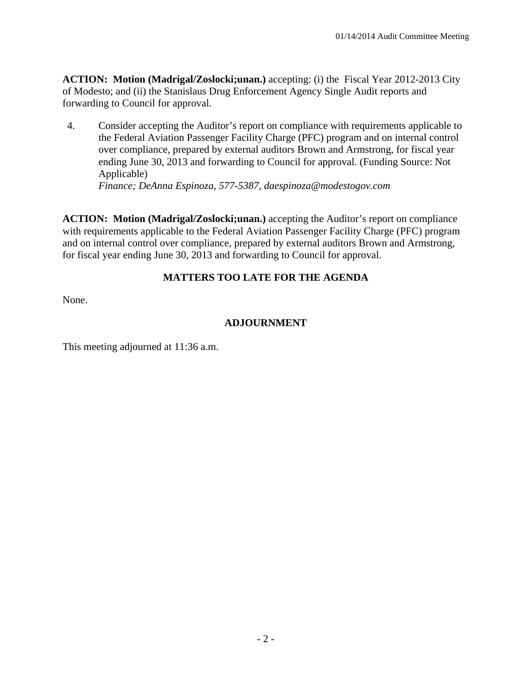**ACTION: Motion (Madrigal/Zoslocki;unan.)** accepting: (i) the Fiscal Year 2012-2013 City of Modesto; and (ii) the Stanislaus Drug Enforcement Agency Single Audit reports and forwarding to Council for approval.

4. Consider accepting the Auditor's report on compliance with requirements applicable to the Federal Aviation Passenger Facility Charge (PFC) program and on internal control over compliance, prepared by external auditors Brown and Armstrong, for fiscal year ending June 30, 2013 and forwarding to Council for approval. (Funding Source: Not Applicable)

 *Finance; DeAnna Espinoza, 577-5387, daespinoza@modestogov.com* 

**ACTION: Motion (Madrigal/Zoslocki;unan.)** accepting the Auditor's report on compliance with requirements applicable to the Federal Aviation Passenger Facility Charge (PFC) program and on internal control over compliance, prepared by external auditors Brown and Armstrong, for fiscal year ending June 30, 2013 and forwarding to Council for approval.

## **MATTERS TOO LATE FOR THE AGENDA**

None.

#### **ADJOURNMENT**

This meeting adjourned at 11:36 a.m.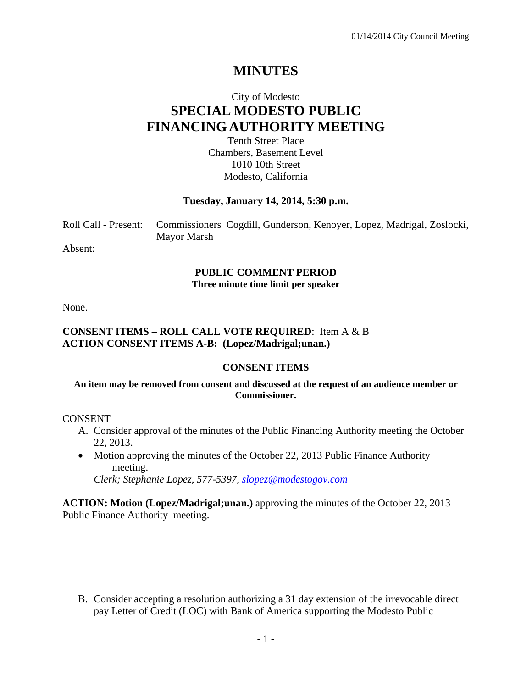# **MINUTES**

# City of Modesto **SPECIAL MODESTO PUBLIC FINANCING AUTHORITY MEETING**

Tenth Street Place Chambers, Basement Level 1010 10th Street Modesto, California

#### **Tuesday, January 14, 2014, 5:30 p.m.**

Roll Call - Present: Commissioners Cogdill, Gunderson, Kenoyer, Lopez, Madrigal, Zoslocki, Mayor Marsh

Absent:

#### **PUBLIC COMMENT PERIOD Three minute time limit per speaker**

None.

#### **CONSENT ITEMS – ROLL CALL VOTE REQUIRED**: Item A & B **ACTION CONSENT ITEMS A-B: (Lopez/Madrigal;unan.)**

#### **CONSENT ITEMS**

#### **An item may be removed from consent and discussed at the request of an audience member or Commissioner.**

CONSENT

- A. Consider approval of the minutes of the Public Financing Authority meeting the October 22, 2013.
- Motion approving the minutes of the October 22, 2013 Public Finance Authority meeting.

 *Clerk; Stephanie Lopez, 577-5397, slopez@modestogov.com*

**ACTION: Motion (Lopez/Madrigal;unan.)** approving the minutes of the October 22, 2013 Public Finance Authority meeting.

B. Consider accepting a resolution authorizing a 31 day extension of the irrevocable direct pay Letter of Credit (LOC) with Bank of America supporting the Modesto Public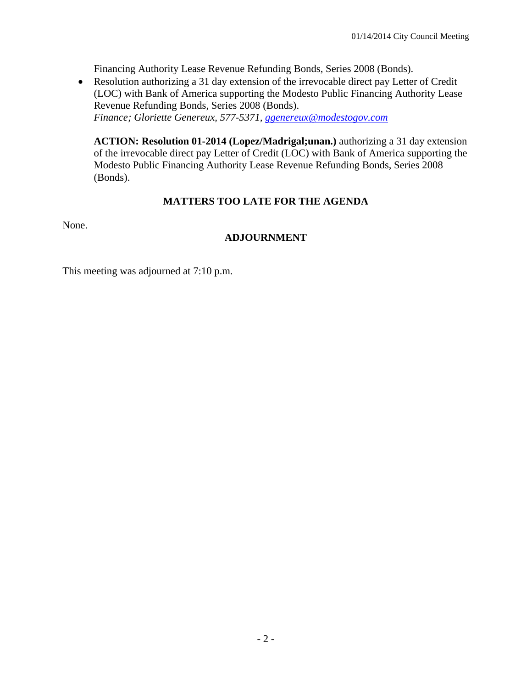Financing Authority Lease Revenue Refunding Bonds, Series 2008 (Bonds).

• Resolution authorizing a 31 day extension of the irrevocable direct pay Letter of Credit (LOC) with Bank of America supporting the Modesto Public Financing Authority Lease Revenue Refunding Bonds, Series 2008 (Bonds). *Finance; Gloriette Genereux, 577-5371, ggenereux@modestogov.com*

**ACTION: Resolution 01-2014 (Lopez/Madrigal;unan.)** authorizing a 31 day extension of the irrevocable direct pay Letter of Credit (LOC) with Bank of America supporting the Modesto Public Financing Authority Lease Revenue Refunding Bonds, Series 2008 (Bonds).

## **MATTERS TOO LATE FOR THE AGENDA**

None.

## **ADJOURNMENT**

This meeting was adjourned at 7:10 p.m.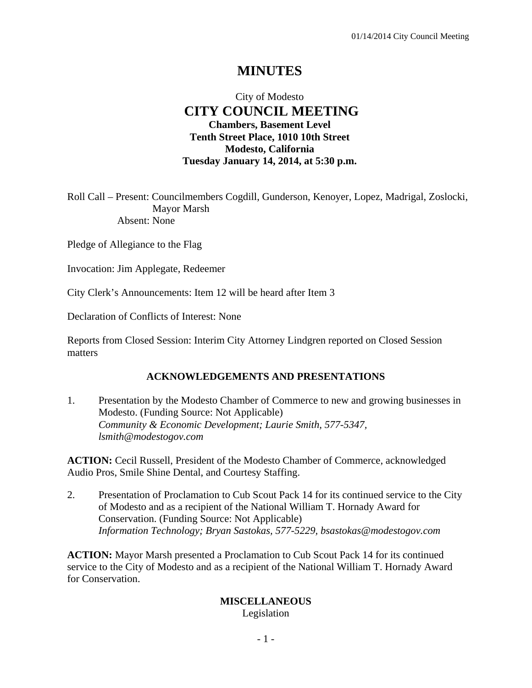# **MINUTES**

## City of Modesto  **CITY COUNCIL MEETING Chambers, Basement Level Tenth Street Place, 1010 10th Street Modesto, California Tuesday January 14, 2014, at 5:30 p.m.**

Roll Call – Present: Councilmembers Cogdill, Gunderson, Kenoyer, Lopez, Madrigal, Zoslocki, Mayor Marsh Absent: None

Pledge of Allegiance to the Flag

Invocation: Jim Applegate, Redeemer

City Clerk's Announcements: Item 12 will be heard after Item 3

Declaration of Conflicts of Interest: None

Reports from Closed Session: Interim City Attorney Lindgren reported on Closed Session matters

#### **ACKNOWLEDGEMENTS AND PRESENTATIONS**

1. Presentation by the Modesto Chamber of Commerce to new and growing businesses in Modesto. (Funding Source: Not Applicable)  *Community & Economic Development; Laurie Smith, 577-5347, lsmith@modestogov.com* 

**ACTION:** Cecil Russell, President of the Modesto Chamber of Commerce, acknowledged Audio Pros, Smile Shine Dental, and Courtesy Staffing.

2. Presentation of Proclamation to Cub Scout Pack 14 for its continued service to the City of Modesto and as a recipient of the National William T. Hornady Award for Conservation. (Funding Source: Not Applicable)  *Information Technology; Bryan Sastokas, 577-5229, bsastokas@modestogov.com* 

**ACTION:** Mayor Marsh presented a Proclamation to Cub Scout Pack 14 for its continued service to the City of Modesto and as a recipient of the National William T. Hornady Award for Conservation.

#### **MISCELLANEOUS**

Legislation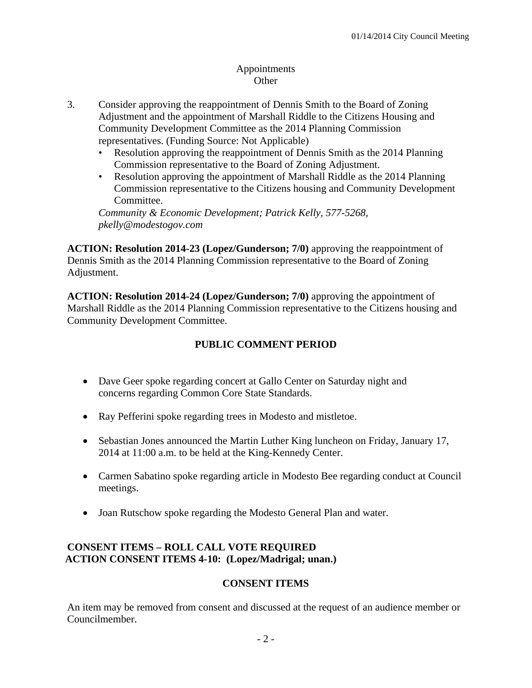## Appointments **Other**

- 3. Consider approving the reappointment of Dennis Smith to the Board of Zoning Adjustment and the appointment of Marshall Riddle to the Citizens Housing and Community Development Committee as the 2014 Planning Commission representatives. (Funding Source: Not Applicable)
	- Resolution approving the reappointment of Dennis Smith as the 2014 Planning Commission representative to the Board of Zoning Adjustment.
	- Resolution approving the appointment of Marshall Riddle as the 2014 Planning Commission representative to the Citizens housing and Community Development Committee.

*Community & Economic Development; Patrick Kelly, 577-5268, pkelly@modestogov.com* 

**ACTION: Resolution 2014-23 (Lopez/Gunderson; 7/0)** approving the reappointment of Dennis Smith as the 2014 Planning Commission representative to the Board of Zoning Adjustment.

**ACTION: Resolution 2014-24 (Lopez/Gunderson; 7/0)** approving the appointment of Marshall Riddle as the 2014 Planning Commission representative to the Citizens housing and Community Development Committee.

## **PUBLIC COMMENT PERIOD**

- Dave Geer spoke regarding concert at Gallo Center on Saturday night and concerns regarding Common Core State Standards.
- Ray Pefferini spoke regarding trees in Modesto and mistletoe.
- Sebastian Jones announced the Martin Luther King luncheon on Friday, January 17, 2014 at 11:00 a.m. to be held at the King-Kennedy Center.
- Carmen Sabatino spoke regarding article in Modesto Bee regarding conduct at Council meetings.
- Joan Rutschow spoke regarding the Modesto General Plan and water.

## **CONSENT ITEMS – ROLL CALL VOTE REQUIRED ACTION CONSENT ITEMS 4-10: (Lopez/Madrigal; unan.)**

## **CONSENT ITEMS**

An item may be removed from consent and discussed at the request of an audience member or Councilmember.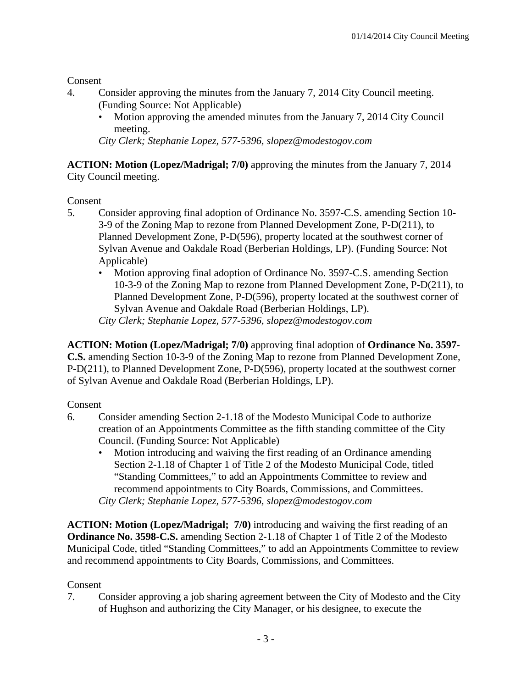**Consent** 

- 4. Consider approving the minutes from the January 7, 2014 City Council meeting. (Funding Source: Not Applicable)
	- Motion approving the amended minutes from the January 7, 2014 City Council meeting.

*City Clerk; Stephanie Lopez, 577-5396, slopez@modestogov.com* 

**ACTION: Motion (Lopez/Madrigal; 7/0)** approving the minutes from the January 7, 2014 City Council meeting.

Consent

- 5. Consider approving final adoption of Ordinance No. 3597-C.S. amending Section 10- 3-9 of the Zoning Map to rezone from Planned Development Zone, P-D(211), to Planned Development Zone, P-D(596), property located at the southwest corner of Sylvan Avenue and Oakdale Road (Berberian Holdings, LP). (Funding Source: Not Applicable)
	- Motion approving final adoption of Ordinance No. 3597-C.S. amending Section 10-3-9 of the Zoning Map to rezone from Planned Development Zone, P-D(211), to Planned Development Zone, P-D(596), property located at the southwest corner of Sylvan Avenue and Oakdale Road (Berberian Holdings, LP). *City Clerk; Stephanie Lopez, 577-5396, slopez@modestogov.com*

**ACTION: Motion (Lopez/Madrigal; 7/0)** approving final adoption of **Ordinance No. 3597- C.S.** amending Section 10-3-9 of the Zoning Map to rezone from Planned Development Zone, P-D(211), to Planned Development Zone, P-D(596), property located at the southwest corner of Sylvan Avenue and Oakdale Road (Berberian Holdings, LP).

## Consent

- 6. Consider amending Section 2-1.18 of the Modesto Municipal Code to authorize creation of an Appointments Committee as the fifth standing committee of the City Council. (Funding Source: Not Applicable)
	- Motion introducing and waiving the first reading of an Ordinance amending Section 2-1.18 of Chapter 1 of Title 2 of the Modesto Municipal Code, titled "Standing Committees," to add an Appointments Committee to review and recommend appointments to City Boards, Commissions, and Committees. *City Clerk; Stephanie Lopez, 577-5396, slopez@modestogov.com*

**ACTION: Motion (Lopez/Madrigal; 7/0)** introducing and waiving the first reading of an **Ordinance No. 3598-C.S.** amending Section 2-1.18 of Chapter 1 of Title 2 of the Modesto Municipal Code, titled "Standing Committees," to add an Appointments Committee to review and recommend appointments to City Boards, Commissions, and Committees.

## Consent

7. Consider approving a job sharing agreement between the City of Modesto and the City of Hughson and authorizing the City Manager, or his designee, to execute the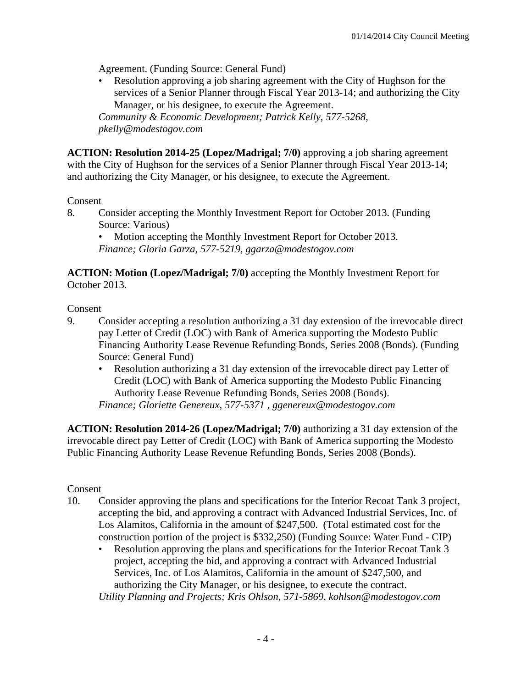Agreement. (Funding Source: General Fund)

• Resolution approving a job sharing agreement with the City of Hughson for the services of a Senior Planner through Fiscal Year 2013-14; and authorizing the City Manager, or his designee, to execute the Agreement.

*Community & Economic Development; Patrick Kelly, 577-5268, pkelly@modestogov.com* 

**ACTION: Resolution 2014-25 (Lopez/Madrigal; 7/0)** approving a job sharing agreement with the City of Hughson for the services of a Senior Planner through Fiscal Year 2013-14; and authorizing the City Manager, or his designee, to execute the Agreement.

#### Consent

8. Consider accepting the Monthly Investment Report for October 2013. (Funding Source: Various)

• Motion accepting the Monthly Investment Report for October 2013. *Finance; Gloria Garza, 577-5219, ggarza@modestogov.com* 

**ACTION: Motion (Lopez/Madrigal; 7/0)** accepting the Monthly Investment Report for October 2013.

Consent

- 9. Consider accepting a resolution authorizing a 31 day extension of the irrevocable direct pay Letter of Credit (LOC) with Bank of America supporting the Modesto Public Financing Authority Lease Revenue Refunding Bonds, Series 2008 (Bonds). (Funding Source: General Fund)
	- Resolution authorizing a 31 day extension of the irrevocable direct pay Letter of Credit (LOC) with Bank of America supporting the Modesto Public Financing Authority Lease Revenue Refunding Bonds, Series 2008 (Bonds). *Finance; Gloriette Genereux, 577-5371 , ggenereux@modestogov.com*

**ACTION: Resolution 2014-26 (Lopez/Madrigal; 7/0)** authorizing a 31 day extension of the irrevocable direct pay Letter of Credit (LOC) with Bank of America supporting the Modesto Public Financing Authority Lease Revenue Refunding Bonds, Series 2008 (Bonds).

## Consent

- 10. Consider approving the plans and specifications for the Interior Recoat Tank 3 project, accepting the bid, and approving a contract with Advanced Industrial Services, Inc. of Los Alamitos, California in the amount of \$247,500. (Total estimated cost for the construction portion of the project is \$332,250) (Funding Source: Water Fund - CIP)
	- Resolution approving the plans and specifications for the Interior Recoat Tank 3 project, accepting the bid, and approving a contract with Advanced Industrial Services, Inc. of Los Alamitos, California in the amount of \$247,500, and authorizing the City Manager, or his designee, to execute the contract. *Utility Planning and Projects; Kris Ohlson, 571-5869, kohlson@modestogov.com*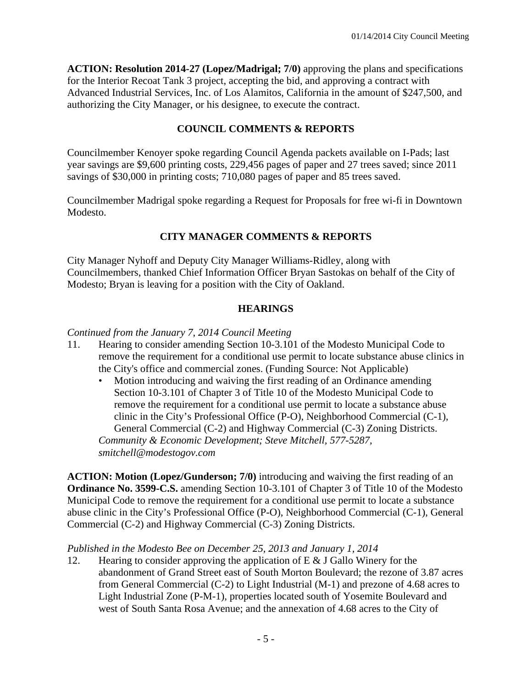**ACTION: Resolution 2014-27 (Lopez/Madrigal; 7/0)** approving the plans and specifications for the Interior Recoat Tank 3 project, accepting the bid, and approving a contract with Advanced Industrial Services, Inc. of Los Alamitos, California in the amount of \$247,500, and authorizing the City Manager, or his designee, to execute the contract.

## **COUNCIL COMMENTS & REPORTS**

Councilmember Kenoyer spoke regarding Council Agenda packets available on I-Pads; last year savings are \$9,600 printing costs, 229,456 pages of paper and 27 trees saved; since 2011 savings of \$30,000 in printing costs; 710,080 pages of paper and 85 trees saved.

Councilmember Madrigal spoke regarding a Request for Proposals for free wi-fi in Downtown Modesto.

## **CITY MANAGER COMMENTS & REPORTS**

City Manager Nyhoff and Deputy City Manager Williams-Ridley, along with Councilmembers, thanked Chief Information Officer Bryan Sastokas on behalf of the City of Modesto; Bryan is leaving for a position with the City of Oakland.

## **HEARINGS**

## *Continued from the January 7, 2014 Council Meeting*

- 11. Hearing to consider amending Section 10-3.101 of the Modesto Municipal Code to remove the requirement for a conditional use permit to locate substance abuse clinics in the City's office and commercial zones. (Funding Source: Not Applicable)
	- Motion introducing and waiving the first reading of an Ordinance amending Section 10-3.101 of Chapter 3 of Title 10 of the Modesto Municipal Code to remove the requirement for a conditional use permit to locate a substance abuse clinic in the City's Professional Office (P-O), Neighborhood Commercial (C-1), General Commercial (C-2) and Highway Commercial (C-3) Zoning Districts. *Community & Economic Development; Steve Mitchell, 577-5287, smitchell@modestogov.com*

**ACTION: Motion (Lopez/Gunderson; 7/0)** introducing and waiving the first reading of an **Ordinance No. 3599-C.S.** amending Section 10-3.101 of Chapter 3 of Title 10 of the Modesto Municipal Code to remove the requirement for a conditional use permit to locate a substance abuse clinic in the City's Professional Office (P-O), Neighborhood Commercial (C-1), General Commercial (C-2) and Highway Commercial (C-3) Zoning Districts.

## *Published in the Modesto Bee on December 25, 2013 and January 1, 2014*

12. Hearing to consider approving the application of E & J Gallo Winery for the abandonment of Grand Street east of South Morton Boulevard; the rezone of 3.87 acres from General Commercial (C-2) to Light Industrial (M-1) and prezone of 4.68 acres to Light Industrial Zone (P-M-1), properties located south of Yosemite Boulevard and west of South Santa Rosa Avenue; and the annexation of 4.68 acres to the City of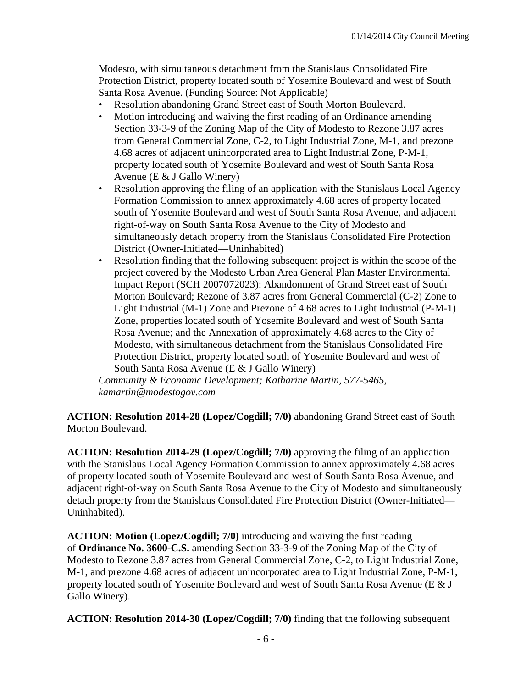Modesto, with simultaneous detachment from the Stanislaus Consolidated Fire Protection District, property located south of Yosemite Boulevard and west of South Santa Rosa Avenue. (Funding Source: Not Applicable)

- Resolution abandoning Grand Street east of South Morton Boulevard.
- Motion introducing and waiving the first reading of an Ordinance amending Section 33-3-9 of the Zoning Map of the City of Modesto to Rezone 3.87 acres from General Commercial Zone, C-2, to Light Industrial Zone, M-1, and prezone 4.68 acres of adjacent unincorporated area to Light Industrial Zone, P-M-1, property located south of Yosemite Boulevard and west of South Santa Rosa Avenue (E & J Gallo Winery)
- Resolution approving the filing of an application with the Stanislaus Local Agency Formation Commission to annex approximately 4.68 acres of property located south of Yosemite Boulevard and west of South Santa Rosa Avenue, and adjacent right-of-way on South Santa Rosa Avenue to the City of Modesto and simultaneously detach property from the Stanislaus Consolidated Fire Protection District (Owner-Initiated—Uninhabited)
- Resolution finding that the following subsequent project is within the scope of the project covered by the Modesto Urban Area General Plan Master Environmental Impact Report (SCH 2007072023): Abandonment of Grand Street east of South Morton Boulevard; Rezone of 3.87 acres from General Commercial (C-2) Zone to Light Industrial (M-1) Zone and Prezone of 4.68 acres to Light Industrial (P-M-1) Zone, properties located south of Yosemite Boulevard and west of South Santa Rosa Avenue; and the Annexation of approximately 4.68 acres to the City of Modesto, with simultaneous detachment from the Stanislaus Consolidated Fire Protection District, property located south of Yosemite Boulevard and west of South Santa Rosa Avenue (E & J Gallo Winery)

*Community & Economic Development; Katharine Martin, 577-5465, kamartin@modestogov.com* 

**ACTION: Resolution 2014-28 (Lopez/Cogdill; 7/0)** abandoning Grand Street east of South Morton Boulevard.

**ACTION: Resolution 2014-29 (Lopez/Cogdill; 7/0)** approving the filing of an application with the Stanislaus Local Agency Formation Commission to annex approximately 4.68 acres of property located south of Yosemite Boulevard and west of South Santa Rosa Avenue, and adjacent right-of-way on South Santa Rosa Avenue to the City of Modesto and simultaneously detach property from the Stanislaus Consolidated Fire Protection District (Owner-Initiated— Uninhabited).

**ACTION: Motion (Lopez/Cogdill; 7/0)** introducing and waiving the first reading of **Ordinance No. 3600-C.S.** amending Section 33-3-9 of the Zoning Map of the City of Modesto to Rezone 3.87 acres from General Commercial Zone, C-2, to Light Industrial Zone, M-1, and prezone 4.68 acres of adjacent unincorporated area to Light Industrial Zone, P-M-1, property located south of Yosemite Boulevard and west of South Santa Rosa Avenue (E & J Gallo Winery).

**ACTION: Resolution 2014-30 (Lopez/Cogdill; 7/0)** finding that the following subsequent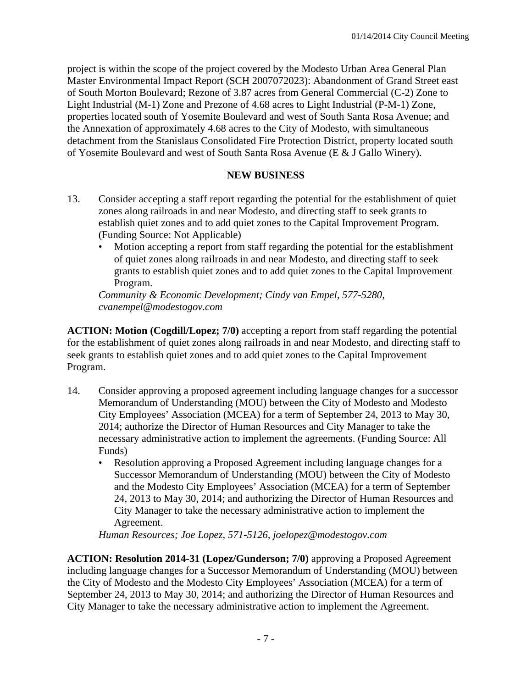project is within the scope of the project covered by the Modesto Urban Area General Plan Master Environmental Impact Report (SCH 2007072023): Abandonment of Grand Street east of South Morton Boulevard; Rezone of 3.87 acres from General Commercial (C-2) Zone to Light Industrial (M-1) Zone and Prezone of 4.68 acres to Light Industrial (P-M-1) Zone, properties located south of Yosemite Boulevard and west of South Santa Rosa Avenue; and the Annexation of approximately 4.68 acres to the City of Modesto, with simultaneous detachment from the Stanislaus Consolidated Fire Protection District, property located south of Yosemite Boulevard and west of South Santa Rosa Avenue (E & J Gallo Winery).

## **NEW BUSINESS**

- 13. Consider accepting a staff report regarding the potential for the establishment of quiet zones along railroads in and near Modesto, and directing staff to seek grants to establish quiet zones and to add quiet zones to the Capital Improvement Program. (Funding Source: Not Applicable)
	- Motion accepting a report from staff regarding the potential for the establishment of quiet zones along railroads in and near Modesto, and directing staff to seek grants to establish quiet zones and to add quiet zones to the Capital Improvement Program.

*Community & Economic Development; Cindy van Empel, 577-5280, cvanempel@modestogov.com* 

**ACTION: Motion (Cogdill/Lopez; 7/0)** accepting a report from staff regarding the potential for the establishment of quiet zones along railroads in and near Modesto, and directing staff to seek grants to establish quiet zones and to add quiet zones to the Capital Improvement Program.

- 14. Consider approving a proposed agreement including language changes for a successor Memorandum of Understanding (MOU) between the City of Modesto and Modesto City Employees' Association (MCEA) for a term of September 24, 2013 to May 30, 2014; authorize the Director of Human Resources and City Manager to take the necessary administrative action to implement the agreements. (Funding Source: All Funds)
	- Resolution approving a Proposed Agreement including language changes for a Successor Memorandum of Understanding (MOU) between the City of Modesto and the Modesto City Employees' Association (MCEA) for a term of September 24, 2013 to May 30, 2014; and authorizing the Director of Human Resources and City Manager to take the necessary administrative action to implement the Agreement.

*Human Resources; Joe Lopez, 571-5126, joelopez@modestogov.com* 

**ACTION: Resolution 2014-31 (Lopez/Gunderson; 7/0)** approving a Proposed Agreement including language changes for a Successor Memorandum of Understanding (MOU) between the City of Modesto and the Modesto City Employees' Association (MCEA) for a term of September 24, 2013 to May 30, 2014; and authorizing the Director of Human Resources and City Manager to take the necessary administrative action to implement the Agreement.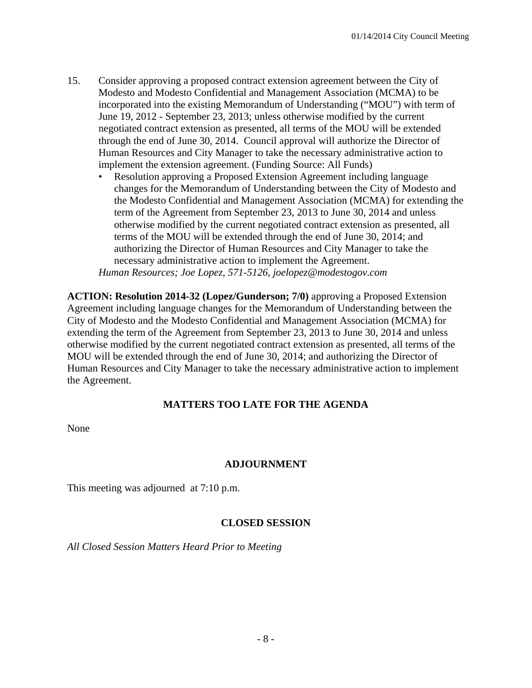- 15. Consider approving a proposed contract extension agreement between the City of Modesto and Modesto Confidential and Management Association (MCMA) to be incorporated into the existing Memorandum of Understanding ("MOU") with term of June 19, 2012 - September 23, 2013; unless otherwise modified by the current negotiated contract extension as presented, all terms of the MOU will be extended through the end of June 30, 2014. Council approval will authorize the Director of Human Resources and City Manager to take the necessary administrative action to implement the extension agreement. (Funding Source: All Funds)
	- Resolution approving a Proposed Extension Agreement including language changes for the Memorandum of Understanding between the City of Modesto and the Modesto Confidential and Management Association (MCMA) for extending the term of the Agreement from September 23, 2013 to June 30, 2014 and unless otherwise modified by the current negotiated contract extension as presented, all terms of the MOU will be extended through the end of June 30, 2014; and authorizing the Director of Human Resources and City Manager to take the necessary administrative action to implement the Agreement.

*Human Resources; Joe Lopez, 571-5126, joelopez@modestogov.com* 

**ACTION: Resolution 2014-32 (Lopez/Gunderson; 7/0)** approving a Proposed Extension Agreement including language changes for the Memorandum of Understanding between the City of Modesto and the Modesto Confidential and Management Association (MCMA) for extending the term of the Agreement from September 23, 2013 to June 30, 2014 and unless otherwise modified by the current negotiated contract extension as presented, all terms of the MOU will be extended through the end of June 30, 2014; and authorizing the Director of Human Resources and City Manager to take the necessary administrative action to implement the Agreement.

#### **MATTERS TOO LATE FOR THE AGENDA**

None

#### **ADJOURNMENT**

This meeting was adjourned at 7:10 p.m.

#### **CLOSED SESSION**

*All Closed Session Matters Heard Prior to Meeting*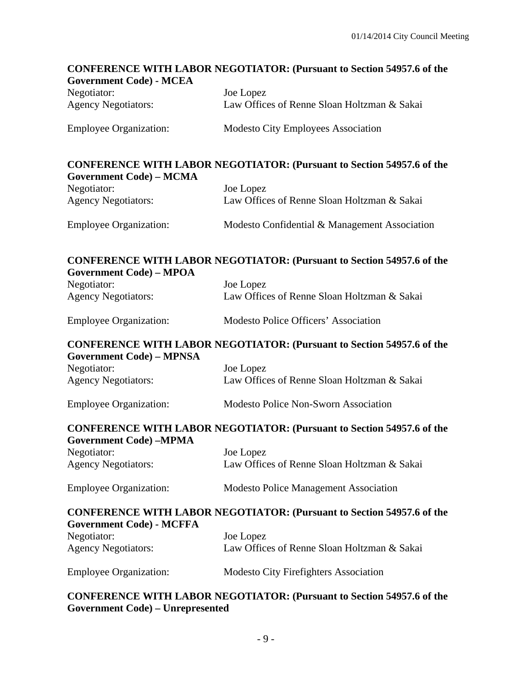# **CONFERENCE WITH LABOR NEGOTIATOR: (Pursuant to Section 54957.6 of the Government Code) - MCEA**  Negotiator: Joe Lopez Agency Negotiators: Law Offices of Renne Sloan Holtzman & Sakai Employee Organization: Modesto City Employees Association **CONFERENCE WITH LABOR NEGOTIATOR: (Pursuant to Section 54957.6 of the Government Code) – MCMA**  Negotiator: Joe Lopez Agency Negotiators: Law Offices of Renne Sloan Holtzman & Sakai Employee Organization: Modesto Confidential & Management Association **CONFERENCE WITH LABOR NEGOTIATOR: (Pursuant to Section 54957.6 of the Government Code) – MPOA**  Negotiator: Joe Lopez Agency Negotiators: Law Offices of Renne Sloan Holtzman & Sakai Employee Organization: Modesto Police Officers' Association **CONFERENCE WITH LABOR NEGOTIATOR: (Pursuant to Section 54957.6 of the Government Code) – MPNSA**  Negotiator: Joe Lopez Agency Negotiators: Law Offices of Renne Sloan Holtzman & Sakai Employee Organization: Modesto Police Non-Sworn Association **CONFERENCE WITH LABOR NEGOTIATOR: (Pursuant to Section 54957.6 of the Government Code) –MPMA**  Negotiator: Joe Lopez Agency Negotiators: Law Offices of Renne Sloan Holtzman & Sakai Employee Organization: Modesto Police Management Association **CONFERENCE WITH LABOR NEGOTIATOR: (Pursuant to Section 54957.6 of the Government Code) - MCFFA**  Negotiator: Joe Lopez Agency Negotiators: Law Offices of Renne Sloan Holtzman & Sakai Employee Organization: Modesto City Firefighters Association **CONFERENCE WITH LABOR NEGOTIATOR: (Pursuant to Section 54957.6 of the**

#### **Government Code) – Unrepresented**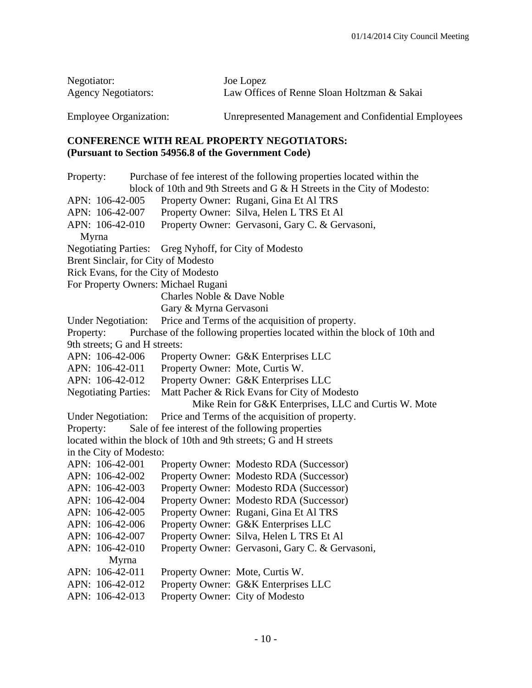| Negotiator:                   | Joe Lopez                                           |
|-------------------------------|-----------------------------------------------------|
| <b>Agency Negotiators:</b>    | Law Offices of Renne Sloan Holtzman & Sakai         |
| <b>Employee Organization:</b> | Unrepresented Management and Confidential Employees |

#### **CONFERENCE WITH REAL PROPERTY NEGOTIATORS: (Pursuant to Section 54956.8 of the Government Code)**

Property: Purchase of fee interest of the following properties located within the block of 10th and 9th Streets and G & H Streets in the City of Modesto: APN: 106-42-005 Property Owner: Rugani, Gina Et Al TRS APN: 106-42-007 Property Owner: Silva, Helen L TRS Et Al APN: 106-42-010 Property Owner: Gervasoni, Gary C. & Gervasoni, Myrna Negotiating Parties: Greg Nyhoff, for City of Modesto Brent Sinclair, for City of Modesto Rick Evans, for the City of Modesto For Property Owners: Michael Rugani Charles Noble & Dave Noble Gary & Myrna Gervasoni Under Negotiation: Price and Terms of the acquisition of property. Property: Purchase of the following properties located within the block of 10th and 9th streets; G and H streets: APN: 106-42-006 Property Owner: G&K Enterprises LLC APN: 106-42-011 Property Owner: Mote, Curtis W. APN: 106-42-012 Property Owner: G&K Enterprises LLC Negotiating Parties: Matt Pacher & Rick Evans for City of Modesto Mike Rein for G&K Enterprises, LLC and Curtis W. Mote Under Negotiation: Price and Terms of the acquisition of property. Property: Sale of fee interest of the following properties located within the block of 10th and 9th streets; G and H streets in the City of Modesto: APN: 106-42-001 Property Owner: Modesto RDA (Successor) APN: 106-42-002 Property Owner: Modesto RDA (Successor) APN: 106-42-003 Property Owner: Modesto RDA (Successor) APN: 106-42-004 Property Owner: Modesto RDA (Successor) APN: 106-42-005 Property Owner: Rugani, Gina Et Al TRS APN: 106-42-006 Property Owner: G&K Enterprises LLC APN: 106-42-007 Property Owner: Silva, Helen L TRS Et Al APN: 106-42-010 Property Owner: Gervasoni, Gary C. & Gervasoni, Myrna APN: 106-42-011 Property Owner: Mote, Curtis W. APN: 106-42-012 Property Owner: G&K Enterprises LLC APN: 106-42-013 Property Owner: City of Modesto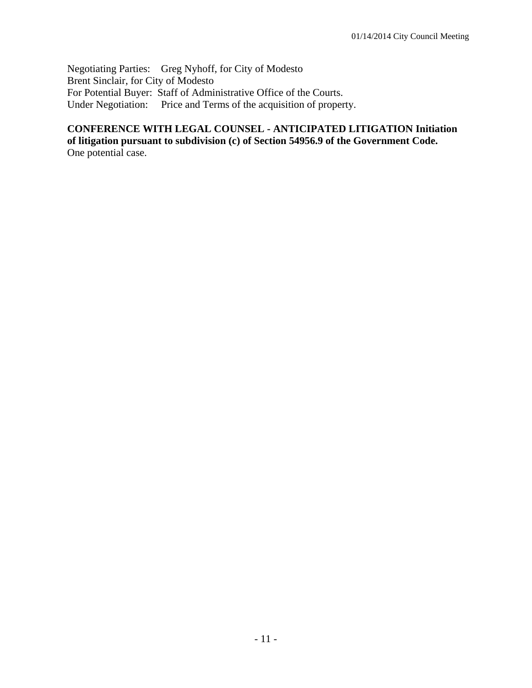Negotiating Parties: Greg Nyhoff, for City of Modesto Brent Sinclair, for City of Modesto For Potential Buyer: Staff of Administrative Office of the Courts. Under Negotiation: Price and Terms of the acquisition of property.

# **CONFERENCE WITH LEGAL COUNSEL - ANTICIPATED LITIGATION Initiation of litigation pursuant to subdivision (c) of Section 54956.9 of the Government Code.**

One potential case.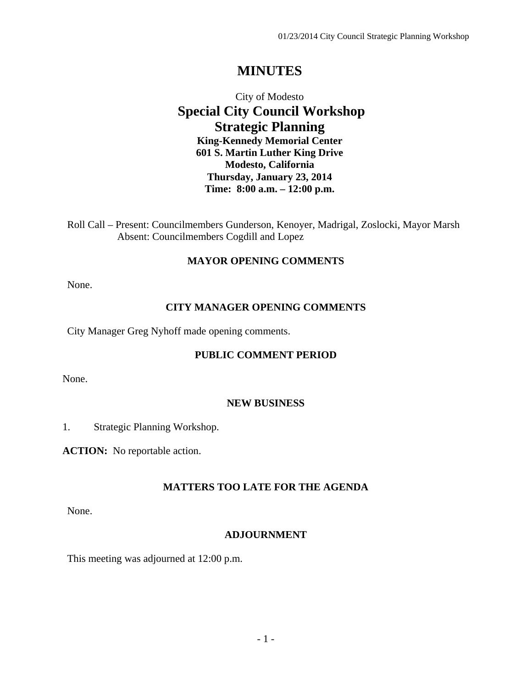# **MINUTES**

## City of Modesto  **Special City Council Workshop Strategic Planning King-Kennedy Memorial Center 601 S. Martin Luther King Drive Modesto, California Thursday, January 23, 2014 Time: 8:00 a.m. – 12:00 p.m.**

Roll Call – Present: Councilmembers Gunderson, Kenoyer, Madrigal, Zoslocki, Mayor Marsh Absent: Councilmembers Cogdill and Lopez

## **MAYOR OPENING COMMENTS**

None.

#### **CITY MANAGER OPENING COMMENTS**

City Manager Greg Nyhoff made opening comments.

#### **PUBLIC COMMENT PERIOD**

None.

#### **NEW BUSINESS**

1. Strategic Planning Workshop.

**ACTION:** No reportable action.

## **MATTERS TOO LATE FOR THE AGENDA**

None.

## **ADJOURNMENT**

This meeting was adjourned at 12:00 p.m.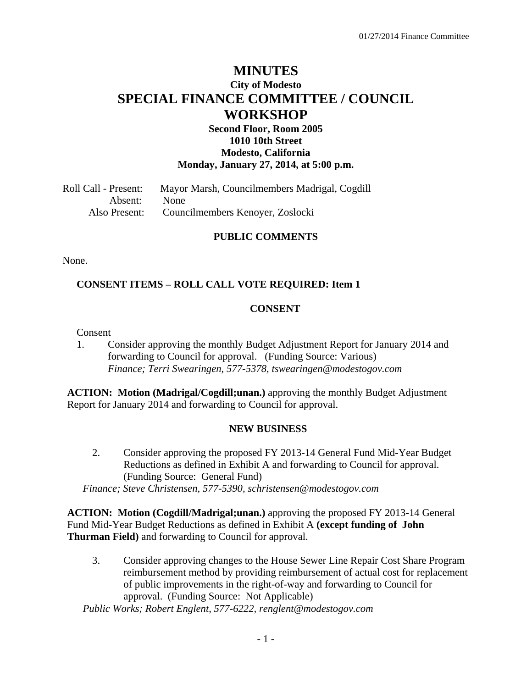## **MINUTES City of Modesto SPECIAL FINANCE COMMITTEE / COUNCIL WORKSHOP**

## **Second Floor, Room 2005 1010 10th Street Modesto, California Monday, January 27, 2014, at 5:00 p.m.**

Roll Call - Present: Mayor Marsh, Councilmembers Madrigal, Cogdill Absent: None Also Present: Councilmembers Kenoyer, Zoslocki

## **PUBLIC COMMENTS**

None.

## **CONSENT ITEMS – ROLL CALL VOTE REQUIRED: Item 1**

## **CONSENT**

Consent

1. Consider approving the monthly Budget Adjustment Report for January 2014 and forwarding to Council for approval. (Funding Source: Various)  *Finance; Terri Swearingen, 577-5378, tswearingen@modestogov.com* 

**ACTION: Motion (Madrigal/Cogdill;unan.)** approving the monthly Budget Adjustment Report for January 2014 and forwarding to Council for approval.

#### **NEW BUSINESS**

2. Consider approving the proposed FY 2013-14 General Fund Mid-Year Budget Reductions as defined in Exhibit A and forwarding to Council for approval. (Funding Source: General Fund)

 *Finance; Steve Christensen, 577-5390, schristensen@modestogov.com* 

**ACTION: Motion (Cogdill/Madrigal;unan.)** approving the proposed FY 2013-14 General Fund Mid-Year Budget Reductions as defined in Exhibit A **(except funding of John Thurman Field)** and forwarding to Council for approval.

3. Consider approving changes to the House Sewer Line Repair Cost Share Program reimbursement method by providing reimbursement of actual cost for replacement of public improvements in the right-of-way and forwarding to Council for approval. (Funding Source: Not Applicable)

 *Public Works; Robert Englent, 577-6222, renglent@modestogov.com*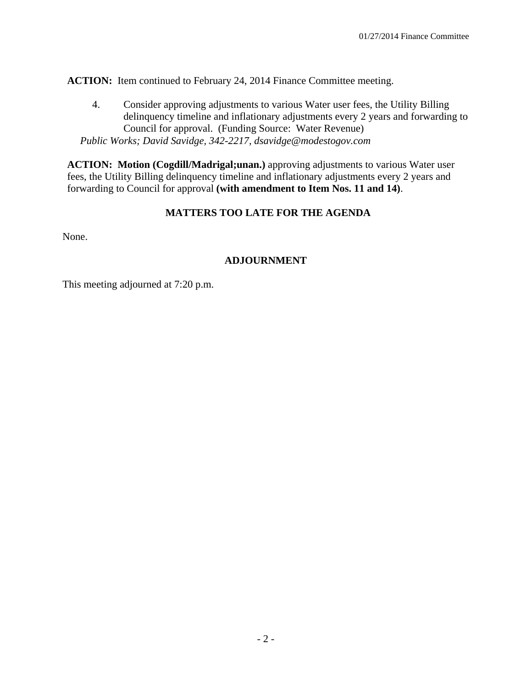**ACTION:** Item continued to February 24, 2014 Finance Committee meeting.

4. Consider approving adjustments to various Water user fees, the Utility Billing delinquency timeline and inflationary adjustments every 2 years and forwarding to Council for approval. (Funding Source: Water Revenue)  *Public Works; David Savidge, 342-2217, dsavidge@modestogov.com* 

**ACTION: Motion (Cogdill/Madrigal;unan.)** approving adjustments to various Water user fees, the Utility Billing delinquency timeline and inflationary adjustments every 2 years and forwarding to Council for approval **(with amendment to Item Nos. 11 and 14)**.

## **MATTERS TOO LATE FOR THE AGENDA**

None.

## **ADJOURNMENT**

This meeting adjourned at 7:20 p.m.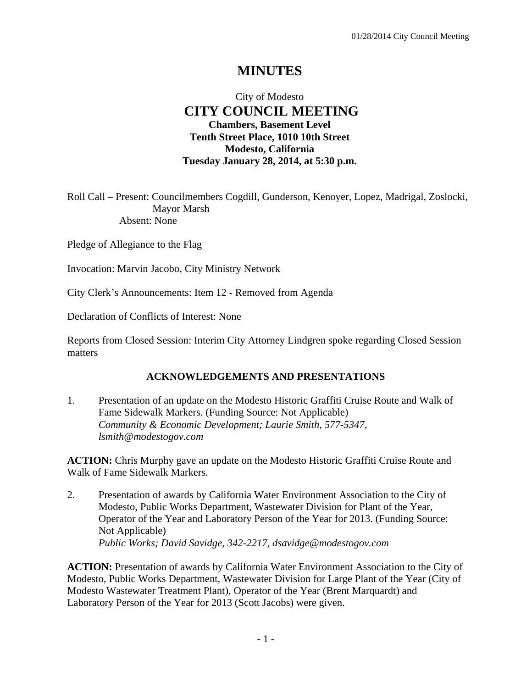# **MINUTES**

## City of Modesto  **CITY COUNCIL MEETING Chambers, Basement Level Tenth Street Place, 1010 10th Street Modesto, California Tuesday January 28, 2014, at 5:30 p.m.**

Roll Call – Present: Councilmembers Cogdill, Gunderson, Kenoyer, Lopez, Madrigal, Zoslocki, Mayor Marsh Absent: None

Pledge of Allegiance to the Flag

Invocation: Marvin Jacobo, City Ministry Network

City Clerk's Announcements: Item 12 - Removed from Agenda

Declaration of Conflicts of Interest: None

Reports from Closed Session: Interim City Attorney Lindgren spoke regarding Closed Session matters

## **ACKNOWLEDGEMENTS AND PRESENTATIONS**

1. Presentation of an update on the Modesto Historic Graffiti Cruise Route and Walk of Fame Sidewalk Markers. (Funding Source: Not Applicable)  *Community & Economic Development; Laurie Smith, 577-5347, lsmith@modestogov.com* 

**ACTION:** Chris Murphy gave an update on the Modesto Historic Graffiti Cruise Route and Walk of Fame Sidewalk Markers.

2. Presentation of awards by California Water Environment Association to the City of Modesto, Public Works Department, Wastewater Division for Plant of the Year, Operator of the Year and Laboratory Person of the Year for 2013. (Funding Source: Not Applicable)  *Public Works; David Savidge, 342-2217, dsavidge@modestogov.com* 

**ACTION:** Presentation of awards by California Water Environment Association to the City of Modesto, Public Works Department, Wastewater Division for Large Plant of the Year (City of Modesto Wastewater Treatment Plant), Operator of the Year (Brent Marquardt) and Laboratory Person of the Year for 2013 (Scott Jacobs) were given.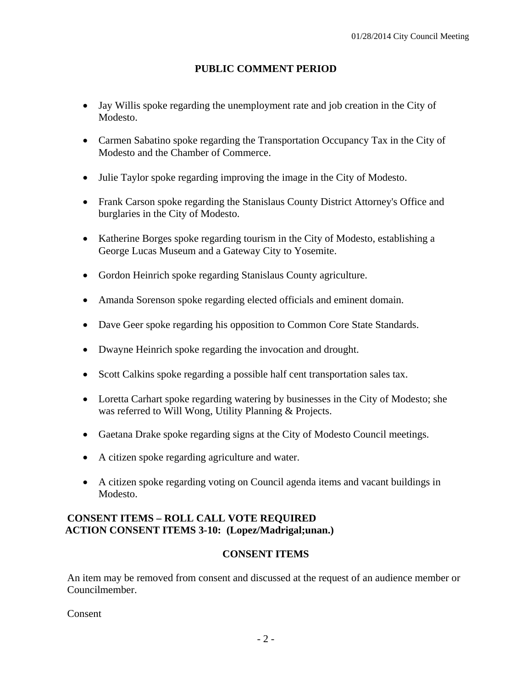## **PUBLIC COMMENT PERIOD**

- Jay Willis spoke regarding the unemployment rate and job creation in the City of Modesto.
- Carmen Sabatino spoke regarding the Transportation Occupancy Tax in the City of Modesto and the Chamber of Commerce.
- Julie Taylor spoke regarding improving the image in the City of Modesto.
- Frank Carson spoke regarding the Stanislaus County District Attorney's Office and burglaries in the City of Modesto.
- Katherine Borges spoke regarding tourism in the City of Modesto, establishing a George Lucas Museum and a Gateway City to Yosemite.
- Gordon Heinrich spoke regarding Stanislaus County agriculture.
- Amanda Sorenson spoke regarding elected officials and eminent domain.
- Dave Geer spoke regarding his opposition to Common Core State Standards.
- Dwayne Heinrich spoke regarding the invocation and drought.
- Scott Calkins spoke regarding a possible half cent transportation sales tax.
- Loretta Carhart spoke regarding watering by businesses in the City of Modesto; she was referred to Will Wong, Utility Planning & Projects.
- Gaetana Drake spoke regarding signs at the City of Modesto Council meetings.
- A citizen spoke regarding agriculture and water.
- A citizen spoke regarding voting on Council agenda items and vacant buildings in Modesto.

## **CONSENT ITEMS – ROLL CALL VOTE REQUIRED ACTION CONSENT ITEMS 3-10: (Lopez/Madrigal;unan.)**

## **CONSENT ITEMS**

An item may be removed from consent and discussed at the request of an audience member or Councilmember.

Consent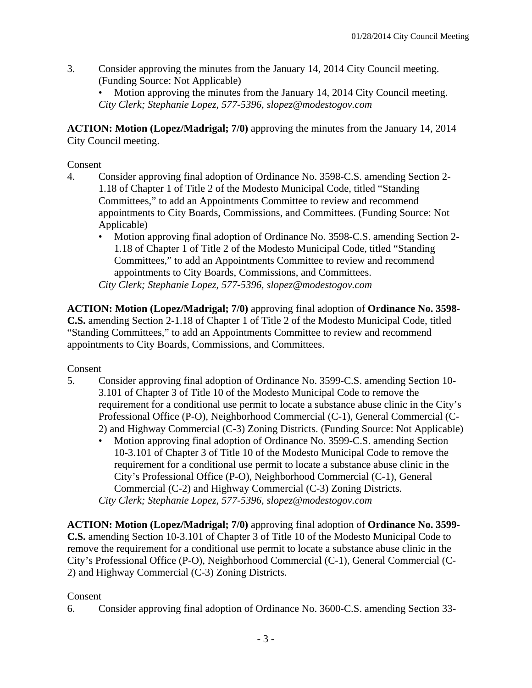3. Consider approving the minutes from the January 14, 2014 City Council meeting. (Funding Source: Not Applicable)

Motion approving the minutes from the January 14, 2014 City Council meeting. *City Clerk; Stephanie Lopez, 577-5396, slopez@modestogov.com* 

**ACTION: Motion (Lopez/Madrigal; 7/0)** approving the minutes from the January 14, 2014 City Council meeting.

## Consent

- 4. Consider approving final adoption of Ordinance No. 3598-C.S. amending Section 2- 1.18 of Chapter 1 of Title 2 of the Modesto Municipal Code, titled "Standing Committees," to add an Appointments Committee to review and recommend appointments to City Boards, Commissions, and Committees. (Funding Source: Not Applicable)
	- Motion approving final adoption of Ordinance No. 3598-C.S. amending Section 2- 1.18 of Chapter 1 of Title 2 of the Modesto Municipal Code, titled "Standing Committees," to add an Appointments Committee to review and recommend appointments to City Boards, Commissions, and Committees. *City Clerk; Stephanie Lopez, 577-5396, slopez@modestogov.com*

**ACTION: Motion (Lopez/Madrigal; 7/0)** approving final adoption of **Ordinance No. 3598- C.S.** amending Section 2-1.18 of Chapter 1 of Title 2 of the Modesto Municipal Code, titled "Standing Committees," to add an Appointments Committee to review and recommend appointments to City Boards, Commissions, and Committees.

## Consent

- 5. Consider approving final adoption of Ordinance No. 3599-C.S. amending Section 10- 3.101 of Chapter 3 of Title 10 of the Modesto Municipal Code to remove the requirement for a conditional use permit to locate a substance abuse clinic in the City's Professional Office (P-O), Neighborhood Commercial (C-1), General Commercial (C-2) and Highway Commercial (C-3) Zoning Districts. (Funding Source: Not Applicable)
	- Motion approving final adoption of Ordinance No. 3599-C.S. amending Section 10-3.101 of Chapter 3 of Title 10 of the Modesto Municipal Code to remove the requirement for a conditional use permit to locate a substance abuse clinic in the City's Professional Office (P-O), Neighborhood Commercial (C-1), General Commercial (C-2) and Highway Commercial (C-3) Zoning Districts. *City Clerk; Stephanie Lopez, 577-5396, slopez@modestogov.com*

**ACTION: Motion (Lopez/Madrigal; 7/0)** approving final adoption of **Ordinance No. 3599- C.S.** amending Section 10-3.101 of Chapter 3 of Title 10 of the Modesto Municipal Code to remove the requirement for a conditional use permit to locate a substance abuse clinic in the City's Professional Office (P-O), Neighborhood Commercial (C-1), General Commercial (C-2) and Highway Commercial (C-3) Zoning Districts.

## Consent

6. Consider approving final adoption of Ordinance No. 3600-C.S. amending Section 33-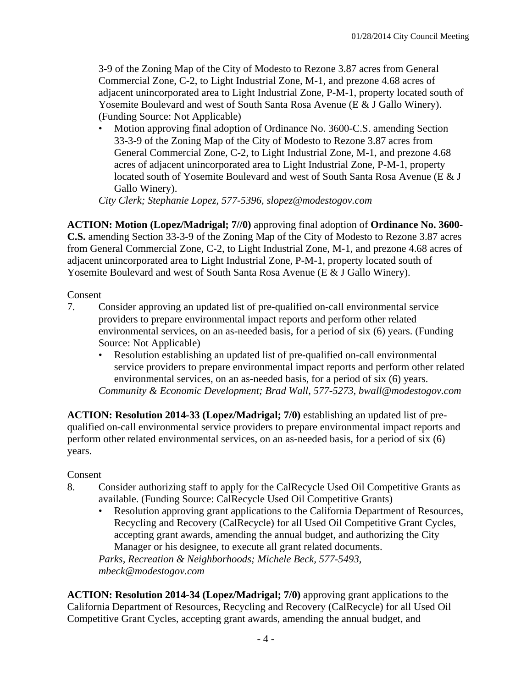3-9 of the Zoning Map of the City of Modesto to Rezone 3.87 acres from General Commercial Zone, C-2, to Light Industrial Zone, M-1, and prezone 4.68 acres of adjacent unincorporated area to Light Industrial Zone, P-M-1, property located south of Yosemite Boulevard and west of South Santa Rosa Avenue (E & J Gallo Winery). (Funding Source: Not Applicable)

• Motion approving final adoption of Ordinance No. 3600-C.S. amending Section 33-3-9 of the Zoning Map of the City of Modesto to Rezone 3.87 acres from General Commercial Zone, C-2, to Light Industrial Zone, M-1, and prezone 4.68 acres of adjacent unincorporated area to Light Industrial Zone, P-M-1, property located south of Yosemite Boulevard and west of South Santa Rosa Avenue (E & J Gallo Winery).

*City Clerk; Stephanie Lopez, 577-5396, slopez@modestogov.com* 

**ACTION: Motion (Lopez/Madrigal; 7//0)** approving final adoption of **Ordinance No. 3600- C.S.** amending Section 33-3-9 of the Zoning Map of the City of Modesto to Rezone 3.87 acres from General Commercial Zone, C-2, to Light Industrial Zone, M-1, and prezone 4.68 acres of adjacent unincorporated area to Light Industrial Zone, P-M-1, property located south of Yosemite Boulevard and west of South Santa Rosa Avenue (E & J Gallo Winery).

#### Consent

- 7. Consider approving an updated list of pre-qualified on-call environmental service providers to prepare environmental impact reports and perform other related environmental services, on an as-needed basis, for a period of six (6) years. (Funding Source: Not Applicable)
	- Resolution establishing an updated list of pre-qualified on-call environmental service providers to prepare environmental impact reports and perform other related environmental services, on an as-needed basis, for a period of six (6) years. *Community & Economic Development; Brad Wall, 577-5273, bwall@modestogov.com*

**ACTION: Resolution 2014-33 (Lopez/Madrigal; 7/0)** establishing an updated list of prequalified on-call environmental service providers to prepare environmental impact reports and perform other related environmental services, on an as-needed basis, for a period of six (6) years.

## Consent

- 8. Consider authorizing staff to apply for the CalRecycle Used Oil Competitive Grants as available. (Funding Source: CalRecycle Used Oil Competitive Grants)
	- Resolution approving grant applications to the California Department of Resources, Recycling and Recovery (CalRecycle) for all Used Oil Competitive Grant Cycles, accepting grant awards, amending the annual budget, and authorizing the City Manager or his designee, to execute all grant related documents.

*Parks, Recreation & Neighborhoods; Michele Beck, 577-5493, mbeck@modestogov.com* 

**ACTION: Resolution 2014-34 (Lopez/Madrigal; 7/0)** approving grant applications to the California Department of Resources, Recycling and Recovery (CalRecycle) for all Used Oil Competitive Grant Cycles, accepting grant awards, amending the annual budget, and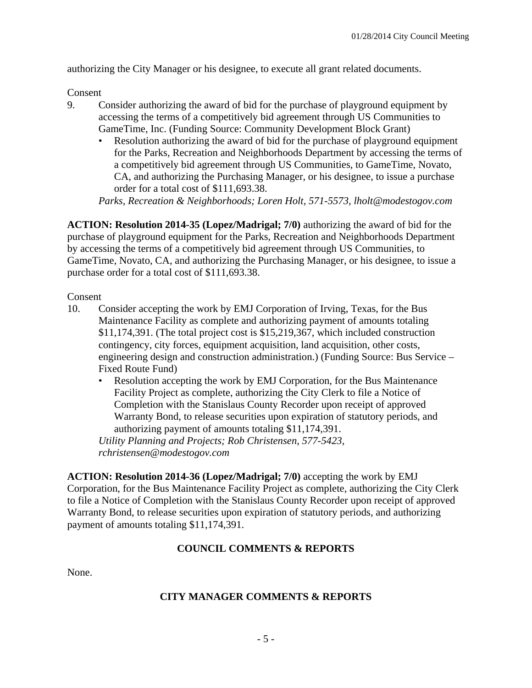authorizing the City Manager or his designee, to execute all grant related documents.

Consent

- 9. Consider authorizing the award of bid for the purchase of playground equipment by accessing the terms of a competitively bid agreement through US Communities to GameTime, Inc. (Funding Source: Community Development Block Grant)
	- Resolution authorizing the award of bid for the purchase of playground equipment for the Parks, Recreation and Neighborhoods Department by accessing the terms of a competitively bid agreement through US Communities, to GameTime, Novato, CA, and authorizing the Purchasing Manager, or his designee, to issue a purchase order for a total cost of \$111,693.38.

*Parks, Recreation & Neighborhoods; Loren Holt, 571-5573, lholt@modestogov.com* 

**ACTION: Resolution 2014-35 (Lopez/Madrigal; 7/0)** authorizing the award of bid for the purchase of playground equipment for the Parks, Recreation and Neighborhoods Department by accessing the terms of a competitively bid agreement through US Communities, to GameTime, Novato, CA, and authorizing the Purchasing Manager, or his designee, to issue a purchase order for a total cost of \$111,693.38.

Consent

- 10. Consider accepting the work by EMJ Corporation of Irving, Texas, for the Bus Maintenance Facility as complete and authorizing payment of amounts totaling \$11,174,391. (The total project cost is \$15,219,367, which included construction contingency, city forces, equipment acquisition, land acquisition, other costs, engineering design and construction administration.) (Funding Source: Bus Service – Fixed Route Fund)
	- Resolution accepting the work by EMJ Corporation, for the Bus Maintenance Facility Project as complete, authorizing the City Clerk to file a Notice of Completion with the Stanislaus County Recorder upon receipt of approved Warranty Bond, to release securities upon expiration of statutory periods, and authorizing payment of amounts totaling \$11,174,391.

*Utility Planning and Projects; Rob Christensen, 577-5423, rchristensen@modestogov.com* 

**ACTION: Resolution 2014-36 (Lopez/Madrigal; 7/0)** accepting the work by EMJ Corporation, for the Bus Maintenance Facility Project as complete, authorizing the City Clerk to file a Notice of Completion with the Stanislaus County Recorder upon receipt of approved Warranty Bond, to release securities upon expiration of statutory periods, and authorizing payment of amounts totaling \$11,174,391.

## **COUNCIL COMMENTS & REPORTS**

None.

## **CITY MANAGER COMMENTS & REPORTS**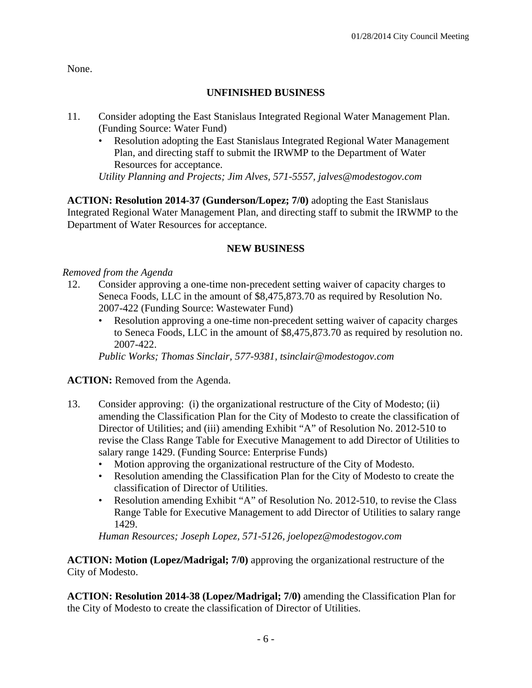None.

# **UNFINISHED BUSINESS**

- 11. Consider adopting the East Stanislaus Integrated Regional Water Management Plan. (Funding Source: Water Fund)
	- Resolution adopting the East Stanislaus Integrated Regional Water Management Plan, and directing staff to submit the IRWMP to the Department of Water Resources for acceptance.

*Utility Planning and Projects; Jim Alves, 571-5557, jalves@modestogov.com* 

**ACTION: Resolution 2014-37 (Gunderson/Lopez; 7/0)** adopting the East Stanislaus Integrated Regional Water Management Plan, and directing staff to submit the IRWMP to the Department of Water Resources for acceptance.

# **NEW BUSINESS**

# *Removed from the Agenda*

- 12. Consider approving a one-time non-precedent setting waiver of capacity charges to Seneca Foods, LLC in the amount of \$8,475,873.70 as required by Resolution No. 2007-422 (Funding Source: Wastewater Fund)
	- Resolution approving a one-time non-precedent setting waiver of capacity charges to Seneca Foods, LLC in the amount of \$8,475,873.70 as required by resolution no. 2007-422.

*Public Works; Thomas Sinclair, 577-9381, tsinclair@modestogov.com* 

# **ACTION:** Removed from the Agenda.

- 13. Consider approving: (i) the organizational restructure of the City of Modesto; (ii) amending the Classification Plan for the City of Modesto to create the classification of Director of Utilities; and (iii) amending Exhibit "A" of Resolution No. 2012-510 to revise the Class Range Table for Executive Management to add Director of Utilities to salary range 1429. (Funding Source: Enterprise Funds)
	- Motion approving the organizational restructure of the City of Modesto.
	- Resolution amending the Classification Plan for the City of Modesto to create the classification of Director of Utilities.
	- Resolution amending Exhibit "A" of Resolution No. 2012-510, to revise the Class Range Table for Executive Management to add Director of Utilities to salary range 1429.

*Human Resources; Joseph Lopez, 571-5126, joelopez@modestogov.com* 

**ACTION: Motion (Lopez/Madrigal; 7/0)** approving the organizational restructure of the City of Modesto.

**ACTION: Resolution 2014-38 (Lopez/Madrigal; 7/0)** amending the Classification Plan for the City of Modesto to create the classification of Director of Utilities.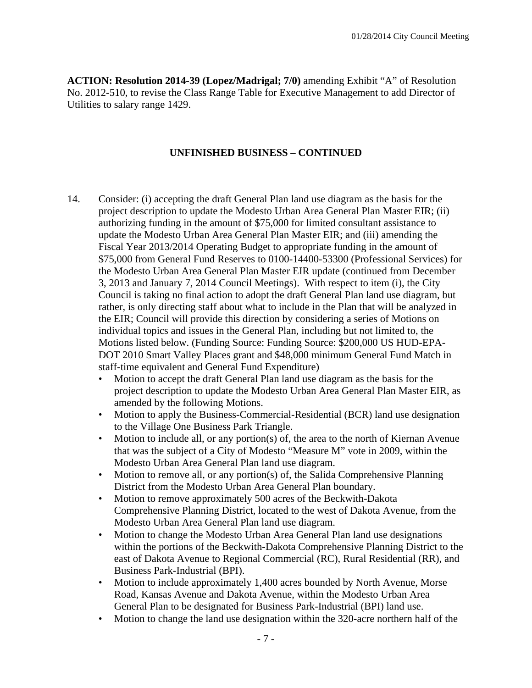**ACTION: Resolution 2014-39 (Lopez/Madrigal; 7/0)** amending Exhibit "A" of Resolution No. 2012-510, to revise the Class Range Table for Executive Management to add Director of Utilities to salary range 1429.

### **UNFINISHED BUSINESS – CONTINUED**

- 14. Consider: (i) accepting the draft General Plan land use diagram as the basis for the project description to update the Modesto Urban Area General Plan Master EIR; (ii) authorizing funding in the amount of \$75,000 for limited consultant assistance to update the Modesto Urban Area General Plan Master EIR; and (iii) amending the Fiscal Year 2013/2014 Operating Budget to appropriate funding in the amount of \$75,000 from General Fund Reserves to 0100-14400-53300 (Professional Services) for the Modesto Urban Area General Plan Master EIR update (continued from December 3, 2013 and January 7, 2014 Council Meetings). With respect to item (i), the City Council is taking no final action to adopt the draft General Plan land use diagram, but rather, is only directing staff about what to include in the Plan that will be analyzed in the EIR; Council will provide this direction by considering a series of Motions on individual topics and issues in the General Plan, including but not limited to, the Motions listed below. (Funding Source: Funding Source: \$200,000 US HUD-EPA-DOT 2010 Smart Valley Places grant and \$48,000 minimum General Fund Match in staff-time equivalent and General Fund Expenditure)
	- Motion to accept the draft General Plan land use diagram as the basis for the project description to update the Modesto Urban Area General Plan Master EIR, as amended by the following Motions.
	- Motion to apply the Business-Commercial-Residential (BCR) land use designation to the Village One Business Park Triangle.
	- Motion to include all, or any portion(s) of, the area to the north of Kiernan Avenue that was the subject of a City of Modesto "Measure M" vote in 2009, within the Modesto Urban Area General Plan land use diagram.
	- Motion to remove all, or any portion(s) of, the Salida Comprehensive Planning District from the Modesto Urban Area General Plan boundary.
	- Motion to remove approximately 500 acres of the Beckwith-Dakota Comprehensive Planning District, located to the west of Dakota Avenue, from the Modesto Urban Area General Plan land use diagram.
	- Motion to change the Modesto Urban Area General Plan land use designations within the portions of the Beckwith-Dakota Comprehensive Planning District to the east of Dakota Avenue to Regional Commercial (RC), Rural Residential (RR), and Business Park-Industrial (BPI).
	- Motion to include approximately 1,400 acres bounded by North Avenue, Morse Road, Kansas Avenue and Dakota Avenue, within the Modesto Urban Area General Plan to be designated for Business Park-Industrial (BPI) land use.
	- Motion to change the land use designation within the 320-acre northern half of the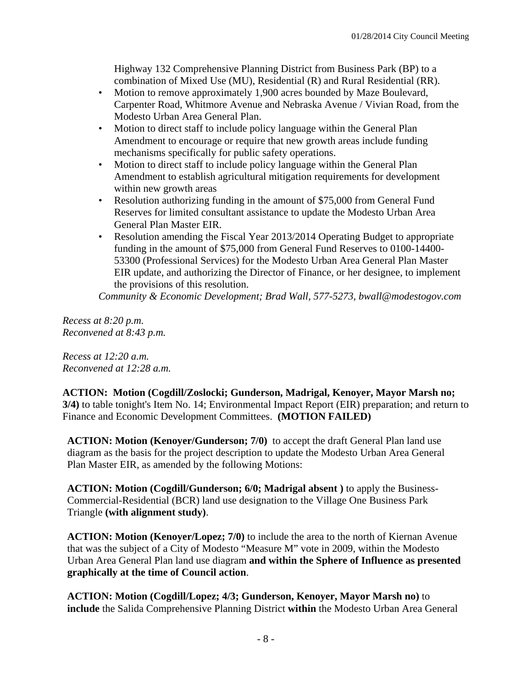Highway 132 Comprehensive Planning District from Business Park (BP) to a combination of Mixed Use (MU), Residential (R) and Rural Residential (RR).

- Motion to remove approximately 1,900 acres bounded by Maze Boulevard, Carpenter Road, Whitmore Avenue and Nebraska Avenue / Vivian Road, from the Modesto Urban Area General Plan.
- Motion to direct staff to include policy language within the General Plan Amendment to encourage or require that new growth areas include funding mechanisms specifically for public safety operations.
- Motion to direct staff to include policy language within the General Plan Amendment to establish agricultural mitigation requirements for development within new growth areas
- Resolution authorizing funding in the amount of \$75,000 from General Fund Reserves for limited consultant assistance to update the Modesto Urban Area General Plan Master EIR.
- Resolution amending the Fiscal Year 2013/2014 Operating Budget to appropriate funding in the amount of \$75,000 from General Fund Reserves to 0100-14400- 53300 (Professional Services) for the Modesto Urban Area General Plan Master EIR update, and authorizing the Director of Finance, or her designee, to implement the provisions of this resolution.

*Community & Economic Development; Brad Wall, 577-5273, bwall@modestogov.com* 

*Recess at 8:20 p.m. Reconvened at 8:43 p.m.* 

*Recess at 12:20 a.m. Reconvened at 12:28 a.m.* 

**ACTION: Motion (Cogdill/Zoslocki; Gunderson, Madrigal, Kenoyer, Mayor Marsh no; 3/4)** to table tonight's Item No. 14; Environmental Impact Report (EIR) preparation; and return to Finance and Economic Development Committees. **(MOTION FAILED)**

**ACTION: Motion (Kenoyer/Gunderson; 7/0)** to accept the draft General Plan land use diagram as the basis for the project description to update the Modesto Urban Area General Plan Master EIR, as amended by the following Motions:

**ACTION: Motion (Cogdill/Gunderson; 6/0; Madrigal absent )** to apply the Business-Commercial-Residential (BCR) land use designation to the Village One Business Park Triangle **(with alignment study)**.

**ACTION: Motion (Kenoyer/Lopez; 7/0)** to include the area to the north of Kiernan Avenue that was the subject of a City of Modesto "Measure M" vote in 2009, within the Modesto Urban Area General Plan land use diagram **and within the Sphere of Influence as presented graphically at the time of Council action**.

**ACTION: Motion (Cogdill/Lopez; 4/3; Gunderson, Kenoyer, Mayor Marsh no)** to **include** the Salida Comprehensive Planning District **within** the Modesto Urban Area General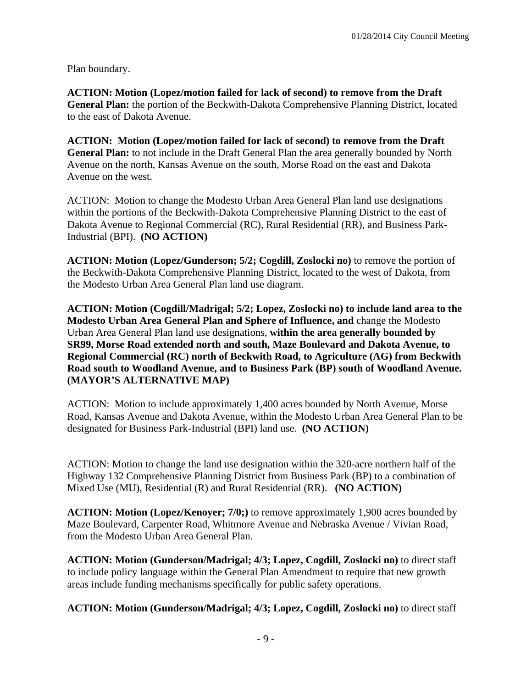Plan boundary.

**ACTION: Motion (Lopez/motion failed for lack of second) to remove from the Draft General Plan:** the portion of the Beckwith-Dakota Comprehensive Planning District, located to the east of Dakota Avenue.

**ACTION: Motion (Lopez/motion failed for lack of second) to remove from the Draft General Plan:** to not include in the Draft General Plan the area generally bounded by North Avenue on the north, Kansas Avenue on the south, Morse Road on the east and Dakota Avenue on the west.

ACTION: Motion to change the Modesto Urban Area General Plan land use designations within the portions of the Beckwith-Dakota Comprehensive Planning District to the east of Dakota Avenue to Regional Commercial (RC), Rural Residential (RR), and Business Park-Industrial (BPI). **(NO ACTION)**

**ACTION: Motion (Lopez/Gunderson; 5/2; Cogdill, Zoslocki no)** to remove the portion of the Beckwith-Dakota Comprehensive Planning District, located to the west of Dakota, from the Modesto Urban Area General Plan land use diagram.

**ACTION: Motion (Cogdill/Madrigal; 5/2; Lopez, Zoslocki no) to include land area to the Modesto Urban Area General Plan and Sphere of Influence, and** change the Modesto Urban Area General Plan land use designations, **within the area generally bounded by SR99, Morse Road extended north and south, Maze Boulevard and Dakota Avenue, to Regional Commercial (RC) north of Beckwith Road, to Agriculture (AG) from Beckwith Road south to Woodland Avenue, and to Business Park (BP) south of Woodland Avenue. (MAYOR'S ALTERNATIVE MAP)** 

ACTION: Motion to include approximately 1,400 acres bounded by North Avenue, Morse Road, Kansas Avenue and Dakota Avenue, within the Modesto Urban Area General Plan to be designated for Business Park-Industrial (BPI) land use. **(NO ACTION)**

ACTION: Motion to change the land use designation within the 320-acre northern half of the Highway 132 Comprehensive Planning District from Business Park (BP) to a combination of Mixed Use (MU), Residential (R) and Rural Residential (RR). **(NO ACTION)**

**ACTION: Motion (Lopez/Kenoyer; 7/0;)** to remove approximately 1,900 acres bounded by Maze Boulevard, Carpenter Road, Whitmore Avenue and Nebraska Avenue / Vivian Road, from the Modesto Urban Area General Plan.

**ACTION: Motion (Gunderson/Madrigal; 4/3; Lopez, Cogdill, Zoslocki no)** to direct staff to include policy language within the General Plan Amendment to require that new growth areas include funding mechanisms specifically for public safety operations.

**ACTION: Motion (Gunderson/Madrigal; 4/3; Lopez, Cogdill, Zoslocki no)** to direct staff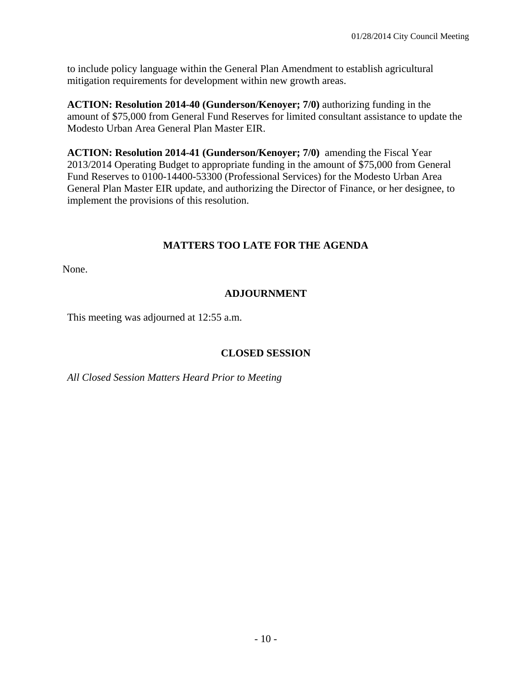to include policy language within the General Plan Amendment to establish agricultural mitigation requirements for development within new growth areas.

**ACTION: Resolution 2014-40 (Gunderson/Kenoyer; 7/0)** authorizing funding in the amount of \$75,000 from General Fund Reserves for limited consultant assistance to update the Modesto Urban Area General Plan Master EIR.

**ACTION: Resolution 2014-41 (Gunderson/Kenoyer; 7/0)** amending the Fiscal Year 2013/2014 Operating Budget to appropriate funding in the amount of \$75,000 from General Fund Reserves to 0100-14400-53300 (Professional Services) for the Modesto Urban Area General Plan Master EIR update, and authorizing the Director of Finance, or her designee, to implement the provisions of this resolution.

# **MATTERS TOO LATE FOR THE AGENDA**

None.

# **ADJOURNMENT**

This meeting was adjourned at 12:55 a.m.

# **CLOSED SESSION**

*All Closed Session Matters Heard Prior to Meeting*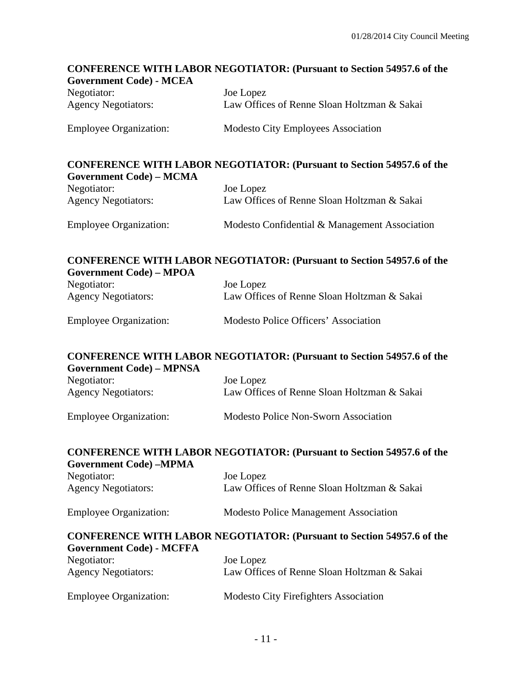# **CONFERENCE WITH LABOR NEGOTIATOR: (Pursuant to Section 54957.6 of the Government Code) - MCEA**  Negotiator: Joe Lopez Agency Negotiators: Law Offices of Renne Sloan Holtzman & Sakai Employee Organization: Modesto City Employees Association **CONFERENCE WITH LABOR NEGOTIATOR: (Pursuant to Section 54957.6 of the Government Code) – MCMA**  Negotiator: Joe Lopez Agency Negotiators: Law Offices of Renne Sloan Holtzman & Sakai Employee Organization: Modesto Confidential & Management Association **CONFERENCE WITH LABOR NEGOTIATOR: (Pursuant to Section 54957.6 of the Government Code) – MPOA**  Negotiator: Joe Lopez Agency Negotiators: Law Offices of Renne Sloan Holtzman & Sakai Employee Organization: Modesto Police Officers' Association **CONFERENCE WITH LABOR NEGOTIATOR: (Pursuant to Section 54957.6 of the Government Code) – MPNSA**  Negotiator: Joe Lopez Agency Negotiators: Law Offices of Renne Sloan Holtzman & Sakai Employee Organization: Modesto Police Non-Sworn Association **CONFERENCE WITH LABOR NEGOTIATOR: (Pursuant to Section 54957.6 of the Government Code) –MPMA**  Negotiator: Joe Lopez Agency Negotiators: Law Offices of Renne Sloan Holtzman & Sakai Employee Organization: Modesto Police Management Association **CONFERENCE WITH LABOR NEGOTIATOR: (Pursuant to Section 54957.6 of the Government Code) - MCFFA**  Negotiator: Joe Lopez Agency Negotiators: Law Offices of Renne Sloan Holtzman & Sakai Employee Organization: Modesto City Firefighters Association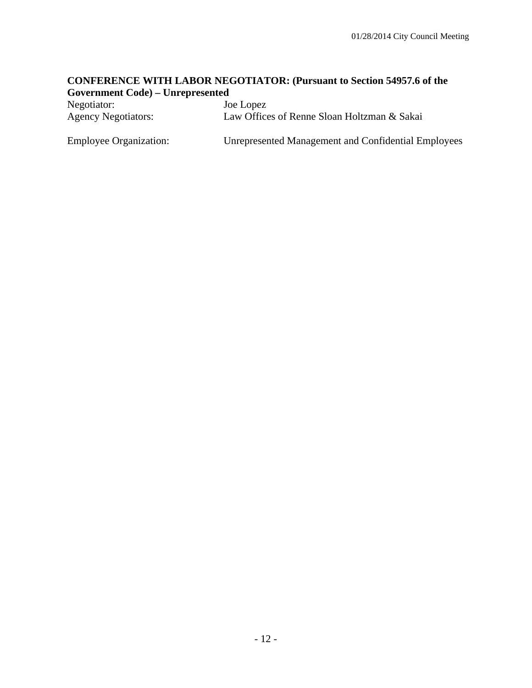### **CONFERENCE WITH LABOR NEGOTIATOR: (Pursuant to Section 54957.6 of the Government Code) – Unrepresented**

| Negotiator:                   | Joe Lopez                                           |
|-------------------------------|-----------------------------------------------------|
| <b>Agency Negotiators:</b>    | Law Offices of Renne Sloan Holtzman & Sakai         |
| <b>Employee Organization:</b> | Unrepresented Management and Confidential Employees |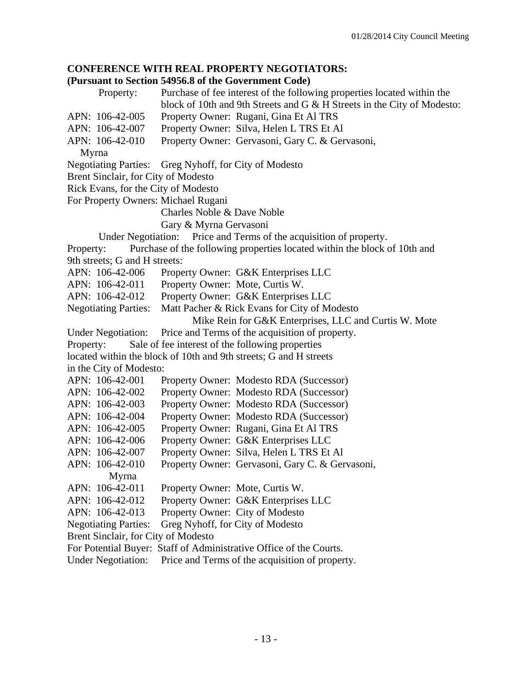# **CONFERENCE WITH REAL PROPERTY NEGOTIATORS:**

# **(Pursuant to Section 54956.8 of the Government Code)**

|           |                                     | to bechon e is colo of the Government Couc                                                                                                         |
|-----------|-------------------------------------|----------------------------------------------------------------------------------------------------------------------------------------------------|
|           | Property:                           | Purchase of fee interest of the following properties located within the<br>block of 10th and 9th Streets and G & H Streets in the City of Modesto: |
|           | APN: 106-42-005                     | Property Owner: Rugani, Gina Et Al TRS                                                                                                             |
|           | APN: 106-42-007                     | Property Owner: Silva, Helen L TRS Et Al                                                                                                           |
|           | APN: 106-42-010                     | Property Owner: Gervasoni, Gary C. & Gervasoni,                                                                                                    |
|           | Myrna                               |                                                                                                                                                    |
|           |                                     | Negotiating Parties: Greg Nyhoff, for City of Modesto                                                                                              |
|           | Brent Sinclair, for City of Modesto |                                                                                                                                                    |
|           | Rick Evans, for the City of Modesto |                                                                                                                                                    |
|           |                                     | For Property Owners: Michael Rugani                                                                                                                |
|           |                                     | Charles Noble & Dave Noble                                                                                                                         |
|           |                                     | Gary & Myrna Gervasoni                                                                                                                             |
|           |                                     | Under Negotiation: Price and Terms of the acquisition of property.                                                                                 |
| Property: |                                     | Purchase of the following properties located within the block of 10th and                                                                          |
|           | 9th streets; G and H streets:       |                                                                                                                                                    |
|           | APN: 106-42-006                     | Property Owner: G&K Enterprises LLC                                                                                                                |
|           | APN: 106-42-011                     | Property Owner: Mote, Curtis W.                                                                                                                    |
|           | APN: 106-42-012                     | Property Owner: G&K Enterprises LLC                                                                                                                |
|           | <b>Negotiating Parties:</b>         | Matt Pacher & Rick Evans for City of Modesto                                                                                                       |
|           |                                     | Mike Rein for G&K Enterprises, LLC and Curtis W. Mote                                                                                              |
|           |                                     | Under Negotiation: Price and Terms of the acquisition of property.                                                                                 |
| Property: |                                     | Sale of fee interest of the following properties                                                                                                   |
|           |                                     | located within the block of 10th and 9th streets; G and H streets                                                                                  |
|           | in the City of Modesto:             |                                                                                                                                                    |
|           | APN: 106-42-001                     | Property Owner: Modesto RDA (Successor)                                                                                                            |
|           | APN: 106-42-002                     | Property Owner: Modesto RDA (Successor)                                                                                                            |
|           | APN: 106-42-003                     | Property Owner: Modesto RDA (Successor)                                                                                                            |
|           | APN: 106-42-004                     | Property Owner: Modesto RDA (Successor)                                                                                                            |
|           | APN: 106-42-005                     | Property Owner: Rugani, Gina Et Al TRS                                                                                                             |
|           | APN: 106-42-006                     | Property Owner: G&K Enterprises LLC                                                                                                                |
|           | APN: 106-42-007                     | Property Owner: Silva, Helen L TRS Et Al                                                                                                           |
|           | APN: 106-42-010                     | Property Owner: Gervasoni, Gary C. & Gervasoni,                                                                                                    |
|           | Myrna                               |                                                                                                                                                    |
|           | APN: 106-42-011                     | Property Owner: Mote, Curtis W.                                                                                                                    |
|           | APN: 106-42-012                     | Property Owner: G&K Enterprises LLC                                                                                                                |
|           | APN: 106-42-013                     | Property Owner: City of Modesto                                                                                                                    |
|           | <b>Negotiating Parties:</b>         | Greg Nyhoff, for City of Modesto                                                                                                                   |
|           | Brent Sinclair, for City of Modesto |                                                                                                                                                    |
|           |                                     | For Potential Buyer: Staff of Administrative Office of the Courts.                                                                                 |

Under Negotiation: Price and Terms of the acquisition of property.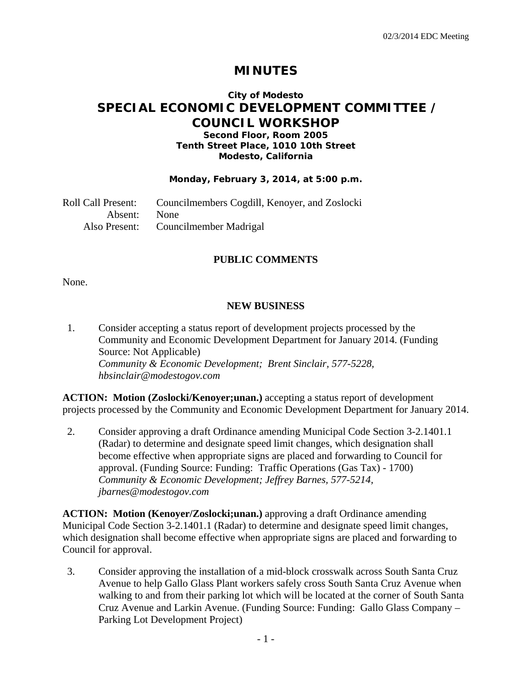# **MINUTES**

# **City of Modesto SPECIAL ECONOMIC DEVELOPMENT COMMITTEE / COUNCIL WORKSHOP**

### **Second Floor, Room 2005 Tenth Street Place, 1010 10th Street Modesto, California**

### **Monday, February 3, 2014, at 5:00 p.m.**

Roll Call Present: Councilmembers Cogdill, Kenoyer, and Zoslocki Absent: None Also Present: Councilmember Madrigal

### **PUBLIC COMMENTS**

None.

### **NEW BUSINESS**

1. Consider accepting a status report of development projects processed by the Community and Economic Development Department for January 2014. (Funding Source: Not Applicable)  *Community & Economic Development; Brent Sinclair, 577-5228, hbsinclair@modestogov.com* 

**ACTION: Motion (Zoslocki/Kenoyer;unan.)** accepting a status report of development projects processed by the Community and Economic Development Department for January 2014.

2. Consider approving a draft Ordinance amending Municipal Code Section 3-2.1401.1 (Radar) to determine and designate speed limit changes, which designation shall become effective when appropriate signs are placed and forwarding to Council for approval. (Funding Source: Funding: Traffic Operations (Gas Tax) - 1700)  *Community & Economic Development; Jeffrey Barnes, 577-5214, jbarnes@modestogov.com* 

**ACTION: Motion (Kenoyer/Zoslocki;unan.)** approving a draft Ordinance amending Municipal Code Section 3-2.1401.1 (Radar) to determine and designate speed limit changes, which designation shall become effective when appropriate signs are placed and forwarding to Council for approval.

3. Consider approving the installation of a mid-block crosswalk across South Santa Cruz Avenue to help Gallo Glass Plant workers safely cross South Santa Cruz Avenue when walking to and from their parking lot which will be located at the corner of South Santa Cruz Avenue and Larkin Avenue. (Funding Source: Funding: Gallo Glass Company – Parking Lot Development Project)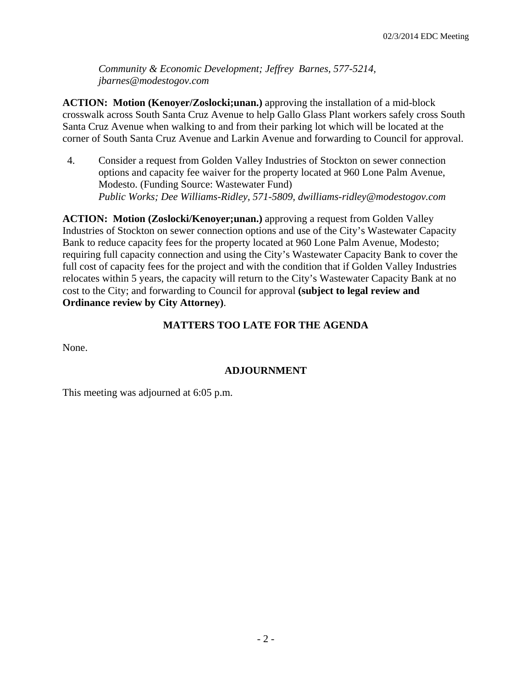*Community & Economic Development; Jeffrey Barnes, 577-5214, jbarnes@modestogov.com* 

**ACTION: Motion (Kenoyer/Zoslocki;unan.)** approving the installation of a mid-block crosswalk across South Santa Cruz Avenue to help Gallo Glass Plant workers safely cross South Santa Cruz Avenue when walking to and from their parking lot which will be located at the corner of South Santa Cruz Avenue and Larkin Avenue and forwarding to Council for approval.

4. Consider a request from Golden Valley Industries of Stockton on sewer connection options and capacity fee waiver for the property located at 960 Lone Palm Avenue, Modesto. (Funding Source: Wastewater Fund)  *Public Works; Dee Williams-Ridley, 571-5809, dwilliams-ridley@modestogov.com* 

**ACTION: Motion (Zoslocki/Kenoyer;unan.)** approving a request from Golden Valley Industries of Stockton on sewer connection options and use of the City's Wastewater Capacity Bank to reduce capacity fees for the property located at 960 Lone Palm Avenue, Modesto; requiring full capacity connection and using the City's Wastewater Capacity Bank to cover the full cost of capacity fees for the project and with the condition that if Golden Valley Industries relocates within 5 years, the capacity will return to the City's Wastewater Capacity Bank at no cost to the City; and forwarding to Council for approval **(subject to legal review and Ordinance review by City Attorney)**.

### **MATTERS TOO LATE FOR THE AGENDA**

None.

### **ADJOURNMENT**

This meeting was adjourned at 6:05 p.m.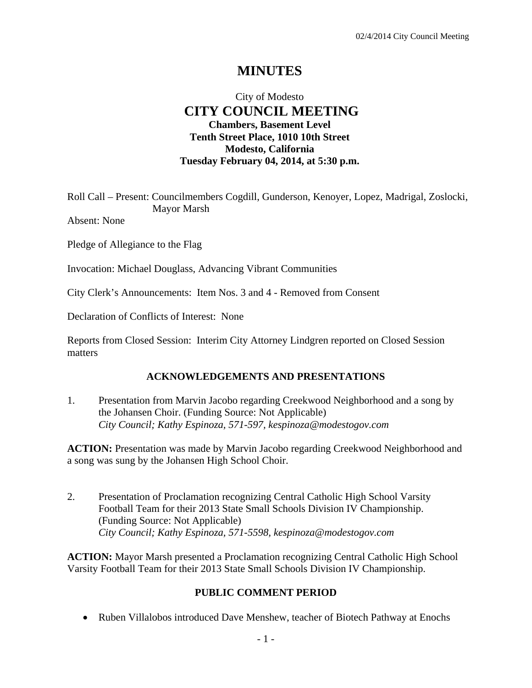# **MINUTES**

# City of Modesto  **CITY COUNCIL MEETING Chambers, Basement Level Tenth Street Place, 1010 10th Street Modesto, California Tuesday February 04, 2014, at 5:30 p.m.**

Roll Call – Present: Councilmembers Cogdill, Gunderson, Kenoyer, Lopez, Madrigal, Zoslocki, Mayor Marsh

Absent: None

Pledge of Allegiance to the Flag

Invocation: Michael Douglass, Advancing Vibrant Communities

City Clerk's Announcements: Item Nos. 3 and 4 - Removed from Consent

Declaration of Conflicts of Interest: None

Reports from Closed Session: Interim City Attorney Lindgren reported on Closed Session matters

### **ACKNOWLEDGEMENTS AND PRESENTATIONS**

1. Presentation from Marvin Jacobo regarding Creekwood Neighborhood and a song by the Johansen Choir. (Funding Source: Not Applicable)  *City Council; Kathy Espinoza, 571-597, kespinoza@modestogov.com* 

**ACTION:** Presentation was made by Marvin Jacobo regarding Creekwood Neighborhood and a song was sung by the Johansen High School Choir.

2. Presentation of Proclamation recognizing Central Catholic High School Varsity Football Team for their 2013 State Small Schools Division IV Championship. (Funding Source: Not Applicable)  *City Council; Kathy Espinoza, 571-5598, kespinoza@modestogov.com* 

**ACTION:** Mayor Marsh presented a Proclamation recognizing Central Catholic High School Varsity Football Team for their 2013 State Small Schools Division IV Championship.

### **PUBLIC COMMENT PERIOD**

• Ruben Villalobos introduced Dave Menshew, teacher of Biotech Pathway at Enochs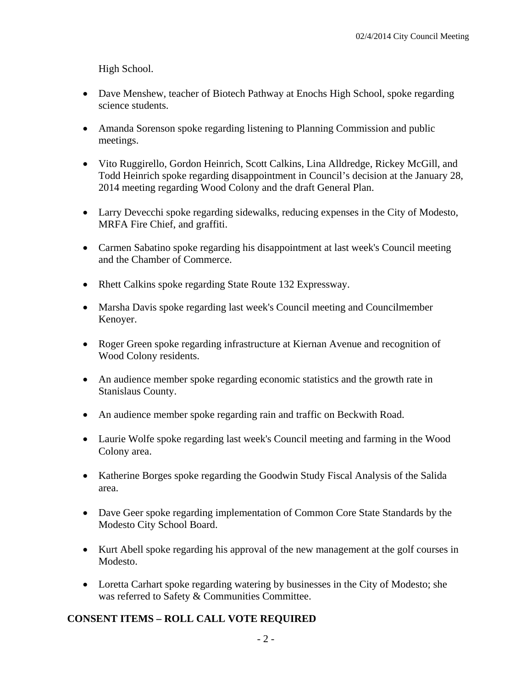High School.

- Dave Menshew, teacher of Biotech Pathway at Enochs High School, spoke regarding science students.
- Amanda Sorenson spoke regarding listening to Planning Commission and public meetings.
- Vito Ruggirello, Gordon Heinrich, Scott Calkins, Lina Alldredge, Rickey McGill, and Todd Heinrich spoke regarding disappointment in Council's decision at the January 28, 2014 meeting regarding Wood Colony and the draft General Plan.
- Larry Devecchi spoke regarding sidewalks, reducing expenses in the City of Modesto, MRFA Fire Chief, and graffiti.
- Carmen Sabatino spoke regarding his disappointment at last week's Council meeting and the Chamber of Commerce.
- Rhett Calkins spoke regarding State Route 132 Expressway.
- Marsha Davis spoke regarding last week's Council meeting and Councilmember Kenoyer.
- Roger Green spoke regarding infrastructure at Kiernan Avenue and recognition of Wood Colony residents.
- An audience member spoke regarding economic statistics and the growth rate in Stanislaus County.
- An audience member spoke regarding rain and traffic on Beckwith Road.
- Laurie Wolfe spoke regarding last week's Council meeting and farming in the Wood Colony area.
- Katherine Borges spoke regarding the Goodwin Study Fiscal Analysis of the Salida area.
- Dave Geer spoke regarding implementation of Common Core State Standards by the Modesto City School Board.
- Kurt Abell spoke regarding his approval of the new management at the golf courses in Modesto.
- Loretta Carhart spoke regarding watering by businesses in the City of Modesto; she was referred to Safety & Communities Committee.

# **CONSENT ITEMS – ROLL CALL VOTE REQUIRED**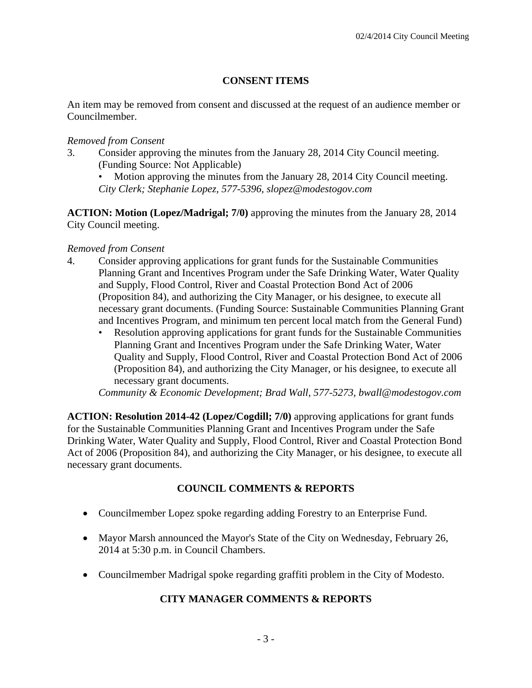# **CONSENT ITEMS**

An item may be removed from consent and discussed at the request of an audience member or Councilmember.

### *Removed from Consent*

3. Consider approving the minutes from the January 28, 2014 City Council meeting. (Funding Source: Not Applicable)

Motion approving the minutes from the January 28, 2014 City Council meeting. *City Clerk; Stephanie Lopez, 577-5396, slopez@modestogov.com* 

**ACTION: Motion (Lopez/Madrigal; 7/0)** approving the minutes from the January 28, 2014 City Council meeting.

### *Removed from Consent*

- 4. Consider approving applications for grant funds for the Sustainable Communities Planning Grant and Incentives Program under the Safe Drinking Water, Water Quality and Supply, Flood Control, River and Coastal Protection Bond Act of 2006 (Proposition 84), and authorizing the City Manager, or his designee, to execute all necessary grant documents. (Funding Source: Sustainable Communities Planning Grant and Incentives Program, and minimum ten percent local match from the General Fund)
	- Resolution approving applications for grant funds for the Sustainable Communities Planning Grant and Incentives Program under the Safe Drinking Water, Water Quality and Supply, Flood Control, River and Coastal Protection Bond Act of 2006 (Proposition 84), and authorizing the City Manager, or his designee, to execute all necessary grant documents.

*Community & Economic Development; Brad Wall, 577-5273, bwall@modestogov.com* 

**ACTION: Resolution 2014-42 (Lopez/Cogdill; 7/0)** approving applications for grant funds for the Sustainable Communities Planning Grant and Incentives Program under the Safe Drinking Water, Water Quality and Supply, Flood Control, River and Coastal Protection Bond Act of 2006 (Proposition 84), and authorizing the City Manager, or his designee, to execute all necessary grant documents.

# **COUNCIL COMMENTS & REPORTS**

- Councilmember Lopez spoke regarding adding Forestry to an Enterprise Fund.
- Mayor Marsh announced the Mayor's State of the City on Wednesday, February 26, 2014 at 5:30 p.m. in Council Chambers.
- Councilmember Madrigal spoke regarding graffiti problem in the City of Modesto.

# **CITY MANAGER COMMENTS & REPORTS**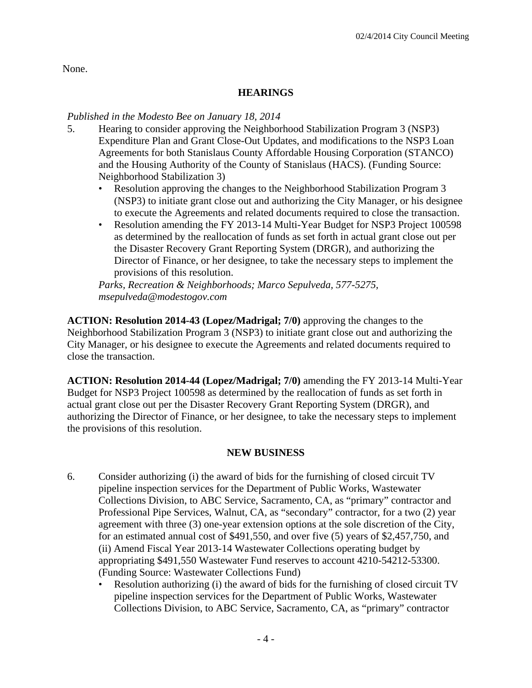None.

# **HEARINGS**

# *Published in the Modesto Bee on January 18, 2014*

- 5. Hearing to consider approving the Neighborhood Stabilization Program 3 (NSP3) Expenditure Plan and Grant Close-Out Updates, and modifications to the NSP3 Loan Agreements for both Stanislaus County Affordable Housing Corporation (STANCO) and the Housing Authority of the County of Stanislaus (HACS). (Funding Source: Neighborhood Stabilization 3)
	- Resolution approving the changes to the Neighborhood Stabilization Program 3 (NSP3) to initiate grant close out and authorizing the City Manager, or his designee to execute the Agreements and related documents required to close the transaction.
	- Resolution amending the FY 2013-14 Multi-Year Budget for NSP3 Project 100598 as determined by the reallocation of funds as set forth in actual grant close out per the Disaster Recovery Grant Reporting System (DRGR), and authorizing the Director of Finance, or her designee, to take the necessary steps to implement the provisions of this resolution.

*Parks, Recreation & Neighborhoods; Marco Sepulveda, 577-5275, msepulveda@modestogov.com* 

**ACTION: Resolution 2014-43 (Lopez/Madrigal; 7/0)** approving the changes to the Neighborhood Stabilization Program 3 (NSP3) to initiate grant close out and authorizing the City Manager, or his designee to execute the Agreements and related documents required to close the transaction.

**ACTION: Resolution 2014-44 (Lopez/Madrigal; 7/0)** amending the FY 2013-14 Multi-Year Budget for NSP3 Project 100598 as determined by the reallocation of funds as set forth in actual grant close out per the Disaster Recovery Grant Reporting System (DRGR), and authorizing the Director of Finance, or her designee, to take the necessary steps to implement the provisions of this resolution.

### **NEW BUSINESS**

- 6. Consider authorizing (i) the award of bids for the furnishing of closed circuit TV pipeline inspection services for the Department of Public Works, Wastewater Collections Division, to ABC Service, Sacramento, CA, as "primary" contractor and Professional Pipe Services, Walnut, CA, as "secondary" contractor, for a two (2) year agreement with three (3) one-year extension options at the sole discretion of the City, for an estimated annual cost of \$491,550, and over five (5) years of \$2,457,750, and (ii) Amend Fiscal Year 2013-14 Wastewater Collections operating budget by appropriating \$491,550 Wastewater Fund reserves to account 4210-54212-53300. (Funding Source: Wastewater Collections Fund)
	- Resolution authorizing (i) the award of bids for the furnishing of closed circuit TV pipeline inspection services for the Department of Public Works, Wastewater Collections Division, to ABC Service, Sacramento, CA, as "primary" contractor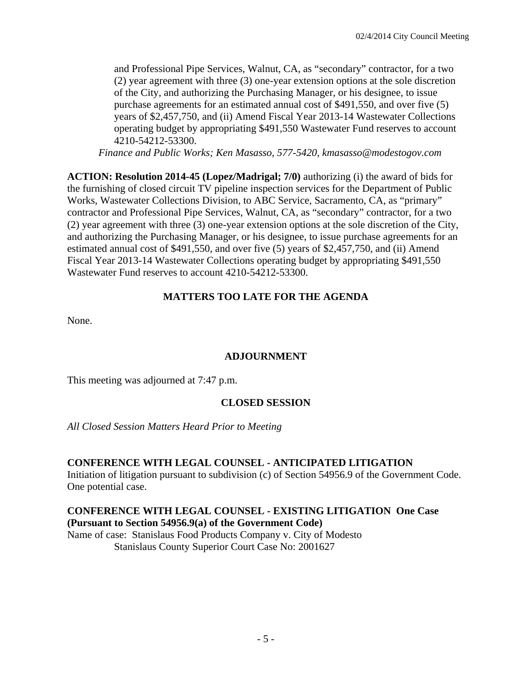and Professional Pipe Services, Walnut, CA, as "secondary" contractor, for a two (2) year agreement with three (3) one-year extension options at the sole discretion of the City, and authorizing the Purchasing Manager, or his designee, to issue purchase agreements for an estimated annual cost of \$491,550, and over five (5) years of \$2,457,750, and (ii) Amend Fiscal Year 2013-14 Wastewater Collections operating budget by appropriating \$491,550 Wastewater Fund reserves to account 4210-54212-53300.

*Finance and Public Works; Ken Masasso, 577-5420, kmasasso@modestogov.com* 

**ACTION: Resolution 2014-45 (Lopez/Madrigal; 7/0)** authorizing (i) the award of bids for the furnishing of closed circuit TV pipeline inspection services for the Department of Public Works, Wastewater Collections Division, to ABC Service, Sacramento, CA, as "primary" contractor and Professional Pipe Services, Walnut, CA, as "secondary" contractor, for a two (2) year agreement with three (3) one-year extension options at the sole discretion of the City, and authorizing the Purchasing Manager, or his designee, to issue purchase agreements for an estimated annual cost of \$491,550, and over five (5) years of \$2,457,750, and (ii) Amend Fiscal Year 2013-14 Wastewater Collections operating budget by appropriating \$491,550 Wastewater Fund reserves to account 4210-54212-53300.

# **MATTERS TOO LATE FOR THE AGENDA**

None.

### **ADJOURNMENT**

This meeting was adjourned at 7:47 p.m.

### **CLOSED SESSION**

### *All Closed Session Matters Heard Prior to Meeting*

### **CONFERENCE WITH LEGAL COUNSEL - ANTICIPATED LITIGATION**

Initiation of litigation pursuant to subdivision (c) of Section 54956.9 of the Government Code. One potential case.

#### **CONFERENCE WITH LEGAL COUNSEL - EXISTING LITIGATION One Case (Pursuant to Section 54956.9(a) of the Government Code)**

Name of case: Stanislaus Food Products Company v. City of Modesto Stanislaus County Superior Court Case No: 2001627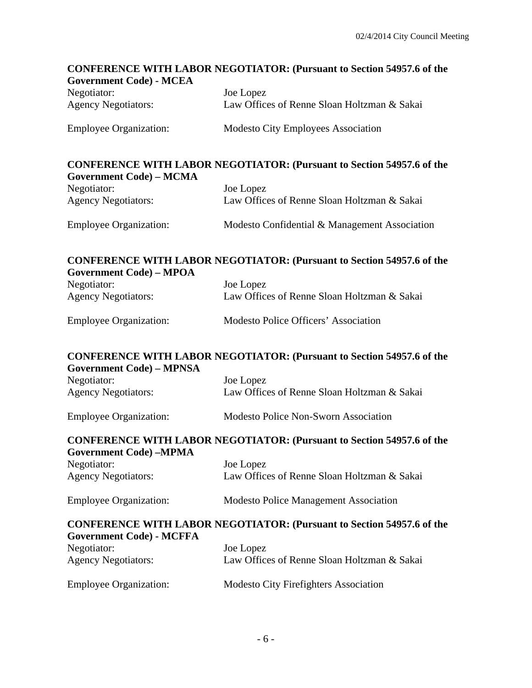# **CONFERENCE WITH LABOR NEGOTIATOR: (Pursuant to Section 54957.6 of the Government Code) - MCEA**  Negotiator: Joe Lopez Agency Negotiators: Law Offices of Renne Sloan Holtzman & Sakai Employee Organization: Modesto City Employees Association **CONFERENCE WITH LABOR NEGOTIATOR: (Pursuant to Section 54957.6 of the Government Code) – MCMA**  Negotiator: Joe Lopez Agency Negotiators: Law Offices of Renne Sloan Holtzman & Sakai Employee Organization: Modesto Confidential & Management Association **CONFERENCE WITH LABOR NEGOTIATOR: (Pursuant to Section 54957.6 of the Government Code) – MPOA**  Negotiator: Joe Lopez Agency Negotiators: Law Offices of Renne Sloan Holtzman & Sakai Employee Organization: Modesto Police Officers' Association **CONFERENCE WITH LABOR NEGOTIATOR: (Pursuant to Section 54957.6 of the Government Code) – MPNSA**  Negotiator: Joe Lopez Agency Negotiators: Law Offices of Renne Sloan Holtzman & Sakai Employee Organization: Modesto Police Non-Sworn Association **CONFERENCE WITH LABOR NEGOTIATOR: (Pursuant to Section 54957.6 of the Government Code) –MPMA**  Negotiator: Joe Lopez Agency Negotiators: Law Offices of Renne Sloan Holtzman & Sakai Employee Organization: Modesto Police Management Association **CONFERENCE WITH LABOR NEGOTIATOR: (Pursuant to Section 54957.6 of the Government Code) - MCFFA**  Negotiator: Joe Lopez Agency Negotiators: Law Offices of Renne Sloan Holtzman & Sakai Employee Organization: Modesto City Firefighters Association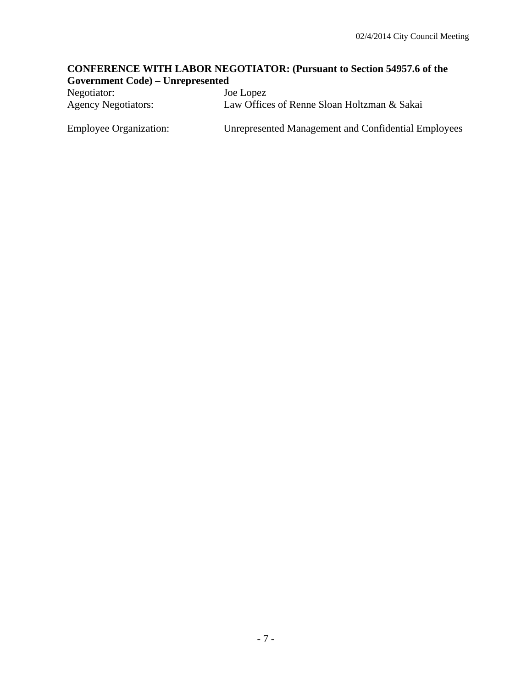# **CONFERENCE WITH LABOR NEGOTIATOR: (Pursuant to Section 54957.6 of the Government Code) – Unrepresented**

| Negotiator:                   | Joe Lopez                                           |
|-------------------------------|-----------------------------------------------------|
| <b>Agency Negotiators:</b>    | Law Offices of Renne Sloan Holtzman & Sakai         |
| <b>Employee Organization:</b> | Unrepresented Management and Confidential Employees |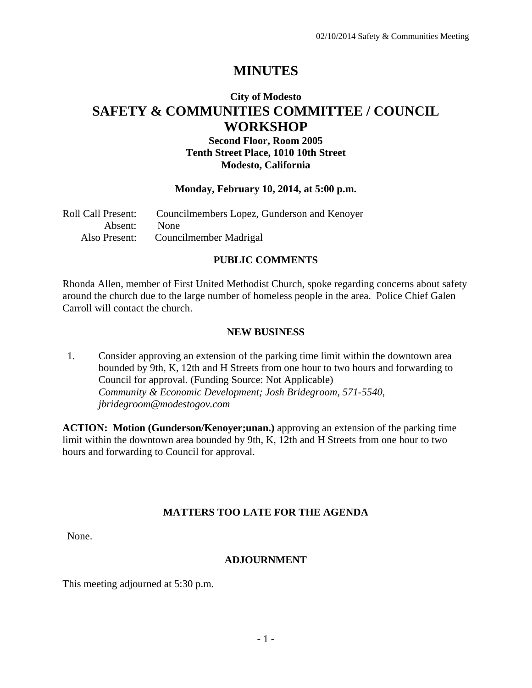# **MINUTES**

# **City of Modesto SAFETY & COMMUNITIES COMMITTEE / COUNCIL WORKSHOP**

# **Second Floor, Room 2005 Tenth Street Place, 1010 10th Street Modesto, California**

### **Monday, February 10, 2014, at 5:00 p.m.**

| Roll Call Present: | Councilmembers Lopez, Gunderson and Kenoyer |
|--------------------|---------------------------------------------|
| Absent: None       |                                             |
|                    | Also Present: Councilmember Madrigal        |

# **PUBLIC COMMENTS**

Rhonda Allen, member of First United Methodist Church, spoke regarding concerns about safety around the church due to the large number of homeless people in the area. Police Chief Galen Carroll will contact the church.

### **NEW BUSINESS**

1. Consider approving an extension of the parking time limit within the downtown area bounded by 9th, K, 12th and H Streets from one hour to two hours and forwarding to Council for approval. (Funding Source: Not Applicable)  *Community & Economic Development; Josh Bridegroom, 571-5540, jbridegroom@modestogov.com* 

**ACTION: Motion (Gunderson/Kenoyer;unan.)** approving an extension of the parking time limit within the downtown area bounded by 9th, K, 12th and H Streets from one hour to two hours and forwarding to Council for approval.

### **MATTERS TOO LATE FOR THE AGENDA**

None.

### **ADJOURNMENT**

This meeting adjourned at 5:30 p.m.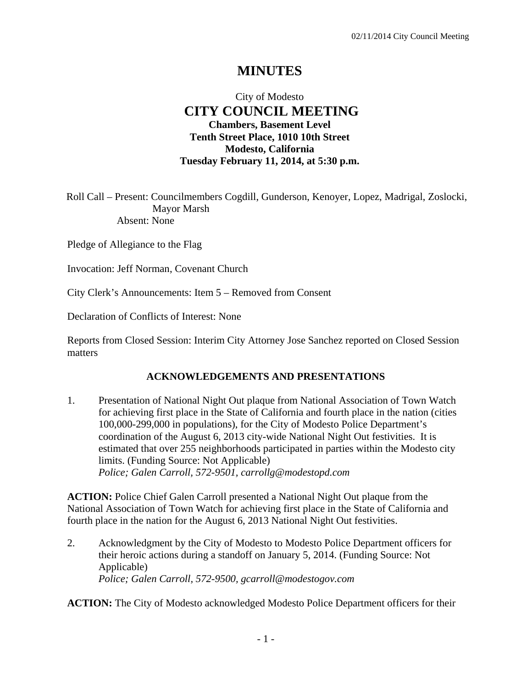# **MINUTES**

# City of Modesto  **CITY COUNCIL MEETING Chambers, Basement Level Tenth Street Place, 1010 10th Street Modesto, California Tuesday February 11, 2014, at 5:30 p.m.**

Roll Call – Present: Councilmembers Cogdill, Gunderson, Kenoyer, Lopez, Madrigal, Zoslocki, Mayor Marsh Absent: None

Pledge of Allegiance to the Flag

Invocation: Jeff Norman, Covenant Church

City Clerk's Announcements: Item 5 – Removed from Consent

Declaration of Conflicts of Interest: None

Reports from Closed Session: Interim City Attorney Jose Sanchez reported on Closed Session matters

### **ACKNOWLEDGEMENTS AND PRESENTATIONS**

1. Presentation of National Night Out plaque from National Association of Town Watch for achieving first place in the State of California and fourth place in the nation (cities 100,000-299,000 in populations), for the City of Modesto Police Department's coordination of the August 6, 2013 city-wide National Night Out festivities. It is estimated that over 255 neighborhoods participated in parties within the Modesto city limits. (Funding Source: Not Applicable)  *Police; Galen Carroll, 572-9501, carrollg@modestopd.com* 

**ACTION:** Police Chief Galen Carroll presented a National Night Out plaque from the National Association of Town Watch for achieving first place in the State of California and fourth place in the nation for the August 6, 2013 National Night Out festivities.

2. Acknowledgment by the City of Modesto to Modesto Police Department officers for their heroic actions during a standoff on January 5, 2014. (Funding Source: Not Applicable)  *Police; Galen Carroll, 572-9500, gcarroll@modestogov.com* 

**ACTION:** The City of Modesto acknowledged Modesto Police Department officers for their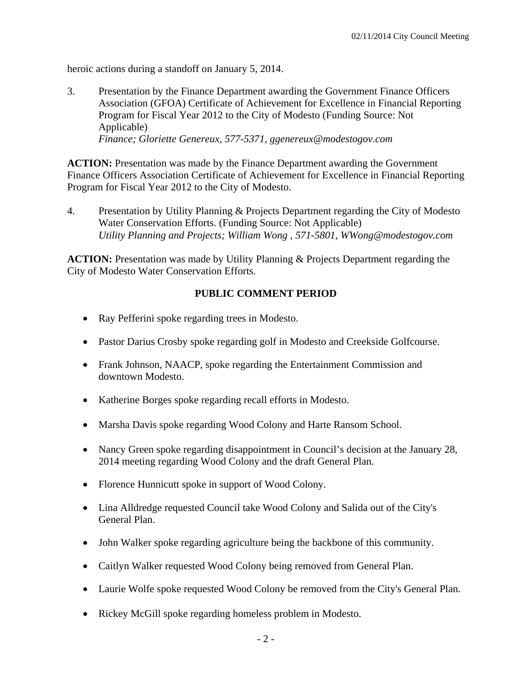heroic actions during a standoff on January 5, 2014.

3. Presentation by the Finance Department awarding the Government Finance Officers Association (GFOA) Certificate of Achievement for Excellence in Financial Reporting Program for Fiscal Year 2012 to the City of Modesto (Funding Source: Not Applicable)  *Finance; Gloriette Genereux, 577-5371, ggenereux@modestogov.com* 

**ACTION:** Presentation was made by the Finance Department awarding the Government Finance Officers Association Certificate of Achievement for Excellence in Financial Reporting Program for Fiscal Year 2012 to the City of Modesto.

4. Presentation by Utility Planning & Projects Department regarding the City of Modesto Water Conservation Efforts. (Funding Source: Not Applicable)  *Utility Planning and Projects; William Wong , 571-5801, WWong@modestogov.com* 

**ACTION:** Presentation was made by Utility Planning & Projects Department regarding the City of Modesto Water Conservation Efforts.

### **PUBLIC COMMENT PERIOD**

- Ray Pefferini spoke regarding trees in Modesto.
- Pastor Darius Crosby spoke regarding golf in Modesto and Creekside Golfcourse.
- Frank Johnson, NAACP, spoke regarding the Entertainment Commission and downtown Modesto.
- Katherine Borges spoke regarding recall efforts in Modesto.
- Marsha Davis spoke regarding Wood Colony and Harte Ransom School.
- Nancy Green spoke regarding disappointment in Council's decision at the January 28, 2014 meeting regarding Wood Colony and the draft General Plan.
- Florence Hunnicutt spoke in support of Wood Colony.
- Lina Alldredge requested Council take Wood Colony and Salida out of the City's General Plan.
- John Walker spoke regarding agriculture being the backbone of this community.
- Caitlyn Walker requested Wood Colony being removed from General Plan.
- Laurie Wolfe spoke requested Wood Colony be removed from the City's General Plan.
- Rickey McGill spoke regarding homeless problem in Modesto.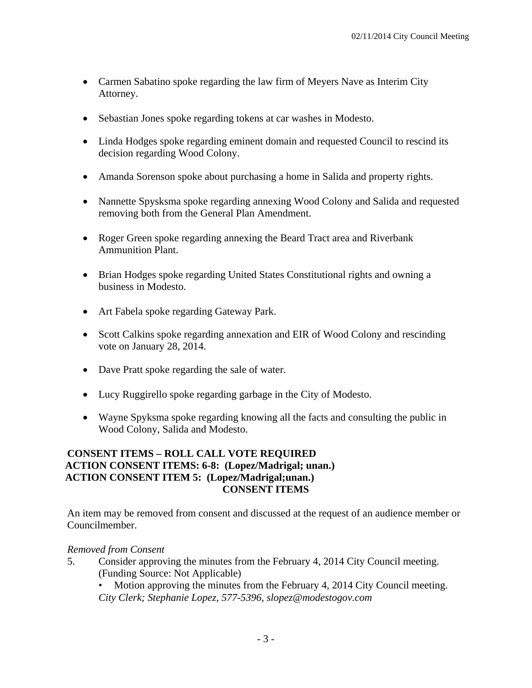- Carmen Sabatino spoke regarding the law firm of Meyers Nave as Interim City Attorney.
- Sebastian Jones spoke regarding tokens at car washes in Modesto.
- Linda Hodges spoke regarding eminent domain and requested Council to rescind its decision regarding Wood Colony.
- Amanda Sorenson spoke about purchasing a home in Salida and property rights.
- Nannette Spysksma spoke regarding annexing Wood Colony and Salida and requested removing both from the General Plan Amendment.
- Roger Green spoke regarding annexing the Beard Tract area and Riverbank Ammunition Plant.
- Brian Hodges spoke regarding United States Constitutional rights and owning a business in Modesto.
- Art Fabela spoke regarding Gateway Park.
- Scott Calkins spoke regarding annexation and EIR of Wood Colony and rescinding vote on January 28, 2014.
- Dave Pratt spoke regarding the sale of water.
- Lucy Ruggirello spoke regarding garbage in the City of Modesto.
- Wayne Spyksma spoke regarding knowing all the facts and consulting the public in Wood Colony, Salida and Modesto.

### **CONSENT ITEMS – ROLL CALL VOTE REQUIRED ACTION CONSENT ITEMS: 6-8: (Lopez/Madrigal; unan.) ACTION CONSENT ITEM 5: (Lopez/Madrigal;unan.) CONSENT ITEMS**

An item may be removed from consent and discussed at the request of an audience member or Councilmember.

### *Removed from Consent*

- 5. Consider approving the minutes from the February 4, 2014 City Council meeting. (Funding Source: Not Applicable)
	- Motion approving the minutes from the February 4, 2014 City Council meeting. *City Clerk; Stephanie Lopez, 577-5396, slopez@modestogov.com*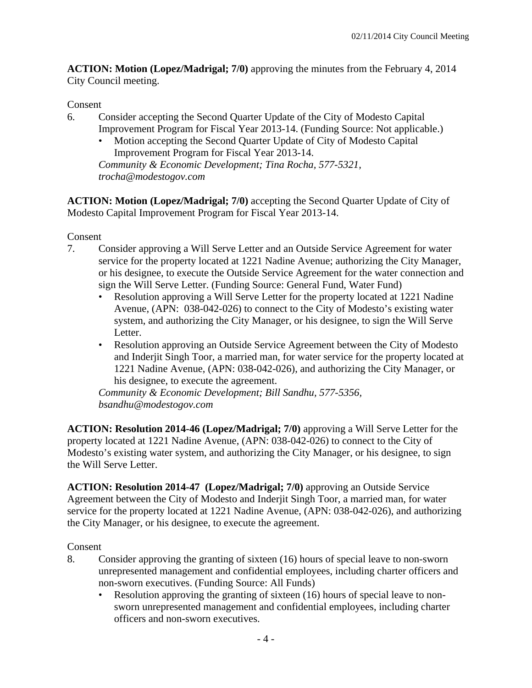**ACTION: Motion (Lopez/Madrigal; 7/0)** approving the minutes from the February 4, 2014 City Council meeting.

# Consent

- 6. Consider accepting the Second Quarter Update of the City of Modesto Capital Improvement Program for Fiscal Year 2013-14. (Funding Source: Not applicable.)
	- Motion accepting the Second Quarter Update of City of Modesto Capital Improvement Program for Fiscal Year 2013-14. *Community & Economic Development; Tina Rocha, 577-5321, trocha@modestogov.com*

**ACTION: Motion (Lopez/Madrigal; 7/0)** accepting the Second Quarter Update of City of Modesto Capital Improvement Program for Fiscal Year 2013-14.

Consent

- 7. Consider approving a Will Serve Letter and an Outside Service Agreement for water service for the property located at 1221 Nadine Avenue; authorizing the City Manager, or his designee, to execute the Outside Service Agreement for the water connection and sign the Will Serve Letter. (Funding Source: General Fund, Water Fund)
	- Resolution approving a Will Serve Letter for the property located at 1221 Nadine Avenue, (APN: 038-042-026) to connect to the City of Modesto's existing water system, and authorizing the City Manager, or his designee, to sign the Will Serve Letter.
	- Resolution approving an Outside Service Agreement between the City of Modesto and Inderjit Singh Toor, a married man, for water service for the property located at 1221 Nadine Avenue, (APN: 038-042-026), and authorizing the City Manager, or his designee, to execute the agreement.

*Community & Economic Development; Bill Sandhu, 577-5356, bsandhu@modestogov.com* 

**ACTION: Resolution 2014-46 (Lopez/Madrigal; 7/0)** approving a Will Serve Letter for the property located at 1221 Nadine Avenue, (APN: 038-042-026) to connect to the City of Modesto's existing water system, and authorizing the City Manager, or his designee, to sign the Will Serve Letter.

**ACTION: Resolution 2014-47 (Lopez/Madrigal; 7/0)** approving an Outside Service Agreement between the City of Modesto and Inderjit Singh Toor, a married man, for water service for the property located at 1221 Nadine Avenue, (APN: 038-042-026), and authorizing the City Manager, or his designee, to execute the agreement.

# Consent

- 8. Consider approving the granting of sixteen (16) hours of special leave to non-sworn unrepresented management and confidential employees, including charter officers and non-sworn executives. (Funding Source: All Funds)
	- Resolution approving the granting of sixteen (16) hours of special leave to nonsworn unrepresented management and confidential employees, including charter officers and non-sworn executives.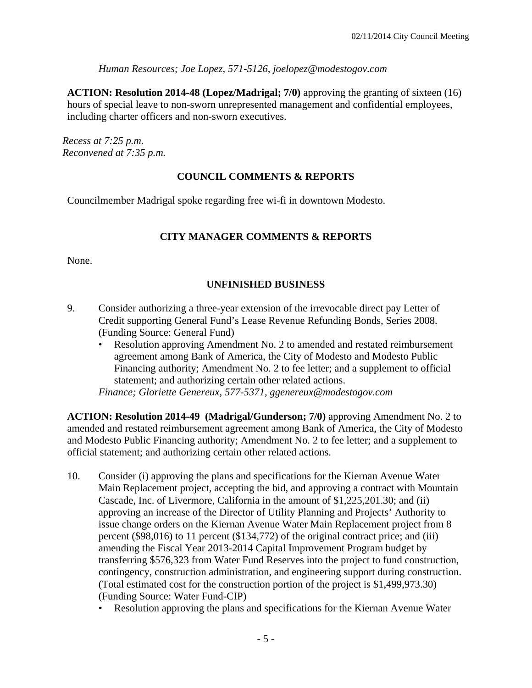*Human Resources; Joe Lopez, 571-5126, joelopez@modestogov.com* 

**ACTION: Resolution 2014-48 (Lopez/Madrigal; 7/0)** approving the granting of sixteen (16) hours of special leave to non-sworn unrepresented management and confidential employees, including charter officers and non-sworn executives.

*Recess at 7:25 p.m. Reconvened at 7:35 p.m.* 

# **COUNCIL COMMENTS & REPORTS**

Councilmember Madrigal spoke regarding free wi-fi in downtown Modesto.

# **CITY MANAGER COMMENTS & REPORTS**

None.

# **UNFINISHED BUSINESS**

- 9. Consider authorizing a three-year extension of the irrevocable direct pay Letter of Credit supporting General Fund's Lease Revenue Refunding Bonds, Series 2008. (Funding Source: General Fund)
	- Resolution approving Amendment No. 2 to amended and restated reimbursement agreement among Bank of America, the City of Modesto and Modesto Public Financing authority; Amendment No. 2 to fee letter; and a supplement to official statement; and authorizing certain other related actions.

*Finance; Gloriette Genereux, 577-5371, ggenereux@modestogov.com* 

**ACTION: Resolution 2014-49 (Madrigal/Gunderson; 7/0)** approving Amendment No. 2 to amended and restated reimbursement agreement among Bank of America, the City of Modesto and Modesto Public Financing authority; Amendment No. 2 to fee letter; and a supplement to official statement; and authorizing certain other related actions.

- 10. Consider (i) approving the plans and specifications for the Kiernan Avenue Water Main Replacement project, accepting the bid, and approving a contract with Mountain Cascade, Inc. of Livermore, California in the amount of \$1,225,201.30; and (ii) approving an increase of the Director of Utility Planning and Projects' Authority to issue change orders on the Kiernan Avenue Water Main Replacement project from 8 percent (\$98,016) to 11 percent (\$134,772) of the original contract price; and (iii) amending the Fiscal Year 2013-2014 Capital Improvement Program budget by transferring \$576,323 from Water Fund Reserves into the project to fund construction, contingency, construction administration, and engineering support during construction. (Total estimated cost for the construction portion of the project is \$1,499,973.30) (Funding Source: Water Fund-CIP)
	- Resolution approving the plans and specifications for the Kiernan Avenue Water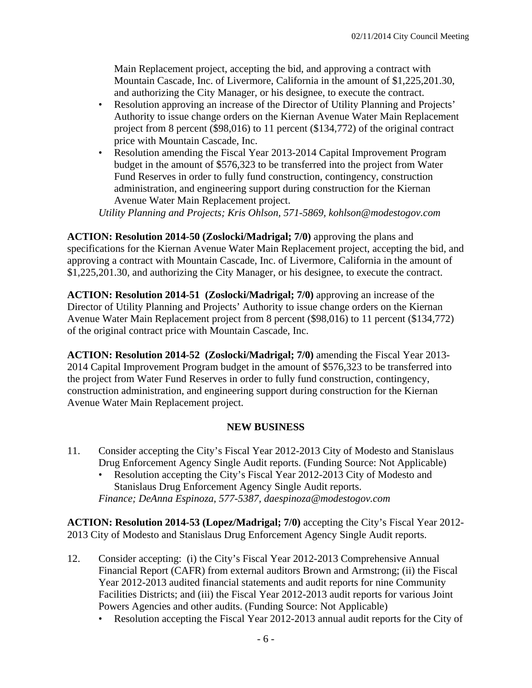Main Replacement project, accepting the bid, and approving a contract with Mountain Cascade, Inc. of Livermore, California in the amount of \$1,225,201.30, and authorizing the City Manager, or his designee, to execute the contract.

- Resolution approving an increase of the Director of Utility Planning and Projects' Authority to issue change orders on the Kiernan Avenue Water Main Replacement project from 8 percent (\$98,016) to 11 percent (\$134,772) of the original contract price with Mountain Cascade, Inc.
- Resolution amending the Fiscal Year 2013-2014 Capital Improvement Program budget in the amount of \$576,323 to be transferred into the project from Water Fund Reserves in order to fully fund construction, contingency, construction administration, and engineering support during construction for the Kiernan Avenue Water Main Replacement project.

*Utility Planning and Projects; Kris Ohlson, 571-5869, kohlson@modestogov.com* 

**ACTION: Resolution 2014-50 (Zoslocki/Madrigal; 7/0)** approving the plans and specifications for the Kiernan Avenue Water Main Replacement project, accepting the bid, and approving a contract with Mountain Cascade, Inc. of Livermore, California in the amount of \$1,225,201.30, and authorizing the City Manager, or his designee, to execute the contract.

**ACTION: Resolution 2014-51 (Zoslocki/Madrigal; 7/0)** approving an increase of the Director of Utility Planning and Projects' Authority to issue change orders on the Kiernan Avenue Water Main Replacement project from 8 percent (\$98,016) to 11 percent (\$134,772) of the original contract price with Mountain Cascade, Inc.

**ACTION: Resolution 2014-52 (Zoslocki/Madrigal; 7/0)** amending the Fiscal Year 2013- 2014 Capital Improvement Program budget in the amount of \$576,323 to be transferred into the project from Water Fund Reserves in order to fully fund construction, contingency, construction administration, and engineering support during construction for the Kiernan Avenue Water Main Replacement project.

### **NEW BUSINESS**

- 11. Consider accepting the City's Fiscal Year 2012-2013 City of Modesto and Stanislaus Drug Enforcement Agency Single Audit reports. (Funding Source: Not Applicable)
	- Resolution accepting the City's Fiscal Year 2012-2013 City of Modesto and Stanislaus Drug Enforcement Agency Single Audit reports. *Finance; DeAnna Espinoza, 577-5387, daespinoza@modestogov.com*

**ACTION: Resolution 2014-53 (Lopez/Madrigal; 7/0)** accepting the City's Fiscal Year 2012- 2013 City of Modesto and Stanislaus Drug Enforcement Agency Single Audit reports.

- 12. Consider accepting: (i) the City's Fiscal Year 2012-2013 Comprehensive Annual Financial Report (CAFR) from external auditors Brown and Armstrong; (ii) the Fiscal Year 2012-2013 audited financial statements and audit reports for nine Community Facilities Districts; and (iii) the Fiscal Year 2012-2013 audit reports for various Joint Powers Agencies and other audits. (Funding Source: Not Applicable)
	- Resolution accepting the Fiscal Year 2012-2013 annual audit reports for the City of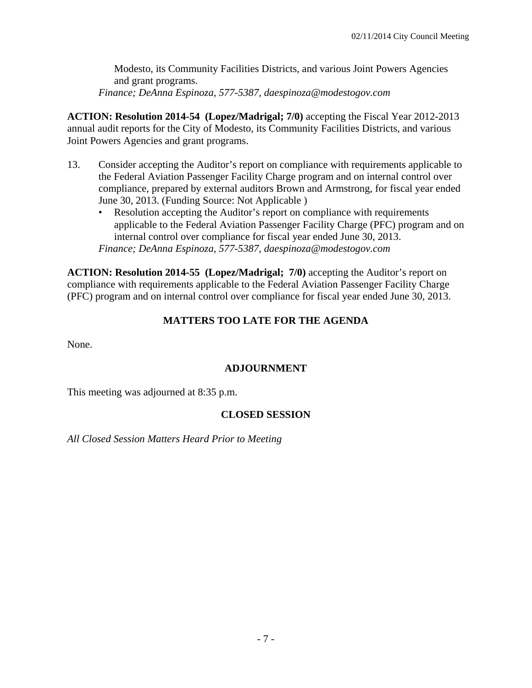Modesto, its Community Facilities Districts, and various Joint Powers Agencies and grant programs.

*Finance; DeAnna Espinoza, 577-5387, daespinoza@modestogov.com* 

**ACTION: Resolution 2014-54 (Lopez/Madrigal; 7/0)** accepting the Fiscal Year 2012-2013 annual audit reports for the City of Modesto, its Community Facilities Districts, and various Joint Powers Agencies and grant programs.

- 13. Consider accepting the Auditor's report on compliance with requirements applicable to the Federal Aviation Passenger Facility Charge program and on internal control over compliance, prepared by external auditors Brown and Armstrong, for fiscal year ended June 30, 2013. (Funding Source: Not Applicable )
	- Resolution accepting the Auditor's report on compliance with requirements applicable to the Federal Aviation Passenger Facility Charge (PFC) program and on internal control over compliance for fiscal year ended June 30, 2013. *Finance; DeAnna Espinoza, 577-5387, daespinoza@modestogov.com*

**ACTION: Resolution 2014-55 (Lopez/Madrigal; 7/0)** accepting the Auditor's report on compliance with requirements applicable to the Federal Aviation Passenger Facility Charge (PFC) program and on internal control over compliance for fiscal year ended June 30, 2013.

# **MATTERS TOO LATE FOR THE AGENDA**

None.

### **ADJOURNMENT**

This meeting was adjourned at 8:35 p.m.

### **CLOSED SESSION**

*All Closed Session Matters Heard Prior to Meeting*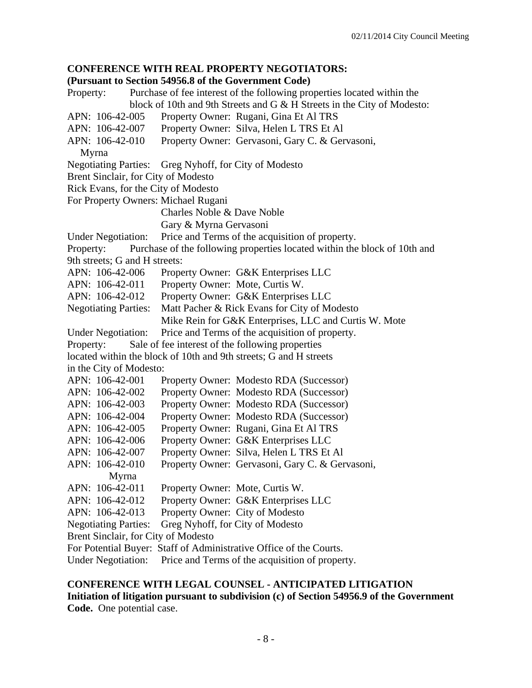### **CONFERENCE WITH REAL PROPERTY NEGOTIATORS:**

#### **(Pursuant to Section 54956.8 of the Government Code)**

Property: Purchase of fee interest of the following properties located within the block of 10th and 9th Streets and G & H Streets in the City of Modesto: APN: 106-42-005 Property Owner: Rugani, Gina Et Al TRS APN: 106-42-007 Property Owner: Silva, Helen L TRS Et Al APN: 106-42-010 Property Owner: Gervasoni, Gary C. & Gervasoni, Myrna Negotiating Parties: Greg Nyhoff, for City of Modesto Brent Sinclair, for City of Modesto Rick Evans, for the City of Modesto For Property Owners: Michael Rugani Charles Noble & Dave Noble Gary & Myrna Gervasoni Under Negotiation: Price and Terms of the acquisition of property. Property: Purchase of the following properties located within the block of 10th and 9th streets; G and H streets: APN: 106-42-006 Property Owner: G&K Enterprises LLC APN: 106-42-011 Property Owner: Mote, Curtis W. APN: 106-42-012 Property Owner: G&K Enterprises LLC Negotiating Parties: Matt Pacher & Rick Evans for City of Modesto Mike Rein for G&K Enterprises, LLC and Curtis W. Mote Under Negotiation: Price and Terms of the acquisition of property. Property: Sale of fee interest of the following properties located within the block of 10th and 9th streets; G and H streets in the City of Modesto: APN: 106-42-001 Property Owner: Modesto RDA (Successor) APN: 106-42-002 Property Owner: Modesto RDA (Successor) APN: 106-42-003 Property Owner: Modesto RDA (Successor) APN: 106-42-004 Property Owner: Modesto RDA (Successor) APN: 106-42-005 Property Owner: Rugani, Gina Et Al TRS APN: 106-42-006 Property Owner: G&K Enterprises LLC APN: 106-42-007 Property Owner: Silva, Helen L TRS Et Al APN: 106-42-010 Property Owner: Gervasoni, Gary C. & Gervasoni, Myrna APN: 106-42-011 Property Owner: Mote, Curtis W. APN: 106-42-012 Property Owner: G&K Enterprises LLC APN: 106-42-013 Property Owner: City of Modesto Negotiating Parties: Greg Nyhoff, for City of Modesto Brent Sinclair, for City of Modesto For Potential Buyer: Staff of Administrative Office of the Courts. Under Negotiation: Price and Terms of the acquisition of property.

**CONFERENCE WITH LEGAL COUNSEL - ANTICIPATED LITIGATION Initiation of litigation pursuant to subdivision (c) of Section 54956.9 of the Government Code.** One potential case.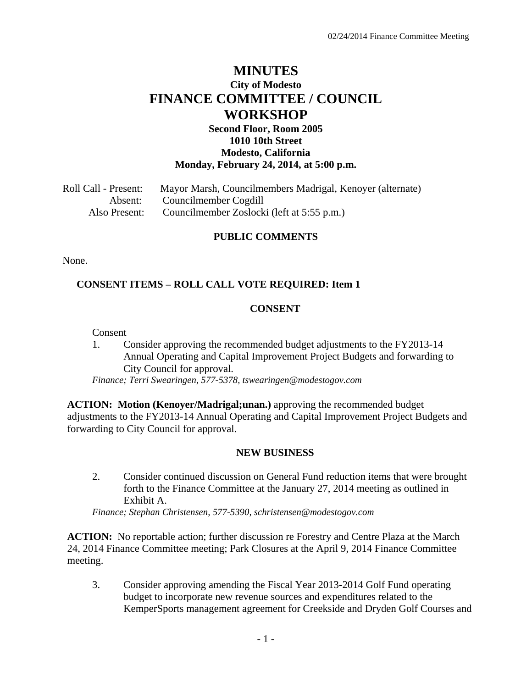# **MINUTES City of Modesto FINANCE COMMITTEE / COUNCIL WORKSHOP**

### **Second Floor, Room 2005 1010 10th Street Modesto, California Monday, February 24, 2014, at 5:00 p.m.**

Roll Call - Present: Mayor Marsh, Councilmembers Madrigal, Kenoyer (alternate) Absent: Councilmember Cogdill Also Present: Councilmember Zoslocki (left at 5:55 p.m.)

### **PUBLIC COMMENTS**

None.

### **CONSENT ITEMS – ROLL CALL VOTE REQUIRED: Item 1**

### **CONSENT**

Consent

1. Consider approving the recommended budget adjustments to the FY2013-14 Annual Operating and Capital Improvement Project Budgets and forwarding to City Council for approval.

*Finance; Terri Swearingen, 577-5378, tswearingen@modestogov.com* 

**ACTION: Motion (Kenoyer/Madrigal;unan.)** approving the recommended budget adjustments to the FY2013-14 Annual Operating and Capital Improvement Project Budgets and forwarding to City Council for approval.

### **NEW BUSINESS**

2. Consider continued discussion on General Fund reduction items that were brought forth to the Finance Committee at the January 27, 2014 meeting as outlined in Exhibit A.

*Finance; Stephan Christensen, 577-5390, schristensen@modestogov.com* 

**ACTION:** No reportable action; further discussion re Forestry and Centre Plaza at the March 24, 2014 Finance Committee meeting; Park Closures at the April 9, 2014 Finance Committee meeting.

3. Consider approving amending the Fiscal Year 2013-2014 Golf Fund operating budget to incorporate new revenue sources and expenditures related to the KemperSports management agreement for Creekside and Dryden Golf Courses and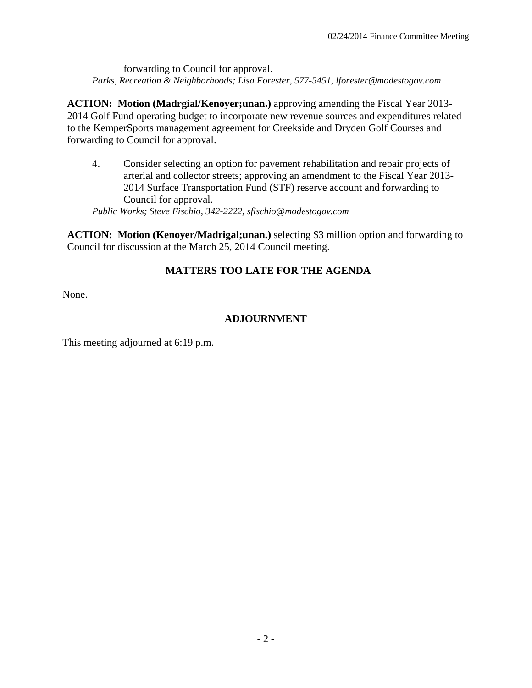forwarding to Council for approval. *Parks, Recreation & Neighborhoods; Lisa Forester, 577-5451, lforester@modestogov.com*

**ACTION: Motion (Madrgial/Kenoyer;unan.)** approving amending the Fiscal Year 2013- 2014 Golf Fund operating budget to incorporate new revenue sources and expenditures related to the KemperSports management agreement for Creekside and Dryden Golf Courses and forwarding to Council for approval.

4. Consider selecting an option for pavement rehabilitation and repair projects of arterial and collector streets; approving an amendment to the Fiscal Year 2013- 2014 Surface Transportation Fund (STF) reserve account and forwarding to Council for approval.

*Public Works; Steve Fischio, 342-2222, sfischio@modestogov.com* 

**ACTION: Motion (Kenoyer/Madrigal;unan.)** selecting \$3 million option and forwarding to Council for discussion at the March 25, 2014 Council meeting.

# **MATTERS TOO LATE FOR THE AGENDA**

None.

# **ADJOURNMENT**

This meeting adjourned at 6:19 p.m.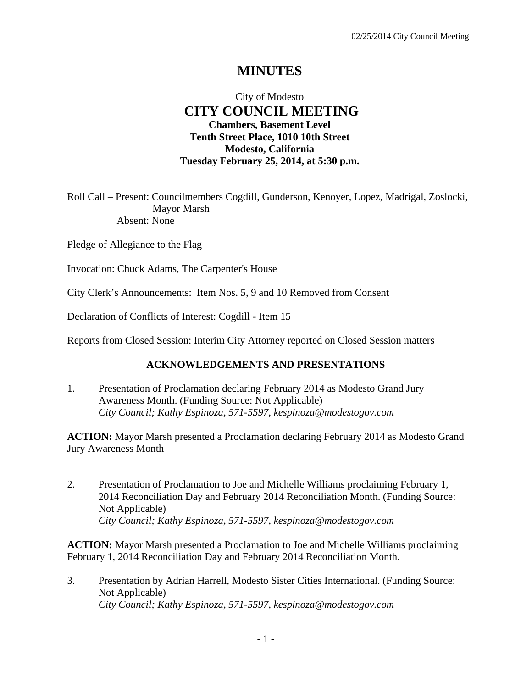# **MINUTES**

# City of Modesto  **CITY COUNCIL MEETING Chambers, Basement Level Tenth Street Place, 1010 10th Street Modesto, California Tuesday February 25, 2014, at 5:30 p.m.**

Roll Call – Present: Councilmembers Cogdill, Gunderson, Kenoyer, Lopez, Madrigal, Zoslocki, Mayor Marsh Absent: None

Pledge of Allegiance to the Flag

Invocation: Chuck Adams, The Carpenter's House

City Clerk's Announcements: Item Nos. 5, 9 and 10 Removed from Consent

Declaration of Conflicts of Interest: Cogdill - Item 15

Reports from Closed Session: Interim City Attorney reported on Closed Session matters

### **ACKNOWLEDGEMENTS AND PRESENTATIONS**

1. Presentation of Proclamation declaring February 2014 as Modesto Grand Jury Awareness Month. (Funding Source: Not Applicable)  *City Council; Kathy Espinoza, 571-5597, kespinoza@modestogov.com* 

**ACTION:** Mayor Marsh presented a Proclamation declaring February 2014 as Modesto Grand Jury Awareness Month

2. Presentation of Proclamation to Joe and Michelle Williams proclaiming February 1, 2014 Reconciliation Day and February 2014 Reconciliation Month. (Funding Source: Not Applicable)  *City Council; Kathy Espinoza, 571-5597, kespinoza@modestogov.com* 

**ACTION:** Mayor Marsh presented a Proclamation to Joe and Michelle Williams proclaiming February 1, 2014 Reconciliation Day and February 2014 Reconciliation Month.

3. Presentation by Adrian Harrell, Modesto Sister Cities International. (Funding Source: Not Applicable)  *City Council; Kathy Espinoza, 571-5597, kespinoza@modestogov.com*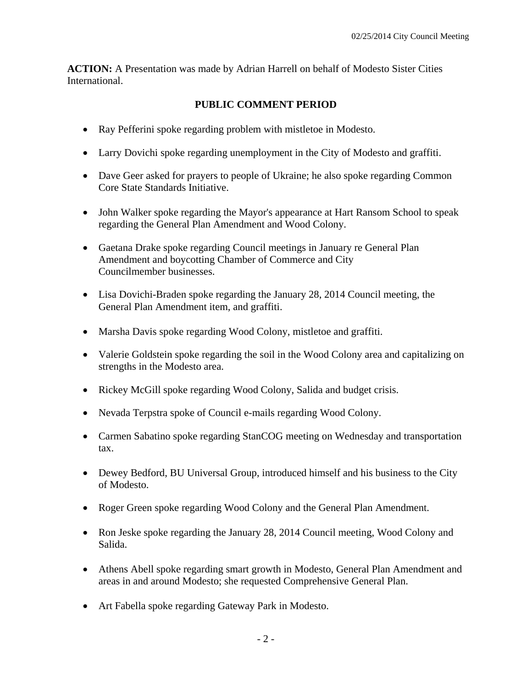**ACTION:** A Presentation was made by Adrian Harrell on behalf of Modesto Sister Cities International.

# **PUBLIC COMMENT PERIOD**

- Ray Pefferini spoke regarding problem with mistletoe in Modesto.
- Larry Dovichi spoke regarding unemployment in the City of Modesto and graffiti.
- Dave Geer asked for prayers to people of Ukraine; he also spoke regarding Common Core State Standards Initiative.
- John Walker spoke regarding the Mayor's appearance at Hart Ransom School to speak regarding the General Plan Amendment and Wood Colony.
- Gaetana Drake spoke regarding Council meetings in January re General Plan Amendment and boycotting Chamber of Commerce and City Councilmember businesses.
- Lisa Dovichi-Braden spoke regarding the January 28, 2014 Council meeting, the General Plan Amendment item, and graffiti.
- Marsha Davis spoke regarding Wood Colony, mistletoe and graffiti.
- Valerie Goldstein spoke regarding the soil in the Wood Colony area and capitalizing on strengths in the Modesto area.
- Rickey McGill spoke regarding Wood Colony, Salida and budget crisis.
- Nevada Terpstra spoke of Council e-mails regarding Wood Colony.
- Carmen Sabatino spoke regarding StanCOG meeting on Wednesday and transportation tax.
- Dewey Bedford, BU Universal Group, introduced himself and his business to the City of Modesto.
- Roger Green spoke regarding Wood Colony and the General Plan Amendment.
- Ron Jeske spoke regarding the January 28, 2014 Council meeting, Wood Colony and Salida.
- Athens Abell spoke regarding smart growth in Modesto, General Plan Amendment and areas in and around Modesto; she requested Comprehensive General Plan.
- Art Fabella spoke regarding Gateway Park in Modesto.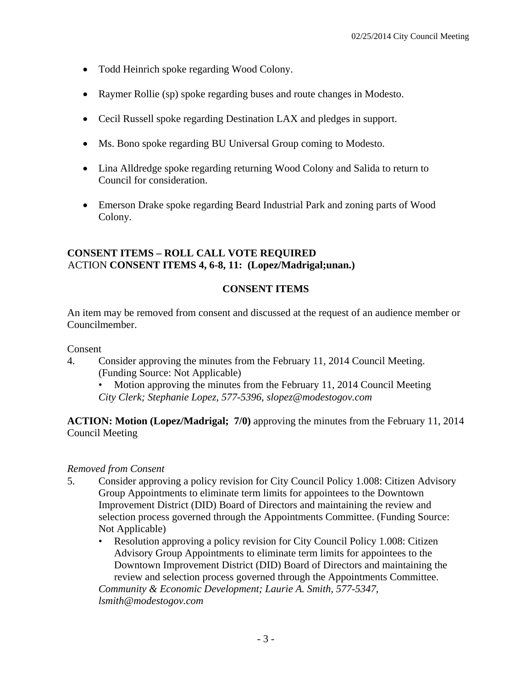- Todd Heinrich spoke regarding Wood Colony.
- Raymer Rollie (sp) spoke regarding buses and route changes in Modesto.
- Cecil Russell spoke regarding Destination LAX and pledges in support.
- Ms. Bono spoke regarding BU Universal Group coming to Modesto.
- Lina Alldredge spoke regarding returning Wood Colony and Salida to return to Council for consideration.
- Emerson Drake spoke regarding Beard Industrial Park and zoning parts of Wood Colony.

### **CONSENT ITEMS – ROLL CALL VOTE REQUIRED**  ACTION **CONSENT ITEMS 4, 6-8, 11: (Lopez/Madrigal;unan.)**

# **CONSENT ITEMS**

An item may be removed from consent and discussed at the request of an audience member or Councilmember.

### Consent

4. Consider approving the minutes from the February 11, 2014 Council Meeting. (Funding Source: Not Applicable)

• Motion approving the minutes from the February 11, 2014 Council Meeting *City Clerk; Stephanie Lopez, 577-5396, slopez@modestogov.com* 

**ACTION: Motion (Lopez/Madrigal; 7/0)** approving the minutes from the February 11, 2014 Council Meeting

### *Removed from Consent*

- 5. Consider approving a policy revision for City Council Policy 1.008: Citizen Advisory Group Appointments to eliminate term limits for appointees to the Downtown Improvement District (DID) Board of Directors and maintaining the review and selection process governed through the Appointments Committee. (Funding Source: Not Applicable)
	- Resolution approving a policy revision for City Council Policy 1.008: Citizen Advisory Group Appointments to eliminate term limits for appointees to the Downtown Improvement District (DID) Board of Directors and maintaining the review and selection process governed through the Appointments Committee. *Community & Economic Development; Laurie A. Smith, 577-5347,*

*lsmith@modestogov.com*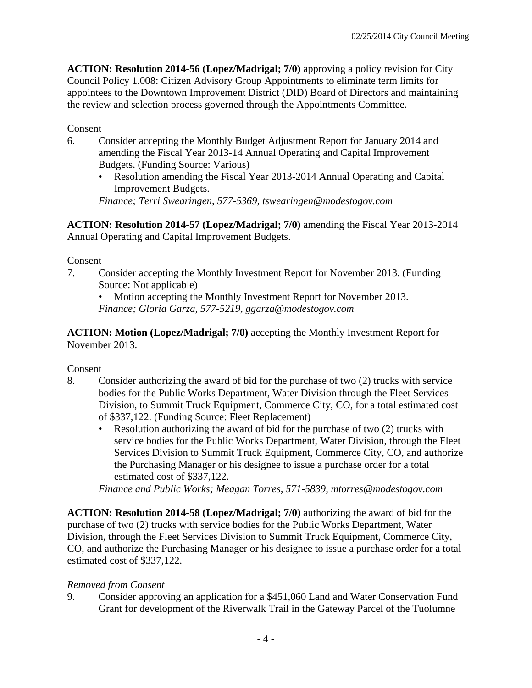**ACTION: Resolution 2014-56 (Lopez/Madrigal; 7/0)** approving a policy revision for City Council Policy 1.008: Citizen Advisory Group Appointments to eliminate term limits for appointees to the Downtown Improvement District (DID) Board of Directors and maintaining the review and selection process governed through the Appointments Committee.

Consent

- 6. Consider accepting the Monthly Budget Adjustment Report for January 2014 and amending the Fiscal Year 2013-14 Annual Operating and Capital Improvement Budgets. (Funding Source: Various)
	- Resolution amending the Fiscal Year 2013-2014 Annual Operating and Capital Improvement Budgets.

*Finance; Terri Swearingen, 577-5369, tswearingen@modestogov.com* 

**ACTION: Resolution 2014-57 (Lopez/Madrigal; 7/0)** amending the Fiscal Year 2013-2014 Annual Operating and Capital Improvement Budgets.

### Consent

7. Consider accepting the Monthly Investment Report for November 2013. (Funding Source: Not applicable)

• Motion accepting the Monthly Investment Report for November 2013. *Finance; Gloria Garza, 577-5219, ggarza@modestogov.com* 

**ACTION: Motion (Lopez/Madrigal; 7/0)** accepting the Monthly Investment Report for November 2013.

Consent

- 8. Consider authorizing the award of bid for the purchase of two (2) trucks with service bodies for the Public Works Department, Water Division through the Fleet Services Division, to Summit Truck Equipment, Commerce City, CO, for a total estimated cost of \$337,122. (Funding Source: Fleet Replacement)
	- Resolution authorizing the award of bid for the purchase of two (2) trucks with service bodies for the Public Works Department, Water Division, through the Fleet Services Division to Summit Truck Equipment, Commerce City, CO, and authorize the Purchasing Manager or his designee to issue a purchase order for a total estimated cost of \$337,122.

*Finance and Public Works; Meagan Torres, 571-5839, mtorres@modestogov.com* 

**ACTION: Resolution 2014-58 (Lopez/Madrigal; 7/0)** authorizing the award of bid for the purchase of two (2) trucks with service bodies for the Public Works Department, Water Division, through the Fleet Services Division to Summit Truck Equipment, Commerce City, CO, and authorize the Purchasing Manager or his designee to issue a purchase order for a total estimated cost of \$337,122.

### *Removed from Consent*

9. Consider approving an application for a \$451,060 Land and Water Conservation Fund Grant for development of the Riverwalk Trail in the Gateway Parcel of the Tuolumne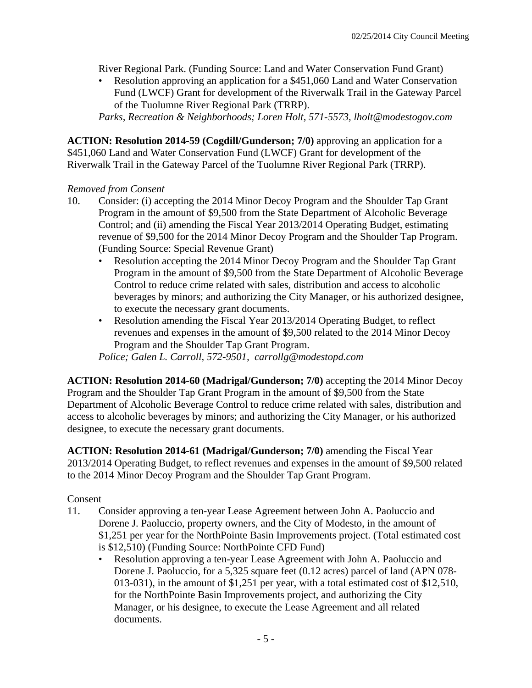River Regional Park. (Funding Source: Land and Water Conservation Fund Grant)

• Resolution approving an application for a \$451,060 Land and Water Conservation Fund (LWCF) Grant for development of the Riverwalk Trail in the Gateway Parcel of the Tuolumne River Regional Park (TRRP).

*Parks, Recreation & Neighborhoods; Loren Holt, 571-5573, lholt@modestogov.com* 

**ACTION: Resolution 2014-59 (Cogdill/Gunderson; 7/0)** approving an application for a \$451,060 Land and Water Conservation Fund (LWCF) Grant for development of the Riverwalk Trail in the Gateway Parcel of the Tuolumne River Regional Park (TRRP).

### *Removed from Consent*

- 10. Consider: (i) accepting the 2014 Minor Decoy Program and the Shoulder Tap Grant Program in the amount of \$9,500 from the State Department of Alcoholic Beverage Control; and (ii) amending the Fiscal Year 2013/2014 Operating Budget, estimating revenue of \$9,500 for the 2014 Minor Decoy Program and the Shoulder Tap Program. (Funding Source: Special Revenue Grant)
	- Resolution accepting the 2014 Minor Decoy Program and the Shoulder Tap Grant Program in the amount of \$9,500 from the State Department of Alcoholic Beverage Control to reduce crime related with sales, distribution and access to alcoholic beverages by minors; and authorizing the City Manager, or his authorized designee, to execute the necessary grant documents.
	- Resolution amending the Fiscal Year 2013/2014 Operating Budget, to reflect revenues and expenses in the amount of \$9,500 related to the 2014 Minor Decoy Program and the Shoulder Tap Grant Program.

*Police; Galen L. Carroll, 572-9501, carrollg@modestopd.com* 

**ACTION: Resolution 2014-60 (Madrigal/Gunderson; 7/0)** accepting the 2014 Minor Decoy Program and the Shoulder Tap Grant Program in the amount of \$9,500 from the State Department of Alcoholic Beverage Control to reduce crime related with sales, distribution and access to alcoholic beverages by minors; and authorizing the City Manager, or his authorized designee, to execute the necessary grant documents.

**ACTION: Resolution 2014-61 (Madrigal/Gunderson; 7/0)** amending the Fiscal Year 2013/2014 Operating Budget, to reflect revenues and expenses in the amount of \$9,500 related to the 2014 Minor Decoy Program and the Shoulder Tap Grant Program.

### Consent

- 11. Consider approving a ten-year Lease Agreement between John A. Paoluccio and Dorene J. Paoluccio, property owners, and the City of Modesto, in the amount of \$1,251 per year for the NorthPointe Basin Improvements project. (Total estimated cost is \$12,510) (Funding Source: NorthPointe CFD Fund)
	- Resolution approving a ten-year Lease Agreement with John A. Paoluccio and Dorene J. Paoluccio, for a 5,325 square feet (0.12 acres) parcel of land (APN 078- 013-031), in the amount of \$1,251 per year, with a total estimated cost of \$12,510, for the NorthPointe Basin Improvements project, and authorizing the City Manager, or his designee, to execute the Lease Agreement and all related documents.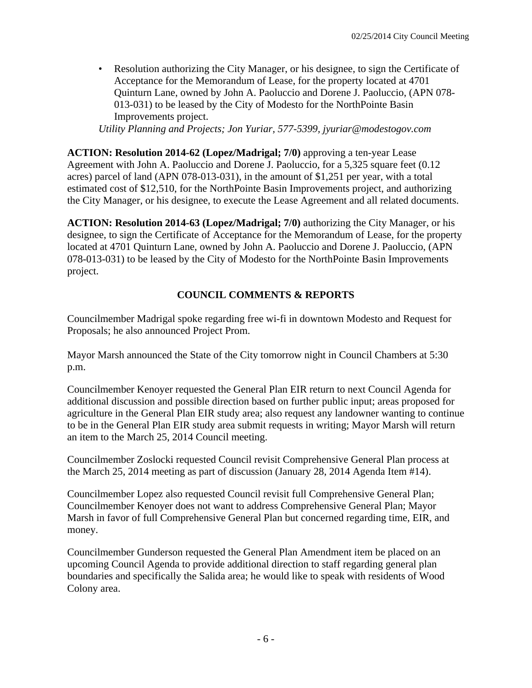• Resolution authorizing the City Manager, or his designee, to sign the Certificate of Acceptance for the Memorandum of Lease, for the property located at 4701 Quinturn Lane, owned by John A. Paoluccio and Dorene J. Paoluccio, (APN 078- 013-031) to be leased by the City of Modesto for the NorthPointe Basin Improvements project.

*Utility Planning and Projects; Jon Yuriar, 577-5399, jyuriar@modestogov.com* 

**ACTION: Resolution 2014-62 (Lopez/Madrigal; 7/0)** approving a ten-year Lease Agreement with John A. Paoluccio and Dorene J. Paoluccio, for a 5,325 square feet (0.12 acres) parcel of land (APN 078-013-031), in the amount of \$1,251 per year, with a total estimated cost of \$12,510, for the NorthPointe Basin Improvements project, and authorizing the City Manager, or his designee, to execute the Lease Agreement and all related documents.

**ACTION: Resolution 2014-63 (Lopez/Madrigal; 7/0)** authorizing the City Manager, or his designee, to sign the Certificate of Acceptance for the Memorandum of Lease, for the property located at 4701 Quinturn Lane, owned by John A. Paoluccio and Dorene J. Paoluccio, (APN 078-013-031) to be leased by the City of Modesto for the NorthPointe Basin Improvements project.

# **COUNCIL COMMENTS & REPORTS**

Councilmember Madrigal spoke regarding free wi-fi in downtown Modesto and Request for Proposals; he also announced Project Prom.

Mayor Marsh announced the State of the City tomorrow night in Council Chambers at 5:30 p.m.

Councilmember Kenoyer requested the General Plan EIR return to next Council Agenda for additional discussion and possible direction based on further public input; areas proposed for agriculture in the General Plan EIR study area; also request any landowner wanting to continue to be in the General Plan EIR study area submit requests in writing; Mayor Marsh will return an item to the March 25, 2014 Council meeting.

Councilmember Zoslocki requested Council revisit Comprehensive General Plan process at the March 25, 2014 meeting as part of discussion (January 28, 2014 Agenda Item #14).

Councilmember Lopez also requested Council revisit full Comprehensive General Plan; Councilmember Kenoyer does not want to address Comprehensive General Plan; Mayor Marsh in favor of full Comprehensive General Plan but concerned regarding time, EIR, and money.

Councilmember Gunderson requested the General Plan Amendment item be placed on an upcoming Council Agenda to provide additional direction to staff regarding general plan boundaries and specifically the Salida area; he would like to speak with residents of Wood Colony area.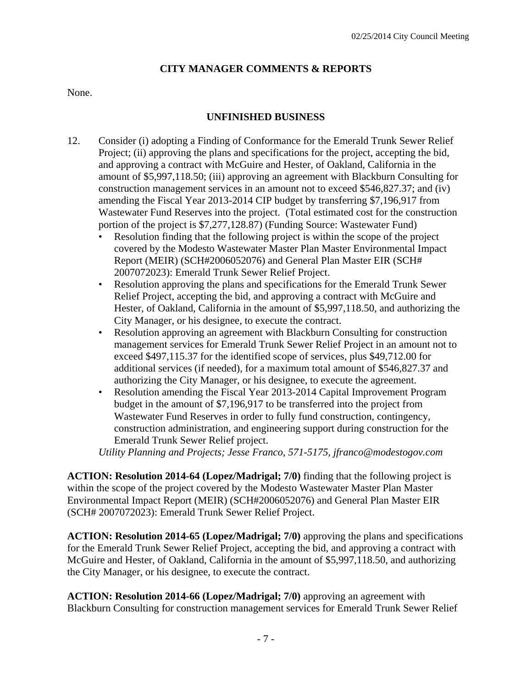# **CITY MANAGER COMMENTS & REPORTS**

### None.

# **UNFINISHED BUSINESS**

- 12. Consider (i) adopting a Finding of Conformance for the Emerald Trunk Sewer Relief Project; (ii) approving the plans and specifications for the project, accepting the bid, and approving a contract with McGuire and Hester, of Oakland, California in the amount of \$5,997,118.50; (iii) approving an agreement with Blackburn Consulting for construction management services in an amount not to exceed \$546,827.37; and (iv) amending the Fiscal Year 2013-2014 CIP budget by transferring \$7,196,917 from Wastewater Fund Reserves into the project. (Total estimated cost for the construction portion of the project is \$7,277,128.87) (Funding Source: Wastewater Fund)
	- Resolution finding that the following project is within the scope of the project covered by the Modesto Wastewater Master Plan Master Environmental Impact Report (MEIR) (SCH#2006052076) and General Plan Master EIR (SCH# 2007072023): Emerald Trunk Sewer Relief Project.
	- Resolution approving the plans and specifications for the Emerald Trunk Sewer Relief Project, accepting the bid, and approving a contract with McGuire and Hester, of Oakland, California in the amount of \$5,997,118.50, and authorizing the City Manager, or his designee, to execute the contract.
	- Resolution approving an agreement with Blackburn Consulting for construction management services for Emerald Trunk Sewer Relief Project in an amount not to exceed \$497,115.37 for the identified scope of services, plus \$49,712.00 for additional services (if needed), for a maximum total amount of \$546,827.37 and authorizing the City Manager, or his designee, to execute the agreement.
	- Resolution amending the Fiscal Year 2013-2014 Capital Improvement Program budget in the amount of \$7,196,917 to be transferred into the project from Wastewater Fund Reserves in order to fully fund construction, contingency, construction administration, and engineering support during construction for the Emerald Trunk Sewer Relief project.

*Utility Planning and Projects; Jesse Franco, 571-5175, jfranco@modestogov.com* 

**ACTION: Resolution 2014-64 (Lopez/Madrigal; 7/0)** finding that the following project is within the scope of the project covered by the Modesto Wastewater Master Plan Master Environmental Impact Report (MEIR) (SCH#2006052076) and General Plan Master EIR (SCH# 2007072023): Emerald Trunk Sewer Relief Project.

**ACTION: Resolution 2014-65 (Lopez/Madrigal; 7/0)** approving the plans and specifications for the Emerald Trunk Sewer Relief Project, accepting the bid, and approving a contract with McGuire and Hester, of Oakland, California in the amount of \$5,997,118.50, and authorizing the City Manager, or his designee, to execute the contract.

**ACTION: Resolution 2014-66 (Lopez/Madrigal; 7/0)** approving an agreement with Blackburn Consulting for construction management services for Emerald Trunk Sewer Relief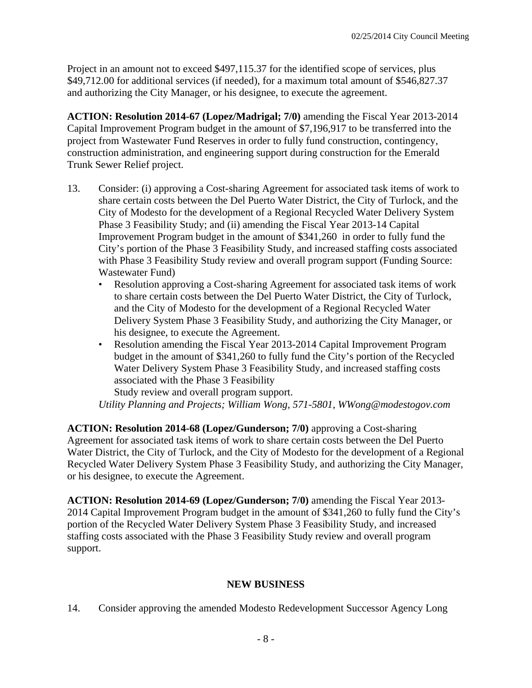Project in an amount not to exceed \$497,115.37 for the identified scope of services, plus \$49,712.00 for additional services (if needed), for a maximum total amount of \$546,827.37 and authorizing the City Manager, or his designee, to execute the agreement.

**ACTION: Resolution 2014-67 (Lopez/Madrigal; 7/0)** amending the Fiscal Year 2013-2014 Capital Improvement Program budget in the amount of \$7,196,917 to be transferred into the project from Wastewater Fund Reserves in order to fully fund construction, contingency, construction administration, and engineering support during construction for the Emerald Trunk Sewer Relief project.

- 13. Consider: (i) approving a Cost-sharing Agreement for associated task items of work to share certain costs between the Del Puerto Water District, the City of Turlock, and the City of Modesto for the development of a Regional Recycled Water Delivery System Phase 3 Feasibility Study; and (ii) amending the Fiscal Year 2013-14 Capital Improvement Program budget in the amount of \$341,260 in order to fully fund the City's portion of the Phase 3 Feasibility Study, and increased staffing costs associated with Phase 3 Feasibility Study review and overall program support (Funding Source: Wastewater Fund)
	- Resolution approving a Cost-sharing Agreement for associated task items of work to share certain costs between the Del Puerto Water District, the City of Turlock, and the City of Modesto for the development of a Regional Recycled Water Delivery System Phase 3 Feasibility Study, and authorizing the City Manager, or his designee, to execute the Agreement.
	- Resolution amending the Fiscal Year 2013-2014 Capital Improvement Program budget in the amount of \$341,260 to fully fund the City's portion of the Recycled Water Delivery System Phase 3 Feasibility Study, and increased staffing costs associated with the Phase 3 Feasibility

Study review and overall program support. *Utility Planning and Projects; William Wong, 571-5801, WWong@modestogov.com* 

**ACTION: Resolution 2014-68 (Lopez/Gunderson; 7/0)** approving a Cost-sharing Agreement for associated task items of work to share certain costs between the Del Puerto Water District, the City of Turlock, and the City of Modesto for the development of a Regional Recycled Water Delivery System Phase 3 Feasibility Study, and authorizing the City Manager, or his designee, to execute the Agreement.

**ACTION: Resolution 2014-69 (Lopez/Gunderson; 7/0)** amending the Fiscal Year 2013- 2014 Capital Improvement Program budget in the amount of \$341,260 to fully fund the City's portion of the Recycled Water Delivery System Phase 3 Feasibility Study, and increased staffing costs associated with the Phase 3 Feasibility Study review and overall program support.

# **NEW BUSINESS**

14. Consider approving the amended Modesto Redevelopment Successor Agency Long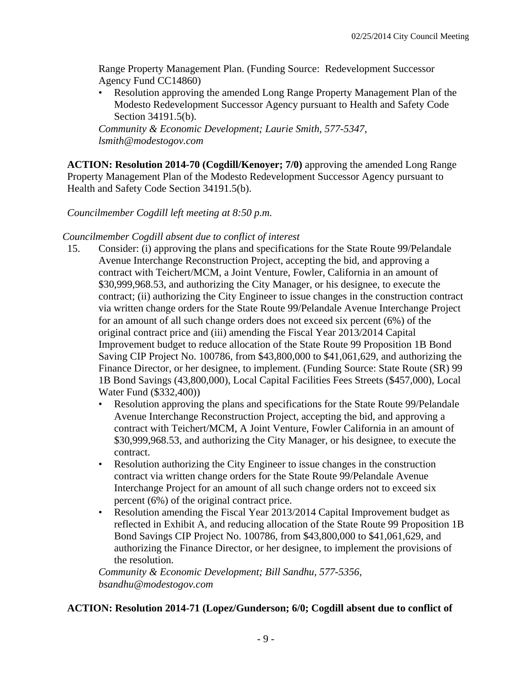Range Property Management Plan. (Funding Source: Redevelopment Successor Agency Fund CC14860)

• Resolution approving the amended Long Range Property Management Plan of the Modesto Redevelopment Successor Agency pursuant to Health and Safety Code Section 34191.5(b).

*Community & Economic Development; Laurie Smith, 577-5347, lsmith@modestogov.com* 

**ACTION: Resolution 2014-70 (Cogdill/Kenoyer; 7/0)** approving the amended Long Range Property Management Plan of the Modesto Redevelopment Successor Agency pursuant to Health and Safety Code Section 34191.5(b).

## *Councilmember Cogdill left meeting at 8:50 p.m.*

## *Councilmember Cogdill absent due to conflict of interest*

- 15. Consider: (i) approving the plans and specifications for the State Route 99/Pelandale Avenue Interchange Reconstruction Project, accepting the bid, and approving a contract with Teichert/MCM, a Joint Venture, Fowler, California in an amount of \$30,999,968.53, and authorizing the City Manager, or his designee, to execute the contract; (ii) authorizing the City Engineer to issue changes in the construction contract via written change orders for the State Route 99/Pelandale Avenue Interchange Project for an amount of all such change orders does not exceed six percent (6%) of the original contract price and (iii) amending the Fiscal Year 2013/2014 Capital Improvement budget to reduce allocation of the State Route 99 Proposition 1B Bond Saving CIP Project No. 100786, from \$43,800,000 to \$41,061,629, and authorizing the Finance Director, or her designee, to implement. (Funding Source: State Route (SR) 99 1B Bond Savings (43,800,000), Local Capital Facilities Fees Streets (\$457,000), Local Water Fund (\$332,400))
	- Resolution approving the plans and specifications for the State Route 99/Pelandale Avenue Interchange Reconstruction Project, accepting the bid, and approving a contract with Teichert/MCM, A Joint Venture, Fowler California in an amount of \$30,999,968.53, and authorizing the City Manager, or his designee, to execute the contract.
	- Resolution authorizing the City Engineer to issue changes in the construction contract via written change orders for the State Route 99/Pelandale Avenue Interchange Project for an amount of all such change orders not to exceed six percent (6%) of the original contract price.
	- Resolution amending the Fiscal Year 2013/2014 Capital Improvement budget as reflected in Exhibit A, and reducing allocation of the State Route 99 Proposition 1B Bond Savings CIP Project No. 100786, from \$43,800,000 to \$41,061,629, and authorizing the Finance Director, or her designee, to implement the provisions of the resolution.

*Community & Economic Development; Bill Sandhu, 577-5356, bsandhu@modestogov.com* 

## **ACTION: Resolution 2014-71 (Lopez/Gunderson; 6/0; Cogdill absent due to conflict of**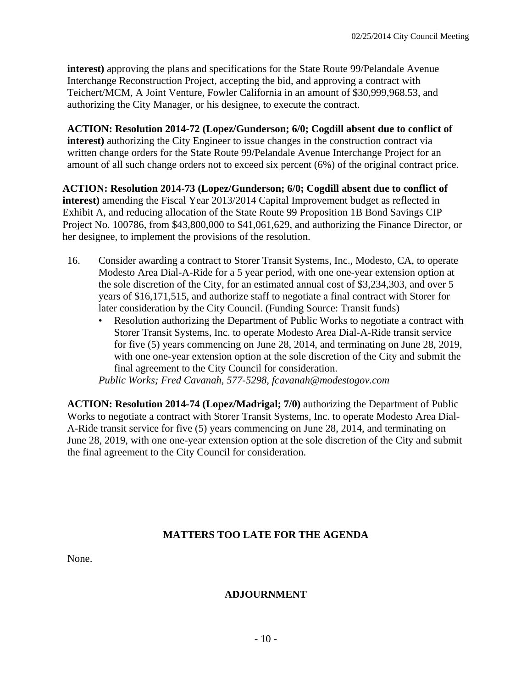**interest)** approving the plans and specifications for the State Route 99/Pelandale Avenue Interchange Reconstruction Project, accepting the bid, and approving a contract with Teichert/MCM, A Joint Venture, Fowler California in an amount of \$30,999,968.53, and authorizing the City Manager, or his designee, to execute the contract.

**ACTION: Resolution 2014-72 (Lopez/Gunderson; 6/0; Cogdill absent due to conflict of interest)** authorizing the City Engineer to issue changes in the construction contract via written change orders for the State Route 99/Pelandale Avenue Interchange Project for an amount of all such change orders not to exceed six percent (6%) of the original contract price.

**ACTION: Resolution 2014-73 (Lopez/Gunderson; 6/0; Cogdill absent due to conflict of interest)** amending the Fiscal Year 2013/2014 Capital Improvement budget as reflected in Exhibit A, and reducing allocation of the State Route 99 Proposition 1B Bond Savings CIP Project No. 100786, from \$43,800,000 to \$41,061,629, and authorizing the Finance Director, or her designee, to implement the provisions of the resolution.

- 16. Consider awarding a contract to Storer Transit Systems, Inc., Modesto, CA, to operate Modesto Area Dial-A-Ride for a 5 year period, with one one-year extension option at the sole discretion of the City, for an estimated annual cost of \$3,234,303, and over 5 years of \$16,171,515, and authorize staff to negotiate a final contract with Storer for later consideration by the City Council. (Funding Source: Transit funds)
	- Resolution authorizing the Department of Public Works to negotiate a contract with Storer Transit Systems, Inc. to operate Modesto Area Dial-A-Ride transit service for five (5) years commencing on June 28, 2014, and terminating on June 28, 2019, with one one-year extension option at the sole discretion of the City and submit the final agreement to the City Council for consideration.

*Public Works; Fred Cavanah, 577-5298, fcavanah@modestogov.com* 

**ACTION: Resolution 2014-74 (Lopez/Madrigal; 7/0)** authorizing the Department of Public Works to negotiate a contract with Storer Transit Systems, Inc. to operate Modesto Area Dial-A-Ride transit service for five (5) years commencing on June 28, 2014, and terminating on June 28, 2019, with one one-year extension option at the sole discretion of the City and submit the final agreement to the City Council for consideration.

## **MATTERS TOO LATE FOR THE AGENDA**

None.

## **ADJOURNMENT**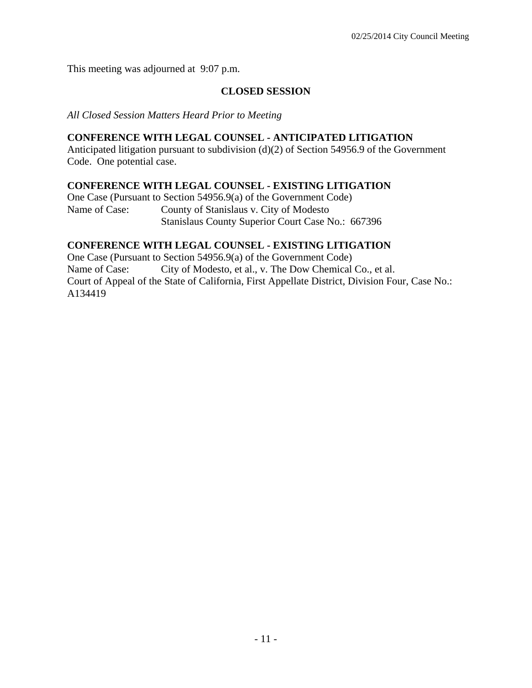This meeting was adjourned at 9:07 p.m.

## **CLOSED SESSION**

*All Closed Session Matters Heard Prior to Meeting*

### **CONFERENCE WITH LEGAL COUNSEL - ANTICIPATED LITIGATION**

Anticipated litigation pursuant to subdivision (d)(2) of Section 54956.9 of the Government Code. One potential case.

## **CONFERENCE WITH LEGAL COUNSEL - EXISTING LITIGATION**

One Case (Pursuant to Section 54956.9(a) of the Government Code) Name of Case: County of Stanislaus v. City of Modesto Stanislaus County Superior Court Case No.: 667396

## **CONFERENCE WITH LEGAL COUNSEL - EXISTING LITIGATION**

One Case (Pursuant to Section 54956.9(a) of the Government Code) Name of Case: City of Modesto, et al., v. The Dow Chemical Co., et al. Court of Appeal of the State of California, First Appellate District, Division Four, Case No.: A134419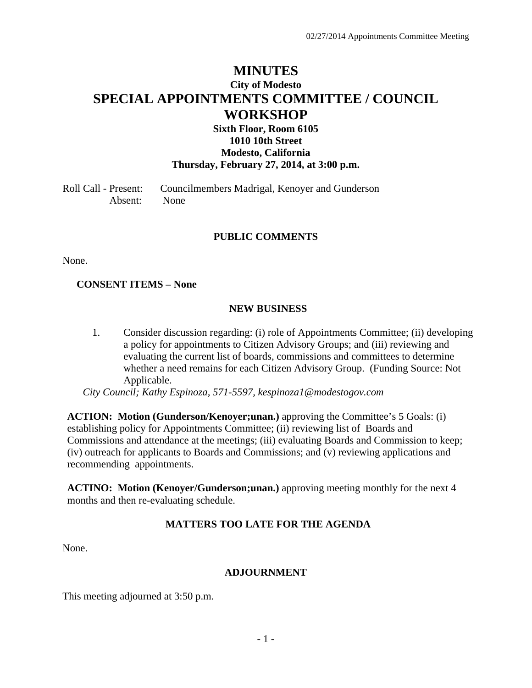## **MINUTES City of Modesto SPECIAL APPOINTMENTS COMMITTEE / COUNCIL WORKSHOP**

### **Sixth Floor, Room 6105 1010 10th Street Modesto, California Thursday, February 27, 2014, at 3:00 p.m.**

Roll Call - Present: Councilmembers Madrigal, Kenoyer and Gunderson Absent: None

#### **PUBLIC COMMENTS**

None.

#### **CONSENT ITEMS – None**

#### **NEW BUSINESS**

1. Consider discussion regarding: (i) role of Appointments Committee; (ii) developing a policy for appointments to Citizen Advisory Groups; and (iii) reviewing and evaluating the current list of boards, commissions and committees to determine whether a need remains for each Citizen Advisory Group. (Funding Source: Not Applicable.

 *City Council; Kathy Espinoza, 571-5597, kespinoza1@modestogov.com* 

**ACTION: Motion (Gunderson/Kenoyer;unan.)** approving the Committee's 5 Goals: (i) establishing policy for Appointments Committee; (ii) reviewing list of Boards and Commissions and attendance at the meetings; (iii) evaluating Boards and Commission to keep; (iv) outreach for applicants to Boards and Commissions; and (v) reviewing applications and recommending appointments.

**ACTINO: Motion (Kenoyer/Gunderson;unan.)** approving meeting monthly for the next 4 months and then re-evaluating schedule.

## **MATTERS TOO LATE FOR THE AGENDA**

None.

#### **ADJOURNMENT**

This meeting adjourned at 3:50 p.m.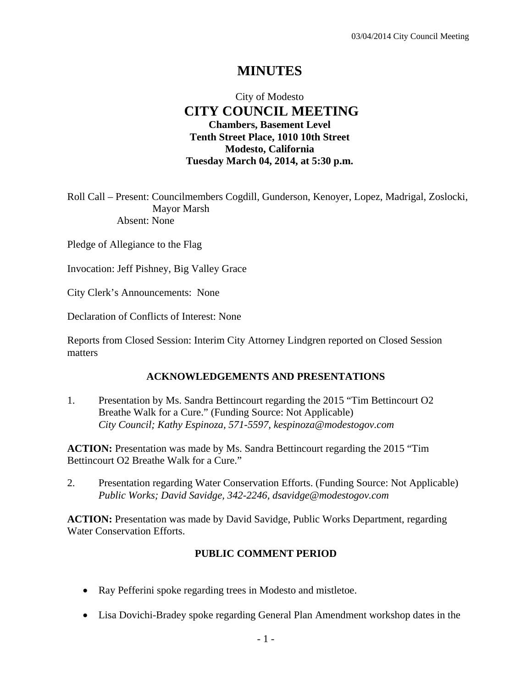## **MINUTES**

## City of Modesto  **CITY COUNCIL MEETING Chambers, Basement Level Tenth Street Place, 1010 10th Street Modesto, California Tuesday March 04, 2014, at 5:30 p.m.**

Roll Call – Present: Councilmembers Cogdill, Gunderson, Kenoyer, Lopez, Madrigal, Zoslocki, Mayor Marsh Absent: None

Pledge of Allegiance to the Flag

Invocation: Jeff Pishney, Big Valley Grace

City Clerk's Announcements: None

Declaration of Conflicts of Interest: None

Reports from Closed Session: Interim City Attorney Lindgren reported on Closed Session matters

#### **ACKNOWLEDGEMENTS AND PRESENTATIONS**

1. Presentation by Ms. Sandra Bettincourt regarding the 2015 "Tim Bettincourt O2 Breathe Walk for a Cure." (Funding Source: Not Applicable)  *City Council; Kathy Espinoza, 571-5597, kespinoza@modestogov.com* 

**ACTION:** Presentation was made by Ms. Sandra Bettincourt regarding the 2015 "Tim Bettincourt O2 Breathe Walk for a Cure."

2. Presentation regarding Water Conservation Efforts. (Funding Source: Not Applicable)  *Public Works; David Savidge, 342-2246, dsavidge@modestogov.com* 

**ACTION:** Presentation was made by David Savidge, Public Works Department, regarding Water Conservation Efforts.

#### **PUBLIC COMMENT PERIOD**

- Ray Pefferini spoke regarding trees in Modesto and mistletoe.
- Lisa Dovichi-Bradey spoke regarding General Plan Amendment workshop dates in the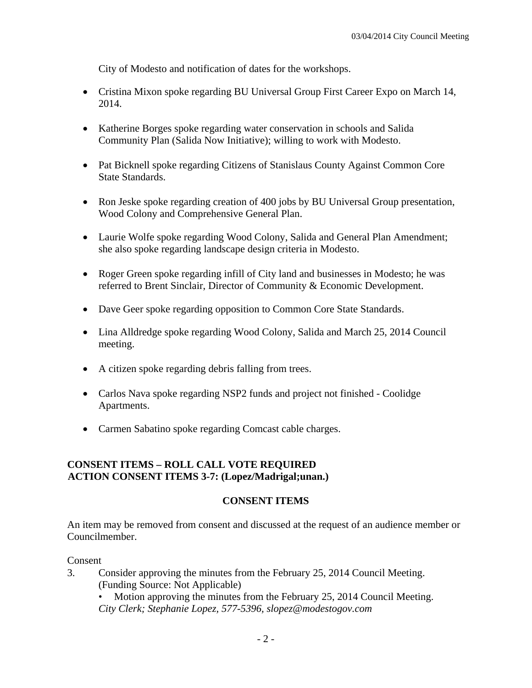City of Modesto and notification of dates for the workshops.

- Cristina Mixon spoke regarding BU Universal Group First Career Expo on March 14, 2014.
- Katherine Borges spoke regarding water conservation in schools and Salida Community Plan (Salida Now Initiative); willing to work with Modesto.
- Pat Bicknell spoke regarding Citizens of Stanislaus County Against Common Core State Standards.
- Ron Jeske spoke regarding creation of 400 jobs by BU Universal Group presentation, Wood Colony and Comprehensive General Plan.
- Laurie Wolfe spoke regarding Wood Colony, Salida and General Plan Amendment; she also spoke regarding landscape design criteria in Modesto.
- Roger Green spoke regarding infill of City land and businesses in Modesto; he was referred to Brent Sinclair, Director of Community & Economic Development.
- Dave Geer spoke regarding opposition to Common Core State Standards.
- Lina Alldredge spoke regarding Wood Colony, Salida and March 25, 2014 Council meeting.
- A citizen spoke regarding debris falling from trees.
- Carlos Nava spoke regarding NSP2 funds and project not finished Coolidge Apartments.
- Carmen Sabatino spoke regarding Comcast cable charges.

## **CONSENT ITEMS – ROLL CALL VOTE REQUIRED ACTION CONSENT ITEMS 3-7: (Lopez/Madrigal;unan.)**

## **CONSENT ITEMS**

An item may be removed from consent and discussed at the request of an audience member or Councilmember.

#### Consent

- 3. Consider approving the minutes from the February 25, 2014 Council Meeting. (Funding Source: Not Applicable)
	- Motion approving the minutes from the February 25, 2014 Council Meeting. *City Clerk; Stephanie Lopez, 577-5396, slopez@modestogov.com*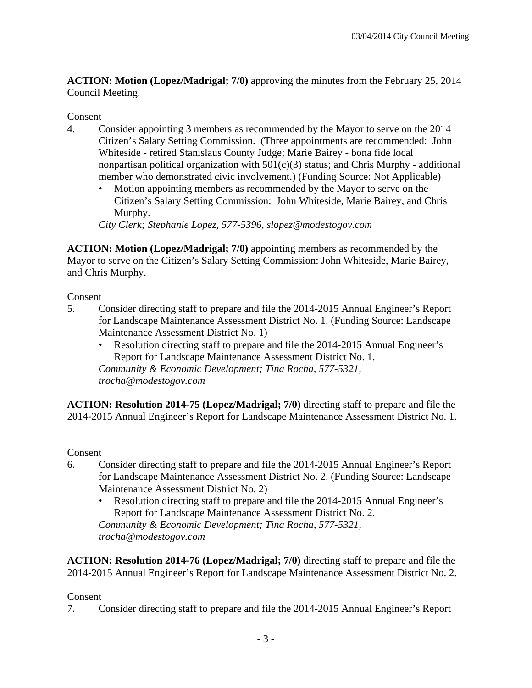**ACTION: Motion (Lopez/Madrigal; 7/0)** approving the minutes from the February 25, 2014 Council Meeting.

## Consent

- 4. Consider appointing 3 members as recommended by the Mayor to serve on the 2014 Citizen's Salary Setting Commission. (Three appointments are recommended: John Whiteside - retired Stanislaus County Judge; Marie Bairey - bona fide local nonpartisan political organization with 501(c)(3) status; and Chris Murphy - additional member who demonstrated civic involvement.) (Funding Source: Not Applicable)
	- Motion appointing members as recommended by the Mayor to serve on the Citizen's Salary Setting Commission: John Whiteside, Marie Bairey, and Chris Murphy.

*City Clerk; Stephanie Lopez, 577-5396, slopez@modestogov.com* 

**ACTION: Motion (Lopez/Madrigal; 7/0)** appointing members as recommended by the Mayor to serve on the Citizen's Salary Setting Commission: John Whiteside, Marie Bairey, and Chris Murphy.

Consent

- 5. Consider directing staff to prepare and file the 2014-2015 Annual Engineer's Report for Landscape Maintenance Assessment District No. 1. (Funding Source: Landscape Maintenance Assessment District No. 1)
	- Resolution directing staff to prepare and file the 2014-2015 Annual Engineer's Report for Landscape Maintenance Assessment District No. 1. *Community & Economic Development; Tina Rocha, 577-5321, trocha@modestogov.com*

**ACTION: Resolution 2014-75 (Lopez/Madrigal; 7/0)** directing staff to prepare and file the 2014-2015 Annual Engineer's Report for Landscape Maintenance Assessment District No. 1.

Consent

- 6. Consider directing staff to prepare and file the 2014-2015 Annual Engineer's Report for Landscape Maintenance Assessment District No. 2. (Funding Source: Landscape Maintenance Assessment District No. 2)
	- Resolution directing staff to prepare and file the 2014-2015 Annual Engineer's Report for Landscape Maintenance Assessment District No. 2. *Community & Economic Development; Tina Rocha, 577-5321, trocha@modestogov.com*

**ACTION: Resolution 2014-76 (Lopez/Madrigal; 7/0)** directing staff to prepare and file the 2014-2015 Annual Engineer's Report for Landscape Maintenance Assessment District No. 2.

## Consent

7. Consider directing staff to prepare and file the 2014-2015 Annual Engineer's Report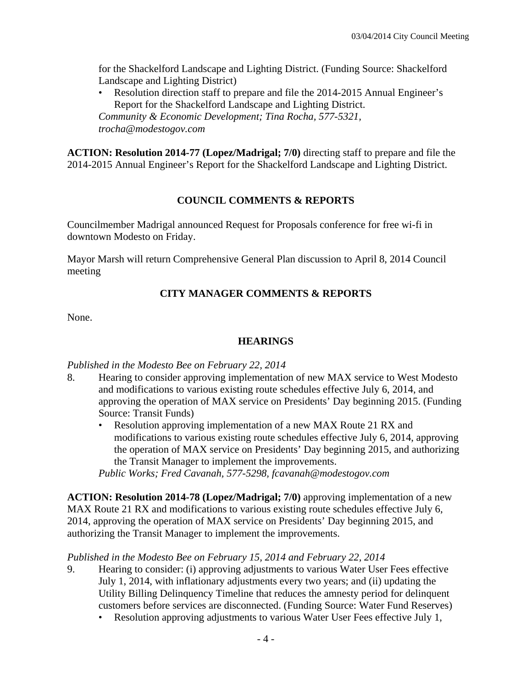for the Shackelford Landscape and Lighting District. (Funding Source: Shackelford Landscape and Lighting District)

• Resolution direction staff to prepare and file the 2014-2015 Annual Engineer's Report for the Shackelford Landscape and Lighting District. *Community & Economic Development; Tina Rocha, 577-5321, trocha@modestogov.com* 

**ACTION: Resolution 2014-77 (Lopez/Madrigal; 7/0)** directing staff to prepare and file the 2014-2015 Annual Engineer's Report for the Shackelford Landscape and Lighting District.

## **COUNCIL COMMENTS & REPORTS**

Councilmember Madrigal announced Request for Proposals conference for free wi-fi in downtown Modesto on Friday.

Mayor Marsh will return Comprehensive General Plan discussion to April 8, 2014 Council meeting

## **CITY MANAGER COMMENTS & REPORTS**

None.

## **HEARINGS**

## *Published in the Modesto Bee on February 22, 2014*

- 8. Hearing to consider approving implementation of new MAX service to West Modesto and modifications to various existing route schedules effective July 6, 2014, and approving the operation of MAX service on Presidents' Day beginning 2015. (Funding Source: Transit Funds)
	- Resolution approving implementation of a new MAX Route 21 RX and modifications to various existing route schedules effective July 6, 2014, approving the operation of MAX service on Presidents' Day beginning 2015, and authorizing the Transit Manager to implement the improvements.

*Public Works; Fred Cavanah, 577-5298, fcavanah@modestogov.com* 

**ACTION: Resolution 2014-78 (Lopez/Madrigal; 7/0)** approving implementation of a new MAX Route 21 RX and modifications to various existing route schedules effective July 6, 2014, approving the operation of MAX service on Presidents' Day beginning 2015, and authorizing the Transit Manager to implement the improvements.

## *Published in the Modesto Bee on February 15, 2014 and February 22, 2014*

- 9. Hearing to consider: (i) approving adjustments to various Water User Fees effective July 1, 2014, with inflationary adjustments every two years; and (ii) updating the Utility Billing Delinquency Timeline that reduces the amnesty period for delinquent customers before services are disconnected. (Funding Source: Water Fund Reserves)
	- Resolution approving adjustments to various Water User Fees effective July 1,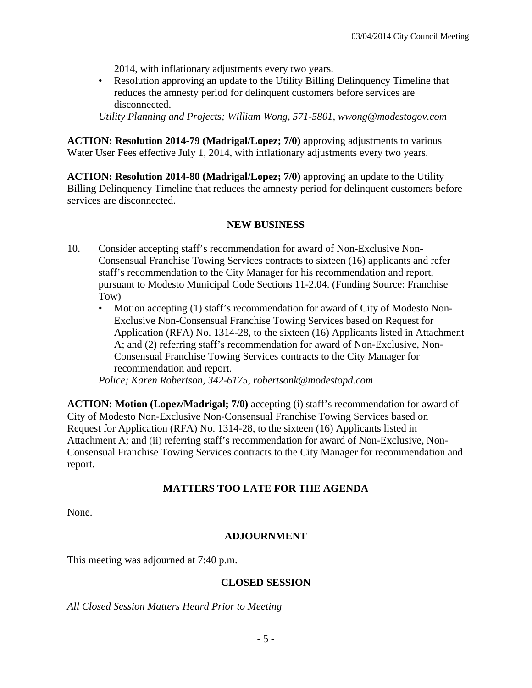2014, with inflationary adjustments every two years.

• Resolution approving an update to the Utility Billing Delinquency Timeline that reduces the amnesty period for delinquent customers before services are disconnected.

*Utility Planning and Projects; William Wong, 571-5801, wwong@modestogov.com* 

**ACTION: Resolution 2014-79 (Madrigal/Lopez; 7/0)** approving adjustments to various Water User Fees effective July 1, 2014, with inflationary adjustments every two years.

**ACTION: Resolution 2014-80 (Madrigal/Lopez; 7/0)** approving an update to the Utility Billing Delinquency Timeline that reduces the amnesty period for delinquent customers before services are disconnected.

## **NEW BUSINESS**

- 10. Consider accepting staff's recommendation for award of Non-Exclusive Non-Consensual Franchise Towing Services contracts to sixteen (16) applicants and refer staff's recommendation to the City Manager for his recommendation and report, pursuant to Modesto Municipal Code Sections 11-2.04. (Funding Source: Franchise Tow)
	- Motion accepting (1) staff's recommendation for award of City of Modesto Non-Exclusive Non-Consensual Franchise Towing Services based on Request for Application (RFA) No. 1314-28, to the sixteen (16) Applicants listed in Attachment A; and (2) referring staff's recommendation for award of Non-Exclusive, Non-Consensual Franchise Towing Services contracts to the City Manager for recommendation and report.

*Police; Karen Robertson, 342-6175, robertsonk@modestopd.com* 

**ACTION: Motion (Lopez/Madrigal; 7/0)** accepting (i) staff's recommendation for award of City of Modesto Non-Exclusive Non-Consensual Franchise Towing Services based on Request for Application (RFA) No. 1314-28, to the sixteen (16) Applicants listed in Attachment A; and (ii) referring staff's recommendation for award of Non-Exclusive, Non-Consensual Franchise Towing Services contracts to the City Manager for recommendation and report.

## **MATTERS TOO LATE FOR THE AGENDA**

None.

## **ADJOURNMENT**

This meeting was adjourned at 7:40 p.m.

## **CLOSED SESSION**

*All Closed Session Matters Heard Prior to Meeting*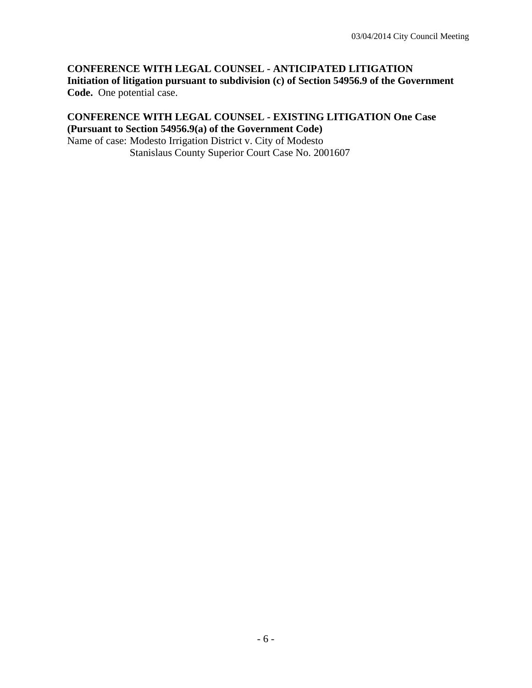### **CONFERENCE WITH LEGAL COUNSEL - ANTICIPATED LITIGATION Initiation of litigation pursuant to subdivision (c) of Section 54956.9 of the Government Code.** One potential case.

## **CONFERENCE WITH LEGAL COUNSEL - EXISTING LITIGATION One Case (Pursuant to Section 54956.9(a) of the Government Code)**

Name of case: Modesto Irrigation District v. City of Modesto Stanislaus County Superior Court Case No. 2001607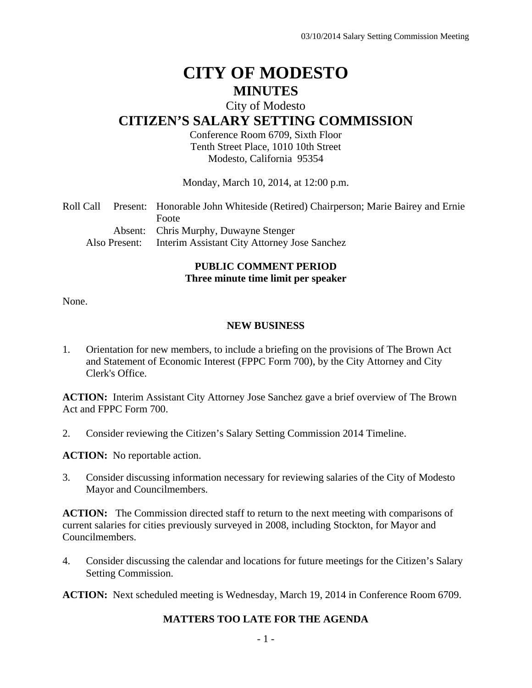# **CITY OF MODESTO MINUTES**

## City of Modesto

## **CITIZEN'S SALARY SETTING COMMISSION**

Conference Room 6709, Sixth Floor Tenth Street Place, 1010 10th Street Modesto, California 95354

Monday, March 10, 2014, at 12:00 p.m.

| Roll Call |               | Present: Honorable John Whiteside (Retired) Chairperson; Marie Bairey and Ernie |
|-----------|---------------|---------------------------------------------------------------------------------|
|           |               | Foote                                                                           |
|           |               | Absent: Chris Murphy, Duwayne Stenger                                           |
|           | Also Present: | Interim Assistant City Attorney Jose Sanchez                                    |

## **PUBLIC COMMENT PERIOD Three minute time limit per speaker**

None.

#### **NEW BUSINESS**

1. Orientation for new members, to include a briefing on the provisions of The Brown Act and Statement of Economic Interest (FPPC Form 700), by the City Attorney and City Clerk's Office.

**ACTION:** Interim Assistant City Attorney Jose Sanchez gave a brief overview of The Brown Act and FPPC Form 700.

2. Consider reviewing the Citizen's Salary Setting Commission 2014 Timeline.

**ACTION:** No reportable action.

3. Consider discussing information necessary for reviewing salaries of the City of Modesto Mayor and Councilmembers.

**ACTION:** The Commission directed staff to return to the next meeting with comparisons of current salaries for cities previously surveyed in 2008, including Stockton, for Mayor and Councilmembers.

4. Consider discussing the calendar and locations for future meetings for the Citizen's Salary Setting Commission.

**ACTION:** Next scheduled meeting is Wednesday, March 19, 2014 in Conference Room 6709.

## **MATTERS TOO LATE FOR THE AGENDA**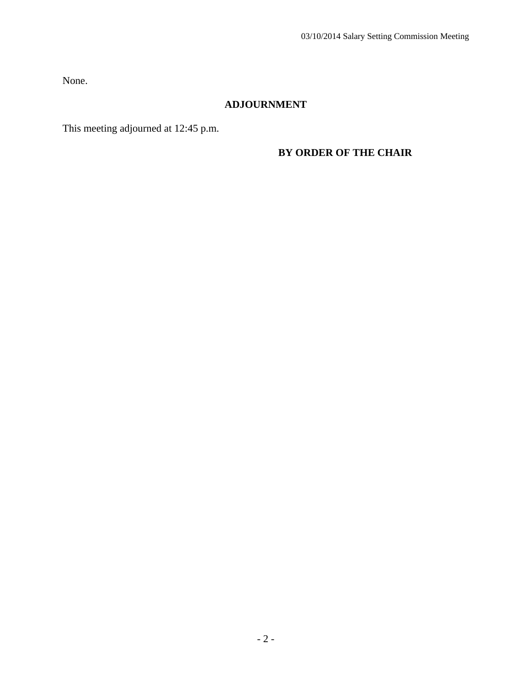None.

## **ADJOURNMENT**

This meeting adjourned at 12:45 p.m.

## **BY ORDER OF THE CHAIR**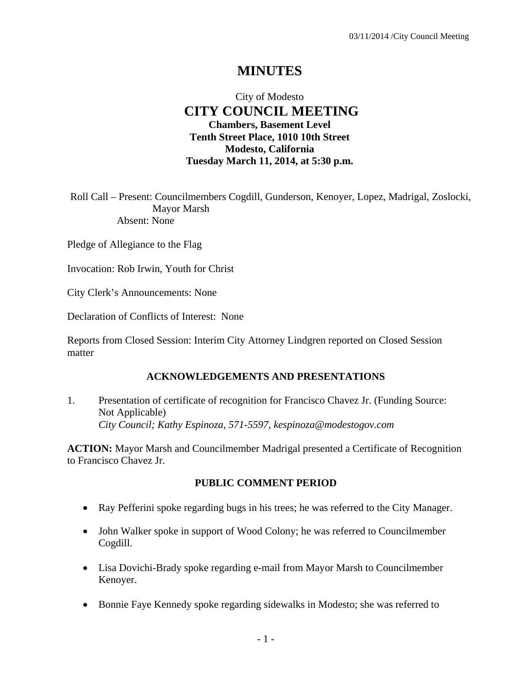## **MINUTES**

## City of Modesto  **CITY COUNCIL MEETING Chambers, Basement Level Tenth Street Place, 1010 10th Street Modesto, California Tuesday March 11, 2014, at 5:30 p.m.**

Roll Call – Present: Councilmembers Cogdill, Gunderson, Kenoyer, Lopez, Madrigal, Zoslocki, Mayor Marsh Absent: None

Pledge of Allegiance to the Flag

Invocation: Rob Irwin, Youth for Christ

City Clerk's Announcements: None

Declaration of Conflicts of Interest: None

Reports from Closed Session: Interim City Attorney Lindgren reported on Closed Session matter

#### **ACKNOWLEDGEMENTS AND PRESENTATIONS**

1. Presentation of certificate of recognition for Francisco Chavez Jr. (Funding Source: Not Applicable)  *City Council; Kathy Espinoza, 571-5597, kespinoza@modestogov.com* 

**ACTION:** Mayor Marsh and Councilmember Madrigal presented a Certificate of Recognition to Francisco Chavez Jr.

#### **PUBLIC COMMENT PERIOD**

- Ray Pefferini spoke regarding bugs in his trees; he was referred to the City Manager.
- John Walker spoke in support of Wood Colony; he was referred to Councilmember Cogdill.
- Lisa Dovichi-Brady spoke regarding e-mail from Mayor Marsh to Councilmember Kenoyer.
- Bonnie Faye Kennedy spoke regarding sidewalks in Modesto; she was referred to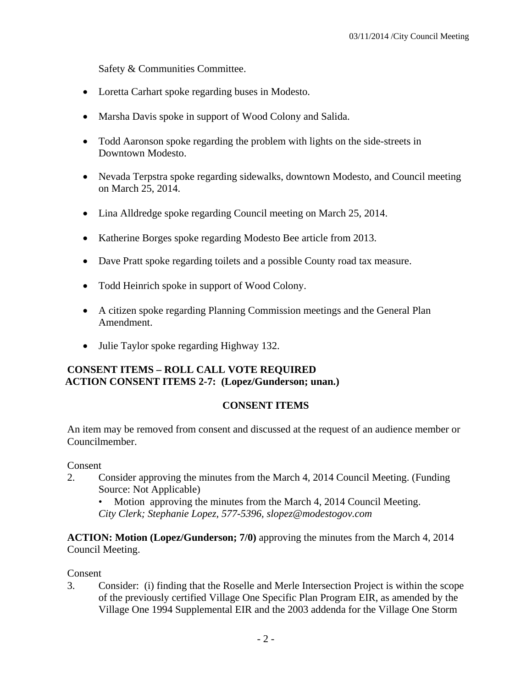Safety & Communities Committee.

- Loretta Carhart spoke regarding buses in Modesto.
- Marsha Davis spoke in support of Wood Colony and Salida.
- Todd Aaronson spoke regarding the problem with lights on the side-streets in Downtown Modesto.
- Nevada Terpstra spoke regarding sidewalks, downtown Modesto, and Council meeting on March 25, 2014.
- Lina Alldredge spoke regarding Council meeting on March 25, 2014.
- Katherine Borges spoke regarding Modesto Bee article from 2013.
- Dave Pratt spoke regarding toilets and a possible County road tax measure.
- Todd Heinrich spoke in support of Wood Colony.
- A citizen spoke regarding Planning Commission meetings and the General Plan Amendment.
- Julie Taylor spoke regarding Highway 132.

## **CONSENT ITEMS – ROLL CALL VOTE REQUIRED ACTION CONSENT ITEMS 2-7: (Lopez/Gunderson; unan.)**

## **CONSENT ITEMS**

An item may be removed from consent and discussed at the request of an audience member or Councilmember.

Consent

2. Consider approving the minutes from the March 4, 2014 Council Meeting. (Funding Source: Not Applicable)

• Motion approving the minutes from the March 4, 2014 Council Meeting. *City Clerk; Stephanie Lopez, 577-5396, slopez@modestogov.com* 

**ACTION: Motion (Lopez/Gunderson; 7/0)** approving the minutes from the March 4, 2014 Council Meeting.

#### Consent

3. Consider: (i) finding that the Roselle and Merle Intersection Project is within the scope of the previously certified Village One Specific Plan Program EIR, as amended by the Village One 1994 Supplemental EIR and the 2003 addenda for the Village One Storm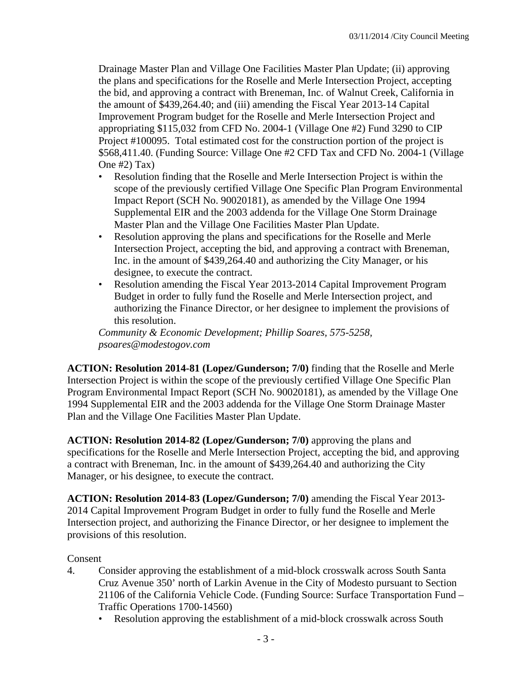Drainage Master Plan and Village One Facilities Master Plan Update; (ii) approving the plans and specifications for the Roselle and Merle Intersection Project, accepting the bid, and approving a contract with Breneman, Inc. of Walnut Creek, California in the amount of \$439,264.40; and (iii) amending the Fiscal Year 2013-14 Capital Improvement Program budget for the Roselle and Merle Intersection Project and appropriating \$115,032 from CFD No. 2004-1 (Village One #2) Fund 3290 to CIP Project #100095. Total estimated cost for the construction portion of the project is \$568,411.40. (Funding Source: Village One #2 CFD Tax and CFD No. 2004-1 (Village One #2) Tax)

- Resolution finding that the Roselle and Merle Intersection Project is within the scope of the previously certified Village One Specific Plan Program Environmental Impact Report (SCH No. 90020181), as amended by the Village One 1994 Supplemental EIR and the 2003 addenda for the Village One Storm Drainage Master Plan and the Village One Facilities Master Plan Update.
- Resolution approving the plans and specifications for the Roselle and Merle Intersection Project, accepting the bid, and approving a contract with Breneman, Inc. in the amount of \$439,264.40 and authorizing the City Manager, or his designee, to execute the contract.
- Resolution amending the Fiscal Year 2013-2014 Capital Improvement Program Budget in order to fully fund the Roselle and Merle Intersection project, and authorizing the Finance Director, or her designee to implement the provisions of this resolution.

*Community & Economic Development; Phillip Soares, 575-5258, psoares@modestogov.com* 

**ACTION: Resolution 2014-81 (Lopez/Gunderson; 7/0)** finding that the Roselle and Merle Intersection Project is within the scope of the previously certified Village One Specific Plan Program Environmental Impact Report (SCH No. 90020181), as amended by the Village One 1994 Supplemental EIR and the 2003 addenda for the Village One Storm Drainage Master Plan and the Village One Facilities Master Plan Update.

**ACTION: Resolution 2014-82 (Lopez/Gunderson; 7/0)** approving the plans and specifications for the Roselle and Merle Intersection Project, accepting the bid, and approving a contract with Breneman, Inc. in the amount of \$439,264.40 and authorizing the City Manager, or his designee, to execute the contract.

**ACTION: Resolution 2014-83 (Lopez/Gunderson; 7/0)** amending the Fiscal Year 2013- 2014 Capital Improvement Program Budget in order to fully fund the Roselle and Merle Intersection project, and authorizing the Finance Director, or her designee to implement the provisions of this resolution.

## Consent

- 4. Consider approving the establishment of a mid-block crosswalk across South Santa Cruz Avenue 350' north of Larkin Avenue in the City of Modesto pursuant to Section 21106 of the California Vehicle Code. (Funding Source: Surface Transportation Fund – Traffic Operations 1700-14560)
	- Resolution approving the establishment of a mid-block crosswalk across South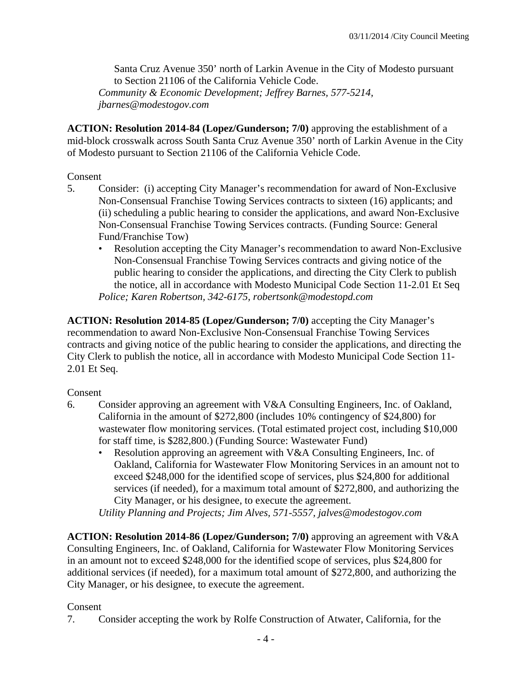Santa Cruz Avenue 350' north of Larkin Avenue in the City of Modesto pursuant to Section 21106 of the California Vehicle Code. *Community & Economic Development; Jeffrey Barnes, 577-5214, jbarnes@modestogov.com* 

**ACTION: Resolution 2014-84 (Lopez/Gunderson; 7/0)** approving the establishment of a mid-block crosswalk across South Santa Cruz Avenue 350' north of Larkin Avenue in the City of Modesto pursuant to Section 21106 of the California Vehicle Code.

## Consent

- 5. Consider: (i) accepting City Manager's recommendation for award of Non-Exclusive Non-Consensual Franchise Towing Services contracts to sixteen (16) applicants; and (ii) scheduling a public hearing to consider the applications, and award Non-Exclusive Non-Consensual Franchise Towing Services contracts. (Funding Source: General Fund/Franchise Tow)
	- Resolution accepting the City Manager's recommendation to award Non-Exclusive Non-Consensual Franchise Towing Services contracts and giving notice of the public hearing to consider the applications, and directing the City Clerk to publish the notice, all in accordance with Modesto Municipal Code Section 11-2.01 Et Seq *Police; Karen Robertson, 342-6175, robertsonk@modestopd.com*

**ACTION: Resolution 2014-85 (Lopez/Gunderson; 7/0)** accepting the City Manager's recommendation to award Non-Exclusive Non-Consensual Franchise Towing Services contracts and giving notice of the public hearing to consider the applications, and directing the City Clerk to publish the notice, all in accordance with Modesto Municipal Code Section 11- 2.01 Et Seq.

## Consent

- 6. Consider approving an agreement with V&A Consulting Engineers, Inc. of Oakland, California in the amount of \$272,800 (includes 10% contingency of \$24,800) for wastewater flow monitoring services. (Total estimated project cost, including \$10,000 for staff time, is \$282,800.) (Funding Source: Wastewater Fund)
	- Resolution approving an agreement with V&A Consulting Engineers, Inc. of Oakland, California for Wastewater Flow Monitoring Services in an amount not to exceed \$248,000 for the identified scope of services, plus \$24,800 for additional services (if needed), for a maximum total amount of \$272,800, and authorizing the City Manager, or his designee, to execute the agreement.

*Utility Planning and Projects; Jim Alves, 571-5557, jalves@modestogov.com* 

**ACTION: Resolution 2014-86 (Lopez/Gunderson; 7/0)** approving an agreement with V&A Consulting Engineers, Inc. of Oakland, California for Wastewater Flow Monitoring Services in an amount not to exceed \$248,000 for the identified scope of services, plus \$24,800 for additional services (if needed), for a maximum total amount of \$272,800, and authorizing the City Manager, or his designee, to execute the agreement.

## Consent

7. Consider accepting the work by Rolfe Construction of Atwater, California, for the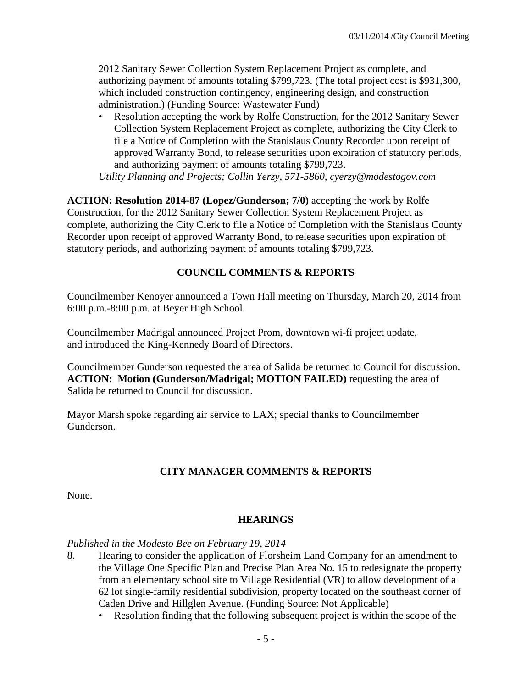2012 Sanitary Sewer Collection System Replacement Project as complete, and authorizing payment of amounts totaling \$799,723. (The total project cost is \$931,300, which included construction contingency, engineering design, and construction administration.) (Funding Source: Wastewater Fund)

• Resolution accepting the work by Rolfe Construction, for the 2012 Sanitary Sewer Collection System Replacement Project as complete, authorizing the City Clerk to file a Notice of Completion with the Stanislaus County Recorder upon receipt of approved Warranty Bond, to release securities upon expiration of statutory periods, and authorizing payment of amounts totaling \$799,723.

*Utility Planning and Projects; Collin Yerzy, 571-5860, cyerzy@modestogov.com* 

**ACTION: Resolution 2014-87 (Lopez/Gunderson; 7/0)** accepting the work by Rolfe Construction, for the 2012 Sanitary Sewer Collection System Replacement Project as complete, authorizing the City Clerk to file a Notice of Completion with the Stanislaus County Recorder upon receipt of approved Warranty Bond, to release securities upon expiration of statutory periods, and authorizing payment of amounts totaling \$799,723.

## **COUNCIL COMMENTS & REPORTS**

Councilmember Kenoyer announced a Town Hall meeting on Thursday, March 20, 2014 from 6:00 p.m.-8:00 p.m. at Beyer High School.

Councilmember Madrigal announced Project Prom, downtown wi-fi project update, and introduced the King-Kennedy Board of Directors.

Councilmember Gunderson requested the area of Salida be returned to Council for discussion. **ACTION: Motion (Gunderson/Madrigal; MOTION FAILED)** requesting the area of Salida be returned to Council for discussion.

Mayor Marsh spoke regarding air service to LAX; special thanks to Councilmember Gunderson.

## **CITY MANAGER COMMENTS & REPORTS**

None.

#### **HEARINGS**

*Published in the Modesto Bee on February 19, 2014* 

- 8. Hearing to consider the application of Florsheim Land Company for an amendment to the Village One Specific Plan and Precise Plan Area No. 15 to redesignate the property from an elementary school site to Village Residential (VR) to allow development of a 62 lot single-family residential subdivision, property located on the southeast corner of Caden Drive and Hillglen Avenue. (Funding Source: Not Applicable)
	- Resolution finding that the following subsequent project is within the scope of the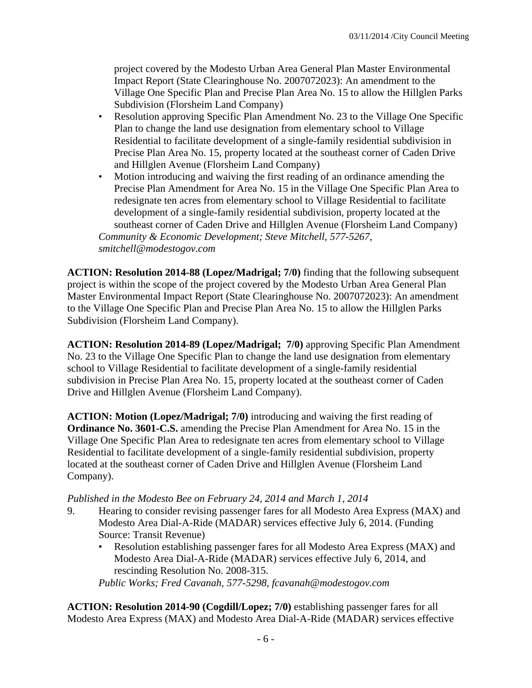project covered by the Modesto Urban Area General Plan Master Environmental Impact Report (State Clearinghouse No. 2007072023): An amendment to the Village One Specific Plan and Precise Plan Area No. 15 to allow the Hillglen Parks Subdivision (Florsheim Land Company)

- Resolution approving Specific Plan Amendment No. 23 to the Village One Specific Plan to change the land use designation from elementary school to Village Residential to facilitate development of a single-family residential subdivision in Precise Plan Area No. 15, property located at the southeast corner of Caden Drive and Hillglen Avenue (Florsheim Land Company)
- Motion introducing and waiving the first reading of an ordinance amending the Precise Plan Amendment for Area No. 15 in the Village One Specific Plan Area to redesignate ten acres from elementary school to Village Residential to facilitate development of a single-family residential subdivision, property located at the southeast corner of Caden Drive and Hillglen Avenue (Florsheim Land Company) *Community & Economic Development; Steve Mitchell, 577-5267, smitchell@modestogov.com*

**ACTION: Resolution 2014-88 (Lopez/Madrigal; 7/0)** finding that the following subsequent project is within the scope of the project covered by the Modesto Urban Area General Plan Master Environmental Impact Report (State Clearinghouse No. 2007072023): An amendment to the Village One Specific Plan and Precise Plan Area No. 15 to allow the Hillglen Parks Subdivision (Florsheim Land Company).

**ACTION: Resolution 2014-89 (Lopez/Madrigal; 7/0)** approving Specific Plan Amendment No. 23 to the Village One Specific Plan to change the land use designation from elementary school to Village Residential to facilitate development of a single-family residential subdivision in Precise Plan Area No. 15, property located at the southeast corner of Caden Drive and Hillglen Avenue (Florsheim Land Company).

**ACTION: Motion (Lopez/Madrigal; 7/0)** introducing and waiving the first reading of **Ordinance No. 3601-C.S.** amending the Precise Plan Amendment for Area No. 15 in the Village One Specific Plan Area to redesignate ten acres from elementary school to Village Residential to facilitate development of a single-family residential subdivision, property located at the southeast corner of Caden Drive and Hillglen Avenue (Florsheim Land Company).

## *Published in the Modesto Bee on February 24, 2014 and March 1, 2014*

- 9. Hearing to consider revising passenger fares for all Modesto Area Express (MAX) and Modesto Area Dial-A-Ride (MADAR) services effective July 6, 2014. (Funding Source: Transit Revenue)
	- Resolution establishing passenger fares for all Modesto Area Express (MAX) and Modesto Area Dial-A-Ride (MADAR) services effective July 6, 2014, and rescinding Resolution No. 2008-315.

*Public Works; Fred Cavanah, 577-5298, fcavanah@modestogov.com* 

**ACTION: Resolution 2014-90 (Cogdill/Lopez; 7/0)** establishing passenger fares for all Modesto Area Express (MAX) and Modesto Area Dial-A-Ride (MADAR) services effective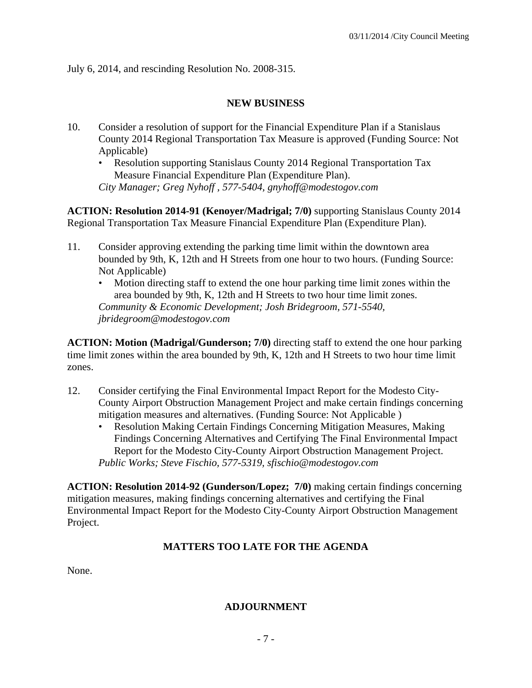July 6, 2014, and rescinding Resolution No. 2008-315.

## **NEW BUSINESS**

- 10. Consider a resolution of support for the Financial Expenditure Plan if a Stanislaus County 2014 Regional Transportation Tax Measure is approved (Funding Source: Not Applicable)
	- Resolution supporting Stanislaus County 2014 Regional Transportation Tax Measure Financial Expenditure Plan (Expenditure Plan).

*City Manager; Greg Nyhoff , 577-5404, gnyhoff@modestogov.com* 

**ACTION: Resolution 2014-91 (Kenoyer/Madrigal; 7/0)** supporting Stanislaus County 2014 Regional Transportation Tax Measure Financial Expenditure Plan (Expenditure Plan).

- 11. Consider approving extending the parking time limit within the downtown area bounded by 9th, K, 12th and H Streets from one hour to two hours. (Funding Source: Not Applicable)
	- Motion directing staff to extend the one hour parking time limit zones within the area bounded by 9th, K, 12th and H Streets to two hour time limit zones. *Community & Economic Development; Josh Bridegroom, 571-5540, jbridegroom@modestogov.com*

**ACTION: Motion (Madrigal/Gunderson; 7/0)** directing staff to extend the one hour parking time limit zones within the area bounded by 9th, K, 12th and H Streets to two hour time limit zones.

- 12. Consider certifying the Final Environmental Impact Report for the Modesto City-County Airport Obstruction Management Project and make certain findings concerning mitigation measures and alternatives. (Funding Source: Not Applicable )
	- Resolution Making Certain Findings Concerning Mitigation Measures, Making Findings Concerning Alternatives and Certifying The Final Environmental Impact Report for the Modesto City-County Airport Obstruction Management Project. *Public Works; Steve Fischio, 577-5319, sfischio@modestogov.com*

**ACTION: Resolution 2014-92 (Gunderson/Lopez; 7/0)** making certain findings concerning mitigation measures, making findings concerning alternatives and certifying the Final Environmental Impact Report for the Modesto City-County Airport Obstruction Management Project.

## **MATTERS TOO LATE FOR THE AGENDA**

None.

## **ADJOURNMENT**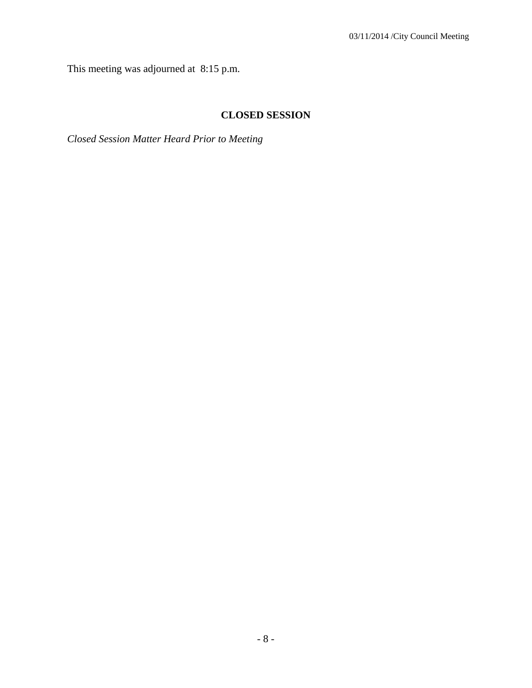This meeting was adjourned at 8:15 p.m.

## **CLOSED SESSION**

*Closed Session Matter Heard Prior to Meeting*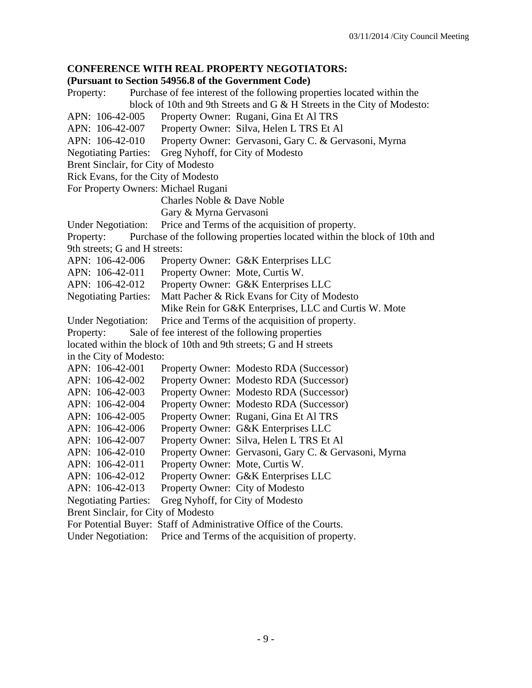## **CONFERENCE WITH REAL PROPERTY NEGOTIATORS:**

#### **(Pursuant to Section 54956.8 of the Government Code)**

Property: Purchase of fee interest of the following properties located within the block of 10th and 9th Streets and G & H Streets in the City of Modesto: APN: 106-42-005 Property Owner: Rugani, Gina Et Al TRS APN: 106-42-007 Property Owner: Silva, Helen L TRS Et Al APN: 106-42-010 Property Owner: Gervasoni, Gary C. & Gervasoni, Myrna Negotiating Parties: Greg Nyhoff, for City of Modesto Brent Sinclair, for City of Modesto Rick Evans, for the City of Modesto For Property Owners: Michael Rugani Charles Noble & Dave Noble Gary & Myrna Gervasoni Under Negotiation: Price and Terms of the acquisition of property. Property: Purchase of the following properties located within the block of 10th and 9th streets; G and H streets: APN: 106-42-006 Property Owner: G&K Enterprises LLC APN: 106-42-011 Property Owner: Mote, Curtis W. APN: 106-42-012 Property Owner: G&K Enterprises LLC Negotiating Parties: Matt Pacher & Rick Evans for City of Modesto Mike Rein for G&K Enterprises, LLC and Curtis W. Mote Under Negotiation: Price and Terms of the acquisition of property. Property: Sale of fee interest of the following properties located within the block of 10th and 9th streets; G and H streets in the City of Modesto: APN: 106-42-001 Property Owner: Modesto RDA (Successor) APN: 106-42-002 Property Owner: Modesto RDA (Successor) APN: 106-42-003 Property Owner: Modesto RDA (Successor) APN: 106-42-004 Property Owner: Modesto RDA (Successor) APN: 106-42-005 Property Owner: Rugani, Gina Et Al TRS APN: 106-42-006 Property Owner: G&K Enterprises LLC APN: 106-42-007 Property Owner: Silva, Helen L TRS Et Al APN: 106-42-010 Property Owner: Gervasoni, Gary C. & Gervasoni, Myrna APN: 106-42-011 Property Owner: Mote, Curtis W. APN: 106-42-012 Property Owner: G&K Enterprises LLC APN: 106-42-013 Property Owner: City of Modesto Negotiating Parties: Greg Nyhoff, for City of Modesto Brent Sinclair, for City of Modesto For Potential Buyer: Staff of Administrative Office of the Courts. Under Negotiation: Price and Terms of the acquisition of property.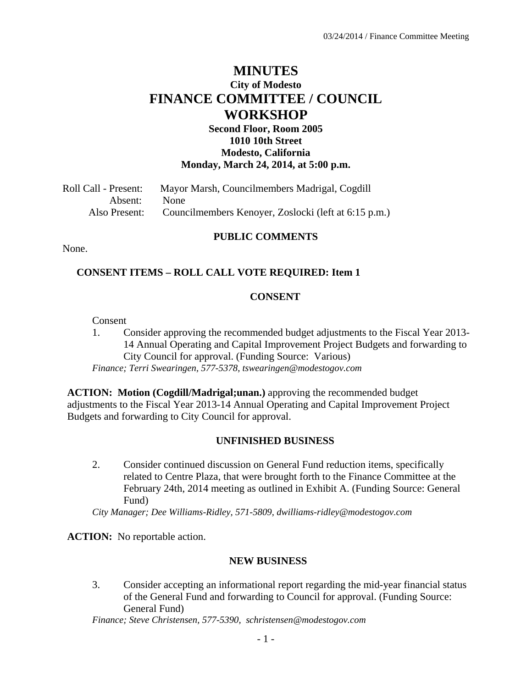## **MINUTES City of Modesto FINANCE COMMITTEE / COUNCIL WORKSHOP**

## **Second Floor, Room 2005 1010 10th Street Modesto, California Monday, March 24, 2014, at 5:00 p.m.**

| Roll Call - Present: | Mayor Marsh, Councilmembers Madrigal, Cogdill        |
|----------------------|------------------------------------------------------|
| Absent:              | None                                                 |
| Also Present:        | Councilmembers Kenoyer, Zoslocki (left at 6:15 p.m.) |

#### **PUBLIC COMMENTS**

None.

#### **CONSENT ITEMS – ROLL CALL VOTE REQUIRED: Item 1**

#### **CONSENT**

Consent

1. Consider approving the recommended budget adjustments to the Fiscal Year 2013- 14 Annual Operating and Capital Improvement Project Budgets and forwarding to City Council for approval. (Funding Source: Various) *Finance; Terri Swearingen, 577-5378, tswearingen@modestogov.com* 

**ACTION: Motion (Cogdill/Madrigal;unan.)** approving the recommended budget

adjustments to the Fiscal Year 2013-14 Annual Operating and Capital Improvement Project Budgets and forwarding to City Council for approval.

#### **UNFINISHED BUSINESS**

2. Consider continued discussion on General Fund reduction items, specifically related to Centre Plaza, that were brought forth to the Finance Committee at the February 24th, 2014 meeting as outlined in Exhibit A. (Funding Source: General Fund)

*City Manager; Dee Williams-Ridley, 571-5809, dwilliams-ridley@modestogov.com* 

**ACTION:** No reportable action.

#### **NEW BUSINESS**

3. Consider accepting an informational report regarding the mid-year financial status of the General Fund and forwarding to Council for approval. (Funding Source: General Fund)

*Finance; Steve Christensen, 577-5390, schristensen@modestogov.com*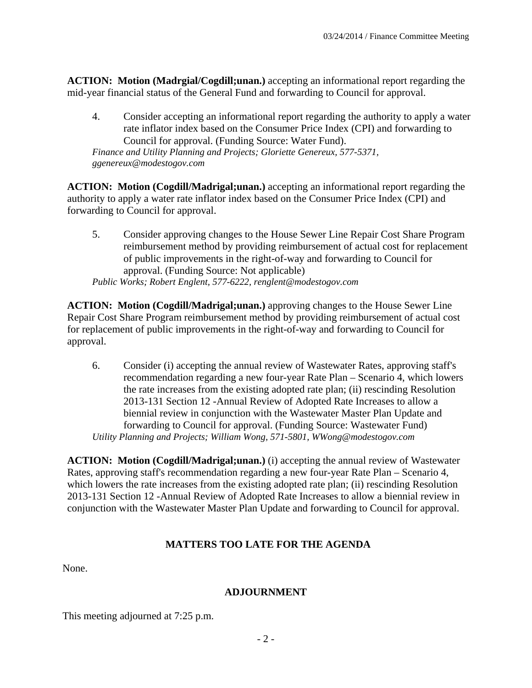**ACTION: Motion (Madrgial/Cogdill;unan.)** accepting an informational report regarding the mid-year financial status of the General Fund and forwarding to Council for approval.

4. Consider accepting an informational report regarding the authority to apply a water rate inflator index based on the Consumer Price Index (CPI) and forwarding to Council for approval. (Funding Source: Water Fund). *Finance and Utility Planning and Projects; Gloriette Genereux, 577-5371, ggenereux@modestogov.com* 

**ACTION: Motion (Cogdill/Madrigal;unan.)** accepting an informational report regarding the authority to apply a water rate inflator index based on the Consumer Price Index (CPI) and forwarding to Council for approval.

5. Consider approving changes to the House Sewer Line Repair Cost Share Program reimbursement method by providing reimbursement of actual cost for replacement of public improvements in the right-of-way and forwarding to Council for approval. (Funding Source: Not applicable) *Public Works; Robert Englent, 577-6222, renglent@modestogov.com* 

**ACTION: Motion (Cogdill/Madrigal;unan.)** approving changes to the House Sewer Line Repair Cost Share Program reimbursement method by providing reimbursement of actual cost for replacement of public improvements in the right-of-way and forwarding to Council for approval.

6. Consider (i) accepting the annual review of Wastewater Rates, approving staff's recommendation regarding a new four-year Rate Plan – Scenario 4, which lowers the rate increases from the existing adopted rate plan; (ii) rescinding Resolution 2013-131 Section 12 -Annual Review of Adopted Rate Increases to allow a biennial review in conjunction with the Wastewater Master Plan Update and forwarding to Council for approval. (Funding Source: Wastewater Fund) *Utility Planning and Projects; William Wong, 571-5801, WWong@modestogov.com* 

**ACTION: Motion (Cogdill/Madrigal;unan.)** (i) accepting the annual review of Wastewater Rates, approving staff's recommendation regarding a new four-year Rate Plan – Scenario 4, which lowers the rate increases from the existing adopted rate plan; (ii) rescinding Resolution 2013-131 Section 12 -Annual Review of Adopted Rate Increases to allow a biennial review in conjunction with the Wastewater Master Plan Update and forwarding to Council for approval.

## **MATTERS TOO LATE FOR THE AGENDA**

None.

## **ADJOURNMENT**

This meeting adjourned at 7:25 p.m.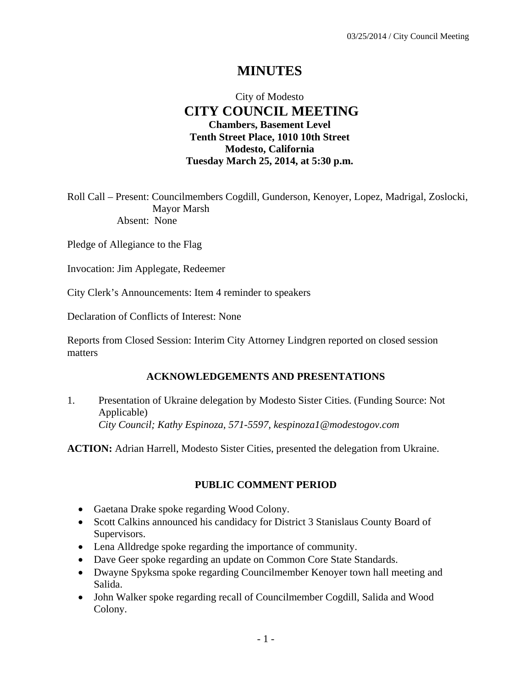## **MINUTES**

## City of Modesto  **CITY COUNCIL MEETING Chambers, Basement Level Tenth Street Place, 1010 10th Street Modesto, California Tuesday March 25, 2014, at 5:30 p.m.**

Roll Call – Present: Councilmembers Cogdill, Gunderson, Kenoyer, Lopez, Madrigal, Zoslocki, Mayor Marsh Absent: None

Pledge of Allegiance to the Flag

Invocation: Jim Applegate, Redeemer

City Clerk's Announcements: Item 4 reminder to speakers

Declaration of Conflicts of Interest: None

Reports from Closed Session: Interim City Attorney Lindgren reported on closed session matters

#### **ACKNOWLEDGEMENTS AND PRESENTATIONS**

1. Presentation of Ukraine delegation by Modesto Sister Cities. (Funding Source: Not Applicable)  *City Council; Kathy Espinoza, 571-5597, kespinoza1@modestogov.com* 

**ACTION:** Adrian Harrell, Modesto Sister Cities, presented the delegation from Ukraine.

#### **PUBLIC COMMENT PERIOD**

- Gaetana Drake spoke regarding Wood Colony.
- Scott Calkins announced his candidacy for District 3 Stanislaus County Board of Supervisors.
- Lena Alldredge spoke regarding the importance of community.
- Dave Geer spoke regarding an update on Common Core State Standards.
- Dwayne Spyksma spoke regarding Councilmember Kenoyer town hall meeting and Salida.
- John Walker spoke regarding recall of Councilmember Cogdill, Salida and Wood Colony.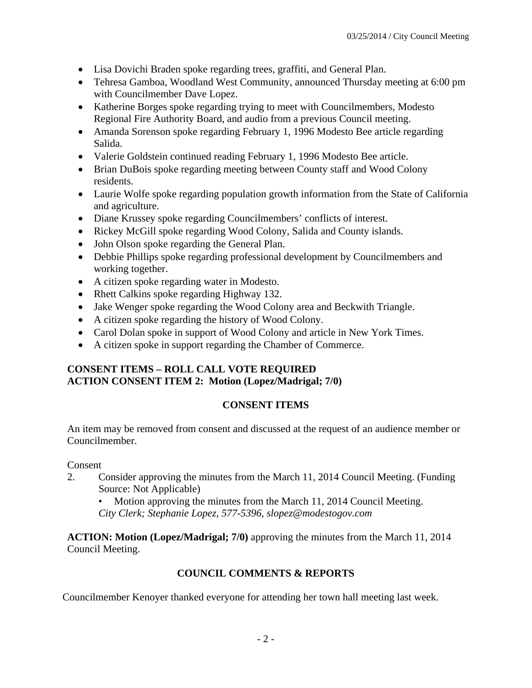- Lisa Dovichi Braden spoke regarding trees, graffiti, and General Plan.
- Tehresa Gamboa, Woodland West Community, announced Thursday meeting at 6:00 pm with Councilmember Dave Lopez.
- Katherine Borges spoke regarding trying to meet with Councilmembers, Modesto Regional Fire Authority Board, and audio from a previous Council meeting.
- Amanda Sorenson spoke regarding February 1, 1996 Modesto Bee article regarding Salida.
- Valerie Goldstein continued reading February 1, 1996 Modesto Bee article.
- Brian DuBois spoke regarding meeting between County staff and Wood Colony residents.
- Laurie Wolfe spoke regarding population growth information from the State of California and agriculture.
- Diane Krussey spoke regarding Councilmembers' conflicts of interest.
- Rickey McGill spoke regarding Wood Colony, Salida and County islands.
- John Olson spoke regarding the General Plan.
- Debbie Phillips spoke regarding professional development by Councilmembers and working together.
- A citizen spoke regarding water in Modesto.
- Rhett Calkins spoke regarding Highway 132.
- Jake Wenger spoke regarding the Wood Colony area and Beckwith Triangle.
- A citizen spoke regarding the history of Wood Colony.
- Carol Dolan spoke in support of Wood Colony and article in New York Times.
- A citizen spoke in support regarding the Chamber of Commerce.

## **CONSENT ITEMS – ROLL CALL VOTE REQUIRED ACTION CONSENT ITEM 2: Motion (Lopez/Madrigal; 7/0)**

## **CONSENT ITEMS**

An item may be removed from consent and discussed at the request of an audience member or Councilmember.

#### Consent

2. Consider approving the minutes from the March 11, 2014 Council Meeting. (Funding Source: Not Applicable)

• Motion approving the minutes from the March 11, 2014 Council Meeting. *City Clerk; Stephanie Lopez, 577-5396, slopez@modestogov.com* 

**ACTION: Motion (Lopez/Madrigal; 7/0)** approving the minutes from the March 11, 2014 Council Meeting.

## **COUNCIL COMMENTS & REPORTS**

Councilmember Kenoyer thanked everyone for attending her town hall meeting last week.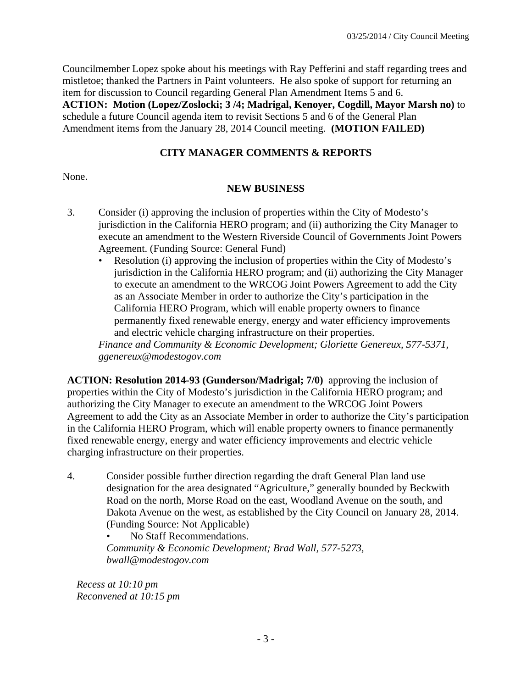Councilmember Lopez spoke about his meetings with Ray Pefferini and staff regarding trees and mistletoe; thanked the Partners in Paint volunteers. He also spoke of support for returning an item for discussion to Council regarding General Plan Amendment Items 5 and 6. **ACTION: Motion (Lopez/Zoslocki; 3 /4; Madrigal, Kenoyer, Cogdill, Mayor Marsh no)** to schedule a future Council agenda item to revisit Sections 5 and 6 of the General Plan Amendment items from the January 28, 2014 Council meeting. **(MOTION FAILED)**

## **CITY MANAGER COMMENTS & REPORTS**

None.

#### **NEW BUSINESS**

- 3. Consider (i) approving the inclusion of properties within the City of Modesto's jurisdiction in the California HERO program; and (ii) authorizing the City Manager to execute an amendment to the Western Riverside Council of Governments Joint Powers Agreement. (Funding Source: General Fund)
	- Resolution (i) approving the inclusion of properties within the City of Modesto's jurisdiction in the California HERO program; and (ii) authorizing the City Manager to execute an amendment to the WRCOG Joint Powers Agreement to add the City as an Associate Member in order to authorize the City's participation in the California HERO Program, which will enable property owners to finance permanently fixed renewable energy, energy and water efficiency improvements and electric vehicle charging infrastructure on their properties.

*Finance and Community & Economic Development; Gloriette Genereux, 577-5371, ggenereux@modestogov.com* 

**ACTION: Resolution 2014-93 (Gunderson/Madrigal; 7/0)** approving the inclusion of properties within the City of Modesto's jurisdiction in the California HERO program; and authorizing the City Manager to execute an amendment to the WRCOG Joint Powers Agreement to add the City as an Associate Member in order to authorize the City's participation in the California HERO Program, which will enable property owners to finance permanently fixed renewable energy, energy and water efficiency improvements and electric vehicle charging infrastructure on their properties.

4. Consider possible further direction regarding the draft General Plan land use designation for the area designated "Agriculture," generally bounded by Beckwith Road on the north, Morse Road on the east, Woodland Avenue on the south, and Dakota Avenue on the west, as established by the City Council on January 28, 2014. (Funding Source: Not Applicable)

• No Staff Recommendations. *Community & Economic Development; Brad Wall, 577-5273, bwall@modestogov.com* 

*Recess at 10:10 pm Reconvened at 10:15 pm*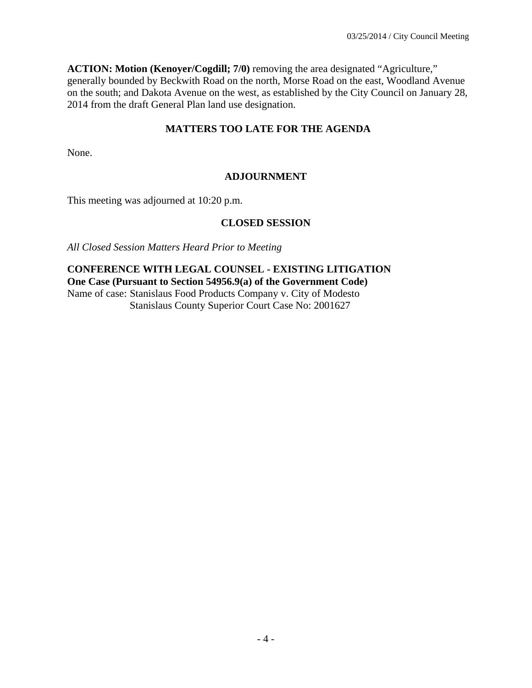**ACTION: Motion (Kenoyer/Cogdill; 7/0)** removing the area designated "Agriculture," generally bounded by Beckwith Road on the north, Morse Road on the east, Woodland Avenue on the south; and Dakota Avenue on the west, as established by the City Council on January 28, 2014 from the draft General Plan land use designation.

## **MATTERS TOO LATE FOR THE AGENDA**

None.

## **ADJOURNMENT**

This meeting was adjourned at 10:20 p.m.

#### **CLOSED SESSION**

*All Closed Session Matters Heard Prior to Meeting*

**CONFERENCE WITH LEGAL COUNSEL - EXISTING LITIGATION One Case (Pursuant to Section 54956.9(a) of the Government Code)**  Name of case: Stanislaus Food Products Company v. City of Modesto Stanislaus County Superior Court Case No: 2001627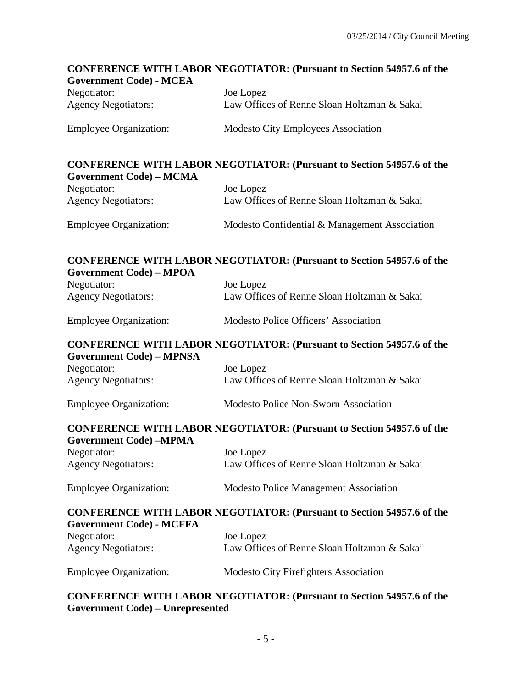# **CONFERENCE WITH LABOR NEGOTIATOR: (Pursuant to Section 54957.6 of the Government Code) - MCEA**  Negotiator: Joe Lopez Agency Negotiators: Law Offices of Renne Sloan Holtzman & Sakai Employee Organization: Modesto City Employees Association **CONFERENCE WITH LABOR NEGOTIATOR: (Pursuant to Section 54957.6 of the Government Code) – MCMA**  Negotiator: Joe Lopez Agency Negotiators: Law Offices of Renne Sloan Holtzman & Sakai Employee Organization: Modesto Confidential & Management Association **CONFERENCE WITH LABOR NEGOTIATOR: (Pursuant to Section 54957.6 of the Government Code) – MPOA**  Negotiator: Joe Lopez Agency Negotiators: Law Offices of Renne Sloan Holtzman & Sakai Employee Organization: Modesto Police Officers' Association **CONFERENCE WITH LABOR NEGOTIATOR: (Pursuant to Section 54957.6 of the Government Code) – MPNSA**  Negotiator: Joe Lopez Agency Negotiators: Law Offices of Renne Sloan Holtzman & Sakai Employee Organization: Modesto Police Non-Sworn Association **CONFERENCE WITH LABOR NEGOTIATOR: (Pursuant to Section 54957.6 of the Government Code) –MPMA**  Negotiator: Joe Lopez Agency Negotiators: Law Offices of Renne Sloan Holtzman & Sakai Employee Organization: Modesto Police Management Association **CONFERENCE WITH LABOR NEGOTIATOR: (Pursuant to Section 54957.6 of the Government Code) - MCFFA**  Negotiator: Joe Lopez Agency Negotiators: Law Offices of Renne Sloan Holtzman & Sakai Employee Organization: Modesto City Firefighters Association **CONFERENCE WITH LABOR NEGOTIATOR: (Pursuant to Section 54957.6 of the**

#### **Government Code) – Unrepresented**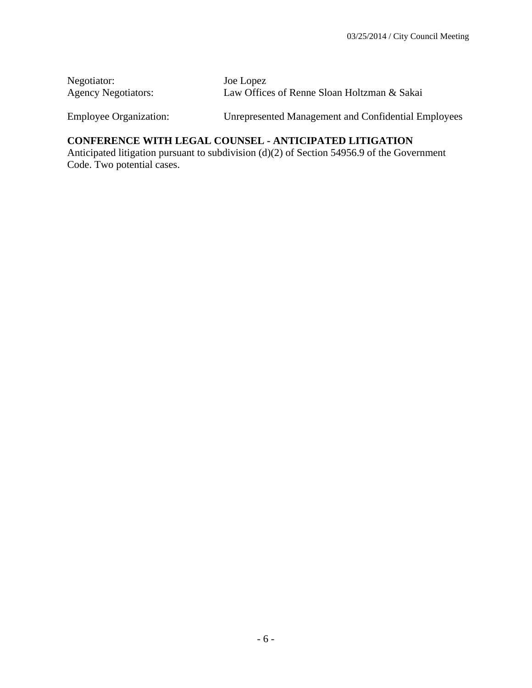| Negotiator:                | Joe Lopez                                   |
|----------------------------|---------------------------------------------|
| <b>Agency Negotiators:</b> | Law Offices of Renne Sloan Holtzman & Sakai |

Employee Organization: Unrepresented Management and Confidential Employees

## **CONFERENCE WITH LEGAL COUNSEL - ANTICIPATED LITIGATION**

Anticipated litigation pursuant to subdivision (d)(2) of Section 54956.9 of the Government Code. Two potential cases.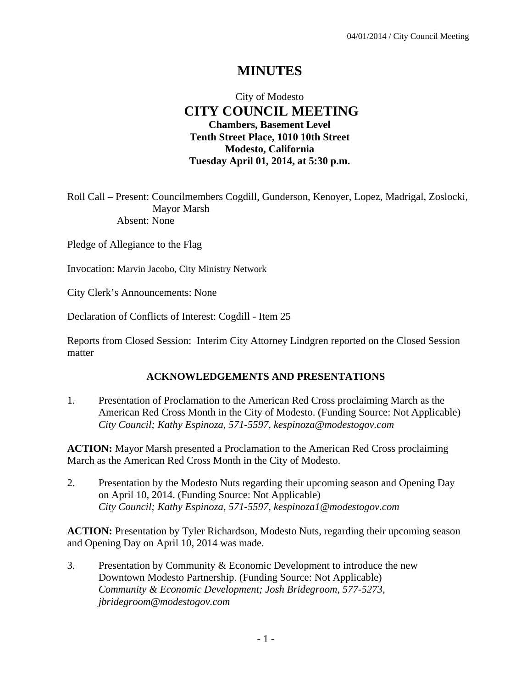## **MINUTES**

## City of Modesto  **CITY COUNCIL MEETING Chambers, Basement Level Tenth Street Place, 1010 10th Street Modesto, California Tuesday April 01, 2014, at 5:30 p.m.**

Roll Call – Present: Councilmembers Cogdill, Gunderson, Kenoyer, Lopez, Madrigal, Zoslocki, Mayor Marsh Absent: None

Pledge of Allegiance to the Flag

Invocation: Marvin Jacobo, City Ministry Network

City Clerk's Announcements: None

Declaration of Conflicts of Interest: Cogdill - Item 25

Reports from Closed Session: Interim City Attorney Lindgren reported on the Closed Session matter

#### **ACKNOWLEDGEMENTS AND PRESENTATIONS**

1. Presentation of Proclamation to the American Red Cross proclaiming March as the American Red Cross Month in the City of Modesto. (Funding Source: Not Applicable)  *City Council; Kathy Espinoza, 571-5597, kespinoza@modestogov.com* 

**ACTION:** Mayor Marsh presented a Proclamation to the American Red Cross proclaiming March as the American Red Cross Month in the City of Modesto.

2. Presentation by the Modesto Nuts regarding their upcoming season and Opening Day on April 10, 2014. (Funding Source: Not Applicable)  *City Council; Kathy Espinoza, 571-5597, kespinoza1@modestogov.com* 

**ACTION:** Presentation by Tyler Richardson, Modesto Nuts, regarding their upcoming season and Opening Day on April 10, 2014 was made.

3. Presentation by Community & Economic Development to introduce the new Downtown Modesto Partnership. (Funding Source: Not Applicable)  *Community & Economic Development; Josh Bridegroom, 577-5273, jbridegroom@modestogov.com*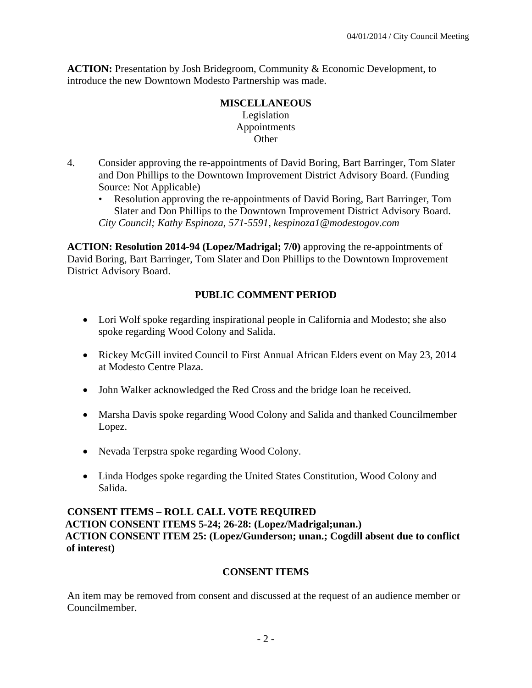**ACTION:** Presentation by Josh Bridegroom, Community & Economic Development, to introduce the new Downtown Modesto Partnership was made.

## **MISCELLANEOUS**  Legislation Appointments **Other**

- 4. Consider approving the re-appointments of David Boring, Bart Barringer, Tom Slater and Don Phillips to the Downtown Improvement District Advisory Board. (Funding Source: Not Applicable)
	- Resolution approving the re-appointments of David Boring, Bart Barringer, Tom Slater and Don Phillips to the Downtown Improvement District Advisory Board. *City Council; Kathy Espinoza, 571-5591, kespinoza1@modestogov.com*

**ACTION: Resolution 2014-94 (Lopez/Madrigal; 7/0)** approving the re-appointments of David Boring, Bart Barringer, Tom Slater and Don Phillips to the Downtown Improvement District Advisory Board.

## **PUBLIC COMMENT PERIOD**

- Lori Wolf spoke regarding inspirational people in California and Modesto; she also spoke regarding Wood Colony and Salida.
- Rickey McGill invited Council to First Annual African Elders event on May 23, 2014 at Modesto Centre Plaza.
- John Walker acknowledged the Red Cross and the bridge loan he received.
- Marsha Davis spoke regarding Wood Colony and Salida and thanked Councilmember Lopez.
- Nevada Terpstra spoke regarding Wood Colony.
- Linda Hodges spoke regarding the United States Constitution, Wood Colony and Salida.

## **CONSENT ITEMS – ROLL CALL VOTE REQUIRED ACTION CONSENT ITEMS 5-24; 26-28: (Lopez/Madrigal;unan.) ACTION CONSENT ITEM 25: (Lopez/Gunderson; unan.; Cogdill absent due to conflict of interest)**

## **CONSENT ITEMS**

An item may be removed from consent and discussed at the request of an audience member or Councilmember.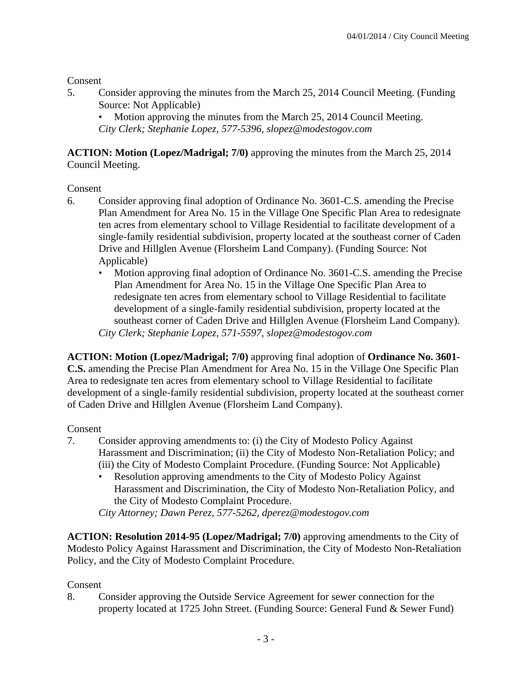Consent

5. Consider approving the minutes from the March 25, 2014 Council Meeting. (Funding Source: Not Applicable)

• Motion approving the minutes from the March 25, 2014 Council Meeting. *City Clerk; Stephanie Lopez, 577-5396, slopez@modestogov.com* 

**ACTION: Motion (Lopez/Madrigal; 7/0)** approving the minutes from the March 25, 2014 Council Meeting.

**Consent** 

- 6. Consider approving final adoption of Ordinance No. 3601-C.S. amending the Precise Plan Amendment for Area No. 15 in the Village One Specific Plan Area to redesignate ten acres from elementary school to Village Residential to facilitate development of a single-family residential subdivision, property located at the southeast corner of Caden Drive and Hillglen Avenue (Florsheim Land Company). (Funding Source: Not Applicable)
	- Motion approving final adoption of Ordinance No. 3601-C.S. amending the Precise Plan Amendment for Area No. 15 in the Village One Specific Plan Area to redesignate ten acres from elementary school to Village Residential to facilitate development of a single-family residential subdivision, property located at the southeast corner of Caden Drive and Hillglen Avenue (Florsheim Land Company). *City Clerk; Stephanie Lopez, 571-5597, slopez@modestogov.com*

**ACTION: Motion (Lopez/Madrigal; 7/0)** approving final adoption of **Ordinance No. 3601- C.S.** amending the Precise Plan Amendment for Area No. 15 in the Village One Specific Plan Area to redesignate ten acres from elementary school to Village Residential to facilitate development of a single-family residential subdivision, property located at the southeast corner of Caden Drive and Hillglen Avenue (Florsheim Land Company).

## Consent

- 7. Consider approving amendments to: (i) the City of Modesto Policy Against Harassment and Discrimination; (ii) the City of Modesto Non-Retaliation Policy; and (iii) the City of Modesto Complaint Procedure. (Funding Source: Not Applicable)
	- Resolution approving amendments to the City of Modesto Policy Against Harassment and Discrimination, the City of Modesto Non-Retaliation Policy, and the City of Modesto Complaint Procedure.

*City Attorney; Dawn Perez, 577-5262, dperez@modestogov.com* 

**ACTION: Resolution 2014-95 (Lopez/Madrigal; 7/0)** approving amendments to the City of Modesto Policy Against Harassment and Discrimination, the City of Modesto Non-Retaliation Policy, and the City of Modesto Complaint Procedure.

Consent

8. Consider approving the Outside Service Agreement for sewer connection for the property located at 1725 John Street. (Funding Source: General Fund & Sewer Fund)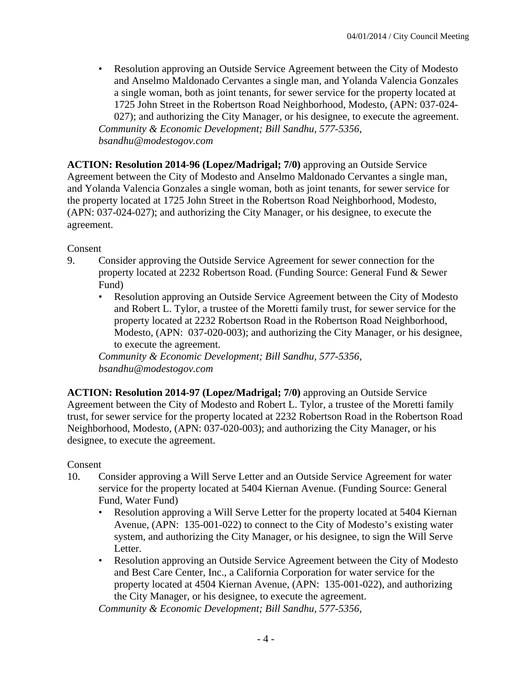• Resolution approving an Outside Service Agreement between the City of Modesto and Anselmo Maldonado Cervantes a single man, and Yolanda Valencia Gonzales a single woman, both as joint tenants, for sewer service for the property located at 1725 John Street in the Robertson Road Neighborhood, Modesto, (APN: 037-024- 027); and authorizing the City Manager, or his designee, to execute the agreement. *Community & Economic Development; Bill Sandhu, 577-5356,* 

*bsandhu@modestogov.com* 

**ACTION: Resolution 2014-96 (Lopez/Madrigal; 7/0)** approving an Outside Service Agreement between the City of Modesto and Anselmo Maldonado Cervantes a single man, and Yolanda Valencia Gonzales a single woman, both as joint tenants, for sewer service for the property located at 1725 John Street in the Robertson Road Neighborhood, Modesto, (APN: 037-024-027); and authorizing the City Manager, or his designee, to execute the agreement.

Consent

- 9. Consider approving the Outside Service Agreement for sewer connection for the property located at 2232 Robertson Road. (Funding Source: General Fund & Sewer Fund)
	- Resolution approving an Outside Service Agreement between the City of Modesto and Robert L. Tylor, a trustee of the Moretti family trust, for sewer service for the property located at 2232 Robertson Road in the Robertson Road Neighborhood, Modesto, (APN: 037-020-003); and authorizing the City Manager, or his designee, to execute the agreement.

*Community & Economic Development; Bill Sandhu, 577-5356, bsandhu@modestogov.com* 

**ACTION: Resolution 2014-97 (Lopez/Madrigal; 7/0)** approving an Outside Service Agreement between the City of Modesto and Robert L. Tylor, a trustee of the Moretti family trust, for sewer service for the property located at 2232 Robertson Road in the Robertson Road Neighborhood, Modesto, (APN: 037-020-003); and authorizing the City Manager, or his designee, to execute the agreement.

Consent

- 10. Consider approving a Will Serve Letter and an Outside Service Agreement for water service for the property located at 5404 Kiernan Avenue. (Funding Source: General Fund, Water Fund)
	- Resolution approving a Will Serve Letter for the property located at 5404 Kiernan Avenue, (APN: 135-001-022) to connect to the City of Modesto's existing water system, and authorizing the City Manager, or his designee, to sign the Will Serve Letter.
	- Resolution approving an Outside Service Agreement between the City of Modesto and Best Care Center, Inc., a California Corporation for water service for the property located at 4504 Kiernan Avenue, (APN: 135-001-022), and authorizing the City Manager, or his designee, to execute the agreement.

*Community & Economic Development; Bill Sandhu, 577-5356,*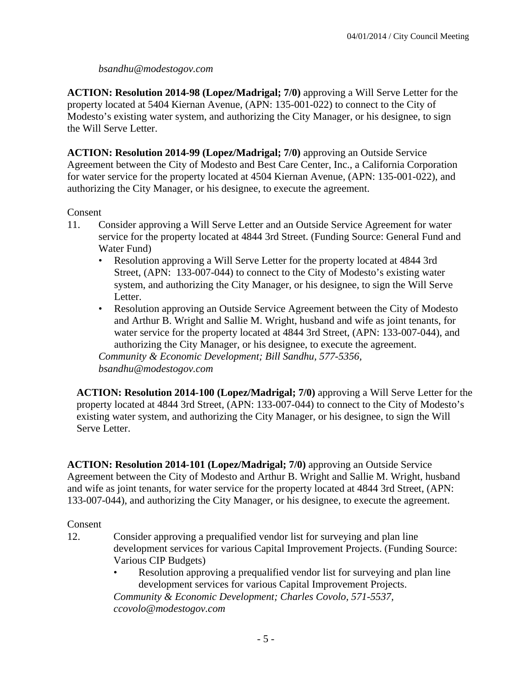## *bsandhu@modestogov.com*

**ACTION: Resolution 2014-98 (Lopez/Madrigal; 7/0)** approving a Will Serve Letter for the property located at 5404 Kiernan Avenue, (APN: 135-001-022) to connect to the City of Modesto's existing water system, and authorizing the City Manager, or his designee, to sign the Will Serve Letter.

**ACTION: Resolution 2014-99 (Lopez/Madrigal; 7/0)** approving an Outside Service Agreement between the City of Modesto and Best Care Center, Inc., a California Corporation for water service for the property located at 4504 Kiernan Avenue, (APN: 135-001-022), and authorizing the City Manager, or his designee, to execute the agreement.

## Consent

- 11. Consider approving a Will Serve Letter and an Outside Service Agreement for water service for the property located at 4844 3rd Street. (Funding Source: General Fund and Water Fund)
	- Resolution approving a Will Serve Letter for the property located at 4844 3rd Street, (APN: 133-007-044) to connect to the City of Modesto's existing water system, and authorizing the City Manager, or his designee, to sign the Will Serve Letter.
	- Resolution approving an Outside Service Agreement between the City of Modesto and Arthur B. Wright and Sallie M. Wright, husband and wife as joint tenants, for water service for the property located at 4844 3rd Street, (APN: 133-007-044), and authorizing the City Manager, or his designee, to execute the agreement.

*Community & Economic Development; Bill Sandhu, 577-5356, bsandhu@modestogov.com* 

**ACTION: Resolution 2014-100 (Lopez/Madrigal; 7/0)** approving a Will Serve Letter for the property located at 4844 3rd Street, (APN: 133-007-044) to connect to the City of Modesto's existing water system, and authorizing the City Manager, or his designee, to sign the Will Serve Letter.

**ACTION: Resolution 2014-101 (Lopez/Madrigal; 7/0)** approving an Outside Service Agreement between the City of Modesto and Arthur B. Wright and Sallie M. Wright, husband and wife as joint tenants, for water service for the property located at 4844 3rd Street, (APN: 133-007-044), and authorizing the City Manager, or his designee, to execute the agreement.

## Consent

- 12. Consider approving a prequalified vendor list for surveying and plan line development services for various Capital Improvement Projects. (Funding Source: Various CIP Budgets)
	- Resolution approving a prequalified vendor list for surveying and plan line development services for various Capital Improvement Projects. *Community & Economic Development; Charles Covolo, 571-5537, ccovolo@modestogov.com*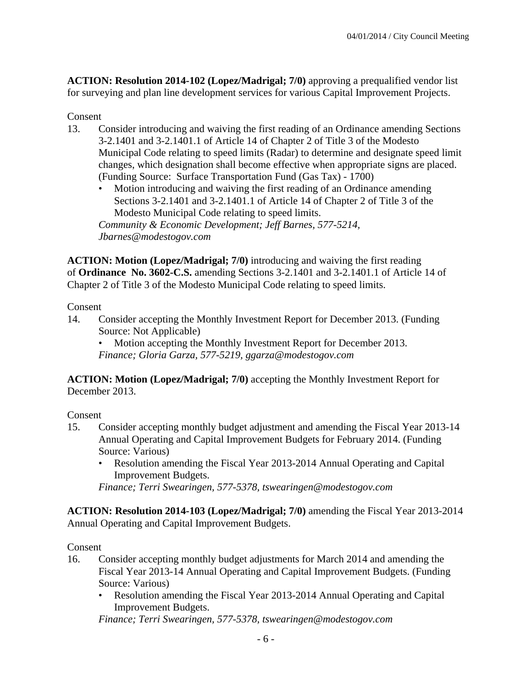**ACTION: Resolution 2014-102 (Lopez/Madrigal; 7/0)** approving a prequalified vendor list for surveying and plan line development services for various Capital Improvement Projects.

## Consent

- 13. Consider introducing and waiving the first reading of an Ordinance amending Sections 3-2.1401 and 3-2.1401.1 of Article 14 of Chapter 2 of Title 3 of the Modesto Municipal Code relating to speed limits (Radar) to determine and designate speed limit changes, which designation shall become effective when appropriate signs are placed. (Funding Source: Surface Transportation Fund (Gas Tax) - 1700)
	- Motion introducing and waiving the first reading of an Ordinance amending Sections 3-2.1401 and 3-2.1401.1 of Article 14 of Chapter 2 of Title 3 of the Modesto Municipal Code relating to speed limits. *Community & Economic Development; Jeff Barnes, 577-5214, Jbarnes@modestogov.com*

**ACTION: Motion (Lopez/Madrigal; 7/0)** introducing and waiving the first reading of **Ordinance No. 3602-C.S.** amending Sections 3-2.1401 and 3-2.1401.1 of Article 14 of Chapter 2 of Title 3 of the Modesto Municipal Code relating to speed limits.

#### Consent

14. Consider accepting the Monthly Investment Report for December 2013. (Funding Source: Not Applicable)

• Motion accepting the Monthly Investment Report for December 2013. *Finance; Gloria Garza, 577-5219, ggarza@modestogov.com* 

**ACTION: Motion (Lopez/Madrigal; 7/0)** accepting the Monthly Investment Report for December 2013.

Consent

- 15. Consider accepting monthly budget adjustment and amending the Fiscal Year 2013-14 Annual Operating and Capital Improvement Budgets for February 2014. (Funding Source: Various)
	- Resolution amending the Fiscal Year 2013-2014 Annual Operating and Capital Improvement Budgets.

*Finance; Terri Swearingen, 577-5378, tswearingen@modestogov.com* 

**ACTION: Resolution 2014-103 (Lopez/Madrigal; 7/0)** amending the Fiscal Year 2013-2014 Annual Operating and Capital Improvement Budgets.

## Consent

- 16. Consider accepting monthly budget adjustments for March 2014 and amending the Fiscal Year 2013-14 Annual Operating and Capital Improvement Budgets. (Funding Source: Various)
	- Resolution amending the Fiscal Year 2013-2014 Annual Operating and Capital Improvement Budgets.

*Finance; Terri Swearingen, 577-5378, tswearingen@modestogov.com*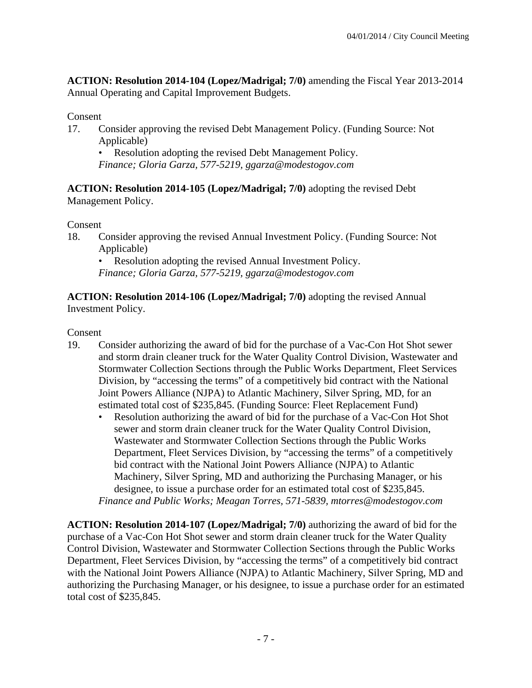**ACTION: Resolution 2014-104 (Lopez/Madrigal; 7/0)** amending the Fiscal Year 2013-2014 Annual Operating and Capital Improvement Budgets.

## Consent

17. Consider approving the revised Debt Management Policy. (Funding Source: Not Applicable)

• Resolution adopting the revised Debt Management Policy. *Finance; Gloria Garza, 577-5219, ggarza@modestogov.com* 

**ACTION: Resolution 2014-105 (Lopez/Madrigal; 7/0)** adopting the revised Debt Management Policy.

Consent

18. Consider approving the revised Annual Investment Policy. (Funding Source: Not Applicable)

• Resolution adopting the revised Annual Investment Policy.

*Finance; Gloria Garza, 577-5219, ggarza@modestogov.com* 

**ACTION: Resolution 2014-106 (Lopez/Madrigal; 7/0)** adopting the revised Annual Investment Policy.

Consent

- 19. Consider authorizing the award of bid for the purchase of a Vac-Con Hot Shot sewer and storm drain cleaner truck for the Water Quality Control Division, Wastewater and Stormwater Collection Sections through the Public Works Department, Fleet Services Division, by "accessing the terms" of a competitively bid contract with the National Joint Powers Alliance (NJPA) to Atlantic Machinery, Silver Spring, MD, for an estimated total cost of \$235,845. (Funding Source: Fleet Replacement Fund)
	- Resolution authorizing the award of bid for the purchase of a Vac-Con Hot Shot sewer and storm drain cleaner truck for the Water Quality Control Division, Wastewater and Stormwater Collection Sections through the Public Works Department, Fleet Services Division, by "accessing the terms" of a competitively bid contract with the National Joint Powers Alliance (NJPA) to Atlantic Machinery, Silver Spring, MD and authorizing the Purchasing Manager, or his designee, to issue a purchase order for an estimated total cost of \$235,845. *Finance and Public Works; Meagan Torres, 571-5839, mtorres@modestogov.com*

**ACTION: Resolution 2014-107 (Lopez/Madrigal; 7/0)** authorizing the award of bid for the purchase of a Vac-Con Hot Shot sewer and storm drain cleaner truck for the Water Quality Control Division, Wastewater and Stormwater Collection Sections through the Public Works Department, Fleet Services Division, by "accessing the terms" of a competitively bid contract with the National Joint Powers Alliance (NJPA) to Atlantic Machinery, Silver Spring, MD and authorizing the Purchasing Manager, or his designee, to issue a purchase order for an estimated total cost of \$235,845.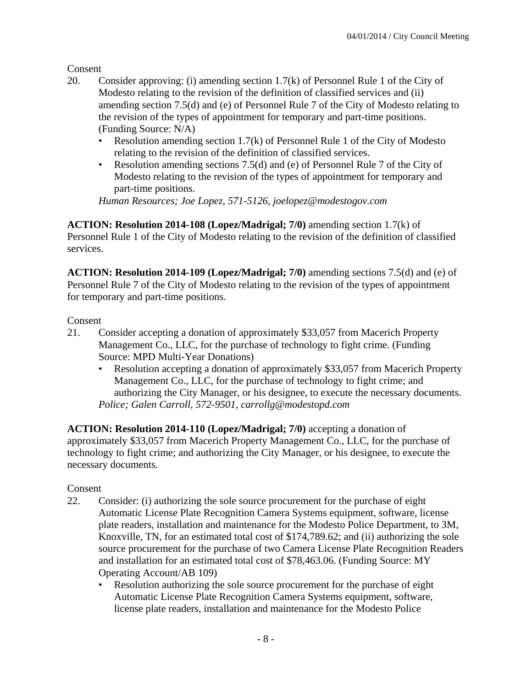Consent

- 20. Consider approving: (i) amending section 1.7(k) of Personnel Rule 1 of the City of Modesto relating to the revision of the definition of classified services and (ii) amending section 7.5(d) and (e) of Personnel Rule 7 of the City of Modesto relating to the revision of the types of appointment for temporary and part-time positions. (Funding Source: N/A)
	- Resolution amending section 1.7(k) of Personnel Rule 1 of the City of Modesto relating to the revision of the definition of classified services.
	- Resolution amending sections 7.5(d) and (e) of Personnel Rule 7 of the City of Modesto relating to the revision of the types of appointment for temporary and part-time positions.

*Human Resources; Joe Lopez, 571-5126, joelopez@modestogov.com* 

**ACTION: Resolution 2014-108 (Lopez/Madrigal; 7/0)** amending section 1.7(k) of Personnel Rule 1 of the City of Modesto relating to the revision of the definition of classified services.

**ACTION: Resolution 2014-109 (Lopez/Madrigal; 7/0)** amending sections 7.5(d) and (e) of Personnel Rule 7 of the City of Modesto relating to the revision of the types of appointment for temporary and part-time positions.

## Consent

- 21. Consider accepting a donation of approximately \$33,057 from Macerich Property Management Co., LLC, for the purchase of technology to fight crime. (Funding Source: MPD Multi-Year Donations)
	- Resolution accepting a donation of approximately \$33,057 from Macerich Property Management Co., LLC, for the purchase of technology to fight crime; and authorizing the City Manager, or his designee, to execute the necessary documents. *Police; Galen Carroll, 572-9501, carrollg@modestopd.com*

**ACTION: Resolution 2014-110 (Lopez/Madrigal; 7/0)** accepting a donation of approximately \$33,057 from Macerich Property Management Co., LLC, for the purchase of technology to fight crime; and authorizing the City Manager, or his designee, to execute the necessary documents.

# Consent

- 22. Consider: (i) authorizing the sole source procurement for the purchase of eight Automatic License Plate Recognition Camera Systems equipment, software, license plate readers, installation and maintenance for the Modesto Police Department, to 3M, Knoxville, TN, for an estimated total cost of \$174,789.62; and (ii) authorizing the sole source procurement for the purchase of two Camera License Plate Recognition Readers and installation for an estimated total cost of \$78,463.06. (Funding Source: MY Operating Account/AB 109)
	- Resolution authorizing the sole source procurement for the purchase of eight Automatic License Plate Recognition Camera Systems equipment, software, license plate readers, installation and maintenance for the Modesto Police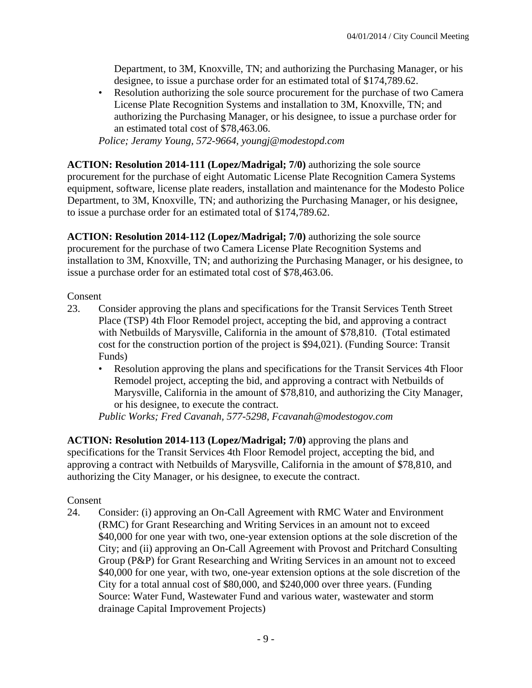Department, to 3M, Knoxville, TN; and authorizing the Purchasing Manager, or his designee, to issue a purchase order for an estimated total of \$174,789.62.

• Resolution authorizing the sole source procurement for the purchase of two Camera License Plate Recognition Systems and installation to 3M, Knoxville, TN; and authorizing the Purchasing Manager, or his designee, to issue a purchase order for an estimated total cost of \$78,463.06.

*Police; Jeramy Young, 572-9664, youngj@modestopd.com* 

**ACTION: Resolution 2014-111 (Lopez/Madrigal; 7/0)** authorizing the sole source procurement for the purchase of eight Automatic License Plate Recognition Camera Systems equipment, software, license plate readers, installation and maintenance for the Modesto Police Department, to 3M, Knoxville, TN; and authorizing the Purchasing Manager, or his designee, to issue a purchase order for an estimated total of \$174,789.62.

**ACTION: Resolution 2014-112 (Lopez/Madrigal; 7/0)** authorizing the sole source procurement for the purchase of two Camera License Plate Recognition Systems and installation to 3M, Knoxville, TN; and authorizing the Purchasing Manager, or his designee, to issue a purchase order for an estimated total cost of \$78,463.06.

Consent

- 23. Consider approving the plans and specifications for the Transit Services Tenth Street Place (TSP) 4th Floor Remodel project, accepting the bid, and approving a contract with Netbuilds of Marysville, California in the amount of \$78,810. (Total estimated cost for the construction portion of the project is \$94,021). (Funding Source: Transit Funds)
	- Resolution approving the plans and specifications for the Transit Services 4th Floor Remodel project, accepting the bid, and approving a contract with Netbuilds of Marysville, California in the amount of \$78,810, and authorizing the City Manager, or his designee, to execute the contract.

*Public Works; Fred Cavanah, 577-5298, Fcavanah@modestogov.com* 

**ACTION: Resolution 2014-113 (Lopez/Madrigal; 7/0)** approving the plans and specifications for the Transit Services 4th Floor Remodel project, accepting the bid, and approving a contract with Netbuilds of Marysville, California in the amount of \$78,810, and authorizing the City Manager, or his designee, to execute the contract.

## Consent

24. Consider: (i) approving an On-Call Agreement with RMC Water and Environment (RMC) for Grant Researching and Writing Services in an amount not to exceed \$40,000 for one year with two, one-year extension options at the sole discretion of the City; and (ii) approving an On-Call Agreement with Provost and Pritchard Consulting Group (P&P) for Grant Researching and Writing Services in an amount not to exceed \$40,000 for one year, with two, one-year extension options at the sole discretion of the City for a total annual cost of \$80,000, and \$240,000 over three years. (Funding Source: Water Fund, Wastewater Fund and various water, wastewater and storm drainage Capital Improvement Projects)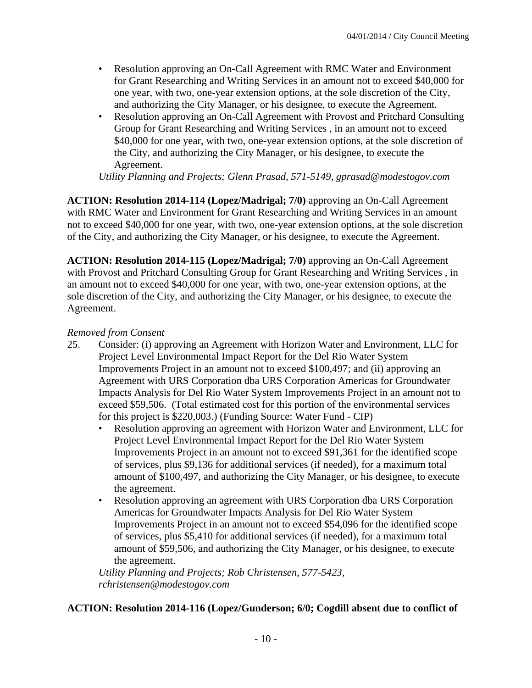- Resolution approving an On-Call Agreement with RMC Water and Environment for Grant Researching and Writing Services in an amount not to exceed \$40,000 for one year, with two, one-year extension options, at the sole discretion of the City, and authorizing the City Manager, or his designee, to execute the Agreement.
- Resolution approving an On-Call Agreement with Provost and Pritchard Consulting Group for Grant Researching and Writing Services , in an amount not to exceed \$40,000 for one year, with two, one-year extension options, at the sole discretion of the City, and authorizing the City Manager, or his designee, to execute the Agreement.

*Utility Planning and Projects; Glenn Prasad, 571-5149, gprasad@modestogov.com* 

**ACTION: Resolution 2014-114 (Lopez/Madrigal; 7/0)** approving an On-Call Agreement with RMC Water and Environment for Grant Researching and Writing Services in an amount not to exceed \$40,000 for one year, with two, one-year extension options, at the sole discretion of the City, and authorizing the City Manager, or his designee, to execute the Agreement.

**ACTION: Resolution 2014-115 (Lopez/Madrigal; 7/0)** approving an On-Call Agreement with Provost and Pritchard Consulting Group for Grant Researching and Writing Services , in an amount not to exceed \$40,000 for one year, with two, one-year extension options, at the sole discretion of the City, and authorizing the City Manager, or his designee, to execute the Agreement.

#### *Removed from Consent*

- 25. Consider: (i) approving an Agreement with Horizon Water and Environment, LLC for Project Level Environmental Impact Report for the Del Rio Water System Improvements Project in an amount not to exceed \$100,497; and (ii) approving an Agreement with URS Corporation dba URS Corporation Americas for Groundwater Impacts Analysis for Del Rio Water System Improvements Project in an amount not to exceed \$59,506. (Total estimated cost for this portion of the environmental services for this project is \$220,003.) (Funding Source: Water Fund - CIP)
	- Resolution approving an agreement with Horizon Water and Environment, LLC for Project Level Environmental Impact Report for the Del Rio Water System Improvements Project in an amount not to exceed \$91,361 for the identified scope of services, plus \$9,136 for additional services (if needed), for a maximum total amount of \$100,497, and authorizing the City Manager, or his designee, to execute the agreement.
	- Resolution approving an agreement with URS Corporation dba URS Corporation Americas for Groundwater Impacts Analysis for Del Rio Water System Improvements Project in an amount not to exceed \$54,096 for the identified scope of services, plus \$5,410 for additional services (if needed), for a maximum total amount of \$59,506, and authorizing the City Manager, or his designee, to execute the agreement.

*Utility Planning and Projects; Rob Christensen, 577-5423, rchristensen@modestogov.com* 

## **ACTION: Resolution 2014-116 (Lopez/Gunderson; 6/0; Cogdill absent due to conflict of**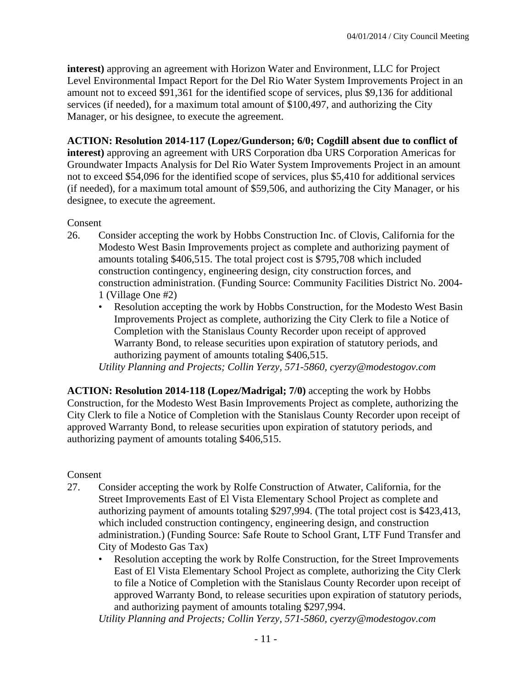**interest)** approving an agreement with Horizon Water and Environment, LLC for Project Level Environmental Impact Report for the Del Rio Water System Improvements Project in an amount not to exceed \$91,361 for the identified scope of services, plus \$9,136 for additional services (if needed), for a maximum total amount of \$100,497, and authorizing the City Manager, or his designee, to execute the agreement.

## **ACTION: Resolution 2014-117 (Lopez/Gunderson; 6/0; Cogdill absent due to conflict of**

**interest)** approving an agreement with URS Corporation dba URS Corporation Americas for Groundwater Impacts Analysis for Del Rio Water System Improvements Project in an amount not to exceed \$54,096 for the identified scope of services, plus \$5,410 for additional services (if needed), for a maximum total amount of \$59,506, and authorizing the City Manager, or his designee, to execute the agreement.

## Consent

- 26. Consider accepting the work by Hobbs Construction Inc. of Clovis, California for the Modesto West Basin Improvements project as complete and authorizing payment of amounts totaling \$406,515. The total project cost is \$795,708 which included construction contingency, engineering design, city construction forces, and construction administration. (Funding Source: Community Facilities District No. 2004- 1 (Village One #2)
	- Resolution accepting the work by Hobbs Construction, for the Modesto West Basin Improvements Project as complete, authorizing the City Clerk to file a Notice of Completion with the Stanislaus County Recorder upon receipt of approved Warranty Bond, to release securities upon expiration of statutory periods, and authorizing payment of amounts totaling \$406,515.

*Utility Planning and Projects; Collin Yerzy, 571-5860, cyerzy@modestogov.com* 

**ACTION: Resolution 2014-118 (Lopez/Madrigal; 7/0)** accepting the work by Hobbs Construction, for the Modesto West Basin Improvements Project as complete, authorizing the City Clerk to file a Notice of Completion with the Stanislaus County Recorder upon receipt of approved Warranty Bond, to release securities upon expiration of statutory periods, and authorizing payment of amounts totaling \$406,515.

## Consent

- 27. Consider accepting the work by Rolfe Construction of Atwater, California, for the Street Improvements East of El Vista Elementary School Project as complete and authorizing payment of amounts totaling \$297,994. (The total project cost is \$423,413, which included construction contingency, engineering design, and construction administration.) (Funding Source: Safe Route to School Grant, LTF Fund Transfer and City of Modesto Gas Tax)
	- Resolution accepting the work by Rolfe Construction, for the Street Improvements East of El Vista Elementary School Project as complete, authorizing the City Clerk to file a Notice of Completion with the Stanislaus County Recorder upon receipt of approved Warranty Bond, to release securities upon expiration of statutory periods, and authorizing payment of amounts totaling \$297,994.

*Utility Planning and Projects; Collin Yerzy, 571-5860, cyerzy@modestogov.com*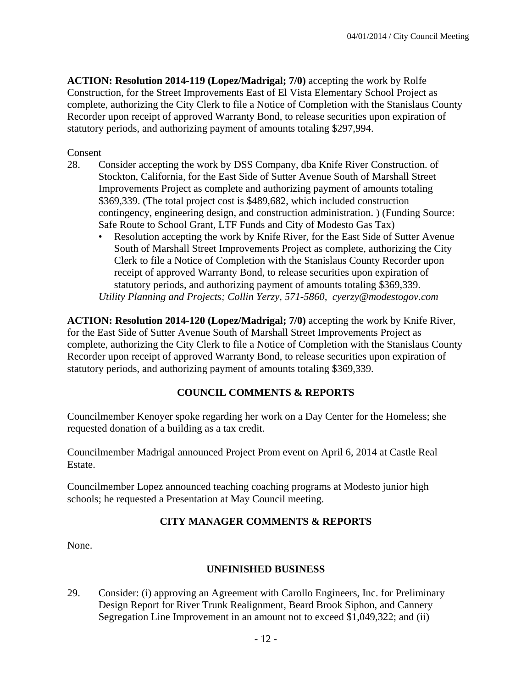**ACTION: Resolution 2014-119 (Lopez/Madrigal; 7/0)** accepting the work by Rolfe Construction, for the Street Improvements East of El Vista Elementary School Project as complete, authorizing the City Clerk to file a Notice of Completion with the Stanislaus County Recorder upon receipt of approved Warranty Bond, to release securities upon expiration of statutory periods, and authorizing payment of amounts totaling \$297,994.

Consent

- 28. Consider accepting the work by DSS Company, dba Knife River Construction. of Stockton, California, for the East Side of Sutter Avenue South of Marshall Street Improvements Project as complete and authorizing payment of amounts totaling \$369,339. (The total project cost is \$489,682, which included construction contingency, engineering design, and construction administration. ) (Funding Source: Safe Route to School Grant, LTF Funds and City of Modesto Gas Tax)
	- Resolution accepting the work by Knife River, for the East Side of Sutter Avenue South of Marshall Street Improvements Project as complete, authorizing the City Clerk to file a Notice of Completion with the Stanislaus County Recorder upon receipt of approved Warranty Bond, to release securities upon expiration of statutory periods, and authorizing payment of amounts totaling \$369,339. *Utility Planning and Projects; Collin Yerzy, 571-5860, cyerzy@modestogov.com*

**ACTION: Resolution 2014-120 (Lopez/Madrigal; 7/0)** accepting the work by Knife River, for the East Side of Sutter Avenue South of Marshall Street Improvements Project as complete, authorizing the City Clerk to file a Notice of Completion with the Stanislaus County Recorder upon receipt of approved Warranty Bond, to release securities upon expiration of statutory periods, and authorizing payment of amounts totaling \$369,339.

## **COUNCIL COMMENTS & REPORTS**

Councilmember Kenoyer spoke regarding her work on a Day Center for the Homeless; she requested donation of a building as a tax credit.

Councilmember Madrigal announced Project Prom event on April 6, 2014 at Castle Real Estate.

Councilmember Lopez announced teaching coaching programs at Modesto junior high schools; he requested a Presentation at May Council meeting.

## **CITY MANAGER COMMENTS & REPORTS**

None.

## **UNFINISHED BUSINESS**

29. Consider: (i) approving an Agreement with Carollo Engineers, Inc. for Preliminary Design Report for River Trunk Realignment, Beard Brook Siphon, and Cannery Segregation Line Improvement in an amount not to exceed \$1,049,322; and (ii)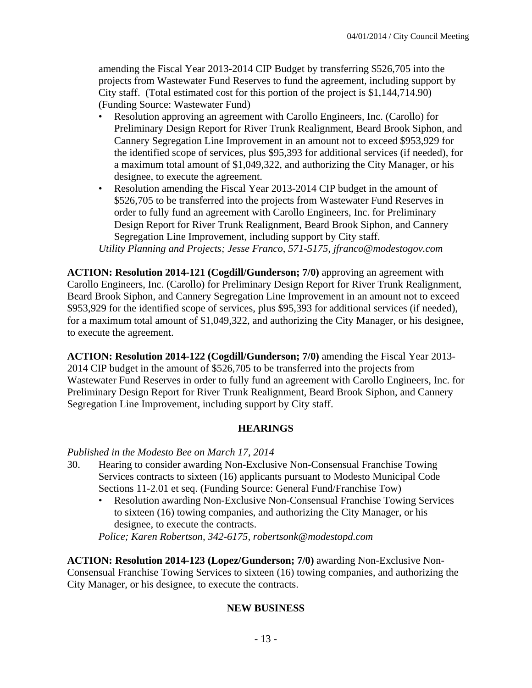amending the Fiscal Year 2013-2014 CIP Budget by transferring \$526,705 into the projects from Wastewater Fund Reserves to fund the agreement, including support by City staff. (Total estimated cost for this portion of the project is \$1,144,714.90) (Funding Source: Wastewater Fund)

- Resolution approving an agreement with Carollo Engineers, Inc. (Carollo) for Preliminary Design Report for River Trunk Realignment, Beard Brook Siphon, and Cannery Segregation Line Improvement in an amount not to exceed \$953,929 for the identified scope of services, plus \$95,393 for additional services (if needed), for a maximum total amount of \$1,049,322, and authorizing the City Manager, or his designee, to execute the agreement.
- Resolution amending the Fiscal Year 2013-2014 CIP budget in the amount of \$526,705 to be transferred into the projects from Wastewater Fund Reserves in order to fully fund an agreement with Carollo Engineers, Inc. for Preliminary Design Report for River Trunk Realignment, Beard Brook Siphon, and Cannery Segregation Line Improvement, including support by City staff.

*Utility Planning and Projects; Jesse Franco, 571-5175, jfranco@modestogov.com* 

**ACTION: Resolution 2014-121 (Cogdill/Gunderson; 7/0)** approving an agreement with Carollo Engineers, Inc. (Carollo) for Preliminary Design Report for River Trunk Realignment, Beard Brook Siphon, and Cannery Segregation Line Improvement in an amount not to exceed \$953,929 for the identified scope of services, plus \$95,393 for additional services (if needed), for a maximum total amount of \$1,049,322, and authorizing the City Manager, or his designee, to execute the agreement.

**ACTION: Resolution 2014-122 (Cogdill/Gunderson; 7/0)** amending the Fiscal Year 2013- 2014 CIP budget in the amount of \$526,705 to be transferred into the projects from Wastewater Fund Reserves in order to fully fund an agreement with Carollo Engineers, Inc. for Preliminary Design Report for River Trunk Realignment, Beard Brook Siphon, and Cannery Segregation Line Improvement, including support by City staff.

## **HEARINGS**

## *Published in the Modesto Bee on March 17, 2014*

- 30. Hearing to consider awarding Non-Exclusive Non-Consensual Franchise Towing Services contracts to sixteen (16) applicants pursuant to Modesto Municipal Code Sections 11-2.01 et seq. (Funding Source: General Fund/Franchise Tow)
	- Resolution awarding Non-Exclusive Non-Consensual Franchise Towing Services to sixteen (16) towing companies, and authorizing the City Manager, or his designee, to execute the contracts.

*Police; Karen Robertson, 342-6175, robertsonk@modestopd.com* 

**ACTION: Resolution 2014-123 (Lopez/Gunderson; 7/0)** awarding Non-Exclusive Non-Consensual Franchise Towing Services to sixteen (16) towing companies, and authorizing the City Manager, or his designee, to execute the contracts.

## **NEW BUSINESS**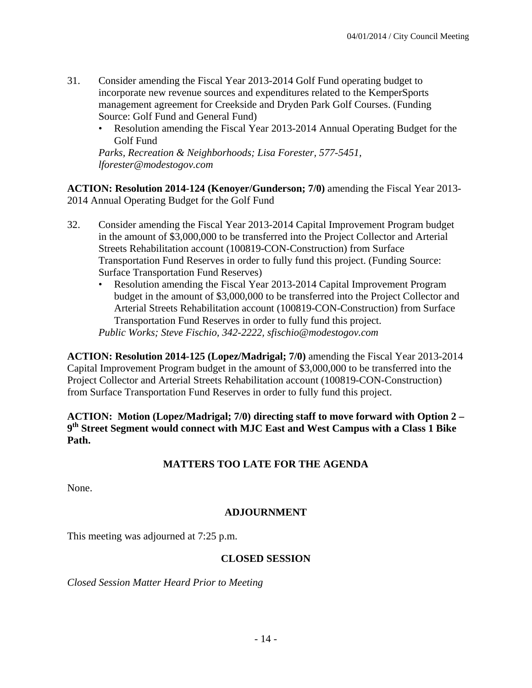- 31. Consider amending the Fiscal Year 2013-2014 Golf Fund operating budget to incorporate new revenue sources and expenditures related to the KemperSports management agreement for Creekside and Dryden Park Golf Courses. (Funding Source: Golf Fund and General Fund)
	- Resolution amending the Fiscal Year 2013-2014 Annual Operating Budget for the Golf Fund

*Parks, Recreation & Neighborhoods; Lisa Forester, 577-5451, lforester@modestogov.com* 

**ACTION: Resolution 2014-124 (Kenoyer/Gunderson; 7/0)** amending the Fiscal Year 2013- 2014 Annual Operating Budget for the Golf Fund

- 32. Consider amending the Fiscal Year 2013-2014 Capital Improvement Program budget in the amount of \$3,000,000 to be transferred into the Project Collector and Arterial Streets Rehabilitation account (100819-CON-Construction) from Surface Transportation Fund Reserves in order to fully fund this project. (Funding Source: Surface Transportation Fund Reserves)
	- Resolution amending the Fiscal Year 2013-2014 Capital Improvement Program budget in the amount of \$3,000,000 to be transferred into the Project Collector and Arterial Streets Rehabilitation account (100819-CON-Construction) from Surface Transportation Fund Reserves in order to fully fund this project.

*Public Works; Steve Fischio, 342-2222, sfischio@modestogov.com* 

**ACTION: Resolution 2014-125 (Lopez/Madrigal; 7/0)** amending the Fiscal Year 2013-2014 Capital Improvement Program budget in the amount of \$3,000,000 to be transferred into the Project Collector and Arterial Streets Rehabilitation account (100819-CON-Construction) from Surface Transportation Fund Reserves in order to fully fund this project.

**ACTION: Motion (Lopez/Madrigal; 7/0) directing staff to move forward with Option 2 – 9th Street Segment would connect with MJC East and West Campus with a Class 1 Bike Path.** 

## **MATTERS TOO LATE FOR THE AGENDA**

None.

## **ADJOURNMENT**

This meeting was adjourned at 7:25 p.m.

## **CLOSED SESSION**

*Closed Session Matter Heard Prior to Meeting*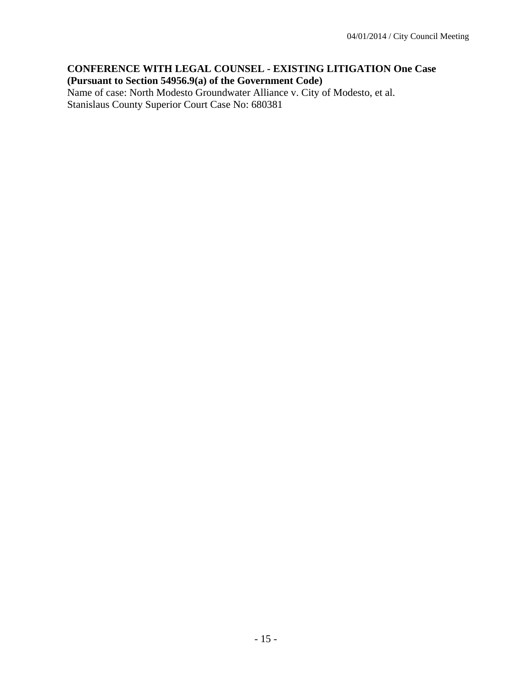## **CONFERENCE WITH LEGAL COUNSEL - EXISTING LITIGATION One Case (Pursuant to Section 54956.9(a) of the Government Code)**

Name of case: North Modesto Groundwater Alliance v. City of Modesto, et al. Stanislaus County Superior Court Case No: 680381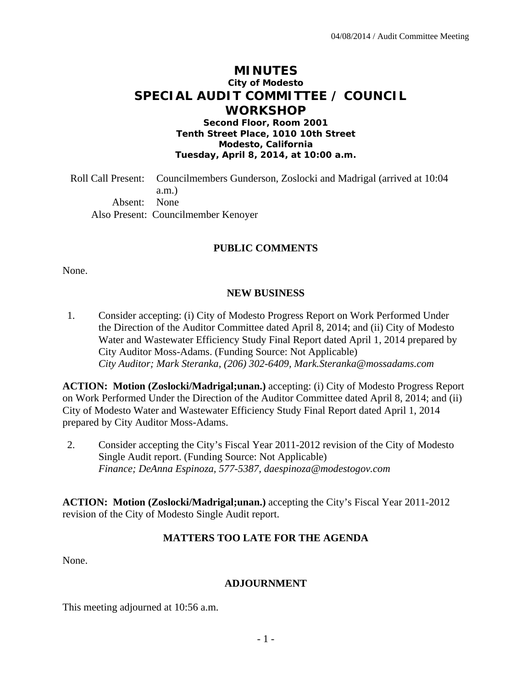# **MINUTES City of Modesto SPECIAL AUDIT COMMITTEE / COUNCIL WORKSHOP**

**Second Floor, Room 2001 Tenth Street Place, 1010 10th Street Modesto, California Tuesday, April 8, 2014, at 10:00 a.m.** 

Roll Call Present: Councilmembers Gunderson, Zoslocki and Madrigal (arrived at 10:04 a.m.) Absent: None Also Present: Councilmember Kenoyer

#### **PUBLIC COMMENTS**

None.

#### **NEW BUSINESS**

1. Consider accepting: (i) City of Modesto Progress Report on Work Performed Under the Direction of the Auditor Committee dated April 8, 2014; and (ii) City of Modesto Water and Wastewater Efficiency Study Final Report dated April 1, 2014 prepared by City Auditor Moss-Adams. (Funding Source: Not Applicable)  *City Auditor; Mark Steranka, (206) 302-6409, Mark.Steranka@mossadams.com* 

**ACTION: Motion (Zoslocki/Madrigal;unan.)** accepting: (i) City of Modesto Progress Report on Work Performed Under the Direction of the Auditor Committee dated April 8, 2014; and (ii) City of Modesto Water and Wastewater Efficiency Study Final Report dated April 1, 2014 prepared by City Auditor Moss-Adams.

2. Consider accepting the City's Fiscal Year 2011-2012 revision of the City of Modesto Single Audit report. (Funding Source: Not Applicable)  *Finance; DeAnna Espinoza, 577-5387, daespinoza@modestogov.com* 

**ACTION: Motion (Zoslocki/Madrigal;unan.)** accepting the City's Fiscal Year 2011-2012 revision of the City of Modesto Single Audit report.

## **MATTERS TOO LATE FOR THE AGENDA**

None.

#### **ADJOURNMENT**

This meeting adjourned at 10:56 a.m.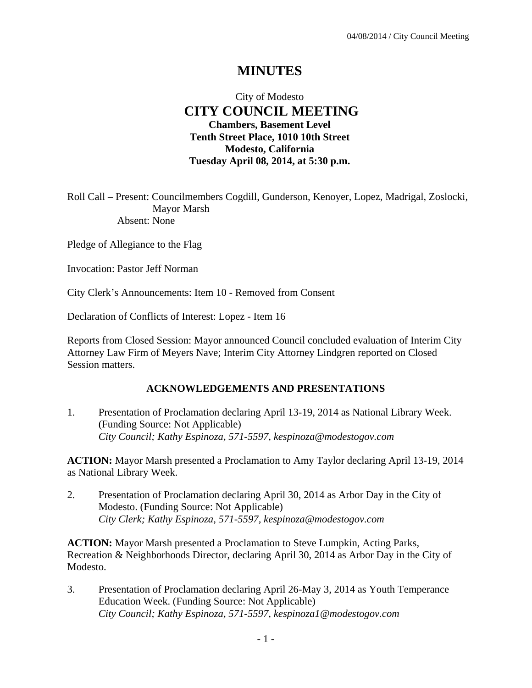# **MINUTES**

## City of Modesto  **CITY COUNCIL MEETING Chambers, Basement Level Tenth Street Place, 1010 10th Street Modesto, California Tuesday April 08, 2014, at 5:30 p.m.**

Roll Call – Present: Councilmembers Cogdill, Gunderson, Kenoyer, Lopez, Madrigal, Zoslocki, Mayor Marsh Absent: None

Pledge of Allegiance to the Flag

Invocation: Pastor Jeff Norman

City Clerk's Announcements: Item 10 - Removed from Consent

Declaration of Conflicts of Interest: Lopez - Item 16

Reports from Closed Session: Mayor announced Council concluded evaluation of Interim City Attorney Law Firm of Meyers Nave; Interim City Attorney Lindgren reported on Closed Session matters.

#### **ACKNOWLEDGEMENTS AND PRESENTATIONS**

1. Presentation of Proclamation declaring April 13-19, 2014 as National Library Week. (Funding Source: Not Applicable)  *City Council; Kathy Espinoza, 571-5597, kespinoza@modestogov.com* 

**ACTION:** Mayor Marsh presented a Proclamation to Amy Taylor declaring April 13-19, 2014 as National Library Week.

2. Presentation of Proclamation declaring April 30, 2014 as Arbor Day in the City of Modesto. (Funding Source: Not Applicable)  *City Clerk; Kathy Espinoza, 571-5597, kespinoza@modestogov.com* 

**ACTION:** Mayor Marsh presented a Proclamation to Steve Lumpkin, Acting Parks, Recreation & Neighborhoods Director, declaring April 30, 2014 as Arbor Day in the City of Modesto.

3. Presentation of Proclamation declaring April 26-May 3, 2014 as Youth Temperance Education Week. (Funding Source: Not Applicable)  *City Council; Kathy Espinoza, 571-5597, kespinoza1@modestogov.com*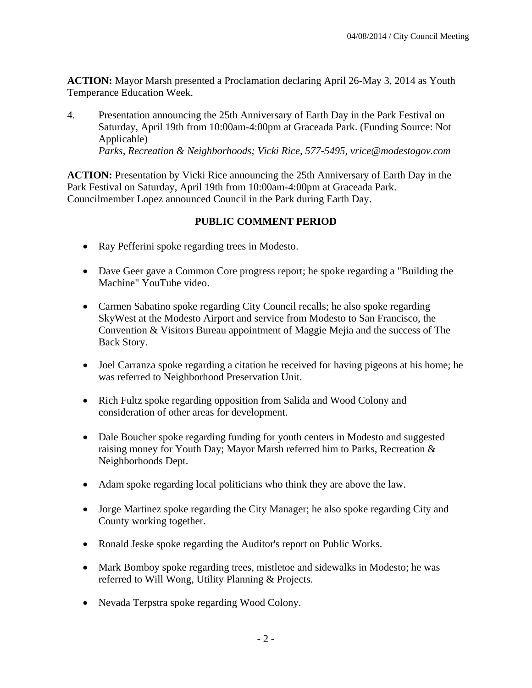**ACTION:** Mayor Marsh presented a Proclamation declaring April 26-May 3, 2014 as Youth Temperance Education Week.

4. Presentation announcing the 25th Anniversary of Earth Day in the Park Festival on Saturday, April 19th from 10:00am-4:00pm at Graceada Park. (Funding Source: Not Applicable)  *Parks, Recreation & Neighborhoods; Vicki Rice, 577-5495, vrice@modestogov.com* 

**ACTION:** Presentation by Vicki Rice announcing the 25th Anniversary of Earth Day in the Park Festival on Saturday, April 19th from 10:00am-4:00pm at Graceada Park. Councilmember Lopez announced Council in the Park during Earth Day.

## **PUBLIC COMMENT PERIOD**

- Ray Pefferini spoke regarding trees in Modesto.
- Dave Geer gave a Common Core progress report; he spoke regarding a "Building the Machine" YouTube video.
- Carmen Sabatino spoke regarding City Council recalls; he also spoke regarding SkyWest at the Modesto Airport and service from Modesto to San Francisco, the Convention & Visitors Bureau appointment of Maggie Mejia and the success of The Back Story.
- Joel Carranza spoke regarding a citation he received for having pigeons at his home; he was referred to Neighborhood Preservation Unit.
- Rich Fultz spoke regarding opposition from Salida and Wood Colony and consideration of other areas for development.
- Dale Boucher spoke regarding funding for youth centers in Modesto and suggested raising money for Youth Day; Mayor Marsh referred him to Parks, Recreation & Neighborhoods Dept.
- Adam spoke regarding local politicians who think they are above the law.
- Jorge Martinez spoke regarding the City Manager; he also spoke regarding City and County working together.
- Ronald Jeske spoke regarding the Auditor's report on Public Works.
- Mark Bomboy spoke regarding trees, mistletoe and sidewalks in Modesto; he was referred to Will Wong, Utility Planning & Projects.
- Nevada Terpstra spoke regarding Wood Colony.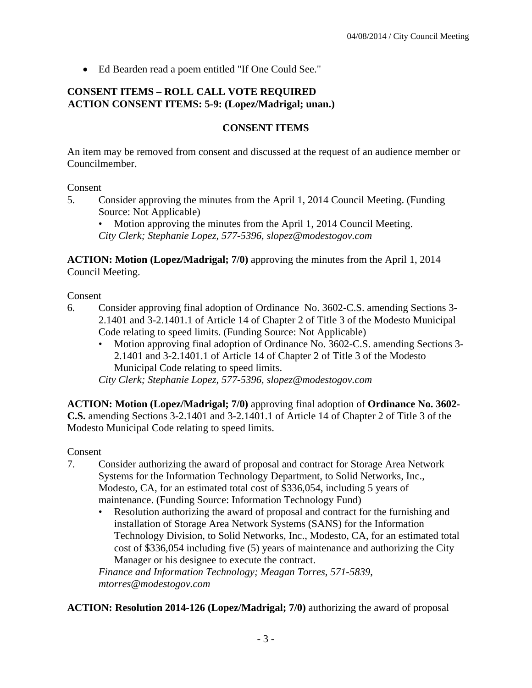Ed Bearden read a poem entitled "If One Could See."

## **CONSENT ITEMS – ROLL CALL VOTE REQUIRED ACTION CONSENT ITEMS: 5-9: (Lopez/Madrigal; unan.)**

## **CONSENT ITEMS**

An item may be removed from consent and discussed at the request of an audience member or Councilmember.

#### Consent

5. Consider approving the minutes from the April 1, 2014 Council Meeting. (Funding Source: Not Applicable)

• Motion approving the minutes from the April 1, 2014 Council Meeting. *City Clerk; Stephanie Lopez, 577-5396, slopez@modestogov.com* 

**ACTION: Motion (Lopez/Madrigal; 7/0)** approving the minutes from the April 1, 2014 Council Meeting.

Consent

- 6. Consider approving final adoption of Ordinance No. 3602-C.S. amending Sections 3- 2.1401 and 3-2.1401.1 of Article 14 of Chapter 2 of Title 3 of the Modesto Municipal Code relating to speed limits. (Funding Source: Not Applicable)
	- Motion approving final adoption of Ordinance No. 3602-C.S. amending Sections 3- 2.1401 and 3-2.1401.1 of Article 14 of Chapter 2 of Title 3 of the Modesto Municipal Code relating to speed limits.

*City Clerk; Stephanie Lopez, 577-5396, slopez@modestogov.com* 

**ACTION: Motion (Lopez/Madrigal; 7/0)** approving final adoption of **Ordinance No. 3602- C.S.** amending Sections 3-2.1401 and 3-2.1401.1 of Article 14 of Chapter 2 of Title 3 of the Modesto Municipal Code relating to speed limits.

Consent

- 7. Consider authorizing the award of proposal and contract for Storage Area Network Systems for the Information Technology Department, to Solid Networks, Inc., Modesto, CA, for an estimated total cost of \$336,054, including 5 years of maintenance. (Funding Source: Information Technology Fund)
	- Resolution authorizing the award of proposal and contract for the furnishing and installation of Storage Area Network Systems (SANS) for the Information Technology Division, to Solid Networks, Inc., Modesto, CA, for an estimated total cost of \$336,054 including five (5) years of maintenance and authorizing the City Manager or his designee to execute the contract.

*Finance and Information Technology; Meagan Torres, 571-5839, mtorres@modestogov.com* 

**ACTION: Resolution 2014-126 (Lopez/Madrigal; 7/0)** authorizing the award of proposal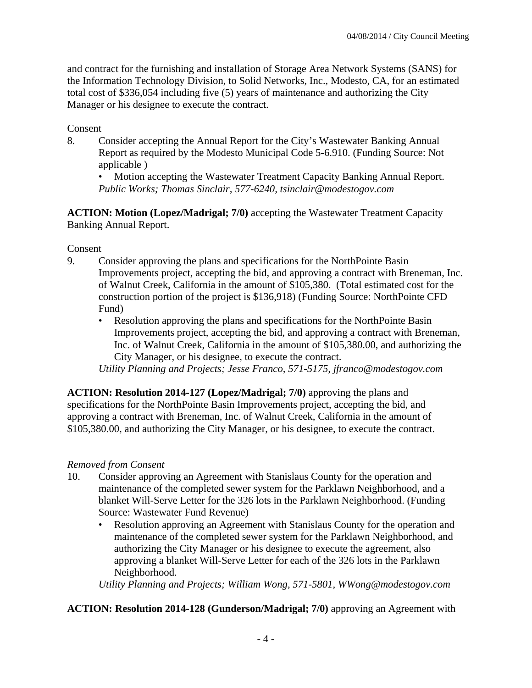and contract for the furnishing and installation of Storage Area Network Systems (SANS) for the Information Technology Division, to Solid Networks, Inc., Modesto, CA, for an estimated total cost of \$336,054 including five (5) years of maintenance and authorizing the City Manager or his designee to execute the contract.

Consent

8. Consider accepting the Annual Report for the City's Wastewater Banking Annual Report as required by the Modesto Municipal Code 5-6.910. (Funding Source: Not applicable )

• Motion accepting the Wastewater Treatment Capacity Banking Annual Report. *Public Works; Thomas Sinclair, 577-6240, tsinclair@modestogov.com* 

**ACTION: Motion (Lopez/Madrigal; 7/0)** accepting the Wastewater Treatment Capacity Banking Annual Report.

Consent

- 9. Consider approving the plans and specifications for the NorthPointe Basin Improvements project, accepting the bid, and approving a contract with Breneman, Inc. of Walnut Creek, California in the amount of \$105,380. (Total estimated cost for the construction portion of the project is \$136,918) (Funding Source: NorthPointe CFD Fund)
	- Resolution approving the plans and specifications for the NorthPointe Basin Improvements project, accepting the bid, and approving a contract with Breneman, Inc. of Walnut Creek, California in the amount of \$105,380.00, and authorizing the City Manager, or his designee, to execute the contract.

*Utility Planning and Projects; Jesse Franco, 571-5175, jfranco@modestogov.com* 

**ACTION: Resolution 2014-127 (Lopez/Madrigal; 7/0)** approving the plans and specifications for the NorthPointe Basin Improvements project, accepting the bid, and approving a contract with Breneman, Inc. of Walnut Creek, California in the amount of \$105,380.00, and authorizing the City Manager, or his designee, to execute the contract.

## *Removed from Consent*

- 10. Consider approving an Agreement with Stanislaus County for the operation and maintenance of the completed sewer system for the Parklawn Neighborhood, and a blanket Will-Serve Letter for the 326 lots in the Parklawn Neighborhood. (Funding Source: Wastewater Fund Revenue)
	- Resolution approving an Agreement with Stanislaus County for the operation and maintenance of the completed sewer system for the Parklawn Neighborhood, and authorizing the City Manager or his designee to execute the agreement, also approving a blanket Will-Serve Letter for each of the 326 lots in the Parklawn Neighborhood.

*Utility Planning and Projects; William Wong, 571-5801, WWong@modestogov.com* 

**ACTION: Resolution 2014-128 (Gunderson/Madrigal; 7/0)** approving an Agreement with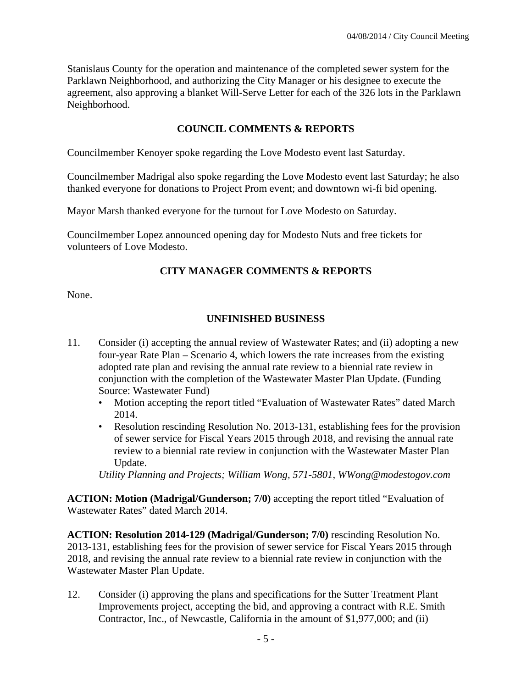Stanislaus County for the operation and maintenance of the completed sewer system for the Parklawn Neighborhood, and authorizing the City Manager or his designee to execute the agreement, also approving a blanket Will-Serve Letter for each of the 326 lots in the Parklawn Neighborhood.

## **COUNCIL COMMENTS & REPORTS**

Councilmember Kenoyer spoke regarding the Love Modesto event last Saturday.

Councilmember Madrigal also spoke regarding the Love Modesto event last Saturday; he also thanked everyone for donations to Project Prom event; and downtown wi-fi bid opening.

Mayor Marsh thanked everyone for the turnout for Love Modesto on Saturday.

Councilmember Lopez announced opening day for Modesto Nuts and free tickets for volunteers of Love Modesto.

## **CITY MANAGER COMMENTS & REPORTS**

None.

## **UNFINISHED BUSINESS**

- 11. Consider (i) accepting the annual review of Wastewater Rates; and (ii) adopting a new four-year Rate Plan – Scenario 4, which lowers the rate increases from the existing adopted rate plan and revising the annual rate review to a biennial rate review in conjunction with the completion of the Wastewater Master Plan Update. (Funding Source: Wastewater Fund)
	- Motion accepting the report titled "Evaluation of Wastewater Rates" dated March 2014.
	- Resolution rescinding Resolution No. 2013-131, establishing fees for the provision of sewer service for Fiscal Years 2015 through 2018, and revising the annual rate review to a biennial rate review in conjunction with the Wastewater Master Plan Update.

*Utility Planning and Projects; William Wong, 571-5801, WWong@modestogov.com* 

**ACTION: Motion (Madrigal/Gunderson; 7/0)** accepting the report titled "Evaluation of Wastewater Rates" dated March 2014.

**ACTION: Resolution 2014-129 (Madrigal/Gunderson; 7/0)** rescinding Resolution No. 2013-131, establishing fees for the provision of sewer service for Fiscal Years 2015 through 2018, and revising the annual rate review to a biennial rate review in conjunction with the Wastewater Master Plan Update.

12. Consider (i) approving the plans and specifications for the Sutter Treatment Plant Improvements project, accepting the bid, and approving a contract with R.E. Smith Contractor, Inc., of Newcastle, California in the amount of \$1,977,000; and (ii)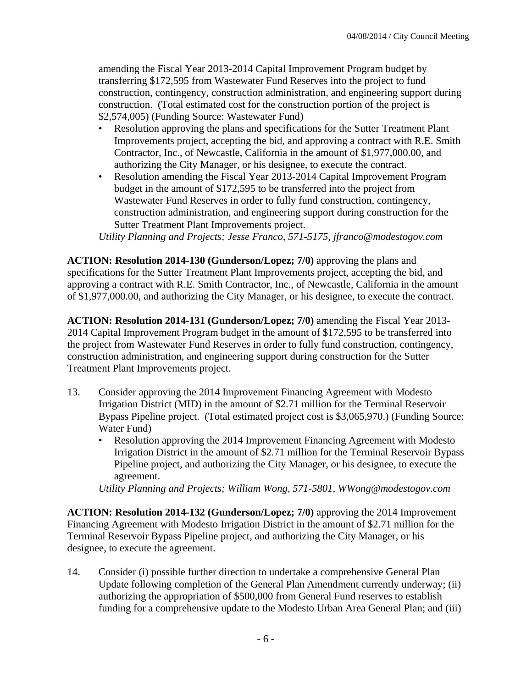amending the Fiscal Year 2013-2014 Capital Improvement Program budget by transferring \$172,595 from Wastewater Fund Reserves into the project to fund construction, contingency, construction administration, and engineering support during construction. (Total estimated cost for the construction portion of the project is \$2,574,005) (Funding Source: Wastewater Fund)

- Resolution approving the plans and specifications for the Sutter Treatment Plant Improvements project, accepting the bid, and approving a contract with R.E. Smith Contractor, Inc., of Newcastle, California in the amount of \$1,977,000.00, and authorizing the City Manager, or his designee, to execute the contract.
- Resolution amending the Fiscal Year 2013-2014 Capital Improvement Program budget in the amount of \$172,595 to be transferred into the project from Wastewater Fund Reserves in order to fully fund construction, contingency, construction administration, and engineering support during construction for the Sutter Treatment Plant Improvements project.

*Utility Planning and Projects; Jesse Franco, 571-5175, jfranco@modestogov.com* 

**ACTION: Resolution 2014-130 (Gunderson/Lopez; 7/0)** approving the plans and specifications for the Sutter Treatment Plant Improvements project, accepting the bid, and approving a contract with R.E. Smith Contractor, Inc., of Newcastle, California in the amount of \$1,977,000.00, and authorizing the City Manager, or his designee, to execute the contract.

**ACTION: Resolution 2014-131 (Gunderson/Lopez; 7/0)** amending the Fiscal Year 2013- 2014 Capital Improvement Program budget in the amount of \$172,595 to be transferred into the project from Wastewater Fund Reserves in order to fully fund construction, contingency, construction administration, and engineering support during construction for the Sutter Treatment Plant Improvements project.

- 13. Consider approving the 2014 Improvement Financing Agreement with Modesto Irrigation District (MID) in the amount of \$2.71 million for the Terminal Reservoir Bypass Pipeline project. (Total estimated project cost is \$3,065,970.) (Funding Source: Water Fund)
	- Resolution approving the 2014 Improvement Financing Agreement with Modesto Irrigation District in the amount of \$2.71 million for the Terminal Reservoir Bypass Pipeline project, and authorizing the City Manager, or his designee, to execute the agreement.

*Utility Planning and Projects; William Wong, 571-5801, WWong@modestogov.com* 

**ACTION: Resolution 2014-132 (Gunderson/Lopez; 7/0)** approving the 2014 Improvement Financing Agreement with Modesto Irrigation District in the amount of \$2.71 million for the Terminal Reservoir Bypass Pipeline project, and authorizing the City Manager, or his designee, to execute the agreement.

14. Consider (i) possible further direction to undertake a comprehensive General Plan Update following completion of the General Plan Amendment currently underway; (ii) authorizing the appropriation of \$500,000 from General Fund reserves to establish funding for a comprehensive update to the Modesto Urban Area General Plan; and (iii)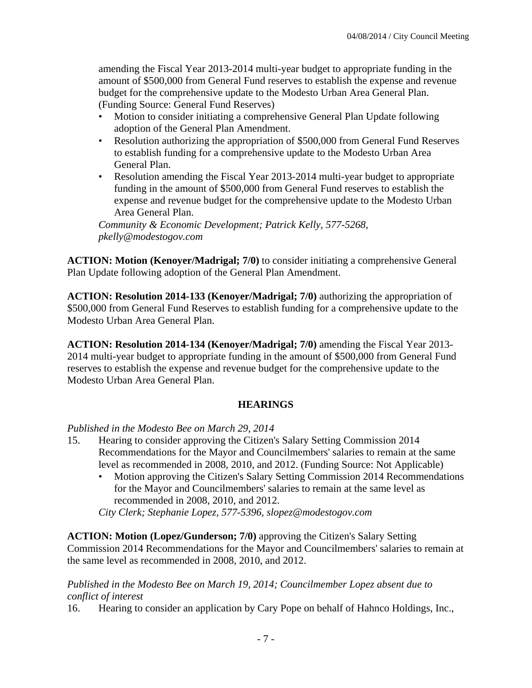amending the Fiscal Year 2013-2014 multi-year budget to appropriate funding in the amount of \$500,000 from General Fund reserves to establish the expense and revenue budget for the comprehensive update to the Modesto Urban Area General Plan. (Funding Source: General Fund Reserves)

- Motion to consider initiating a comprehensive General Plan Update following adoption of the General Plan Amendment.
- Resolution authorizing the appropriation of \$500,000 from General Fund Reserves to establish funding for a comprehensive update to the Modesto Urban Area General Plan.
- Resolution amending the Fiscal Year 2013-2014 multi-year budget to appropriate funding in the amount of \$500,000 from General Fund reserves to establish the expense and revenue budget for the comprehensive update to the Modesto Urban Area General Plan.

*Community & Economic Development; Patrick Kelly, 577-5268, pkelly@modestogov.com* 

**ACTION: Motion (Kenoyer/Madrigal; 7/0)** to consider initiating a comprehensive General Plan Update following adoption of the General Plan Amendment.

**ACTION: Resolution 2014-133 (Kenoyer/Madrigal; 7/0)** authorizing the appropriation of \$500,000 from General Fund Reserves to establish funding for a comprehensive update to the Modesto Urban Area General Plan.

**ACTION: Resolution 2014-134 (Kenoyer/Madrigal; 7/0)** amending the Fiscal Year 2013- 2014 multi-year budget to appropriate funding in the amount of \$500,000 from General Fund reserves to establish the expense and revenue budget for the comprehensive update to the Modesto Urban Area General Plan.

## **HEARINGS**

#### *Published in the Modesto Bee on March 29, 2014*

- 15. Hearing to consider approving the Citizen's Salary Setting Commission 2014 Recommendations for the Mayor and Councilmembers' salaries to remain at the same level as recommended in 2008, 2010, and 2012. (Funding Source: Not Applicable)
	- Motion approving the Citizen's Salary Setting Commission 2014 Recommendations for the Mayor and Councilmembers' salaries to remain at the same level as recommended in 2008, 2010, and 2012.

*City Clerk; Stephanie Lopez, 577-5396, slopez@modestogov.com* 

**ACTION: Motion (Lopez/Gunderson; 7/0)** approving the Citizen's Salary Setting Commission 2014 Recommendations for the Mayor and Councilmembers' salaries to remain at the same level as recommended in 2008, 2010, and 2012.

*Published in the Modesto Bee on March 19, 2014; Councilmember Lopez absent due to conflict of interest* 

16. Hearing to consider an application by Cary Pope on behalf of Hahnco Holdings, Inc.,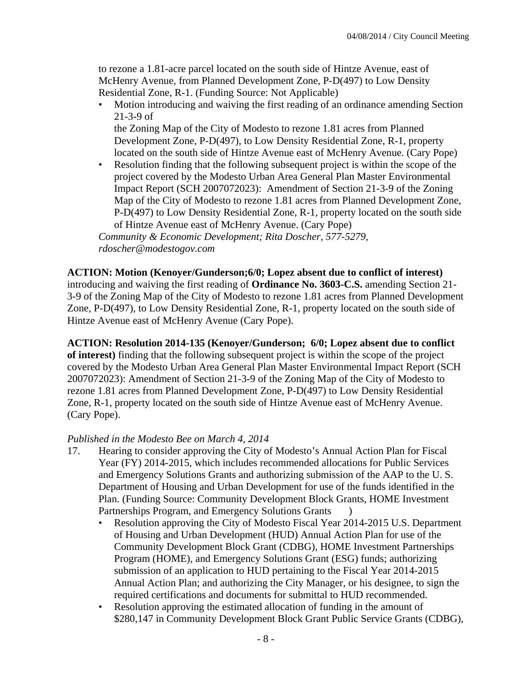to rezone a 1.81-acre parcel located on the south side of Hintze Avenue, east of McHenry Avenue, from Planned Development Zone, P-D(497) to Low Density Residential Zone, R-1. (Funding Source: Not Applicable)

• Motion introducing and waiving the first reading of an ordinance amending Section 21-3-9 of the Zoning Map of the City of Modesto to rezone 1.81 acres from Planned

Development Zone, P-D(497), to Low Density Residential Zone, R-1, property located on the south side of Hintze Avenue east of McHenry Avenue. (Cary Pope)

• Resolution finding that the following subsequent project is within the scope of the project covered by the Modesto Urban Area General Plan Master Environmental Impact Report (SCH 2007072023): Amendment of Section 21-3-9 of the Zoning Map of the City of Modesto to rezone 1.81 acres from Planned Development Zone, P-D(497) to Low Density Residential Zone, R-1, property located on the south side of Hintze Avenue east of McHenry Avenue. (Cary Pope)

*Community & Economic Development; Rita Doscher, 577-5279, rdoscher@modestogov.com* 

## **ACTION: Motion (Kenoyer/Gunderson;6/0; Lopez absent due to conflict of interest)**

introducing and waiving the first reading of **Ordinance No. 3603-C.S.** amending Section 21- 3-9 of the Zoning Map of the City of Modesto to rezone 1.81 acres from Planned Development Zone, P-D(497), to Low Density Residential Zone, R-1, property located on the south side of Hintze Avenue east of McHenry Avenue (Cary Pope).

#### **ACTION: Resolution 2014-135 (Kenoyer/Gunderson; 6/0; Lopez absent due to conflict**

**of interest)** finding that the following subsequent project is within the scope of the project covered by the Modesto Urban Area General Plan Master Environmental Impact Report (SCH 2007072023): Amendment of Section 21-3-9 of the Zoning Map of the City of Modesto to rezone 1.81 acres from Planned Development Zone, P-D(497) to Low Density Residential Zone, R-1, property located on the south side of Hintze Avenue east of McHenry Avenue. (Cary Pope).

## *Published in the Modesto Bee on March 4, 2014*

- 17. Hearing to consider approving the City of Modesto's Annual Action Plan for Fiscal Year (FY) 2014-2015, which includes recommended allocations for Public Services and Emergency Solutions Grants and authorizing submission of the AAP to the U. S. Department of Housing and Urban Development for use of the funds identified in the Plan. (Funding Source: Community Development Block Grants, HOME Investment Partnerships Program, and Emergency Solutions Grants )
	- Resolution approving the City of Modesto Fiscal Year 2014-2015 U.S. Department of Housing and Urban Development (HUD) Annual Action Plan for use of the Community Development Block Grant (CDBG), HOME Investment Partnerships Program (HOME), and Emergency Solutions Grant (ESG) funds; authorizing submission of an application to HUD pertaining to the Fiscal Year 2014-2015 Annual Action Plan; and authorizing the City Manager, or his designee, to sign the required certifications and documents for submittal to HUD recommended.
	- Resolution approving the estimated allocation of funding in the amount of \$280,147 in Community Development Block Grant Public Service Grants (CDBG),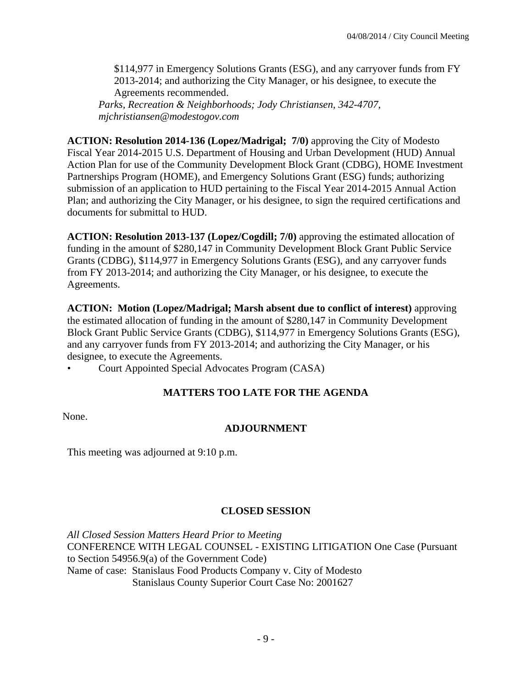\$114,977 in Emergency Solutions Grants (ESG), and any carryover funds from FY 2013-2014; and authorizing the City Manager, or his designee, to execute the Agreements recommended. *Parks, Recreation & Neighborhoods; Jody Christiansen, 342-4707,* 

*mjchristiansen@modestogov.com* 

**ACTION: Resolution 2014-136 (Lopez/Madrigal; 7/0)** approving the City of Modesto Fiscal Year 2014-2015 U.S. Department of Housing and Urban Development (HUD) Annual Action Plan for use of the Community Development Block Grant (CDBG), HOME Investment Partnerships Program (HOME), and Emergency Solutions Grant (ESG) funds; authorizing submission of an application to HUD pertaining to the Fiscal Year 2014-2015 Annual Action Plan; and authorizing the City Manager, or his designee, to sign the required certifications and documents for submittal to HUD.

**ACTION: Resolution 2013-137 (Lopez/Cogdill; 7/0)** approving the estimated allocation of funding in the amount of \$280,147 in Community Development Block Grant Public Service Grants (CDBG), \$114,977 in Emergency Solutions Grants (ESG), and any carryover funds from FY 2013-2014; and authorizing the City Manager, or his designee, to execute the Agreements.

**ACTION: Motion (Lopez/Madrigal; Marsh absent due to conflict of interest)** approving the estimated allocation of funding in the amount of \$280,147 in Community Development Block Grant Public Service Grants (CDBG), \$114,977 in Emergency Solutions Grants (ESG), and any carryover funds from FY 2013-2014; and authorizing the City Manager, or his designee, to execute the Agreements.

• Court Appointed Special Advocates Program (CASA)

## **MATTERS TOO LATE FOR THE AGENDA**

None.

## **ADJOURNMENT**

This meeting was adjourned at 9:10 p.m.

## **CLOSED SESSION**

*All Closed Session Matters Heard Prior to Meeting* CONFERENCE WITH LEGAL COUNSEL - EXISTING LITIGATION One Case (Pursuant to Section 54956.9(a) of the Government Code) Name of case: Stanislaus Food Products Company v. City of Modesto Stanislaus County Superior Court Case No: 2001627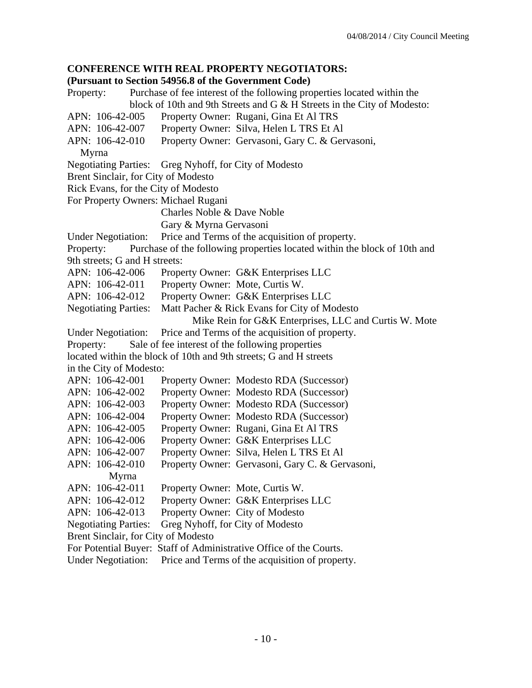#### **CONFERENCE WITH REAL PROPERTY NEGOTIATORS:**

#### **(Pursuant to Section 54956.8 of the Government Code)**

Property: Purchase of fee interest of the following properties located within the block of 10th and 9th Streets and G & H Streets in the City of Modesto: APN: 106-42-005 Property Owner: Rugani, Gina Et Al TRS APN: 106-42-007 Property Owner: Silva, Helen L TRS Et Al APN: 106-42-010 Property Owner: Gervasoni, Gary C. & Gervasoni, Myrna Negotiating Parties: Greg Nyhoff, for City of Modesto Brent Sinclair, for City of Modesto Rick Evans, for the City of Modesto For Property Owners: Michael Rugani Charles Noble & Dave Noble Gary & Myrna Gervasoni Under Negotiation: Price and Terms of the acquisition of property. Property: Purchase of the following properties located within the block of 10th and 9th streets; G and H streets: APN: 106-42-006 Property Owner: G&K Enterprises LLC APN: 106-42-011 Property Owner: Mote, Curtis W. APN: 106-42-012 Property Owner: G&K Enterprises LLC Negotiating Parties: Matt Pacher & Rick Evans for City of Modesto Mike Rein for G&K Enterprises, LLC and Curtis W. Mote Under Negotiation: Price and Terms of the acquisition of property. Property: Sale of fee interest of the following properties located within the block of 10th and 9th streets; G and H streets in the City of Modesto: APN: 106-42-001 Property Owner: Modesto RDA (Successor) APN: 106-42-002 Property Owner: Modesto RDA (Successor) APN: 106-42-003 Property Owner: Modesto RDA (Successor) APN: 106-42-004 Property Owner: Modesto RDA (Successor) APN: 106-42-005 Property Owner: Rugani, Gina Et Al TRS APN: 106-42-006 Property Owner: G&K Enterprises LLC APN: 106-42-007 Property Owner: Silva, Helen L TRS Et Al APN: 106-42-010 Property Owner: Gervasoni, Gary C. & Gervasoni, Myrna APN: 106-42-011 Property Owner: Mote, Curtis W. APN: 106-42-012 Property Owner: G&K Enterprises LLC APN: 106-42-013 Property Owner: City of Modesto Negotiating Parties: Greg Nyhoff, for City of Modesto Brent Sinclair, for City of Modesto For Potential Buyer: Staff of Administrative Office of the Courts. Under Negotiation: Price and Terms of the acquisition of property.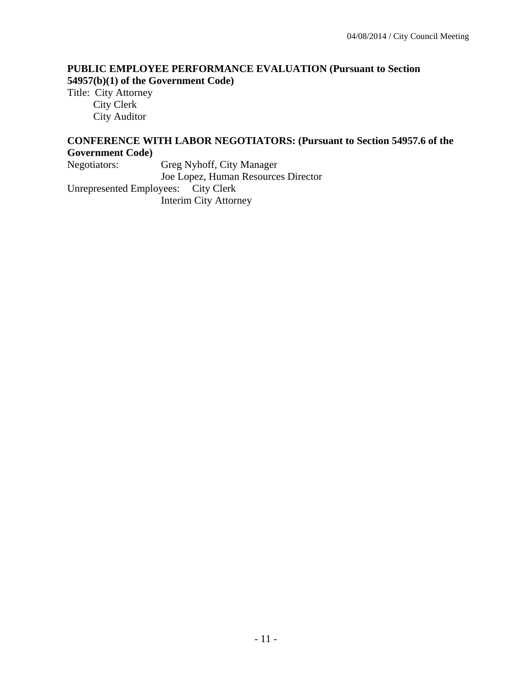## **PUBLIC EMPLOYEE PERFORMANCE EVALUATION (Pursuant to Section 54957(b)(1) of the Government Code)**

Title: City Attorney City Clerk City Auditor

## **CONFERENCE WITH LABOR NEGOTIATORS: (Pursuant to Section 54957.6 of the Government Code)**

Negotiators: Greg Nyhoff, City Manager

Joe Lopez, Human Resources Director

Unrepresented Employees: City Clerk Interim City Attorney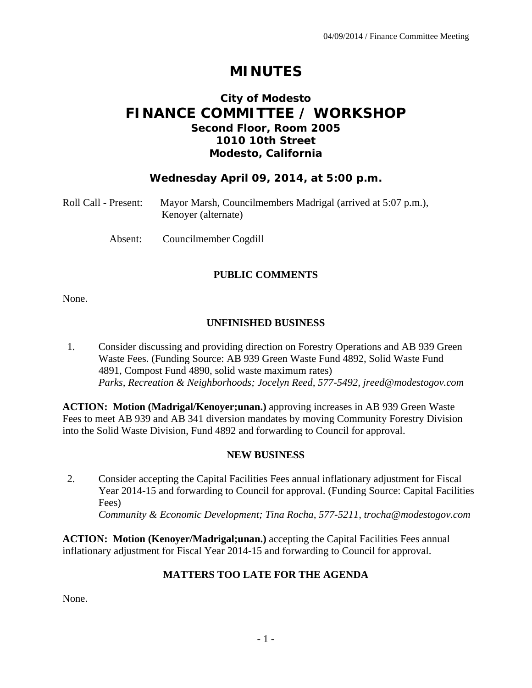# **MINUTES**

# **City of Modesto FINANCE COMMITTEE / WORKSHOP Second Floor, Room 2005 1010 10th Street Modesto, California**

## **Wednesday April 09, 2014, at 5:00 p.m.**

| Roll Call - Present: | Mayor Marsh, Councilmembers Madrigal (arrived at 5:07 p.m.), |
|----------------------|--------------------------------------------------------------|
|                      | Kenoyer (alternate)                                          |

Absent: Councilmember Cogdill

## **PUBLIC COMMENTS**

None.

## **UNFINISHED BUSINESS**

1. Consider discussing and providing direction on Forestry Operations and AB 939 Green Waste Fees. (Funding Source: AB 939 Green Waste Fund 4892, Solid Waste Fund 4891, Compost Fund 4890, solid waste maximum rates)  *Parks, Recreation & Neighborhoods; Jocelyn Reed, 577-5492, jreed@modestogov.com* 

**ACTION: Motion (Madrigal/Kenoyer;unan.)** approving increases in AB 939 Green Waste Fees to meet AB 939 and AB 341 diversion mandates by moving Community Forestry Division into the Solid Waste Division, Fund 4892 and forwarding to Council for approval.

## **NEW BUSINESS**

2. Consider accepting the Capital Facilities Fees annual inflationary adjustment for Fiscal Year 2014-15 and forwarding to Council for approval. (Funding Source: Capital Facilities Fees)  *Community & Economic Development; Tina Rocha, 577-5211, trocha@modestogov.com* 

**ACTION: Motion (Kenoyer/Madrigal;unan.)** accepting the Capital Facilities Fees annual inflationary adjustment for Fiscal Year 2014-15 and forwarding to Council for approval.

## **MATTERS TOO LATE FOR THE AGENDA**

None.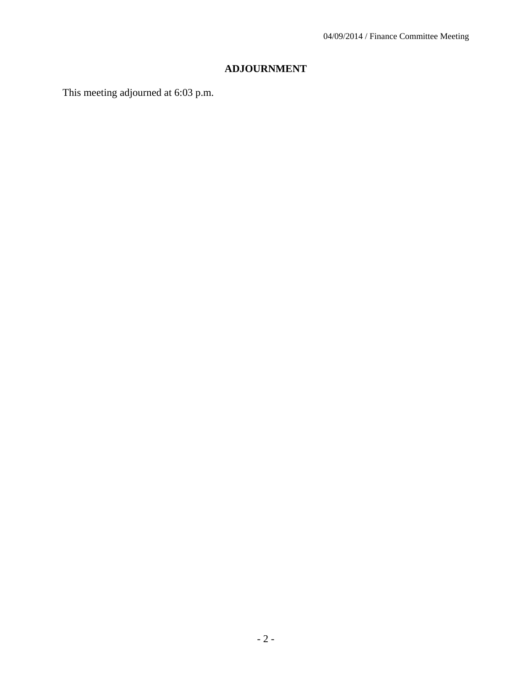# **ADJOURNMENT**

This meeting adjourned at 6:03 p.m.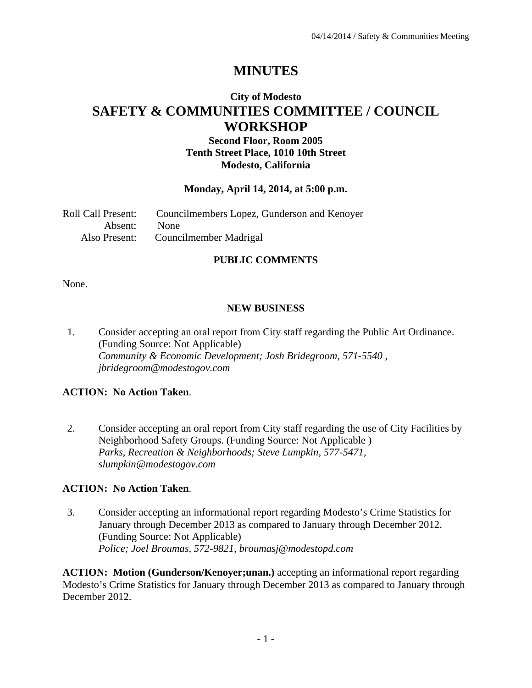# **MINUTES**

# **City of Modesto SAFETY & COMMUNITIES COMMITTEE / COUNCIL WORKSHOP**

## **Second Floor, Room 2005 Tenth Street Place, 1010 10th Street Modesto, California**

#### **Monday, April 14, 2014, at 5:00 p.m.**

| <b>Roll Call Present:</b> | Councilmembers Lopez, Gunderson and Kenoyer |
|---------------------------|---------------------------------------------|
| Absent: None              |                                             |
|                           | Also Present: Councilmember Madrigal        |

## **PUBLIC COMMENTS**

None.

#### **NEW BUSINESS**

1. Consider accepting an oral report from City staff regarding the Public Art Ordinance. (Funding Source: Not Applicable)  *Community & Economic Development; Josh Bridegroom, 571-5540 , jbridegroom@modestogov.com* 

## **ACTION: No Action Taken**.

2. Consider accepting an oral report from City staff regarding the use of City Facilities by Neighborhood Safety Groups. (Funding Source: Not Applicable )  *Parks, Recreation & Neighborhoods; Steve Lumpkin, 577-5471, slumpkin@modestogov.com* 

## **ACTION: No Action Taken**.

3. Consider accepting an informational report regarding Modesto's Crime Statistics for January through December 2013 as compared to January through December 2012. (Funding Source: Not Applicable)  *Police; Joel Broumas, 572-9821, broumasj@modestopd.com* 

**ACTION: Motion (Gunderson/Kenoyer;unan.)** accepting an informational report regarding Modesto's Crime Statistics for January through December 2013 as compared to January through December 2012.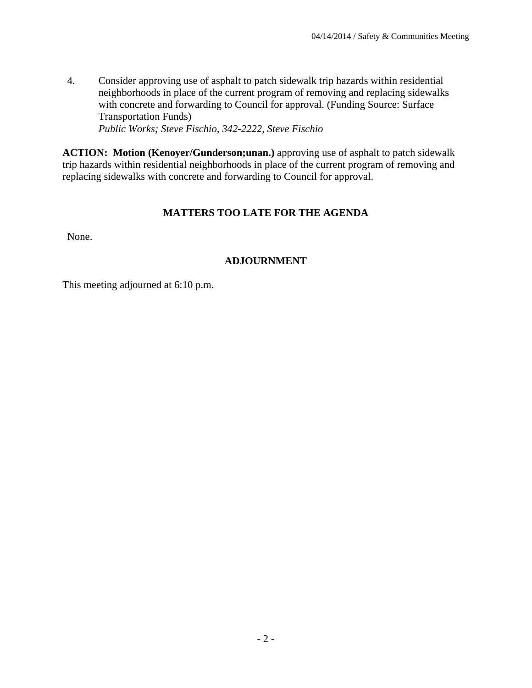4. Consider approving use of asphalt to patch sidewalk trip hazards within residential neighborhoods in place of the current program of removing and replacing sidewalks with concrete and forwarding to Council for approval. (Funding Source: Surface Transportation Funds)  *Public Works; Steve Fischio, 342-2222, Steve Fischio* 

**ACTION: Motion (Kenoyer/Gunderson;unan.)** approving use of asphalt to patch sidewalk trip hazards within residential neighborhoods in place of the current program of removing and replacing sidewalks with concrete and forwarding to Council for approval.

## **MATTERS TOO LATE FOR THE AGENDA**

None.

## **ADJOURNMENT**

This meeting adjourned at 6:10 p.m.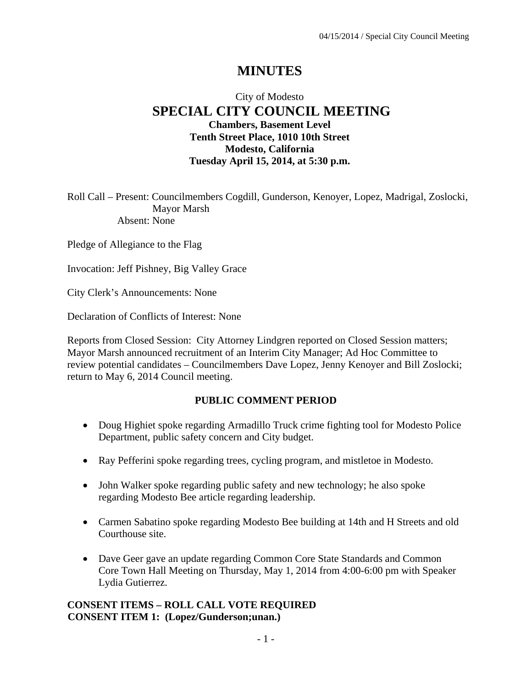# **MINUTES**

## City of Modesto  **SPECIAL CITY COUNCIL MEETING Chambers, Basement Level Tenth Street Place, 1010 10th Street Modesto, California Tuesday April 15, 2014, at 5:30 p.m.**

Roll Call – Present: Councilmembers Cogdill, Gunderson, Kenoyer, Lopez, Madrigal, Zoslocki, Mayor Marsh Absent: None

Pledge of Allegiance to the Flag

Invocation: Jeff Pishney, Big Valley Grace

City Clerk's Announcements: None

Declaration of Conflicts of Interest: None

Reports from Closed Session: City Attorney Lindgren reported on Closed Session matters; Mayor Marsh announced recruitment of an Interim City Manager; Ad Hoc Committee to review potential candidates – Councilmembers Dave Lopez, Jenny Kenoyer and Bill Zoslocki; return to May 6, 2014 Council meeting.

#### **PUBLIC COMMENT PERIOD**

- Doug Highiet spoke regarding Armadillo Truck crime fighting tool for Modesto Police Department, public safety concern and City budget.
- Ray Pefferini spoke regarding trees, cycling program, and mistletoe in Modesto.
- John Walker spoke regarding public safety and new technology; he also spoke regarding Modesto Bee article regarding leadership.
- Carmen Sabatino spoke regarding Modesto Bee building at 14th and H Streets and old Courthouse site.
- Dave Geer gave an update regarding Common Core State Standards and Common Core Town Hall Meeting on Thursday, May 1, 2014 from 4:00-6:00 pm with Speaker Lydia Gutierrez.

#### **CONSENT ITEMS – ROLL CALL VOTE REQUIRED CONSENT ITEM 1: (Lopez/Gunderson;unan.)**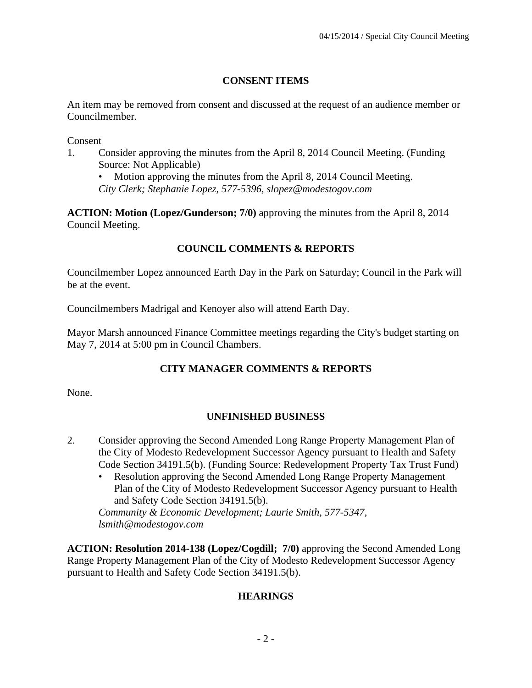## **CONSENT ITEMS**

An item may be removed from consent and discussed at the request of an audience member or Councilmember.

Consent

1. Consider approving the minutes from the April 8, 2014 Council Meeting. (Funding Source: Not Applicable)

• Motion approving the minutes from the April 8, 2014 Council Meeting. *City Clerk; Stephanie Lopez, 577-5396, slopez@modestogov.com* 

**ACTION: Motion (Lopez/Gunderson; 7/0)** approving the minutes from the April 8, 2014 Council Meeting.

## **COUNCIL COMMENTS & REPORTS**

Councilmember Lopez announced Earth Day in the Park on Saturday; Council in the Park will be at the event.

Councilmembers Madrigal and Kenoyer also will attend Earth Day.

Mayor Marsh announced Finance Committee meetings regarding the City's budget starting on May 7, 2014 at 5:00 pm in Council Chambers.

# **CITY MANAGER COMMENTS & REPORTS**

None.

## **UNFINISHED BUSINESS**

- 2. Consider approving the Second Amended Long Range Property Management Plan of the City of Modesto Redevelopment Successor Agency pursuant to Health and Safety Code Section 34191.5(b). (Funding Source: Redevelopment Property Tax Trust Fund)
	- Resolution approving the Second Amended Long Range Property Management Plan of the City of Modesto Redevelopment Successor Agency pursuant to Health and Safety Code Section 34191.5(b).

*Community & Economic Development; Laurie Smith, 577-5347, lsmith@modestogov.com* 

**ACTION: Resolution 2014-138 (Lopez/Cogdill; 7/0)** approving the Second Amended Long Range Property Management Plan of the City of Modesto Redevelopment Successor Agency pursuant to Health and Safety Code Section 34191.5(b).

## **HEARINGS**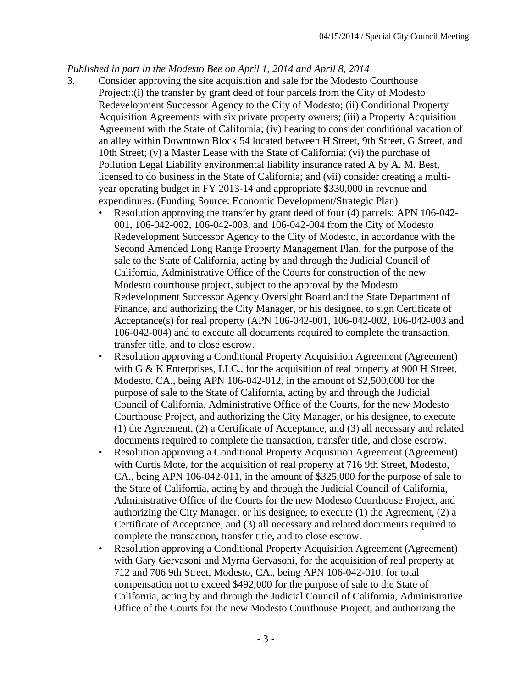#### *Published in part in the Modesto Bee on April 1, 2014 and April 8, 2014*

- 3. Consider approving the site acquisition and sale for the Modesto Courthouse Project::(i) the transfer by grant deed of four parcels from the City of Modesto Redevelopment Successor Agency to the City of Modesto; (ii) Conditional Property Acquisition Agreements with six private property owners; (iii) a Property Acquisition Agreement with the State of California; (iv) hearing to consider conditional vacation of an alley within Downtown Block 54 located between H Street, 9th Street, G Street, and 10th Street; (v) a Master Lease with the State of California; (vi) the purchase of Pollution Legal Liability environmental liability insurance rated A by A. M. Best, licensed to do business in the State of California; and (vii) consider creating a multiyear operating budget in FY 2013-14 and appropriate \$330,000 in revenue and expenditures. (Funding Source: Economic Development/Strategic Plan)
	- Resolution approving the transfer by grant deed of four (4) parcels: APN 106-042- 001, 106-042-002, 106-042-003, and 106-042-004 from the City of Modesto Redevelopment Successor Agency to the City of Modesto, in accordance with the Second Amended Long Range Property Management Plan, for the purpose of the sale to the State of California, acting by and through the Judicial Council of California, Administrative Office of the Courts for construction of the new Modesto courthouse project, subject to the approval by the Modesto Redevelopment Successor Agency Oversight Board and the State Department of Finance, and authorizing the City Manager, or his designee, to sign Certificate of Acceptance(s) for real property (APN 106-042-001, 106-042-002, 106-042-003 and 106-042-004) and to execute all documents required to complete the transaction, transfer title, and to close escrow.
	- Resolution approving a Conditional Property Acquisition Agreement (Agreement) with G & K Enterprises, LLC., for the acquisition of real property at 900 H Street, Modesto, CA., being APN 106-042-012, in the amount of \$2,500,000 for the purpose of sale to the State of California, acting by and through the Judicial Council of California, Administrative Office of the Courts, for the new Modesto Courthouse Project, and authorizing the City Manager, or his designee, to execute (1) the Agreement, (2) a Certificate of Acceptance, and (3) all necessary and related documents required to complete the transaction, transfer title, and close escrow.
	- Resolution approving a Conditional Property Acquisition Agreement (Agreement) with Curtis Mote, for the acquisition of real property at 716 9th Street, Modesto, CA., being APN 106-042-011, in the amount of \$325,000 for the purpose of sale to the State of California, acting by and through the Judicial Council of California, Administrative Office of the Courts for the new Modesto Courthouse Project, and authorizing the City Manager, or his designee, to execute (1) the Agreement, (2) a Certificate of Acceptance, and (3) all necessary and related documents required to complete the transaction, transfer title, and to close escrow.
	- Resolution approving a Conditional Property Acquisition Agreement (Agreement) with Gary Gervasoni and Myrna Gervasoni, for the acquisition of real property at 712 and 706 9th Street, Modesto, CA., being APN 106-042-010, for total compensation not to exceed \$492,000 for the purpose of sale to the State of California, acting by and through the Judicial Council of California, Administrative Office of the Courts for the new Modesto Courthouse Project, and authorizing the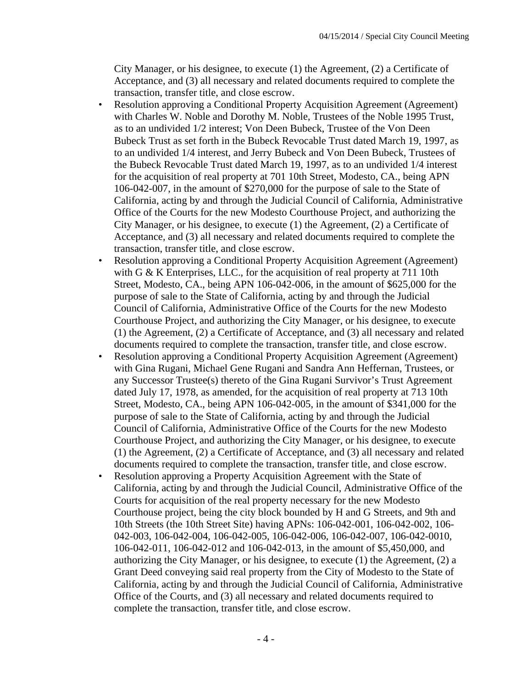City Manager, or his designee, to execute (1) the Agreement, (2) a Certificate of Acceptance, and (3) all necessary and related documents required to complete the transaction, transfer title, and close escrow.

- Resolution approving a Conditional Property Acquisition Agreement (Agreement) with Charles W. Noble and Dorothy M. Noble, Trustees of the Noble 1995 Trust, as to an undivided 1/2 interest; Von Deen Bubeck, Trustee of the Von Deen Bubeck Trust as set forth in the Bubeck Revocable Trust dated March 19, 1997, as to an undivided 1/4 interest, and Jerry Bubeck and Von Deen Bubeck, Trustees of the Bubeck Revocable Trust dated March 19, 1997, as to an undivided 1/4 interest for the acquisition of real property at 701 10th Street, Modesto, CA., being APN 106-042-007, in the amount of \$270,000 for the purpose of sale to the State of California, acting by and through the Judicial Council of California, Administrative Office of the Courts for the new Modesto Courthouse Project, and authorizing the City Manager, or his designee, to execute (1) the Agreement, (2) a Certificate of Acceptance, and (3) all necessary and related documents required to complete the transaction, transfer title, and close escrow.
- Resolution approving a Conditional Property Acquisition Agreement (Agreement) with G & K Enterprises, LLC., for the acquisition of real property at 711 10th Street, Modesto, CA., being APN 106-042-006, in the amount of \$625,000 for the purpose of sale to the State of California, acting by and through the Judicial Council of California, Administrative Office of the Courts for the new Modesto Courthouse Project, and authorizing the City Manager, or his designee, to execute (1) the Agreement, (2) a Certificate of Acceptance, and (3) all necessary and related documents required to complete the transaction, transfer title, and close escrow.
- Resolution approving a Conditional Property Acquisition Agreement (Agreement) with Gina Rugani, Michael Gene Rugani and Sandra Ann Heffernan, Trustees, or any Successor Trustee(s) thereto of the Gina Rugani Survivor's Trust Agreement dated July 17, 1978, as amended, for the acquisition of real property at 713 10th Street, Modesto, CA., being APN 106-042-005, in the amount of \$341,000 for the purpose of sale to the State of California, acting by and through the Judicial Council of California, Administrative Office of the Courts for the new Modesto Courthouse Project, and authorizing the City Manager, or his designee, to execute (1) the Agreement, (2) a Certificate of Acceptance, and (3) all necessary and related documents required to complete the transaction, transfer title, and close escrow.
- Resolution approving a Property Acquisition Agreement with the State of California, acting by and through the Judicial Council, Administrative Office of the Courts for acquisition of the real property necessary for the new Modesto Courthouse project, being the city block bounded by H and G Streets, and 9th and 10th Streets (the 10th Street Site) having APNs: 106-042-001, 106-042-002, 106- 042-003, 106-042-004, 106-042-005, 106-042-006, 106-042-007, 106-042-0010, 106-042-011, 106-042-012 and 106-042-013, in the amount of \$5,450,000, and authorizing the City Manager, or his designee, to execute (1) the Agreement, (2) a Grant Deed conveying said real property from the City of Modesto to the State of California, acting by and through the Judicial Council of California, Administrative Office of the Courts, and (3) all necessary and related documents required to complete the transaction, transfer title, and close escrow.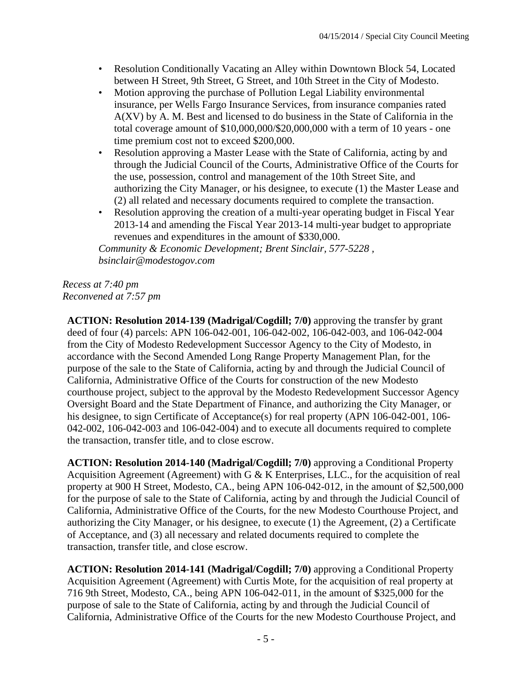- Resolution Conditionally Vacating an Alley within Downtown Block 54, Located between H Street, 9th Street, G Street, and 10th Street in the City of Modesto.
- Motion approving the purchase of Pollution Legal Liability environmental insurance, per Wells Fargo Insurance Services, from insurance companies rated A(XV) by A. M. Best and licensed to do business in the State of California in the total coverage amount of \$10,000,000/\$20,000,000 with a term of 10 years - one time premium cost not to exceed \$200,000.
- Resolution approving a Master Lease with the State of California, acting by and through the Judicial Council of the Courts, Administrative Office of the Courts for the use, possession, control and management of the 10th Street Site, and authorizing the City Manager, or his designee, to execute (1) the Master Lease and (2) all related and necessary documents required to complete the transaction.
- Resolution approving the creation of a multi-year operating budget in Fiscal Year 2013-14 and amending the Fiscal Year 2013-14 multi-year budget to appropriate revenues and expenditures in the amount of \$330,000.

*Community & Economic Development; Brent Sinclair, 577-5228 , bsinclair@modestogov.com* 

## *Recess at 7:40 pm Reconvened at 7:57 pm*

**ACTION: Resolution 2014-139 (Madrigal/Cogdill; 7/0)** approving the transfer by grant deed of four (4) parcels: APN 106-042-001, 106-042-002, 106-042-003, and 106-042-004 from the City of Modesto Redevelopment Successor Agency to the City of Modesto, in accordance with the Second Amended Long Range Property Management Plan, for the purpose of the sale to the State of California, acting by and through the Judicial Council of California, Administrative Office of the Courts for construction of the new Modesto courthouse project, subject to the approval by the Modesto Redevelopment Successor Agency Oversight Board and the State Department of Finance, and authorizing the City Manager, or his designee, to sign Certificate of Acceptance(s) for real property (APN 106-042-001, 106- 042-002, 106-042-003 and 106-042-004) and to execute all documents required to complete the transaction, transfer title, and to close escrow.

**ACTION: Resolution 2014-140 (Madrigal/Cogdill; 7/0)** approving a Conditional Property Acquisition Agreement (Agreement) with G & K Enterprises, LLC., for the acquisition of real property at 900 H Street, Modesto, CA., being APN 106-042-012, in the amount of \$2,500,000 for the purpose of sale to the State of California, acting by and through the Judicial Council of California, Administrative Office of the Courts, for the new Modesto Courthouse Project, and authorizing the City Manager, or his designee, to execute (1) the Agreement, (2) a Certificate of Acceptance, and (3) all necessary and related documents required to complete the transaction, transfer title, and close escrow.

**ACTION: Resolution 2014-141 (Madrigal/Cogdill; 7/0)** approving a Conditional Property Acquisition Agreement (Agreement) with Curtis Mote, for the acquisition of real property at 716 9th Street, Modesto, CA., being APN 106-042-011, in the amount of \$325,000 for the purpose of sale to the State of California, acting by and through the Judicial Council of California, Administrative Office of the Courts for the new Modesto Courthouse Project, and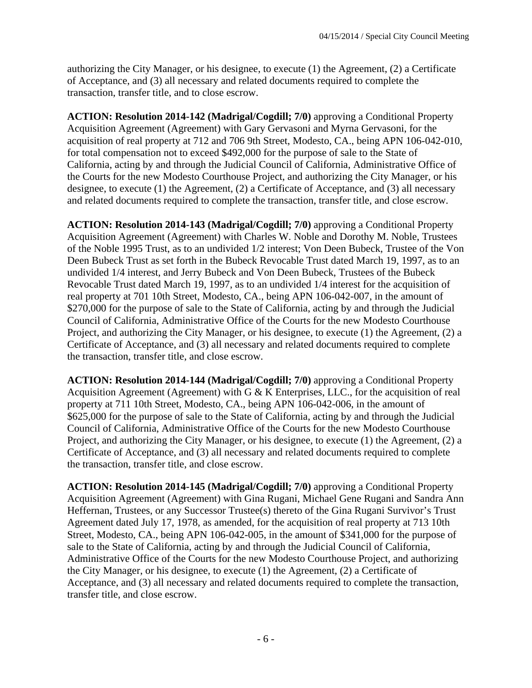authorizing the City Manager, or his designee, to execute (1) the Agreement, (2) a Certificate of Acceptance, and (3) all necessary and related documents required to complete the transaction, transfer title, and to close escrow.

**ACTION: Resolution 2014-142 (Madrigal/Cogdill; 7/0)** approving a Conditional Property Acquisition Agreement (Agreement) with Gary Gervasoni and Myrna Gervasoni, for the acquisition of real property at 712 and 706 9th Street, Modesto, CA., being APN 106-042-010, for total compensation not to exceed \$492,000 for the purpose of sale to the State of California, acting by and through the Judicial Council of California, Administrative Office of the Courts for the new Modesto Courthouse Project, and authorizing the City Manager, or his designee, to execute (1) the Agreement, (2) a Certificate of Acceptance, and (3) all necessary and related documents required to complete the transaction, transfer title, and close escrow.

**ACTION: Resolution 2014-143 (Madrigal/Cogdill; 7/0)** approving a Conditional Property Acquisition Agreement (Agreement) with Charles W. Noble and Dorothy M. Noble, Trustees of the Noble 1995 Trust, as to an undivided 1/2 interest; Von Deen Bubeck, Trustee of the Von Deen Bubeck Trust as set forth in the Bubeck Revocable Trust dated March 19, 1997, as to an undivided 1/4 interest, and Jerry Bubeck and Von Deen Bubeck, Trustees of the Bubeck Revocable Trust dated March 19, 1997, as to an undivided 1/4 interest for the acquisition of real property at 701 10th Street, Modesto, CA., being APN 106-042-007, in the amount of \$270,000 for the purpose of sale to the State of California, acting by and through the Judicial Council of California, Administrative Office of the Courts for the new Modesto Courthouse Project, and authorizing the City Manager, or his designee, to execute (1) the Agreement, (2) a Certificate of Acceptance, and (3) all necessary and related documents required to complete the transaction, transfer title, and close escrow.

**ACTION: Resolution 2014-144 (Madrigal/Cogdill; 7/0)** approving a Conditional Property Acquisition Agreement (Agreement) with G & K Enterprises, LLC., for the acquisition of real property at 711 10th Street, Modesto, CA., being APN 106-042-006, in the amount of \$625,000 for the purpose of sale to the State of California, acting by and through the Judicial Council of California, Administrative Office of the Courts for the new Modesto Courthouse Project, and authorizing the City Manager, or his designee, to execute (1) the Agreement, (2) a Certificate of Acceptance, and (3) all necessary and related documents required to complete the transaction, transfer title, and close escrow.

**ACTION: Resolution 2014-145 (Madrigal/Cogdill; 7/0)** approving a Conditional Property Acquisition Agreement (Agreement) with Gina Rugani, Michael Gene Rugani and Sandra Ann Heffernan, Trustees, or any Successor Trustee(s) thereto of the Gina Rugani Survivor's Trust Agreement dated July 17, 1978, as amended, for the acquisition of real property at 713 10th Street, Modesto, CA., being APN 106-042-005, in the amount of \$341,000 for the purpose of sale to the State of California, acting by and through the Judicial Council of California, Administrative Office of the Courts for the new Modesto Courthouse Project, and authorizing the City Manager, or his designee, to execute (1) the Agreement, (2) a Certificate of Acceptance, and (3) all necessary and related documents required to complete the transaction, transfer title, and close escrow.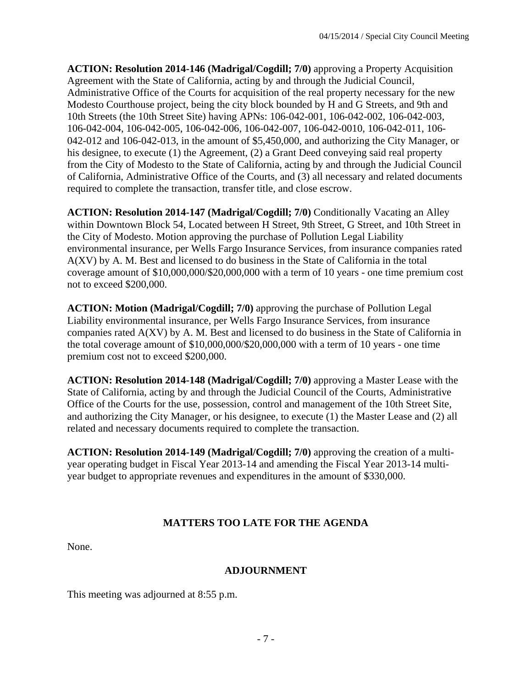**ACTION: Resolution 2014-146 (Madrigal/Cogdill; 7/0)** approving a Property Acquisition Agreement with the State of California, acting by and through the Judicial Council, Administrative Office of the Courts for acquisition of the real property necessary for the new Modesto Courthouse project, being the city block bounded by H and G Streets, and 9th and 10th Streets (the 10th Street Site) having APNs: 106-042-001, 106-042-002, 106-042-003, 106-042-004, 106-042-005, 106-042-006, 106-042-007, 106-042-0010, 106-042-011, 106- 042-012 and 106-042-013, in the amount of \$5,450,000, and authorizing the City Manager, or his designee, to execute (1) the Agreement, (2) a Grant Deed conveying said real property from the City of Modesto to the State of California, acting by and through the Judicial Council of California, Administrative Office of the Courts, and (3) all necessary and related documents required to complete the transaction, transfer title, and close escrow.

**ACTION: Resolution 2014-147 (Madrigal/Cogdill; 7/0)** Conditionally Vacating an Alley within Downtown Block 54, Located between H Street, 9th Street, G Street, and 10th Street in the City of Modesto. Motion approving the purchase of Pollution Legal Liability environmental insurance, per Wells Fargo Insurance Services, from insurance companies rated A(XV) by A. M. Best and licensed to do business in the State of California in the total coverage amount of \$10,000,000/\$20,000,000 with a term of 10 years - one time premium cost not to exceed \$200,000.

**ACTION: Motion (Madrigal/Cogdill; 7/0)** approving the purchase of Pollution Legal Liability environmental insurance, per Wells Fargo Insurance Services, from insurance companies rated A(XV) by A. M. Best and licensed to do business in the State of California in the total coverage amount of \$10,000,000/\$20,000,000 with a term of 10 years - one time premium cost not to exceed \$200,000.

**ACTION: Resolution 2014-148 (Madrigal/Cogdill; 7/0)** approving a Master Lease with the State of California, acting by and through the Judicial Council of the Courts, Administrative Office of the Courts for the use, possession, control and management of the 10th Street Site, and authorizing the City Manager, or his designee, to execute (1) the Master Lease and (2) all related and necessary documents required to complete the transaction.

**ACTION: Resolution 2014-149 (Madrigal/Cogdill; 7/0)** approving the creation of a multiyear operating budget in Fiscal Year 2013-14 and amending the Fiscal Year 2013-14 multiyear budget to appropriate revenues and expenditures in the amount of \$330,000.

# **MATTERS TOO LATE FOR THE AGENDA**

None.

## **ADJOURNMENT**

This meeting was adjourned at 8:55 p.m.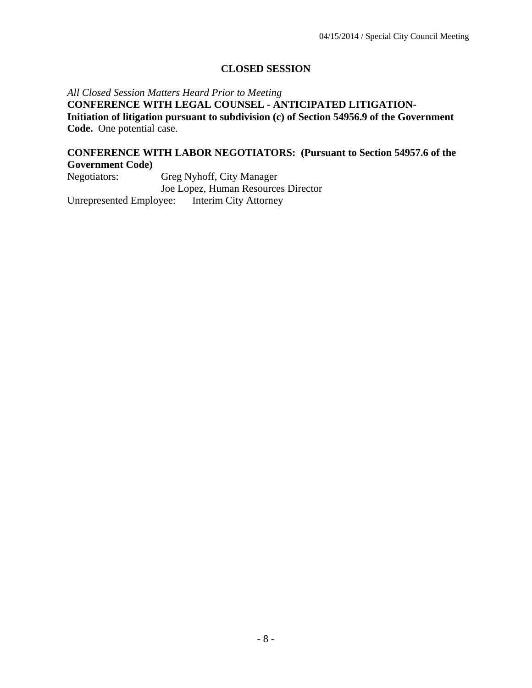## **CLOSED SESSION**

*All Closed Session Matters Heard Prior to Meeting* **CONFERENCE WITH LEGAL COUNSEL - ANTICIPATED LITIGATION-Initiation of litigation pursuant to subdivision (c) of Section 54956.9 of the Government Code.** One potential case.

#### **CONFERENCE WITH LABOR NEGOTIATORS: (Pursuant to Section 54957.6 of the Government Code)**

Negotiators: Greg Nyhoff, City Manager Joe Lopez, Human Resources Director Unrepresented Employee: Interim City Attorney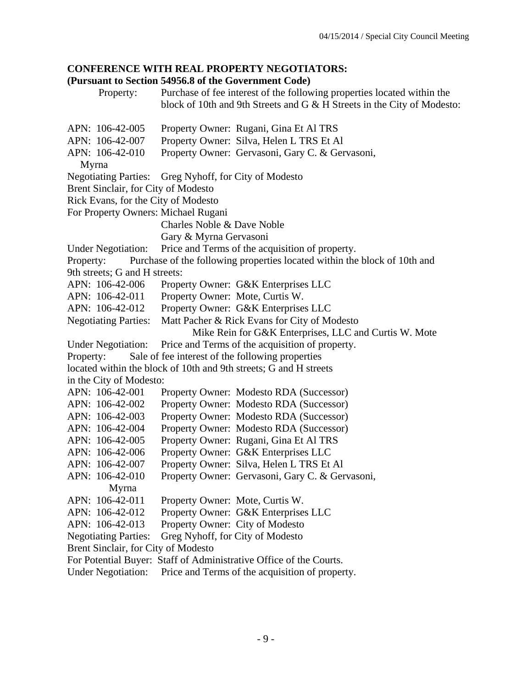## **CONFERENCE WITH REAL PROPERTY NEGOTIATORS:**

#### **(Pursuant to Section 54956.8 of the Government Code)**

 Property: Purchase of fee interest of the following properties located within the block of 10th and 9th Streets and G & H Streets in the City of Modesto:

APN: 106-42-005 Property Owner: Rugani, Gina Et Al TRS APN: 106-42-007 Property Owner: Silva, Helen L TRS Et Al APN: 106-42-010 Property Owner: Gervasoni, Gary C. & Gervasoni, Myrna Negotiating Parties: Greg Nyhoff, for City of Modesto Brent Sinclair, for City of Modesto Rick Evans, for the City of Modesto For Property Owners: Michael Rugani Charles Noble & Dave Noble Gary & Myrna Gervasoni Under Negotiation: Price and Terms of the acquisition of property. Property: Purchase of the following properties located within the block of 10th and 9th streets; G and H streets: APN: 106-42-006 Property Owner: G&K Enterprises LLC APN: 106-42-011 Property Owner: Mote, Curtis W. APN: 106-42-012 Property Owner: G&K Enterprises LLC Negotiating Parties: Matt Pacher & Rick Evans for City of Modesto Mike Rein for G&K Enterprises, LLC and Curtis W. Mote Under Negotiation: Price and Terms of the acquisition of property. Property: Sale of fee interest of the following properties located within the block of 10th and 9th streets; G and H streets in the City of Modesto: APN: 106-42-001 Property Owner: Modesto RDA (Successor) APN: 106-42-002 Property Owner: Modesto RDA (Successor) APN: 106-42-003 Property Owner: Modesto RDA (Successor) APN: 106-42-004 Property Owner: Modesto RDA (Successor) APN: 106-42-005 Property Owner: Rugani, Gina Et Al TRS APN: 106-42-006 Property Owner: G&K Enterprises LLC APN: 106-42-007 Property Owner: Silva, Helen L TRS Et Al APN: 106-42-010 Property Owner: Gervasoni, Gary C. & Gervasoni, Myrna APN: 106-42-011 Property Owner: Mote, Curtis W. APN: 106-42-012 Property Owner: G&K Enterprises LLC APN: 106-42-013 Property Owner: City of Modesto Negotiating Parties: Greg Nyhoff, for City of Modesto Brent Sinclair, for City of Modesto For Potential Buyer: Staff of Administrative Office of the Courts.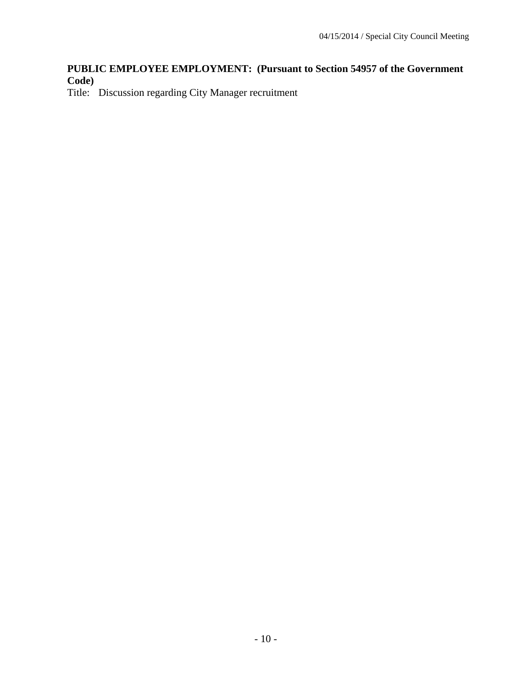## **PUBLIC EMPLOYEE EMPLOYMENT: (Pursuant to Section 54957 of the Government Code)**

Title: Discussion regarding City Manager recruitment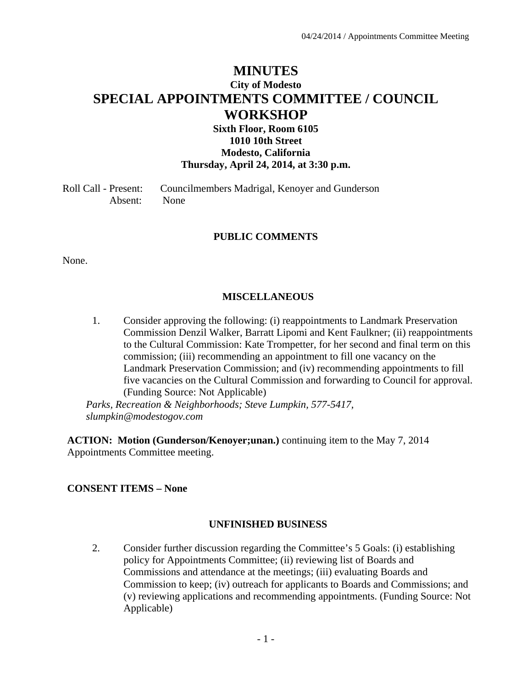# **MINUTES City of Modesto SPECIAL APPOINTMENTS COMMITTEE / COUNCIL WORKSHOP**

## **Sixth Floor, Room 6105 1010 10th Street Modesto, California Thursday, April 24, 2014, at 3:30 p.m.**

Roll Call - Present: Councilmembers Madrigal, Kenoyer and Gunderson Absent: None

#### **PUBLIC COMMENTS**

None.

#### **MISCELLANEOUS**

1. Consider approving the following: (i) reappointments to Landmark Preservation Commission Denzil Walker, Barratt Lipomi and Kent Faulkner; (ii) reappointments to the Cultural Commission: Kate Trompetter, for her second and final term on this commission; (iii) recommending an appointment to fill one vacancy on the Landmark Preservation Commission; and (iv) recommending appointments to fill five vacancies on the Cultural Commission and forwarding to Council for approval. (Funding Source: Not Applicable)

*Parks, Recreation & Neighborhoods; Steve Lumpkin, 577-5417, slumpkin@modestogov.com* 

**ACTION: Motion (Gunderson/Kenoyer;unan.)** continuing item to the May 7, 2014 Appointments Committee meeting.

#### **CONSENT ITEMS – None**

#### **UNFINISHED BUSINESS**

2. Consider further discussion regarding the Committee's 5 Goals: (i) establishing policy for Appointments Committee; (ii) reviewing list of Boards and Commissions and attendance at the meetings; (iii) evaluating Boards and Commission to keep; (iv) outreach for applicants to Boards and Commissions; and (v) reviewing applications and recommending appointments. (Funding Source: Not Applicable)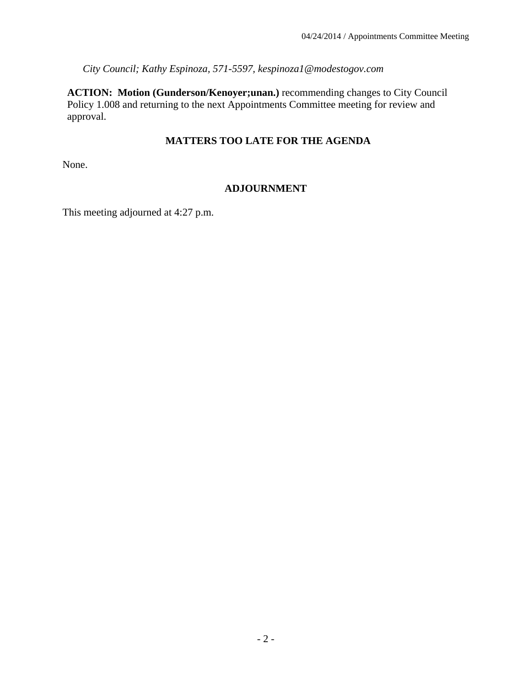*City Council; Kathy Espinoza, 571-5597, kespinoza1@modestogov.com* 

**ACTION: Motion (Gunderson/Kenoyer;unan.)** recommending changes to City Council Policy 1.008 and returning to the next Appointments Committee meeting for review and approval.

## **MATTERS TOO LATE FOR THE AGENDA**

None.

## **ADJOURNMENT**

This meeting adjourned at 4:27 p.m.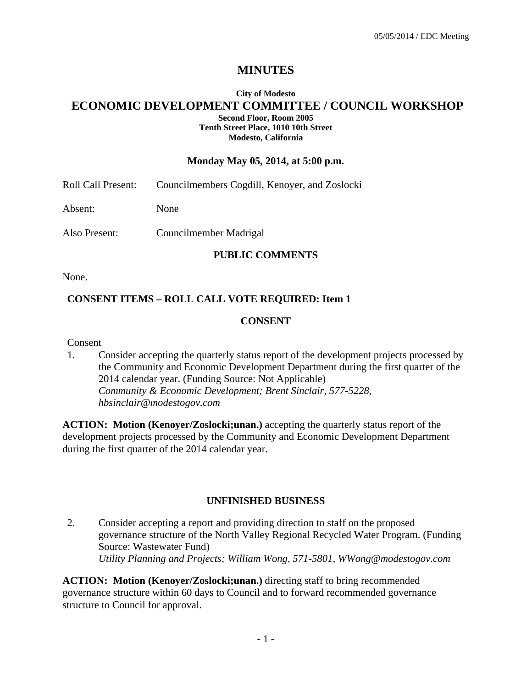# **MINUTES**

#### **City of Modesto ECONOMIC DEVELOPMENT COMMITTEE / COUNCIL WORKSHOP Second Floor, Room 2005 Tenth Street Place, 1010 10th Street Modesto, California**

#### **Monday May 05, 2014, at 5:00 p.m.**

Roll Call Present: Councilmembers Cogdill, Kenoyer, and Zoslocki

Absent: None

Also Present: Councilmember Madrigal

#### **PUBLIC COMMENTS**

None.

#### **CONSENT ITEMS – ROLL CALL VOTE REQUIRED: Item 1**

#### **CONSENT**

Consent

1. Consider accepting the quarterly status report of the development projects processed by the Community and Economic Development Department during the first quarter of the 2014 calendar year. (Funding Source: Not Applicable)  *Community & Economic Development; Brent Sinclair, 577-5228, hbsinclair@modestogov.com* 

**ACTION: Motion (Kenoyer/Zoslocki;unan.)** accepting the quarterly status report of the development projects processed by the Community and Economic Development Department during the first quarter of the 2014 calendar year.

#### **UNFINISHED BUSINESS**

2. Consider accepting a report and providing direction to staff on the proposed governance structure of the North Valley Regional Recycled Water Program. (Funding Source: Wastewater Fund)  *Utility Planning and Projects; William Wong, 571-5801, WWong@modestogov.com* 

**ACTION: Motion (Kenoyer/Zoslocki;unan.)** directing staff to bring recommended governance structure within 60 days to Council and to forward recommended governance structure to Council for approval.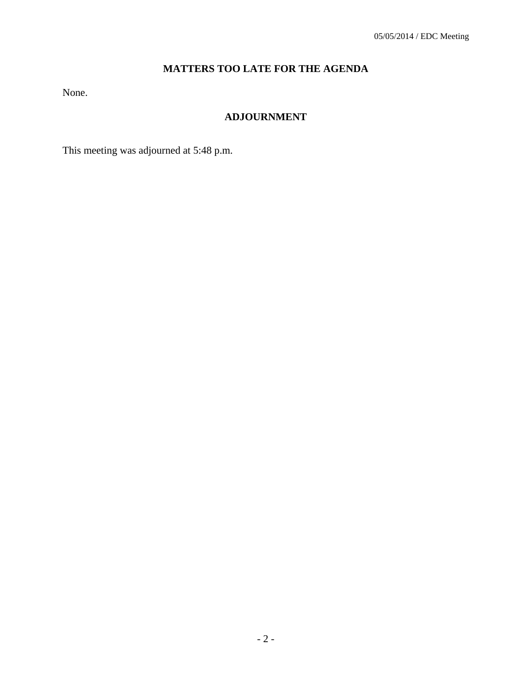# **MATTERS TOO LATE FOR THE AGENDA**

None.

# **ADJOURNMENT**

This meeting was adjourned at 5:48 p.m.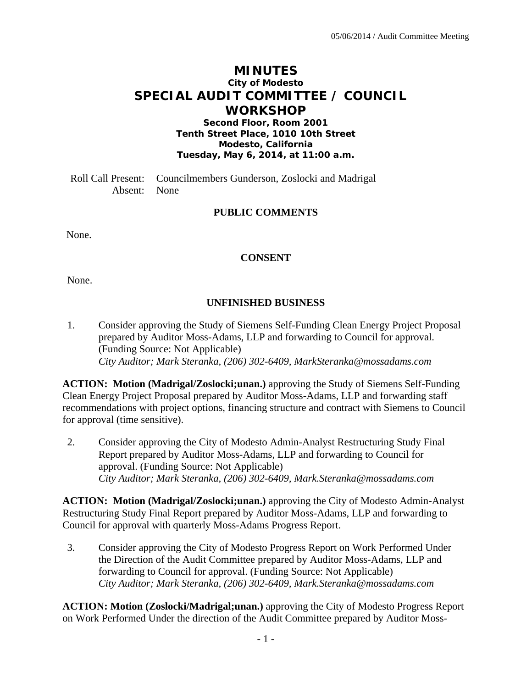# **MINUTES City of Modesto SPECIAL AUDIT COMMITTEE / COUNCIL WORKSHOP**

**Second Floor, Room 2001 Tenth Street Place, 1010 10th Street Modesto, California Tuesday, May 6, 2014, at 11:00 a.m.** 

Roll Call Present: Councilmembers Gunderson, Zoslocki and Madrigal Absent: None

### **PUBLIC COMMENTS**

None.

#### **CONSENT**

None.

### **UNFINISHED BUSINESS**

1. Consider approving the Study of Siemens Self-Funding Clean Energy Project Proposal prepared by Auditor Moss-Adams, LLP and forwarding to Council for approval. (Funding Source: Not Applicable)  *City Auditor; Mark Steranka, (206) 302-6409, MarkSteranka@mossadams.com* 

**ACTION: Motion (Madrigal/Zoslocki;unan.)** approving the Study of Siemens Self-Funding Clean Energy Project Proposal prepared by Auditor Moss-Adams, LLP and forwarding staff recommendations with project options, financing structure and contract with Siemens to Council for approval (time sensitive).

2. Consider approving the City of Modesto Admin-Analyst Restructuring Study Final Report prepared by Auditor Moss-Adams, LLP and forwarding to Council for approval. (Funding Source: Not Applicable)  *City Auditor; Mark Steranka, (206) 302-6409, Mark.Steranka@mossadams.com* 

**ACTION: Motion (Madrigal/Zoslocki;unan.)** approving the City of Modesto Admin-Analyst Restructuring Study Final Report prepared by Auditor Moss-Adams, LLP and forwarding to Council for approval with quarterly Moss-Adams Progress Report.

3. Consider approving the City of Modesto Progress Report on Work Performed Under the Direction of the Audit Committee prepared by Auditor Moss-Adams, LLP and forwarding to Council for approval. (Funding Source: Not Applicable)  *City Auditor; Mark Steranka, (206) 302-6409, Mark.Steranka@mossadams.com* 

**ACTION: Motion (Zoslocki/Madrigal;unan.)** approving the City of Modesto Progress Report on Work Performed Under the direction of the Audit Committee prepared by Auditor Moss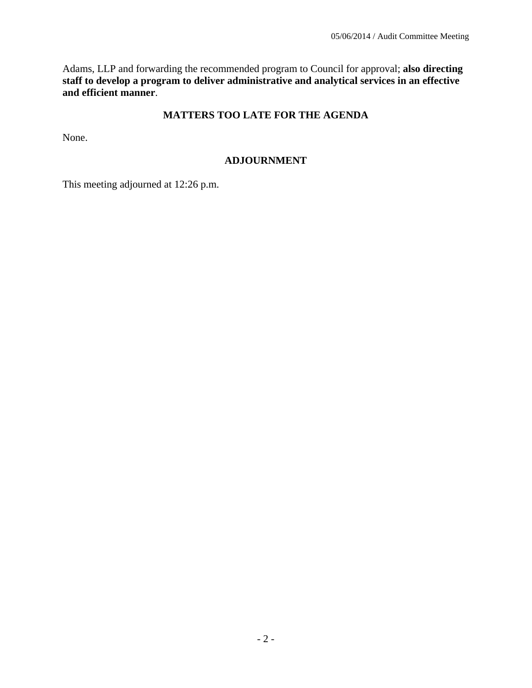Adams, LLP and forwarding the recommended program to Council for approval; **also directing staff to develop a program to deliver administrative and analytical services in an effective and efficient manner**.

### **MATTERS TOO LATE FOR THE AGENDA**

None.

### **ADJOURNMENT**

This meeting adjourned at 12:26 p.m.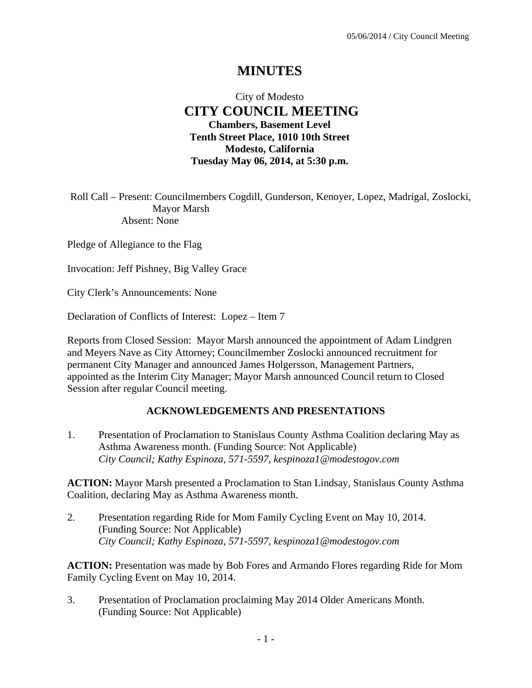# **MINUTES**

## City of Modesto  **CITY COUNCIL MEETING Chambers, Basement Level Tenth Street Place, 1010 10th Street Modesto, California Tuesday May 06, 2014, at 5:30 p.m.**

Roll Call – Present: Councilmembers Cogdill, Gunderson, Kenoyer, Lopez, Madrigal, Zoslocki, Mayor Marsh Absent: None

Pledge of Allegiance to the Flag

Invocation: Jeff Pishney, Big Valley Grace

City Clerk's Announcements: None

Declaration of Conflicts of Interest: Lopez – Item 7

Reports from Closed Session: Mayor Marsh announced the appointment of Adam Lindgren and Meyers Nave as City Attorney; Councilmember Zoslocki announced recruitment for permanent City Manager and announced James Holgersson, Management Partners, appointed as the Interim City Manager; Mayor Marsh announced Council return to Closed Session after regular Council meeting.

### **ACKNOWLEDGEMENTS AND PRESENTATIONS**

1. Presentation of Proclamation to Stanislaus County Asthma Coalition declaring May as Asthma Awareness month. (Funding Source: Not Applicable)  *City Council; Kathy Espinoza, 571-5597, kespinoza1@modestogov.com* 

**ACTION:** Mayor Marsh presented a Proclamation to Stan Lindsay, Stanislaus County Asthma Coalition, declaring May as Asthma Awareness month.

2. Presentation regarding Ride for Mom Family Cycling Event on May 10, 2014. (Funding Source: Not Applicable)  *City Council; Kathy Espinoza, 571-5597, kespinoza1@modestogov.com* 

**ACTION:** Presentation was made by Bob Fores and Armando Flores regarding Ride for Mom Family Cycling Event on May 10, 2014.

3. Presentation of Proclamation proclaiming May 2014 Older Americans Month. (Funding Source: Not Applicable)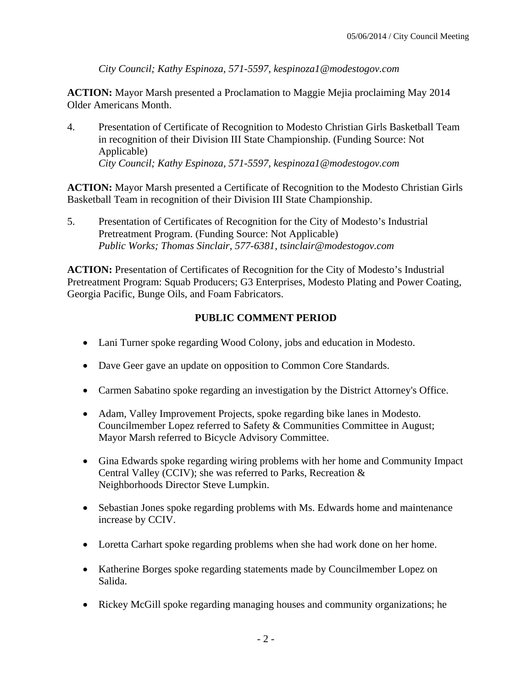*City Council; Kathy Espinoza, 571-5597, kespinoza1@modestogov.com* 

**ACTION:** Mayor Marsh presented a Proclamation to Maggie Mejia proclaiming May 2014 Older Americans Month.

4. Presentation of Certificate of Recognition to Modesto Christian Girls Basketball Team in recognition of their Division III State Championship. (Funding Source: Not Applicable)  *City Council; Kathy Espinoza, 571-5597, kespinoza1@modestogov.com* 

**ACTION:** Mayor Marsh presented a Certificate of Recognition to the Modesto Christian Girls Basketball Team in recognition of their Division III State Championship.

5. Presentation of Certificates of Recognition for the City of Modesto's Industrial Pretreatment Program. (Funding Source: Not Applicable)  *Public Works; Thomas Sinclair, 577-6381, tsinclair@modestogov.com* 

**ACTION:** Presentation of Certificates of Recognition for the City of Modesto's Industrial Pretreatment Program: Squab Producers; G3 Enterprises, Modesto Plating and Power Coating, Georgia Pacific, Bunge Oils, and Foam Fabricators.

# **PUBLIC COMMENT PERIOD**

- Lani Turner spoke regarding Wood Colony, jobs and education in Modesto.
- Dave Geer gave an update on opposition to Common Core Standards.
- Carmen Sabatino spoke regarding an investigation by the District Attorney's Office.
- Adam, Valley Improvement Projects, spoke regarding bike lanes in Modesto. Councilmember Lopez referred to Safety & Communities Committee in August; Mayor Marsh referred to Bicycle Advisory Committee.
- Gina Edwards spoke regarding wiring problems with her home and Community Impact Central Valley (CCIV); she was referred to Parks, Recreation & Neighborhoods Director Steve Lumpkin.
- Sebastian Jones spoke regarding problems with Ms. Edwards home and maintenance increase by CCIV.
- Loretta Carhart spoke regarding problems when she had work done on her home.
- Katherine Borges spoke regarding statements made by Councilmember Lopez on Salida.
- Rickey McGill spoke regarding managing houses and community organizations; he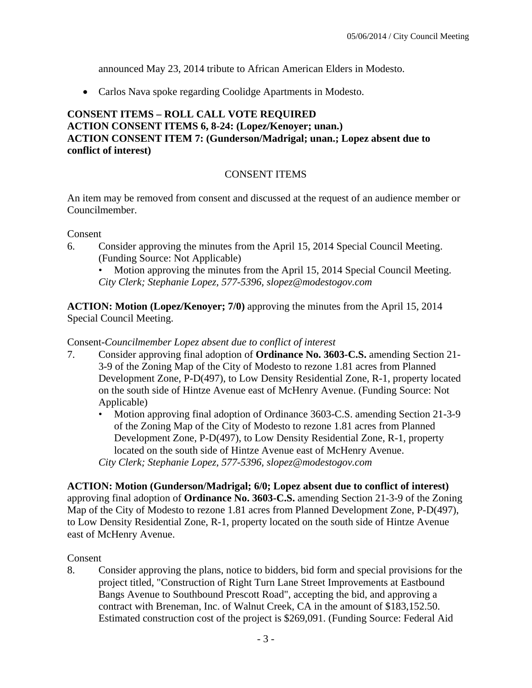announced May 23, 2014 tribute to African American Elders in Modesto.

Carlos Nava spoke regarding Coolidge Apartments in Modesto.

### **CONSENT ITEMS – ROLL CALL VOTE REQUIRED ACTION CONSENT ITEMS 6, 8-24: (Lopez/Kenoyer; unan.) ACTION CONSENT ITEM 7: (Gunderson/Madrigal; unan.; Lopez absent due to conflict of interest)**

## CONSENT ITEMS

An item may be removed from consent and discussed at the request of an audience member or Councilmember.

Consent

6. Consider approving the minutes from the April 15, 2014 Special Council Meeting. (Funding Source: Not Applicable)

• Motion approving the minutes from the April 15, 2014 Special Council Meeting. *City Clerk; Stephanie Lopez, 577-5396, slopez@modestogov.com* 

**ACTION: Motion (Lopez/Kenoyer; 7/0)** approving the minutes from the April 15, 2014 Special Council Meeting.

#### Consent-*Councilmember Lopez absent due to conflict of interest*

- 7. Consider approving final adoption of **Ordinance No. 3603-C.S.** amending Section 21- 3-9 of the Zoning Map of the City of Modesto to rezone 1.81 acres from Planned Development Zone, P-D(497), to Low Density Residential Zone, R-1, property located on the south side of Hintze Avenue east of McHenry Avenue. (Funding Source: Not Applicable)
	- Motion approving final adoption of Ordinance 3603-C.S. amending Section 21-3-9 of the Zoning Map of the City of Modesto to rezone 1.81 acres from Planned Development Zone, P-D(497), to Low Density Residential Zone, R-1, property located on the south side of Hintze Avenue east of McHenry Avenue. *City Clerk; Stephanie Lopez, 577-5396, slopez@modestogov.com*

**ACTION: Motion (Gunderson/Madrigal; 6/0; Lopez absent due to conflict of interest)**  approving final adoption of **Ordinance No. 3603-C.S.** amending Section 21-3-9 of the Zoning Map of the City of Modesto to rezone 1.81 acres from Planned Development Zone, P-D(497), to Low Density Residential Zone, R-1, property located on the south side of Hintze Avenue east of McHenry Avenue.

### Consent

8. Consider approving the plans, notice to bidders, bid form and special provisions for the project titled, "Construction of Right Turn Lane Street Improvements at Eastbound Bangs Avenue to Southbound Prescott Road", accepting the bid, and approving a contract with Breneman, Inc. of Walnut Creek, CA in the amount of \$183,152.50. Estimated construction cost of the project is \$269,091. (Funding Source: Federal Aid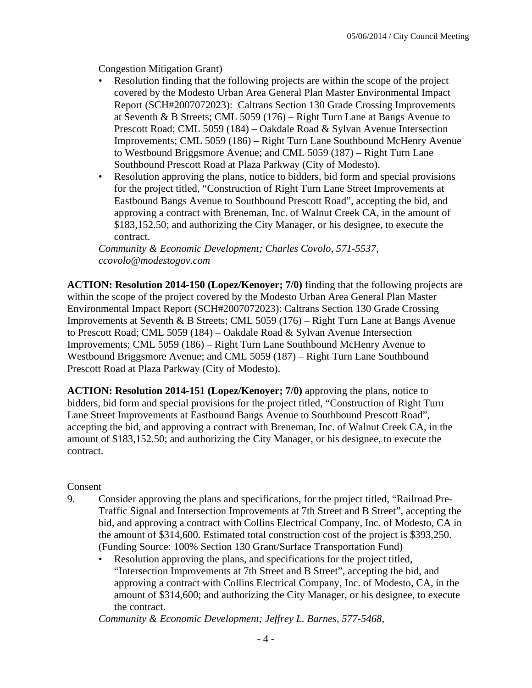Congestion Mitigation Grant)

- Resolution finding that the following projects are within the scope of the project covered by the Modesto Urban Area General Plan Master Environmental Impact Report (SCH#2007072023): Caltrans Section 130 Grade Crossing Improvements at Seventh & B Streets; CML 5059 (176) – Right Turn Lane at Bangs Avenue to Prescott Road; CML 5059 (184) – Oakdale Road & Sylvan Avenue Intersection Improvements; CML 5059 (186) – Right Turn Lane Southbound McHenry Avenue to Westbound Briggsmore Avenue; and CML 5059 (187) – Right Turn Lane Southbound Prescott Road at Plaza Parkway (City of Modesto).
- Resolution approving the plans, notice to bidders, bid form and special provisions for the project titled, "Construction of Right Turn Lane Street Improvements at Eastbound Bangs Avenue to Southbound Prescott Road", accepting the bid, and approving a contract with Breneman, Inc. of Walnut Creek CA, in the amount of \$183,152.50; and authorizing the City Manager, or his designee, to execute the contract.

*Community & Economic Development; Charles Covolo, 571-5537, ccovolo@modestogov.com* 

**ACTION: Resolution 2014-150 (Lopez/Kenoyer; 7/0)** finding that the following projects are within the scope of the project covered by the Modesto Urban Area General Plan Master Environmental Impact Report (SCH#2007072023): Caltrans Section 130 Grade Crossing Improvements at Seventh & B Streets; CML 5059 (176) – Right Turn Lane at Bangs Avenue to Prescott Road; CML 5059 (184) – Oakdale Road & Sylvan Avenue Intersection Improvements; CML 5059 (186) – Right Turn Lane Southbound McHenry Avenue to Westbound Briggsmore Avenue; and CML 5059 (187) – Right Turn Lane Southbound Prescott Road at Plaza Parkway (City of Modesto).

**ACTION: Resolution 2014-151 (Lopez/Kenoyer; 7/0)** approving the plans, notice to bidders, bid form and special provisions for the project titled, "Construction of Right Turn Lane Street Improvements at Eastbound Bangs Avenue to Southbound Prescott Road", accepting the bid, and approving a contract with Breneman, Inc. of Walnut Creek CA, in the amount of \$183,152.50; and authorizing the City Manager, or his designee, to execute the contract.

#### Consent

- 9. Consider approving the plans and specifications, for the project titled, "Railroad Pre-Traffic Signal and Intersection Improvements at 7th Street and B Street", accepting the bid, and approving a contract with Collins Electrical Company, Inc. of Modesto, CA in the amount of \$314,600. Estimated total construction cost of the project is \$393,250. (Funding Source: 100% Section 130 Grant/Surface Transportation Fund)
	- Resolution approving the plans, and specifications for the project titled, "Intersection Improvements at 7th Street and B Street", accepting the bid, and approving a contract with Collins Electrical Company, Inc. of Modesto, CA, in the amount of \$314,600; and authorizing the City Manager, or his designee, to execute the contract.

*Community & Economic Development; Jeffrey L. Barnes, 577-5468,*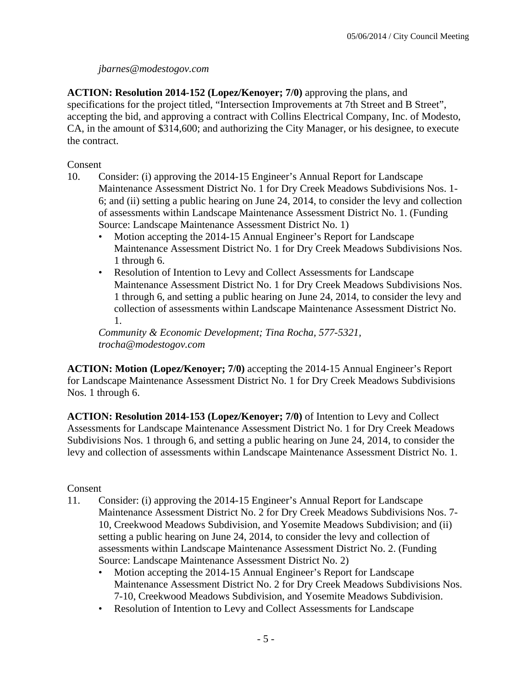### *jbarnes@modestogov.com*

**ACTION: Resolution 2014-152 (Lopez/Kenoyer; 7/0)** approving the plans, and specifications for the project titled, "Intersection Improvements at 7th Street and B Street", accepting the bid, and approving a contract with Collins Electrical Company, Inc. of Modesto, CA, in the amount of \$314,600; and authorizing the City Manager, or his designee, to execute the contract.

Consent

- 10. Consider: (i) approving the 2014-15 Engineer's Annual Report for Landscape Maintenance Assessment District No. 1 for Dry Creek Meadows Subdivisions Nos. 1- 6; and (ii) setting a public hearing on June 24, 2014, to consider the levy and collection of assessments within Landscape Maintenance Assessment District No. 1. (Funding Source: Landscape Maintenance Assessment District No. 1)
	- Motion accepting the 2014-15 Annual Engineer's Report for Landscape Maintenance Assessment District No. 1 for Dry Creek Meadows Subdivisions Nos. 1 through 6.
	- Resolution of Intention to Levy and Collect Assessments for Landscape Maintenance Assessment District No. 1 for Dry Creek Meadows Subdivisions Nos. 1 through 6, and setting a public hearing on June 24, 2014, to consider the levy and collection of assessments within Landscape Maintenance Assessment District No. 1.

*Community & Economic Development; Tina Rocha, 577-5321, trocha@modestogov.com* 

**ACTION: Motion (Lopez/Kenoyer; 7/0)** accepting the 2014-15 Annual Engineer's Report for Landscape Maintenance Assessment District No. 1 for Dry Creek Meadows Subdivisions Nos. 1 through 6.

**ACTION: Resolution 2014-153 (Lopez/Kenoyer; 7/0)** of Intention to Levy and Collect Assessments for Landscape Maintenance Assessment District No. 1 for Dry Creek Meadows Subdivisions Nos. 1 through 6, and setting a public hearing on June 24, 2014, to consider the levy and collection of assessments within Landscape Maintenance Assessment District No. 1.

- 11. Consider: (i) approving the 2014-15 Engineer's Annual Report for Landscape Maintenance Assessment District No. 2 for Dry Creek Meadows Subdivisions Nos. 7- 10, Creekwood Meadows Subdivision, and Yosemite Meadows Subdivision; and (ii) setting a public hearing on June 24, 2014, to consider the levy and collection of assessments within Landscape Maintenance Assessment District No. 2. (Funding Source: Landscape Maintenance Assessment District No. 2)
	- Motion accepting the 2014-15 Annual Engineer's Report for Landscape Maintenance Assessment District No. 2 for Dry Creek Meadows Subdivisions Nos. 7-10, Creekwood Meadows Subdivision, and Yosemite Meadows Subdivision.
	- Resolution of Intention to Levy and Collect Assessments for Landscape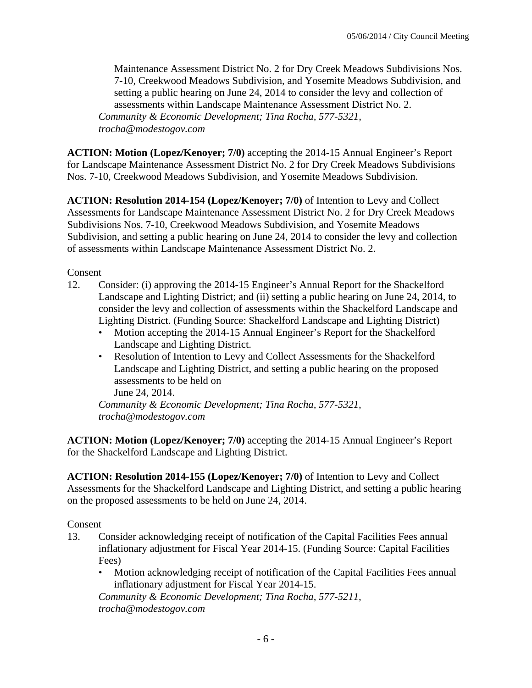Maintenance Assessment District No. 2 for Dry Creek Meadows Subdivisions Nos. 7-10, Creekwood Meadows Subdivision, and Yosemite Meadows Subdivision, and setting a public hearing on June 24, 2014 to consider the levy and collection of assessments within Landscape Maintenance Assessment District No. 2. *Community & Economic Development; Tina Rocha, 577-5321, trocha@modestogov.com* 

**ACTION: Motion (Lopez/Kenoyer; 7/0)** accepting the 2014-15 Annual Engineer's Report for Landscape Maintenance Assessment District No. 2 for Dry Creek Meadows Subdivisions Nos. 7-10, Creekwood Meadows Subdivision, and Yosemite Meadows Subdivision.

**ACTION: Resolution 2014-154 (Lopez/Kenoyer; 7/0)** of Intention to Levy and Collect Assessments for Landscape Maintenance Assessment District No. 2 for Dry Creek Meadows Subdivisions Nos. 7-10, Creekwood Meadows Subdivision, and Yosemite Meadows Subdivision, and setting a public hearing on June 24, 2014 to consider the levy and collection of assessments within Landscape Maintenance Assessment District No. 2.

Consent

- 12. Consider: (i) approving the 2014-15 Engineer's Annual Report for the Shackelford Landscape and Lighting District; and (ii) setting a public hearing on June 24, 2014, to consider the levy and collection of assessments within the Shackelford Landscape and Lighting District. (Funding Source: Shackelford Landscape and Lighting District)
	- Motion accepting the 2014-15 Annual Engineer's Report for the Shackelford Landscape and Lighting District.
	- Resolution of Intention to Levy and Collect Assessments for the Shackelford Landscape and Lighting District, and setting a public hearing on the proposed assessments to be held on June 24, 2014.

*Community & Economic Development; Tina Rocha, 577-5321, trocha@modestogov.com* 

**ACTION: Motion (Lopez/Kenoyer; 7/0)** accepting the 2014-15 Annual Engineer's Report for the Shackelford Landscape and Lighting District.

**ACTION: Resolution 2014-155 (Lopez/Kenoyer; 7/0)** of Intention to Levy and Collect Assessments for the Shackelford Landscape and Lighting District, and setting a public hearing on the proposed assessments to be held on June 24, 2014.

Consent

- 13. Consider acknowledging receipt of notification of the Capital Facilities Fees annual inflationary adjustment for Fiscal Year 2014-15. (Funding Source: Capital Facilities Fees)
	- Motion acknowledging receipt of notification of the Capital Facilities Fees annual inflationary adjustment for Fiscal Year 2014-15.

*Community & Economic Development; Tina Rocha, 577-5211, trocha@modestogov.com*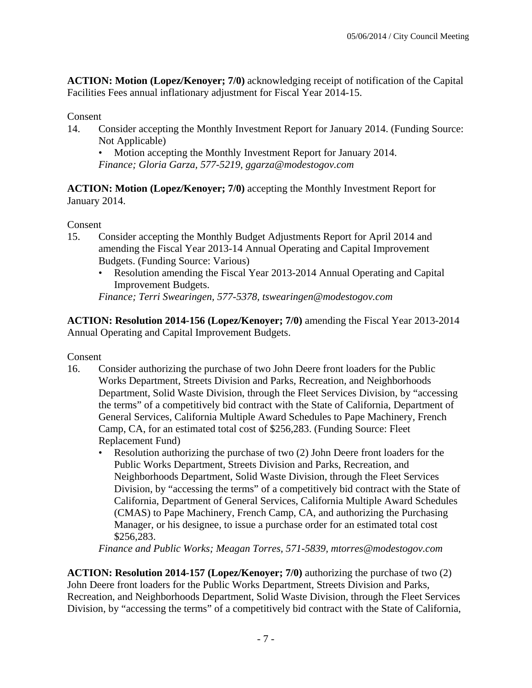**ACTION: Motion (Lopez/Kenoyer; 7/0)** acknowledging receipt of notification of the Capital Facilities Fees annual inflationary adjustment for Fiscal Year 2014-15.

### Consent

14. Consider accepting the Monthly Investment Report for January 2014. (Funding Source: Not Applicable)

• Motion accepting the Monthly Investment Report for January 2014. *Finance; Gloria Garza, 577-5219, ggarza@modestogov.com* 

**ACTION: Motion (Lopez/Kenoyer; 7/0)** accepting the Monthly Investment Report for January 2014.

### Consent

- 15. Consider accepting the Monthly Budget Adjustments Report for April 2014 and amending the Fiscal Year 2013-14 Annual Operating and Capital Improvement Budgets. (Funding Source: Various)
	- Resolution amending the Fiscal Year 2013-2014 Annual Operating and Capital Improvement Budgets.

*Finance; Terri Swearingen, 577-5378, tswearingen@modestogov.com* 

**ACTION: Resolution 2014-156 (Lopez/Kenoyer; 7/0)** amending the Fiscal Year 2013-2014 Annual Operating and Capital Improvement Budgets.

Consent

- 16. Consider authorizing the purchase of two John Deere front loaders for the Public Works Department, Streets Division and Parks, Recreation, and Neighborhoods Department, Solid Waste Division, through the Fleet Services Division, by "accessing the terms" of a competitively bid contract with the State of California, Department of General Services, California Multiple Award Schedules to Pape Machinery, French Camp, CA, for an estimated total cost of \$256,283. (Funding Source: Fleet Replacement Fund)
	- Resolution authorizing the purchase of two (2) John Deere front loaders for the Public Works Department, Streets Division and Parks, Recreation, and Neighborhoods Department, Solid Waste Division, through the Fleet Services Division, by "accessing the terms" of a competitively bid contract with the State of California, Department of General Services, California Multiple Award Schedules (CMAS) to Pape Machinery, French Camp, CA, and authorizing the Purchasing Manager, or his designee, to issue a purchase order for an estimated total cost \$256,283.

*Finance and Public Works; Meagan Torres, 571-5839, mtorres@modestogov.com* 

**ACTION: Resolution 2014-157 (Lopez/Kenoyer; 7/0)** authorizing the purchase of two (2) John Deere front loaders for the Public Works Department, Streets Division and Parks, Recreation, and Neighborhoods Department, Solid Waste Division, through the Fleet Services Division, by "accessing the terms" of a competitively bid contract with the State of California,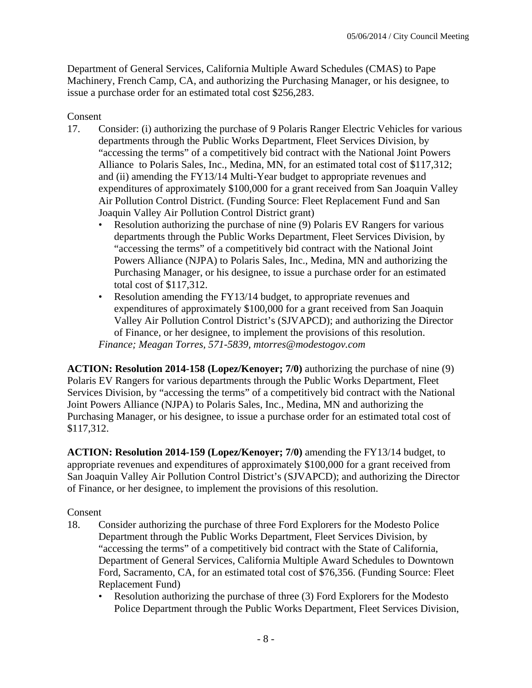Department of General Services, California Multiple Award Schedules (CMAS) to Pape Machinery, French Camp, CA, and authorizing the Purchasing Manager, or his designee, to issue a purchase order for an estimated total cost \$256,283.

### Consent

- 17. Consider: (i) authorizing the purchase of 9 Polaris Ranger Electric Vehicles for various departments through the Public Works Department, Fleet Services Division, by "accessing the terms" of a competitively bid contract with the National Joint Powers Alliance to Polaris Sales, Inc., Medina, MN, for an estimated total cost of \$117,312; and (ii) amending the FY13/14 Multi-Year budget to appropriate revenues and expenditures of approximately \$100,000 for a grant received from San Joaquin Valley Air Pollution Control District. (Funding Source: Fleet Replacement Fund and San Joaquin Valley Air Pollution Control District grant)
	- Resolution authorizing the purchase of nine (9) Polaris EV Rangers for various departments through the Public Works Department, Fleet Services Division, by "accessing the terms" of a competitively bid contract with the National Joint Powers Alliance (NJPA) to Polaris Sales, Inc., Medina, MN and authorizing the Purchasing Manager, or his designee, to issue a purchase order for an estimated total cost of \$117,312.
	- Resolution amending the FY13/14 budget, to appropriate revenues and expenditures of approximately \$100,000 for a grant received from San Joaquin Valley Air Pollution Control District's (SJVAPCD); and authorizing the Director of Finance, or her designee, to implement the provisions of this resolution. *Finance; Meagan Torres, 571-5839, mtorres@modestogov.com*

**ACTION: Resolution 2014-158 (Lopez/Kenoyer; 7/0)** authorizing the purchase of nine (9) Polaris EV Rangers for various departments through the Public Works Department, Fleet Services Division, by "accessing the terms" of a competitively bid contract with the National Joint Powers Alliance (NJPA) to Polaris Sales, Inc., Medina, MN and authorizing the Purchasing Manager, or his designee, to issue a purchase order for an estimated total cost of \$117,312.

**ACTION: Resolution 2014-159 (Lopez/Kenoyer; 7/0)** amending the FY13/14 budget, to appropriate revenues and expenditures of approximately \$100,000 for a grant received from San Joaquin Valley Air Pollution Control District's (SJVAPCD); and authorizing the Director of Finance, or her designee, to implement the provisions of this resolution.

- 18. Consider authorizing the purchase of three Ford Explorers for the Modesto Police Department through the Public Works Department, Fleet Services Division, by "accessing the terms" of a competitively bid contract with the State of California, Department of General Services, California Multiple Award Schedules to Downtown Ford, Sacramento, CA, for an estimated total cost of \$76,356. (Funding Source: Fleet Replacement Fund)
	- Resolution authorizing the purchase of three (3) Ford Explorers for the Modesto Police Department through the Public Works Department, Fleet Services Division,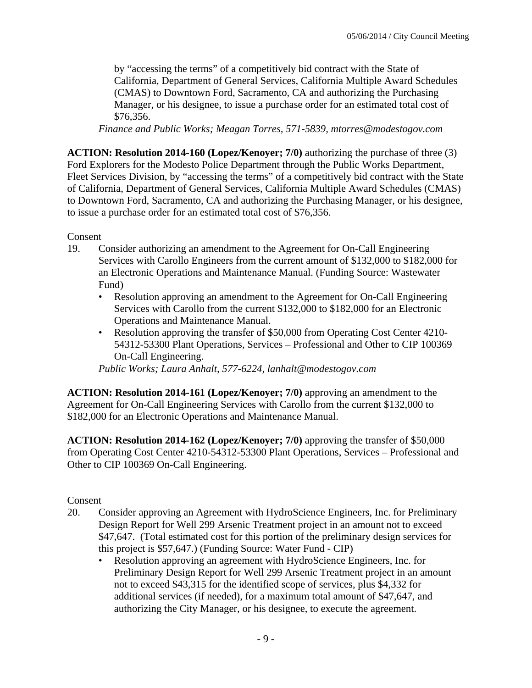by "accessing the terms" of a competitively bid contract with the State of California, Department of General Services, California Multiple Award Schedules (CMAS) to Downtown Ford, Sacramento, CA and authorizing the Purchasing Manager, or his designee, to issue a purchase order for an estimated total cost of \$76,356.

*Finance and Public Works; Meagan Torres, 571-5839, mtorres@modestogov.com* 

**ACTION: Resolution 2014-160 (Lopez/Kenoyer; 7/0)** authorizing the purchase of three (3) Ford Explorers for the Modesto Police Department through the Public Works Department, Fleet Services Division, by "accessing the terms" of a competitively bid contract with the State of California, Department of General Services, California Multiple Award Schedules (CMAS) to Downtown Ford, Sacramento, CA and authorizing the Purchasing Manager, or his designee, to issue a purchase order for an estimated total cost of \$76,356.

Consent

- 19. Consider authorizing an amendment to the Agreement for On-Call Engineering Services with Carollo Engineers from the current amount of \$132,000 to \$182,000 for an Electronic Operations and Maintenance Manual. (Funding Source: Wastewater Fund)
	- Resolution approving an amendment to the Agreement for On-Call Engineering Services with Carollo from the current \$132,000 to \$182,000 for an Electronic Operations and Maintenance Manual.
	- Resolution approving the transfer of \$50,000 from Operating Cost Center 4210-54312-53300 Plant Operations, Services – Professional and Other to CIP 100369 On-Call Engineering.

*Public Works; Laura Anhalt, 577-6224, lanhalt@modestogov.com* 

**ACTION: Resolution 2014-161 (Lopez/Kenoyer; 7/0)** approving an amendment to the Agreement for On-Call Engineering Services with Carollo from the current \$132,000 to \$182,000 for an Electronic Operations and Maintenance Manual.

**ACTION: Resolution 2014-162 (Lopez/Kenoyer; 7/0)** approving the transfer of \$50,000 from Operating Cost Center 4210-54312-53300 Plant Operations, Services – Professional and Other to CIP 100369 On-Call Engineering.

- 20. Consider approving an Agreement with HydroScience Engineers, Inc. for Preliminary Design Report for Well 299 Arsenic Treatment project in an amount not to exceed \$47,647. (Total estimated cost for this portion of the preliminary design services for this project is \$57,647.) (Funding Source: Water Fund - CIP)
	- Resolution approving an agreement with HydroScience Engineers, Inc. for Preliminary Design Report for Well 299 Arsenic Treatment project in an amount not to exceed \$43,315 for the identified scope of services, plus \$4,332 for additional services (if needed), for a maximum total amount of \$47,647, and authorizing the City Manager, or his designee, to execute the agreement.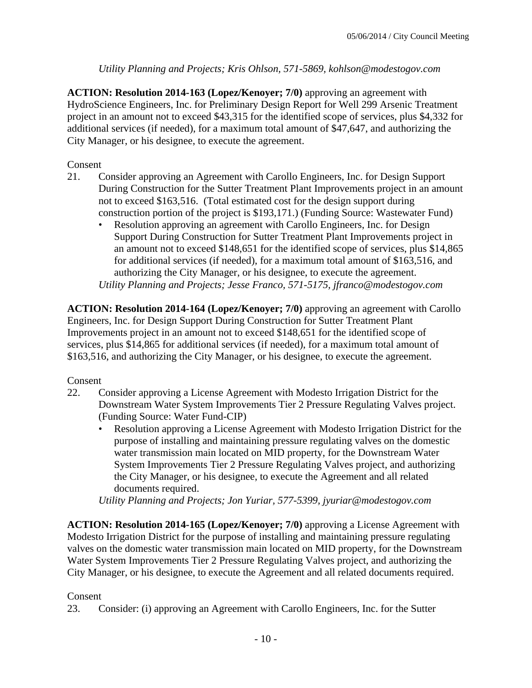### *Utility Planning and Projects; Kris Ohlson, 571-5869, kohlson@modestogov.com*

**ACTION: Resolution 2014-163 (Lopez/Kenoyer; 7/0)** approving an agreement with HydroScience Engineers, Inc. for Preliminary Design Report for Well 299 Arsenic Treatment project in an amount not to exceed \$43,315 for the identified scope of services, plus \$4,332 for additional services (if needed), for a maximum total amount of \$47,647, and authorizing the City Manager, or his designee, to execute the agreement.

### Consent

- 21. Consider approving an Agreement with Carollo Engineers, Inc. for Design Support During Construction for the Sutter Treatment Plant Improvements project in an amount not to exceed \$163,516. (Total estimated cost for the design support during construction portion of the project is \$193,171.) (Funding Source: Wastewater Fund)
	- Resolution approving an agreement with Carollo Engineers, Inc. for Design Support During Construction for Sutter Treatment Plant Improvements project in an amount not to exceed \$148,651 for the identified scope of services, plus \$14,865 for additional services (if needed), for a maximum total amount of \$163,516, and authorizing the City Manager, or his designee, to execute the agreement. *Utility Planning and Projects; Jesse Franco, 571-5175, jfranco@modestogov.com*

**ACTION: Resolution 2014-164 (Lopez/Kenoyer; 7/0)** approving an agreement with Carollo Engineers, Inc. for Design Support During Construction for Sutter Treatment Plant Improvements project in an amount not to exceed \$148,651 for the identified scope of services, plus \$14,865 for additional services (if needed), for a maximum total amount of \$163,516, and authorizing the City Manager, or his designee, to execute the agreement.

### Consent

- 22. Consider approving a License Agreement with Modesto Irrigation District for the Downstream Water System Improvements Tier 2 Pressure Regulating Valves project. (Funding Source: Water Fund-CIP)
	- Resolution approving a License Agreement with Modesto Irrigation District for the purpose of installing and maintaining pressure regulating valves on the domestic water transmission main located on MID property, for the Downstream Water System Improvements Tier 2 Pressure Regulating Valves project, and authorizing the City Manager, or his designee, to execute the Agreement and all related documents required.

*Utility Planning and Projects; Jon Yuriar, 577-5399, jyuriar@modestogov.com* 

**ACTION: Resolution 2014-165 (Lopez/Kenoyer; 7/0)** approving a License Agreement with Modesto Irrigation District for the purpose of installing and maintaining pressure regulating valves on the domestic water transmission main located on MID property, for the Downstream Water System Improvements Tier 2 Pressure Regulating Valves project, and authorizing the City Manager, or his designee, to execute the Agreement and all related documents required.

## Consent

23. Consider: (i) approving an Agreement with Carollo Engineers, Inc. for the Sutter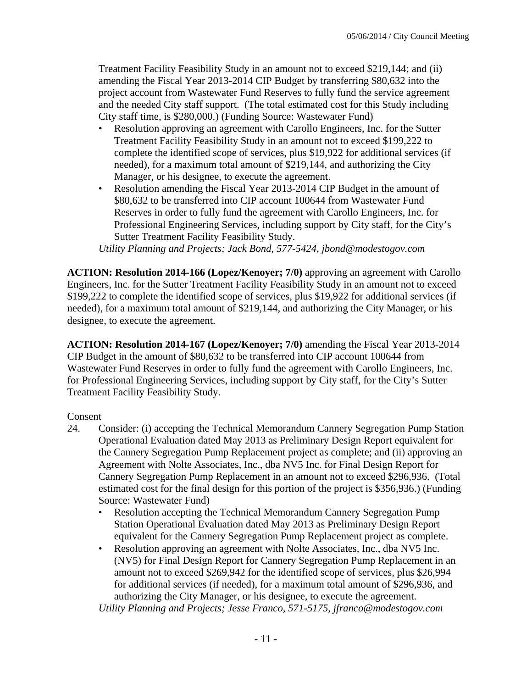Treatment Facility Feasibility Study in an amount not to exceed \$219,144; and (ii) amending the Fiscal Year 2013-2014 CIP Budget by transferring \$80,632 into the project account from Wastewater Fund Reserves to fully fund the service agreement and the needed City staff support. (The total estimated cost for this Study including City staff time, is \$280,000.) (Funding Source: Wastewater Fund)

- Resolution approving an agreement with Carollo Engineers, Inc. for the Sutter Treatment Facility Feasibility Study in an amount not to exceed \$199,222 to complete the identified scope of services, plus \$19,922 for additional services (if needed), for a maximum total amount of \$219,144, and authorizing the City Manager, or his designee, to execute the agreement.
- Resolution amending the Fiscal Year 2013-2014 CIP Budget in the amount of \$80,632 to be transferred into CIP account 100644 from Wastewater Fund Reserves in order to fully fund the agreement with Carollo Engineers, Inc. for Professional Engineering Services, including support by City staff, for the City's Sutter Treatment Facility Feasibility Study.

*Utility Planning and Projects; Jack Bond, 577-5424, jbond@modestogov.com* 

**ACTION: Resolution 2014-166 (Lopez/Kenoyer; 7/0)** approving an agreement with Carollo Engineers, Inc. for the Sutter Treatment Facility Feasibility Study in an amount not to exceed \$199,222 to complete the identified scope of services, plus \$19,922 for additional services (if needed), for a maximum total amount of \$219,144, and authorizing the City Manager, or his designee, to execute the agreement.

**ACTION: Resolution 2014-167 (Lopez/Kenoyer; 7/0)** amending the Fiscal Year 2013-2014 CIP Budget in the amount of \$80,632 to be transferred into CIP account 100644 from Wastewater Fund Reserves in order to fully fund the agreement with Carollo Engineers, Inc. for Professional Engineering Services, including support by City staff, for the City's Sutter Treatment Facility Feasibility Study.

### Consent

- 24. Consider: (i) accepting the Technical Memorandum Cannery Segregation Pump Station Operational Evaluation dated May 2013 as Preliminary Design Report equivalent for the Cannery Segregation Pump Replacement project as complete; and (ii) approving an Agreement with Nolte Associates, Inc., dba NV5 Inc. for Final Design Report for Cannery Segregation Pump Replacement in an amount not to exceed \$296,936. (Total estimated cost for the final design for this portion of the project is \$356,936.) (Funding Source: Wastewater Fund)
	- Resolution accepting the Technical Memorandum Cannery Segregation Pump Station Operational Evaluation dated May 2013 as Preliminary Design Report equivalent for the Cannery Segregation Pump Replacement project as complete.
	- Resolution approving an agreement with Nolte Associates, Inc., dba NV5 Inc. (NV5) for Final Design Report for Cannery Segregation Pump Replacement in an amount not to exceed \$269,942 for the identified scope of services, plus \$26,994 for additional services (if needed), for a maximum total amount of \$296,936, and authorizing the City Manager, or his designee, to execute the agreement.

*Utility Planning and Projects; Jesse Franco, 571-5175, jfranco@modestogov.com*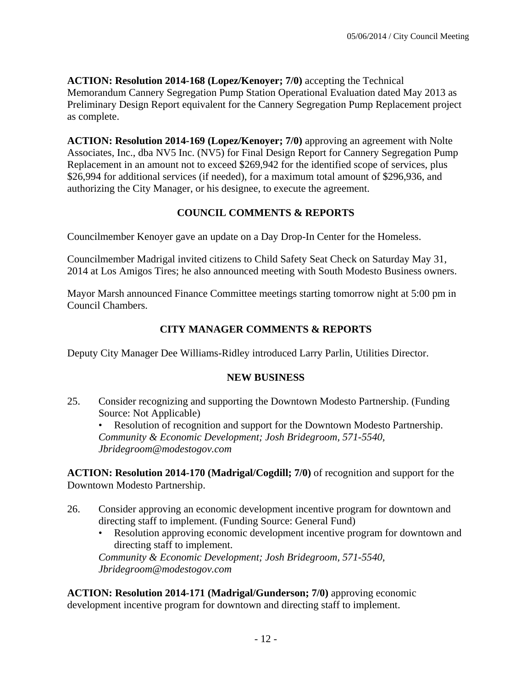**ACTION: Resolution 2014-168 (Lopez/Kenoyer; 7/0)** accepting the Technical Memorandum Cannery Segregation Pump Station Operational Evaluation dated May 2013 as Preliminary Design Report equivalent for the Cannery Segregation Pump Replacement project as complete.

**ACTION: Resolution 2014-169 (Lopez/Kenoyer; 7/0)** approving an agreement with Nolte Associates, Inc., dba NV5 Inc. (NV5) for Final Design Report for Cannery Segregation Pump Replacement in an amount not to exceed \$269,942 for the identified scope of services, plus \$26,994 for additional services (if needed), for a maximum total amount of \$296,936, and authorizing the City Manager, or his designee, to execute the agreement.

# **COUNCIL COMMENTS & REPORTS**

Councilmember Kenoyer gave an update on a Day Drop-In Center for the Homeless.

Councilmember Madrigal invited citizens to Child Safety Seat Check on Saturday May 31, 2014 at Los Amigos Tires; he also announced meeting with South Modesto Business owners.

Mayor Marsh announced Finance Committee meetings starting tomorrow night at 5:00 pm in Council Chambers.

# **CITY MANAGER COMMENTS & REPORTS**

Deputy City Manager Dee Williams-Ridley introduced Larry Parlin, Utilities Director.

## **NEW BUSINESS**

25. Consider recognizing and supporting the Downtown Modesto Partnership. (Funding Source: Not Applicable)

• Resolution of recognition and support for the Downtown Modesto Partnership. *Community & Economic Development; Josh Bridegroom, 571-5540, Jbridegroom@modestogov.com* 

**ACTION: Resolution 2014-170 (Madrigal/Cogdill; 7/0)** of recognition and support for the Downtown Modesto Partnership.

- 26. Consider approving an economic development incentive program for downtown and directing staff to implement. (Funding Source: General Fund)
	- Resolution approving economic development incentive program for downtown and directing staff to implement.

*Community & Economic Development; Josh Bridegroom, 571-5540, Jbridegroom@modestogov.com* 

**ACTION: Resolution 2014-171 (Madrigal/Gunderson; 7/0)** approving economic development incentive program for downtown and directing staff to implement.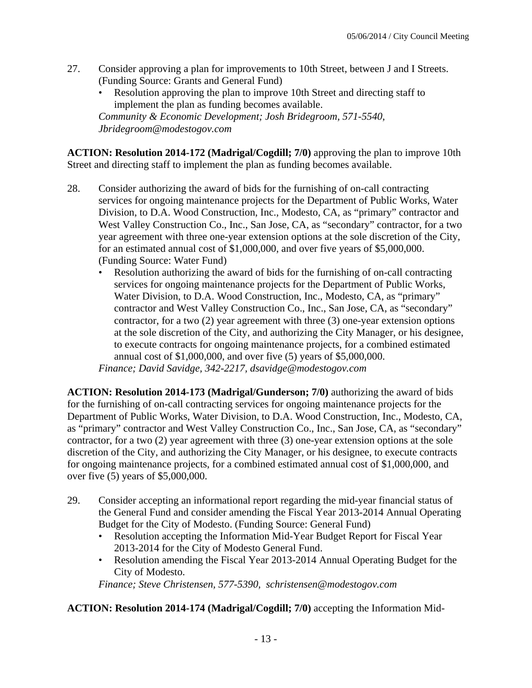- 27. Consider approving a plan for improvements to 10th Street, between J and I Streets. (Funding Source: Grants and General Fund)
	- Resolution approving the plan to improve 10th Street and directing staff to implement the plan as funding becomes available. *Community & Economic Development; Josh Bridegroom, 571-5540, Jbridegroom@modestogov.com*

**ACTION: Resolution 2014-172 (Madrigal/Cogdill; 7/0)** approving the plan to improve 10th Street and directing staff to implement the plan as funding becomes available.

- 28. Consider authorizing the award of bids for the furnishing of on-call contracting services for ongoing maintenance projects for the Department of Public Works, Water Division, to D.A. Wood Construction, Inc., Modesto, CA, as "primary" contractor and West Valley Construction Co., Inc., San Jose, CA, as "secondary" contractor, for a two year agreement with three one-year extension options at the sole discretion of the City, for an estimated annual cost of \$1,000,000, and over five years of \$5,000,000. (Funding Source: Water Fund)
	- Resolution authorizing the award of bids for the furnishing of on-call contracting services for ongoing maintenance projects for the Department of Public Works, Water Division, to D.A. Wood Construction, Inc., Modesto, CA, as "primary" contractor and West Valley Construction Co., Inc., San Jose, CA, as "secondary" contractor, for a two (2) year agreement with three (3) one-year extension options at the sole discretion of the City, and authorizing the City Manager, or his designee, to execute contracts for ongoing maintenance projects, for a combined estimated annual cost of \$1,000,000, and over five (5) years of \$5,000,000. *Finance; David Savidge, 342-2217, dsavidge@modestogov.com*

**ACTION: Resolution 2014-173 (Madrigal/Gunderson; 7/0)** authorizing the award of bids for the furnishing of on-call contracting services for ongoing maintenance projects for the Department of Public Works, Water Division, to D.A. Wood Construction, Inc., Modesto, CA, as "primary" contractor and West Valley Construction Co., Inc., San Jose, CA, as "secondary" contractor, for a two (2) year agreement with three (3) one-year extension options at the sole discretion of the City, and authorizing the City Manager, or his designee, to execute contracts for ongoing maintenance projects, for a combined estimated annual cost of \$1,000,000, and over five (5) years of \$5,000,000.

- 29. Consider accepting an informational report regarding the mid-year financial status of the General Fund and consider amending the Fiscal Year 2013-2014 Annual Operating Budget for the City of Modesto. (Funding Source: General Fund)
	- Resolution accepting the Information Mid-Year Budget Report for Fiscal Year 2013-2014 for the City of Modesto General Fund.
	- Resolution amending the Fiscal Year 2013-2014 Annual Operating Budget for the City of Modesto.

*Finance; Steve Christensen, 577-5390, schristensen@modestogov.com* 

**ACTION: Resolution 2014-174 (Madrigal/Cogdill; 7/0)** accepting the Information Mid-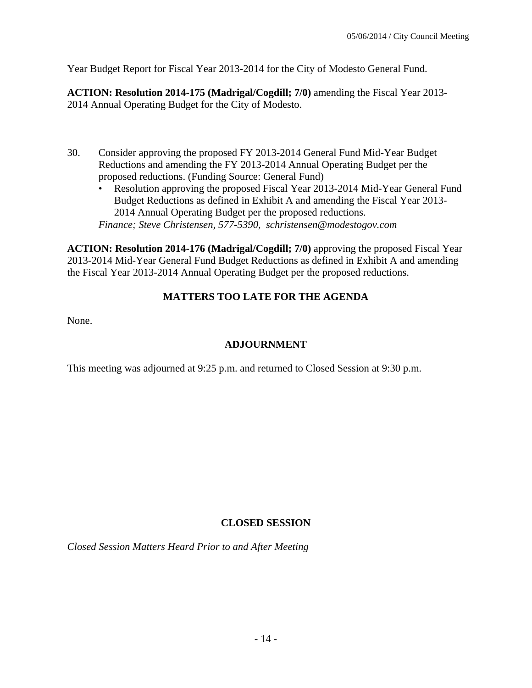Year Budget Report for Fiscal Year 2013-2014 for the City of Modesto General Fund.

**ACTION: Resolution 2014-175 (Madrigal/Cogdill; 7/0)** amending the Fiscal Year 2013- 2014 Annual Operating Budget for the City of Modesto.

- 30. Consider approving the proposed FY 2013-2014 General Fund Mid-Year Budget Reductions and amending the FY 2013-2014 Annual Operating Budget per the proposed reductions. (Funding Source: General Fund)
	- Resolution approving the proposed Fiscal Year 2013-2014 Mid-Year General Fund Budget Reductions as defined in Exhibit A and amending the Fiscal Year 2013- 2014 Annual Operating Budget per the proposed reductions. *Finance; Steve Christensen, 577-5390, schristensen@modestogov.com*

**ACTION: Resolution 2014-176 (Madrigal/Cogdill; 7/0)** approving the proposed Fiscal Year 2013-2014 Mid-Year General Fund Budget Reductions as defined in Exhibit A and amending the Fiscal Year 2013-2014 Annual Operating Budget per the proposed reductions.

# **MATTERS TOO LATE FOR THE AGENDA**

None.

# **ADJOURNMENT**

This meeting was adjourned at 9:25 p.m. and returned to Closed Session at 9:30 p.m.

## **CLOSED SESSION**

*Closed Session Matters Heard Prior to and After Meeting*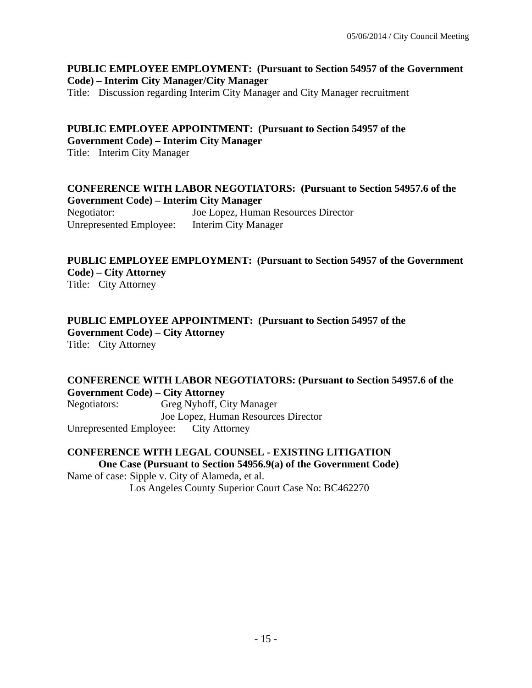#### **PUBLIC EMPLOYEE EMPLOYMENT: (Pursuant to Section 54957 of the Government Code) – Interim City Manager/City Manager**

Title: Discussion regarding Interim City Manager and City Manager recruitment

#### **PUBLIC EMPLOYEE APPOINTMENT: (Pursuant to Section 54957 of the Government Code) – Interim City Manager**

Title: Interim City Manager

#### **CONFERENCE WITH LABOR NEGOTIATORS: (Pursuant to Section 54957.6 of the Government Code) – Interim City Manager**

Negotiator: Joe Lopez, Human Resources Director Unrepresented Employee: Interim City Manager

# **PUBLIC EMPLOYEE EMPLOYMENT: (Pursuant to Section 54957 of the Government Code) – City Attorney**

Title: City Attorney

#### **PUBLIC EMPLOYEE APPOINTMENT: (Pursuant to Section 54957 of the Government Code) – City Attorney**  Title: City Attorney

#### **CONFERENCE WITH LABOR NEGOTIATORS: (Pursuant to Section 54957.6 of the Government Code) – City Attorney**

Negotiators: Greg Nyhoff, City Manager Joe Lopez, Human Resources Director Unrepresented Employee: City Attorney

### **CONFERENCE WITH LEGAL COUNSEL - EXISTING LITIGATION One Case (Pursuant to Section 54956.9(a) of the Government Code)**

Name of case: Sipple v. City of Alameda, et al. Los Angeles County Superior Court Case No: BC462270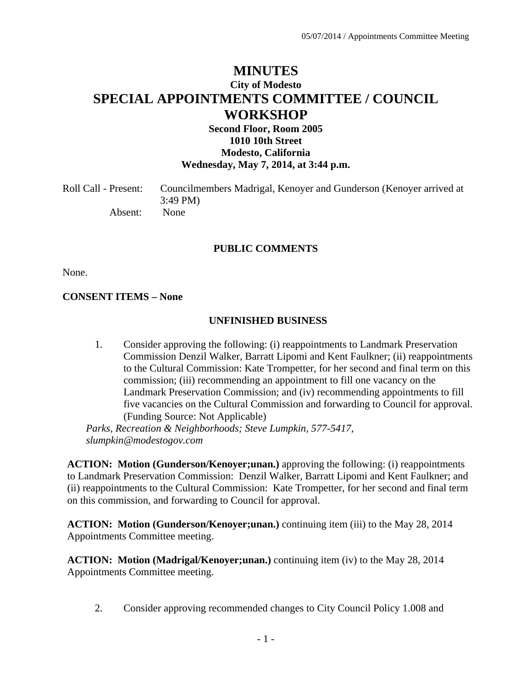# **MINUTES City of Modesto SPECIAL APPOINTMENTS COMMITTEE / COUNCIL WORKSHOP**

### **Second Floor, Room 2005 1010 10th Street Modesto, California Wednesday, May 7, 2014, at 3:44 p.m.**

| Roll Call - Present: | Councilmembers Madrigal, Kenoyer and Gunderson (Kenoyer arrived at |
|----------------------|--------------------------------------------------------------------|
|                      | $3:49 \text{ PM}$                                                  |
| Absent:              | None                                                               |

#### **PUBLIC COMMENTS**

None.

#### **CONSENT ITEMS – None**

#### **UNFINISHED BUSINESS**

 1. Consider approving the following: (i) reappointments to Landmark Preservation Commission Denzil Walker, Barratt Lipomi and Kent Faulkner; (ii) reappointments to the Cultural Commission: Kate Trompetter, for her second and final term on this commission; (iii) recommending an appointment to fill one vacancy on the Landmark Preservation Commission; and (iv) recommending appointments to fill five vacancies on the Cultural Commission and forwarding to Council for approval. (Funding Source: Not Applicable)

*Parks, Recreation & Neighborhoods; Steve Lumpkin, 577-5417, slumpkin@modestogov.com* 

**ACTION: Motion (Gunderson/Kenoyer;unan.)** approving the following: (i) reappointments to Landmark Preservation Commission: Denzil Walker, Barratt Lipomi and Kent Faulkner; and (ii) reappointments to the Cultural Commission: Kate Trompetter, for her second and final term on this commission, and forwarding to Council for approval.

**ACTION: Motion (Gunderson/Kenoyer;unan.)** continuing item (iii) to the May 28, 2014 Appointments Committee meeting.

**ACTION: Motion (Madrigal/Kenoyer;unan.)** continuing item (iv) to the May 28, 2014 Appointments Committee meeting.

2. Consider approving recommended changes to City Council Policy 1.008 and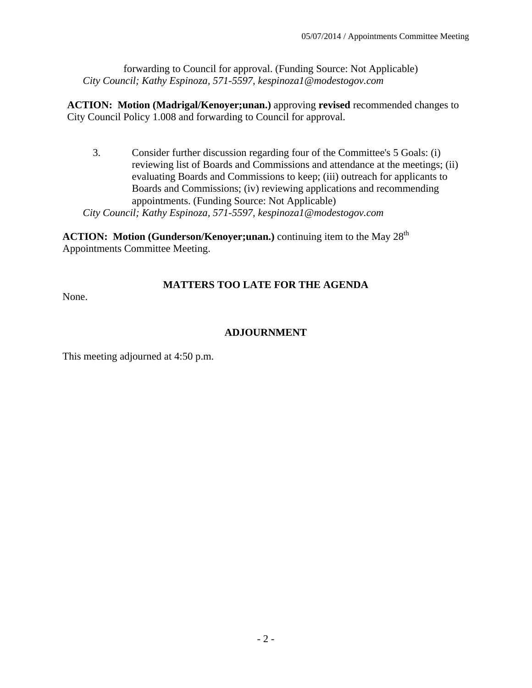forwarding to Council for approval. (Funding Source: Not Applicable)  *City Council; Kathy Espinoza, 571-5597, kespinoza1@modestogov.com* 

**ACTION: Motion (Madrigal/Kenoyer;unan.)** approving **revised** recommended changes to City Council Policy 1.008 and forwarding to Council for approval.

 3. Consider further discussion regarding four of the Committee's 5 Goals: (i) reviewing list of Boards and Commissions and attendance at the meetings; (ii) evaluating Boards and Commissions to keep; (iii) outreach for applicants to Boards and Commissions; (iv) reviewing applications and recommending appointments. (Funding Source: Not Applicable)  *City Council; Kathy Espinoza, 571-5597, kespinoza1@modestogov.com*

**ACTION:** Motion (Gunderson/Kenoyer;unan.) continuing item to the May 28<sup>th</sup> Appointments Committee Meeting.

# **MATTERS TOO LATE FOR THE AGENDA**

None.

# **ADJOURNMENT**

This meeting adjourned at 4:50 p.m.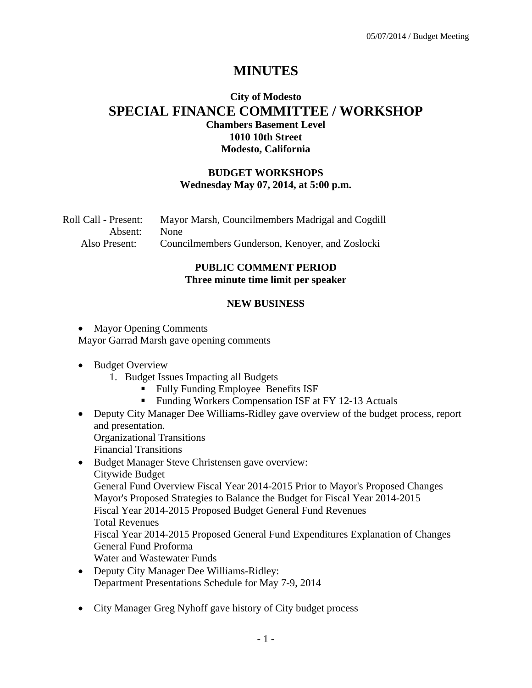# **MINUTES**

# **City of Modesto SPECIAL FINANCE COMMITTEE / WORKSHOP Chambers Basement Level 1010 10th Street Modesto, California**

#### **BUDGET WORKSHOPS Wednesday May 07, 2014, at 5:00 p.m.**

Roll Call - Present: Mayor Marsh, Councilmembers Madrigal and Cogdill Absent: None Also Present: Councilmembers Gunderson, Kenoyer, and Zoslocki

#### **PUBLIC COMMENT PERIOD Three minute time limit per speaker**

#### **NEW BUSINESS**

- Mayor Opening Comments Mayor Garrad Marsh gave opening comments
- Budget Overview
	- 1. Budget Issues Impacting all Budgets
		- Fully Funding Employee Benefits ISF
		- **Funding Workers Compensation ISF at FY 12-13 Actuals**
- Deputy City Manager Dee Williams-Ridley gave overview of the budget process, report and presentation. Organizational Transitions
	- Financial Transitions
- Budget Manager Steve Christensen gave overview: Citywide Budget General Fund Overview Fiscal Year 2014-2015 Prior to Mayor's Proposed Changes Mayor's Proposed Strategies to Balance the Budget for Fiscal Year 2014-2015 Fiscal Year 2014-2015 Proposed Budget General Fund Revenues Total Revenues Fiscal Year 2014-2015 Proposed General Fund Expenditures Explanation of Changes General Fund Proforma Water and Wastewater Funds
- Deputy City Manager Dee Williams-Ridley: Department Presentations Schedule for May 7-9, 2014
- City Manager Greg Nyhoff gave history of City budget process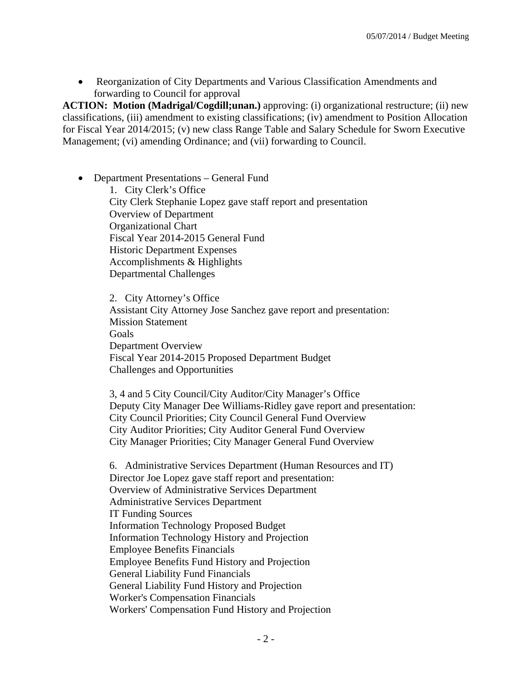Reorganization of City Departments and Various Classification Amendments and forwarding to Council for approval

**ACTION: Motion (Madrigal/Cogdill;unan.)** approving: (i) organizational restructure; (ii) new classifications, (iii) amendment to existing classifications; (iv) amendment to Position Allocation for Fiscal Year 2014/2015; (v) new class Range Table and Salary Schedule for Sworn Executive Management; (vi) amending Ordinance; and (vii) forwarding to Council.

 Department Presentations – General Fund 1. City Clerk's Office

City Clerk Stephanie Lopez gave staff report and presentation Overview of Department Organizational Chart Fiscal Year 2014-2015 General Fund Historic Department Expenses Accomplishments & Highlights Departmental Challenges

2. City Attorney's Office Assistant City Attorney Jose Sanchez gave report and presentation: Mission Statement Goals Department Overview Fiscal Year 2014-2015 Proposed Department Budget Challenges and Opportunities

3, 4 and 5 City Council/City Auditor/City Manager's Office Deputy City Manager Dee Williams-Ridley gave report and presentation: City Council Priorities; City Council General Fund Overview City Auditor Priorities; City Auditor General Fund Overview City Manager Priorities; City Manager General Fund Overview

6. Administrative Services Department (Human Resources and IT) Director Joe Lopez gave staff report and presentation: Overview of Administrative Services Department Administrative Services Department IT Funding Sources Information Technology Proposed Budget Information Technology History and Projection Employee Benefits Financials Employee Benefits Fund History and Projection General Liability Fund Financials General Liability Fund History and Projection Worker's Compensation Financials Workers' Compensation Fund History and Projection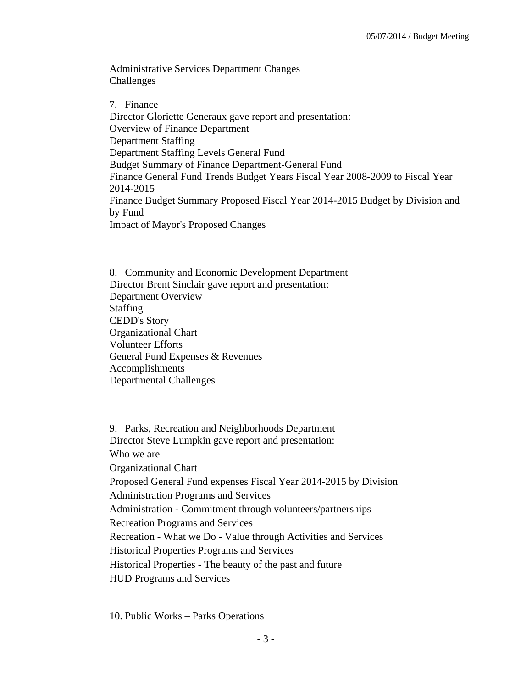Administrative Services Department Changes Challenges

7. Finance Director Gloriette Generaux gave report and presentation: Overview of Finance Department Department Staffing Department Staffing Levels General Fund Budget Summary of Finance Department-General Fund Finance General Fund Trends Budget Years Fiscal Year 2008-2009 to Fiscal Year 2014-2015 Finance Budget Summary Proposed Fiscal Year 2014-2015 Budget by Division and by Fund Impact of Mayor's Proposed Changes

8. Community and Economic Development Department Director Brent Sinclair gave report and presentation: Department Overview Staffing CEDD's Story Organizational Chart Volunteer Efforts General Fund Expenses & Revenues Accomplishments Departmental Challenges

9. Parks, Recreation and Neighborhoods Department Director Steve Lumpkin gave report and presentation: Who we are Organizational Chart Proposed General Fund expenses Fiscal Year 2014-2015 by Division Administration Programs and Services Administration - Commitment through volunteers/partnerships Recreation Programs and Services Recreation - What we Do - Value through Activities and Services Historical Properties Programs and Services Historical Properties - The beauty of the past and future HUD Programs and Services

10. Public Works – Parks Operations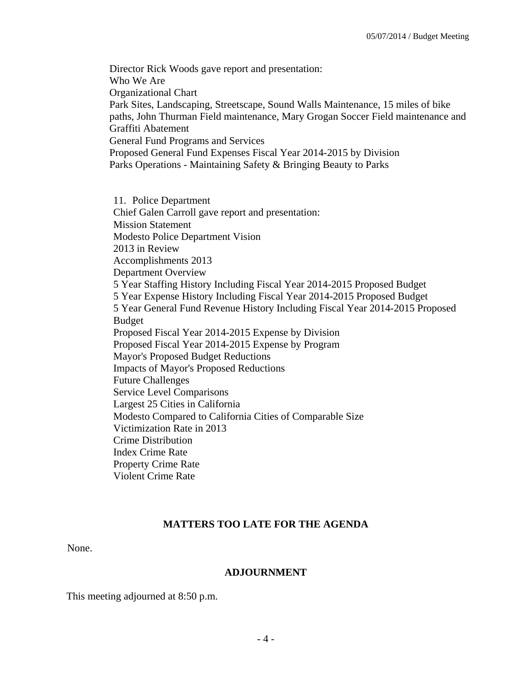Director Rick Woods gave report and presentation: Who We Are Organizational Chart Park Sites, Landscaping, Streetscape, Sound Walls Maintenance, 15 miles of bike paths, John Thurman Field maintenance, Mary Grogan Soccer Field maintenance and Graffiti Abatement General Fund Programs and Services Proposed General Fund Expenses Fiscal Year 2014-2015 by Division Parks Operations - Maintaining Safety & Bringing Beauty to Parks

11. Police Department Chief Galen Carroll gave report and presentation: Mission Statement Modesto Police Department Vision 2013 in Review Accomplishments 2013 Department Overview 5 Year Staffing History Including Fiscal Year 2014-2015 Proposed Budget 5 Year Expense History Including Fiscal Year 2014-2015 Proposed Budget 5 Year General Fund Revenue History Including Fiscal Year 2014-2015 Proposed Budget Proposed Fiscal Year 2014-2015 Expense by Division Proposed Fiscal Year 2014-2015 Expense by Program Mayor's Proposed Budget Reductions Impacts of Mayor's Proposed Reductions Future Challenges Service Level Comparisons Largest 25 Cities in California Modesto Compared to California Cities of Comparable Size Victimization Rate in 2013 Crime Distribution Index Crime Rate Property Crime Rate Violent Crime Rate

#### **MATTERS TOO LATE FOR THE AGENDA**

None.

#### **ADJOURNMENT**

This meeting adjourned at 8:50 p.m.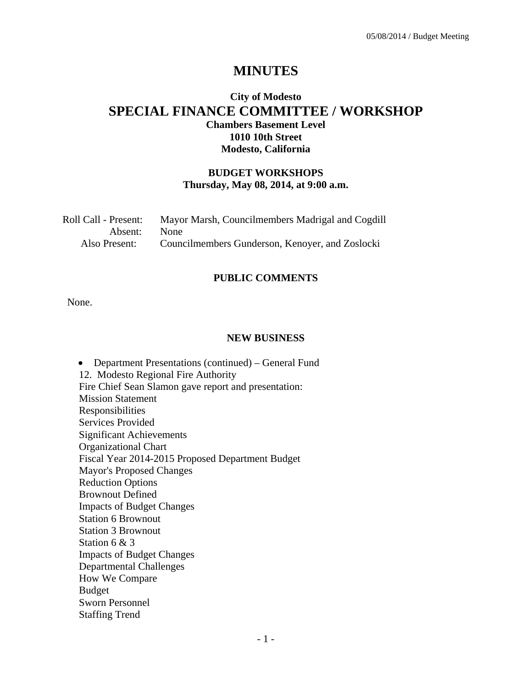# **MINUTES**

# **City of Modesto SPECIAL FINANCE COMMITTEE / WORKSHOP Chambers Basement Level 1010 10th Street Modesto, California**

#### **BUDGET WORKSHOPS Thursday, May 08, 2014, at 9:00 a.m.**

| Roll Call - Present: | Mayor Marsh, Councilmembers Madrigal and Cogdill |
|----------------------|--------------------------------------------------|
| Absent:              | None                                             |
| Also Present:        | Councilmembers Gunderson, Kenoyer, and Zoslocki  |

#### **PUBLIC COMMENTS**

None.

#### **NEW BUSINESS**

 Department Presentations (continued) – General Fund 12. Modesto Regional Fire Authority Fire Chief Sean Slamon gave report and presentation: Mission Statement Responsibilities Services Provided Significant Achievements Organizational Chart Fiscal Year 2014-2015 Proposed Department Budget Mayor's Proposed Changes Reduction Options Brownout Defined Impacts of Budget Changes Station 6 Brownout Station 3 Brownout Station 6 & 3 Impacts of Budget Changes Departmental Challenges How We Compare Budget Sworn Personnel Staffing Trend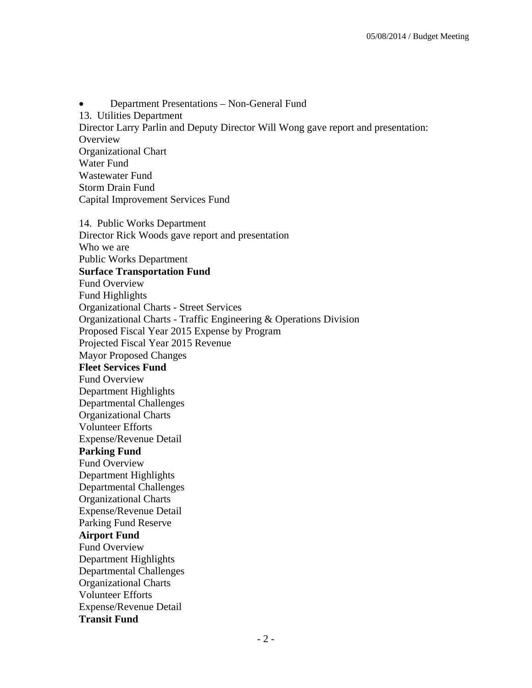• Department Presentations – Non-General Fund 13. Utilities Department Director Larry Parlin and Deputy Director Will Wong gave report and presentation: **Overview** Organizational Chart Water Fund Wastewater Fund Storm Drain Fund Capital Improvement Services Fund 14. Public Works Department Director Rick Woods gave report and presentation Who we are Public Works Department **Surface Transportation Fund**  Fund Overview Fund Highlights Organizational Charts - Street Services Organizational Charts - Traffic Engineering & Operations Division Proposed Fiscal Year 2015 Expense by Program Projected Fiscal Year 2015 Revenue Mayor Proposed Changes **Fleet Services Fund**  Fund Overview Department Highlights Departmental Challenges Organizational Charts Volunteer Efforts Expense/Revenue Detail **Parking Fund**  Fund Overview Department Highlights Departmental Challenges Organizational Charts Expense/Revenue Detail Parking Fund Reserve **Airport Fund**  Fund Overview Department Highlights Departmental Challenges Organizational Charts Volunteer Efforts Expense/Revenue Detail **Transit Fund**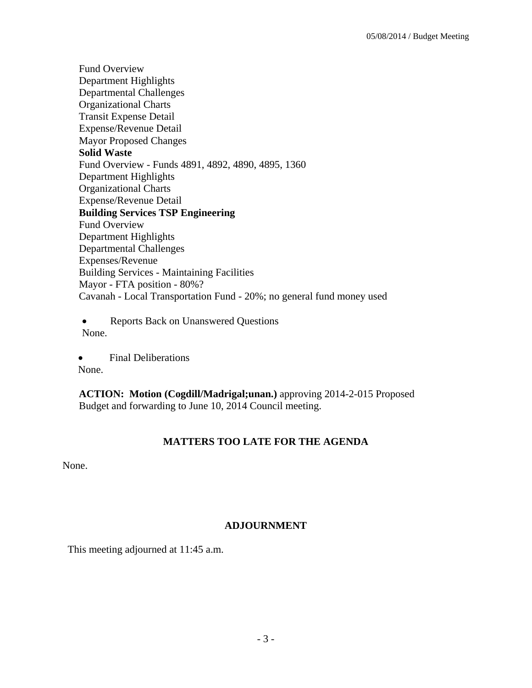Fund Overview Department Highlights Departmental Challenges Organizational Charts Transit Expense Detail Expense/Revenue Detail Mayor Proposed Changes **Solid Waste**  Fund Overview - Funds 4891, 4892, 4890, 4895, 1360 Department Highlights Organizational Charts Expense/Revenue Detail **Building Services TSP Engineering**  Fund Overview Department Highlights Departmental Challenges Expenses/Revenue Building Services - Maintaining Facilities Mayor - FTA position - 80%? Cavanah - Local Transportation Fund - 20%; no general fund money used

• Reports Back on Unanswered Questions None.

• Final Deliberations None.

**ACTION: Motion (Cogdill/Madrigal;unan.)** approving 2014-2-015 Proposed Budget and forwarding to June 10, 2014 Council meeting.

## **MATTERS TOO LATE FOR THE AGENDA**

None.

### **ADJOURNMENT**

This meeting adjourned at 11:45 a.m.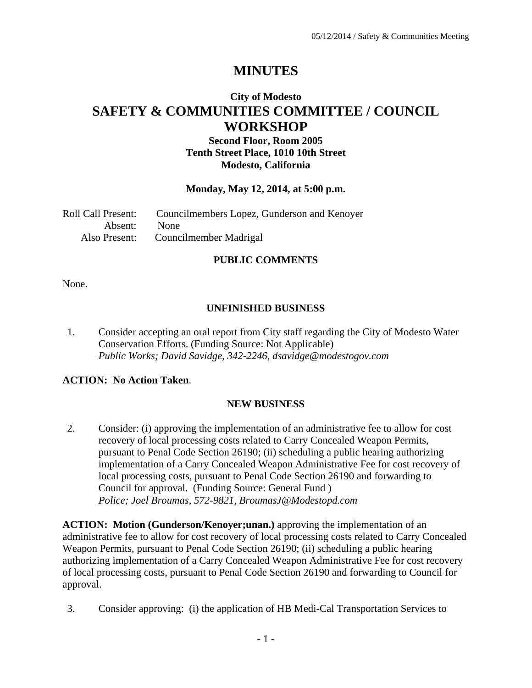# **MINUTES**

# **City of Modesto SAFETY & COMMUNITIES COMMITTEE / COUNCIL WORKSHOP**

### **Second Floor, Room 2005 Tenth Street Place, 1010 10th Street Modesto, California**

#### **Monday, May 12, 2014, at 5:00 p.m.**

| Roll Call Present: | Councilmembers Lopez, Gunderson and Kenoyer |
|--------------------|---------------------------------------------|
| Absent: None       |                                             |
|                    | Also Present: Councilmember Madrigal        |

### **PUBLIC COMMENTS**

None.

### **UNFINISHED BUSINESS**

1. Consider accepting an oral report from City staff regarding the City of Modesto Water Conservation Efforts. (Funding Source: Not Applicable)  *Public Works; David Savidge, 342-2246, dsavidge@modestogov.com* 

### **ACTION: No Action Taken**.

#### **NEW BUSINESS**

2. Consider: (i) approving the implementation of an administrative fee to allow for cost recovery of local processing costs related to Carry Concealed Weapon Permits, pursuant to Penal Code Section 26190; (ii) scheduling a public hearing authorizing implementation of a Carry Concealed Weapon Administrative Fee for cost recovery of local processing costs, pursuant to Penal Code Section 26190 and forwarding to Council for approval. (Funding Source: General Fund )  *Police; Joel Broumas, 572-9821, BroumasJ@Modestopd.com* 

**ACTION: Motion (Gunderson/Kenoyer;unan.)** approving the implementation of an administrative fee to allow for cost recovery of local processing costs related to Carry Concealed Weapon Permits, pursuant to Penal Code Section 26190; (ii) scheduling a public hearing authorizing implementation of a Carry Concealed Weapon Administrative Fee for cost recovery of local processing costs, pursuant to Penal Code Section 26190 and forwarding to Council for approval.

3. Consider approving: (i) the application of HB Medi-Cal Transportation Services to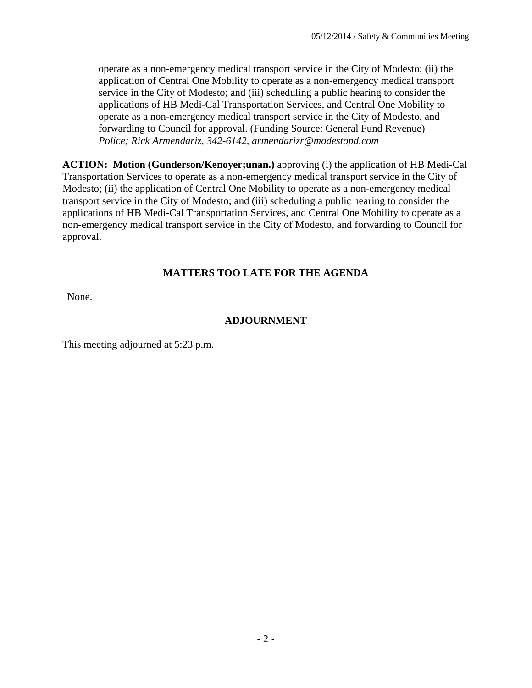operate as a non-emergency medical transport service in the City of Modesto; (ii) the application of Central One Mobility to operate as a non-emergency medical transport service in the City of Modesto; and (iii) scheduling a public hearing to consider the applications of HB Medi-Cal Transportation Services, and Central One Mobility to operate as a non-emergency medical transport service in the City of Modesto, and forwarding to Council for approval. (Funding Source: General Fund Revenue)  *Police; Rick Armendariz, 342-6142, armendarizr@modestopd.com* 

**ACTION: Motion (Gunderson/Kenoyer;unan.)** approving (i) the application of HB Medi-Cal Transportation Services to operate as a non-emergency medical transport service in the City of Modesto; (ii) the application of Central One Mobility to operate as a non-emergency medical transport service in the City of Modesto; and (iii) scheduling a public hearing to consider the applications of HB Medi-Cal Transportation Services, and Central One Mobility to operate as a non-emergency medical transport service in the City of Modesto, and forwarding to Council for approval.

### **MATTERS TOO LATE FOR THE AGENDA**

None.

#### **ADJOURNMENT**

This meeting adjourned at 5:23 p.m.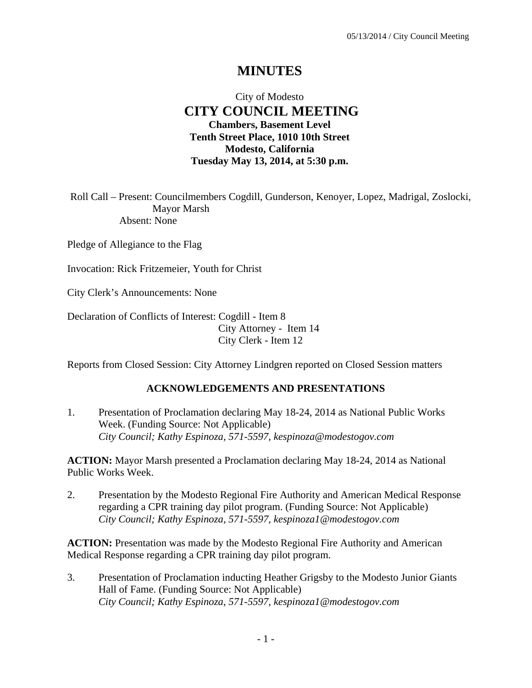# **MINUTES**

## City of Modesto  **CITY COUNCIL MEETING Chambers, Basement Level Tenth Street Place, 1010 10th Street Modesto, California Tuesday May 13, 2014, at 5:30 p.m.**

Roll Call – Present: Councilmembers Cogdill, Gunderson, Kenoyer, Lopez, Madrigal, Zoslocki, Mayor Marsh Absent: None

Pledge of Allegiance to the Flag

Invocation: Rick Fritzemeier, Youth for Christ

City Clerk's Announcements: None

Declaration of Conflicts of Interest: Cogdill - Item 8 City Attorney - Item 14 City Clerk - Item 12

Reports from Closed Session: City Attorney Lindgren reported on Closed Session matters

#### **ACKNOWLEDGEMENTS AND PRESENTATIONS**

1. Presentation of Proclamation declaring May 18-24, 2014 as National Public Works Week. (Funding Source: Not Applicable)  *City Council; Kathy Espinoza, 571-5597, kespinoza@modestogov.com* 

**ACTION:** Mayor Marsh presented a Proclamation declaring May 18-24, 2014 as National Public Works Week.

2. Presentation by the Modesto Regional Fire Authority and American Medical Response regarding a CPR training day pilot program. (Funding Source: Not Applicable)  *City Council; Kathy Espinoza, 571-5597, kespinoza1@modestogov.com* 

**ACTION:** Presentation was made by the Modesto Regional Fire Authority and American Medical Response regarding a CPR training day pilot program.

3. Presentation of Proclamation inducting Heather Grigsby to the Modesto Junior Giants Hall of Fame. (Funding Source: Not Applicable)  *City Council; Kathy Espinoza, 571-5597, kespinoza1@modestogov.com*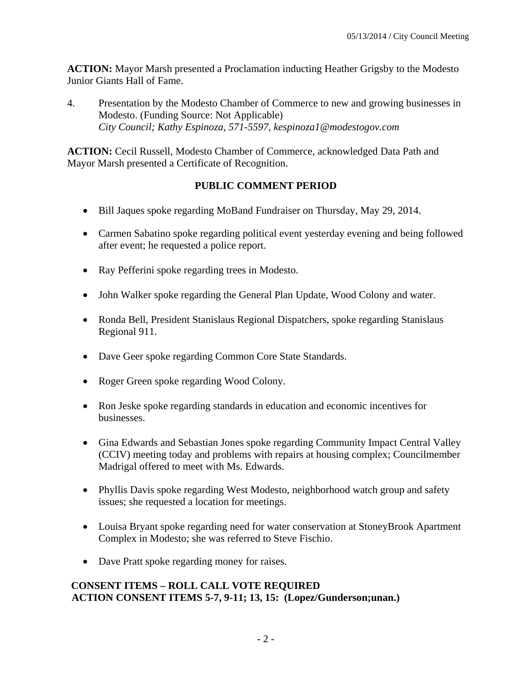**ACTION:** Mayor Marsh presented a Proclamation inducting Heather Grigsby to the Modesto Junior Giants Hall of Fame.

4. Presentation by the Modesto Chamber of Commerce to new and growing businesses in Modesto. (Funding Source: Not Applicable)  *City Council; Kathy Espinoza, 571-5597, kespinoza1@modestogov.com* 

**ACTION:** Cecil Russell, Modesto Chamber of Commerce, acknowledged Data Path and Mayor Marsh presented a Certificate of Recognition.

## **PUBLIC COMMENT PERIOD**

- Bill Jaques spoke regarding MoBand Fundraiser on Thursday, May 29, 2014.
- Carmen Sabatino spoke regarding political event yesterday evening and being followed after event; he requested a police report.
- Ray Pefferini spoke regarding trees in Modesto.
- John Walker spoke regarding the General Plan Update, Wood Colony and water.
- Ronda Bell, President Stanislaus Regional Dispatchers, spoke regarding Stanislaus Regional 911.
- Dave Geer spoke regarding Common Core State Standards.
- Roger Green spoke regarding Wood Colony.
- Ron Jeske spoke regarding standards in education and economic incentives for businesses.
- Gina Edwards and Sebastian Jones spoke regarding Community Impact Central Valley (CCIV) meeting today and problems with repairs at housing complex; Councilmember Madrigal offered to meet with Ms. Edwards.
- Phyllis Davis spoke regarding West Modesto, neighborhood watch group and safety issues; she requested a location for meetings.
- Louisa Bryant spoke regarding need for water conservation at StoneyBrook Apartment Complex in Modesto; she was referred to Steve Fischio.
- Dave Pratt spoke regarding money for raises.

### **CONSENT ITEMS – ROLL CALL VOTE REQUIRED ACTION CONSENT ITEMS 5-7, 9-11; 13, 15: (Lopez/Gunderson;unan.)**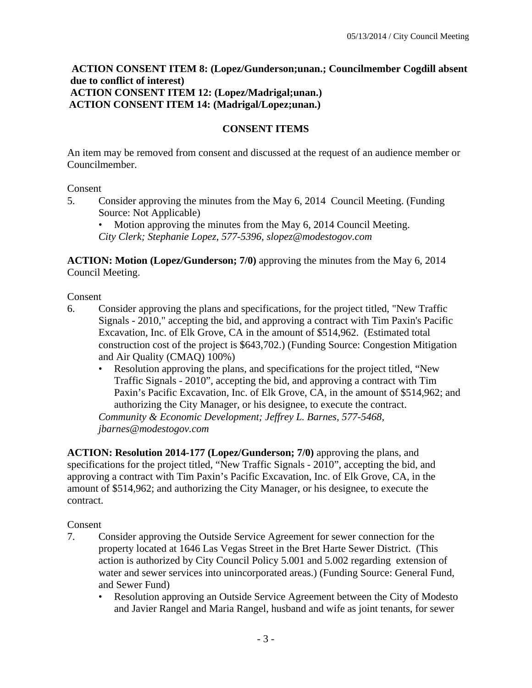#### **ACTION CONSENT ITEM 8: (Lopez/Gunderson;unan.; Councilmember Cogdill absent due to conflict of interest) ACTION CONSENT ITEM 12: (Lopez/Madrigal;unan.) ACTION CONSENT ITEM 14: (Madrigal/Lopez;unan.)**

#### **CONSENT ITEMS**

An item may be removed from consent and discussed at the request of an audience member or Councilmember.

#### Consent

- 5. Consider approving the minutes from the May 6, 2014 Council Meeting. (Funding Source: Not Applicable)
	- Motion approving the minutes from the May 6, 2014 Council Meeting. *City Clerk; Stephanie Lopez, 577-5396, slopez@modestogov.com*

**ACTION: Motion (Lopez/Gunderson; 7/0)** approving the minutes from the May 6, 2014 Council Meeting.

Consent

- 6. Consider approving the plans and specifications, for the project titled, "New Traffic Signals - 2010," accepting the bid, and approving a contract with Tim Paxin's Pacific Excavation, Inc. of Elk Grove, CA in the amount of \$514,962. (Estimated total construction cost of the project is \$643,702.) (Funding Source: Congestion Mitigation and Air Quality (CMAQ) 100%)
	- Resolution approving the plans, and specifications for the project titled, "New Traffic Signals - 2010", accepting the bid, and approving a contract with Tim Paxin's Pacific Excavation, Inc. of Elk Grove, CA, in the amount of \$514,962; and authorizing the City Manager, or his designee, to execute the contract.

*Community & Economic Development; Jeffrey L. Barnes, 577-5468, jbarnes@modestogov.com* 

**ACTION: Resolution 2014-177 (Lopez/Gunderson; 7/0)** approving the plans, and specifications for the project titled, "New Traffic Signals - 2010", accepting the bid, and approving a contract with Tim Paxin's Pacific Excavation, Inc. of Elk Grove, CA, in the amount of \$514,962; and authorizing the City Manager, or his designee, to execute the contract.

- 7. Consider approving the Outside Service Agreement for sewer connection for the property located at 1646 Las Vegas Street in the Bret Harte Sewer District. (This action is authorized by City Council Policy 5.001 and 5.002 regarding extension of water and sewer services into unincorporated areas.) (Funding Source: General Fund, and Sewer Fund)
	- Resolution approving an Outside Service Agreement between the City of Modesto and Javier Rangel and Maria Rangel, husband and wife as joint tenants, for sewer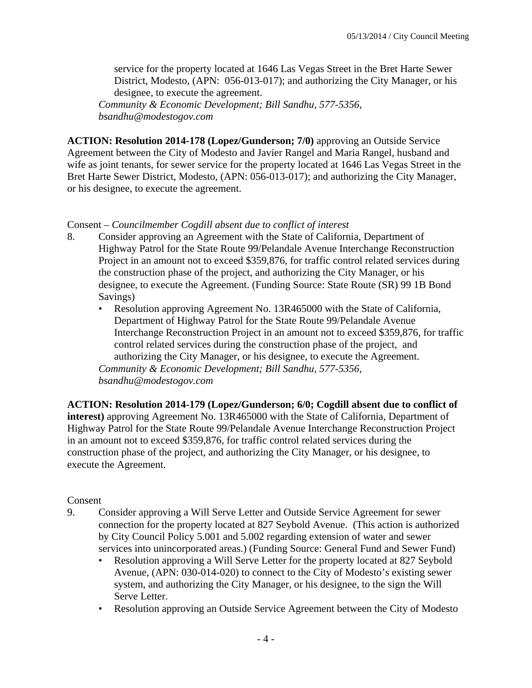service for the property located at 1646 Las Vegas Street in the Bret Harte Sewer District, Modesto, (APN: 056-013-017); and authorizing the City Manager, or his designee, to execute the agreement.

*Community & Economic Development; Bill Sandhu, 577-5356, bsandhu@modestogov.com* 

**ACTION: Resolution 2014-178 (Lopez/Gunderson; 7/0)** approving an Outside Service Agreement between the City of Modesto and Javier Rangel and Maria Rangel, husband and wife as joint tenants, for sewer service for the property located at 1646 Las Vegas Street in the Bret Harte Sewer District, Modesto, (APN: 056-013-017); and authorizing the City Manager, or his designee, to execute the agreement.

#### Consent – *Councilmember Cogdill absent due to conflict of interest*

- 8. Consider approving an Agreement with the State of California, Department of Highway Patrol for the State Route 99/Pelandale Avenue Interchange Reconstruction Project in an amount not to exceed \$359,876, for traffic control related services during the construction phase of the project, and authorizing the City Manager, or his designee, to execute the Agreement. (Funding Source: State Route (SR) 99 1B Bond Savings)
	- Resolution approving Agreement No. 13R465000 with the State of California, Department of Highway Patrol for the State Route 99/Pelandale Avenue Interchange Reconstruction Project in an amount not to exceed \$359,876, for traffic control related services during the construction phase of the project, and authorizing the City Manager, or his designee, to execute the Agreement. *Community & Economic Development; Bill Sandhu, 577-5356, bsandhu@modestogov.com*

**ACTION: Resolution 2014-179 (Lopez/Gunderson; 6/0; Cogdill absent due to conflict of interest)** approving Agreement No. 13R465000 with the State of California, Department of Highway Patrol for the State Route 99/Pelandale Avenue Interchange Reconstruction Project in an amount not to exceed \$359,876, for traffic control related services during the construction phase of the project, and authorizing the City Manager, or his designee, to execute the Agreement.

- 9. Consider approving a Will Serve Letter and Outside Service Agreement for sewer connection for the property located at 827 Seybold Avenue. (This action is authorized by City Council Policy 5.001 and 5.002 regarding extension of water and sewer services into unincorporated areas.) (Funding Source: General Fund and Sewer Fund)
	- Resolution approving a Will Serve Letter for the property located at 827 Seybold Avenue, (APN: 030-014-020) to connect to the City of Modesto's existing sewer system, and authorizing the City Manager, or his designee, to the sign the Will Serve Letter.
	- Resolution approving an Outside Service Agreement between the City of Modesto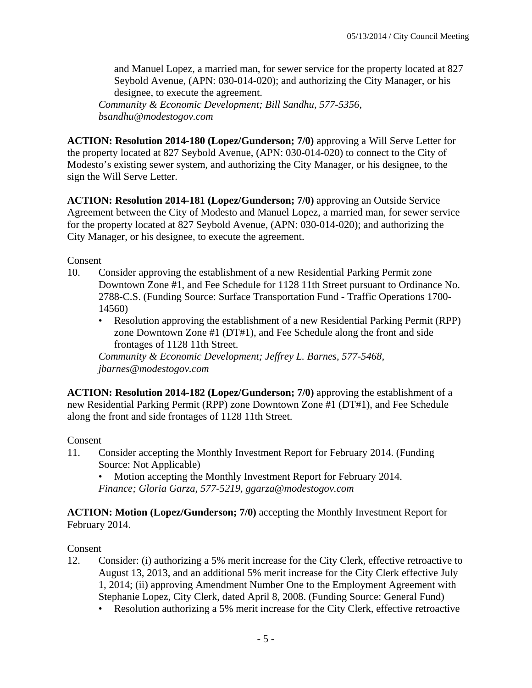and Manuel Lopez, a married man, for sewer service for the property located at 827 Seybold Avenue, (APN: 030-014-020); and authorizing the City Manager, or his designee, to execute the agreement.

*Community & Economic Development; Bill Sandhu, 577-5356, bsandhu@modestogov.com* 

**ACTION: Resolution 2014-180 (Lopez/Gunderson; 7/0)** approving a Will Serve Letter for the property located at 827 Seybold Avenue, (APN: 030-014-020) to connect to the City of Modesto's existing sewer system, and authorizing the City Manager, or his designee, to the sign the Will Serve Letter.

**ACTION: Resolution 2014-181 (Lopez/Gunderson; 7/0)** approving an Outside Service Agreement between the City of Modesto and Manuel Lopez, a married man, for sewer service for the property located at 827 Seybold Avenue, (APN: 030-014-020); and authorizing the City Manager, or his designee, to execute the agreement.

Consent

- 10. Consider approving the establishment of a new Residential Parking Permit zone Downtown Zone #1, and Fee Schedule for 1128 11th Street pursuant to Ordinance No. 2788-C.S. (Funding Source: Surface Transportation Fund - Traffic Operations 1700- 14560)
	- Resolution approving the establishment of a new Residential Parking Permit (RPP) zone Downtown Zone #1 (DT#1), and Fee Schedule along the front and side frontages of 1128 11th Street.

*Community & Economic Development; Jeffrey L. Barnes, 577-5468, jbarnes@modestogov.com* 

**ACTION: Resolution 2014-182 (Lopez/Gunderson; 7/0)** approving the establishment of a new Residential Parking Permit (RPP) zone Downtown Zone #1 (DT#1), and Fee Schedule along the front and side frontages of 1128 11th Street.

## Consent

- 11. Consider accepting the Monthly Investment Report for February 2014. (Funding Source: Not Applicable)
	- Motion accepting the Monthly Investment Report for February 2014.
	- *Finance; Gloria Garza, 577-5219, ggarza@modestogov.com*

**ACTION: Motion (Lopez/Gunderson; 7/0)** accepting the Monthly Investment Report for February 2014.

- 12. Consider: (i) authorizing a 5% merit increase for the City Clerk, effective retroactive to August 13, 2013, and an additional 5% merit increase for the City Clerk effective July 1, 2014; (ii) approving Amendment Number One to the Employment Agreement with Stephanie Lopez, City Clerk, dated April 8, 2008. (Funding Source: General Fund)
	- Resolution authorizing a 5% merit increase for the City Clerk, effective retroactive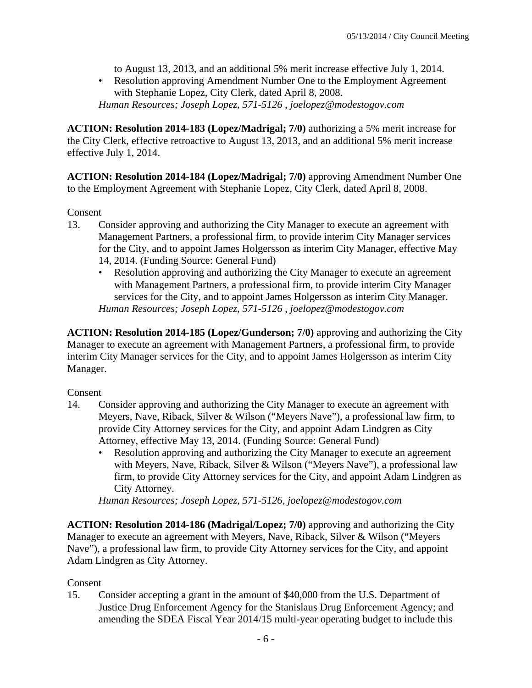to August 13, 2013, and an additional 5% merit increase effective July 1, 2014.

• Resolution approving Amendment Number One to the Employment Agreement with Stephanie Lopez, City Clerk, dated April 8, 2008. *Human Resources; Joseph Lopez, 571-5126 , joelopez@modestogov.com* 

**ACTION: Resolution 2014-183 (Lopez/Madrigal; 7/0)** authorizing a 5% merit increase for the City Clerk, effective retroactive to August 13, 2013, and an additional 5% merit increase effective July 1, 2014.

**ACTION: Resolution 2014-184 (Lopez/Madrigal; 7/0)** approving Amendment Number One to the Employment Agreement with Stephanie Lopez, City Clerk, dated April 8, 2008.

Consent

- 13. Consider approving and authorizing the City Manager to execute an agreement with Management Partners, a professional firm, to provide interim City Manager services for the City, and to appoint James Holgersson as interim City Manager, effective May 14, 2014. (Funding Source: General Fund)
	- Resolution approving and authorizing the City Manager to execute an agreement with Management Partners, a professional firm, to provide interim City Manager services for the City, and to appoint James Holgersson as interim City Manager. *Human Resources; Joseph Lopez, 571-5126 , joelopez@modestogov.com*

**ACTION: Resolution 2014-185 (Lopez/Gunderson; 7/0)** approving and authorizing the City Manager to execute an agreement with Management Partners, a professional firm, to provide interim City Manager services for the City, and to appoint James Holgersson as interim City Manager.

Consent

- 14. Consider approving and authorizing the City Manager to execute an agreement with Meyers, Nave, Riback, Silver & Wilson ("Meyers Nave"), a professional law firm, to provide City Attorney services for the City, and appoint Adam Lindgren as City Attorney, effective May 13, 2014. (Funding Source: General Fund)
	- Resolution approving and authorizing the City Manager to execute an agreement with Meyers, Nave, Riback, Silver & Wilson ("Meyers Nave"), a professional law firm, to provide City Attorney services for the City, and appoint Adam Lindgren as City Attorney.

*Human Resources; Joseph Lopez, 571-5126, joelopez@modestogov.com* 

**ACTION: Resolution 2014-186 (Madrigal/Lopez; 7/0)** approving and authorizing the City Manager to execute an agreement with Meyers, Nave, Riback, Silver & Wilson ("Meyers Nave"), a professional law firm, to provide City Attorney services for the City, and appoint Adam Lindgren as City Attorney.

## Consent

15. Consider accepting a grant in the amount of \$40,000 from the U.S. Department of Justice Drug Enforcement Agency for the Stanislaus Drug Enforcement Agency; and amending the SDEA Fiscal Year 2014/15 multi-year operating budget to include this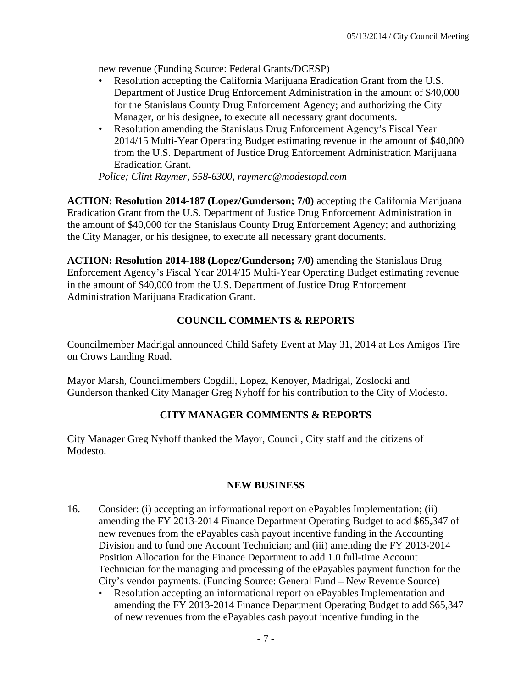new revenue (Funding Source: Federal Grants/DCESP)

- Resolution accepting the California Marijuana Eradication Grant from the U.S. Department of Justice Drug Enforcement Administration in the amount of \$40,000 for the Stanislaus County Drug Enforcement Agency; and authorizing the City Manager, or his designee, to execute all necessary grant documents.
- Resolution amending the Stanislaus Drug Enforcement Agency's Fiscal Year 2014/15 Multi-Year Operating Budget estimating revenue in the amount of \$40,000 from the U.S. Department of Justice Drug Enforcement Administration Marijuana Eradication Grant.

*Police; Clint Raymer, 558-6300, raymerc@modestopd.com* 

**ACTION: Resolution 2014-187 (Lopez/Gunderson; 7/0)** accepting the California Marijuana Eradication Grant from the U.S. Department of Justice Drug Enforcement Administration in the amount of \$40,000 for the Stanislaus County Drug Enforcement Agency; and authorizing the City Manager, or his designee, to execute all necessary grant documents.

**ACTION: Resolution 2014-188 (Lopez/Gunderson; 7/0)** amending the Stanislaus Drug Enforcement Agency's Fiscal Year 2014/15 Multi-Year Operating Budget estimating revenue in the amount of \$40,000 from the U.S. Department of Justice Drug Enforcement Administration Marijuana Eradication Grant.

## **COUNCIL COMMENTS & REPORTS**

Councilmember Madrigal announced Child Safety Event at May 31, 2014 at Los Amigos Tire on Crows Landing Road.

Mayor Marsh, Councilmembers Cogdill, Lopez, Kenoyer, Madrigal, Zoslocki and Gunderson thanked City Manager Greg Nyhoff for his contribution to the City of Modesto.

## **CITY MANAGER COMMENTS & REPORTS**

City Manager Greg Nyhoff thanked the Mayor, Council, City staff and the citizens of Modesto.

## **NEW BUSINESS**

- 16. Consider: (i) accepting an informational report on ePayables Implementation; (ii) amending the FY 2013-2014 Finance Department Operating Budget to add \$65,347 of new revenues from the ePayables cash payout incentive funding in the Accounting Division and to fund one Account Technician; and (iii) amending the FY 2013-2014 Position Allocation for the Finance Department to add 1.0 full-time Account Technician for the managing and processing of the ePayables payment function for the City's vendor payments. (Funding Source: General Fund – New Revenue Source)
	- Resolution accepting an informational report on ePayables Implementation and amending the FY 2013-2014 Finance Department Operating Budget to add \$65,347 of new revenues from the ePayables cash payout incentive funding in the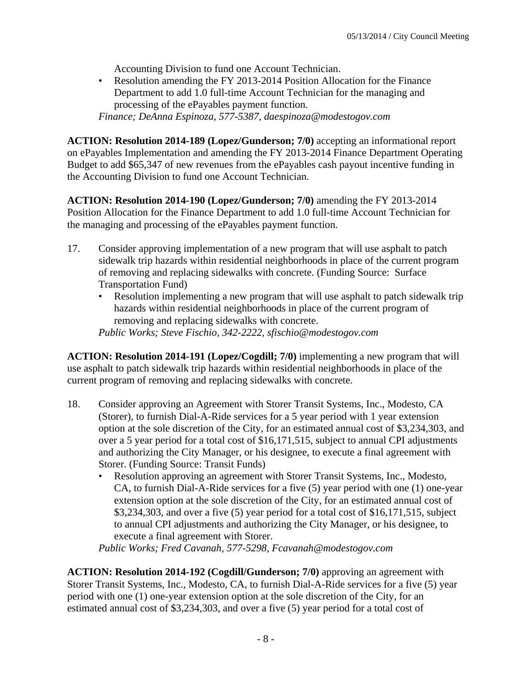Accounting Division to fund one Account Technician.

• Resolution amending the FY 2013-2014 Position Allocation for the Finance Department to add 1.0 full-time Account Technician for the managing and processing of the ePayables payment function.

*Finance; DeAnna Espinoza, 577-5387, daespinoza@modestogov.com* 

**ACTION: Resolution 2014-189 (Lopez/Gunderson; 7/0)** accepting an informational report on ePayables Implementation and amending the FY 2013-2014 Finance Department Operating Budget to add \$65,347 of new revenues from the ePayables cash payout incentive funding in the Accounting Division to fund one Account Technician.

**ACTION: Resolution 2014-190 (Lopez/Gunderson; 7/0)** amending the FY 2013-2014 Position Allocation for the Finance Department to add 1.0 full-time Account Technician for the managing and processing of the ePayables payment function.

- 17. Consider approving implementation of a new program that will use asphalt to patch sidewalk trip hazards within residential neighborhoods in place of the current program of removing and replacing sidewalks with concrete. (Funding Source: Surface Transportation Fund)
	- Resolution implementing a new program that will use asphalt to patch sidewalk trip hazards within residential neighborhoods in place of the current program of removing and replacing sidewalks with concrete.

*Public Works; Steve Fischio, 342-2222, sfischio@modestogov.com* 

**ACTION: Resolution 2014-191 (Lopez/Cogdill; 7/0)** implementing a new program that will use asphalt to patch sidewalk trip hazards within residential neighborhoods in place of the current program of removing and replacing sidewalks with concrete.

- 18. Consider approving an Agreement with Storer Transit Systems, Inc., Modesto, CA (Storer), to furnish Dial-A-Ride services for a 5 year period with 1 year extension option at the sole discretion of the City, for an estimated annual cost of \$3,234,303, and over a 5 year period for a total cost of \$16,171,515, subject to annual CPI adjustments and authorizing the City Manager, or his designee, to execute a final agreement with Storer. (Funding Source: Transit Funds)
	- Resolution approving an agreement with Storer Transit Systems, Inc., Modesto, CA, to furnish Dial-A-Ride services for a five (5) year period with one (1) one-year extension option at the sole discretion of the City, for an estimated annual cost of \$3,234,303, and over a five (5) year period for a total cost of \$16,171,515, subject to annual CPI adjustments and authorizing the City Manager, or his designee, to execute a final agreement with Storer.

*Public Works; Fred Cavanah, 577-5298, Fcavanah@modestogov.com* 

**ACTION: Resolution 2014-192 (Cogdill/Gunderson; 7/0)** approving an agreement with Storer Transit Systems, Inc., Modesto, CA, to furnish Dial-A-Ride services for a five (5) year period with one (1) one-year extension option at the sole discretion of the City, for an estimated annual cost of \$3,234,303, and over a five (5) year period for a total cost of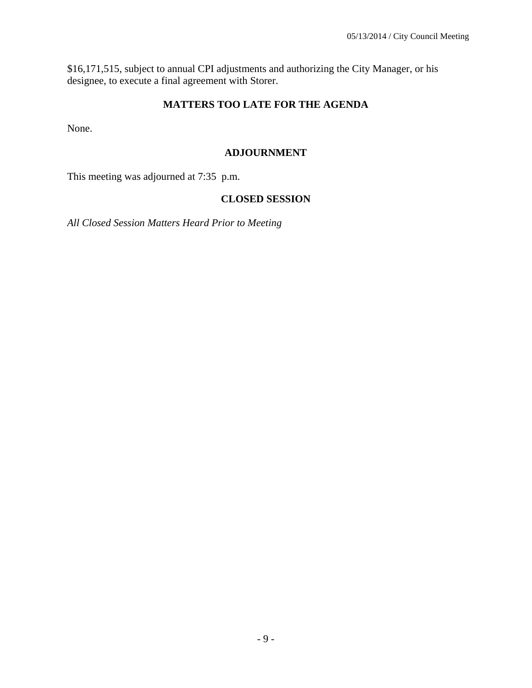\$16,171,515, subject to annual CPI adjustments and authorizing the City Manager, or his designee, to execute a final agreement with Storer.

## **MATTERS TOO LATE FOR THE AGENDA**

None.

#### **ADJOURNMENT**

This meeting was adjourned at 7:35 p.m.

#### **CLOSED SESSION**

*All Closed Session Matters Heard Prior to Meeting*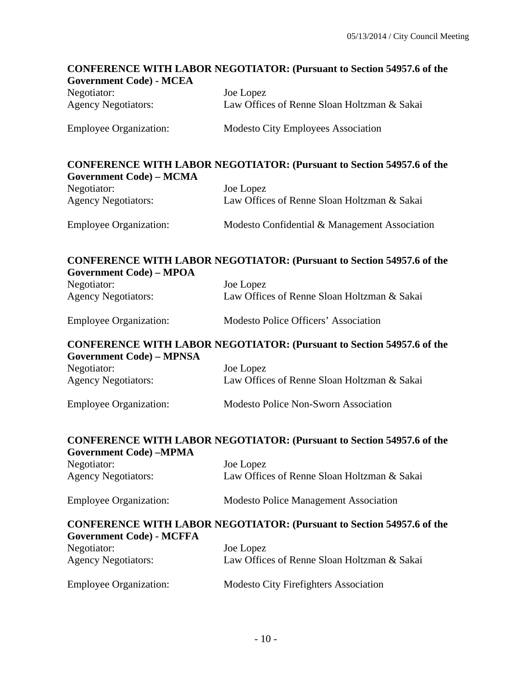# **CONFERENCE WITH LABOR NEGOTIATOR: (Pursuant to Section 54957.6 of the Government Code) - MCEA**  Negotiator: Joe Lopez Agency Negotiators: Law Offices of Renne Sloan Holtzman & Sakai Employee Organization: Modesto City Employees Association **CONFERENCE WITH LABOR NEGOTIATOR: (Pursuant to Section 54957.6 of the Government Code) – MCMA**  Negotiator: Joe Lopez Agency Negotiators: Law Offices of Renne Sloan Holtzman & Sakai Employee Organization: Modesto Confidential & Management Association **CONFERENCE WITH LABOR NEGOTIATOR: (Pursuant to Section 54957.6 of the Government Code) – MPOA**  Negotiator: Joe Lopez Agency Negotiators: Law Offices of Renne Sloan Holtzman & Sakai Employee Organization: Modesto Police Officers' Association **CONFERENCE WITH LABOR NEGOTIATOR: (Pursuant to Section 54957.6 of the Government Code) – MPNSA**  Negotiator: Joe Lopez Agency Negotiators: Law Offices of Renne Sloan Holtzman & Sakai Employee Organization: Modesto Police Non-Sworn Association **CONFERENCE WITH LABOR NEGOTIATOR: (Pursuant to Section 54957.6 of the Government Code) –MPMA**  Negotiator: Joe Lopez Agency Negotiators: Law Offices of Renne Sloan Holtzman & Sakai Employee Organization: Modesto Police Management Association **CONFERENCE WITH LABOR NEGOTIATOR: (Pursuant to Section 54957.6 of the Government Code) - MCFFA**  Negotiator: Joe Lopez Agency Negotiators: Law Offices of Renne Sloan Holtzman & Sakai Employee Organization: Modesto City Firefighters Association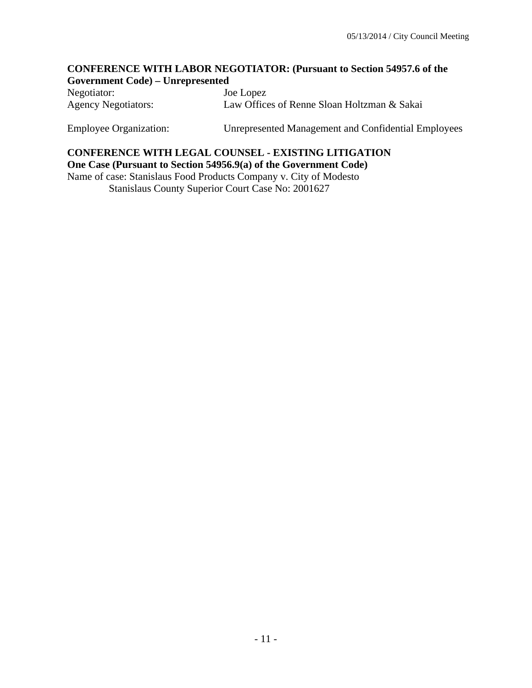#### **CONFERENCE WITH LABOR NEGOTIATOR: (Pursuant to Section 54957.6 of the Government Code) – Unrepresented**

Negotiator: Joe Lopez Agency Negotiators: Law Offices of Renne Sloan Holtzman & Sakai

Employee Organization: Unrepresented Management and Confidential Employees

## **CONFERENCE WITH LEGAL COUNSEL - EXISTING LITIGATION One Case (Pursuant to Section 54956.9(a) of the Government Code)**

Name of case: Stanislaus Food Products Company v. City of Modesto Stanislaus County Superior Court Case No: 2001627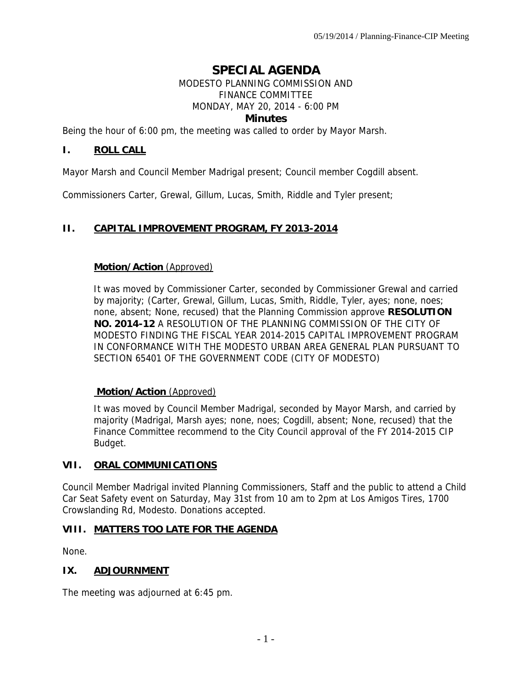# **SPECIAL AGENDA**

#### MODESTO PLANNING COMMISSION AND FINANCE COMMITTEE MONDAY, MAY 20, 2014 - 6:00 PM **Minutes**

Being the hour of 6:00 pm, the meeting was called to order by Mayor Marsh.

## **I. ROLL CALL**

Mayor Marsh and Council Member Madrigal present; Council member Cogdill absent.

Commissioners Carter, Grewal, Gillum, Lucas, Smith, Riddle and Tyler present;

## **II. CAPITAL IMPROVEMENT PROGRAM, FY 2013-2014**

#### **Motion/Action** (Approved)

It was moved by Commissioner Carter, seconded by Commissioner Grewal and carried by majority; (Carter, Grewal, Gillum, Lucas, Smith, Riddle, Tyler, ayes; none, noes; none, absent; None, recused) that the Planning Commission approve **RESOLUTION NO. 2014-12** A RESOLUTION OF THE PLANNING COMMISSION OF THE CITY OF MODESTO FINDING THE FISCAL YEAR 2014-2015 CAPITAL IMPROVEMENT PROGRAM IN CONFORMANCE WITH THE MODESTO URBAN AREA GENERAL PLAN PURSUANT TO SECTION 65401 OF THE GOVERNMENT CODE (CITY OF MODESTO)

## **Motion/Action** (Approved)

It was moved by Council Member Madrigal, seconded by Mayor Marsh, and carried by majority (Madrigal, Marsh ayes; none, noes; Cogdill, absent; None, recused) that the Finance Committee recommend to the City Council approval of the FY 2014-2015 CIP Budget.

## **VII. ORAL COMMUNICATIONS**

Council Member Madrigal invited Planning Commissioners, Staff and the public to attend a Child Car Seat Safety event on Saturday, May 31st from 10 am to 2pm at Los Amigos Tires, 1700 Crowslanding Rd, Modesto. Donations accepted.

## **VIII. MATTERS TOO LATE FOR THE AGENDA**

None.

## **IX. ADJOURNMENT**

The meeting was adjourned at 6:45 pm.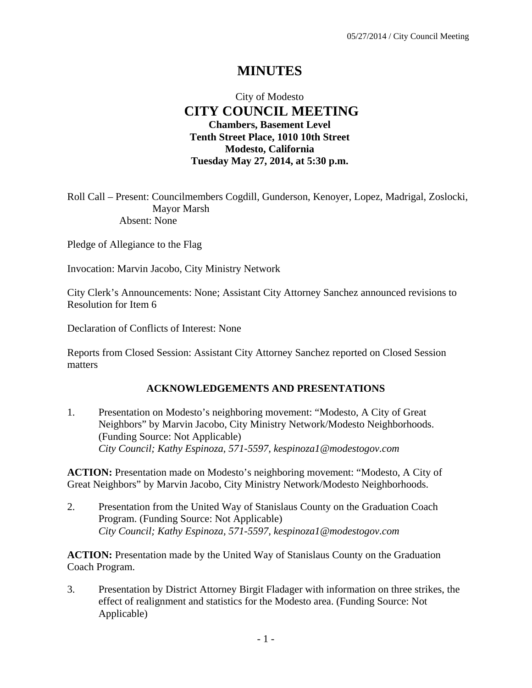# **MINUTES**

## City of Modesto  **CITY COUNCIL MEETING Chambers, Basement Level Tenth Street Place, 1010 10th Street Modesto, California Tuesday May 27, 2014, at 5:30 p.m.**

Roll Call – Present: Councilmembers Cogdill, Gunderson, Kenoyer, Lopez, Madrigal, Zoslocki, Mayor Marsh Absent: None

Pledge of Allegiance to the Flag

Invocation: Marvin Jacobo, City Ministry Network

City Clerk's Announcements: None; Assistant City Attorney Sanchez announced revisions to Resolution for Item 6

Declaration of Conflicts of Interest: None

Reports from Closed Session: Assistant City Attorney Sanchez reported on Closed Session matters

## **ACKNOWLEDGEMENTS AND PRESENTATIONS**

1. Presentation on Modesto's neighboring movement: "Modesto, A City of Great Neighbors" by Marvin Jacobo, City Ministry Network/Modesto Neighborhoods. (Funding Source: Not Applicable)  *City Council; Kathy Espinoza, 571-5597, kespinoza1@modestogov.com* 

**ACTION:** Presentation made on Modesto's neighboring movement: "Modesto, A City of Great Neighbors" by Marvin Jacobo, City Ministry Network/Modesto Neighborhoods.

2. Presentation from the United Way of Stanislaus County on the Graduation Coach Program. (Funding Source: Not Applicable)  *City Council; Kathy Espinoza, 571-5597, kespinoza1@modestogov.com* 

**ACTION:** Presentation made by the United Way of Stanislaus County on the Graduation Coach Program.

3. Presentation by District Attorney Birgit Fladager with information on three strikes, the effect of realignment and statistics for the Modesto area. (Funding Source: Not Applicable)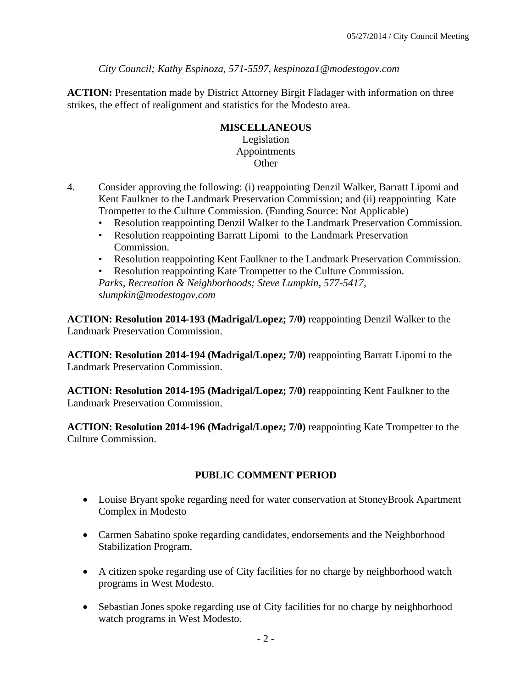*City Council; Kathy Espinoza, 571-5597, kespinoza1@modestogov.com* 

**ACTION:** Presentation made by District Attorney Birgit Fladager with information on three strikes, the effect of realignment and statistics for the Modesto area.

#### **MISCELLANEOUS**  Legislation Appointments **Other**

- 4. Consider approving the following: (i) reappointing Denzil Walker, Barratt Lipomi and Kent Faulkner to the Landmark Preservation Commission; and (ii) reappointing Kate Trompetter to the Culture Commission. (Funding Source: Not Applicable)
	- Resolution reappointing Denzil Walker to the Landmark Preservation Commission.
	- Resolution reappointing Barratt Lipomi to the Landmark Preservation Commission.
	- Resolution reappointing Kent Faulkner to the Landmark Preservation Commission.

• Resolution reappointing Kate Trompetter to the Culture Commission. *Parks, Recreation & Neighborhoods; Steve Lumpkin, 577-5417, slumpkin@modestogov.com* 

**ACTION: Resolution 2014-193 (Madrigal/Lopez; 7/0)** reappointing Denzil Walker to the Landmark Preservation Commission.

**ACTION: Resolution 2014-194 (Madrigal/Lopez; 7/0)** reappointing Barratt Lipomi to the Landmark Preservation Commission.

**ACTION: Resolution 2014-195 (Madrigal/Lopez; 7/0)** reappointing Kent Faulkner to the Landmark Preservation Commission.

**ACTION: Resolution 2014-196 (Madrigal/Lopez; 7/0)** reappointing Kate Trompetter to the Culture Commission.

## **PUBLIC COMMENT PERIOD**

- Louise Bryant spoke regarding need for water conservation at StoneyBrook Apartment Complex in Modesto
- Carmen Sabatino spoke regarding candidates, endorsements and the Neighborhood Stabilization Program.
- A citizen spoke regarding use of City facilities for no charge by neighborhood watch programs in West Modesto.
- Sebastian Jones spoke regarding use of City facilities for no charge by neighborhood watch programs in West Modesto.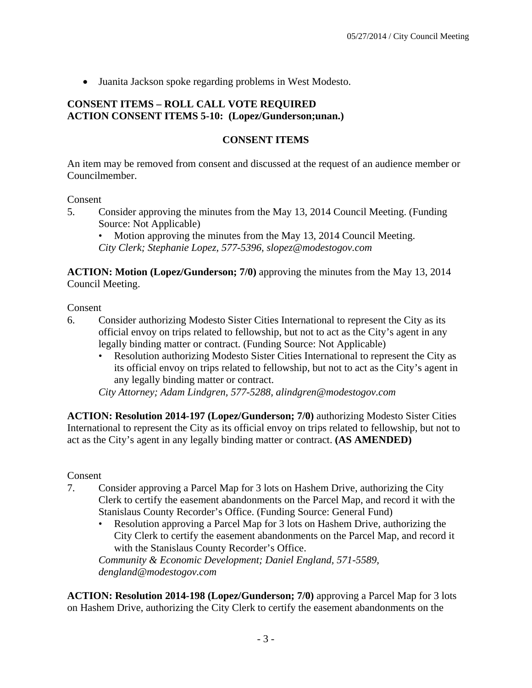Juanita Jackson spoke regarding problems in West Modesto.

## **CONSENT ITEMS – ROLL CALL VOTE REQUIRED ACTION CONSENT ITEMS 5-10: (Lopez/Gunderson;unan.)**

#### **CONSENT ITEMS**

An item may be removed from consent and discussed at the request of an audience member or Councilmember.

#### Consent

5. Consider approving the minutes from the May 13, 2014 Council Meeting. (Funding Source: Not Applicable)

• Motion approving the minutes from the May 13, 2014 Council Meeting. *City Clerk; Stephanie Lopez, 577-5396, slopez@modestogov.com* 

**ACTION: Motion (Lopez/Gunderson; 7/0)** approving the minutes from the May 13, 2014 Council Meeting.

Consent

- 6. Consider authorizing Modesto Sister Cities International to represent the City as its official envoy on trips related to fellowship, but not to act as the City's agent in any legally binding matter or contract. (Funding Source: Not Applicable)
	- Resolution authorizing Modesto Sister Cities International to represent the City as its official envoy on trips related to fellowship, but not to act as the City's agent in any legally binding matter or contract.

*City Attorney; Adam Lindgren, 577-5288, alindgren@modestogov.com* 

**ACTION: Resolution 2014-197 (Lopez/Gunderson; 7/0)** authorizing Modesto Sister Cities International to represent the City as its official envoy on trips related to fellowship, but not to act as the City's agent in any legally binding matter or contract. **(AS AMENDED)** 

#### Consent

- 7. Consider approving a Parcel Map for 3 lots on Hashem Drive, authorizing the City Clerk to certify the easement abandonments on the Parcel Map, and record it with the Stanislaus County Recorder's Office. (Funding Source: General Fund)
	- Resolution approving a Parcel Map for 3 lots on Hashem Drive, authorizing the City Clerk to certify the easement abandonments on the Parcel Map, and record it with the Stanislaus County Recorder's Office.

*Community & Economic Development; Daniel England, 571-5589, dengland@modestogov.com* 

**ACTION: Resolution 2014-198 (Lopez/Gunderson; 7/0)** approving a Parcel Map for 3 lots on Hashem Drive, authorizing the City Clerk to certify the easement abandonments on the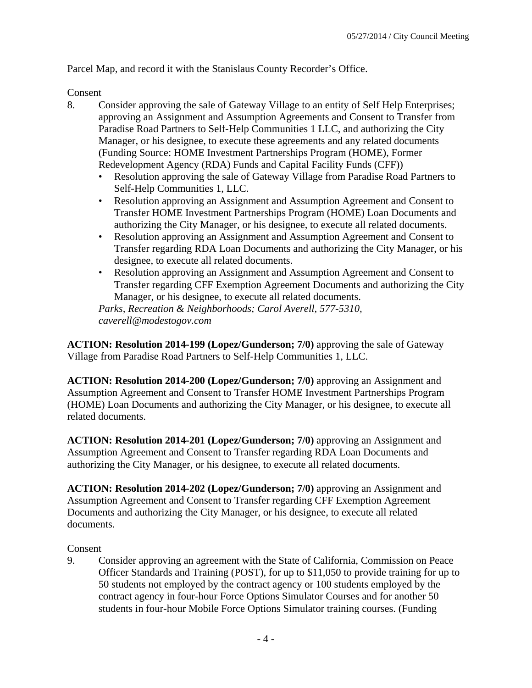Parcel Map, and record it with the Stanislaus County Recorder's Office.

## Consent

- 8. Consider approving the sale of Gateway Village to an entity of Self Help Enterprises; approving an Assignment and Assumption Agreements and Consent to Transfer from Paradise Road Partners to Self-Help Communities 1 LLC, and authorizing the City Manager, or his designee, to execute these agreements and any related documents (Funding Source: HOME Investment Partnerships Program (HOME), Former Redevelopment Agency (RDA) Funds and Capital Facility Funds (CFF))
	- Resolution approving the sale of Gateway Village from Paradise Road Partners to Self-Help Communities 1, LLC.
	- Resolution approving an Assignment and Assumption Agreement and Consent to Transfer HOME Investment Partnerships Program (HOME) Loan Documents and authorizing the City Manager, or his designee, to execute all related documents.
	- Resolution approving an Assignment and Assumption Agreement and Consent to Transfer regarding RDA Loan Documents and authorizing the City Manager, or his designee, to execute all related documents.
	- Resolution approving an Assignment and Assumption Agreement and Consent to Transfer regarding CFF Exemption Agreement Documents and authorizing the City Manager, or his designee, to execute all related documents.

*Parks, Recreation & Neighborhoods; Carol Averell, 577-5310, caverell@modestogov.com* 

**ACTION: Resolution 2014-199 (Lopez/Gunderson; 7/0)** approving the sale of Gateway Village from Paradise Road Partners to Self-Help Communities 1, LLC.

**ACTION: Resolution 2014-200 (Lopez/Gunderson; 7/0)** approving an Assignment and Assumption Agreement and Consent to Transfer HOME Investment Partnerships Program (HOME) Loan Documents and authorizing the City Manager, or his designee, to execute all related documents.

**ACTION: Resolution 2014-201 (Lopez/Gunderson; 7/0)** approving an Assignment and Assumption Agreement and Consent to Transfer regarding RDA Loan Documents and authorizing the City Manager, or his designee, to execute all related documents.

**ACTION: Resolution 2014-202 (Lopez/Gunderson; 7/0)** approving an Assignment and Assumption Agreement and Consent to Transfer regarding CFF Exemption Agreement Documents and authorizing the City Manager, or his designee, to execute all related documents.

## Consent

9. Consider approving an agreement with the State of California, Commission on Peace Officer Standards and Training (POST), for up to \$11,050 to provide training for up to 50 students not employed by the contract agency or 100 students employed by the contract agency in four-hour Force Options Simulator Courses and for another 50 students in four-hour Mobile Force Options Simulator training courses. (Funding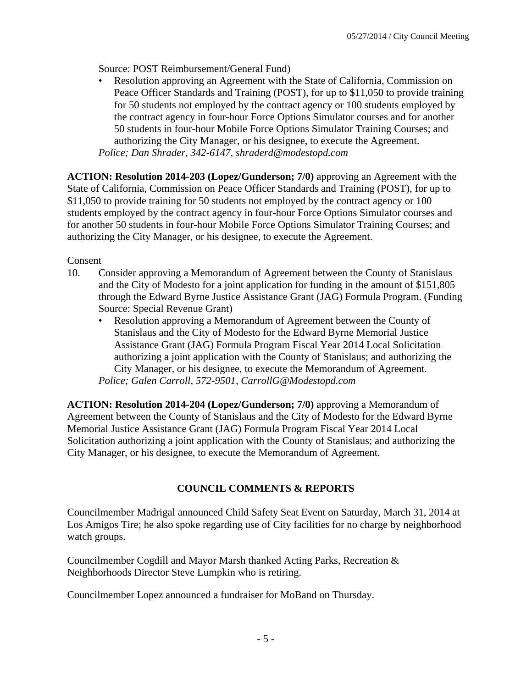Source: POST Reimbursement/General Fund)

• Resolution approving an Agreement with the State of California, Commission on Peace Officer Standards and Training (POST), for up to \$11,050 to provide training for 50 students not employed by the contract agency or 100 students employed by the contract agency in four-hour Force Options Simulator courses and for another 50 students in four-hour Mobile Force Options Simulator Training Courses; and authorizing the City Manager, or his designee, to execute the Agreement. *Police; Dan Shrader, 342-6147, shraderd@modestopd.com* 

**ACTION: Resolution 2014-203 (Lopez/Gunderson; 7/0)** approving an Agreement with the State of California, Commission on Peace Officer Standards and Training (POST), for up to \$11,050 to provide training for 50 students not employed by the contract agency or 100 students employed by the contract agency in four-hour Force Options Simulator courses and for another 50 students in four-hour Mobile Force Options Simulator Training Courses; and authorizing the City Manager, or his designee, to execute the Agreement.

## Consent

- 10. Consider approving a Memorandum of Agreement between the County of Stanislaus and the City of Modesto for a joint application for funding in the amount of \$151,805 through the Edward Byrne Justice Assistance Grant (JAG) Formula Program. (Funding Source: Special Revenue Grant)
	- Resolution approving a Memorandum of Agreement between the County of Stanislaus and the City of Modesto for the Edward Byrne Memorial Justice Assistance Grant (JAG) Formula Program Fiscal Year 2014 Local Solicitation authorizing a joint application with the County of Stanislaus; and authorizing the City Manager, or his designee, to execute the Memorandum of Agreement. *Police; Galen Carroll, 572-9501, CarrollG@Modestopd.com*

**ACTION: Resolution 2014-204 (Lopez/Gunderson; 7/0)** approving a Memorandum of Agreement between the County of Stanislaus and the City of Modesto for the Edward Byrne Memorial Justice Assistance Grant (JAG) Formula Program Fiscal Year 2014 Local Solicitation authorizing a joint application with the County of Stanislaus; and authorizing the City Manager, or his designee, to execute the Memorandum of Agreement.

## **COUNCIL COMMENTS & REPORTS**

Councilmember Madrigal announced Child Safety Seat Event on Saturday, March 31, 2014 at Los Amigos Tire; he also spoke regarding use of City facilities for no charge by neighborhood watch groups.

Councilmember Cogdill and Mayor Marsh thanked Acting Parks, Recreation & Neighborhoods Director Steve Lumpkin who is retiring.

Councilmember Lopez announced a fundraiser for MoBand on Thursday.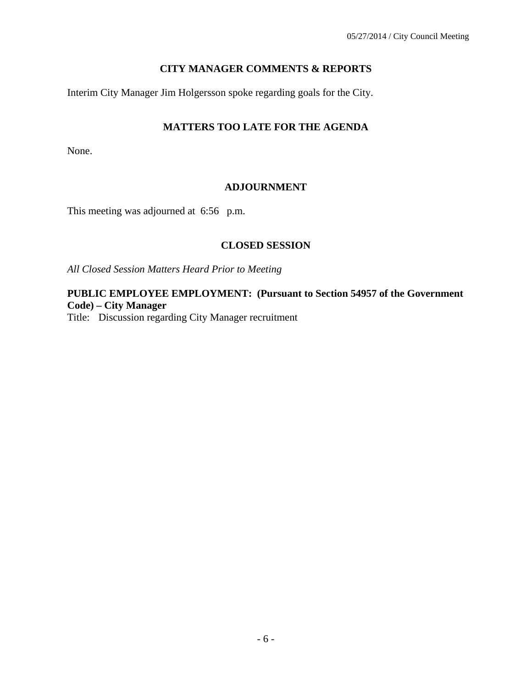## **CITY MANAGER COMMENTS & REPORTS**

Interim City Manager Jim Holgersson spoke regarding goals for the City.

## **MATTERS TOO LATE FOR THE AGENDA**

None.

## **ADJOURNMENT**

This meeting was adjourned at 6:56 p.m.

#### **CLOSED SESSION**

*All Closed Session Matters Heard Prior to Meeting* 

**PUBLIC EMPLOYEE EMPLOYMENT: (Pursuant to Section 54957 of the Government Code) – City Manager** 

Title: Discussion regarding City Manager recruitment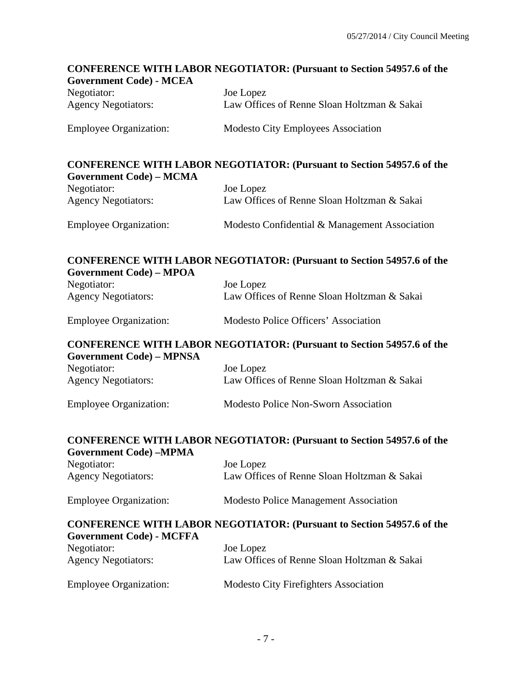# **CONFERENCE WITH LABOR NEGOTIATOR: (Pursuant to Section 54957.6 of the Government Code) - MCEA**  Negotiator: Joe Lopez Agency Negotiators: Law Offices of Renne Sloan Holtzman & Sakai Employee Organization: Modesto City Employees Association **CONFERENCE WITH LABOR NEGOTIATOR: (Pursuant to Section 54957.6 of the Government Code) – MCMA**  Negotiator: Joe Lopez Agency Negotiators: Law Offices of Renne Sloan Holtzman & Sakai Employee Organization: Modesto Confidential & Management Association **CONFERENCE WITH LABOR NEGOTIATOR: (Pursuant to Section 54957.6 of the Government Code) – MPOA**  Negotiator: Joe Lopez Agency Negotiators: Law Offices of Renne Sloan Holtzman & Sakai Employee Organization: Modesto Police Officers' Association **CONFERENCE WITH LABOR NEGOTIATOR: (Pursuant to Section 54957.6 of the Government Code) – MPNSA**  Negotiator: Joe Lopez Agency Negotiators: Law Offices of Renne Sloan Holtzman & Sakai Employee Organization: Modesto Police Non-Sworn Association **CONFERENCE WITH LABOR NEGOTIATOR: (Pursuant to Section 54957.6 of the Government Code) –MPMA**  Negotiator: Joe Lopez Agency Negotiators: Law Offices of Renne Sloan Holtzman & Sakai Employee Organization: Modesto Police Management Association **CONFERENCE WITH LABOR NEGOTIATOR: (Pursuant to Section 54957.6 of the Government Code) - MCFFA**  Negotiator: Joe Lopez Agency Negotiators: Law Offices of Renne Sloan Holtzman & Sakai Employee Organization: Modesto City Firefighters Association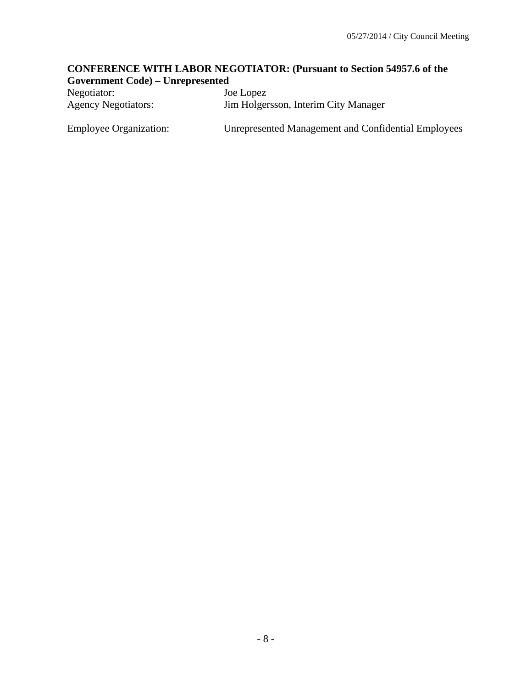## **CONFERENCE WITH LABOR NEGOTIATOR: (Pursuant to Section 54957.6 of the Government Code) – Unrepresented**

| Negotiator:                   | Joe Lopez                                                  |
|-------------------------------|------------------------------------------------------------|
| <b>Agency Negotiators:</b>    | Jim Holgersson, Interim City Manager                       |
| <b>Employee Organization:</b> | <b>Unrepresented Management and Confidential Employees</b> |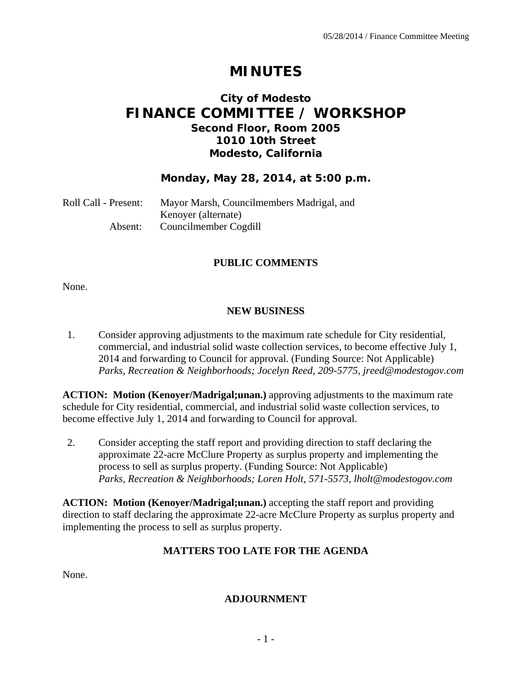# **MINUTES**

## **City of Modesto FINANCE COMMITTEE / WORKSHOP Second Floor, Room 2005 1010 10th Street Modesto, California**

## **Monday, May 28, 2014, at 5:00 p.m.**

| Roll Call - Present: | Mayor Marsh, Councilmembers Madrigal, and |
|----------------------|-------------------------------------------|
|                      | Kenoyer (alternate)                       |
| Absent:              | Councilmember Cogdill                     |

## **PUBLIC COMMENTS**

None.

#### **NEW BUSINESS**

1. Consider approving adjustments to the maximum rate schedule for City residential, commercial, and industrial solid waste collection services, to become effective July 1, 2014 and forwarding to Council for approval. (Funding Source: Not Applicable)  *Parks, Recreation & Neighborhoods; Jocelyn Reed, 209-5775, jreed@modestogov.com* 

**ACTION: Motion (Kenoyer/Madrigal;unan.)** approving adjustments to the maximum rate schedule for City residential, commercial, and industrial solid waste collection services, to become effective July 1, 2014 and forwarding to Council for approval.

2. Consider accepting the staff report and providing direction to staff declaring the approximate 22-acre McClure Property as surplus property and implementing the process to sell as surplus property. (Funding Source: Not Applicable)  *Parks, Recreation & Neighborhoods; Loren Holt, 571-5573, lholt@modestogov.com* 

**ACTION: Motion (Kenoyer/Madrigal;unan.)** accepting the staff report and providing direction to staff declaring the approximate 22-acre McClure Property as surplus property and implementing the process to sell as surplus property.

## **MATTERS TOO LATE FOR THE AGENDA**

None.

#### **ADJOURNMENT**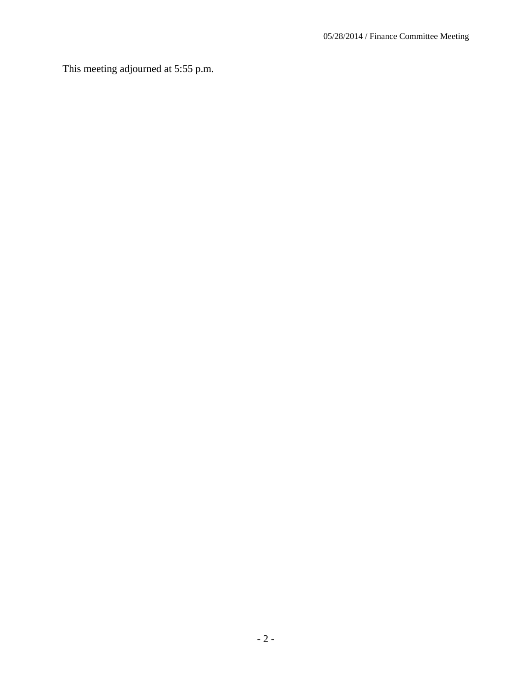This meeting adjourned at 5:55 p.m.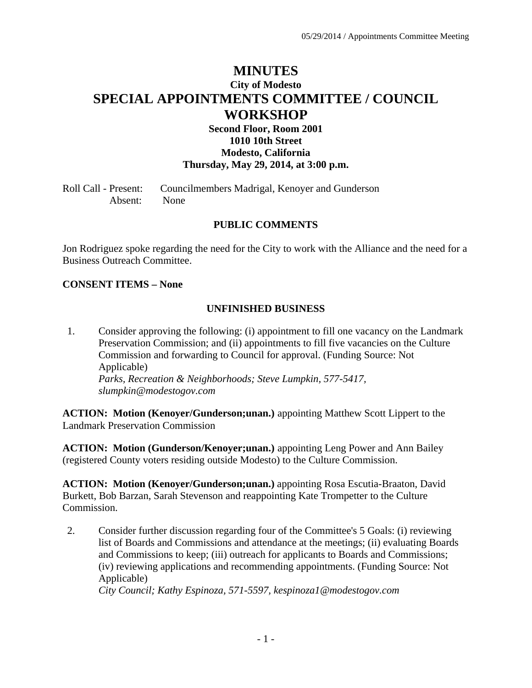# **MINUTES City of Modesto SPECIAL APPOINTMENTS COMMITTEE / COUNCIL WORKSHOP**

## **Second Floor, Room 2001 1010 10th Street Modesto, California Thursday, May 29, 2014, at 3:00 p.m.**

Roll Call - Present: Councilmembers Madrigal, Kenoyer and Gunderson Absent: None

#### **PUBLIC COMMENTS**

Jon Rodriguez spoke regarding the need for the City to work with the Alliance and the need for a Business Outreach Committee.

#### **CONSENT ITEMS – None**

#### **UNFINISHED BUSINESS**

1. Consider approving the following: (i) appointment to fill one vacancy on the Landmark Preservation Commission; and (ii) appointments to fill five vacancies on the Culture Commission and forwarding to Council for approval. (Funding Source: Not Applicable)  *Parks, Recreation & Neighborhoods; Steve Lumpkin, 577-5417, slumpkin@modestogov.com* 

**ACTION: Motion (Kenoyer/Gunderson;unan.)** appointing Matthew Scott Lippert to the Landmark Preservation Commission

**ACTION: Motion (Gunderson/Kenoyer;unan.)** appointing Leng Power and Ann Bailey (registered County voters residing outside Modesto) to the Culture Commission.

**ACTION: Motion (Kenoyer/Gunderson;unan.)** appointing Rosa Escutia-Braaton, David Burkett, Bob Barzan, Sarah Stevenson and reappointing Kate Trompetter to the Culture Commission.

2. Consider further discussion regarding four of the Committee's 5 Goals: (i) reviewing list of Boards and Commissions and attendance at the meetings; (ii) evaluating Boards and Commissions to keep; (iii) outreach for applicants to Boards and Commissions; (iv) reviewing applications and recommending appointments. (Funding Source: Not Applicable)  *City Council; Kathy Espinoza, 571-5597, kespinoza1@modestogov.com*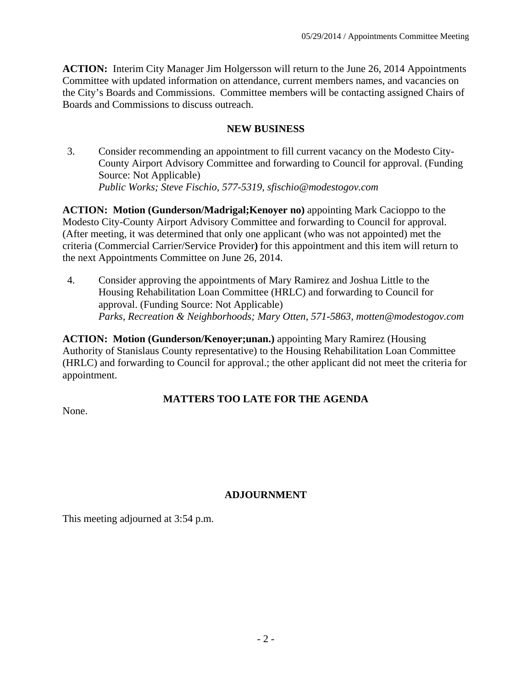**ACTION:** Interim City Manager Jim Holgersson will return to the June 26, 2014 Appointments Committee with updated information on attendance, current members names, and vacancies on the City's Boards and Commissions. Committee members will be contacting assigned Chairs of Boards and Commissions to discuss outreach.

## **NEW BUSINESS**

3. Consider recommending an appointment to fill current vacancy on the Modesto City-County Airport Advisory Committee and forwarding to Council for approval. (Funding Source: Not Applicable)  *Public Works; Steve Fischio, 577-5319, sfischio@modestogov.com* 

**ACTION: Motion (Gunderson/Madrigal;Kenoyer no)** appointing Mark Cacioppo to the Modesto City-County Airport Advisory Committee and forwarding to Council for approval. (After meeting, it was determined that only one applicant (who was not appointed) met the criteria (Commercial Carrier/Service Provider**)** for this appointment and this item will return to the next Appointments Committee on June 26, 2014.

4. Consider approving the appointments of Mary Ramirez and Joshua Little to the Housing Rehabilitation Loan Committee (HRLC) and forwarding to Council for approval. (Funding Source: Not Applicable)  *Parks, Recreation & Neighborhoods; Mary Otten, 571-5863, motten@modestogov.com* 

**ACTION: Motion (Gunderson/Kenoyer;unan.)** appointing Mary Ramirez (Housing Authority of Stanislaus County representative) to the Housing Rehabilitation Loan Committee (HRLC) and forwarding to Council for approval.; the other applicant did not meet the criteria for appointment.

## **MATTERS TOO LATE FOR THE AGENDA**

None.

## **ADJOURNMENT**

This meeting adjourned at 3:54 p.m.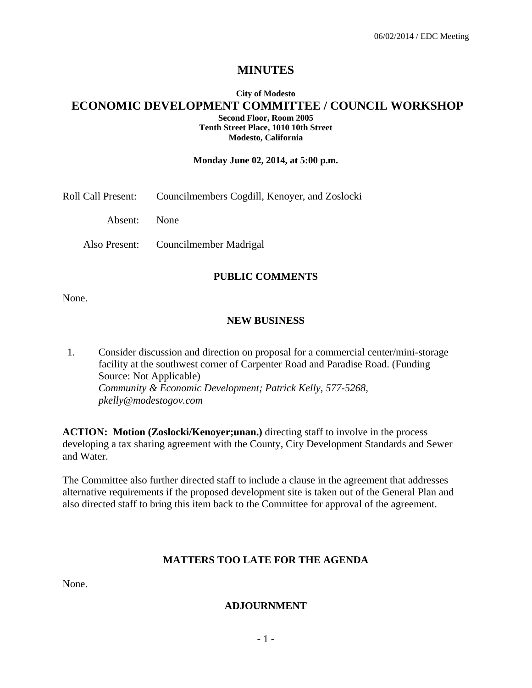## **MINUTES**

#### **City of Modesto ECONOMIC DEVELOPMENT COMMITTEE / COUNCIL WORKSHOP Second Floor, Room 2005 Tenth Street Place, 1010 10th Street Modesto, California**

#### **Monday June 02, 2014, at 5:00 p.m.**

Roll Call Present: Councilmembers Cogdill, Kenoyer, and Zoslocki

Absent: None

Also Present: Councilmember Madrigal

#### **PUBLIC COMMENTS**

None.

#### **NEW BUSINESS**

1. Consider discussion and direction on proposal for a commercial center/mini-storage facility at the southwest corner of Carpenter Road and Paradise Road. (Funding Source: Not Applicable)  *Community & Economic Development; Patrick Kelly, 577-5268, pkelly@modestogov.com* 

**ACTION: Motion (Zoslocki/Kenoyer;unan.)** directing staff to involve in the process developing a tax sharing agreement with the County, City Development Standards and Sewer and Water.

The Committee also further directed staff to include a clause in the agreement that addresses alternative requirements if the proposed development site is taken out of the General Plan and also directed staff to bring this item back to the Committee for approval of the agreement.

#### **MATTERS TOO LATE FOR THE AGENDA**

None.

#### **ADJOURNMENT**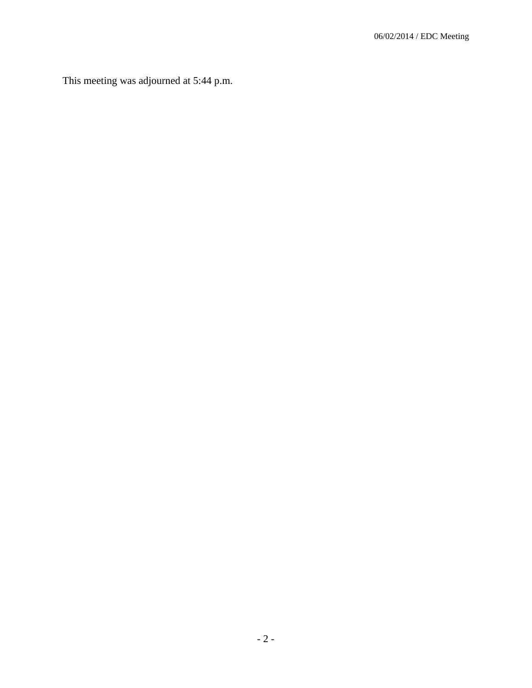This meeting was adjourned at 5:44 p.m.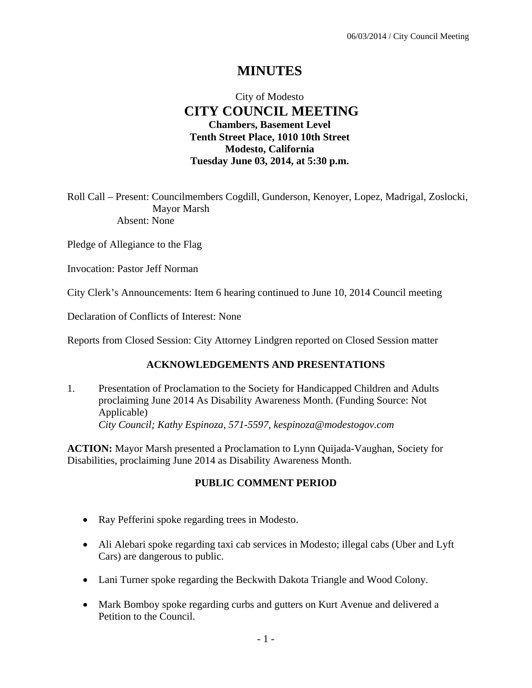# **MINUTES**

## City of Modesto  **CITY COUNCIL MEETING Chambers, Basement Level Tenth Street Place, 1010 10th Street Modesto, California Tuesday June 03, 2014, at 5:30 p.m.**

Roll Call – Present: Councilmembers Cogdill, Gunderson, Kenoyer, Lopez, Madrigal, Zoslocki, Mayor Marsh Absent: None

Pledge of Allegiance to the Flag

Invocation: Pastor Jeff Norman

City Clerk's Announcements: Item 6 hearing continued to June 10, 2014 Council meeting

Declaration of Conflicts of Interest: None

Reports from Closed Session: City Attorney Lindgren reported on Closed Session matter

## **ACKNOWLEDGEMENTS AND PRESENTATIONS**

1. Presentation of Proclamation to the Society for Handicapped Children and Adults proclaiming June 2014 As Disability Awareness Month. (Funding Source: Not Applicable)  *City Council; Kathy Espinoza, 571-5597, kespinoza@modestogov.com* 

**ACTION:** Mayor Marsh presented a Proclamation to Lynn Quijada-Vaughan, Society for Disabilities, proclaiming June 2014 as Disability Awareness Month.

#### **PUBLIC COMMENT PERIOD**

- Ray Pefferini spoke regarding trees in Modesto.
- Ali Alebari spoke regarding taxi cab services in Modesto; illegal cabs (Uber and Lyft Cars) are dangerous to public.
- Lani Turner spoke regarding the Beckwith Dakota Triangle and Wood Colony.
- Mark Bomboy spoke regarding curbs and gutters on Kurt Avenue and delivered a Petition to the Council.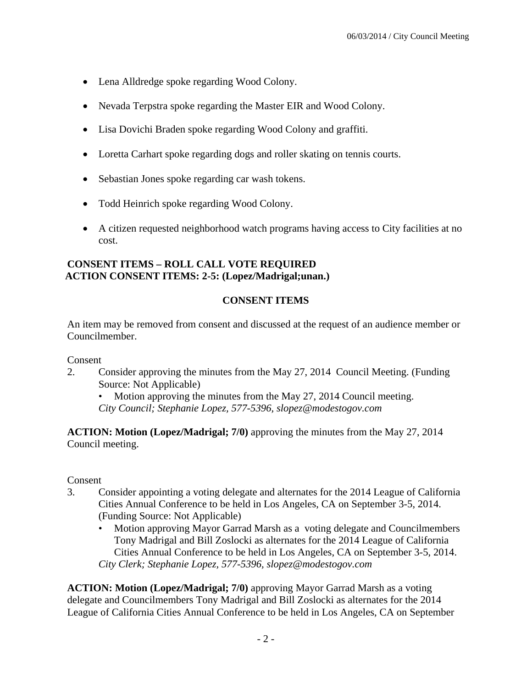- Lena Alldredge spoke regarding Wood Colony.
- Nevada Terpstra spoke regarding the Master EIR and Wood Colony.
- Lisa Dovichi Braden spoke regarding Wood Colony and graffiti.
- Loretta Carhart spoke regarding dogs and roller skating on tennis courts.
- Sebastian Jones spoke regarding car wash tokens.
- Todd Heinrich spoke regarding Wood Colony.
- A citizen requested neighborhood watch programs having access to City facilities at no cost.

#### **CONSENT ITEMS – ROLL CALL VOTE REQUIRED ACTION CONSENT ITEMS: 2-5: (Lopez/Madrigal;unan.)**

## **CONSENT ITEMS**

An item may be removed from consent and discussed at the request of an audience member or Councilmember.

#### Consent

- 2. Consider approving the minutes from the May 27, 2014 Council Meeting. (Funding Source: Not Applicable)
	- Motion approving the minutes from the May 27, 2014 Council meeting. *City Council; Stephanie Lopez, 577-5396, slopez@modestogov.com*

**ACTION: Motion (Lopez/Madrigal; 7/0)** approving the minutes from the May 27, 2014 Council meeting.

## Consent

- 3. Consider appointing a voting delegate and alternates for the 2014 League of California Cities Annual Conference to be held in Los Angeles, CA on September 3-5, 2014. (Funding Source: Not Applicable)
	- Motion approving Mayor Garrad Marsh as a voting delegate and Councilmembers Tony Madrigal and Bill Zoslocki as alternates for the 2014 League of California Cities Annual Conference to be held in Los Angeles, CA on September 3-5, 2014. *City Clerk; Stephanie Lopez, 577-5396, slopez@modestogov.com*

**ACTION: Motion (Lopez/Madrigal; 7/0)** approving Mayor Garrad Marsh as a voting delegate and Councilmembers Tony Madrigal and Bill Zoslocki as alternates for the 2014 League of California Cities Annual Conference to be held in Los Angeles, CA on September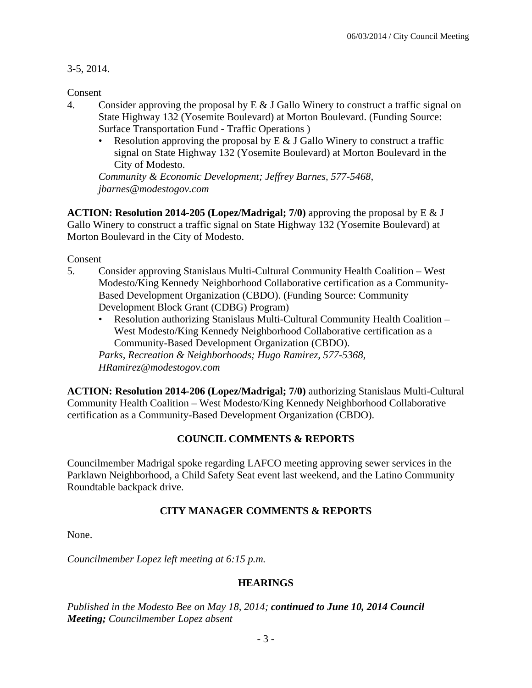3-5, 2014.

Consent

- 4. Consider approving the proposal by  $E \& J$  Gallo Winery to construct a traffic signal on State Highway 132 (Yosemite Boulevard) at Morton Boulevard. (Funding Source: Surface Transportation Fund - Traffic Operations )
	- Resolution approving the proposal by  $E \& J$  Gallo Winery to construct a traffic signal on State Highway 132 (Yosemite Boulevard) at Morton Boulevard in the City of Modesto.

*Community & Economic Development; Jeffrey Barnes, 577-5468, jbarnes@modestogov.com* 

**ACTION: Resolution 2014-205 (Lopez/Madrigal; 7/0)** approving the proposal by E & J Gallo Winery to construct a traffic signal on State Highway 132 (Yosemite Boulevard) at Morton Boulevard in the City of Modesto.

Consent

- 5. Consider approving Stanislaus Multi-Cultural Community Health Coalition West Modesto/King Kennedy Neighborhood Collaborative certification as a Community-Based Development Organization (CBDO). (Funding Source: Community Development Block Grant (CDBG) Program)
	- Resolution authorizing Stanislaus Multi-Cultural Community Health Coalition West Modesto/King Kennedy Neighborhood Collaborative certification as a Community-Based Development Organization (CBDO).

*Parks, Recreation & Neighborhoods; Hugo Ramirez, 577-5368, HRamirez@modestogov.com* 

**ACTION: Resolution 2014-206 (Lopez/Madrigal; 7/0)** authorizing Stanislaus Multi-Cultural Community Health Coalition – West Modesto/King Kennedy Neighborhood Collaborative certification as a Community-Based Development Organization (CBDO).

## **COUNCIL COMMENTS & REPORTS**

Councilmember Madrigal spoke regarding LAFCO meeting approving sewer services in the Parklawn Neighborhood, a Child Safety Seat event last weekend, and the Latino Community Roundtable backpack drive.

## **CITY MANAGER COMMENTS & REPORTS**

None.

*Councilmember Lopez left meeting at 6:15 p.m.* 

## **HEARINGS**

*Published in the Modesto Bee on May 18, 2014; continued to June 10, 2014 Council Meeting; Councilmember Lopez absent*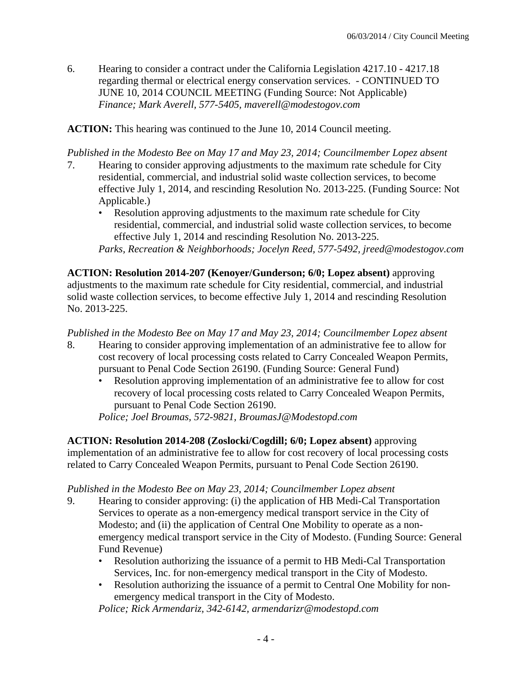6. Hearing to consider a contract under the California Legislation 4217.10 - 4217.18 regarding thermal or electrical energy conservation services. - CONTINUED TO JUNE 10, 2014 COUNCIL MEETING (Funding Source: Not Applicable)  *Finance; Mark Averell, 577-5405, maverell@modestogov.com* 

**ACTION:** This hearing was continued to the June 10, 2014 Council meeting.

*Published in the Modesto Bee on May 17 and May 23, 2014; Councilmember Lopez absent* 

- 7. Hearing to consider approving adjustments to the maximum rate schedule for City residential, commercial, and industrial solid waste collection services, to become effective July 1, 2014, and rescinding Resolution No. 2013-225. (Funding Source: Not Applicable.)
	- Resolution approving adjustments to the maximum rate schedule for City residential, commercial, and industrial solid waste collection services, to become effective July 1, 2014 and rescinding Resolution No. 2013-225. *Parks, Recreation & Neighborhoods; Jocelyn Reed, 577-5492, jreed@modestogov.com*

**ACTION: Resolution 2014-207 (Kenoyer/Gunderson; 6/0; Lopez absent)** approving adjustments to the maximum rate schedule for City residential, commercial, and industrial solid waste collection services, to become effective July 1, 2014 and rescinding Resolution No. 2013-225.

*Published in the Modesto Bee on May 17 and May 23, 2014; Councilmember Lopez absent* 

- 8. Hearing to consider approving implementation of an administrative fee to allow for cost recovery of local processing costs related to Carry Concealed Weapon Permits, pursuant to Penal Code Section 26190. (Funding Source: General Fund)
	- Resolution approving implementation of an administrative fee to allow for cost recovery of local processing costs related to Carry Concealed Weapon Permits, pursuant to Penal Code Section 26190.

*Police; Joel Broumas, 572-9821, BroumasJ@Modestopd.com* 

**ACTION: Resolution 2014-208 (Zoslocki/Cogdill; 6/0; Lopez absent)** approving implementation of an administrative fee to allow for cost recovery of local processing costs related to Carry Concealed Weapon Permits, pursuant to Penal Code Section 26190.

## *Published in the Modesto Bee on May 23, 2014; Councilmember Lopez absent*

- 9. Hearing to consider approving: (i) the application of HB Medi-Cal Transportation Services to operate as a non-emergency medical transport service in the City of Modesto; and (ii) the application of Central One Mobility to operate as a nonemergency medical transport service in the City of Modesto. (Funding Source: General Fund Revenue)
	- Resolution authorizing the issuance of a permit to HB Medi-Cal Transportation Services, Inc. for non-emergency medical transport in the City of Modesto.
	- Resolution authorizing the issuance of a permit to Central One Mobility for nonemergency medical transport in the City of Modesto.

*Police; Rick Armendariz, 342-6142, armendarizr@modestopd.com*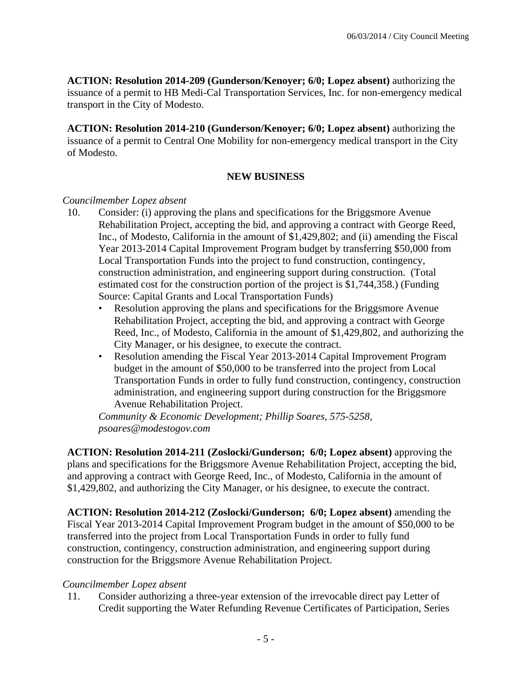**ACTION: Resolution 2014-209 (Gunderson/Kenoyer; 6/0; Lopez absent)** authorizing the issuance of a permit to HB Medi-Cal Transportation Services, Inc. for non-emergency medical transport in the City of Modesto.

**ACTION: Resolution 2014-210 (Gunderson/Kenoyer; 6/0; Lopez absent)** authorizing the issuance of a permit to Central One Mobility for non-emergency medical transport in the City of Modesto.

## **NEW BUSINESS**

#### *Councilmember Lopez absent*

- 10. Consider: (i) approving the plans and specifications for the Briggsmore Avenue Rehabilitation Project, accepting the bid, and approving a contract with George Reed, Inc., of Modesto, California in the amount of \$1,429,802; and (ii) amending the Fiscal Year 2013-2014 Capital Improvement Program budget by transferring \$50,000 from Local Transportation Funds into the project to fund construction, contingency, construction administration, and engineering support during construction. (Total estimated cost for the construction portion of the project is \$1,744,358.) (Funding Source: Capital Grants and Local Transportation Funds)
	- Resolution approving the plans and specifications for the Briggsmore Avenue Rehabilitation Project, accepting the bid, and approving a contract with George Reed, Inc., of Modesto, California in the amount of \$1,429,802, and authorizing the City Manager, or his designee, to execute the contract.
	- Resolution amending the Fiscal Year 2013-2014 Capital Improvement Program budget in the amount of \$50,000 to be transferred into the project from Local Transportation Funds in order to fully fund construction, contingency, construction administration, and engineering support during construction for the Briggsmore Avenue Rehabilitation Project.

*Community & Economic Development; Phillip Soares, 575-5258, psoares@modestogov.com* 

**ACTION: Resolution 2014-211 (Zoslocki/Gunderson; 6/0; Lopez absent)** approving the plans and specifications for the Briggsmore Avenue Rehabilitation Project, accepting the bid, and approving a contract with George Reed, Inc., of Modesto, California in the amount of \$1,429,802, and authorizing the City Manager, or his designee, to execute the contract.

**ACTION: Resolution 2014-212 (Zoslocki/Gunderson; 6/0; Lopez absent)** amending the Fiscal Year 2013-2014 Capital Improvement Program budget in the amount of \$50,000 to be transferred into the project from Local Transportation Funds in order to fully fund construction, contingency, construction administration, and engineering support during construction for the Briggsmore Avenue Rehabilitation Project.

## *Councilmember Lopez absent*

11. Consider authorizing a three-year extension of the irrevocable direct pay Letter of Credit supporting the Water Refunding Revenue Certificates of Participation, Series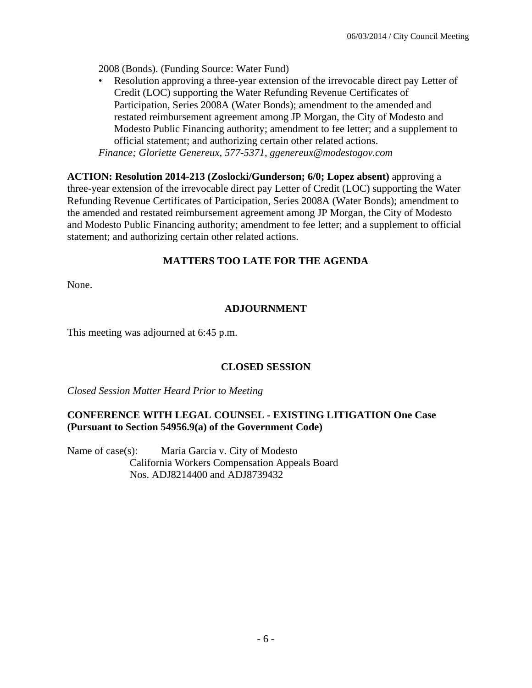2008 (Bonds). (Funding Source: Water Fund)

Resolution approving a three-year extension of the irrevocable direct pay Letter of Credit (LOC) supporting the Water Refunding Revenue Certificates of Participation, Series 2008A (Water Bonds); amendment to the amended and restated reimbursement agreement among JP Morgan, the City of Modesto and Modesto Public Financing authority; amendment to fee letter; and a supplement to official statement; and authorizing certain other related actions. *Finance; Gloriette Genereux, 577-5371, ggenereux@modestogov.com* 

**ACTION: Resolution 2014-213 (Zoslocki/Gunderson; 6/0; Lopez absent)** approving a three-year extension of the irrevocable direct pay Letter of Credit (LOC) supporting the Water Refunding Revenue Certificates of Participation, Series 2008A (Water Bonds); amendment to the amended and restated reimbursement agreement among JP Morgan, the City of Modesto and Modesto Public Financing authority; amendment to fee letter; and a supplement to official statement; and authorizing certain other related actions.

## **MATTERS TOO LATE FOR THE AGENDA**

None.

## **ADJOURNMENT**

This meeting was adjourned at 6:45 p.m.

## **CLOSED SESSION**

*Closed Session Matter Heard Prior to Meeting*

## **CONFERENCE WITH LEGAL COUNSEL - EXISTING LITIGATION One Case (Pursuant to Section 54956.9(a) of the Government Code)**

Name of case(s): Maria Garcia v. City of Modesto California Workers Compensation Appeals Board Nos. ADJ8214400 and ADJ8739432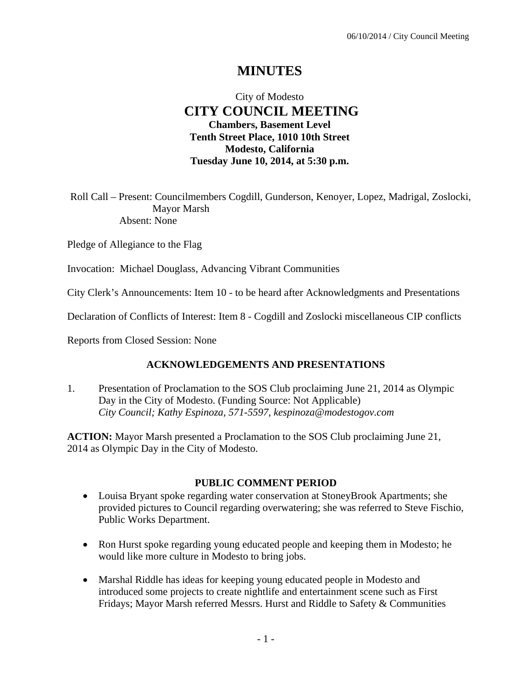# **MINUTES**

## City of Modesto  **CITY COUNCIL MEETING Chambers, Basement Level Tenth Street Place, 1010 10th Street Modesto, California Tuesday June 10, 2014, at 5:30 p.m.**

Roll Call – Present: Councilmembers Cogdill, Gunderson, Kenoyer, Lopez, Madrigal, Zoslocki, Mayor Marsh Absent: None

Pledge of Allegiance to the Flag

Invocation: Michael Douglass, Advancing Vibrant Communities

City Clerk's Announcements: Item 10 - to be heard after Acknowledgments and Presentations

Declaration of Conflicts of Interest: Item 8 - Cogdill and Zoslocki miscellaneous CIP conflicts

Reports from Closed Session: None

## **ACKNOWLEDGEMENTS AND PRESENTATIONS**

1. Presentation of Proclamation to the SOS Club proclaiming June 21, 2014 as Olympic Day in the City of Modesto. (Funding Source: Not Applicable)  *City Council; Kathy Espinoza, 571-5597, kespinoza@modestogov.com* 

**ACTION:** Mayor Marsh presented a Proclamation to the SOS Club proclaiming June 21, 2014 as Olympic Day in the City of Modesto.

## **PUBLIC COMMENT PERIOD**

- Louisa Bryant spoke regarding water conservation at StoneyBrook Apartments; she provided pictures to Council regarding overwatering; she was referred to Steve Fischio, Public Works Department.
- Ron Hurst spoke regarding young educated people and keeping them in Modesto; he would like more culture in Modesto to bring jobs.
- Marshal Riddle has ideas for keeping young educated people in Modesto and introduced some projects to create nightlife and entertainment scene such as First Fridays; Mayor Marsh referred Messrs. Hurst and Riddle to Safety & Communities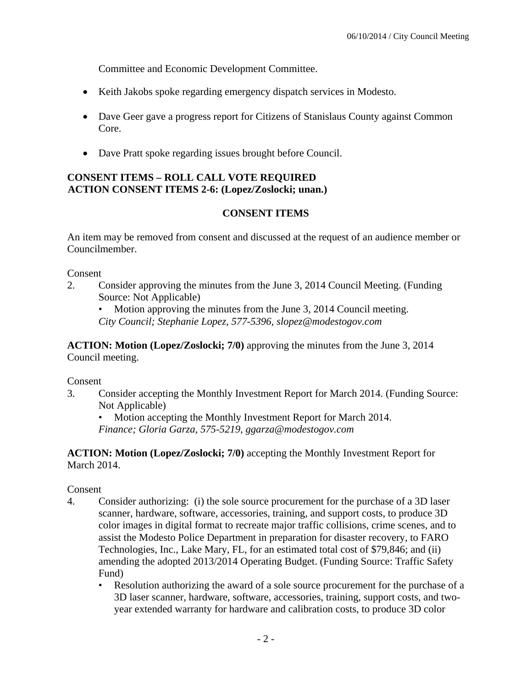Committee and Economic Development Committee.

- Keith Jakobs spoke regarding emergency dispatch services in Modesto.
- Dave Geer gave a progress report for Citizens of Stanislaus County against Common Core.
- Dave Pratt spoke regarding issues brought before Council.

## **CONSENT ITEMS – ROLL CALL VOTE REQUIRED ACTION CONSENT ITEMS 2-6: (Lopez/Zoslocki; unan.)**

## **CONSENT ITEMS**

An item may be removed from consent and discussed at the request of an audience member or Councilmember.

Consent

2. Consider approving the minutes from the June 3, 2014 Council Meeting. (Funding Source: Not Applicable)

• Motion approving the minutes from the June 3, 2014 Council meeting. *City Council; Stephanie Lopez, 577-5396, slopez@modestogov.com* 

**ACTION: Motion (Lopez/Zoslocki; 7/0)** approving the minutes from the June 3, 2014 Council meeting.

Consent

3. Consider accepting the Monthly Investment Report for March 2014. (Funding Source: Not Applicable)

• Motion accepting the Monthly Investment Report for March 2014.

*Finance; Gloria Garza, 575-5219, ggarza@modestogov.com* 

**ACTION: Motion (Lopez/Zoslocki; 7/0)** accepting the Monthly Investment Report for March 2014.

## Consent

- 4. Consider authorizing: (i) the sole source procurement for the purchase of a 3D laser scanner, hardware, software, accessories, training, and support costs, to produce 3D color images in digital format to recreate major traffic collisions, crime scenes, and to assist the Modesto Police Department in preparation for disaster recovery, to FARO Technologies, Inc., Lake Mary, FL, for an estimated total cost of \$79,846; and (ii) amending the adopted 2013/2014 Operating Budget. (Funding Source: Traffic Safety Fund)
	- Resolution authorizing the award of a sole source procurement for the purchase of a 3D laser scanner, hardware, software, accessories, training, support costs, and twoyear extended warranty for hardware and calibration costs, to produce 3D color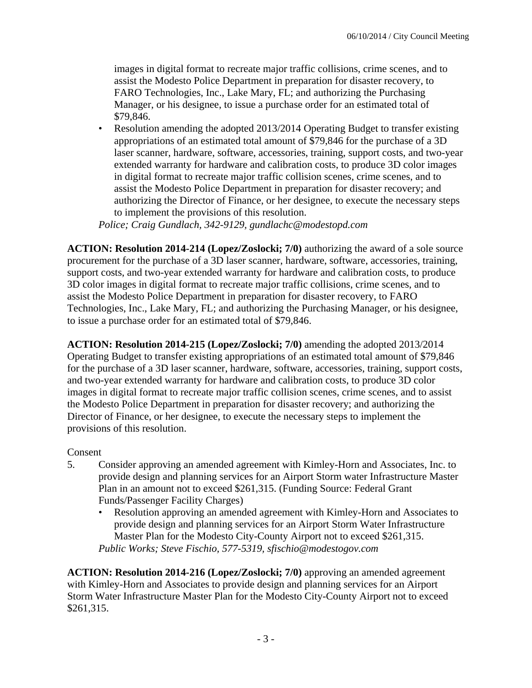images in digital format to recreate major traffic collisions, crime scenes, and to assist the Modesto Police Department in preparation for disaster recovery, to FARO Technologies, Inc., Lake Mary, FL; and authorizing the Purchasing Manager, or his designee, to issue a purchase order for an estimated total of \$79,846.

• Resolution amending the adopted 2013/2014 Operating Budget to transfer existing appropriations of an estimated total amount of \$79,846 for the purchase of a 3D laser scanner, hardware, software, accessories, training, support costs, and two-year extended warranty for hardware and calibration costs, to produce 3D color images in digital format to recreate major traffic collision scenes, crime scenes, and to assist the Modesto Police Department in preparation for disaster recovery; and authorizing the Director of Finance, or her designee, to execute the necessary steps to implement the provisions of this resolution.

*Police; Craig Gundlach, 342-9129, gundlachc@modestopd.com* 

**ACTION: Resolution 2014-214 (Lopez/Zoslocki; 7/0)** authorizing the award of a sole source procurement for the purchase of a 3D laser scanner, hardware, software, accessories, training, support costs, and two-year extended warranty for hardware and calibration costs, to produce 3D color images in digital format to recreate major traffic collisions, crime scenes, and to assist the Modesto Police Department in preparation for disaster recovery, to FARO Technologies, Inc., Lake Mary, FL; and authorizing the Purchasing Manager, or his designee, to issue a purchase order for an estimated total of \$79,846.

**ACTION: Resolution 2014-215 (Lopez/Zoslocki; 7/0)** amending the adopted 2013/2014 Operating Budget to transfer existing appropriations of an estimated total amount of \$79,846 for the purchase of a 3D laser scanner, hardware, software, accessories, training, support costs, and two-year extended warranty for hardware and calibration costs, to produce 3D color images in digital format to recreate major traffic collision scenes, crime scenes, and to assist the Modesto Police Department in preparation for disaster recovery; and authorizing the Director of Finance, or her designee, to execute the necessary steps to implement the provisions of this resolution.

## Consent

- 5. Consider approving an amended agreement with Kimley-Horn and Associates, Inc. to provide design and planning services for an Airport Storm water Infrastructure Master Plan in an amount not to exceed \$261,315. (Funding Source: Federal Grant Funds/Passenger Facility Charges)
	- Resolution approving an amended agreement with Kimley-Horn and Associates to provide design and planning services for an Airport Storm Water Infrastructure Master Plan for the Modesto City-County Airport not to exceed \$261,315. *Public Works; Steve Fischio, 577-5319, sfischio@modestogov.com*

**ACTION: Resolution 2014-216 (Lopez/Zoslocki; 7/0)** approving an amended agreement with Kimley-Horn and Associates to provide design and planning services for an Airport Storm Water Infrastructure Master Plan for the Modesto City-County Airport not to exceed \$261,315.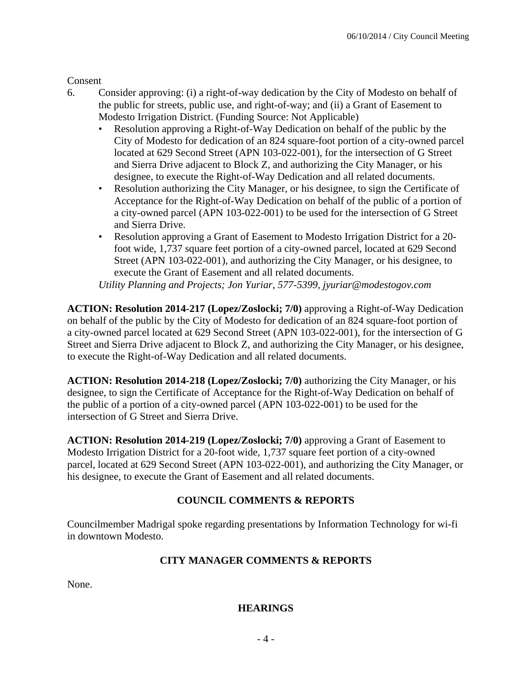Consent

- 6. Consider approving: (i) a right-of-way dedication by the City of Modesto on behalf of the public for streets, public use, and right-of-way; and (ii) a Grant of Easement to Modesto Irrigation District. (Funding Source: Not Applicable)
	- Resolution approving a Right-of-Way Dedication on behalf of the public by the City of Modesto for dedication of an 824 square-foot portion of a city-owned parcel located at 629 Second Street (APN 103-022-001), for the intersection of G Street and Sierra Drive adjacent to Block Z, and authorizing the City Manager, or his designee, to execute the Right-of-Way Dedication and all related documents.
	- Resolution authorizing the City Manager, or his designee, to sign the Certificate of Acceptance for the Right-of-Way Dedication on behalf of the public of a portion of a city-owned parcel (APN 103-022-001) to be used for the intersection of G Street and Sierra Drive.
	- Resolution approving a Grant of Easement to Modesto Irrigation District for a 20 foot wide, 1,737 square feet portion of a city-owned parcel, located at 629 Second Street (APN 103-022-001), and authorizing the City Manager, or his designee, to execute the Grant of Easement and all related documents.

*Utility Planning and Projects; Jon Yuriar, 577-5399, jyuriar@modestogov.com* 

**ACTION: Resolution 2014-217 (Lopez/Zoslocki; 7/0)** approving a Right-of-Way Dedication on behalf of the public by the City of Modesto for dedication of an 824 square-foot portion of a city-owned parcel located at 629 Second Street (APN 103-022-001), for the intersection of G Street and Sierra Drive adjacent to Block Z, and authorizing the City Manager, or his designee, to execute the Right-of-Way Dedication and all related documents.

**ACTION: Resolution 2014-218 (Lopez/Zoslocki; 7/0)** authorizing the City Manager, or his designee, to sign the Certificate of Acceptance for the Right-of-Way Dedication on behalf of the public of a portion of a city-owned parcel (APN 103-022-001) to be used for the intersection of G Street and Sierra Drive.

**ACTION: Resolution 2014-219 (Lopez/Zoslocki; 7/0)** approving a Grant of Easement to Modesto Irrigation District for a 20-foot wide, 1,737 square feet portion of a city-owned parcel, located at 629 Second Street (APN 103-022-001), and authorizing the City Manager, or his designee, to execute the Grant of Easement and all related documents.

## **COUNCIL COMMENTS & REPORTS**

Councilmember Madrigal spoke regarding presentations by Information Technology for wi-fi in downtown Modesto.

## **CITY MANAGER COMMENTS & REPORTS**

None.

## **HEARINGS**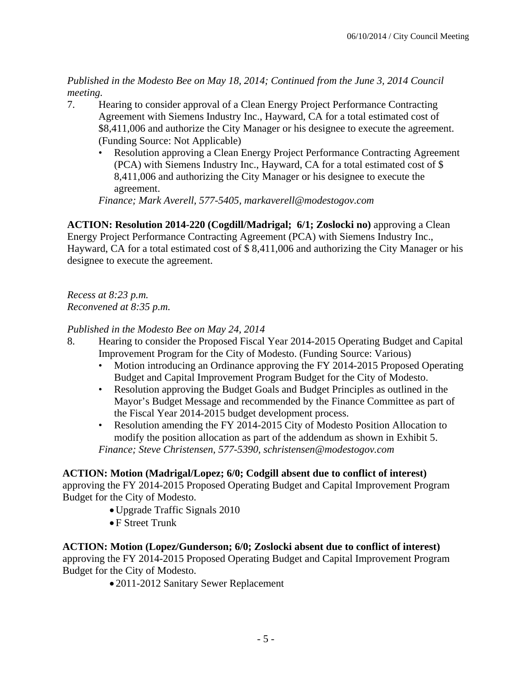*Published in the Modesto Bee on May 18, 2014; Continued from the June 3, 2014 Council meeting.* 

- 7. Hearing to consider approval of a Clean Energy Project Performance Contracting Agreement with Siemens Industry Inc., Hayward, CA for a total estimated cost of \$8,411,006 and authorize the City Manager or his designee to execute the agreement. (Funding Source: Not Applicable)
	- Resolution approving a Clean Energy Project Performance Contracting Agreement (PCA) with Siemens Industry Inc., Hayward, CA for a total estimated cost of \$ 8,411,006 and authorizing the City Manager or his designee to execute the agreement.

*Finance; Mark Averell, 577-5405, markaverell@modestogov.com* 

**ACTION: Resolution 2014-220 (Cogdill/Madrigal; 6/1; Zoslocki no)** approving a Clean Energy Project Performance Contracting Agreement (PCA) with Siemens Industry Inc., Hayward, CA for a total estimated cost of \$ 8,411,006 and authorizing the City Manager or his designee to execute the agreement.

*Recess at 8:23 p.m. Reconvened at 8:35 p.m.* 

## *Published in the Modesto Bee on May 24, 2014*

- 8. Hearing to consider the Proposed Fiscal Year 2014-2015 Operating Budget and Capital Improvement Program for the City of Modesto. (Funding Source: Various)
	- Motion introducing an Ordinance approving the FY 2014-2015 Proposed Operating Budget and Capital Improvement Program Budget for the City of Modesto.
	- Resolution approving the Budget Goals and Budget Principles as outlined in the Mayor's Budget Message and recommended by the Finance Committee as part of the Fiscal Year 2014-2015 budget development process.
	- Resolution amending the FY 2014-2015 City of Modesto Position Allocation to modify the position allocation as part of the addendum as shown in Exhibit 5. *Finance; Steve Christensen, 577-5390, schristensen@modestogov.com*

## **ACTION: Motion (Madrigal/Lopez; 6/0; Codgill absent due to conflict of interest)**

approving the FY 2014-2015 Proposed Operating Budget and Capital Improvement Program Budget for the City of Modesto.

- Upgrade Traffic Signals 2010
- F Street Trunk

## **ACTION: Motion (Lopez/Gunderson; 6/0; Zoslocki absent due to conflict of interest)**

approving the FY 2014-2015 Proposed Operating Budget and Capital Improvement Program Budget for the City of Modesto.

2011-2012 Sanitary Sewer Replacement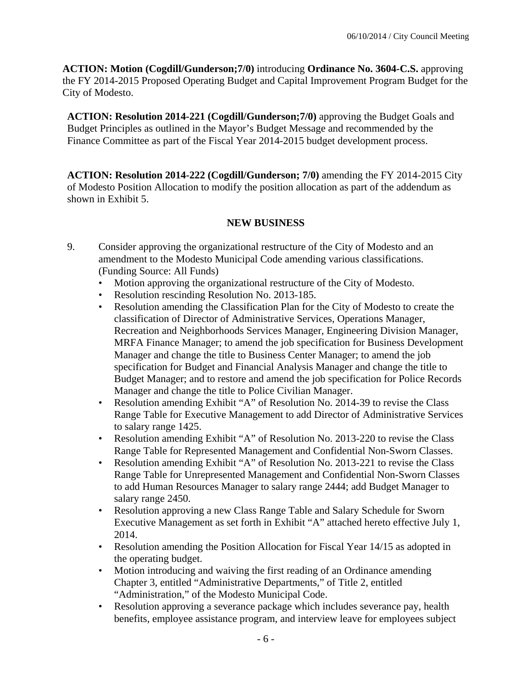**ACTION: Motion (Cogdill/Gunderson;7/0)** introducing **Ordinance No. 3604-C.S.** approving the FY 2014-2015 Proposed Operating Budget and Capital Improvement Program Budget for the City of Modesto.

**ACTION: Resolution 2014-221 (Cogdill/Gunderson;7/0)** approving the Budget Goals and Budget Principles as outlined in the Mayor's Budget Message and recommended by the Finance Committee as part of the Fiscal Year 2014-2015 budget development process.

**ACTION: Resolution 2014-222 (Cogdill/Gunderson; 7/0)** amending the FY 2014-2015 City of Modesto Position Allocation to modify the position allocation as part of the addendum as shown in Exhibit 5.

## **NEW BUSINESS**

- 9. Consider approving the organizational restructure of the City of Modesto and an amendment to the Modesto Municipal Code amending various classifications. (Funding Source: All Funds)
	- Motion approving the organizational restructure of the City of Modesto.
	- Resolution rescinding Resolution No. 2013-185.
	- Resolution amending the Classification Plan for the City of Modesto to create the classification of Director of Administrative Services, Operations Manager, Recreation and Neighborhoods Services Manager, Engineering Division Manager, MRFA Finance Manager; to amend the job specification for Business Development Manager and change the title to Business Center Manager; to amend the job specification for Budget and Financial Analysis Manager and change the title to Budget Manager; and to restore and amend the job specification for Police Records Manager and change the title to Police Civilian Manager.
	- Resolution amending Exhibit "A" of Resolution No. 2014-39 to revise the Class Range Table for Executive Management to add Director of Administrative Services to salary range 1425.
	- Resolution amending Exhibit "A" of Resolution No. 2013-220 to revise the Class Range Table for Represented Management and Confidential Non-Sworn Classes.
	- Resolution amending Exhibit "A" of Resolution No. 2013-221 to revise the Class Range Table for Unrepresented Management and Confidential Non-Sworn Classes to add Human Resources Manager to salary range 2444; add Budget Manager to salary range 2450.
	- Resolution approving a new Class Range Table and Salary Schedule for Sworn Executive Management as set forth in Exhibit "A" attached hereto effective July 1, 2014.
	- Resolution amending the Position Allocation for Fiscal Year 14/15 as adopted in the operating budget.
	- Motion introducing and waiving the first reading of an Ordinance amending Chapter 3, entitled "Administrative Departments," of Title 2, entitled "Administration," of the Modesto Municipal Code.
	- Resolution approving a severance package which includes severance pay, health benefits, employee assistance program, and interview leave for employees subject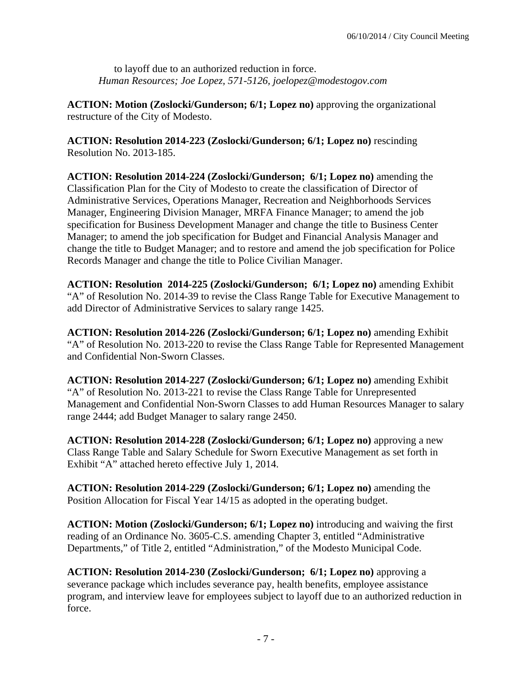to layoff due to an authorized reduction in force. *Human Resources; Joe Lopez, 571-5126, joelopez@modestogov.com* 

**ACTION: Motion (Zoslocki/Gunderson; 6/1; Lopez no)** approving the organizational restructure of the City of Modesto.

**ACTION: Resolution 2014-223 (Zoslocki/Gunderson; 6/1; Lopez no)** rescinding Resolution No. 2013-185.

**ACTION: Resolution 2014-224 (Zoslocki/Gunderson; 6/1; Lopez no)** amending the Classification Plan for the City of Modesto to create the classification of Director of Administrative Services, Operations Manager, Recreation and Neighborhoods Services Manager, Engineering Division Manager, MRFA Finance Manager; to amend the job specification for Business Development Manager and change the title to Business Center Manager; to amend the job specification for Budget and Financial Analysis Manager and change the title to Budget Manager; and to restore and amend the job specification for Police Records Manager and change the title to Police Civilian Manager.

**ACTION: Resolution 2014-225 (Zoslocki/Gunderson; 6/1; Lopez no)** amending Exhibit "A" of Resolution No. 2014-39 to revise the Class Range Table for Executive Management to add Director of Administrative Services to salary range 1425.

**ACTION: Resolution 2014-226 (Zoslocki/Gunderson; 6/1; Lopez no)** amending Exhibit "A" of Resolution No. 2013-220 to revise the Class Range Table for Represented Management and Confidential Non-Sworn Classes.

**ACTION: Resolution 2014-227 (Zoslocki/Gunderson; 6/1; Lopez no)** amending Exhibit "A" of Resolution No. 2013-221 to revise the Class Range Table for Unrepresented Management and Confidential Non-Sworn Classes to add Human Resources Manager to salary range 2444; add Budget Manager to salary range 2450.

**ACTION: Resolution 2014-228 (Zoslocki/Gunderson; 6/1; Lopez no)** approving a new Class Range Table and Salary Schedule for Sworn Executive Management as set forth in Exhibit "A" attached hereto effective July 1, 2014.

**ACTION: Resolution 2014-229 (Zoslocki/Gunderson; 6/1; Lopez no)** amending the Position Allocation for Fiscal Year 14/15 as adopted in the operating budget.

**ACTION: Motion (Zoslocki/Gunderson; 6/1; Lopez no)** introducing and waiving the first reading of an Ordinance No. 3605-C.S. amending Chapter 3, entitled "Administrative Departments," of Title 2, entitled "Administration," of the Modesto Municipal Code.

**ACTION: Resolution 2014-230 (Zoslocki/Gunderson; 6/1; Lopez no)** approving a severance package which includes severance pay, health benefits, employee assistance program, and interview leave for employees subject to layoff due to an authorized reduction in force.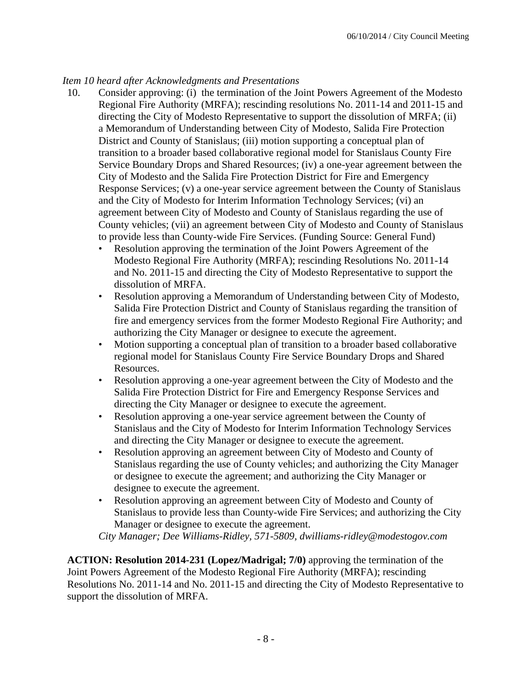## *Item 10 heard after Acknowledgments and Presentations*

- 10. Consider approving: (i) the termination of the Joint Powers Agreement of the Modesto Regional Fire Authority (MRFA); rescinding resolutions No. 2011-14 and 2011-15 and directing the City of Modesto Representative to support the dissolution of MRFA; (ii) a Memorandum of Understanding between City of Modesto, Salida Fire Protection District and County of Stanislaus; (iii) motion supporting a conceptual plan of transition to a broader based collaborative regional model for Stanislaus County Fire Service Boundary Drops and Shared Resources; (iv) a one-year agreement between the City of Modesto and the Salida Fire Protection District for Fire and Emergency Response Services; (v) a one-year service agreement between the County of Stanislaus and the City of Modesto for Interim Information Technology Services; (vi) an agreement between City of Modesto and County of Stanislaus regarding the use of County vehicles; (vii) an agreement between City of Modesto and County of Stanislaus to provide less than County-wide Fire Services. (Funding Source: General Fund)
	- Resolution approving the termination of the Joint Powers Agreement of the Modesto Regional Fire Authority (MRFA); rescinding Resolutions No. 2011-14 and No. 2011-15 and directing the City of Modesto Representative to support the dissolution of MRFA.
	- Resolution approving a Memorandum of Understanding between City of Modesto, Salida Fire Protection District and County of Stanislaus regarding the transition of fire and emergency services from the former Modesto Regional Fire Authority; and authorizing the City Manager or designee to execute the agreement.
	- Motion supporting a conceptual plan of transition to a broader based collaborative regional model for Stanislaus County Fire Service Boundary Drops and Shared Resources.
	- Resolution approving a one-year agreement between the City of Modesto and the Salida Fire Protection District for Fire and Emergency Response Services and directing the City Manager or designee to execute the agreement.
	- Resolution approving a one-year service agreement between the County of Stanislaus and the City of Modesto for Interim Information Technology Services and directing the City Manager or designee to execute the agreement.
	- Resolution approving an agreement between City of Modesto and County of Stanislaus regarding the use of County vehicles; and authorizing the City Manager or designee to execute the agreement; and authorizing the City Manager or designee to execute the agreement.
	- Resolution approving an agreement between City of Modesto and County of Stanislaus to provide less than County-wide Fire Services; and authorizing the City Manager or designee to execute the agreement.

*City Manager; Dee Williams-Ridley, 571-5809, dwilliams-ridley@modestogov.com* 

**ACTION: Resolution 2014-231 (Lopez/Madrigal; 7/0)** approving the termination of the Joint Powers Agreement of the Modesto Regional Fire Authority (MRFA); rescinding Resolutions No. 2011-14 and No. 2011-15 and directing the City of Modesto Representative to support the dissolution of MRFA.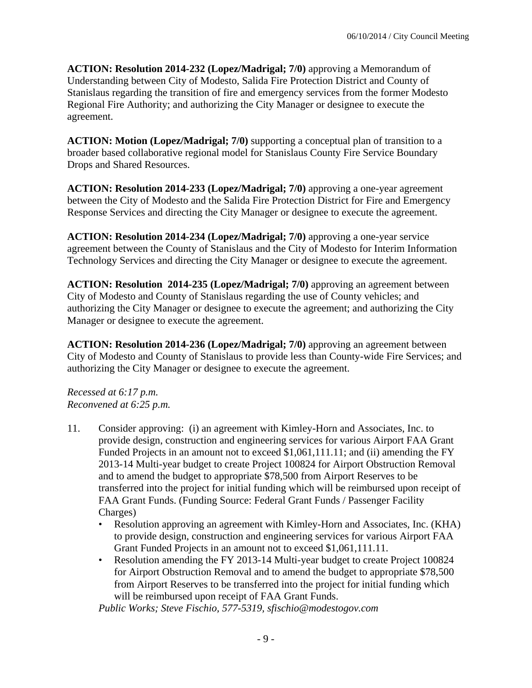**ACTION: Resolution 2014-232 (Lopez/Madrigal; 7/0)** approving a Memorandum of Understanding between City of Modesto, Salida Fire Protection District and County of Stanislaus regarding the transition of fire and emergency services from the former Modesto Regional Fire Authority; and authorizing the City Manager or designee to execute the agreement.

**ACTION: Motion (Lopez/Madrigal; 7/0)** supporting a conceptual plan of transition to a broader based collaborative regional model for Stanislaus County Fire Service Boundary Drops and Shared Resources.

**ACTION: Resolution 2014-233 (Lopez/Madrigal; 7/0)** approving a one-year agreement between the City of Modesto and the Salida Fire Protection District for Fire and Emergency Response Services and directing the City Manager or designee to execute the agreement.

**ACTION: Resolution 2014-234 (Lopez/Madrigal; 7/0)** approving a one-year service agreement between the County of Stanislaus and the City of Modesto for Interim Information Technology Services and directing the City Manager or designee to execute the agreement.

**ACTION: Resolution 2014-235 (Lopez/Madrigal; 7/0)** approving an agreement between City of Modesto and County of Stanislaus regarding the use of County vehicles; and authorizing the City Manager or designee to execute the agreement; and authorizing the City Manager or designee to execute the agreement.

**ACTION: Resolution 2014-236 (Lopez/Madrigal; 7/0)** approving an agreement between City of Modesto and County of Stanislaus to provide less than County-wide Fire Services; and authorizing the City Manager or designee to execute the agreement.

*Recessed at 6:17 p.m. Reconvened at 6:25 p.m.* 

- 11. Consider approving: (i) an agreement with Kimley-Horn and Associates, Inc. to provide design, construction and engineering services for various Airport FAA Grant Funded Projects in an amount not to exceed \$1,061,111.11; and (ii) amending the FY 2013-14 Multi-year budget to create Project 100824 for Airport Obstruction Removal and to amend the budget to appropriate \$78,500 from Airport Reserves to be transferred into the project for initial funding which will be reimbursed upon receipt of FAA Grant Funds. (Funding Source: Federal Grant Funds / Passenger Facility Charges)
	- Resolution approving an agreement with Kimley-Horn and Associates, Inc. (KHA) to provide design, construction and engineering services for various Airport FAA Grant Funded Projects in an amount not to exceed \$1,061,111.11.
	- Resolution amending the FY 2013-14 Multi-year budget to create Project 100824 for Airport Obstruction Removal and to amend the budget to appropriate \$78,500 from Airport Reserves to be transferred into the project for initial funding which will be reimbursed upon receipt of FAA Grant Funds.

*Public Works; Steve Fischio, 577-5319, sfischio@modestogov.com*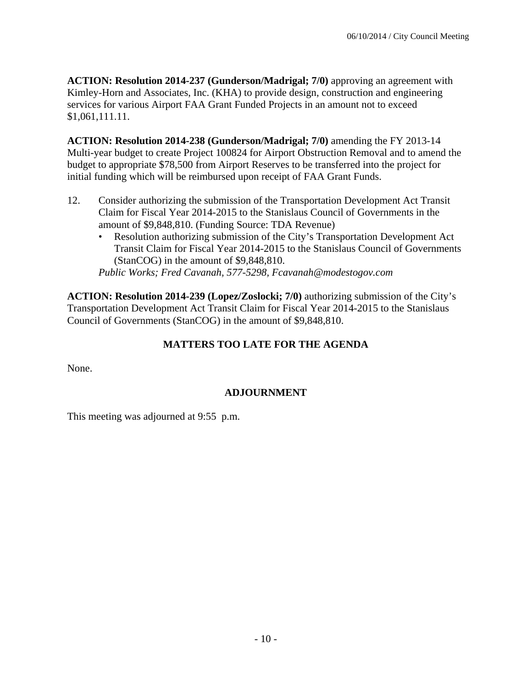**ACTION: Resolution 2014-237 (Gunderson/Madrigal; 7/0)** approving an agreement with Kimley-Horn and Associates, Inc. (KHA) to provide design, construction and engineering services for various Airport FAA Grant Funded Projects in an amount not to exceed \$1,061,111.11.

**ACTION: Resolution 2014-238 (Gunderson/Madrigal; 7/0)** amending the FY 2013-14 Multi-year budget to create Project 100824 for Airport Obstruction Removal and to amend the budget to appropriate \$78,500 from Airport Reserves to be transferred into the project for initial funding which will be reimbursed upon receipt of FAA Grant Funds.

- 12. Consider authorizing the submission of the Transportation Development Act Transit Claim for Fiscal Year 2014-2015 to the Stanislaus Council of Governments in the amount of \$9,848,810. (Funding Source: TDA Revenue)
	- Resolution authorizing submission of the City's Transportation Development Act Transit Claim for Fiscal Year 2014-2015 to the Stanislaus Council of Governments (StanCOG) in the amount of \$9,848,810.

*Public Works; Fred Cavanah, 577-5298, Fcavanah@modestogov.com* 

**ACTION: Resolution 2014-239 (Lopez/Zoslocki; 7/0)** authorizing submission of the City's Transportation Development Act Transit Claim for Fiscal Year 2014-2015 to the Stanislaus Council of Governments (StanCOG) in the amount of \$9,848,810.

## **MATTERS TOO LATE FOR THE AGENDA**

None.

## **ADJOURNMENT**

This meeting was adjourned at 9:55 p.m.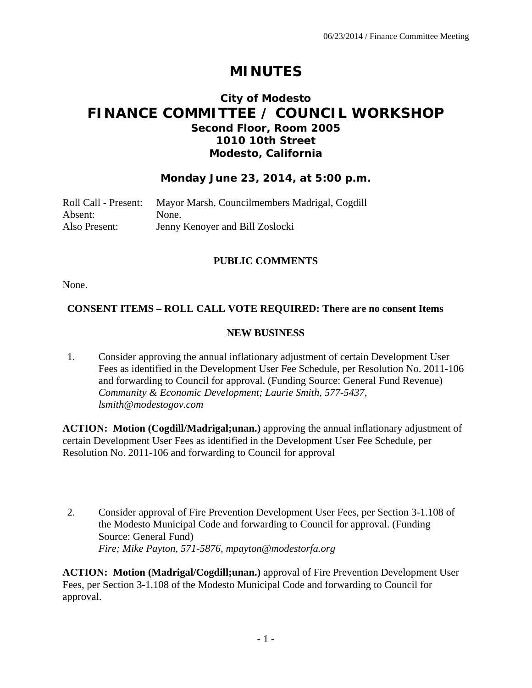# **MINUTES**

# **City of Modesto FINANCE COMMITTEE / COUNCIL WORKSHOP Second Floor, Room 2005 1010 10th Street Modesto, California**

#### **Monday June 23, 2014, at 5:00 p.m.**

| Roll Call - Present: | Mayor Marsh, Councilmembers Madrigal, Cogdill |
|----------------------|-----------------------------------------------|
| Absent:              | None.                                         |
| Also Present:        | Jenny Kenoyer and Bill Zoslocki               |

#### **PUBLIC COMMENTS**

None.

#### **CONSENT ITEMS – ROLL CALL VOTE REQUIRED: There are no consent Items**

#### **NEW BUSINESS**

1. Consider approving the annual inflationary adjustment of certain Development User Fees as identified in the Development User Fee Schedule, per Resolution No. 2011-106 and forwarding to Council for approval. (Funding Source: General Fund Revenue)  *Community & Economic Development; Laurie Smith, 577-5437, lsmith@modestogov.com* 

**ACTION: Motion (Cogdill/Madrigal;unan.)** approving the annual inflationary adjustment of certain Development User Fees as identified in the Development User Fee Schedule, per Resolution No. 2011-106 and forwarding to Council for approval

2. Consider approval of Fire Prevention Development User Fees, per Section 3-1.108 of the Modesto Municipal Code and forwarding to Council for approval. (Funding Source: General Fund)  *Fire; Mike Payton, 571-5876, mpayton@modestorfa.org* 

**ACTION: Motion (Madrigal/Cogdill;unan.)** approval of Fire Prevention Development User Fees, per Section 3-1.108 of the Modesto Municipal Code and forwarding to Council for approval.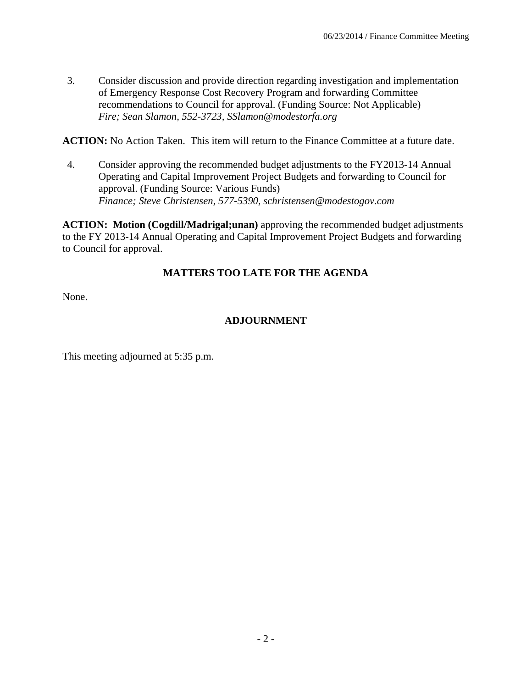3. Consider discussion and provide direction regarding investigation and implementation of Emergency Response Cost Recovery Program and forwarding Committee recommendations to Council for approval. (Funding Source: Not Applicable)  *Fire; Sean Slamon, 552-3723, SSlamon@modestorfa.org* 

**ACTION:** No Action Taken. This item will return to the Finance Committee at a future date.

4. Consider approving the recommended budget adjustments to the FY2013-14 Annual Operating and Capital Improvement Project Budgets and forwarding to Council for approval. (Funding Source: Various Funds)  *Finance; Steve Christensen, 577-5390, schristensen@modestogov.com* 

**ACTION: Motion (Cogdill/Madrigal;unan)** approving the recommended budget adjustments to the FY 2013-14 Annual Operating and Capital Improvement Project Budgets and forwarding to Council for approval.

# **MATTERS TOO LATE FOR THE AGENDA**

None.

# **ADJOURNMENT**

This meeting adjourned at 5:35 p.m.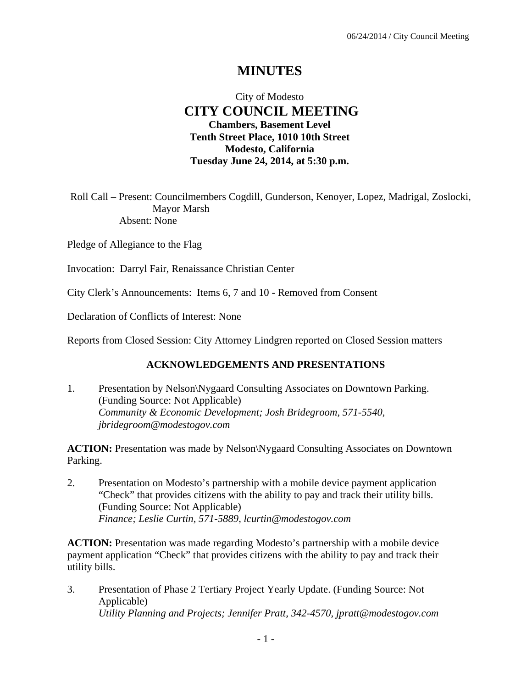# **MINUTES**

# City of Modesto  **CITY COUNCIL MEETING Chambers, Basement Level Tenth Street Place, 1010 10th Street Modesto, California Tuesday June 24, 2014, at 5:30 p.m.**

Roll Call – Present: Councilmembers Cogdill, Gunderson, Kenoyer, Lopez, Madrigal, Zoslocki, Mayor Marsh Absent: None

Pledge of Allegiance to the Flag

Invocation: Darryl Fair, Renaissance Christian Center

City Clerk's Announcements: Items 6, 7 and 10 - Removed from Consent

Declaration of Conflicts of Interest: None

Reports from Closed Session: City Attorney Lindgren reported on Closed Session matters

#### **ACKNOWLEDGEMENTS AND PRESENTATIONS**

1. Presentation by Nelson\Nygaard Consulting Associates on Downtown Parking. (Funding Source: Not Applicable)  *Community & Economic Development; Josh Bridegroom, 571-5540, jbridegroom@modestogov.com* 

**ACTION:** Presentation was made by Nelson\Nygaard Consulting Associates on Downtown Parking.

2. Presentation on Modesto's partnership with a mobile device payment application "Check" that provides citizens with the ability to pay and track their utility bills. (Funding Source: Not Applicable)  *Finance; Leslie Curtin, 571-5889, lcurtin@modestogov.com* 

**ACTION:** Presentation was made regarding Modesto's partnership with a mobile device payment application "Check" that provides citizens with the ability to pay and track their utility bills.

3. Presentation of Phase 2 Tertiary Project Yearly Update. (Funding Source: Not Applicable)  *Utility Planning and Projects; Jennifer Pratt, 342-4570, jpratt@modestogov.com*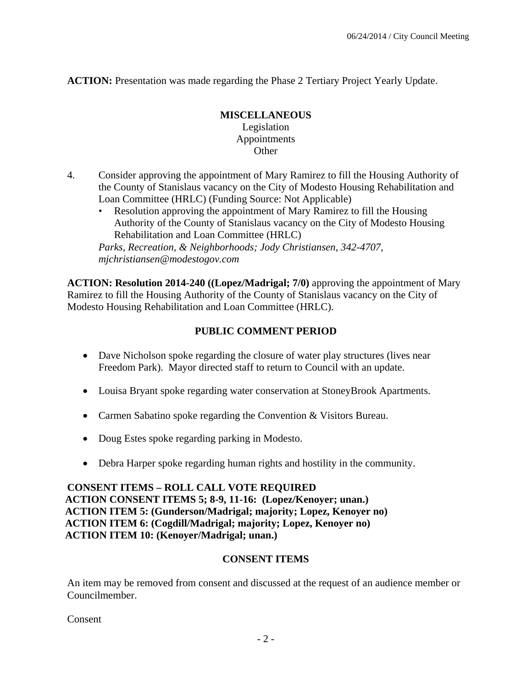**ACTION:** Presentation was made regarding the Phase 2 Tertiary Project Yearly Update.

#### **MISCELLANEOUS**  Legislation Appointments **Other**

- 4. Consider approving the appointment of Mary Ramirez to fill the Housing Authority of the County of Stanislaus vacancy on the City of Modesto Housing Rehabilitation and Loan Committee (HRLC) (Funding Source: Not Applicable)
	- Resolution approving the appointment of Mary Ramirez to fill the Housing Authority of the County of Stanislaus vacancy on the City of Modesto Housing Rehabilitation and Loan Committee (HRLC)

*Parks, Recreation, & Neighborhoods; Jody Christiansen, 342-4707, mjchristiansen@modestogov.com* 

**ACTION: Resolution 2014-240 ((Lopez/Madrigal; 7/0)** approving the appointment of Mary Ramirez to fill the Housing Authority of the County of Stanislaus vacancy on the City of Modesto Housing Rehabilitation and Loan Committee (HRLC).

# **PUBLIC COMMENT PERIOD**

- Dave Nicholson spoke regarding the closure of water play structures (lives near Freedom Park). Mayor directed staff to return to Council with an update.
- Louisa Bryant spoke regarding water conservation at StoneyBrook Apartments.
- Carmen Sabatino spoke regarding the Convention & Visitors Bureau.
- Doug Estes spoke regarding parking in Modesto.
- Debra Harper spoke regarding human rights and hostility in the community.

**CONSENT ITEMS – ROLL CALL VOTE REQUIRED ACTION CONSENT ITEMS 5; 8-9, 11-16: (Lopez/Kenoyer; unan.) ACTION ITEM 5: (Gunderson/Madrigal; majority; Lopez, Kenoyer no) ACTION ITEM 6: (Cogdill/Madrigal; majority; Lopez, Kenoyer no) ACTION ITEM 10: (Kenoyer/Madrigal; unan.)** 

# **CONSENT ITEMS**

An item may be removed from consent and discussed at the request of an audience member or Councilmember.

Consent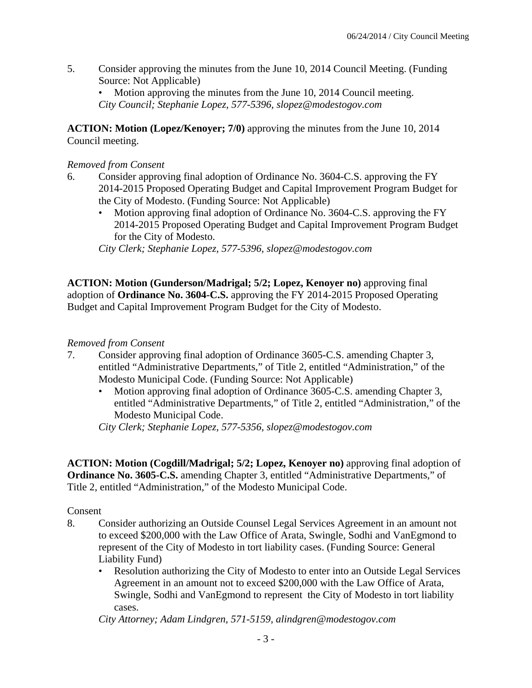5. Consider approving the minutes from the June 10, 2014 Council Meeting. (Funding Source: Not Applicable)

Motion approving the minutes from the June 10, 2014 Council meeting. *City Council; Stephanie Lopez, 577-5396, slopez@modestogov.com* 

**ACTION: Motion (Lopez/Kenoyer; 7/0)** approving the minutes from the June 10, 2014 Council meeting.

#### *Removed from Consent*

- 6. Consider approving final adoption of Ordinance No. 3604-C.S. approving the FY 2014-2015 Proposed Operating Budget and Capital Improvement Program Budget for the City of Modesto. (Funding Source: Not Applicable)
	- Motion approving final adoption of Ordinance No. 3604-C.S. approving the FY 2014-2015 Proposed Operating Budget and Capital Improvement Program Budget for the City of Modesto.

*City Clerk; Stephanie Lopez, 577-5396, slopez@modestogov.com* 

**ACTION: Motion (Gunderson/Madrigal; 5/2; Lopez, Kenoyer no)** approving final adoption of **Ordinance No. 3604-C.S.** approving the FY 2014-2015 Proposed Operating Budget and Capital Improvement Program Budget for the City of Modesto.

#### *Removed from Consent*

- 7. Consider approving final adoption of Ordinance 3605-C.S. amending Chapter 3, entitled "Administrative Departments," of Title 2, entitled "Administration," of the Modesto Municipal Code. (Funding Source: Not Applicable)
	- Motion approving final adoption of Ordinance 3605-C.S. amending Chapter 3, entitled "Administrative Departments," of Title 2, entitled "Administration," of the Modesto Municipal Code.

*City Clerk; Stephanie Lopez, 577-5356, slopez@modestogov.com* 

**ACTION: Motion (Cogdill/Madrigal; 5/2; Lopez, Kenoyer no)** approving final adoption of **Ordinance No. 3605-C.S.** amending Chapter 3, entitled "Administrative Departments," of Title 2, entitled "Administration," of the Modesto Municipal Code.

Consent

- 8. Consider authorizing an Outside Counsel Legal Services Agreement in an amount not to exceed \$200,000 with the Law Office of Arata, Swingle, Sodhi and VanEgmond to represent of the City of Modesto in tort liability cases. (Funding Source: General Liability Fund)
	- Resolution authorizing the City of Modesto to enter into an Outside Legal Services Agreement in an amount not to exceed \$200,000 with the Law Office of Arata, Swingle, Sodhi and VanEgmond to represent the City of Modesto in tort liability cases.

*City Attorney; Adam Lindgren, 571-5159, alindgren@modestogov.com*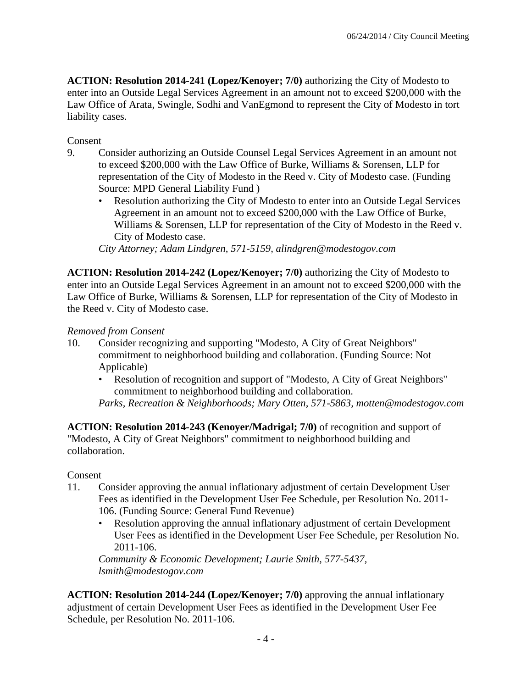**ACTION: Resolution 2014-241 (Lopez/Kenoyer; 7/0)** authorizing the City of Modesto to enter into an Outside Legal Services Agreement in an amount not to exceed \$200,000 with the Law Office of Arata, Swingle, Sodhi and VanEgmond to represent the City of Modesto in tort liability cases.

Consent

- 9. Consider authorizing an Outside Counsel Legal Services Agreement in an amount not to exceed \$200,000 with the Law Office of Burke, Williams & Sorensen, LLP for representation of the City of Modesto in the Reed v. City of Modesto case. (Funding Source: MPD General Liability Fund )
	- Resolution authorizing the City of Modesto to enter into an Outside Legal Services Agreement in an amount not to exceed \$200,000 with the Law Office of Burke, Williams & Sorensen, LLP for representation of the City of Modesto in the Reed v. City of Modesto case.

*City Attorney; Adam Lindgren, 571-5159, alindgren@modestogov.com* 

**ACTION: Resolution 2014-242 (Lopez/Kenoyer; 7/0)** authorizing the City of Modesto to enter into an Outside Legal Services Agreement in an amount not to exceed \$200,000 with the Law Office of Burke, Williams & Sorensen, LLP for representation of the City of Modesto in the Reed v. City of Modesto case.

#### *Removed from Consent*

- 10. Consider recognizing and supporting "Modesto, A City of Great Neighbors" commitment to neighborhood building and collaboration. (Funding Source: Not Applicable)
	- Resolution of recognition and support of "Modesto, A City of Great Neighbors" commitment to neighborhood building and collaboration.
	- *Parks, Recreation & Neighborhoods; Mary Otten, 571-5863, motten@modestogov.com*

**ACTION: Resolution 2014-243 (Kenoyer/Madrigal; 7/0)** of recognition and support of "Modesto, A City of Great Neighbors" commitment to neighborhood building and collaboration.

#### **Consent**

- 11. Consider approving the annual inflationary adjustment of certain Development User Fees as identified in the Development User Fee Schedule, per Resolution No. 2011- 106. (Funding Source: General Fund Revenue)
	- Resolution approving the annual inflationary adjustment of certain Development User Fees as identified in the Development User Fee Schedule, per Resolution No. 2011-106.

*Community & Economic Development; Laurie Smith, 577-5437, lsmith@modestogov.com* 

**ACTION: Resolution 2014-244 (Lopez/Kenoyer; 7/0)** approving the annual inflationary adjustment of certain Development User Fees as identified in the Development User Fee Schedule, per Resolution No. 2011-106.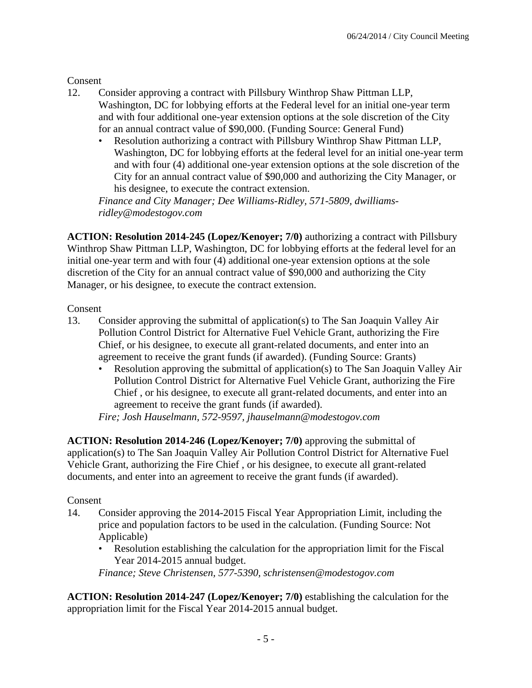Consent

- 12. Consider approving a contract with Pillsbury Winthrop Shaw Pittman LLP, Washington, DC for lobbying efforts at the Federal level for an initial one-year term and with four additional one-year extension options at the sole discretion of the City for an annual contract value of \$90,000. (Funding Source: General Fund)
	- Resolution authorizing a contract with Pillsbury Winthrop Shaw Pittman LLP, Washington, DC for lobbying efforts at the federal level for an initial one-year term and with four (4) additional one-year extension options at the sole discretion of the City for an annual contract value of \$90,000 and authorizing the City Manager, or his designee, to execute the contract extension.

*Finance and City Manager; Dee Williams-Ridley, 571-5809, dwilliamsridley@modestogov.com* 

**ACTION: Resolution 2014-245 (Lopez/Kenoyer; 7/0)** authorizing a contract with Pillsbury Winthrop Shaw Pittman LLP, Washington, DC for lobbying efforts at the federal level for an initial one-year term and with four (4) additional one-year extension options at the sole discretion of the City for an annual contract value of \$90,000 and authorizing the City Manager, or his designee, to execute the contract extension.

Consent

- 13. Consider approving the submittal of application(s) to The San Joaquin Valley Air Pollution Control District for Alternative Fuel Vehicle Grant, authorizing the Fire Chief, or his designee, to execute all grant-related documents, and enter into an agreement to receive the grant funds (if awarded). (Funding Source: Grants)
	- Resolution approving the submittal of application(s) to The San Joaquin Valley Air Pollution Control District for Alternative Fuel Vehicle Grant, authorizing the Fire Chief , or his designee, to execute all grant-related documents, and enter into an agreement to receive the grant funds (if awarded).

*Fire; Josh Hauselmann, 572-9597, jhauselmann@modestogov.com* 

**ACTION: Resolution 2014-246 (Lopez/Kenoyer; 7/0)** approving the submittal of application(s) to The San Joaquin Valley Air Pollution Control District for Alternative Fuel Vehicle Grant, authorizing the Fire Chief , or his designee, to execute all grant-related documents, and enter into an agreement to receive the grant funds (if awarded).

Consent

- 14. Consider approving the 2014-2015 Fiscal Year Appropriation Limit, including the price and population factors to be used in the calculation. (Funding Source: Not Applicable)
	- Resolution establishing the calculation for the appropriation limit for the Fiscal Year 2014-2015 annual budget.

*Finance; Steve Christensen, 577-5390, schristensen@modestogov.com* 

**ACTION: Resolution 2014-247 (Lopez/Kenoyer; 7/0)** establishing the calculation for the appropriation limit for the Fiscal Year 2014-2015 annual budget.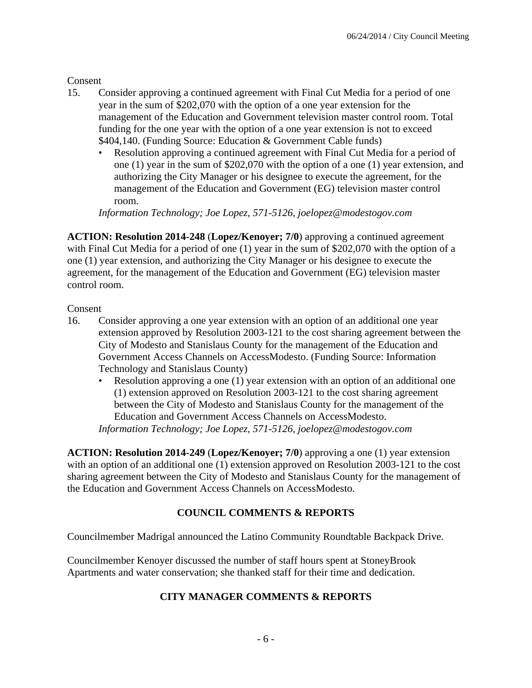Consent

- 15. Consider approving a continued agreement with Final Cut Media for a period of one year in the sum of \$202,070 with the option of a one year extension for the management of the Education and Government television master control room. Total funding for the one year with the option of a one year extension is not to exceed \$404,140. (Funding Source: Education & Government Cable funds)
	- Resolution approving a continued agreement with Final Cut Media for a period of one (1) year in the sum of \$202,070 with the option of a one (1) year extension, and authorizing the City Manager or his designee to execute the agreement, for the management of the Education and Government (EG) television master control room.

*Information Technology; Joe Lopez, 571-5126, joelopez@modestogov.com* 

**ACTION: Resolution 2014-248** (**Lopez/Kenoyer; 7/0**) approving a continued agreement with Final Cut Media for a period of one (1) year in the sum of \$202,070 with the option of a one (1) year extension, and authorizing the City Manager or his designee to execute the agreement, for the management of the Education and Government (EG) television master control room.

#### Consent

- 16. Consider approving a one year extension with an option of an additional one year extension approved by Resolution 2003-121 to the cost sharing agreement between the City of Modesto and Stanislaus County for the management of the Education and Government Access Channels on AccessModesto. (Funding Source: Information Technology and Stanislaus County)
	- Resolution approving a one (1) year extension with an option of an additional one (1) extension approved on Resolution 2003-121 to the cost sharing agreement between the City of Modesto and Stanislaus County for the management of the Education and Government Access Channels on AccessModesto.

*Information Technology; Joe Lopez, 571-5126, joelopez@modestogov.com* 

**ACTION: Resolution 2014-249** (**Lopez/Kenoyer; 7/0**) approving a one (1) year extension with an option of an additional one (1) extension approved on Resolution 2003-121 to the cost sharing agreement between the City of Modesto and Stanislaus County for the management of the Education and Government Access Channels on AccessModesto.

# **COUNCIL COMMENTS & REPORTS**

Councilmember Madrigal announced the Latino Community Roundtable Backpack Drive.

Councilmember Kenoyer discussed the number of staff hours spent at StoneyBrook Apartments and water conservation; she thanked staff for their time and dedication.

# **CITY MANAGER COMMENTS & REPORTS**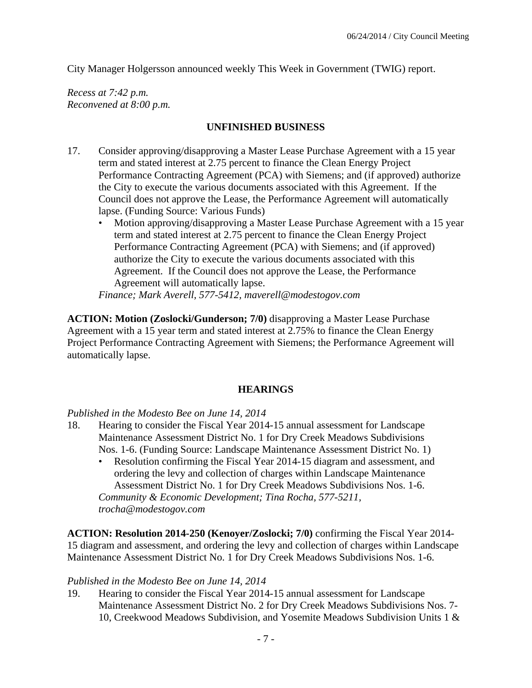City Manager Holgersson announced weekly This Week in Government (TWIG) report.

*Recess at 7:42 p.m. Reconvened at 8:00 p.m.* 

#### **UNFINISHED BUSINESS**

- 17. Consider approving/disapproving a Master Lease Purchase Agreement with a 15 year term and stated interest at 2.75 percent to finance the Clean Energy Project Performance Contracting Agreement (PCA) with Siemens; and (if approved) authorize the City to execute the various documents associated with this Agreement. If the Council does not approve the Lease, the Performance Agreement will automatically lapse. (Funding Source: Various Funds)
	- Motion approving/disapproving a Master Lease Purchase Agreement with a 15 year term and stated interest at 2.75 percent to finance the Clean Energy Project Performance Contracting Agreement (PCA) with Siemens; and (if approved) authorize the City to execute the various documents associated with this Agreement. If the Council does not approve the Lease, the Performance Agreement will automatically lapse.

*Finance; Mark Averell, 577-5412, maverell@modestogov.com* 

**ACTION: Motion (Zoslocki/Gunderson; 7/0)** disapproving a Master Lease Purchase Agreement with a 15 year term and stated interest at 2.75% to finance the Clean Energy Project Performance Contracting Agreement with Siemens; the Performance Agreement will automatically lapse.

#### **HEARINGS**

*Published in the Modesto Bee on June 14, 2014* 

- 18. Hearing to consider the Fiscal Year 2014-15 annual assessment for Landscape Maintenance Assessment District No. 1 for Dry Creek Meadows Subdivisions Nos. 1-6. (Funding Source: Landscape Maintenance Assessment District No. 1)
	- Resolution confirming the Fiscal Year 2014-15 diagram and assessment, and ordering the levy and collection of charges within Landscape Maintenance Assessment District No. 1 for Dry Creek Meadows Subdivisions Nos. 1-6. *Community & Economic Development; Tina Rocha, 577-5211, trocha@modestogov.com*

**ACTION: Resolution 2014-250 (Kenoyer/Zoslocki; 7/0)** confirming the Fiscal Year 2014- 15 diagram and assessment, and ordering the levy and collection of charges within Landscape Maintenance Assessment District No. 1 for Dry Creek Meadows Subdivisions Nos. 1-6.

#### *Published in the Modesto Bee on June 14, 2014*

19. Hearing to consider the Fiscal Year 2014-15 annual assessment for Landscape Maintenance Assessment District No. 2 for Dry Creek Meadows Subdivisions Nos. 7- 10, Creekwood Meadows Subdivision, and Yosemite Meadows Subdivision Units 1 &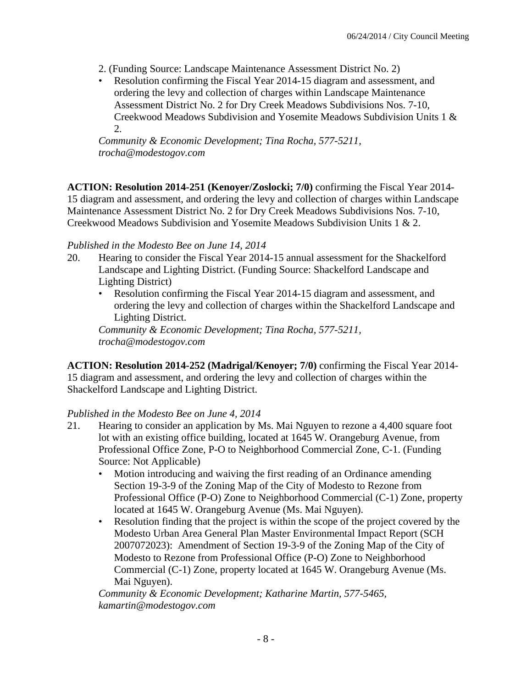- 2. (Funding Source: Landscape Maintenance Assessment District No. 2)
- Resolution confirming the Fiscal Year 2014-15 diagram and assessment, and ordering the levy and collection of charges within Landscape Maintenance Assessment District No. 2 for Dry Creek Meadows Subdivisions Nos. 7-10, Creekwood Meadows Subdivision and Yosemite Meadows Subdivision Units 1 & 2.

*Community & Economic Development; Tina Rocha, 577-5211, trocha@modestogov.com* 

**ACTION: Resolution 2014-251 (Kenoyer/Zoslocki; 7/0)** confirming the Fiscal Year 2014- 15 diagram and assessment, and ordering the levy and collection of charges within Landscape Maintenance Assessment District No. 2 for Dry Creek Meadows Subdivisions Nos. 7-10, Creekwood Meadows Subdivision and Yosemite Meadows Subdivision Units 1 & 2.

#### *Published in the Modesto Bee on June 14, 2014*

- 20. Hearing to consider the Fiscal Year 2014-15 annual assessment for the Shackelford Landscape and Lighting District. (Funding Source: Shackelford Landscape and Lighting District)
	- Resolution confirming the Fiscal Year 2014-15 diagram and assessment, and ordering the levy and collection of charges within the Shackelford Landscape and Lighting District.

*Community & Economic Development; Tina Rocha, 577-5211, trocha@modestogov.com* 

**ACTION: Resolution 2014-252 (Madrigal/Kenoyer; 7/0)** confirming the Fiscal Year 2014- 15 diagram and assessment, and ordering the levy and collection of charges within the Shackelford Landscape and Lighting District.

# *Published in the Modesto Bee on June 4, 2014*

- 21. Hearing to consider an application by Ms. Mai Nguyen to rezone a 4,400 square foot lot with an existing office building, located at 1645 W. Orangeburg Avenue, from Professional Office Zone, P-O to Neighborhood Commercial Zone, C-1. (Funding Source: Not Applicable)
	- Motion introducing and waiving the first reading of an Ordinance amending Section 19-3-9 of the Zoning Map of the City of Modesto to Rezone from Professional Office (P-O) Zone to Neighborhood Commercial (C-1) Zone, property located at 1645 W. Orangeburg Avenue (Ms. Mai Nguyen).
	- Resolution finding that the project is within the scope of the project covered by the Modesto Urban Area General Plan Master Environmental Impact Report (SCH 2007072023): Amendment of Section 19-3-9 of the Zoning Map of the City of Modesto to Rezone from Professional Office (P-O) Zone to Neighborhood Commercial (C-1) Zone, property located at 1645 W. Orangeburg Avenue (Ms. Mai Nguyen).

*Community & Economic Development; Katharine Martin, 577-5465, kamartin@modestogov.com*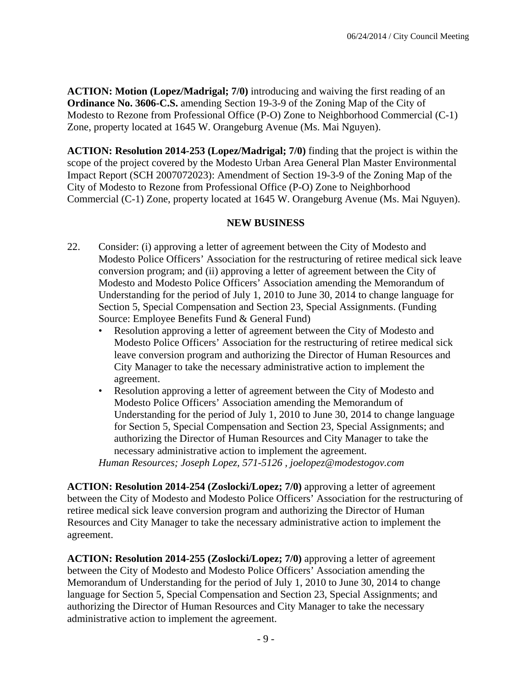**ACTION: Motion (Lopez/Madrigal; 7/0)** introducing and waiving the first reading of an **Ordinance No. 3606-C.S.** amending Section 19-3-9 of the Zoning Map of the City of Modesto to Rezone from Professional Office (P-O) Zone to Neighborhood Commercial (C-1) Zone, property located at 1645 W. Orangeburg Avenue (Ms. Mai Nguyen).

**ACTION: Resolution 2014-253 (Lopez/Madrigal; 7/0)** finding that the project is within the scope of the project covered by the Modesto Urban Area General Plan Master Environmental Impact Report (SCH 2007072023): Amendment of Section 19-3-9 of the Zoning Map of the City of Modesto to Rezone from Professional Office (P-O) Zone to Neighborhood Commercial (C-1) Zone, property located at 1645 W. Orangeburg Avenue (Ms. Mai Nguyen).

#### **NEW BUSINESS**

- 22. Consider: (i) approving a letter of agreement between the City of Modesto and Modesto Police Officers' Association for the restructuring of retiree medical sick leave conversion program; and (ii) approving a letter of agreement between the City of Modesto and Modesto Police Officers' Association amending the Memorandum of Understanding for the period of July 1, 2010 to June 30, 2014 to change language for Section 5, Special Compensation and Section 23, Special Assignments. (Funding Source: Employee Benefits Fund & General Fund)
	- Resolution approving a letter of agreement between the City of Modesto and Modesto Police Officers' Association for the restructuring of retiree medical sick leave conversion program and authorizing the Director of Human Resources and City Manager to take the necessary administrative action to implement the agreement.
	- Resolution approving a letter of agreement between the City of Modesto and Modesto Police Officers' Association amending the Memorandum of Understanding for the period of July 1, 2010 to June 30, 2014 to change language for Section 5, Special Compensation and Section 23, Special Assignments; and authorizing the Director of Human Resources and City Manager to take the necessary administrative action to implement the agreement.

*Human Resources; Joseph Lopez, 571-5126 , joelopez@modestogov.com* 

**ACTION: Resolution 2014-254 (Zoslocki/Lopez; 7/0)** approving a letter of agreement between the City of Modesto and Modesto Police Officers' Association for the restructuring of retiree medical sick leave conversion program and authorizing the Director of Human Resources and City Manager to take the necessary administrative action to implement the agreement.

**ACTION: Resolution 2014-255 (Zoslocki/Lopez; 7/0)** approving a letter of agreement between the City of Modesto and Modesto Police Officers' Association amending the Memorandum of Understanding for the period of July 1, 2010 to June 30, 2014 to change language for Section 5, Special Compensation and Section 23, Special Assignments; and authorizing the Director of Human Resources and City Manager to take the necessary administrative action to implement the agreement.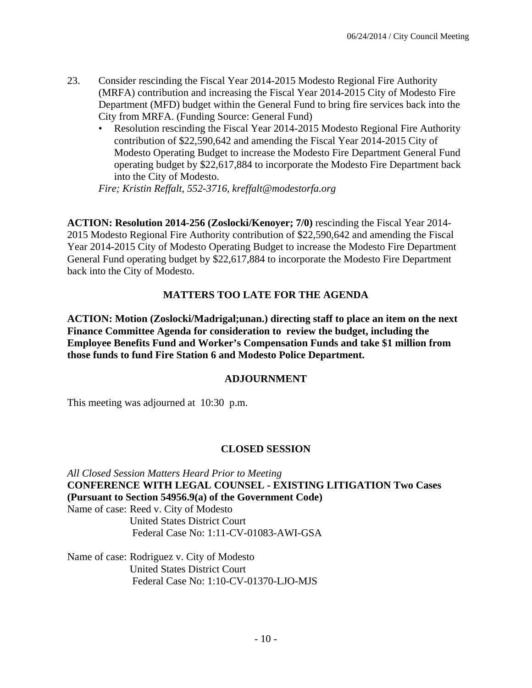- 23. Consider rescinding the Fiscal Year 2014-2015 Modesto Regional Fire Authority (MRFA) contribution and increasing the Fiscal Year 2014-2015 City of Modesto Fire Department (MFD) budget within the General Fund to bring fire services back into the City from MRFA. (Funding Source: General Fund)
	- Resolution rescinding the Fiscal Year 2014-2015 Modesto Regional Fire Authority contribution of \$22,590,642 and amending the Fiscal Year 2014-2015 City of Modesto Operating Budget to increase the Modesto Fire Department General Fund operating budget by \$22,617,884 to incorporate the Modesto Fire Department back into the City of Modesto.

*Fire; Kristin Reffalt, 552-3716, kreffalt@modestorfa.org* 

**ACTION: Resolution 2014-256 (Zoslocki/Kenoyer; 7/0)** rescinding the Fiscal Year 2014- 2015 Modesto Regional Fire Authority contribution of \$22,590,642 and amending the Fiscal Year 2014-2015 City of Modesto Operating Budget to increase the Modesto Fire Department General Fund operating budget by \$22,617,884 to incorporate the Modesto Fire Department back into the City of Modesto.

#### **MATTERS TOO LATE FOR THE AGENDA**

**ACTION: Motion (Zoslocki/Madrigal;unan.) directing staff to place an item on the next Finance Committee Agenda for consideration to review the budget, including the Employee Benefits Fund and Worker's Compensation Funds and take \$1 million from those funds to fund Fire Station 6 and Modesto Police Department.**

#### **ADJOURNMENT**

This meeting was adjourned at 10:30 p.m.

#### **CLOSED SESSION**

*All Closed Session Matters Heard Prior to Meeting* **CONFERENCE WITH LEGAL COUNSEL - EXISTING LITIGATION Two Cases (Pursuant to Section 54956.9(a) of the Government Code)**  Name of case: Reed v. City of Modesto United States District Court Federal Case No: 1:11-CV-01083-AWI-GSA

Name of case: Rodriguez v. City of Modesto United States District Court Federal Case No: 1:10-CV-01370-LJO-MJS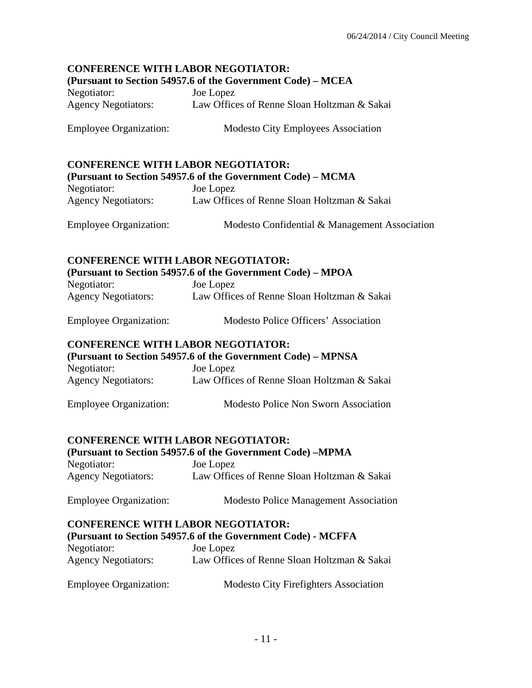# **CONFERENCE WITH LABOR NEGOTIATOR:**

#### **(Pursuant to Section 54957.6 of the Government Code) – MCEA**

Negotiator: Joe Lopez Agency Negotiators: Law Offices of Renne Sloan Holtzman & Sakai

Employee Organization: Modesto City Employees Association

#### **CONFERENCE WITH LABOR NEGOTIATOR:**

|                            | (Pursuant to Section 54957.6 of the Government Code) – MCMA |
|----------------------------|-------------------------------------------------------------|
| Negotiator:                | Joe Lopez                                                   |
| <b>Agency Negotiators:</b> | Law Offices of Renne Sloan Holtzman & Sakai                 |

|  | <b>Employee Organization:</b> | Modesto Confidential & Management Association |
|--|-------------------------------|-----------------------------------------------|
|--|-------------------------------|-----------------------------------------------|

# **CONFERENCE WITH LABOR NEGOTIATOR:**

**(Pursuant to Section 54957.6 of the Government Code) – MPOA** 

| Negotiator:                | Joe Lopez                                   |
|----------------------------|---------------------------------------------|
| <b>Agency Negotiators:</b> | Law Offices of Renne Sloan Holtzman & Sakai |

| <b>Employee Organization:</b> | Modesto Police Officers' Association |
|-------------------------------|--------------------------------------|
|                               |                                      |

#### **CONFERENCE WITH LABOR NEGOTIATOR:**

**(Pursuant to Section 54957.6 of the Government Code) – MPNSA**  Negotiator: Joe Lopez Agency Negotiators: Law Offices of Renne Sloan Holtzman & Sakai

Employee Organization: Modesto Police Non Sworn Association

#### **CONFERENCE WITH LABOR NEGOTIATOR:**

# **(Pursuant to Section 54957.6 of the Government Code) –MPMA**  Negotiator: Joe Lopez Agency Negotiators: Law Offices of Renne Sloan Holtzman & Sakai

# Employee Organization: Modesto Police Management Association

#### **CONFERENCE WITH LABOR NEGOTIATOR:**

#### **(Pursuant to Section 54957.6 of the Government Code) - MCFFA**

| Negotiator:                | Joe Lopez                                   |
|----------------------------|---------------------------------------------|
| <b>Agency Negotiators:</b> | Law Offices of Renne Sloan Holtzman & Sakai |

| <b>Employee Organization:</b> | <b>Modesto City Firefighters Association</b> |
|-------------------------------|----------------------------------------------|
|-------------------------------|----------------------------------------------|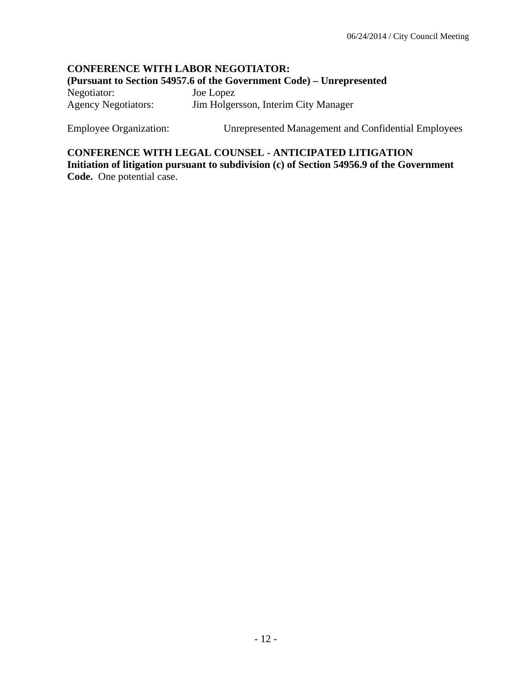#### **CONFERENCE WITH LABOR NEGOTIATOR: (Pursuant to Section 54957.6 of the Government Code) – Unrepresented**  Negotiator: Joe Lopez Agency Negotiators: Jim Holgersson, Interim City Manager

Employee Organization: Unrepresented Management and Confidential Employees

**CONFERENCE WITH LEGAL COUNSEL - ANTICIPATED LITIGATION Initiation of litigation pursuant to subdivision (c) of Section 54956.9 of the Government Code.** One potential case.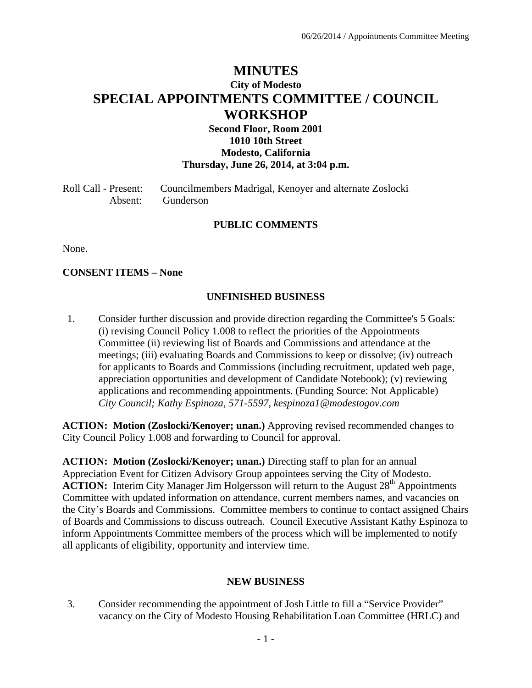# **MINUTES City of Modesto SPECIAL APPOINTMENTS COMMITTEE / COUNCIL WORKSHOP**

#### **Second Floor, Room 2001 1010 10th Street Modesto, California Thursday, June 26, 2014, at 3:04 p.m.**

Roll Call - Present: Councilmembers Madrigal, Kenoyer and alternate Zoslocki Absent: Gunderson

#### **PUBLIC COMMENTS**

None.

#### **CONSENT ITEMS – None**

#### **UNFINISHED BUSINESS**

1. Consider further discussion and provide direction regarding the Committee's 5 Goals: (i) revising Council Policy 1.008 to reflect the priorities of the Appointments Committee (ii) reviewing list of Boards and Commissions and attendance at the meetings; (iii) evaluating Boards and Commissions to keep or dissolve; (iv) outreach for applicants to Boards and Commissions (including recruitment, updated web page, appreciation opportunities and development of Candidate Notebook); (v) reviewing applications and recommending appointments. (Funding Source: Not Applicable)  *City Council; Kathy Espinoza, 571-5597, kespinoza1@modestogov.com* 

**ACTION: Motion (Zoslocki/Kenoyer; unan.)** Approving revised recommended changes to City Council Policy 1.008 and forwarding to Council for approval.

**ACTION: Motion (Zoslocki/Kenoyer; unan.)** Directing staff to plan for an annual Appreciation Event for Citizen Advisory Group appointees serving the City of Modesto. **ACTION:** Interim City Manager Jim Holgersson will return to the August 28<sup>th</sup> Appointments Committee with updated information on attendance, current members names, and vacancies on the City's Boards and Commissions. Committee members to continue to contact assigned Chairs of Boards and Commissions to discuss outreach. Council Executive Assistant Kathy Espinoza to inform Appointments Committee members of the process which will be implemented to notify all applicants of eligibility, opportunity and interview time.

#### **NEW BUSINESS**

3. Consider recommending the appointment of Josh Little to fill a "Service Provider" vacancy on the City of Modesto Housing Rehabilitation Loan Committee (HRLC) and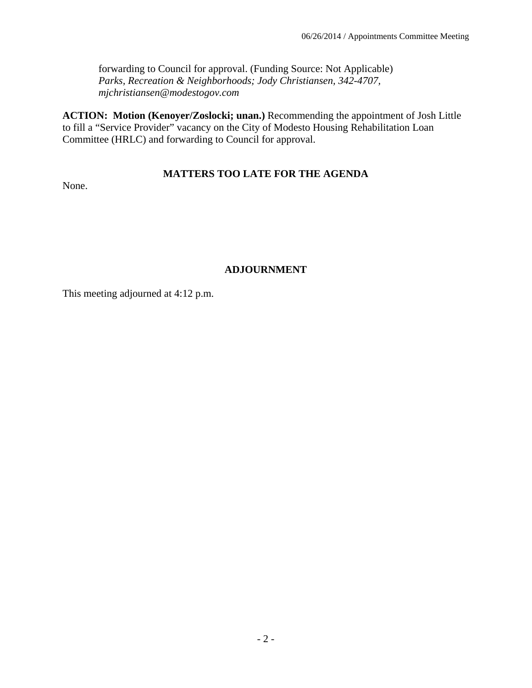forwarding to Council for approval. (Funding Source: Not Applicable)  *Parks, Recreation & Neighborhoods; Jody Christiansen, 342-4707, mjchristiansen@modestogov.com* 

**ACTION: Motion (Kenoyer/Zoslocki; unan.)** Recommending the appointment of Josh Little to fill a "Service Provider" vacancy on the City of Modesto Housing Rehabilitation Loan Committee (HRLC) and forwarding to Council for approval.

# **MATTERS TOO LATE FOR THE AGENDA**

None.

# **ADJOURNMENT**

This meeting adjourned at 4:12 p.m.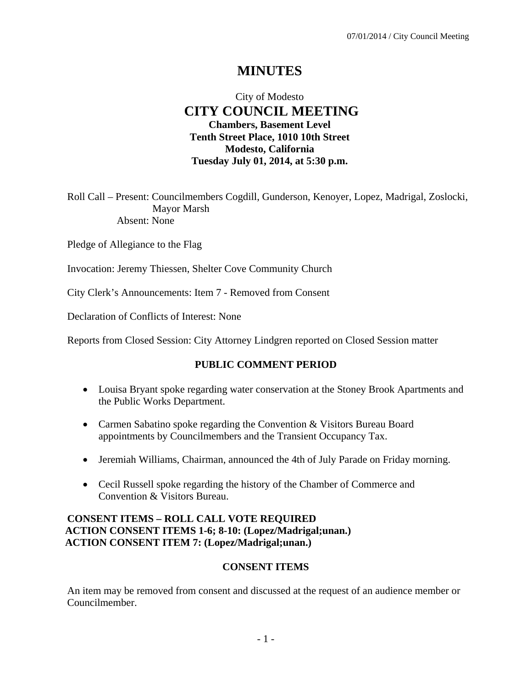# **MINUTES**

# City of Modesto  **CITY COUNCIL MEETING Chambers, Basement Level Tenth Street Place, 1010 10th Street Modesto, California Tuesday July 01, 2014, at 5:30 p.m.**

Roll Call – Present: Councilmembers Cogdill, Gunderson, Kenoyer, Lopez, Madrigal, Zoslocki, Mayor Marsh Absent: None

Pledge of Allegiance to the Flag

Invocation: Jeremy Thiessen, Shelter Cove Community Church

City Clerk's Announcements: Item 7 - Removed from Consent

Declaration of Conflicts of Interest: None

Reports from Closed Session: City Attorney Lindgren reported on Closed Session matter

#### **PUBLIC COMMENT PERIOD**

- Louisa Bryant spoke regarding water conservation at the Stoney Brook Apartments and the Public Works Department.
- Carmen Sabatino spoke regarding the Convention & Visitors Bureau Board appointments by Councilmembers and the Transient Occupancy Tax.
- Jeremiah Williams, Chairman, announced the 4th of July Parade on Friday morning.
- Cecil Russell spoke regarding the history of the Chamber of Commerce and Convention & Visitors Bureau.

#### **CONSENT ITEMS – ROLL CALL VOTE REQUIRED ACTION CONSENT ITEMS 1-6; 8-10: (Lopez/Madrigal;unan.) ACTION CONSENT ITEM 7: (Lopez/Madrigal;unan.)**

#### **CONSENT ITEMS**

An item may be removed from consent and discussed at the request of an audience member or Councilmember.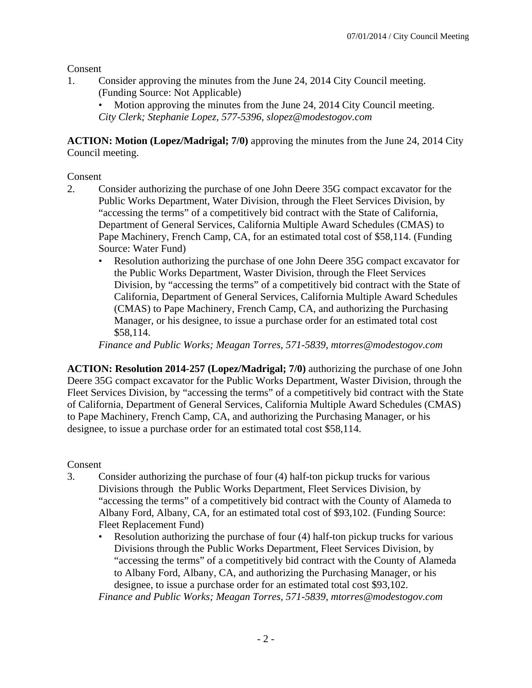Consent

1. Consider approving the minutes from the June 24, 2014 City Council meeting. (Funding Source: Not Applicable)

Motion approving the minutes from the June 24, 2014 City Council meeting. *City Clerk; Stephanie Lopez, 577-5396, slopez@modestogov.com* 

**ACTION: Motion (Lopez/Madrigal; 7/0)** approving the minutes from the June 24, 2014 City Council meeting.

Consent

- 2. Consider authorizing the purchase of one John Deere 35G compact excavator for the Public Works Department, Water Division, through the Fleet Services Division, by "accessing the terms" of a competitively bid contract with the State of California, Department of General Services, California Multiple Award Schedules (CMAS) to Pape Machinery, French Camp, CA, for an estimated total cost of \$58,114. (Funding Source: Water Fund)
	- Resolution authorizing the purchase of one John Deere 35G compact excavator for the Public Works Department, Waster Division, through the Fleet Services Division, by "accessing the terms" of a competitively bid contract with the State of California, Department of General Services, California Multiple Award Schedules (CMAS) to Pape Machinery, French Camp, CA, and authorizing the Purchasing Manager, or his designee, to issue a purchase order for an estimated total cost \$58,114.

*Finance and Public Works; Meagan Torres, 571-5839, mtorres@modestogov.com* 

**ACTION: Resolution 2014-257 (Lopez/Madrigal; 7/0)** authorizing the purchase of one John Deere 35G compact excavator for the Public Works Department, Waster Division, through the Fleet Services Division, by "accessing the terms" of a competitively bid contract with the State of California, Department of General Services, California Multiple Award Schedules (CMAS) to Pape Machinery, French Camp, CA, and authorizing the Purchasing Manager, or his designee, to issue a purchase order for an estimated total cost \$58,114.

Consent

- 3. Consider authorizing the purchase of four (4) half-ton pickup trucks for various Divisions through the Public Works Department, Fleet Services Division, by "accessing the terms" of a competitively bid contract with the County of Alameda to Albany Ford, Albany, CA, for an estimated total cost of \$93,102. (Funding Source: Fleet Replacement Fund)
	- Resolution authorizing the purchase of four (4) half-ton pickup trucks for various Divisions through the Public Works Department, Fleet Services Division, by "accessing the terms" of a competitively bid contract with the County of Alameda to Albany Ford, Albany, CA, and authorizing the Purchasing Manager, or his designee, to issue a purchase order for an estimated total cost \$93,102. *Finance and Public Works; Meagan Torres, 571-5839, mtorres@modestogov.com*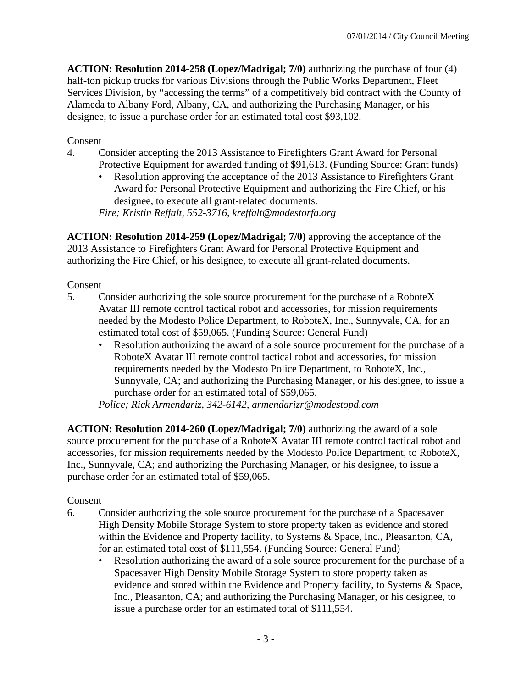**ACTION: Resolution 2014-258 (Lopez/Madrigal; 7/0)** authorizing the purchase of four (4) half-ton pickup trucks for various Divisions through the Public Works Department, Fleet Services Division, by "accessing the terms" of a competitively bid contract with the County of Alameda to Albany Ford, Albany, CA, and authorizing the Purchasing Manager, or his designee, to issue a purchase order for an estimated total cost \$93,102.

#### Consent

- 4. Consider accepting the 2013 Assistance to Firefighters Grant Award for Personal Protective Equipment for awarded funding of \$91,613. (Funding Source: Grant funds)
	- Resolution approving the acceptance of the 2013 Assistance to Firefighters Grant Award for Personal Protective Equipment and authorizing the Fire Chief, or his designee, to execute all grant-related documents.

*Fire; Kristin Reffalt, 552-3716, kreffalt@modestorfa.org* 

**ACTION: Resolution 2014-259 (Lopez/Madrigal; 7/0)** approving the acceptance of the 2013 Assistance to Firefighters Grant Award for Personal Protective Equipment and authorizing the Fire Chief, or his designee, to execute all grant-related documents.

#### Consent

- 5. Consider authorizing the sole source procurement for the purchase of a RoboteX Avatar III remote control tactical robot and accessories, for mission requirements needed by the Modesto Police Department, to RoboteX, Inc., Sunnyvale, CA, for an estimated total cost of \$59,065. (Funding Source: General Fund)
	- Resolution authorizing the award of a sole source procurement for the purchase of a RoboteX Avatar III remote control tactical robot and accessories, for mission requirements needed by the Modesto Police Department, to RoboteX, Inc., Sunnyvale, CA; and authorizing the Purchasing Manager, or his designee, to issue a purchase order for an estimated total of \$59,065.

*Police; Rick Armendariz, 342-6142, armendarizr@modestopd.com* 

**ACTION: Resolution 2014-260 (Lopez/Madrigal; 7/0)** authorizing the award of a sole source procurement for the purchase of a RoboteX Avatar III remote control tactical robot and accessories, for mission requirements needed by the Modesto Police Department, to RoboteX, Inc., Sunnyvale, CA; and authorizing the Purchasing Manager, or his designee, to issue a purchase order for an estimated total of \$59,065.

#### Consent

- 6. Consider authorizing the sole source procurement for the purchase of a Spacesaver High Density Mobile Storage System to store property taken as evidence and stored within the Evidence and Property facility, to Systems & Space, Inc., Pleasanton, CA, for an estimated total cost of \$111,554. (Funding Source: General Fund)
	- Resolution authorizing the award of a sole source procurement for the purchase of a Spacesaver High Density Mobile Storage System to store property taken as evidence and stored within the Evidence and Property facility, to Systems & Space, Inc., Pleasanton, CA; and authorizing the Purchasing Manager, or his designee, to issue a purchase order for an estimated total of \$111,554.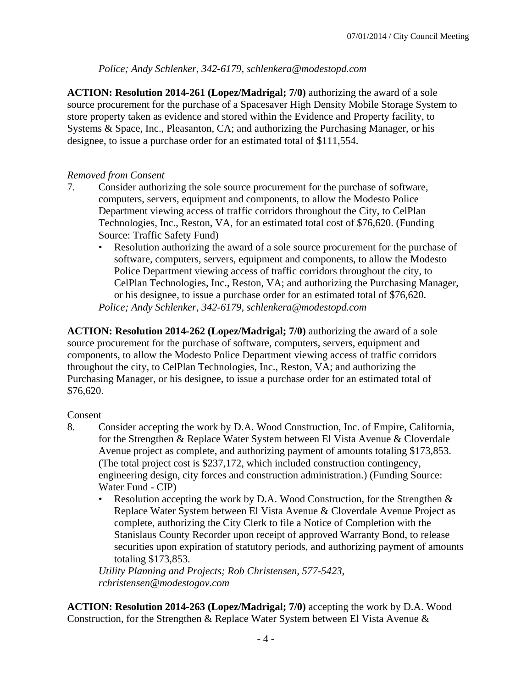### *Police; Andy Schlenker, 342-6179, schlenkera@modestopd.com*

**ACTION: Resolution 2014-261 (Lopez/Madrigal; 7/0)** authorizing the award of a sole source procurement for the purchase of a Spacesaver High Density Mobile Storage System to store property taken as evidence and stored within the Evidence and Property facility, to Systems & Space, Inc., Pleasanton, CA; and authorizing the Purchasing Manager, or his designee, to issue a purchase order for an estimated total of \$111,554.

#### *Removed from Consent*

- 7. Consider authorizing the sole source procurement for the purchase of software, computers, servers, equipment and components, to allow the Modesto Police Department viewing access of traffic corridors throughout the City, to CelPlan Technologies, Inc., Reston, VA, for an estimated total cost of \$76,620. (Funding Source: Traffic Safety Fund)
	- Resolution authorizing the award of a sole source procurement for the purchase of software, computers, servers, equipment and components, to allow the Modesto Police Department viewing access of traffic corridors throughout the city, to CelPlan Technologies, Inc., Reston, VA; and authorizing the Purchasing Manager, or his designee, to issue a purchase order for an estimated total of \$76,620. *Police; Andy Schlenker, 342-6179, schlenkera@modestopd.com*

**ACTION: Resolution 2014-262 (Lopez/Madrigal; 7/0)** authorizing the award of a sole source procurement for the purchase of software, computers, servers, equipment and components, to allow the Modesto Police Department viewing access of traffic corridors throughout the city, to CelPlan Technologies, Inc., Reston, VA; and authorizing the Purchasing Manager, or his designee, to issue a purchase order for an estimated total of \$76,620.

#### Consent

- 8. Consider accepting the work by D.A. Wood Construction, Inc. of Empire, California, for the Strengthen & Replace Water System between El Vista Avenue & Cloverdale Avenue project as complete, and authorizing payment of amounts totaling \$173,853. (The total project cost is \$237,172, which included construction contingency, engineering design, city forces and construction administration.) (Funding Source: Water Fund - CIP)
	- Resolution accepting the work by D.A. Wood Construction, for the Strengthen  $\&$ Replace Water System between El Vista Avenue & Cloverdale Avenue Project as complete, authorizing the City Clerk to file a Notice of Completion with the Stanislaus County Recorder upon receipt of approved Warranty Bond, to release securities upon expiration of statutory periods, and authorizing payment of amounts totaling \$173,853.

*Utility Planning and Projects; Rob Christensen, 577-5423, rchristensen@modestogov.com* 

**ACTION: Resolution 2014-263 (Lopez/Madrigal; 7/0)** accepting the work by D.A. Wood Construction, for the Strengthen & Replace Water System between El Vista Avenue &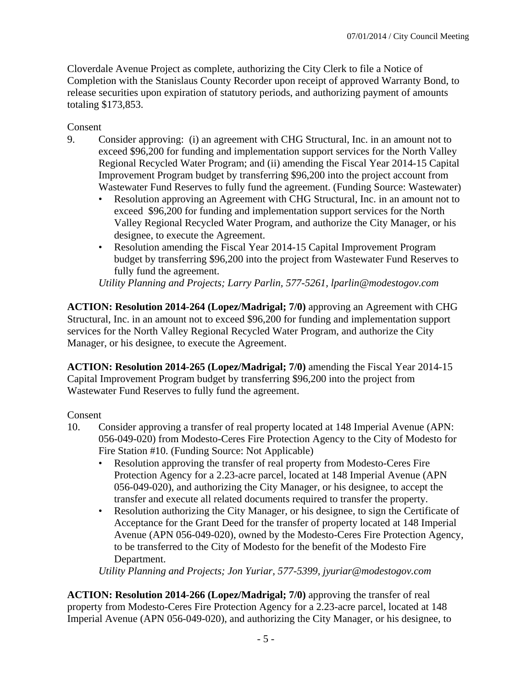Cloverdale Avenue Project as complete, authorizing the City Clerk to file a Notice of Completion with the Stanislaus County Recorder upon receipt of approved Warranty Bond, to release securities upon expiration of statutory periods, and authorizing payment of amounts totaling \$173,853.

Consent

- 9. Consider approving: (i) an agreement with CHG Structural, Inc. in an amount not to exceed \$96,200 for funding and implementation support services for the North Valley Regional Recycled Water Program; and (ii) amending the Fiscal Year 2014-15 Capital Improvement Program budget by transferring \$96,200 into the project account from Wastewater Fund Reserves to fully fund the agreement. (Funding Source: Wastewater)
	- Resolution approving an Agreement with CHG Structural, Inc. in an amount not to exceed \$96,200 for funding and implementation support services for the North Valley Regional Recycled Water Program, and authorize the City Manager, or his designee, to execute the Agreement.
	- Resolution amending the Fiscal Year 2014-15 Capital Improvement Program budget by transferring \$96,200 into the project from Wastewater Fund Reserves to fully fund the agreement.

*Utility Planning and Projects; Larry Parlin, 577-5261, lparlin@modestogov.com* 

**ACTION: Resolution 2014-264 (Lopez/Madrigal; 7/0)** approving an Agreement with CHG Structural, Inc. in an amount not to exceed \$96,200 for funding and implementation support services for the North Valley Regional Recycled Water Program, and authorize the City Manager, or his designee, to execute the Agreement.

**ACTION: Resolution 2014-265 (Lopez/Madrigal; 7/0)** amending the Fiscal Year 2014-15 Capital Improvement Program budget by transferring \$96,200 into the project from Wastewater Fund Reserves to fully fund the agreement.

Consent

- 10. Consider approving a transfer of real property located at 148 Imperial Avenue (APN: 056-049-020) from Modesto-Ceres Fire Protection Agency to the City of Modesto for Fire Station #10. (Funding Source: Not Applicable)
	- Resolution approving the transfer of real property from Modesto-Ceres Fire Protection Agency for a 2.23-acre parcel, located at 148 Imperial Avenue (APN 056-049-020), and authorizing the City Manager, or his designee, to accept the transfer and execute all related documents required to transfer the property.
	- Resolution authorizing the City Manager, or his designee, to sign the Certificate of Acceptance for the Grant Deed for the transfer of property located at 148 Imperial Avenue (APN 056-049-020), owned by the Modesto-Ceres Fire Protection Agency, to be transferred to the City of Modesto for the benefit of the Modesto Fire Department.

*Utility Planning and Projects; Jon Yuriar, 577-5399, jyuriar@modestogov.com* 

**ACTION: Resolution 2014-266 (Lopez/Madrigal; 7/0)** approving the transfer of real property from Modesto-Ceres Fire Protection Agency for a 2.23-acre parcel, located at 148 Imperial Avenue (APN 056-049-020), and authorizing the City Manager, or his designee, to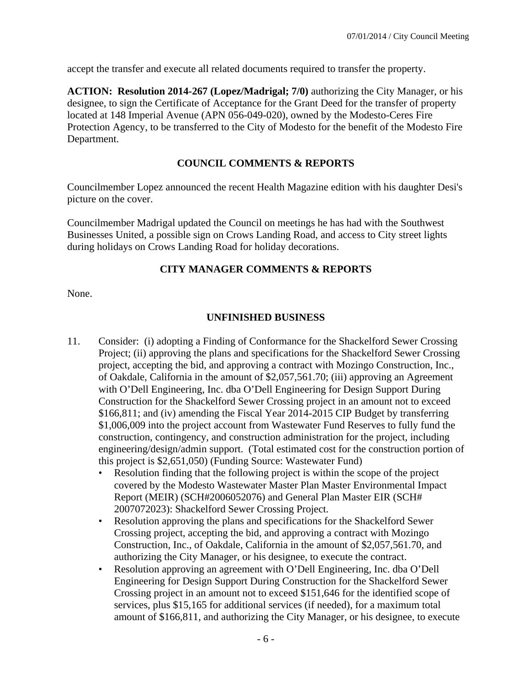accept the transfer and execute all related documents required to transfer the property.

**ACTION: Resolution 2014-267 (Lopez/Madrigal; 7/0)** authorizing the City Manager, or his designee, to sign the Certificate of Acceptance for the Grant Deed for the transfer of property located at 148 Imperial Avenue (APN 056-049-020), owned by the Modesto-Ceres Fire Protection Agency, to be transferred to the City of Modesto for the benefit of the Modesto Fire Department.

# **COUNCIL COMMENTS & REPORTS**

Councilmember Lopez announced the recent Health Magazine edition with his daughter Desi's picture on the cover.

Councilmember Madrigal updated the Council on meetings he has had with the Southwest Businesses United, a possible sign on Crows Landing Road, and access to City street lights during holidays on Crows Landing Road for holiday decorations.

# **CITY MANAGER COMMENTS & REPORTS**

None.

# **UNFINISHED BUSINESS**

- 11. Consider: (i) adopting a Finding of Conformance for the Shackelford Sewer Crossing Project; (ii) approving the plans and specifications for the Shackelford Sewer Crossing project, accepting the bid, and approving a contract with Mozingo Construction, Inc., of Oakdale, California in the amount of \$2,057,561.70; (iii) approving an Agreement with O'Dell Engineering, Inc. dba O'Dell Engineering for Design Support During Construction for the Shackelford Sewer Crossing project in an amount not to exceed \$166,811; and (iv) amending the Fiscal Year 2014-2015 CIP Budget by transferring \$1,006,009 into the project account from Wastewater Fund Reserves to fully fund the construction, contingency, and construction administration for the project, including engineering/design/admin support. (Total estimated cost for the construction portion of this project is \$2,651,050) (Funding Source: Wastewater Fund)
	- Resolution finding that the following project is within the scope of the project covered by the Modesto Wastewater Master Plan Master Environmental Impact Report (MEIR) (SCH#2006052076) and General Plan Master EIR (SCH# 2007072023): Shackelford Sewer Crossing Project.
	- Resolution approving the plans and specifications for the Shackelford Sewer Crossing project, accepting the bid, and approving a contract with Mozingo Construction, Inc., of Oakdale, California in the amount of \$2,057,561.70, and authorizing the City Manager, or his designee, to execute the contract.
	- Resolution approving an agreement with O'Dell Engineering, Inc. dba O'Dell Engineering for Design Support During Construction for the Shackelford Sewer Crossing project in an amount not to exceed \$151,646 for the identified scope of services, plus \$15,165 for additional services (if needed), for a maximum total amount of \$166,811, and authorizing the City Manager, or his designee, to execute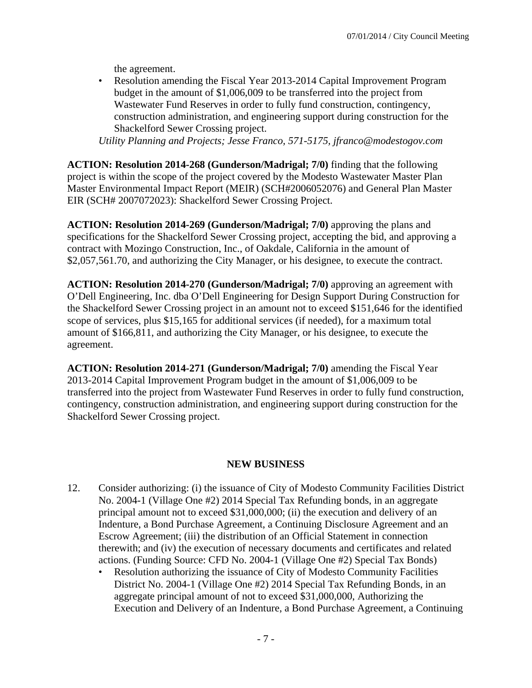the agreement.

• Resolution amending the Fiscal Year 2013-2014 Capital Improvement Program budget in the amount of \$1,006,009 to be transferred into the project from Wastewater Fund Reserves in order to fully fund construction, contingency, construction administration, and engineering support during construction for the Shackelford Sewer Crossing project.

*Utility Planning and Projects; Jesse Franco, 571-5175, jfranco@modestogov.com* 

**ACTION: Resolution 2014-268 (Gunderson/Madrigal; 7/0)** finding that the following project is within the scope of the project covered by the Modesto Wastewater Master Plan Master Environmental Impact Report (MEIR) (SCH#2006052076) and General Plan Master EIR (SCH# 2007072023): Shackelford Sewer Crossing Project.

**ACTION: Resolution 2014-269 (Gunderson/Madrigal; 7/0)** approving the plans and specifications for the Shackelford Sewer Crossing project, accepting the bid, and approving a contract with Mozingo Construction, Inc., of Oakdale, California in the amount of \$2,057,561.70, and authorizing the City Manager, or his designee, to execute the contract.

**ACTION: Resolution 2014-270 (Gunderson/Madrigal; 7/0)** approving an agreement with O'Dell Engineering, Inc. dba O'Dell Engineering for Design Support During Construction for the Shackelford Sewer Crossing project in an amount not to exceed \$151,646 for the identified scope of services, plus \$15,165 for additional services (if needed), for a maximum total amount of \$166,811, and authorizing the City Manager, or his designee, to execute the agreement.

**ACTION: Resolution 2014-271 (Gunderson/Madrigal; 7/0)** amending the Fiscal Year 2013-2014 Capital Improvement Program budget in the amount of \$1,006,009 to be transferred into the project from Wastewater Fund Reserves in order to fully fund construction, contingency, construction administration, and engineering support during construction for the Shackelford Sewer Crossing project.

# **NEW BUSINESS**

- 12. Consider authorizing: (i) the issuance of City of Modesto Community Facilities District No. 2004-1 (Village One #2) 2014 Special Tax Refunding bonds, in an aggregate principal amount not to exceed \$31,000,000; (ii) the execution and delivery of an Indenture, a Bond Purchase Agreement, a Continuing Disclosure Agreement and an Escrow Agreement; (iii) the distribution of an Official Statement in connection therewith; and (iv) the execution of necessary documents and certificates and related actions. (Funding Source: CFD No. 2004-1 (Village One #2) Special Tax Bonds)
	- Resolution authorizing the issuance of City of Modesto Community Facilities District No. 2004-1 (Village One #2) 2014 Special Tax Refunding Bonds, in an aggregate principal amount of not to exceed \$31,000,000, Authorizing the Execution and Delivery of an Indenture, a Bond Purchase Agreement, a Continuing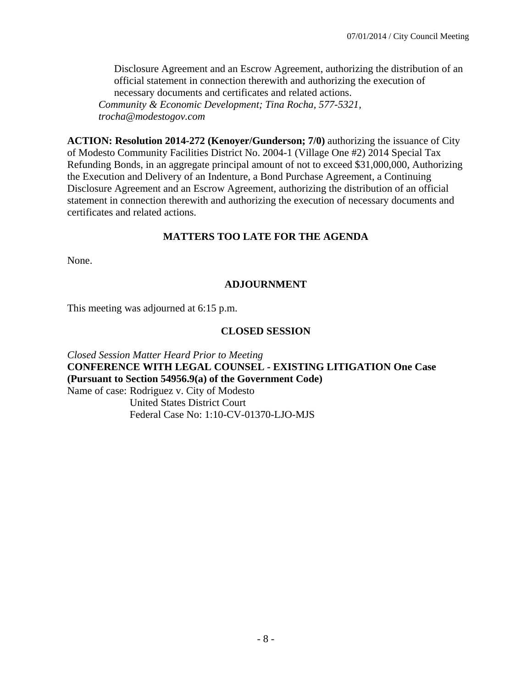Disclosure Agreement and an Escrow Agreement, authorizing the distribution of an official statement in connection therewith and authorizing the execution of necessary documents and certificates and related actions. *Community & Economic Development; Tina Rocha, 577-5321, trocha@modestogov.com* 

**ACTION: Resolution 2014-272 (Kenoyer/Gunderson; 7/0)** authorizing the issuance of City of Modesto Community Facilities District No. 2004-1 (Village One #2) 2014 Special Tax Refunding Bonds, in an aggregate principal amount of not to exceed \$31,000,000, Authorizing the Execution and Delivery of an Indenture, a Bond Purchase Agreement, a Continuing Disclosure Agreement and an Escrow Agreement, authorizing the distribution of an official statement in connection therewith and authorizing the execution of necessary documents and certificates and related actions.

#### **MATTERS TOO LATE FOR THE AGENDA**

None.

#### **ADJOURNMENT**

This meeting was adjourned at 6:15 p.m.

#### **CLOSED SESSION**

*Closed Session Matter Heard Prior to Meeting* **CONFERENCE WITH LEGAL COUNSEL - EXISTING LITIGATION One Case (Pursuant to Section 54956.9(a) of the Government Code)**  Name of case: Rodriguez v. City of Modesto United States District Court Federal Case No: 1:10-CV-01370-LJO-MJS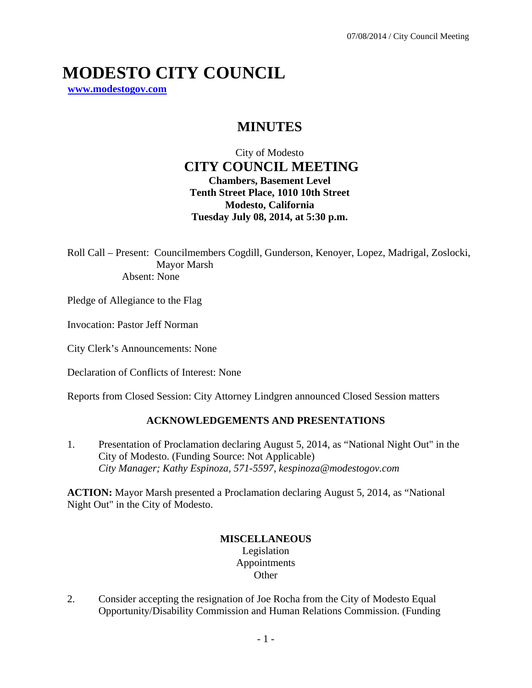# **MODESTO CITY COUNCIL**

**www.modestogov.com**

# **MINUTES**

City of Modesto  **CITY COUNCIL MEETING Chambers, Basement Level Tenth Street Place, 1010 10th Street Modesto, California Tuesday July 08, 2014, at 5:30 p.m.** 

Roll Call – Present: Councilmembers Cogdill, Gunderson, Kenoyer, Lopez, Madrigal, Zoslocki, Mayor Marsh Absent: None

Pledge of Allegiance to the Flag

Invocation: Pastor Jeff Norman

City Clerk's Announcements: None

Declaration of Conflicts of Interest: None

Reports from Closed Session: City Attorney Lindgren announced Closed Session matters

#### **ACKNOWLEDGEMENTS AND PRESENTATIONS**

1. Presentation of Proclamation declaring August 5, 2014, as "National Night Out" in the City of Modesto. (Funding Source: Not Applicable)  *City Manager; Kathy Espinoza, 571-5597, kespinoza@modestogov.com* 

**ACTION:** Mayor Marsh presented a Proclamation declaring August 5, 2014, as "National Night Out" in the City of Modesto.

#### **MISCELLANEOUS**  Legislation Appointments **Other**

2. Consider accepting the resignation of Joe Rocha from the City of Modesto Equal Opportunity/Disability Commission and Human Relations Commission. (Funding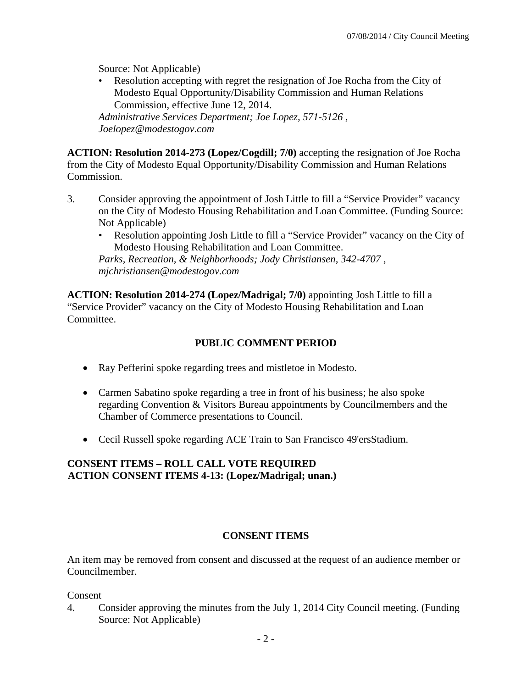Source: Not Applicable)

• Resolution accepting with regret the resignation of Joe Rocha from the City of Modesto Equal Opportunity/Disability Commission and Human Relations Commission, effective June 12, 2014.

*Administrative Services Department; Joe Lopez, 571-5126 , Joelopez@modestogov.com* 

**ACTION: Resolution 2014-273 (Lopez/Cogdill; 7/0)** accepting the resignation of Joe Rocha from the City of Modesto Equal Opportunity/Disability Commission and Human Relations Commission.

- 3. Consider approving the appointment of Josh Little to fill a "Service Provider" vacancy on the City of Modesto Housing Rehabilitation and Loan Committee. (Funding Source: Not Applicable)
	- Resolution appointing Josh Little to fill a "Service Provider" vacancy on the City of Modesto Housing Rehabilitation and Loan Committee.

*Parks, Recreation, & Neighborhoods; Jody Christiansen, 342-4707 , mjchristiansen@modestogov.com* 

**ACTION: Resolution 2014-274 (Lopez/Madrigal; 7/0)** appointing Josh Little to fill a "Service Provider" vacancy on the City of Modesto Housing Rehabilitation and Loan Committee.

# **PUBLIC COMMENT PERIOD**

- Ray Pefferini spoke regarding trees and mistletoe in Modesto.
- Carmen Sabatino spoke regarding a tree in front of his business; he also spoke regarding Convention & Visitors Bureau appointments by Councilmembers and the Chamber of Commerce presentations to Council.
- Cecil Russell spoke regarding ACE Train to San Francisco 49'ersStadium.

# **CONSENT ITEMS – ROLL CALL VOTE REQUIRED ACTION CONSENT ITEMS 4-13: (Lopez/Madrigal; unan.)**

# **CONSENT ITEMS**

An item may be removed from consent and discussed at the request of an audience member or Councilmember.

#### Consent

4. Consider approving the minutes from the July 1, 2014 City Council meeting. (Funding Source: Not Applicable)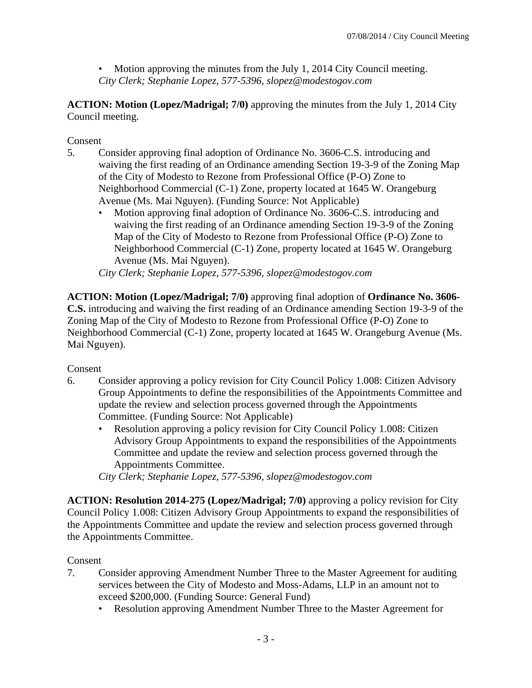• Motion approving the minutes from the July 1, 2014 City Council meeting. *City Clerk; Stephanie Lopez, 577-5396, slopez@modestogov.com* 

**ACTION: Motion (Lopez/Madrigal; 7/0)** approving the minutes from the July 1, 2014 City Council meeting.

### Consent

- 5. Consider approving final adoption of Ordinance No. 3606-C.S. introducing and waiving the first reading of an Ordinance amending Section 19-3-9 of the Zoning Map of the City of Modesto to Rezone from Professional Office (P-O) Zone to Neighborhood Commercial (C-1) Zone, property located at 1645 W. Orangeburg Avenue (Ms. Mai Nguyen). (Funding Source: Not Applicable)
	- Motion approving final adoption of Ordinance No. 3606-C.S. introducing and waiving the first reading of an Ordinance amending Section 19-3-9 of the Zoning Map of the City of Modesto to Rezone from Professional Office (P-O) Zone to Neighborhood Commercial (C-1) Zone, property located at 1645 W. Orangeburg Avenue (Ms. Mai Nguyen).

*City Clerk; Stephanie Lopez, 577-5396, slopez@modestogov.com* 

**ACTION: Motion (Lopez/Madrigal; 7/0)** approving final adoption of **Ordinance No. 3606- C.S.** introducing and waiving the first reading of an Ordinance amending Section 19-3-9 of the Zoning Map of the City of Modesto to Rezone from Professional Office (P-O) Zone to Neighborhood Commercial (C-1) Zone, property located at 1645 W. Orangeburg Avenue (Ms. Mai Nguyen).

#### Consent

- 6. Consider approving a policy revision for City Council Policy 1.008: Citizen Advisory Group Appointments to define the responsibilities of the Appointments Committee and update the review and selection process governed through the Appointments Committee. (Funding Source: Not Applicable)
	- Resolution approving a policy revision for City Council Policy 1.008: Citizen Advisory Group Appointments to expand the responsibilities of the Appointments Committee and update the review and selection process governed through the Appointments Committee.

*City Clerk; Stephanie Lopez, 577-5396, slopez@modestogov.com* 

**ACTION: Resolution 2014-275 (Lopez/Madrigal; 7/0)** approving a policy revision for City Council Policy 1.008: Citizen Advisory Group Appointments to expand the responsibilities of the Appointments Committee and update the review and selection process governed through the Appointments Committee.

#### Consent

- 7. Consider approving Amendment Number Three to the Master Agreement for auditing services between the City of Modesto and Moss-Adams, LLP in an amount not to exceed \$200,000. (Funding Source: General Fund)
	- Resolution approving Amendment Number Three to the Master Agreement for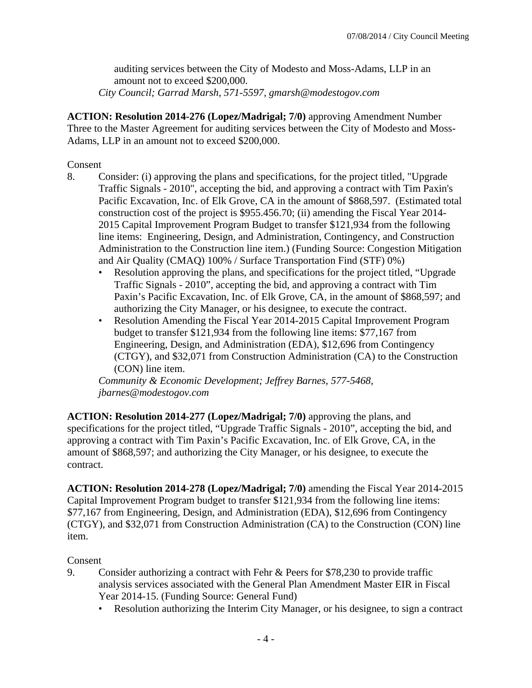auditing services between the City of Modesto and Moss-Adams, LLP in an amount not to exceed \$200,000.

*City Council; Garrad Marsh, 571-5597, gmarsh@modestogov.com* 

**ACTION: Resolution 2014-276 (Lopez/Madrigal; 7/0)** approving Amendment Number Three to the Master Agreement for auditing services between the City of Modesto and Moss-Adams, LLP in an amount not to exceed \$200,000.

Consent

- 8. Consider: (i) approving the plans and specifications, for the project titled, "Upgrade Traffic Signals - 2010", accepting the bid, and approving a contract with Tim Paxin's Pacific Excavation, Inc. of Elk Grove, CA in the amount of \$868,597. (Estimated total construction cost of the project is \$955.456.70; (ii) amending the Fiscal Year 2014- 2015 Capital Improvement Program Budget to transfer \$121,934 from the following line items: Engineering, Design, and Administration, Contingency, and Construction Administration to the Construction line item.) (Funding Source: Congestion Mitigation and Air Quality (CMAQ) 100% / Surface Transportation Find (STF) 0%)
	- Resolution approving the plans, and specifications for the project titled, "Upgrade Traffic Signals - 2010", accepting the bid, and approving a contract with Tim Paxin's Pacific Excavation, Inc. of Elk Grove, CA, in the amount of \$868,597; and authorizing the City Manager, or his designee, to execute the contract.
	- Resolution Amending the Fiscal Year 2014-2015 Capital Improvement Program budget to transfer \$121,934 from the following line items: \$77,167 from Engineering, Design, and Administration (EDA), \$12,696 from Contingency (CTGY), and \$32,071 from Construction Administration (CA) to the Construction (CON) line item.

*Community & Economic Development; Jeffrey Barnes, 577-5468, jbarnes@modestogov.com* 

**ACTION: Resolution 2014-277 (Lopez/Madrigal; 7/0)** approving the plans, and specifications for the project titled, "Upgrade Traffic Signals - 2010", accepting the bid, and approving a contract with Tim Paxin's Pacific Excavation, Inc. of Elk Grove, CA, in the amount of \$868,597; and authorizing the City Manager, or his designee, to execute the contract.

**ACTION: Resolution 2014-278 (Lopez/Madrigal; 7/0)** amending the Fiscal Year 2014-2015 Capital Improvement Program budget to transfer \$121,934 from the following line items: \$77,167 from Engineering, Design, and Administration (EDA), \$12,696 from Contingency (CTGY), and \$32,071 from Construction Administration (CA) to the Construction (CON) line item.

# Consent

- 9. Consider authorizing a contract with Fehr & Peers for \$78,230 to provide traffic analysis services associated with the General Plan Amendment Master EIR in Fiscal Year 2014-15. (Funding Source: General Fund)
	- Resolution authorizing the Interim City Manager, or his designee, to sign a contract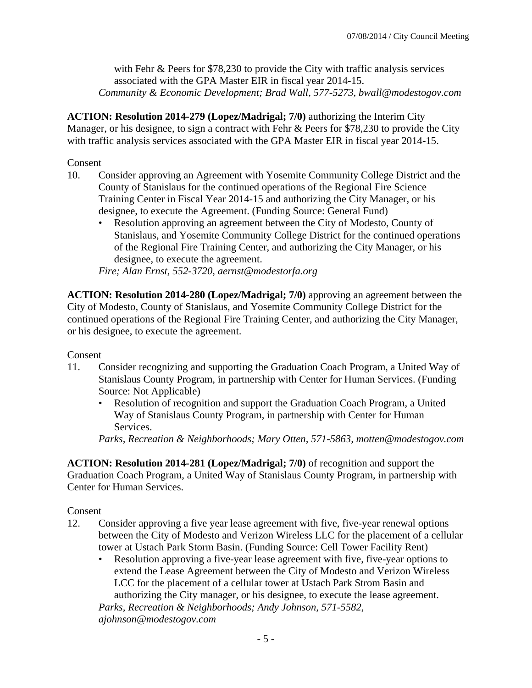with Fehr & Peers for \$78,230 to provide the City with traffic analysis services associated with the GPA Master EIR in fiscal year 2014-15. *Community & Economic Development; Brad Wall, 577-5273, bwall@modestogov.com* 

**ACTION: Resolution 2014-279 (Lopez/Madrigal; 7/0)** authorizing the Interim City Manager, or his designee, to sign a contract with Fehr & Peers for \$78,230 to provide the City with traffic analysis services associated with the GPA Master EIR in fiscal year 2014-15.

#### Consent

- 10. Consider approving an Agreement with Yosemite Community College District and the County of Stanislaus for the continued operations of the Regional Fire Science Training Center in Fiscal Year 2014-15 and authorizing the City Manager, or his designee, to execute the Agreement. (Funding Source: General Fund)
	- Resolution approving an agreement between the City of Modesto, County of Stanislaus, and Yosemite Community College District for the continued operations of the Regional Fire Training Center, and authorizing the City Manager, or his designee, to execute the agreement.

*Fire; Alan Ernst, 552-3720, aernst@modestorfa.org* 

**ACTION: Resolution 2014-280 (Lopez/Madrigal; 7/0)** approving an agreement between the City of Modesto, County of Stanislaus, and Yosemite Community College District for the continued operations of the Regional Fire Training Center, and authorizing the City Manager, or his designee, to execute the agreement.

#### Consent

- 11. Consider recognizing and supporting the Graduation Coach Program, a United Way of Stanislaus County Program, in partnership with Center for Human Services. (Funding Source: Not Applicable)
	- Resolution of recognition and support the Graduation Coach Program, a United Way of Stanislaus County Program, in partnership with Center for Human Services.

*Parks, Recreation & Neighborhoods; Mary Otten, 571-5863, motten@modestogov.com* 

**ACTION: Resolution 2014-281 (Lopez/Madrigal; 7/0)** of recognition and support the Graduation Coach Program, a United Way of Stanislaus County Program, in partnership with Center for Human Services.

#### Consent

- 12. Consider approving a five year lease agreement with five, five-year renewal options between the City of Modesto and Verizon Wireless LLC for the placement of a cellular tower at Ustach Park Storm Basin. (Funding Source: Cell Tower Facility Rent)
	- Resolution approving a five-year lease agreement with five, five-year options to extend the Lease Agreement between the City of Modesto and Verizon Wireless LCC for the placement of a cellular tower at Ustach Park Strom Basin and authorizing the City manager, or his designee, to execute the lease agreement. *Parks, Recreation & Neighborhoods; Andy Johnson, 571-5582,*

*ajohnson@modestogov.com*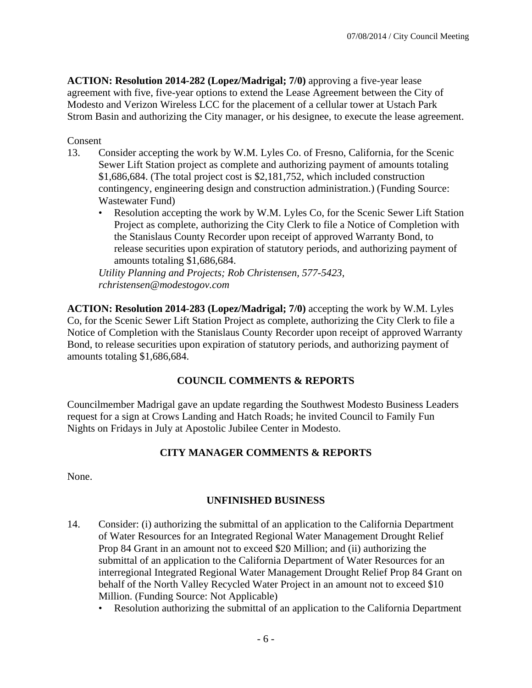**ACTION: Resolution 2014-282 (Lopez/Madrigal; 7/0)** approving a five-year lease agreement with five, five-year options to extend the Lease Agreement between the City of Modesto and Verizon Wireless LCC for the placement of a cellular tower at Ustach Park Strom Basin and authorizing the City manager, or his designee, to execute the lease agreement.

#### Consent

- 13. Consider accepting the work by W.M. Lyles Co. of Fresno, California, for the Scenic Sewer Lift Station project as complete and authorizing payment of amounts totaling \$1,686,684. (The total project cost is \$2,181,752, which included construction contingency, engineering design and construction administration.) (Funding Source: Wastewater Fund)
	- Resolution accepting the work by W.M. Lyles Co, for the Scenic Sewer Lift Station Project as complete, authorizing the City Clerk to file a Notice of Completion with the Stanislaus County Recorder upon receipt of approved Warranty Bond, to release securities upon expiration of statutory periods, and authorizing payment of amounts totaling \$1,686,684.

*Utility Planning and Projects; Rob Christensen, 577-5423, rchristensen@modestogov.com* 

**ACTION: Resolution 2014-283 (Lopez/Madrigal; 7/0)** accepting the work by W.M. Lyles Co, for the Scenic Sewer Lift Station Project as complete, authorizing the City Clerk to file a Notice of Completion with the Stanislaus County Recorder upon receipt of approved Warranty Bond, to release securities upon expiration of statutory periods, and authorizing payment of amounts totaling \$1,686,684.

# **COUNCIL COMMENTS & REPORTS**

Councilmember Madrigal gave an update regarding the Southwest Modesto Business Leaders request for a sign at Crows Landing and Hatch Roads; he invited Council to Family Fun Nights on Fridays in July at Apostolic Jubilee Center in Modesto.

# **CITY MANAGER COMMENTS & REPORTS**

None.

# **UNFINISHED BUSINESS**

- 14. Consider: (i) authorizing the submittal of an application to the California Department of Water Resources for an Integrated Regional Water Management Drought Relief Prop 84 Grant in an amount not to exceed \$20 Million; and (ii) authorizing the submittal of an application to the California Department of Water Resources for an interregional Integrated Regional Water Management Drought Relief Prop 84 Grant on behalf of the North Valley Recycled Water Project in an amount not to exceed \$10 Million. (Funding Source: Not Applicable)
	- Resolution authorizing the submittal of an application to the California Department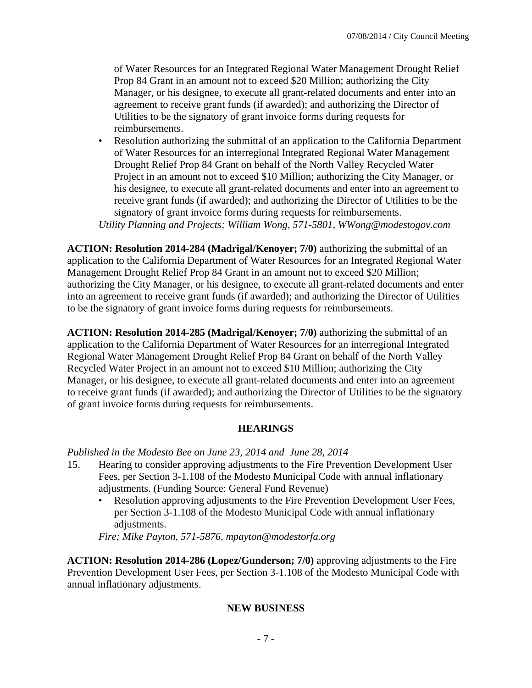of Water Resources for an Integrated Regional Water Management Drought Relief Prop 84 Grant in an amount not to exceed \$20 Million; authorizing the City Manager, or his designee, to execute all grant-related documents and enter into an agreement to receive grant funds (if awarded); and authorizing the Director of Utilities to be the signatory of grant invoice forms during requests for reimbursements.

• Resolution authorizing the submittal of an application to the California Department of Water Resources for an interregional Integrated Regional Water Management Drought Relief Prop 84 Grant on behalf of the North Valley Recycled Water Project in an amount not to exceed \$10 Million; authorizing the City Manager, or his designee, to execute all grant-related documents and enter into an agreement to receive grant funds (if awarded); and authorizing the Director of Utilities to be the signatory of grant invoice forms during requests for reimbursements. *Utility Planning and Projects; William Wong, 571-5801, WWong@modestogov.com* 

**ACTION: Resolution 2014-284 (Madrigal/Kenoyer; 7/0)** authorizing the submittal of an application to the California Department of Water Resources for an Integrated Regional Water Management Drought Relief Prop 84 Grant in an amount not to exceed \$20 Million; authorizing the City Manager, or his designee, to execute all grant-related documents and enter into an agreement to receive grant funds (if awarded); and authorizing the Director of Utilities to be the signatory of grant invoice forms during requests for reimbursements.

**ACTION: Resolution 2014-285 (Madrigal/Kenoyer; 7/0)** authorizing the submittal of an application to the California Department of Water Resources for an interregional Integrated Regional Water Management Drought Relief Prop 84 Grant on behalf of the North Valley Recycled Water Project in an amount not to exceed \$10 Million; authorizing the City Manager, or his designee, to execute all grant-related documents and enter into an agreement to receive grant funds (if awarded); and authorizing the Director of Utilities to be the signatory of grant invoice forms during requests for reimbursements.

#### **HEARINGS**

#### *Published in the Modesto Bee on June 23, 2014 and June 28, 2014*

- 15. Hearing to consider approving adjustments to the Fire Prevention Development User Fees, per Section 3-1.108 of the Modesto Municipal Code with annual inflationary adjustments. (Funding Source: General Fund Revenue)
	- Resolution approving adjustments to the Fire Prevention Development User Fees, per Section 3-1.108 of the Modesto Municipal Code with annual inflationary adjustments.

*Fire; Mike Payton, 571-5876, mpayton@modestorfa.org* 

**ACTION: Resolution 2014-286 (Lopez/Gunderson; 7/0)** approving adjustments to the Fire Prevention Development User Fees, per Section 3-1.108 of the Modesto Municipal Code with annual inflationary adjustments.

#### **NEW BUSINESS**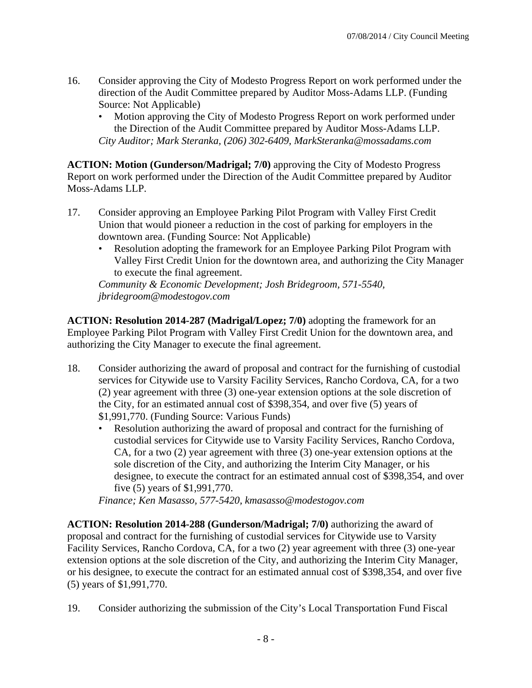- 16. Consider approving the City of Modesto Progress Report on work performed under the direction of the Audit Committee prepared by Auditor Moss-Adams LLP. (Funding Source: Not Applicable)
	- Motion approving the City of Modesto Progress Report on work performed under the Direction of the Audit Committee prepared by Auditor Moss-Adams LLP. *City Auditor; Mark Steranka, (206) 302-6409, MarkSteranka@mossadams.com*

**ACTION: Motion (Gunderson/Madrigal; 7/0)** approving the City of Modesto Progress Report on work performed under the Direction of the Audit Committee prepared by Auditor Moss-Adams LLP.

- 17. Consider approving an Employee Parking Pilot Program with Valley First Credit Union that would pioneer a reduction in the cost of parking for employers in the downtown area. (Funding Source: Not Applicable)
	- Resolution adopting the framework for an Employee Parking Pilot Program with Valley First Credit Union for the downtown area, and authorizing the City Manager to execute the final agreement.

*Community & Economic Development; Josh Bridegroom, 571-5540, jbridegroom@modestogov.com* 

**ACTION: Resolution 2014-287 (Madrigal/Lopez; 7/0)** adopting the framework for an Employee Parking Pilot Program with Valley First Credit Union for the downtown area, and authorizing the City Manager to execute the final agreement.

- 18. Consider authorizing the award of proposal and contract for the furnishing of custodial services for Citywide use to Varsity Facility Services, Rancho Cordova, CA, for a two (2) year agreement with three (3) one-year extension options at the sole discretion of the City, for an estimated annual cost of \$398,354, and over five (5) years of \$1,991,770. (Funding Source: Various Funds)
	- Resolution authorizing the award of proposal and contract for the furnishing of custodial services for Citywide use to Varsity Facility Services, Rancho Cordova, CA, for a two (2) year agreement with three (3) one-year extension options at the sole discretion of the City, and authorizing the Interim City Manager, or his designee, to execute the contract for an estimated annual cost of \$398,354, and over five (5) years of \$1,991,770.

*Finance; Ken Masasso, 577-5420, kmasasso@modestogov.com* 

**ACTION: Resolution 2014-288 (Gunderson/Madrigal; 7/0)** authorizing the award of proposal and contract for the furnishing of custodial services for Citywide use to Varsity Facility Services, Rancho Cordova, CA, for a two (2) year agreement with three (3) one-year extension options at the sole discretion of the City, and authorizing the Interim City Manager, or his designee, to execute the contract for an estimated annual cost of \$398,354, and over five (5) years of \$1,991,770.

19. Consider authorizing the submission of the City's Local Transportation Fund Fiscal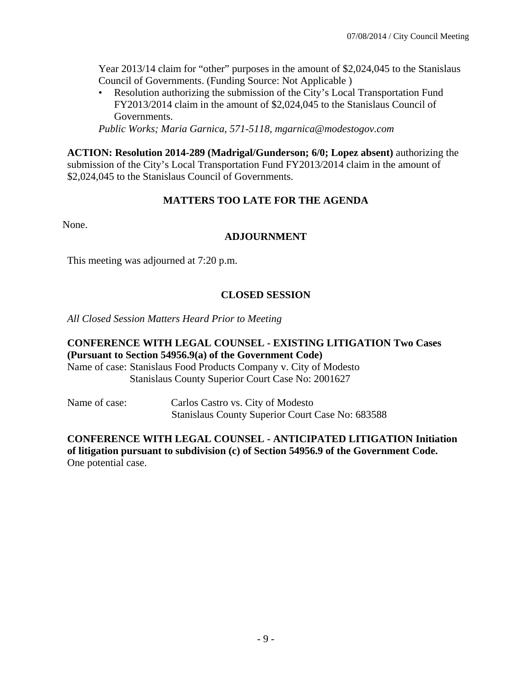Year 2013/14 claim for "other" purposes in the amount of \$2,024,045 to the Stanislaus Council of Governments. (Funding Source: Not Applicable )

• Resolution authorizing the submission of the City's Local Transportation Fund FY2013/2014 claim in the amount of \$2,024,045 to the Stanislaus Council of Governments.

*Public Works; Maria Garnica, 571-5118, mgarnica@modestogov.com* 

**ACTION: Resolution 2014-289 (Madrigal/Gunderson; 6/0; Lopez absent)** authorizing the submission of the City's Local Transportation Fund FY2013/2014 claim in the amount of \$2,024,045 to the Stanislaus Council of Governments.

#### **MATTERS TOO LATE FOR THE AGENDA**

None.

#### **ADJOURNMENT**

This meeting was adjourned at 7:20 p.m.

#### **CLOSED SESSION**

*All Closed Session Matters Heard Prior to Meeting*

#### **CONFERENCE WITH LEGAL COUNSEL - EXISTING LITIGATION Two Cases (Pursuant to Section 54956.9(a) of the Government Code)**

Name of case: Stanislaus Food Products Company v. City of Modesto Stanislaus County Superior Court Case No: 2001627

Name of case: Carlos Castro vs. City of Modesto Stanislaus County Superior Court Case No: 683588

#### **CONFERENCE WITH LEGAL COUNSEL - ANTICIPATED LITIGATION Initiation of litigation pursuant to subdivision (c) of Section 54956.9 of the Government Code.**  One potential case.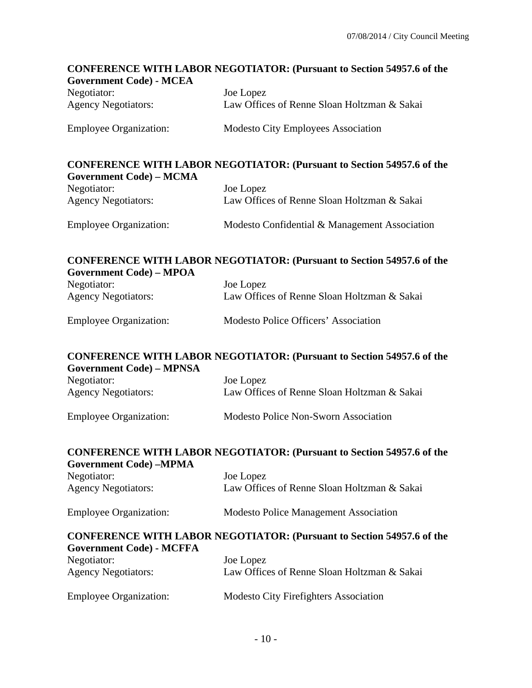# **CONFERENCE WITH LABOR NEGOTIATOR: (Pursuant to Section 54957.6 of the Government Code) - MCEA**  Negotiator: Joe Lopez Agency Negotiators: Law Offices of Renne Sloan Holtzman & Sakai Employee Organization: Modesto City Employees Association **CONFERENCE WITH LABOR NEGOTIATOR: (Pursuant to Section 54957.6 of the Government Code) – MCMA**  Negotiator: Joe Lopez Agency Negotiators: Law Offices of Renne Sloan Holtzman & Sakai Employee Organization: Modesto Confidential & Management Association **CONFERENCE WITH LABOR NEGOTIATOR: (Pursuant to Section 54957.6 of the Government Code) – MPOA**  Negotiator: Joe Lopez Agency Negotiators: Law Offices of Renne Sloan Holtzman & Sakai Employee Organization: Modesto Police Officers' Association **CONFERENCE WITH LABOR NEGOTIATOR: (Pursuant to Section 54957.6 of the Government Code) – MPNSA**  Negotiator: Joe Lopez Agency Negotiators: Law Offices of Renne Sloan Holtzman & Sakai Employee Organization: Modesto Police Non-Sworn Association **CONFERENCE WITH LABOR NEGOTIATOR: (Pursuant to Section 54957.6 of the Government Code) –MPMA**  Negotiator: Joe Lopez Agency Negotiators: Law Offices of Renne Sloan Holtzman & Sakai Employee Organization: Modesto Police Management Association **CONFERENCE WITH LABOR NEGOTIATOR: (Pursuant to Section 54957.6 of the Government Code) - MCFFA**  Negotiator: Joe Lopez Agency Negotiators: Law Offices of Renne Sloan Holtzman & Sakai Employee Organization: Modesto City Firefighters Association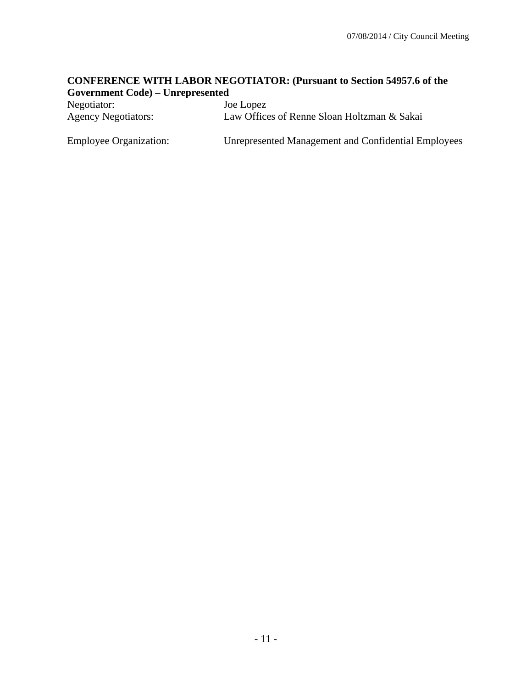#### **CONFERENCE WITH LABOR NEGOTIATOR: (Pursuant to Section 54957.6 of the Government Code) – Unrepresented**

| Negotiator:                   | Joe Lopez                                                  |
|-------------------------------|------------------------------------------------------------|
| <b>Agency Negotiators:</b>    | Law Offices of Renne Sloan Holtzman & Sakai                |
| <b>Employee Organization:</b> | <b>Unrepresented Management and Confidential Employees</b> |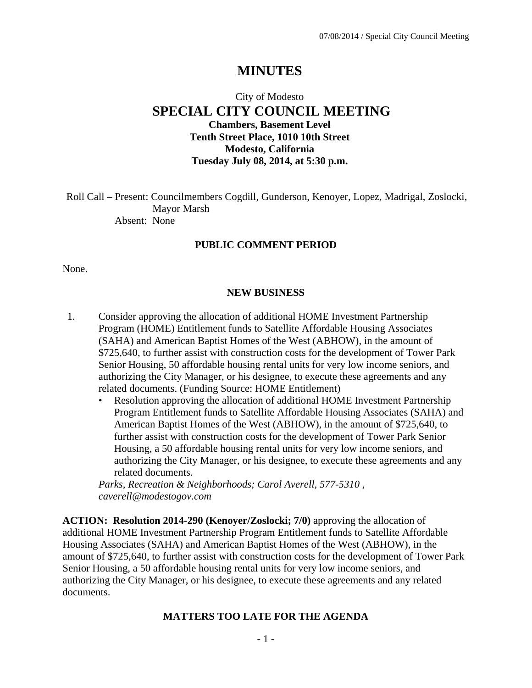# **MINUTES**

# City of Modesto  **SPECIAL CITY COUNCIL MEETING Chambers, Basement Level Tenth Street Place, 1010 10th Street Modesto, California Tuesday July 08, 2014, at 5:30 p.m.**

Roll Call – Present: Councilmembers Cogdill, Gunderson, Kenoyer, Lopez, Madrigal, Zoslocki, Mayor Marsh Absent: None

#### **PUBLIC COMMENT PERIOD**

None.

#### **NEW BUSINESS**

- 1. Consider approving the allocation of additional HOME Investment Partnership Program (HOME) Entitlement funds to Satellite Affordable Housing Associates (SAHA) and American Baptist Homes of the West (ABHOW), in the amount of \$725,640, to further assist with construction costs for the development of Tower Park Senior Housing, 50 affordable housing rental units for very low income seniors, and authorizing the City Manager, or his designee, to execute these agreements and any related documents. (Funding Source: HOME Entitlement)
	- Resolution approving the allocation of additional HOME Investment Partnership Program Entitlement funds to Satellite Affordable Housing Associates (SAHA) and American Baptist Homes of the West (ABHOW), in the amount of \$725,640, to further assist with construction costs for the development of Tower Park Senior Housing, a 50 affordable housing rental units for very low income seniors, and authorizing the City Manager, or his designee, to execute these agreements and any related documents.

*Parks, Recreation & Neighborhoods; Carol Averell, 577-5310 , caverell@modestogov.com* 

**ACTION: Resolution 2014-290 (Kenoyer/Zoslocki; 7/0)** approving the allocation of additional HOME Investment Partnership Program Entitlement funds to Satellite Affordable Housing Associates (SAHA) and American Baptist Homes of the West (ABHOW), in the amount of \$725,640, to further assist with construction costs for the development of Tower Park Senior Housing, a 50 affordable housing rental units for very low income seniors, and authorizing the City Manager, or his designee, to execute these agreements and any related documents.

#### **MATTERS TOO LATE FOR THE AGENDA**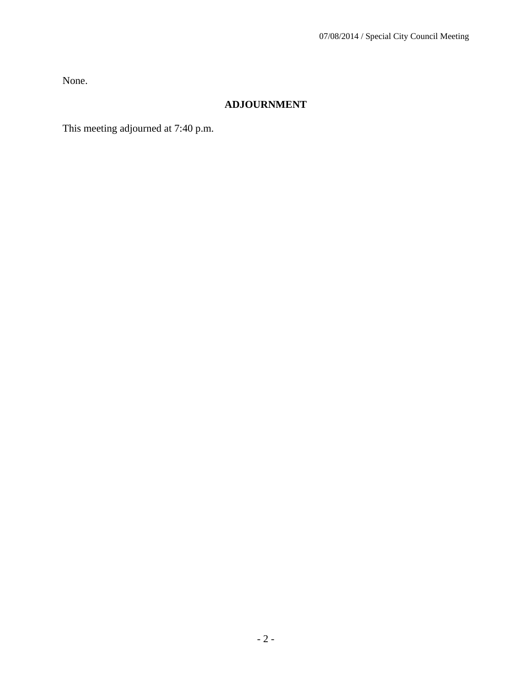None.

## **ADJOURNMENT**

This meeting adjourned at 7:40 p.m.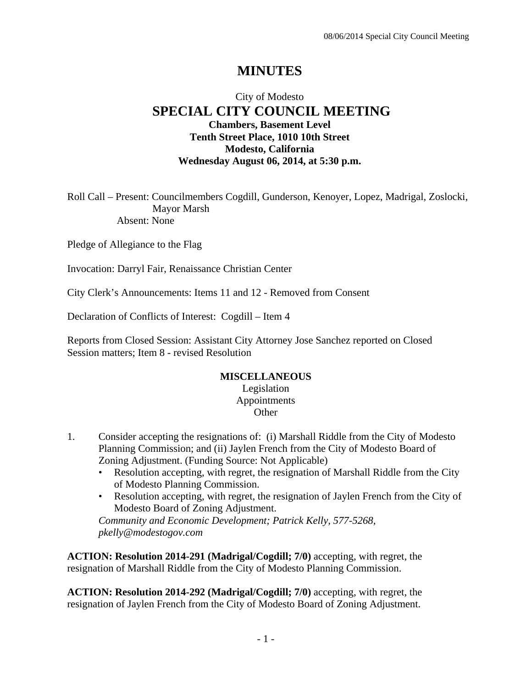# **MINUTES**

## City of Modesto  **SPECIAL CITY COUNCIL MEETING Chambers, Basement Level Tenth Street Place, 1010 10th Street Modesto, California Wednesday August 06, 2014, at 5:30 p.m.**

Roll Call – Present: Councilmembers Cogdill, Gunderson, Kenoyer, Lopez, Madrigal, Zoslocki, Mayor Marsh Absent: None

Pledge of Allegiance to the Flag

Invocation: Darryl Fair, Renaissance Christian Center

City Clerk's Announcements: Items 11 and 12 - Removed from Consent

Declaration of Conflicts of Interest: Cogdill – Item 4

Reports from Closed Session: Assistant City Attorney Jose Sanchez reported on Closed Session matters; Item 8 - revised Resolution

#### **MISCELLANEOUS**

Legislation Appointments **Other** 

- 1. Consider accepting the resignations of: (i) Marshall Riddle from the City of Modesto Planning Commission; and (ii) Jaylen French from the City of Modesto Board of Zoning Adjustment. (Funding Source: Not Applicable)
	- Resolution accepting, with regret, the resignation of Marshall Riddle from the City of Modesto Planning Commission.
	- Resolution accepting, with regret, the resignation of Jaylen French from the City of Modesto Board of Zoning Adjustment.

*Community and Economic Development; Patrick Kelly, 577-5268, pkelly@modestogov.com* 

**ACTION: Resolution 2014-291 (Madrigal/Cogdill; 7/0)** accepting, with regret, the resignation of Marshall Riddle from the City of Modesto Planning Commission.

**ACTION: Resolution 2014-292 (Madrigal/Cogdill; 7/0)** accepting, with regret, the resignation of Jaylen French from the City of Modesto Board of Zoning Adjustment.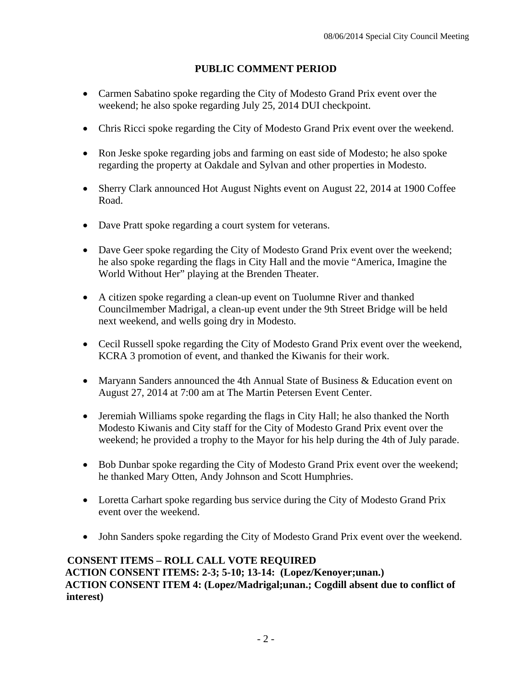## **PUBLIC COMMENT PERIOD**

- Carmen Sabatino spoke regarding the City of Modesto Grand Prix event over the weekend; he also spoke regarding July 25, 2014 DUI checkpoint.
- Chris Ricci spoke regarding the City of Modesto Grand Prix event over the weekend.
- Ron Jeske spoke regarding jobs and farming on east side of Modesto; he also spoke regarding the property at Oakdale and Sylvan and other properties in Modesto.
- Sherry Clark announced Hot August Nights event on August 22, 2014 at 1900 Coffee Road.
- Dave Pratt spoke regarding a court system for veterans.
- Dave Geer spoke regarding the City of Modesto Grand Prix event over the weekend; he also spoke regarding the flags in City Hall and the movie "America, Imagine the World Without Her" playing at the Brenden Theater.
- A citizen spoke regarding a clean-up event on Tuolumne River and thanked Councilmember Madrigal, a clean-up event under the 9th Street Bridge will be held next weekend, and wells going dry in Modesto.
- Cecil Russell spoke regarding the City of Modesto Grand Prix event over the weekend, KCRA 3 promotion of event, and thanked the Kiwanis for their work.
- Maryann Sanders announced the 4th Annual State of Business & Education event on August 27, 2014 at 7:00 am at The Martin Petersen Event Center.
- Jeremiah Williams spoke regarding the flags in City Hall; he also thanked the North Modesto Kiwanis and City staff for the City of Modesto Grand Prix event over the weekend; he provided a trophy to the Mayor for his help during the 4th of July parade.
- Bob Dunbar spoke regarding the City of Modesto Grand Prix event over the weekend; he thanked Mary Otten, Andy Johnson and Scott Humphries.
- Loretta Carhart spoke regarding bus service during the City of Modesto Grand Prix event over the weekend.
- John Sanders spoke regarding the City of Modesto Grand Prix event over the weekend.

### **CONSENT ITEMS – ROLL CALL VOTE REQUIRED ACTION CONSENT ITEMS: 2-3; 5-10; 13-14: (Lopez/Kenoyer;unan.) ACTION CONSENT ITEM 4: (Lopez/Madrigal;unan.; Cogdill absent due to conflict of interest)**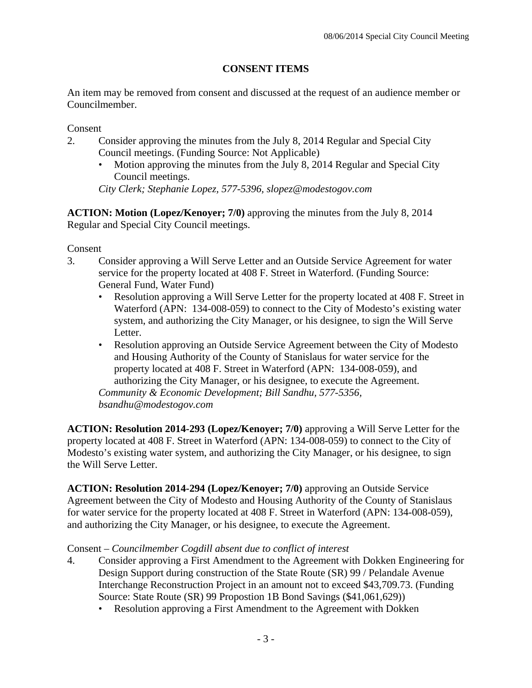## **CONSENT ITEMS**

An item may be removed from consent and discussed at the request of an audience member or Councilmember.

Consent

- 2. Consider approving the minutes from the July 8, 2014 Regular and Special City Council meetings. (Funding Source: Not Applicable)
	- Motion approving the minutes from the July 8, 2014 Regular and Special City Council meetings.

*City Clerk; Stephanie Lopez, 577-5396, slopez@modestogov.com* 

**ACTION: Motion (Lopez/Kenoyer; 7/0)** approving the minutes from the July 8, 2014 Regular and Special City Council meetings.

Consent

- 3. Consider approving a Will Serve Letter and an Outside Service Agreement for water service for the property located at 408 F. Street in Waterford. (Funding Source: General Fund, Water Fund)
	- Resolution approving a Will Serve Letter for the property located at 408 F. Street in Waterford (APN: 134-008-059) to connect to the City of Modesto's existing water system, and authorizing the City Manager, or his designee, to sign the Will Serve Letter.
	- Resolution approving an Outside Service Agreement between the City of Modesto and Housing Authority of the County of Stanislaus for water service for the property located at 408 F. Street in Waterford (APN: 134-008-059), and authorizing the City Manager, or his designee, to execute the Agreement. *Community & Economic Development; Bill Sandhu, 577-5356,*

*bsandhu@modestogov.com* 

**ACTION: Resolution 2014-293 (Lopez/Kenoyer; 7/0)** approving a Will Serve Letter for the property located at 408 F. Street in Waterford (APN: 134-008-059) to connect to the City of Modesto's existing water system, and authorizing the City Manager, or his designee, to sign the Will Serve Letter.

**ACTION: Resolution 2014-294 (Lopez/Kenoyer; 7/0)** approving an Outside Service Agreement between the City of Modesto and Housing Authority of the County of Stanislaus for water service for the property located at 408 F. Street in Waterford (APN: 134-008-059), and authorizing the City Manager, or his designee, to execute the Agreement.

### Consent *– Councilmember Cogdill absent due to conflict of interest*

- 4. Consider approving a First Amendment to the Agreement with Dokken Engineering for Design Support during construction of the State Route (SR) 99 / Pelandale Avenue Interchange Reconstruction Project in an amount not to exceed \$43,709.73. (Funding Source: State Route (SR) 99 Propostion 1B Bond Savings (\$41,061,629))
	- Resolution approving a First Amendment to the Agreement with Dokken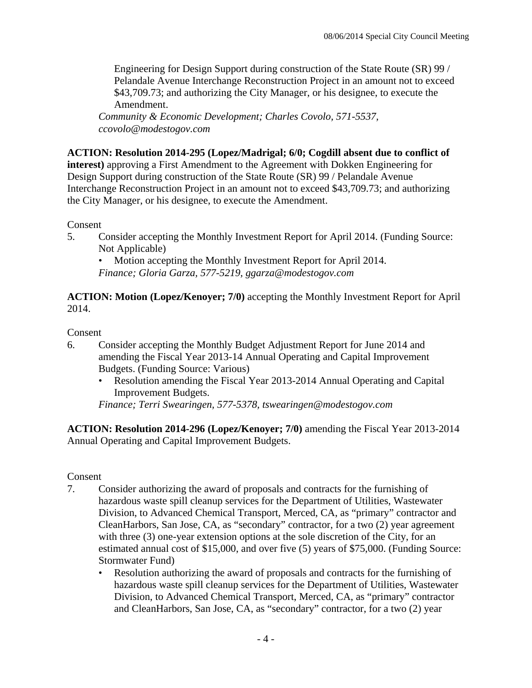Engineering for Design Support during construction of the State Route (SR) 99 / Pelandale Avenue Interchange Reconstruction Project in an amount not to exceed \$43,709.73; and authorizing the City Manager, or his designee, to execute the Amendment.

*Community & Economic Development; Charles Covolo, 571-5537, ccovolo@modestogov.com* 

## **ACTION: Resolution 2014-295 (Lopez/Madrigal; 6/0; Cogdill absent due to conflict of**

**interest)** approving a First Amendment to the Agreement with Dokken Engineering for Design Support during construction of the State Route (SR) 99 / Pelandale Avenue Interchange Reconstruction Project in an amount not to exceed \$43,709.73; and authorizing the City Manager, or his designee, to execute the Amendment.

Consent

5. Consider accepting the Monthly Investment Report for April 2014. (Funding Source: Not Applicable)

• Motion accepting the Monthly Investment Report for April 2014.

*Finance; Gloria Garza, 577-5219, ggarza@modestogov.com* 

**ACTION: Motion (Lopez/Kenoyer; 7/0)** accepting the Monthly Investment Report for April 2014.

### Consent

- 6. Consider accepting the Monthly Budget Adjustment Report for June 2014 and amending the Fiscal Year 2013-14 Annual Operating and Capital Improvement Budgets. (Funding Source: Various)
	- Resolution amending the Fiscal Year 2013-2014 Annual Operating and Capital Improvement Budgets.

*Finance; Terri Swearingen, 577-5378, tswearingen@modestogov.com* 

**ACTION: Resolution 2014-296 (Lopez/Kenoyer; 7/0)** amending the Fiscal Year 2013-2014 Annual Operating and Capital Improvement Budgets.

### Consent

- 7. Consider authorizing the award of proposals and contracts for the furnishing of hazardous waste spill cleanup services for the Department of Utilities, Wastewater Division, to Advanced Chemical Transport, Merced, CA, as "primary" contractor and CleanHarbors, San Jose, CA, as "secondary" contractor, for a two (2) year agreement with three (3) one-year extension options at the sole discretion of the City, for an estimated annual cost of \$15,000, and over five (5) years of \$75,000. (Funding Source: Stormwater Fund)
	- Resolution authorizing the award of proposals and contracts for the furnishing of hazardous waste spill cleanup services for the Department of Utilities, Wastewater Division, to Advanced Chemical Transport, Merced, CA, as "primary" contractor and CleanHarbors, San Jose, CA, as "secondary" contractor, for a two (2) year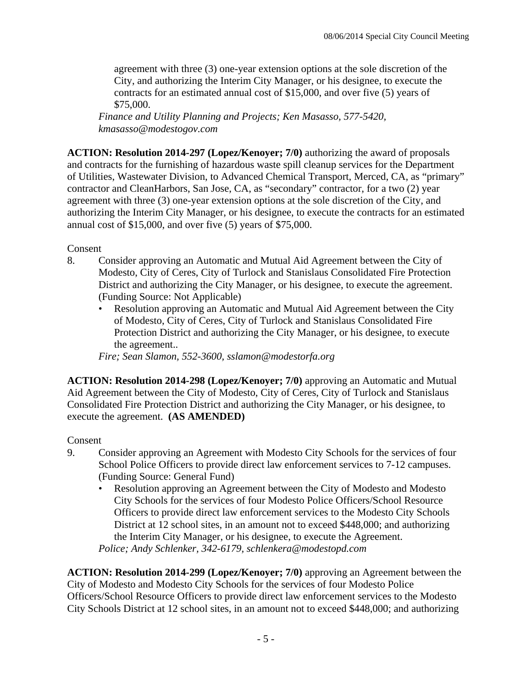agreement with three (3) one-year extension options at the sole discretion of the City, and authorizing the Interim City Manager, or his designee, to execute the contracts for an estimated annual cost of \$15,000, and over five (5) years of \$75,000.

*Finance and Utility Planning and Projects; Ken Masasso, 577-5420, kmasasso@modestogov.com* 

**ACTION: Resolution 2014-297 (Lopez/Kenoyer; 7/0)** authorizing the award of proposals and contracts for the furnishing of hazardous waste spill cleanup services for the Department of Utilities, Wastewater Division, to Advanced Chemical Transport, Merced, CA, as "primary" contractor and CleanHarbors, San Jose, CA, as "secondary" contractor, for a two (2) year agreement with three (3) one-year extension options at the sole discretion of the City, and authorizing the Interim City Manager, or his designee, to execute the contracts for an estimated annual cost of \$15,000, and over five (5) years of \$75,000.

Consent

- 8. Consider approving an Automatic and Mutual Aid Agreement between the City of Modesto, City of Ceres, City of Turlock and Stanislaus Consolidated Fire Protection District and authorizing the City Manager, or his designee, to execute the agreement. (Funding Source: Not Applicable)
	- Resolution approving an Automatic and Mutual Aid Agreement between the City of Modesto, City of Ceres, City of Turlock and Stanislaus Consolidated Fire Protection District and authorizing the City Manager, or his designee, to execute the agreement..

*Fire; Sean Slamon, 552-3600, sslamon@modestorfa.org* 

**ACTION: Resolution 2014-298 (Lopez/Kenoyer; 7/0)** approving an Automatic and Mutual Aid Agreement between the City of Modesto, City of Ceres, City of Turlock and Stanislaus Consolidated Fire Protection District and authorizing the City Manager, or his designee, to execute the agreement. **(AS AMENDED)**

## Consent

- 9. Consider approving an Agreement with Modesto City Schools for the services of four School Police Officers to provide direct law enforcement services to 7-12 campuses. (Funding Source: General Fund)
	- Resolution approving an Agreement between the City of Modesto and Modesto City Schools for the services of four Modesto Police Officers/School Resource Officers to provide direct law enforcement services to the Modesto City Schools District at 12 school sites, in an amount not to exceed \$448,000; and authorizing the Interim City Manager, or his designee, to execute the Agreement. *Police; Andy Schlenker, 342-6179, schlenkera@modestopd.com*

**ACTION: Resolution 2014-299 (Lopez/Kenoyer; 7/0)** approving an Agreement between the City of Modesto and Modesto City Schools for the services of four Modesto Police Officers/School Resource Officers to provide direct law enforcement services to the Modesto City Schools District at 12 school sites, in an amount not to exceed \$448,000; and authorizing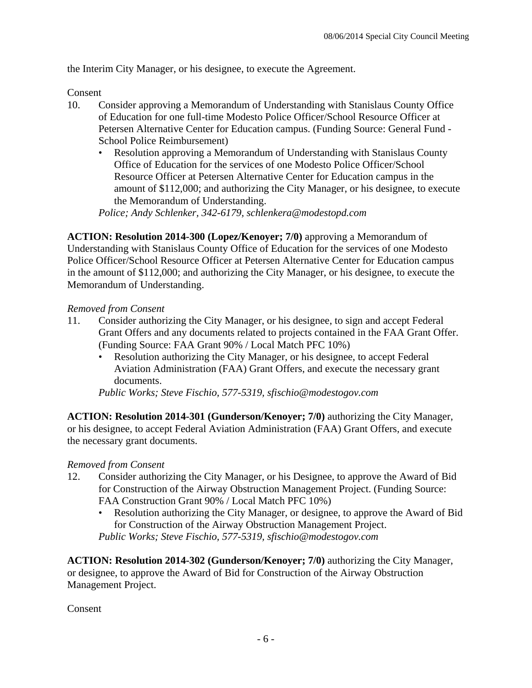the Interim City Manager, or his designee, to execute the Agreement.

Consent

- 10. Consider approving a Memorandum of Understanding with Stanislaus County Office of Education for one full-time Modesto Police Officer/School Resource Officer at Petersen Alternative Center for Education campus. (Funding Source: General Fund - School Police Reimbursement)
	- Resolution approving a Memorandum of Understanding with Stanislaus County Office of Education for the services of one Modesto Police Officer/School Resource Officer at Petersen Alternative Center for Education campus in the amount of \$112,000; and authorizing the City Manager, or his designee, to execute the Memorandum of Understanding.

*Police; Andy Schlenker, 342-6179, schlenkera@modestopd.com* 

**ACTION: Resolution 2014-300 (Lopez/Kenoyer; 7/0)** approving a Memorandum of Understanding with Stanislaus County Office of Education for the services of one Modesto Police Officer/School Resource Officer at Petersen Alternative Center for Education campus in the amount of \$112,000; and authorizing the City Manager, or his designee, to execute the Memorandum of Understanding.

### *Removed from Consent*

- 11. Consider authorizing the City Manager, or his designee, to sign and accept Federal Grant Offers and any documents related to projects contained in the FAA Grant Offer. (Funding Source: FAA Grant 90% / Local Match PFC 10%)
	- Resolution authorizing the City Manager, or his designee, to accept Federal Aviation Administration (FAA) Grant Offers, and execute the necessary grant documents.

*Public Works; Steve Fischio, 577-5319, sfischio@modestogov.com* 

**ACTION: Resolution 2014-301 (Gunderson/Kenoyer; 7/0)** authorizing the City Manager, or his designee, to accept Federal Aviation Administration (FAA) Grant Offers, and execute the necessary grant documents.

### *Removed from Consent*

- 12. Consider authorizing the City Manager, or his Designee, to approve the Award of Bid for Construction of the Airway Obstruction Management Project. (Funding Source: FAA Construction Grant 90% / Local Match PFC 10%)
	- Resolution authorizing the City Manager, or designee, to approve the Award of Bid for Construction of the Airway Obstruction Management Project. *Public Works; Steve Fischio, 577-5319, sfischio@modestogov.com*

**ACTION: Resolution 2014-302 (Gunderson/Kenoyer; 7/0)** authorizing the City Manager, or designee, to approve the Award of Bid for Construction of the Airway Obstruction Management Project.

Consent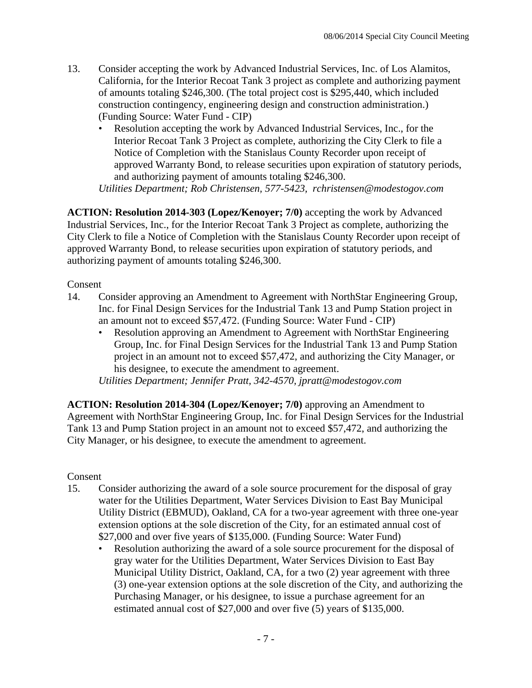- 13. Consider accepting the work by Advanced Industrial Services, Inc. of Los Alamitos, California, for the Interior Recoat Tank 3 project as complete and authorizing payment of amounts totaling \$246,300. (The total project cost is \$295,440, which included construction contingency, engineering design and construction administration.) (Funding Source: Water Fund - CIP)
	- Resolution accepting the work by Advanced Industrial Services, Inc., for the Interior Recoat Tank 3 Project as complete, authorizing the City Clerk to file a Notice of Completion with the Stanislaus County Recorder upon receipt of approved Warranty Bond, to release securities upon expiration of statutory periods, and authorizing payment of amounts totaling \$246,300.

*Utilities Department; Rob Christensen, 577-5423, rchristensen@modestogov.com* 

**ACTION: Resolution 2014-303 (Lopez/Kenoyer; 7/0)** accepting the work by Advanced Industrial Services, Inc., for the Interior Recoat Tank 3 Project as complete, authorizing the City Clerk to file a Notice of Completion with the Stanislaus County Recorder upon receipt of approved Warranty Bond, to release securities upon expiration of statutory periods, and authorizing payment of amounts totaling \$246,300.

Consent

- 14. Consider approving an Amendment to Agreement with NorthStar Engineering Group, Inc. for Final Design Services for the Industrial Tank 13 and Pump Station project in an amount not to exceed \$57,472. (Funding Source: Water Fund - CIP)
	- Resolution approving an Amendment to Agreement with NorthStar Engineering Group, Inc. for Final Design Services for the Industrial Tank 13 and Pump Station project in an amount not to exceed \$57,472, and authorizing the City Manager, or his designee, to execute the amendment to agreement. *Utilities Department; Jennifer Pratt, 342-4570, jpratt@modestogov.com*

**ACTION: Resolution 2014-304 (Lopez/Kenoyer; 7/0)** approving an Amendment to Agreement with NorthStar Engineering Group, Inc. for Final Design Services for the Industrial Tank 13 and Pump Station project in an amount not to exceed \$57,472, and authorizing the City Manager, or his designee, to execute the amendment to agreement.

Consent

- 15. Consider authorizing the award of a sole source procurement for the disposal of gray water for the Utilities Department, Water Services Division to East Bay Municipal Utility District (EBMUD), Oakland, CA for a two-year agreement with three one-year extension options at the sole discretion of the City, for an estimated annual cost of \$27,000 and over five years of \$135,000. (Funding Source: Water Fund)
	- Resolution authorizing the award of a sole source procurement for the disposal of gray water for the Utilities Department, Water Services Division to East Bay Municipal Utility District, Oakland, CA, for a two (2) year agreement with three (3) one-year extension options at the sole discretion of the City, and authorizing the Purchasing Manager, or his designee, to issue a purchase agreement for an estimated annual cost of \$27,000 and over five (5) years of \$135,000.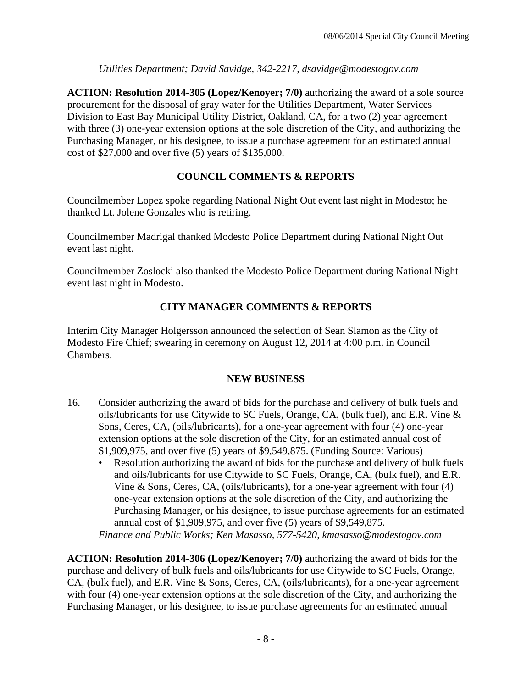*Utilities Department; David Savidge, 342-2217, dsavidge@modestogov.com* 

**ACTION: Resolution 2014-305 (Lopez/Kenoyer; 7/0)** authorizing the award of a sole source procurement for the disposal of gray water for the Utilities Department, Water Services Division to East Bay Municipal Utility District, Oakland, CA, for a two (2) year agreement with three (3) one-year extension options at the sole discretion of the City, and authorizing the Purchasing Manager, or his designee, to issue a purchase agreement for an estimated annual cost of \$27,000 and over five (5) years of \$135,000.

## **COUNCIL COMMENTS & REPORTS**

Councilmember Lopez spoke regarding National Night Out event last night in Modesto; he thanked Lt. Jolene Gonzales who is retiring.

Councilmember Madrigal thanked Modesto Police Department during National Night Out event last night.

Councilmember Zoslocki also thanked the Modesto Police Department during National Night event last night in Modesto.

## **CITY MANAGER COMMENTS & REPORTS**

Interim City Manager Holgersson announced the selection of Sean Slamon as the City of Modesto Fire Chief; swearing in ceremony on August 12, 2014 at 4:00 p.m. in Council Chambers.

### **NEW BUSINESS**

- 16. Consider authorizing the award of bids for the purchase and delivery of bulk fuels and oils/lubricants for use Citywide to SC Fuels, Orange, CA, (bulk fuel), and E.R. Vine & Sons, Ceres, CA, (oils/lubricants), for a one-year agreement with four (4) one-year extension options at the sole discretion of the City, for an estimated annual cost of \$1,909,975, and over five (5) years of \$9,549,875. (Funding Source: Various)
	- Resolution authorizing the award of bids for the purchase and delivery of bulk fuels and oils/lubricants for use Citywide to SC Fuels, Orange, CA, (bulk fuel), and E.R. Vine & Sons, Ceres, CA, (oils/lubricants), for a one-year agreement with four (4) one-year extension options at the sole discretion of the City, and authorizing the Purchasing Manager, or his designee, to issue purchase agreements for an estimated annual cost of \$1,909,975, and over five (5) years of \$9,549,875.

*Finance and Public Works; Ken Masasso, 577-5420, kmasasso@modestogov.com* 

**ACTION: Resolution 2014-306 (Lopez/Kenoyer; 7/0)** authorizing the award of bids for the purchase and delivery of bulk fuels and oils/lubricants for use Citywide to SC Fuels, Orange, CA, (bulk fuel), and E.R. Vine & Sons, Ceres, CA, (oils/lubricants), for a one-year agreement with four (4) one-year extension options at the sole discretion of the City, and authorizing the Purchasing Manager, or his designee, to issue purchase agreements for an estimated annual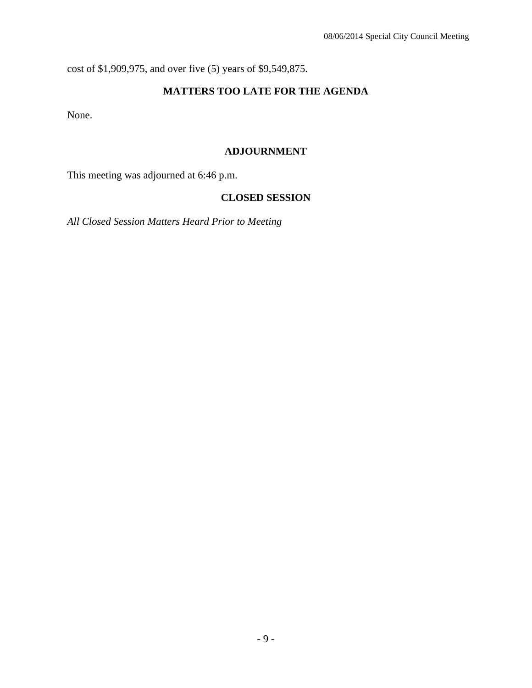cost of \$1,909,975, and over five (5) years of \$9,549,875.

## **MATTERS TOO LATE FOR THE AGENDA**

None.

### **ADJOURNMENT**

This meeting was adjourned at 6:46 p.m.

## **CLOSED SESSION**

*All Closed Session Matters Heard Prior to Meeting*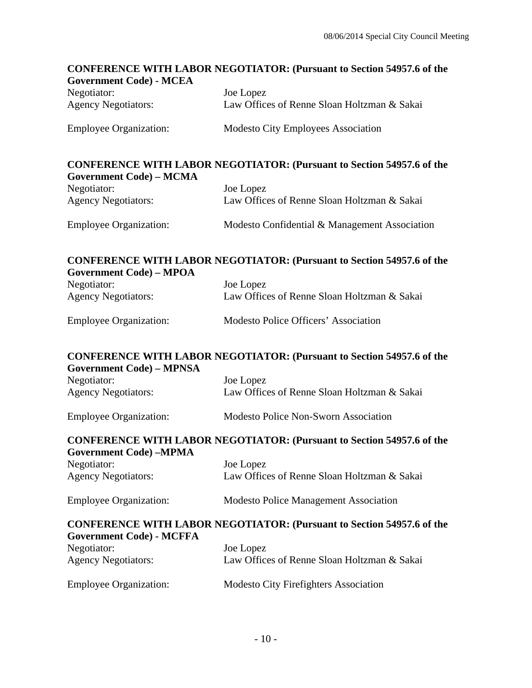# **CONFERENCE WITH LABOR NEGOTIATOR: (Pursuant to Section 54957.6 of the Government Code) - MCEA**  Negotiator: Joe Lopez Agency Negotiators: Law Offices of Renne Sloan Holtzman & Sakai Employee Organization: Modesto City Employees Association **CONFERENCE WITH LABOR NEGOTIATOR: (Pursuant to Section 54957.6 of the Government Code) – MCMA**  Negotiator: Joe Lopez Agency Negotiators: Law Offices of Renne Sloan Holtzman & Sakai Employee Organization: Modesto Confidential & Management Association **CONFERENCE WITH LABOR NEGOTIATOR: (Pursuant to Section 54957.6 of the Government Code) – MPOA**  Negotiator: Joe Lopez Agency Negotiators: Law Offices of Renne Sloan Holtzman & Sakai Employee Organization: Modesto Police Officers' Association **CONFERENCE WITH LABOR NEGOTIATOR: (Pursuant to Section 54957.6 of the Government Code) – MPNSA**  Negotiator: Joe Lopez Agency Negotiators: Law Offices of Renne Sloan Holtzman & Sakai Employee Organization: Modesto Police Non-Sworn Association **CONFERENCE WITH LABOR NEGOTIATOR: (Pursuant to Section 54957.6 of the Government Code) –MPMA**  Negotiator: Joe Lopez Agency Negotiators: Law Offices of Renne Sloan Holtzman & Sakai Employee Organization: Modesto Police Management Association **CONFERENCE WITH LABOR NEGOTIATOR: (Pursuant to Section 54957.6 of the Government Code) - MCFFA**  Negotiator: Joe Lopez Agency Negotiators: Law Offices of Renne Sloan Holtzman & Sakai Employee Organization: Modesto City Firefighters Association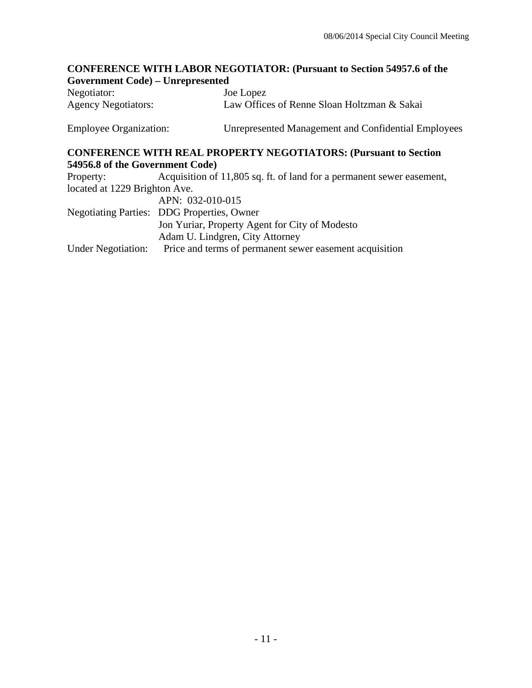# **CONFERENCE WITH LABOR NEGOTIATOR: (Pursuant to Section 54957.6 of the Government Code) – Unrepresented**

| Negotiator:                | Joe Lopez                                   |
|----------------------------|---------------------------------------------|
| <b>Agency Negotiators:</b> | Law Offices of Renne Sloan Holtzman & Sakai |

Employee Organization: Unrepresented Management and Confidential Employees

### **CONFERENCE WITH REAL PROPERTY NEGOTIATORS: (Pursuant to Section 54956.8 of the Government Code)**

| Acquisition of 11,805 sq. ft. of land for a permanent sewer easement, |
|-----------------------------------------------------------------------|
| located at 1229 Brighton Ave.                                         |
| APN: 032-010-015                                                      |
| <b>Negotiating Parties: DDG Properties, Owner</b>                     |
| Jon Yuriar, Property Agent for City of Modesto                        |
| Adam U. Lindgren, City Attorney                                       |
| Price and terms of permanent sewer easement acquisition               |
|                                                                       |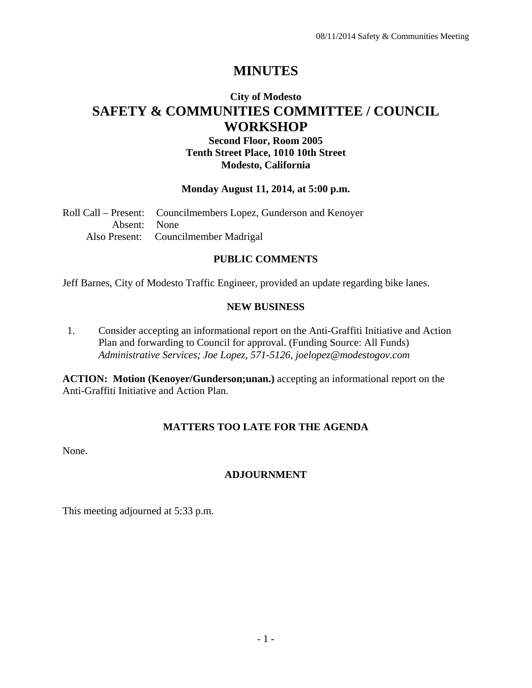# **MINUTES**

## **City of Modesto SAFETY & COMMUNITIES COMMITTEE / COUNCIL WORKSHOP**

## **Second Floor, Room 2005 Tenth Street Place, 1010 10th Street Modesto, California**

### **Monday August 11, 2014, at 5:00 p.m.**

Roll Call – Present: Councilmembers Lopez, Gunderson and Kenoyer Absent: None Also Present: Councilmember Madrigal

## **PUBLIC COMMENTS**

Jeff Barnes, City of Modesto Traffic Engineer, provided an update regarding bike lanes.

### **NEW BUSINESS**

1. Consider accepting an informational report on the Anti-Graffiti Initiative and Action Plan and forwarding to Council for approval. (Funding Source: All Funds)  *Administrative Services; Joe Lopez, 571-5126, joelopez@modestogov.com* 

**ACTION: Motion (Kenoyer/Gunderson;unan.)** accepting an informational report on the Anti-Graffiti Initiative and Action Plan.

### **MATTERS TOO LATE FOR THE AGENDA**

None.

### **ADJOURNMENT**

This meeting adjourned at 5:33 p.m.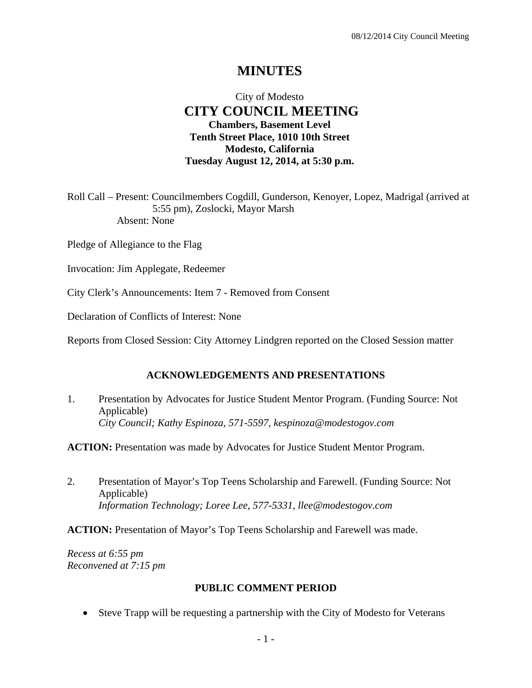## **MINUTES**

## City of Modesto  **CITY COUNCIL MEETING Chambers, Basement Level Tenth Street Place, 1010 10th Street Modesto, California Tuesday August 12, 2014, at 5:30 p.m.**

Roll Call – Present: Councilmembers Cogdill, Gunderson, Kenoyer, Lopez, Madrigal (arrived at 5:55 pm), Zoslocki, Mayor Marsh Absent: None

Pledge of Allegiance to the Flag

Invocation: Jim Applegate, Redeemer

City Clerk's Announcements: Item 7 - Removed from Consent

Declaration of Conflicts of Interest: None

Reports from Closed Session: City Attorney Lindgren reported on the Closed Session matter

#### **ACKNOWLEDGEMENTS AND PRESENTATIONS**

1. Presentation by Advocates for Justice Student Mentor Program. (Funding Source: Not Applicable)  *City Council; Kathy Espinoza, 571-5597, kespinoza@modestogov.com* 

**ACTION:** Presentation was made by Advocates for Justice Student Mentor Program.

2. Presentation of Mayor's Top Teens Scholarship and Farewell. (Funding Source: Not Applicable)  *Information Technology; Loree Lee, 577-5331, llee@modestogov.com* 

**ACTION:** Presentation of Mayor's Top Teens Scholarship and Farewell was made.

*Recess at 6:55 pm Reconvened at 7:15 pm* 

#### **PUBLIC COMMENT PERIOD**

Steve Trapp will be requesting a partnership with the City of Modesto for Veterans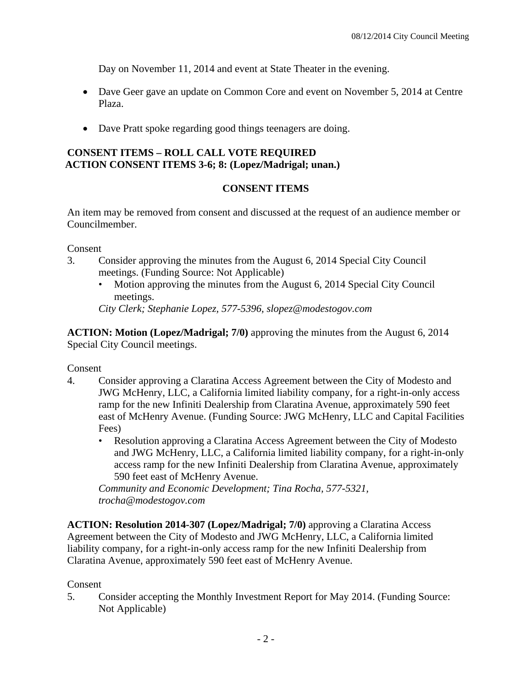Day on November 11, 2014 and event at State Theater in the evening.

- Dave Geer gave an update on Common Core and event on November 5, 2014 at Centre Plaza.
- Dave Pratt spoke regarding good things teenagers are doing.

## **CONSENT ITEMS – ROLL CALL VOTE REQUIRED ACTION CONSENT ITEMS 3-6; 8: (Lopez/Madrigal; unan.)**

## **CONSENT ITEMS**

An item may be removed from consent and discussed at the request of an audience member or Councilmember.

Consent

- 3. Consider approving the minutes from the August 6, 2014 Special City Council meetings. (Funding Source: Not Applicable)
	- Motion approving the minutes from the August 6, 2014 Special City Council meetings.

*City Clerk; Stephanie Lopez, 577-5396, slopez@modestogov.com* 

**ACTION: Motion (Lopez/Madrigal; 7/0)** approving the minutes from the August 6, 2014 Special City Council meetings.

Consent

- 4. Consider approving a Claratina Access Agreement between the City of Modesto and JWG McHenry, LLC, a California limited liability company, for a right-in-only access ramp for the new Infiniti Dealership from Claratina Avenue, approximately 590 feet east of McHenry Avenue. (Funding Source: JWG McHenry, LLC and Capital Facilities Fees)
	- Resolution approving a Claratina Access Agreement between the City of Modesto and JWG McHenry, LLC, a California limited liability company, for a right-in-only access ramp for the new Infiniti Dealership from Claratina Avenue, approximately 590 feet east of McHenry Avenue.

*Community and Economic Development; Tina Rocha, 577-5321, trocha@modestogov.com* 

**ACTION: Resolution 2014-307 (Lopez/Madrigal; 7/0)** approving a Claratina Access Agreement between the City of Modesto and JWG McHenry, LLC, a California limited liability company, for a right-in-only access ramp for the new Infiniti Dealership from Claratina Avenue, approximately 590 feet east of McHenry Avenue.

Consent

5. Consider accepting the Monthly Investment Report for May 2014. (Funding Source: Not Applicable)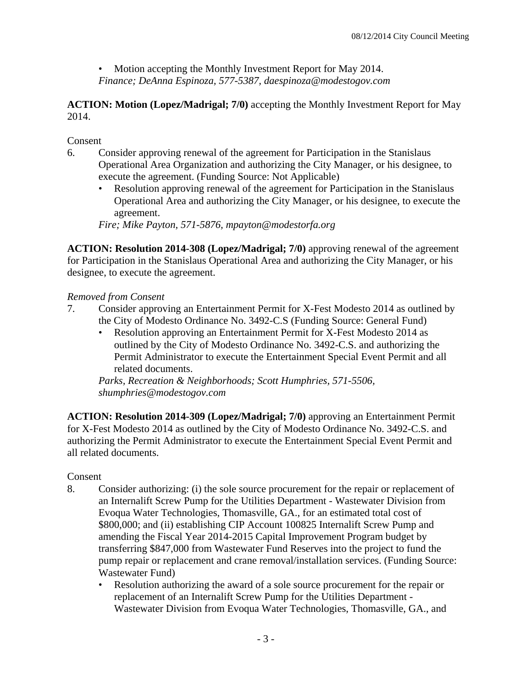• Motion accepting the Monthly Investment Report for May 2014. *Finance; DeAnna Espinoza, 577-5387, daespinoza@modestogov.com* 

### **ACTION: Motion (Lopez/Madrigal; 7/0)** accepting the Monthly Investment Report for May 2014.

## **Consent**

- 6. Consider approving renewal of the agreement for Participation in the Stanislaus Operational Area Organization and authorizing the City Manager, or his designee, to execute the agreement. (Funding Source: Not Applicable)
	- Resolution approving renewal of the agreement for Participation in the Stanislaus Operational Area and authorizing the City Manager, or his designee, to execute the agreement.

*Fire; Mike Payton, 571-5876, mpayton@modestorfa.org* 

**ACTION: Resolution 2014-308 (Lopez/Madrigal; 7/0)** approving renewal of the agreement for Participation in the Stanislaus Operational Area and authorizing the City Manager, or his designee, to execute the agreement.

## *Removed from Consent*

- 7. Consider approving an Entertainment Permit for X-Fest Modesto 2014 as outlined by the City of Modesto Ordinance No. 3492-C.S (Funding Source: General Fund)
	- Resolution approving an Entertainment Permit for X-Fest Modesto 2014 as outlined by the City of Modesto Ordinance No. 3492-C.S. and authorizing the Permit Administrator to execute the Entertainment Special Event Permit and all related documents.

*Parks, Recreation & Neighborhoods; Scott Humphries, 571-5506, shumphries@modestogov.com* 

**ACTION: Resolution 2014-309 (Lopez/Madrigal; 7/0)** approving an Entertainment Permit for X-Fest Modesto 2014 as outlined by the City of Modesto Ordinance No. 3492-C.S. and authorizing the Permit Administrator to execute the Entertainment Special Event Permit and all related documents.

## Consent

- 8. Consider authorizing: (i) the sole source procurement for the repair or replacement of an Internalift Screw Pump for the Utilities Department - Wastewater Division from Evoqua Water Technologies, Thomasville, GA., for an estimated total cost of \$800,000; and (ii) establishing CIP Account 100825 Internalift Screw Pump and amending the Fiscal Year 2014-2015 Capital Improvement Program budget by transferring \$847,000 from Wastewater Fund Reserves into the project to fund the pump repair or replacement and crane removal/installation services. (Funding Source: Wastewater Fund)
	- Resolution authorizing the award of a sole source procurement for the repair or replacement of an Internalift Screw Pump for the Utilities Department - Wastewater Division from Evoqua Water Technologies, Thomasville, GA., and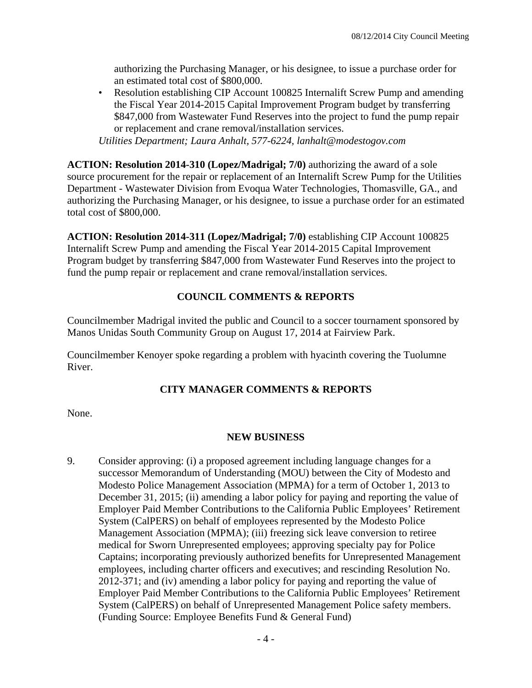authorizing the Purchasing Manager, or his designee, to issue a purchase order for an estimated total cost of \$800,000.

• Resolution establishing CIP Account 100825 Internalift Screw Pump and amending the Fiscal Year 2014-2015 Capital Improvement Program budget by transferring \$847,000 from Wastewater Fund Reserves into the project to fund the pump repair or replacement and crane removal/installation services.

*Utilities Department; Laura Anhalt, 577-6224, lanhalt@modestogov.com* 

**ACTION: Resolution 2014-310 (Lopez/Madrigal; 7/0)** authorizing the award of a sole source procurement for the repair or replacement of an Internalift Screw Pump for the Utilities Department - Wastewater Division from Evoqua Water Technologies, Thomasville, GA., and authorizing the Purchasing Manager, or his designee, to issue a purchase order for an estimated total cost of \$800,000.

**ACTION: Resolution 2014-311 (Lopez/Madrigal; 7/0)** establishing CIP Account 100825 Internalift Screw Pump and amending the Fiscal Year 2014-2015 Capital Improvement Program budget by transferring \$847,000 from Wastewater Fund Reserves into the project to fund the pump repair or replacement and crane removal/installation services.

### **COUNCIL COMMENTS & REPORTS**

Councilmember Madrigal invited the public and Council to a soccer tournament sponsored by Manos Unidas South Community Group on August 17, 2014 at Fairview Park.

Councilmember Kenoyer spoke regarding a problem with hyacinth covering the Tuolumne River.

### **CITY MANAGER COMMENTS & REPORTS**

None.

### **NEW BUSINESS**

9. Consider approving: (i) a proposed agreement including language changes for a successor Memorandum of Understanding (MOU) between the City of Modesto and Modesto Police Management Association (MPMA) for a term of October 1, 2013 to December 31, 2015; (ii) amending a labor policy for paying and reporting the value of Employer Paid Member Contributions to the California Public Employees' Retirement System (CalPERS) on behalf of employees represented by the Modesto Police Management Association (MPMA); (iii) freezing sick leave conversion to retiree medical for Sworn Unrepresented employees; approving specialty pay for Police Captains; incorporating previously authorized benefits for Unrepresented Management employees, including charter officers and executives; and rescinding Resolution No. 2012-371; and (iv) amending a labor policy for paying and reporting the value of Employer Paid Member Contributions to the California Public Employees' Retirement System (CalPERS) on behalf of Unrepresented Management Police safety members. (Funding Source: Employee Benefits Fund & General Fund)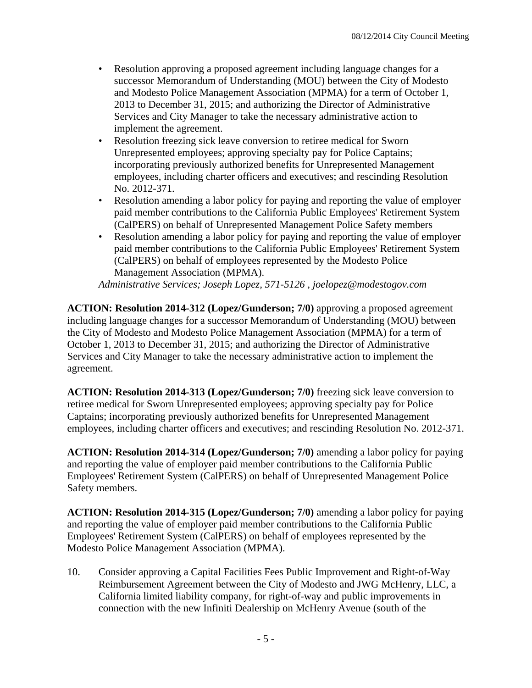- Resolution approving a proposed agreement including language changes for a successor Memorandum of Understanding (MOU) between the City of Modesto and Modesto Police Management Association (MPMA) for a term of October 1, 2013 to December 31, 2015; and authorizing the Director of Administrative Services and City Manager to take the necessary administrative action to implement the agreement.
- Resolution freezing sick leave conversion to retiree medical for Sworn Unrepresented employees; approving specialty pay for Police Captains; incorporating previously authorized benefits for Unrepresented Management employees, including charter officers and executives; and rescinding Resolution No. 2012-371.
- Resolution amending a labor policy for paying and reporting the value of employer paid member contributions to the California Public Employees' Retirement System (CalPERS) on behalf of Unrepresented Management Police Safety members
- Resolution amending a labor policy for paying and reporting the value of employer paid member contributions to the California Public Employees' Retirement System (CalPERS) on behalf of employees represented by the Modesto Police Management Association (MPMA).

*Administrative Services; Joseph Lopez, 571-5126 , joelopez@modestogov.com* 

**ACTION: Resolution 2014-312 (Lopez/Gunderson; 7/0)** approving a proposed agreement including language changes for a successor Memorandum of Understanding (MOU) between the City of Modesto and Modesto Police Management Association (MPMA) for a term of October 1, 2013 to December 31, 2015; and authorizing the Director of Administrative Services and City Manager to take the necessary administrative action to implement the agreement.

**ACTION: Resolution 2014-313 (Lopez/Gunderson; 7/0)** freezing sick leave conversion to retiree medical for Sworn Unrepresented employees; approving specialty pay for Police Captains; incorporating previously authorized benefits for Unrepresented Management employees, including charter officers and executives; and rescinding Resolution No. 2012-371.

**ACTION: Resolution 2014-314 (Lopez/Gunderson; 7/0)** amending a labor policy for paying and reporting the value of employer paid member contributions to the California Public Employees' Retirement System (CalPERS) on behalf of Unrepresented Management Police Safety members.

**ACTION: Resolution 2014-315 (Lopez/Gunderson; 7/0)** amending a labor policy for paying and reporting the value of employer paid member contributions to the California Public Employees' Retirement System (CalPERS) on behalf of employees represented by the Modesto Police Management Association (MPMA).

10. Consider approving a Capital Facilities Fees Public Improvement and Right-of-Way Reimbursement Agreement between the City of Modesto and JWG McHenry, LLC, a California limited liability company, for right-of-way and public improvements in connection with the new Infiniti Dealership on McHenry Avenue (south of the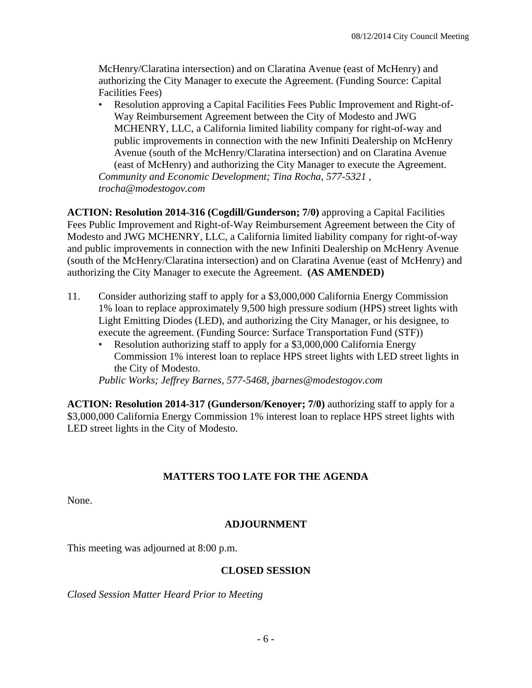McHenry/Claratina intersection) and on Claratina Avenue (east of McHenry) and authorizing the City Manager to execute the Agreement. (Funding Source: Capital Facilities Fees)

• Resolution approving a Capital Facilities Fees Public Improvement and Right-of-Way Reimbursement Agreement between the City of Modesto and JWG MCHENRY, LLC, a California limited liability company for right-of-way and public improvements in connection with the new Infiniti Dealership on McHenry Avenue (south of the McHenry/Claratina intersection) and on Claratina Avenue (east of McHenry) and authorizing the City Manager to execute the Agreement. *Community and Economic Development; Tina Rocha, 577-5321 , trocha@modestogov.com* 

**ACTION: Resolution 2014-316 (Cogdill/Gunderson; 7/0)** approving a Capital Facilities Fees Public Improvement and Right-of-Way Reimbursement Agreement between the City of Modesto and JWG MCHENRY, LLC, a California limited liability company for right-of-way and public improvements in connection with the new Infiniti Dealership on McHenry Avenue (south of the McHenry/Claratina intersection) and on Claratina Avenue (east of McHenry) and authorizing the City Manager to execute the Agreement. **(AS AMENDED)**

- 11. Consider authorizing staff to apply for a \$3,000,000 California Energy Commission 1% loan to replace approximately 9,500 high pressure sodium (HPS) street lights with Light Emitting Diodes (LED), and authorizing the City Manager, or his designee, to execute the agreement. (Funding Source: Surface Transportation Fund (STF))
	- Resolution authorizing staff to apply for a \$3,000,000 California Energy Commission 1% interest loan to replace HPS street lights with LED street lights in the City of Modesto.

*Public Works; Jeffrey Barnes, 577-5468, jbarnes@modestogov.com* 

**ACTION: Resolution 2014-317 (Gunderson/Kenoyer; 7/0)** authorizing staff to apply for a \$3,000,000 California Energy Commission 1% interest loan to replace HPS street lights with LED street lights in the City of Modesto.

## **MATTERS TOO LATE FOR THE AGENDA**

None.

## **ADJOURNMENT**

This meeting was adjourned at 8:00 p.m.

### **CLOSED SESSION**

*Closed Session Matter Heard Prior to Meeting*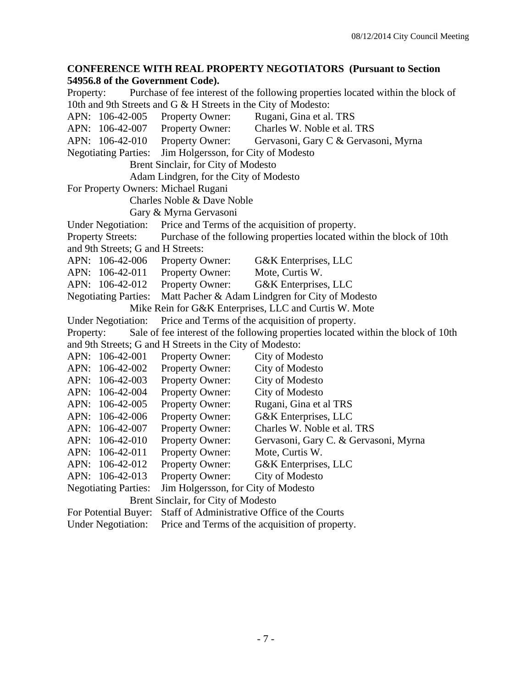### **CONFERENCE WITH REAL PROPERTY NEGOTIATORS (Pursuant to Section 54956.8 of the Government Code).**

Property: Purchase of fee interest of the following properties located within the block of 10th and 9th Streets and G & H Streets in the City of Modesto: APN: 106-42-005 Property Owner: Rugani, Gina et al. TRS APN: 106-42-007 Property Owner: Charles W. Noble et al. TRS APN: 106-42-010 Property Owner: Gervasoni, Gary C & Gervasoni, Myrna Negotiating Parties: Jim Holgersson, for City of Modesto Brent Sinclair, for City of Modesto Adam Lindgren, for the City of Modesto For Property Owners: Michael Rugani Charles Noble & Dave Noble Gary & Myrna Gervasoni Under Negotiation: Price and Terms of the acquisition of property. Property Streets: Purchase of the following properties located within the block of 10th and 9th Streets; G and H Streets: APN: 106-42-006 Property Owner: G&K Enterprises, LLC APN: 106-42-011 Property Owner: Mote, Curtis W. APN: 106-42-012 Property Owner: G&K Enterprises, LLC Negotiating Parties: Matt Pacher & Adam Lindgren for City of Modesto Mike Rein for G&K Enterprises, LLC and Curtis W. Mote Under Negotiation: Price and Terms of the acquisition of property. Property: Sale of fee interest of the following properties located within the block of 10th and 9th Streets; G and H Streets in the City of Modesto: APN: 106-42-001 Property Owner: City of Modesto APN: 106-42-002 Property Owner: City of Modesto APN: 106-42-003 Property Owner: City of Modesto APN: 106-42-004 Property Owner: City of Modesto APN: 106-42-005 Property Owner: Rugani, Gina et al TRS APN: 106-42-006 Property Owner: G&K Enterprises, LLC APN: 106-42-007 Property Owner: Charles W. Noble et al. TRS APN: 106-42-010 Property Owner: Gervasoni, Gary C. & Gervasoni, Myrna APN: 106-42-011 Property Owner: Mote, Curtis W. APN: 106-42-012 Property Owner: G&K Enterprises, LLC APN: 106-42-013 Property Owner: City of Modesto Negotiating Parties: Jim Holgersson, for City of Modesto Brent Sinclair, for City of Modesto For Potential Buyer: Staff of Administrative Office of the Courts Under Negotiation: Price and Terms of the acquisition of property.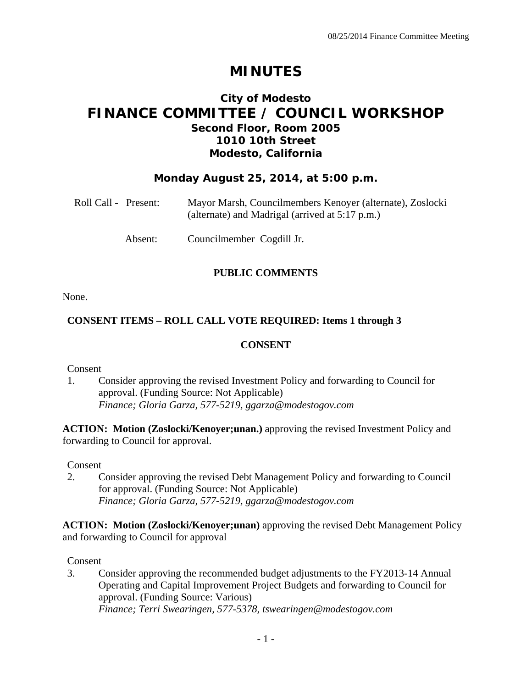# **MINUTES**

## **City of Modesto FINANCE COMMITTEE / COUNCIL WORKSHOP Second Floor, Room 2005 1010 10th Street Modesto, California**

## **Monday August 25, 2014, at 5:00 p.m.**

| Roll Call - Present: | Mayor Marsh, Councilmembers Kenoyer (alternate), Zoslocki<br>(alternate) and Madrigal (arrived at 5:17 p.m.) |
|----------------------|--------------------------------------------------------------------------------------------------------------|
| Absent:              | Councilmember Cogdill Jr.                                                                                    |

## **PUBLIC COMMENTS**

None.

## **CONSENT ITEMS – ROLL CALL VOTE REQUIRED: Items 1 through 3**

## **CONSENT**

Consent

1. Consider approving the revised Investment Policy and forwarding to Council for approval. (Funding Source: Not Applicable)  *Finance; Gloria Garza, 577-5219, ggarza@modestogov.com* 

**ACTION: Motion (Zoslocki/Kenoyer;unan.)** approving the revised Investment Policy and forwarding to Council for approval.

Consent

2. Consider approving the revised Debt Management Policy and forwarding to Council for approval. (Funding Source: Not Applicable)  *Finance; Gloria Garza, 577-5219, ggarza@modestogov.com* 

**ACTION: Motion (Zoslocki/Kenoyer;unan)** approving the revised Debt Management Policy and forwarding to Council for approval

Consent

3. Consider approving the recommended budget adjustments to the FY2013-14 Annual Operating and Capital Improvement Project Budgets and forwarding to Council for approval. (Funding Source: Various)  *Finance; Terri Swearingen, 577-5378, tswearingen@modestogov.com*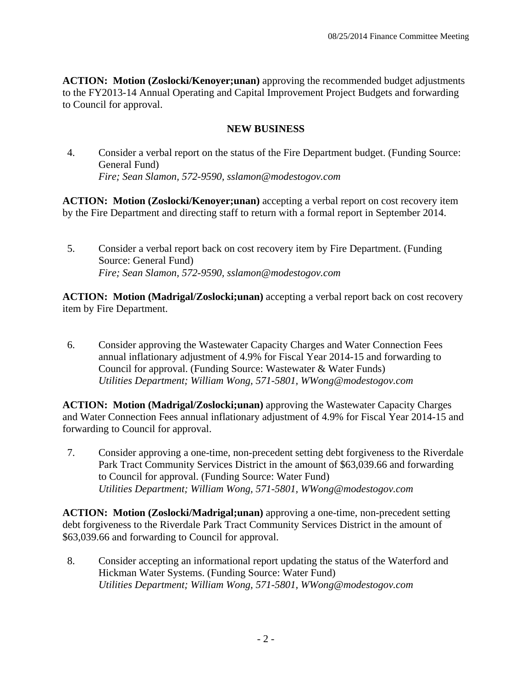**ACTION: Motion (Zoslocki/Kenoyer;unan)** approving the recommended budget adjustments to the FY2013-14 Annual Operating and Capital Improvement Project Budgets and forwarding to Council for approval.

### **NEW BUSINESS**

4. Consider a verbal report on the status of the Fire Department budget. (Funding Source: General Fund)  *Fire; Sean Slamon, 572-9590, sslamon@modestogov.com* 

**ACTION: Motion (Zoslocki/Kenoyer;unan)** accepting a verbal report on cost recovery item by the Fire Department and directing staff to return with a formal report in September 2014.

5. Consider a verbal report back on cost recovery item by Fire Department. (Funding Source: General Fund)  *Fire; Sean Slamon, 572-9590, sslamon@modestogov.com* 

**ACTION: Motion (Madrigal/Zoslocki;unan)** accepting a verbal report back on cost recovery item by Fire Department.

6. Consider approving the Wastewater Capacity Charges and Water Connection Fees annual inflationary adjustment of 4.9% for Fiscal Year 2014-15 and forwarding to Council for approval. (Funding Source: Wastewater & Water Funds)  *Utilities Department; William Wong, 571-5801, WWong@modestogov.com* 

**ACTION: Motion (Madrigal/Zoslocki;unan)** approving the Wastewater Capacity Charges and Water Connection Fees annual inflationary adjustment of 4.9% for Fiscal Year 2014-15 and forwarding to Council for approval.

7. Consider approving a one-time, non-precedent setting debt forgiveness to the Riverdale Park Tract Community Services District in the amount of \$63,039.66 and forwarding to Council for approval. (Funding Source: Water Fund)  *Utilities Department; William Wong, 571-5801, WWong@modestogov.com* 

**ACTION: Motion (Zoslocki/Madrigal;unan)** approving a one-time, non-precedent setting debt forgiveness to the Riverdale Park Tract Community Services District in the amount of \$63,039.66 and forwarding to Council for approval.

8. Consider accepting an informational report updating the status of the Waterford and Hickman Water Systems. (Funding Source: Water Fund)  *Utilities Department; William Wong, 571-5801, WWong@modestogov.com*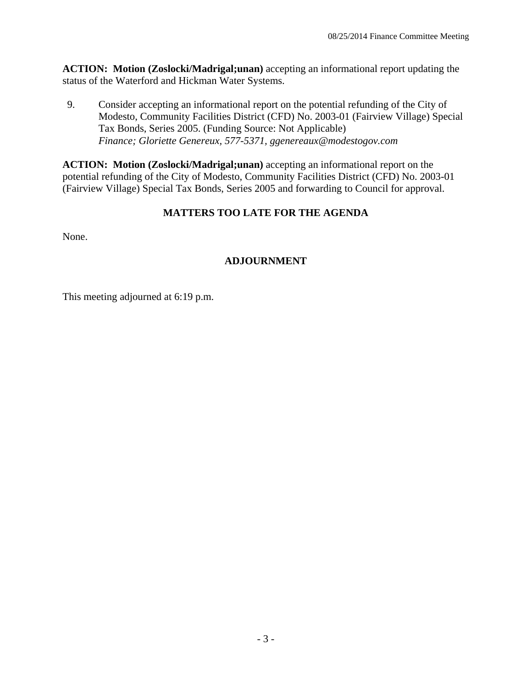**ACTION: Motion (Zoslocki/Madrigal;unan)** accepting an informational report updating the status of the Waterford and Hickman Water Systems.

9. Consider accepting an informational report on the potential refunding of the City of Modesto, Community Facilities District (CFD) No. 2003-01 (Fairview Village) Special Tax Bonds, Series 2005. (Funding Source: Not Applicable)  *Finance; Gloriette Genereux, 577-5371, ggenereaux@modestogov.com* 

**ACTION: Motion (Zoslocki/Madrigal;unan)** accepting an informational report on the potential refunding of the City of Modesto, Community Facilities District (CFD) No. 2003-01 (Fairview Village) Special Tax Bonds, Series 2005 and forwarding to Council for approval.

## **MATTERS TOO LATE FOR THE AGENDA**

None.

## **ADJOURNMENT**

This meeting adjourned at 6:19 p.m.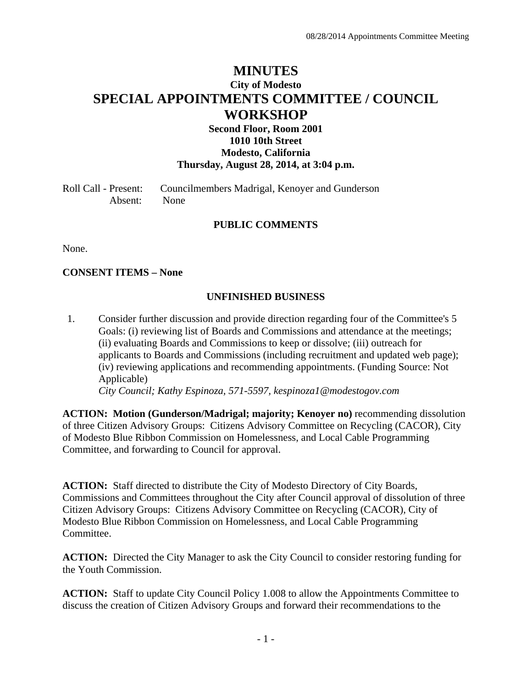# **MINUTES City of Modesto SPECIAL APPOINTMENTS COMMITTEE / COUNCIL WORKSHOP**

### **Second Floor, Room 2001 1010 10th Street Modesto, California Thursday, August 28, 2014, at 3:04 p.m.**

Roll Call - Present: Councilmembers Madrigal, Kenoyer and Gunderson Absent: None

### **PUBLIC COMMENTS**

None.

**CONSENT ITEMS – None** 

### **UNFINISHED BUSINESS**

1. Consider further discussion and provide direction regarding four of the Committee's 5 Goals: (i) reviewing list of Boards and Commissions and attendance at the meetings; (ii) evaluating Boards and Commissions to keep or dissolve; (iii) outreach for applicants to Boards and Commissions (including recruitment and updated web page); (iv) reviewing applications and recommending appointments. (Funding Source: Not Applicable)  *City Council; Kathy Espinoza, 571-5597, kespinoza1@modestogov.com* 

**ACTION: Motion (Gunderson/Madrigal; majority; Kenoyer no)** recommending dissolution of three Citizen Advisory Groups: Citizens Advisory Committee on Recycling (CACOR), City of Modesto Blue Ribbon Commission on Homelessness, and Local Cable Programming Committee, and forwarding to Council for approval.

**ACTION:** Staff directed to distribute the City of Modesto Directory of City Boards, Commissions and Committees throughout the City after Council approval of dissolution of three Citizen Advisory Groups: Citizens Advisory Committee on Recycling (CACOR), City of Modesto Blue Ribbon Commission on Homelessness, and Local Cable Programming Committee.

**ACTION:** Directed the City Manager to ask the City Council to consider restoring funding for the Youth Commission.

**ACTION:** Staff to update City Council Policy 1.008 to allow the Appointments Committee to discuss the creation of Citizen Advisory Groups and forward their recommendations to the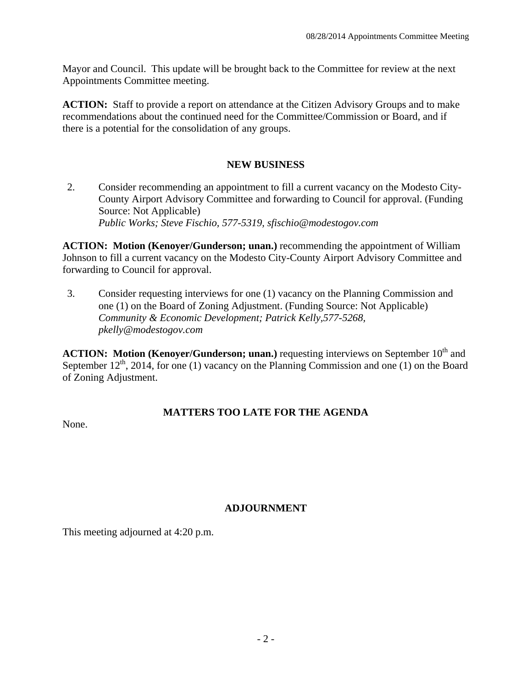Mayor and Council. This update will be brought back to the Committee for review at the next Appointments Committee meeting.

**ACTION:** Staff to provide a report on attendance at the Citizen Advisory Groups and to make recommendations about the continued need for the Committee/Commission or Board, and if there is a potential for the consolidation of any groups.

### **NEW BUSINESS**

2. Consider recommending an appointment to fill a current vacancy on the Modesto City-County Airport Advisory Committee and forwarding to Council for approval. (Funding Source: Not Applicable)  *Public Works; Steve Fischio, 577-5319, sfischio@modestogov.com* 

**ACTION: Motion (Kenoyer/Gunderson; unan.)** recommending the appointment of William Johnson to fill a current vacancy on the Modesto City-County Airport Advisory Committee and forwarding to Council for approval.

3. Consider requesting interviews for one (1) vacancy on the Planning Commission and one (1) on the Board of Zoning Adjustment. (Funding Source: Not Applicable)  *Community & Economic Development; Patrick Kelly,577-5268, pkelly@modestogov.com* 

**ACTION: Motion (Kenoyer/Gunderson; unan.)** requesting interviews on September 10<sup>th</sup> and September  $12^{th}$ , 2014, for one (1) vacancy on the Planning Commission and one (1) on the Board of Zoning Adjustment.

### **MATTERS TOO LATE FOR THE AGENDA**

None.

## **ADJOURNMENT**

This meeting adjourned at 4:20 p.m.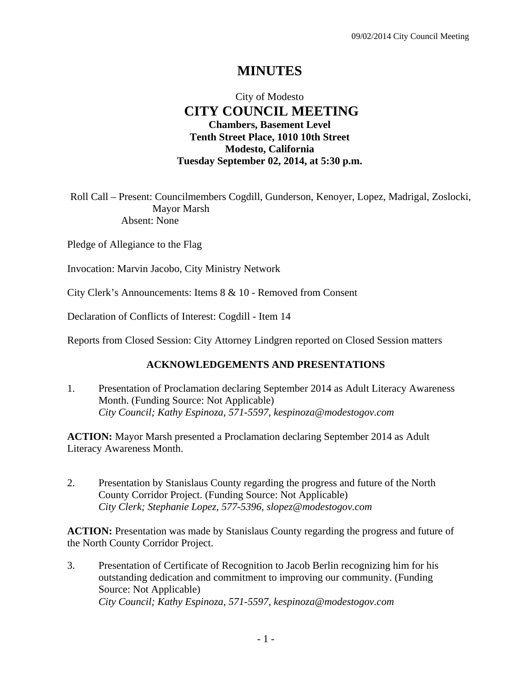# **MINUTES**

## City of Modesto  **CITY COUNCIL MEETING Chambers, Basement Level Tenth Street Place, 1010 10th Street Modesto, California Tuesday September 02, 2014, at 5:30 p.m.**

Roll Call – Present: Councilmembers Cogdill, Gunderson, Kenoyer, Lopez, Madrigal, Zoslocki, Mayor Marsh Absent: None

Pledge of Allegiance to the Flag

Invocation: Marvin Jacobo, City Ministry Network

City Clerk's Announcements: Items 8 & 10 - Removed from Consent

Declaration of Conflicts of Interest: Cogdill - Item 14

Reports from Closed Session: City Attorney Lindgren reported on Closed Session matters

### **ACKNOWLEDGEMENTS AND PRESENTATIONS**

1. Presentation of Proclamation declaring September 2014 as Adult Literacy Awareness Month. (Funding Source: Not Applicable)  *City Council; Kathy Espinoza, 571-5597, kespinoza@modestogov.com* 

**ACTION:** Mayor Marsh presented a Proclamation declaring September 2014 as Adult Literacy Awareness Month.

2. Presentation by Stanislaus County regarding the progress and future of the North County Corridor Project. (Funding Source: Not Applicable)  *City Clerk; Stephanie Lopez, 577-5396, slopez@modestogov.com* 

**ACTION:** Presentation was made by Stanislaus County regarding the progress and future of the North County Corridor Project.

3. Presentation of Certificate of Recognition to Jacob Berlin recognizing him for his outstanding dedication and commitment to improving our community. (Funding Source: Not Applicable)  *City Council; Kathy Espinoza, 571-5597, kespinoza@modestogov.com*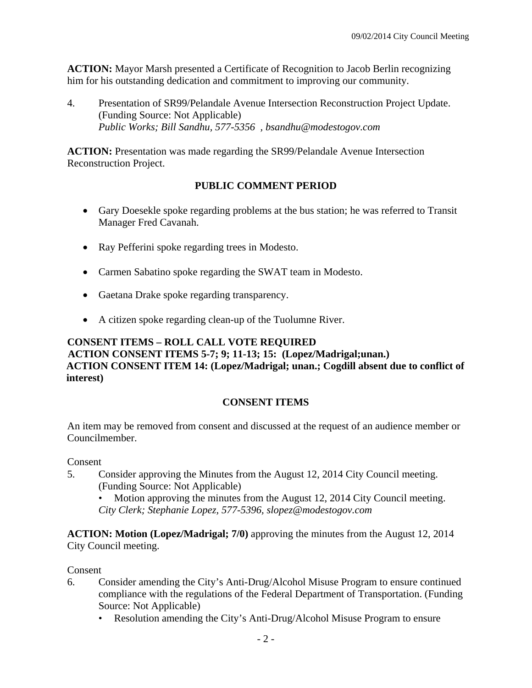**ACTION:** Mayor Marsh presented a Certificate of Recognition to Jacob Berlin recognizing him for his outstanding dedication and commitment to improving our community.

4. Presentation of SR99/Pelandale Avenue Intersection Reconstruction Project Update. (Funding Source: Not Applicable)  *Public Works; Bill Sandhu, 577-5356 , bsandhu@modestogov.com* 

**ACTION:** Presentation was made regarding the SR99/Pelandale Avenue Intersection Reconstruction Project.

## **PUBLIC COMMENT PERIOD**

- Gary Doesekle spoke regarding problems at the bus station; he was referred to Transit Manager Fred Cavanah.
- Ray Pefferini spoke regarding trees in Modesto.
- Carmen Sabatino spoke regarding the SWAT team in Modesto.
- Gaetana Drake spoke regarding transparency.
- A citizen spoke regarding clean-up of the Tuolumne River.

## **CONSENT ITEMS – ROLL CALL VOTE REQUIRED ACTION CONSENT ITEMS 5-7; 9; 11-13; 15: (Lopez/Madrigal;unan.) ACTION CONSENT ITEM 14: (Lopez/Madrigal; unan.; Cogdill absent due to conflict of interest)**

## **CONSENT ITEMS**

An item may be removed from consent and discussed at the request of an audience member or Councilmember.

### Consent

5. Consider approving the Minutes from the August 12, 2014 City Council meeting. (Funding Source: Not Applicable)

• Motion approving the minutes from the August 12, 2014 City Council meeting. *City Clerk; Stephanie Lopez, 577-5396, slopez@modestogov.com* 

**ACTION: Motion (Lopez/Madrigal; 7/0)** approving the minutes from the August 12, 2014 City Council meeting.

### Consent

- 6. Consider amending the City's Anti-Drug/Alcohol Misuse Program to ensure continued compliance with the regulations of the Federal Department of Transportation. (Funding Source: Not Applicable)
	- Resolution amending the City's Anti-Drug/Alcohol Misuse Program to ensure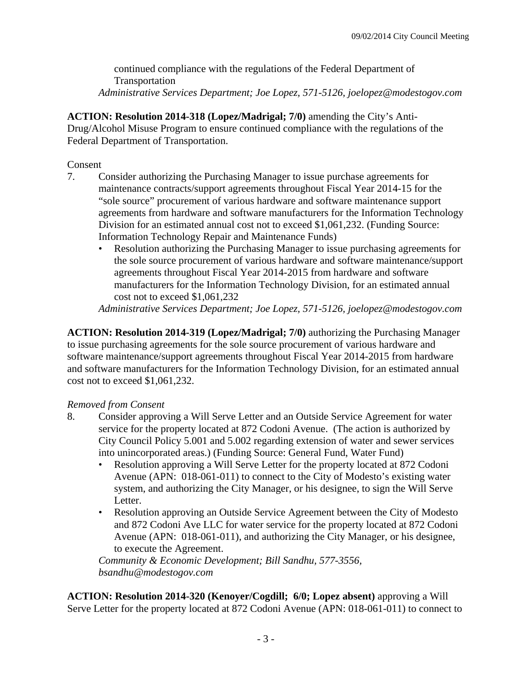continued compliance with the regulations of the Federal Department of Transportation *Administrative Services Department; Joe Lopez, 571-5126, joelopez@modestogov.com* 

**ACTION: Resolution 2014-318 (Lopez/Madrigal; 7/0)** amending the City's Anti-Drug/Alcohol Misuse Program to ensure continued compliance with the regulations of the Federal Department of Transportation.

### Consent

- 7. Consider authorizing the Purchasing Manager to issue purchase agreements for maintenance contracts/support agreements throughout Fiscal Year 2014-15 for the "sole source" procurement of various hardware and software maintenance support agreements from hardware and software manufacturers for the Information Technology Division for an estimated annual cost not to exceed \$1,061,232. (Funding Source: Information Technology Repair and Maintenance Funds)
	- Resolution authorizing the Purchasing Manager to issue purchasing agreements for the sole source procurement of various hardware and software maintenance/support agreements throughout Fiscal Year 2014-2015 from hardware and software manufacturers for the Information Technology Division, for an estimated annual cost not to exceed \$1,061,232

*Administrative Services Department; Joe Lopez, 571-5126, joelopez@modestogov.com* 

**ACTION: Resolution 2014-319 (Lopez/Madrigal; 7/0)** authorizing the Purchasing Manager to issue purchasing agreements for the sole source procurement of various hardware and software maintenance/support agreements throughout Fiscal Year 2014-2015 from hardware and software manufacturers for the Information Technology Division, for an estimated annual cost not to exceed \$1,061,232.

## *Removed from Consent*

- 8. Consider approving a Will Serve Letter and an Outside Service Agreement for water service for the property located at 872 Codoni Avenue. (The action is authorized by City Council Policy 5.001 and 5.002 regarding extension of water and sewer services into unincorporated areas.) (Funding Source: General Fund, Water Fund)
	- Resolution approving a Will Serve Letter for the property located at 872 Codoni Avenue (APN: 018-061-011) to connect to the City of Modesto's existing water system, and authorizing the City Manager, or his designee, to sign the Will Serve Letter.
	- Resolution approving an Outside Service Agreement between the City of Modesto and 872 Codoni Ave LLC for water service for the property located at 872 Codoni Avenue (APN: 018-061-011), and authorizing the City Manager, or his designee, to execute the Agreement.

*Community & Economic Development; Bill Sandhu, 577-3556, bsandhu@modestogov.com* 

**ACTION: Resolution 2014-320 (Kenoyer/Cogdill; 6/0; Lopez absent)** approving a Will Serve Letter for the property located at 872 Codoni Avenue (APN: 018-061-011) to connect to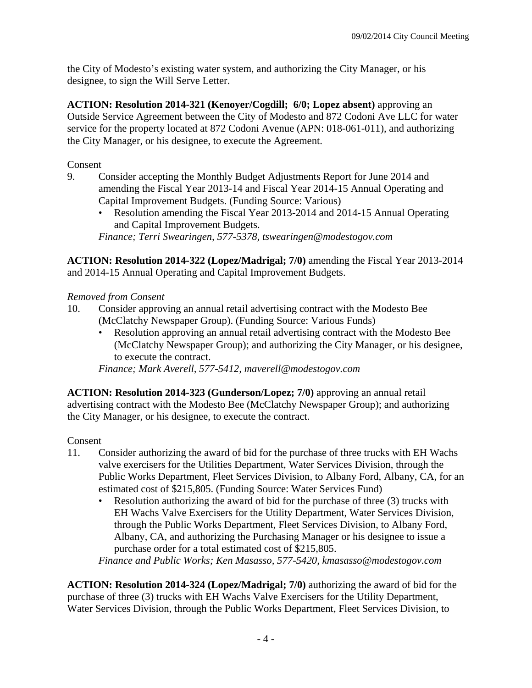the City of Modesto's existing water system, and authorizing the City Manager, or his designee, to sign the Will Serve Letter.

**ACTION: Resolution 2014-321 (Kenoyer/Cogdill; 6/0; Lopez absent)** approving an Outside Service Agreement between the City of Modesto and 872 Codoni Ave LLC for water service for the property located at 872 Codoni Avenue (APN: 018-061-011), and authorizing the City Manager, or his designee, to execute the Agreement.

Consent

- 9. Consider accepting the Monthly Budget Adjustments Report for June 2014 and amending the Fiscal Year 2013-14 and Fiscal Year 2014-15 Annual Operating and Capital Improvement Budgets. (Funding Source: Various)
	- Resolution amending the Fiscal Year 2013-2014 and 2014-15 Annual Operating and Capital Improvement Budgets. *Finance; Terri Swearingen, 577-5378, tswearingen@modestogov.com*

**ACTION: Resolution 2014-322 (Lopez/Madrigal; 7/0)** amending the Fiscal Year 2013-2014 and 2014-15 Annual Operating and Capital Improvement Budgets.

## *Removed from Consent*

- 10. Consider approving an annual retail advertising contract with the Modesto Bee (McClatchy Newspaper Group). (Funding Source: Various Funds)
	- Resolution approving an annual retail advertising contract with the Modesto Bee (McClatchy Newspaper Group); and authorizing the City Manager, or his designee, to execute the contract.

*Finance; Mark Averell, 577-5412, maverell@modestogov.com* 

**ACTION: Resolution 2014-323 (Gunderson/Lopez; 7/0)** approving an annual retail advertising contract with the Modesto Bee (McClatchy Newspaper Group); and authorizing the City Manager, or his designee, to execute the contract.

## Consent

- 11. Consider authorizing the award of bid for the purchase of three trucks with EH Wachs valve exercisers for the Utilities Department, Water Services Division, through the Public Works Department, Fleet Services Division, to Albany Ford, Albany, CA, for an estimated cost of \$215,805. (Funding Source: Water Services Fund)
	- Resolution authorizing the award of bid for the purchase of three (3) trucks with EH Wachs Valve Exercisers for the Utility Department, Water Services Division, through the Public Works Department, Fleet Services Division, to Albany Ford, Albany, CA, and authorizing the Purchasing Manager or his designee to issue a purchase order for a total estimated cost of \$215,805.

*Finance and Public Works; Ken Masasso, 577-5420, kmasasso@modestogov.com* 

**ACTION: Resolution 2014-324 (Lopez/Madrigal; 7/0)** authorizing the award of bid for the purchase of three (3) trucks with EH Wachs Valve Exercisers for the Utility Department, Water Services Division, through the Public Works Department, Fleet Services Division, to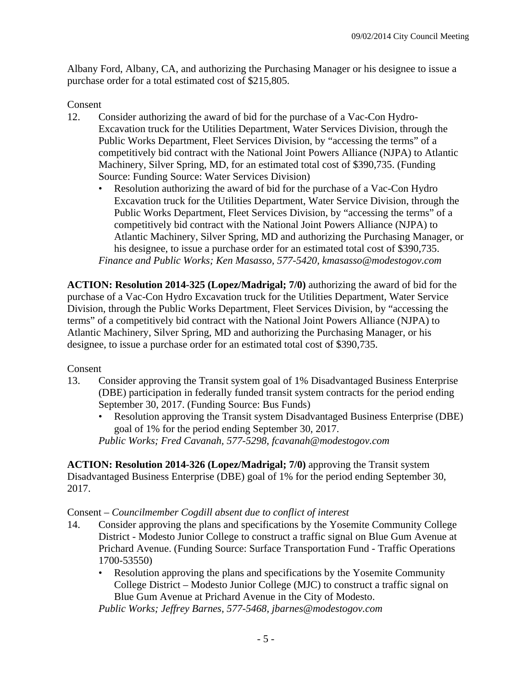Albany Ford, Albany, CA, and authorizing the Purchasing Manager or his designee to issue a purchase order for a total estimated cost of \$215,805.

## Consent

- 12. Consider authorizing the award of bid for the purchase of a Vac-Con Hydro-Excavation truck for the Utilities Department, Water Services Division, through the Public Works Department, Fleet Services Division, by "accessing the terms" of a competitively bid contract with the National Joint Powers Alliance (NJPA) to Atlantic Machinery, Silver Spring, MD, for an estimated total cost of \$390,735. (Funding Source: Funding Source: Water Services Division)
	- Resolution authorizing the award of bid for the purchase of a Vac-Con Hydro Excavation truck for the Utilities Department, Water Service Division, through the Public Works Department, Fleet Services Division, by "accessing the terms" of a competitively bid contract with the National Joint Powers Alliance (NJPA) to Atlantic Machinery, Silver Spring, MD and authorizing the Purchasing Manager, or his designee, to issue a purchase order for an estimated total cost of \$390,735. *Finance and Public Works; Ken Masasso, 577-5420, kmasasso@modestogov.com*

**ACTION: Resolution 2014-325 (Lopez/Madrigal; 7/0)** authorizing the award of bid for the purchase of a Vac-Con Hydro Excavation truck for the Utilities Department, Water Service Division, through the Public Works Department, Fleet Services Division, by "accessing the terms" of a competitively bid contract with the National Joint Powers Alliance (NJPA) to Atlantic Machinery, Silver Spring, MD and authorizing the Purchasing Manager, or his designee, to issue a purchase order for an estimated total cost of \$390,735.

### Consent

- 13. Consider approving the Transit system goal of 1% Disadvantaged Business Enterprise (DBE) participation in federally funded transit system contracts for the period ending September 30, 2017. (Funding Source: Bus Funds)
	- Resolution approving the Transit system Disadvantaged Business Enterprise (DBE) goal of 1% for the period ending September 30, 2017.

*Public Works; Fred Cavanah, 577-5298, fcavanah@modestogov.com* 

**ACTION: Resolution 2014-326 (Lopez/Madrigal; 7/0)** approving the Transit system Disadvantaged Business Enterprise (DBE) goal of 1% for the period ending September 30, 2017.

### Consent – *Councilmember Cogdill absent due to conflict of interest*

- 14. Consider approving the plans and specifications by the Yosemite Community College District - Modesto Junior College to construct a traffic signal on Blue Gum Avenue at Prichard Avenue. (Funding Source: Surface Transportation Fund - Traffic Operations 1700-53550)
	- Resolution approving the plans and specifications by the Yosemite Community College District – Modesto Junior College (MJC) to construct a traffic signal on Blue Gum Avenue at Prichard Avenue in the City of Modesto.

*Public Works; Jeffrey Barnes, 577-5468, jbarnes@modestogov.com*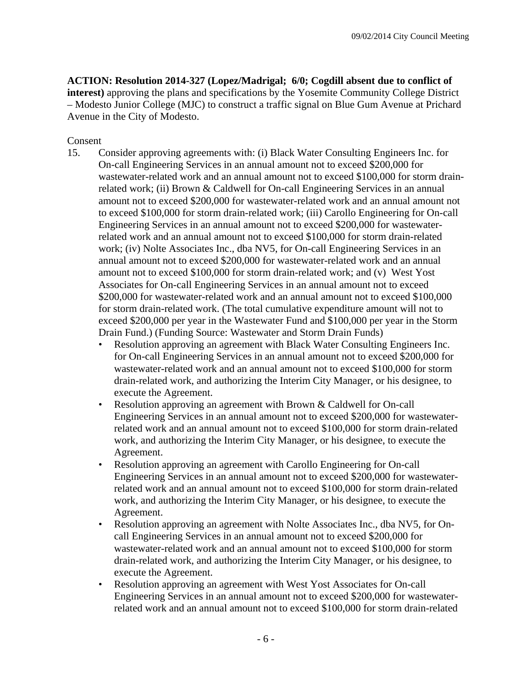**ACTION: Resolution 2014-327 (Lopez/Madrigal; 6/0; Cogdill absent due to conflict of interest)** approving the plans and specifications by the Yosemite Community College District – Modesto Junior College (MJC) to construct a traffic signal on Blue Gum Avenue at Prichard Avenue in the City of Modesto.

### Consent

- 15. Consider approving agreements with: (i) Black Water Consulting Engineers Inc. for On-call Engineering Services in an annual amount not to exceed \$200,000 for wastewater-related work and an annual amount not to exceed \$100,000 for storm drainrelated work; (ii) Brown & Caldwell for On-call Engineering Services in an annual amount not to exceed \$200,000 for wastewater-related work and an annual amount not to exceed \$100,000 for storm drain-related work; (iii) Carollo Engineering for On-call Engineering Services in an annual amount not to exceed \$200,000 for wastewaterrelated work and an annual amount not to exceed \$100,000 for storm drain-related work; (iv) Nolte Associates Inc., dba NV5, for On-call Engineering Services in an annual amount not to exceed \$200,000 for wastewater-related work and an annual amount not to exceed \$100,000 for storm drain-related work; and (v) West Yost Associates for On-call Engineering Services in an annual amount not to exceed \$200,000 for wastewater-related work and an annual amount not to exceed \$100,000 for storm drain-related work. (The total cumulative expenditure amount will not to exceed \$200,000 per year in the Wastewater Fund and \$100,000 per year in the Storm Drain Fund.) (Funding Source: Wastewater and Storm Drain Funds)
	- Resolution approving an agreement with Black Water Consulting Engineers Inc. for On-call Engineering Services in an annual amount not to exceed \$200,000 for wastewater-related work and an annual amount not to exceed \$100,000 for storm drain-related work, and authorizing the Interim City Manager, or his designee, to execute the Agreement.
	- Resolution approving an agreement with Brown & Caldwell for On-call Engineering Services in an annual amount not to exceed \$200,000 for wastewaterrelated work and an annual amount not to exceed \$100,000 for storm drain-related work, and authorizing the Interim City Manager, or his designee, to execute the Agreement.
	- Resolution approving an agreement with Carollo Engineering for On-call Engineering Services in an annual amount not to exceed \$200,000 for wastewaterrelated work and an annual amount not to exceed \$100,000 for storm drain-related work, and authorizing the Interim City Manager, or his designee, to execute the Agreement.
	- Resolution approving an agreement with Nolte Associates Inc., dba NV5, for Oncall Engineering Services in an annual amount not to exceed \$200,000 for wastewater-related work and an annual amount not to exceed \$100,000 for storm drain-related work, and authorizing the Interim City Manager, or his designee, to execute the Agreement.
	- Resolution approving an agreement with West Yost Associates for On-call Engineering Services in an annual amount not to exceed \$200,000 for wastewaterrelated work and an annual amount not to exceed \$100,000 for storm drain-related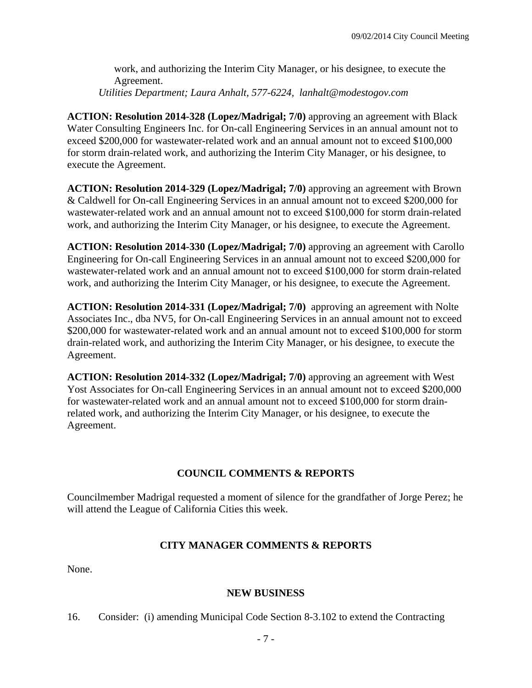work, and authorizing the Interim City Manager, or his designee, to execute the Agreement.

*Utilities Department; Laura Anhalt, 577-6224, lanhalt@modestogov.com* 

**ACTION: Resolution 2014-328 (Lopez/Madrigal; 7/0)** approving an agreement with Black Water Consulting Engineers Inc. for On-call Engineering Services in an annual amount not to exceed \$200,000 for wastewater-related work and an annual amount not to exceed \$100,000 for storm drain-related work, and authorizing the Interim City Manager, or his designee, to execute the Agreement.

**ACTION: Resolution 2014-329 (Lopez/Madrigal; 7/0)** approving an agreement with Brown & Caldwell for On-call Engineering Services in an annual amount not to exceed \$200,000 for wastewater-related work and an annual amount not to exceed \$100,000 for storm drain-related work, and authorizing the Interim City Manager, or his designee, to execute the Agreement.

**ACTION: Resolution 2014-330 (Lopez/Madrigal; 7/0)** approving an agreement with Carollo Engineering for On-call Engineering Services in an annual amount not to exceed \$200,000 for wastewater-related work and an annual amount not to exceed \$100,000 for storm drain-related work, and authorizing the Interim City Manager, or his designee, to execute the Agreement.

**ACTION: Resolution 2014-331 (Lopez/Madrigal; 7/0)** approving an agreement with Nolte Associates Inc., dba NV5, for On-call Engineering Services in an annual amount not to exceed \$200,000 for wastewater-related work and an annual amount not to exceed \$100,000 for storm drain-related work, and authorizing the Interim City Manager, or his designee, to execute the Agreement.

**ACTION: Resolution 2014-332 (Lopez/Madrigal; 7/0)** approving an agreement with West Yost Associates for On-call Engineering Services in an annual amount not to exceed \$200,000 for wastewater-related work and an annual amount not to exceed \$100,000 for storm drainrelated work, and authorizing the Interim City Manager, or his designee, to execute the Agreement.

### **COUNCIL COMMENTS & REPORTS**

Councilmember Madrigal requested a moment of silence for the grandfather of Jorge Perez; he will attend the League of California Cities this week.

### **CITY MANAGER COMMENTS & REPORTS**

None.

### **NEW BUSINESS**

16. Consider: (i) amending Municipal Code Section 8-3.102 to extend the Contracting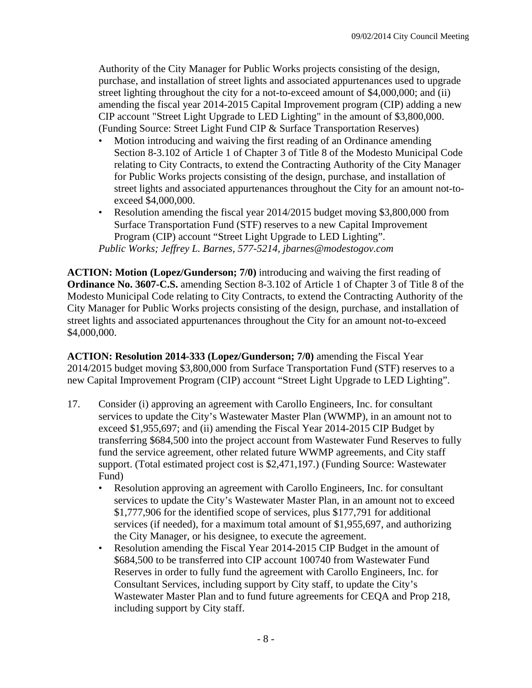Authority of the City Manager for Public Works projects consisting of the design, purchase, and installation of street lights and associated appurtenances used to upgrade street lighting throughout the city for a not-to-exceed amount of \$4,000,000; and (ii) amending the fiscal year 2014-2015 Capital Improvement program (CIP) adding a new CIP account "Street Light Upgrade to LED Lighting" in the amount of \$3,800,000. (Funding Source: Street Light Fund CIP & Surface Transportation Reserves)

- Motion introducing and waiving the first reading of an Ordinance amending Section 8-3.102 of Article 1 of Chapter 3 of Title 8 of the Modesto Municipal Code relating to City Contracts, to extend the Contracting Authority of the City Manager for Public Works projects consisting of the design, purchase, and installation of street lights and associated appurtenances throughout the City for an amount not-toexceed \$4,000,000.
- Resolution amending the fiscal year 2014/2015 budget moving \$3,800,000 from Surface Transportation Fund (STF) reserves to a new Capital Improvement Program (CIP) account "Street Light Upgrade to LED Lighting". *Public Works; Jeffrey L. Barnes, 577-5214, jbarnes@modestogov.com*

**ACTION: Motion (Lopez/Gunderson; 7/0)** introducing and waiving the first reading of **Ordinance No. 3607-C.S.** amending Section 8-3.102 of Article 1 of Chapter 3 of Title 8 of the Modesto Municipal Code relating to City Contracts, to extend the Contracting Authority of the City Manager for Public Works projects consisting of the design, purchase, and installation of street lights and associated appurtenances throughout the City for an amount not-to-exceed \$4,000,000.

**ACTION: Resolution 2014-333 (Lopez/Gunderson; 7/0)** amending the Fiscal Year 2014/2015 budget moving \$3,800,000 from Surface Transportation Fund (STF) reserves to a new Capital Improvement Program (CIP) account "Street Light Upgrade to LED Lighting".

- 17. Consider (i) approving an agreement with Carollo Engineers, Inc. for consultant services to update the City's Wastewater Master Plan (WWMP), in an amount not to exceed \$1,955,697; and (ii) amending the Fiscal Year 2014-2015 CIP Budget by transferring \$684,500 into the project account from Wastewater Fund Reserves to fully fund the service agreement, other related future WWMP agreements, and City staff support. (Total estimated project cost is \$2,471,197.) (Funding Source: Wastewater Fund)
	- Resolution approving an agreement with Carollo Engineers, Inc. for consultant services to update the City's Wastewater Master Plan, in an amount not to exceed \$1,777,906 for the identified scope of services, plus \$177,791 for additional services (if needed), for a maximum total amount of \$1,955,697, and authorizing the City Manager, or his designee, to execute the agreement.
	- Resolution amending the Fiscal Year 2014-2015 CIP Budget in the amount of \$684,500 to be transferred into CIP account 100740 from Wastewater Fund Reserves in order to fully fund the agreement with Carollo Engineers, Inc. for Consultant Services, including support by City staff, to update the City's Wastewater Master Plan and to fund future agreements for CEQA and Prop 218, including support by City staff.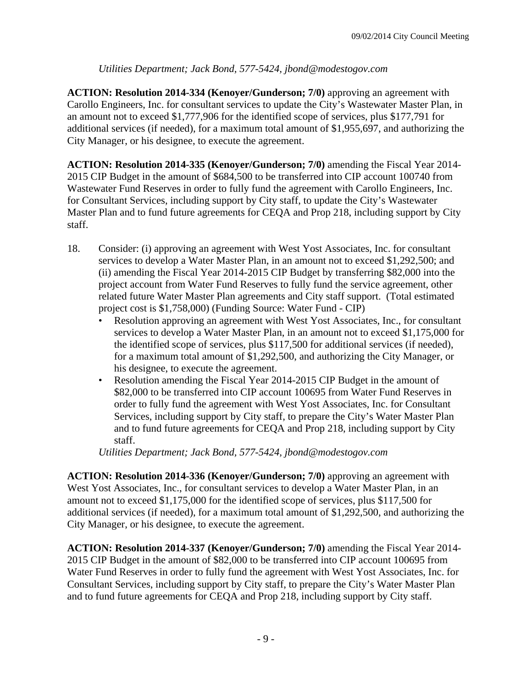## *Utilities Department; Jack Bond, 577-5424, jbond@modestogov.com*

**ACTION: Resolution 2014-334 (Kenoyer/Gunderson; 7/0)** approving an agreement with Carollo Engineers, Inc. for consultant services to update the City's Wastewater Master Plan, in an amount not to exceed \$1,777,906 for the identified scope of services, plus \$177,791 for additional services (if needed), for a maximum total amount of \$1,955,697, and authorizing the City Manager, or his designee, to execute the agreement.

**ACTION: Resolution 2014-335 (Kenoyer/Gunderson; 7/0)** amending the Fiscal Year 2014- 2015 CIP Budget in the amount of \$684,500 to be transferred into CIP account 100740 from Wastewater Fund Reserves in order to fully fund the agreement with Carollo Engineers, Inc. for Consultant Services, including support by City staff, to update the City's Wastewater Master Plan and to fund future agreements for CEQA and Prop 218, including support by City staff.

- 18. Consider: (i) approving an agreement with West Yost Associates, Inc. for consultant services to develop a Water Master Plan, in an amount not to exceed \$1,292,500; and (ii) amending the Fiscal Year 2014-2015 CIP Budget by transferring \$82,000 into the project account from Water Fund Reserves to fully fund the service agreement, other related future Water Master Plan agreements and City staff support. (Total estimated project cost is \$1,758,000) (Funding Source: Water Fund - CIP)
	- Resolution approving an agreement with West Yost Associates, Inc., for consultant services to develop a Water Master Plan, in an amount not to exceed \$1,175,000 for the identified scope of services, plus \$117,500 for additional services (if needed), for a maximum total amount of \$1,292,500, and authorizing the City Manager, or his designee, to execute the agreement.
	- Resolution amending the Fiscal Year 2014-2015 CIP Budget in the amount of \$82,000 to be transferred into CIP account 100695 from Water Fund Reserves in order to fully fund the agreement with West Yost Associates, Inc. for Consultant Services, including support by City staff, to prepare the City's Water Master Plan and to fund future agreements for CEQA and Prop 218, including support by City staff.

*Utilities Department; Jack Bond, 577-5424, jbond@modestogov.com* 

**ACTION: Resolution 2014-336 (Kenoyer/Gunderson; 7/0)** approving an agreement with West Yost Associates, Inc., for consultant services to develop a Water Master Plan, in an amount not to exceed \$1,175,000 for the identified scope of services, plus \$117,500 for additional services (if needed), for a maximum total amount of \$1,292,500, and authorizing the City Manager, or his designee, to execute the agreement.

**ACTION: Resolution 2014-337 (Kenoyer/Gunderson; 7/0)** amending the Fiscal Year 2014- 2015 CIP Budget in the amount of \$82,000 to be transferred into CIP account 100695 from Water Fund Reserves in order to fully fund the agreement with West Yost Associates, Inc. for Consultant Services, including support by City staff, to prepare the City's Water Master Plan and to fund future agreements for CEQA and Prop 218, including support by City staff.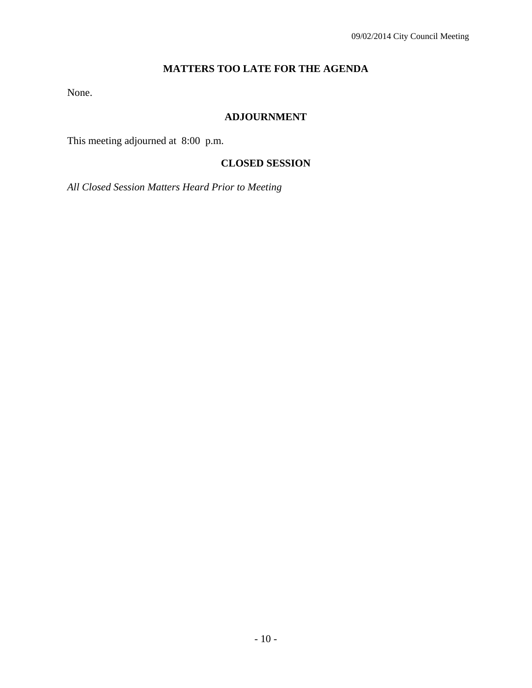## **MATTERS TOO LATE FOR THE AGENDA**

None.

## **ADJOURNMENT**

This meeting adjourned at 8:00 p.m.

## **CLOSED SESSION**

*All Closed Session Matters Heard Prior to Meeting*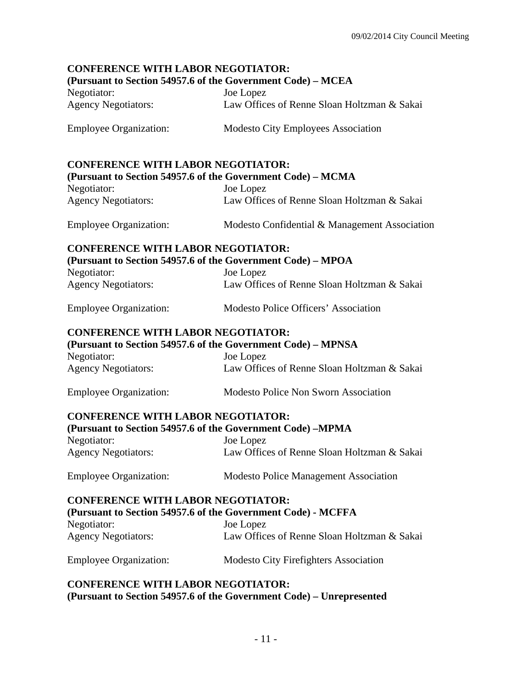# **CONFERENCE WITH LABOR NEGOTIATOR: (Pursuant to Section 54957.6 of the Government Code) – MCEA**  Negotiator: Joe Lopez Agency Negotiators: Law Offices of Renne Sloan Holtzman & Sakai Employee Organization: Modesto City Employees Association **CONFERENCE WITH LABOR NEGOTIATOR: (Pursuant to Section 54957.6 of the Government Code) – MCMA**  Negotiator: Joe Lopez Agency Negotiators: Law Offices of Renne Sloan Holtzman & Sakai Employee Organization: Modesto Confidential & Management Association **CONFERENCE WITH LABOR NEGOTIATOR: (Pursuant to Section 54957.6 of the Government Code) – MPOA**  Negotiator: Joe Lopez Agency Negotiators: Law Offices of Renne Sloan Holtzman & Sakai Employee Organization: Modesto Police Officers' Association **CONFERENCE WITH LABOR NEGOTIATOR: (Pursuant to Section 54957.6 of the Government Code) – MPNSA**  Negotiator: Joe Lopez Agency Negotiators: Law Offices of Renne Sloan Holtzman & Sakai Employee Organization: Modesto Police Non Sworn Association **CONFERENCE WITH LABOR NEGOTIATOR: (Pursuant to Section 54957.6 of the Government Code) –MPMA**  Negotiator: Joe Lopez Agency Negotiators: Law Offices of Renne Sloan Holtzman & Sakai Employee Organization: Modesto Police Management Association **CONFERENCE WITH LABOR NEGOTIATOR: (Pursuant to Section 54957.6 of the Government Code) - MCFFA**  Negotiator: Joe Lopez Agency Negotiators: Law Offices of Renne Sloan Holtzman & Sakai Employee Organization: Modesto City Firefighters Association **CONFERENCE WITH LABOR NEGOTIATOR:**

**(Pursuant to Section 54957.6 of the Government Code) – Unrepresented**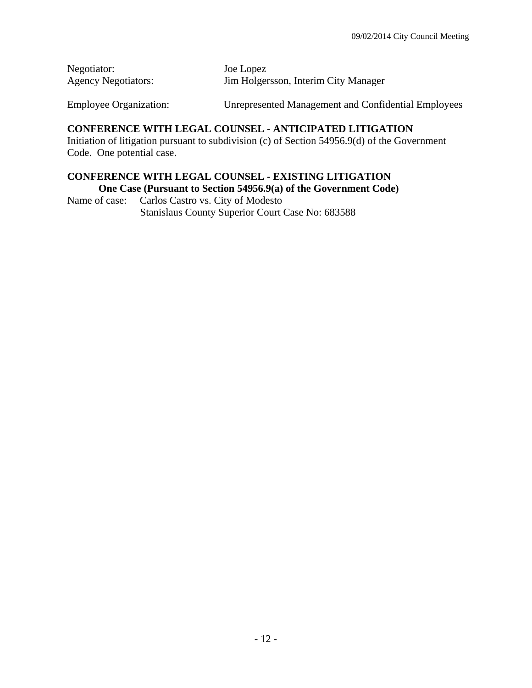| Negotiator:                | Joe Lopez                            |
|----------------------------|--------------------------------------|
| <b>Agency Negotiators:</b> | Jim Holgersson, Interim City Manager |

Employee Organization: Unrepresented Management and Confidential Employees

### **CONFERENCE WITH LEGAL COUNSEL - ANTICIPATED LITIGATION**

Initiation of litigation pursuant to subdivision (c) of Section 54956.9(d) of the Government Code. One potential case.

## **CONFERENCE WITH LEGAL COUNSEL - EXISTING LITIGATION One Case (Pursuant to Section 54956.9(a) of the Government Code)**

Name of case: Carlos Castro vs. City of Modesto Stanislaus County Superior Court Case No: 683588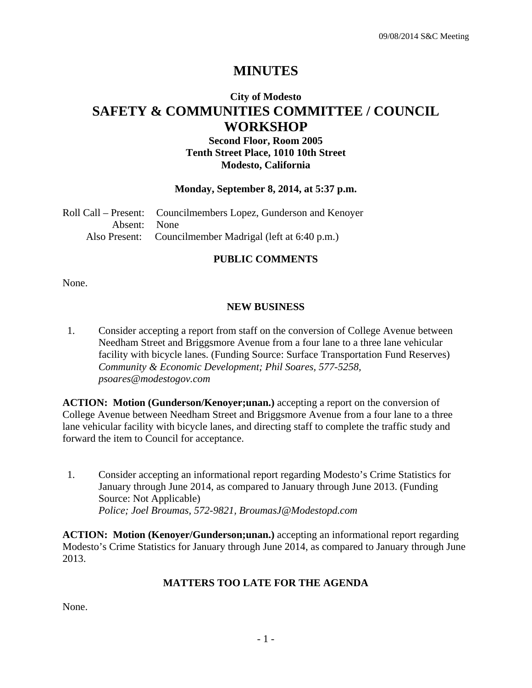# **MINUTES**

# **City of Modesto SAFETY & COMMUNITIES COMMITTEE / COUNCIL WORKSHOP**

## **Second Floor, Room 2005 Tenth Street Place, 1010 10th Street Modesto, California**

#### **Monday, September 8, 2014, at 5:37 p.m.**

Roll Call – Present: Councilmembers Lopez, Gunderson and Kenoyer Absent: None Also Present: Councilmember Madrigal (left at 6:40 p.m.)

### **PUBLIC COMMENTS**

None.

## **NEW BUSINESS**

1. Consider accepting a report from staff on the conversion of College Avenue between Needham Street and Briggsmore Avenue from a four lane to a three lane vehicular facility with bicycle lanes. (Funding Source: Surface Transportation Fund Reserves)  *Community & Economic Development; Phil Soares, 577-5258, psoares@modestogov.com* 

**ACTION: Motion (Gunderson/Kenoyer;unan.)** accepting a report on the conversion of College Avenue between Needham Street and Briggsmore Avenue from a four lane to a three lane vehicular facility with bicycle lanes, and directing staff to complete the traffic study and forward the item to Council for acceptance.

1. Consider accepting an informational report regarding Modesto's Crime Statistics for January through June 2014, as compared to January through June 2013. (Funding Source: Not Applicable)  *Police; Joel Broumas, 572-9821, BroumasJ@Modestopd.com* 

**ACTION: Motion (Kenoyer/Gunderson;unan.)** accepting an informational report regarding Modesto's Crime Statistics for January through June 2014, as compared to January through June 2013.

# **MATTERS TOO LATE FOR THE AGENDA**

None.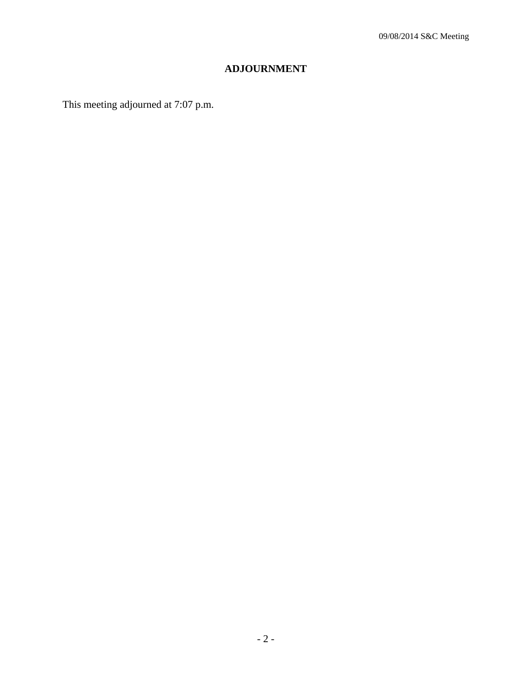# **ADJOURNMENT**

This meeting adjourned at 7:07 p.m.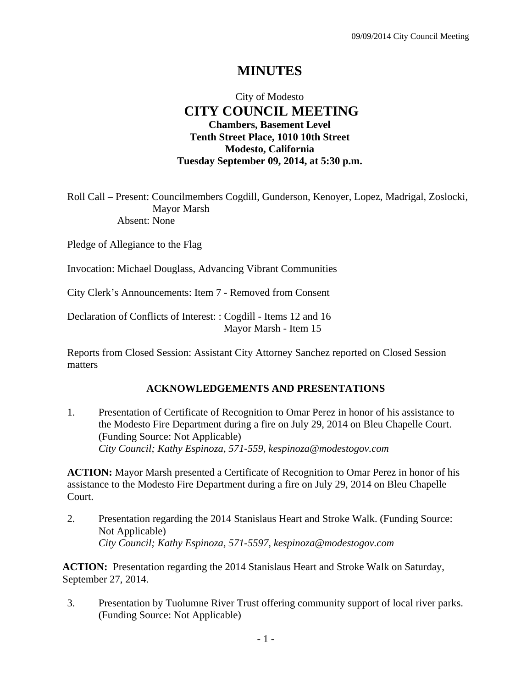# **MINUTES**

# City of Modesto  **CITY COUNCIL MEETING Chambers, Basement Level Tenth Street Place, 1010 10th Street Modesto, California Tuesday September 09, 2014, at 5:30 p.m.**

Roll Call – Present: Councilmembers Cogdill, Gunderson, Kenoyer, Lopez, Madrigal, Zoslocki, Mayor Marsh Absent: None

Pledge of Allegiance to the Flag

Invocation: Michael Douglass, Advancing Vibrant Communities

City Clerk's Announcements: Item 7 - Removed from Consent

Declaration of Conflicts of Interest: : Cogdill - Items 12 and 16 Mayor Marsh - Item 15

Reports from Closed Session: Assistant City Attorney Sanchez reported on Closed Session matters

#### **ACKNOWLEDGEMENTS AND PRESENTATIONS**

1. Presentation of Certificate of Recognition to Omar Perez in honor of his assistance to the Modesto Fire Department during a fire on July 29, 2014 on Bleu Chapelle Court. (Funding Source: Not Applicable)  *City Council; Kathy Espinoza, 571-559, kespinoza@modestogov.com* 

**ACTION:** Mayor Marsh presented a Certificate of Recognition to Omar Perez in honor of his assistance to the Modesto Fire Department during a fire on July 29, 2014 on Bleu Chapelle Court.

2. Presentation regarding the 2014 Stanislaus Heart and Stroke Walk. (Funding Source: Not Applicable)  *City Council; Kathy Espinoza, 571-5597, kespinoza@modestogov.com* 

**ACTION:** Presentation regarding the 2014 Stanislaus Heart and Stroke Walk on Saturday, September 27, 2014.

3. Presentation by Tuolumne River Trust offering community support of local river parks. (Funding Source: Not Applicable)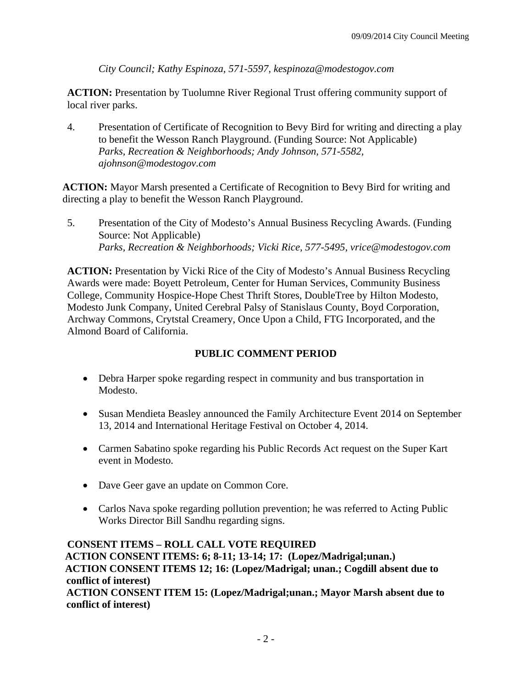*City Council; Kathy Espinoza, 571-5597, kespinoza@modestogov.com* 

**ACTION:** Presentation by Tuolumne River Regional Trust offering community support of local river parks.

4. Presentation of Certificate of Recognition to Bevy Bird for writing and directing a play to benefit the Wesson Ranch Playground. (Funding Source: Not Applicable)  *Parks, Recreation & Neighborhoods; Andy Johnson, 571-5582, ajohnson@modestogov.com* 

**ACTION:** Mayor Marsh presented a Certificate of Recognition to Bevy Bird for writing and directing a play to benefit the Wesson Ranch Playground.

5. Presentation of the City of Modesto's Annual Business Recycling Awards. (Funding Source: Not Applicable)  *Parks, Recreation & Neighborhoods; Vicki Rice, 577-5495, vrice@modestogov.com* 

**ACTION:** Presentation by Vicki Rice of the City of Modesto's Annual Business Recycling Awards were made: Boyett Petroleum, Center for Human Services, Community Business College, Community Hospice-Hope Chest Thrift Stores, DoubleTree by Hilton Modesto, Modesto Junk Company, United Cerebral Palsy of Stanislaus County, Boyd Corporation, Archway Commons, Crytstal Creamery, Once Upon a Child, FTG Incorporated, and the Almond Board of California.

# **PUBLIC COMMENT PERIOD**

- Debra Harper spoke regarding respect in community and bus transportation in Modesto.
- Susan Mendieta Beasley announced the Family Architecture Event 2014 on September 13, 2014 and International Heritage Festival on October 4, 2014.
- Carmen Sabatino spoke regarding his Public Records Act request on the Super Kart event in Modesto.
- Dave Geer gave an update on Common Core.
- Carlos Nava spoke regarding pollution prevention; he was referred to Acting Public Works Director Bill Sandhu regarding signs.

**CONSENT ITEMS – ROLL CALL VOTE REQUIRED ACTION CONSENT ITEMS: 6; 8-11; 13-14; 17: (Lopez/Madrigal;unan.) ACTION CONSENT ITEMS 12; 16: (Lopez/Madrigal; unan.; Cogdill absent due to conflict of interest) ACTION CONSENT ITEM 15: (Lopez/Madrigal;unan.; Mayor Marsh absent due to conflict of interest)**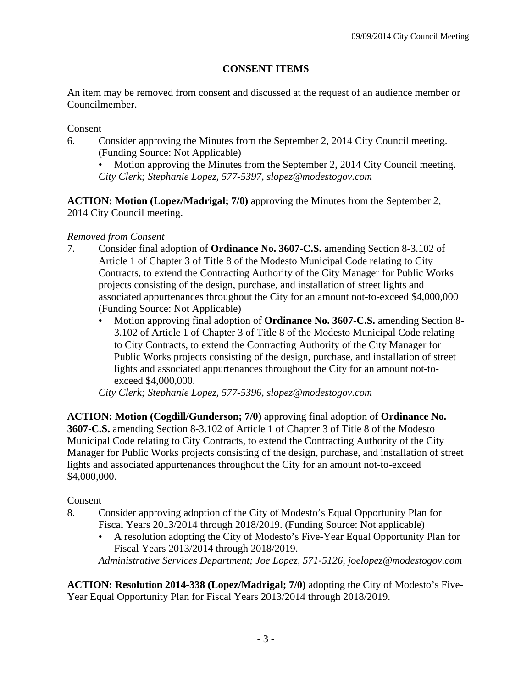# **CONSENT ITEMS**

An item may be removed from consent and discussed at the request of an audience member or Councilmember.

Consent

- 6. Consider approving the Minutes from the September 2, 2014 City Council meeting. (Funding Source: Not Applicable)
	- Motion approving the Minutes from the September 2, 2014 City Council meeting. *City Clerk; Stephanie Lopez, 577-5397, slopez@modestogov.com*

**ACTION: Motion (Lopez/Madrigal; 7/0)** approving the Minutes from the September 2, 2014 City Council meeting.

# *Removed from Consent*

- 7. Consider final adoption of **Ordinance No. 3607-C.S.** amending Section 8-3.102 of Article 1 of Chapter 3 of Title 8 of the Modesto Municipal Code relating to City Contracts, to extend the Contracting Authority of the City Manager for Public Works projects consisting of the design, purchase, and installation of street lights and associated appurtenances throughout the City for an amount not-to-exceed \$4,000,000 (Funding Source: Not Applicable)
	- Motion approving final adoption of **Ordinance No. 3607-C.S.** amending Section 8- 3.102 of Article 1 of Chapter 3 of Title 8 of the Modesto Municipal Code relating to City Contracts, to extend the Contracting Authority of the City Manager for Public Works projects consisting of the design, purchase, and installation of street lights and associated appurtenances throughout the City for an amount not-toexceed \$4,000,000.

*City Clerk; Stephanie Lopez, 577-5396, slopez@modestogov.com* 

**ACTION: Motion (Cogdill/Gunderson; 7/0)** approving final adoption of **Ordinance No. 3607-C.S.** amending Section 8-3.102 of Article 1 of Chapter 3 of Title 8 of the Modesto Municipal Code relating to City Contracts, to extend the Contracting Authority of the City Manager for Public Works projects consisting of the design, purchase, and installation of street lights and associated appurtenances throughout the City for an amount not-to-exceed \$4,000,000.

# Consent

- 8. Consider approving adoption of the City of Modesto's Equal Opportunity Plan for Fiscal Years 2013/2014 through 2018/2019. (Funding Source: Not applicable)
	- A resolution adopting the City of Modesto's Five-Year Equal Opportunity Plan for Fiscal Years 2013/2014 through 2018/2019.

*Administrative Services Department; Joe Lopez, 571-5126, joelopez@modestogov.com* 

**ACTION: Resolution 2014-338 (Lopez/Madrigal; 7/0)** adopting the City of Modesto's Five-Year Equal Opportunity Plan for Fiscal Years 2013/2014 through 2018/2019.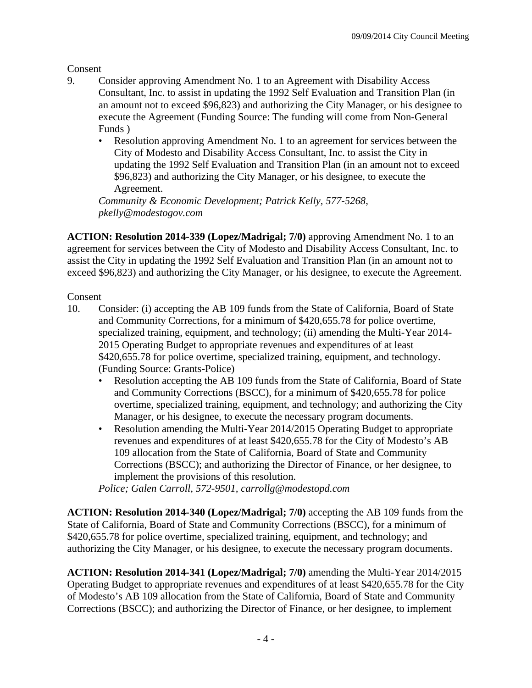Consent

- 9. Consider approving Amendment No. 1 to an Agreement with Disability Access Consultant, Inc. to assist in updating the 1992 Self Evaluation and Transition Plan (in an amount not to exceed \$96,823) and authorizing the City Manager, or his designee to execute the Agreement (Funding Source: The funding will come from Non-General Funds )
	- Resolution approving Amendment No. 1 to an agreement for services between the City of Modesto and Disability Access Consultant, Inc. to assist the City in updating the 1992 Self Evaluation and Transition Plan (in an amount not to exceed \$96,823) and authorizing the City Manager, or his designee, to execute the Agreement.

*Community & Economic Development; Patrick Kelly, 577-5268, pkelly@modestogov.com* 

**ACTION: Resolution 2014-339 (Lopez/Madrigal; 7/0)** approving Amendment No. 1 to an agreement for services between the City of Modesto and Disability Access Consultant, Inc. to assist the City in updating the 1992 Self Evaluation and Transition Plan (in an amount not to exceed \$96,823) and authorizing the City Manager, or his designee, to execute the Agreement.

## Consent

- 10. Consider: (i) accepting the AB 109 funds from the State of California, Board of State and Community Corrections, for a minimum of \$420,655.78 for police overtime, specialized training, equipment, and technology; (ii) amending the Multi-Year 2014- 2015 Operating Budget to appropriate revenues and expenditures of at least \$420,655.78 for police overtime, specialized training, equipment, and technology. (Funding Source: Grants-Police)
	- Resolution accepting the AB 109 funds from the State of California, Board of State and Community Corrections (BSCC), for a minimum of \$420,655.78 for police overtime, specialized training, equipment, and technology; and authorizing the City Manager, or his designee, to execute the necessary program documents.
	- Resolution amending the Multi-Year 2014/2015 Operating Budget to appropriate revenues and expenditures of at least \$420,655.78 for the City of Modesto's AB 109 allocation from the State of California, Board of State and Community Corrections (BSCC); and authorizing the Director of Finance, or her designee, to implement the provisions of this resolution.

*Police; Galen Carroll, 572-9501, carrollg@modestopd.com* 

**ACTION: Resolution 2014-340 (Lopez/Madrigal; 7/0)** accepting the AB 109 funds from the State of California, Board of State and Community Corrections (BSCC), for a minimum of \$420,655.78 for police overtime, specialized training, equipment, and technology; and authorizing the City Manager, or his designee, to execute the necessary program documents.

**ACTION: Resolution 2014-341 (Lopez/Madrigal; 7/0)** amending the Multi-Year 2014/2015 Operating Budget to appropriate revenues and expenditures of at least \$420,655.78 for the City of Modesto's AB 109 allocation from the State of California, Board of State and Community Corrections (BSCC); and authorizing the Director of Finance, or her designee, to implement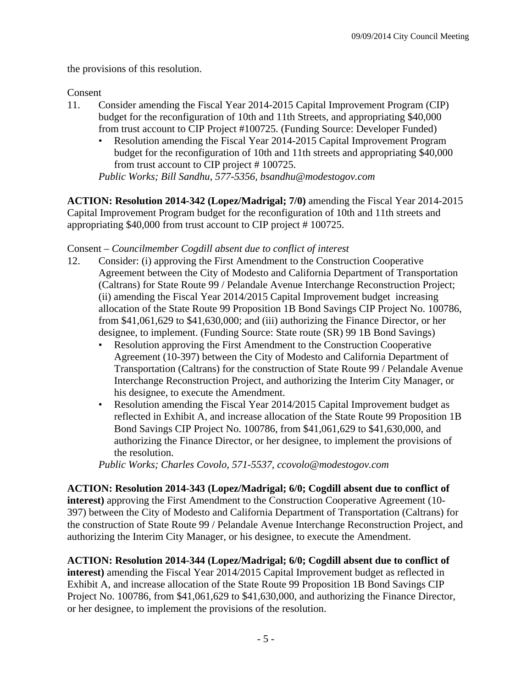the provisions of this resolution.

### Consent

- 11. Consider amending the Fiscal Year 2014-2015 Capital Improvement Program (CIP) budget for the reconfiguration of 10th and 11th Streets, and appropriating \$40,000 from trust account to CIP Project #100725. (Funding Source: Developer Funded)
	- Resolution amending the Fiscal Year 2014-2015 Capital Improvement Program budget for the reconfiguration of 10th and 11th streets and appropriating \$40,000 from trust account to CIP project # 100725.

*Public Works; Bill Sandhu, 577-5356, bsandhu@modestogov.com* 

**ACTION: Resolution 2014-342 (Lopez/Madrigal; 7/0)** amending the Fiscal Year 2014-2015 Capital Improvement Program budget for the reconfiguration of 10th and 11th streets and appropriating \$40,000 from trust account to CIP project # 100725.

### Consent – *Councilmember Cogdill absent due to conflict of interest*

- 12. Consider: (i) approving the First Amendment to the Construction Cooperative Agreement between the City of Modesto and California Department of Transportation (Caltrans) for State Route 99 / Pelandale Avenue Interchange Reconstruction Project; (ii) amending the Fiscal Year 2014/2015 Capital Improvement budget increasing allocation of the State Route 99 Proposition 1B Bond Savings CIP Project No. 100786, from \$41,061,629 to \$41,630,000; and (iii) authorizing the Finance Director, or her designee, to implement. (Funding Source: State route (SR) 99 1B Bond Savings)
	- Resolution approving the First Amendment to the Construction Cooperative Agreement (10-397) between the City of Modesto and California Department of Transportation (Caltrans) for the construction of State Route 99 / Pelandale Avenue Interchange Reconstruction Project, and authorizing the Interim City Manager, or his designee, to execute the Amendment.
	- Resolution amending the Fiscal Year 2014/2015 Capital Improvement budget as reflected in Exhibit A, and increase allocation of the State Route 99 Proposition 1B Bond Savings CIP Project No. 100786, from \$41,061,629 to \$41,630,000, and authorizing the Finance Director, or her designee, to implement the provisions of the resolution.

*Public Works; Charles Covolo, 571-5537, ccovolo@modestogov.com* 

**ACTION: Resolution 2014-343 (Lopez/Madrigal; 6/0; Cogdill absent due to conflict of interest)** approving the First Amendment to the Construction Cooperative Agreement (10- 397) between the City of Modesto and California Department of Transportation (Caltrans) for the construction of State Route 99 / Pelandale Avenue Interchange Reconstruction Project, and authorizing the Interim City Manager, or his designee, to execute the Amendment.

**ACTION: Resolution 2014-344 (Lopez/Madrigal; 6/0; Cogdill absent due to conflict of interest)** amending the Fiscal Year 2014/2015 Capital Improvement budget as reflected in Exhibit A, and increase allocation of the State Route 99 Proposition 1B Bond Savings CIP Project No. 100786, from \$41,061,629 to \$41,630,000, and authorizing the Finance Director, or her designee, to implement the provisions of the resolution.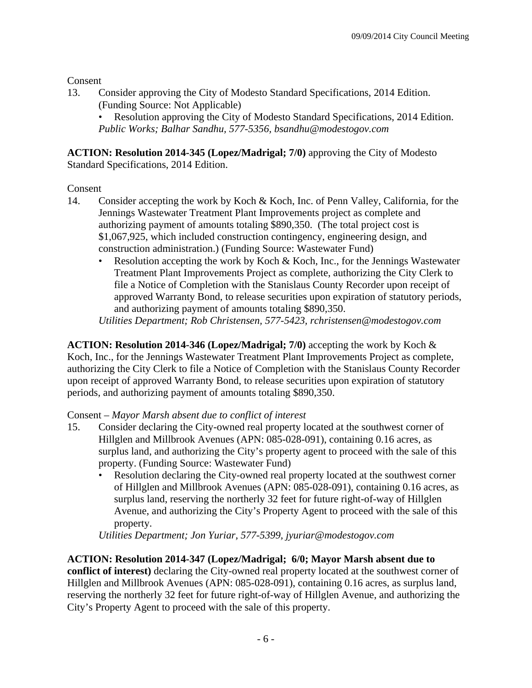Consent

13. Consider approving the City of Modesto Standard Specifications, 2014 Edition. (Funding Source: Not Applicable)

• Resolution approving the City of Modesto Standard Specifications, 2014 Edition. *Public Works; Balhar Sandhu, 577-5356, bsandhu@modestogov.com* 

**ACTION: Resolution 2014-345 (Lopez/Madrigal; 7/0)** approving the City of Modesto Standard Specifications, 2014 Edition.

# **Consent**

- 14. Consider accepting the work by Koch & Koch, Inc. of Penn Valley, California, for the Jennings Wastewater Treatment Plant Improvements project as complete and authorizing payment of amounts totaling \$890,350. (The total project cost is \$1,067,925, which included construction contingency, engineering design, and construction administration.) (Funding Source: Wastewater Fund)
	- Resolution accepting the work by Koch & Koch, Inc., for the Jennings Wastewater Treatment Plant Improvements Project as complete, authorizing the City Clerk to file a Notice of Completion with the Stanislaus County Recorder upon receipt of approved Warranty Bond, to release securities upon expiration of statutory periods, and authorizing payment of amounts totaling \$890,350.

*Utilities Department; Rob Christensen, 577-5423, rchristensen@modestogov.com* 

**ACTION: Resolution 2014-346 (Lopez/Madrigal; 7/0)** accepting the work by Koch & Koch, Inc., for the Jennings Wastewater Treatment Plant Improvements Project as complete, authorizing the City Clerk to file a Notice of Completion with the Stanislaus County Recorder upon receipt of approved Warranty Bond, to release securities upon expiration of statutory periods, and authorizing payment of amounts totaling \$890,350.

# Consent – *Mayor Marsh absent due to conflict of interest*

- 15. Consider declaring the City-owned real property located at the southwest corner of Hillglen and Millbrook Avenues (APN: 085-028-091), containing 0.16 acres, as surplus land, and authorizing the City's property agent to proceed with the sale of this property. (Funding Source: Wastewater Fund)
	- Resolution declaring the City-owned real property located at the southwest corner of Hillglen and Millbrook Avenues (APN: 085-028-091), containing 0.16 acres, as surplus land, reserving the northerly 32 feet for future right-of-way of Hillglen Avenue, and authorizing the City's Property Agent to proceed with the sale of this property.

*Utilities Department; Jon Yuriar, 577-5399, jyuriar@modestogov.com* 

# **ACTION: Resolution 2014-347 (Lopez/Madrigal; 6/0; Mayor Marsh absent due to**

**conflict of interest)** declaring the City-owned real property located at the southwest corner of Hillglen and Millbrook Avenues (APN: 085-028-091), containing 0.16 acres, as surplus land, reserving the northerly 32 feet for future right-of-way of Hillglen Avenue, and authorizing the City's Property Agent to proceed with the sale of this property.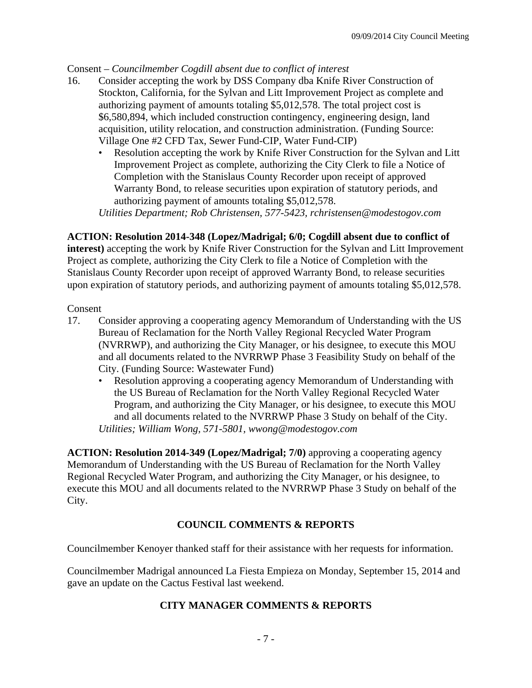## Consent – *Councilmember Cogdill absent due to conflict of interest*

- 16. Consider accepting the work by DSS Company dba Knife River Construction of Stockton, California, for the Sylvan and Litt Improvement Project as complete and authorizing payment of amounts totaling \$5,012,578. The total project cost is \$6,580,894, which included construction contingency, engineering design, land acquisition, utility relocation, and construction administration. (Funding Source: Village One #2 CFD Tax, Sewer Fund-CIP, Water Fund-CIP)
	- Resolution accepting the work by Knife River Construction for the Sylvan and Litt Improvement Project as complete, authorizing the City Clerk to file a Notice of Completion with the Stanislaus County Recorder upon receipt of approved Warranty Bond, to release securities upon expiration of statutory periods, and authorizing payment of amounts totaling \$5,012,578.

*Utilities Department; Rob Christensen, 577-5423, rchristensen@modestogov.com* 

## **ACTION: Resolution 2014-348 (Lopez/Madrigal; 6/0; Cogdill absent due to conflict of**

**interest)** accepting the work by Knife River Construction for the Sylvan and Litt Improvement Project as complete, authorizing the City Clerk to file a Notice of Completion with the Stanislaus County Recorder upon receipt of approved Warranty Bond, to release securities upon expiration of statutory periods, and authorizing payment of amounts totaling \$5,012,578.

### Consent

- 17. Consider approving a cooperating agency Memorandum of Understanding with the US Bureau of Reclamation for the North Valley Regional Recycled Water Program (NVRRWP), and authorizing the City Manager, or his designee, to execute this MOU and all documents related to the NVRRWP Phase 3 Feasibility Study on behalf of the City. (Funding Source: Wastewater Fund)
	- Resolution approving a cooperating agency Memorandum of Understanding with the US Bureau of Reclamation for the North Valley Regional Recycled Water Program, and authorizing the City Manager, or his designee, to execute this MOU and all documents related to the NVRRWP Phase 3 Study on behalf of the City. *Utilities; William Wong, 571-5801, wwong@modestogov.com*

**ACTION: Resolution 2014-349 (Lopez/Madrigal; 7/0)** approving a cooperating agency Memorandum of Understanding with the US Bureau of Reclamation for the North Valley Regional Recycled Water Program, and authorizing the City Manager, or his designee, to execute this MOU and all documents related to the NVRRWP Phase 3 Study on behalf of the City.

# **COUNCIL COMMENTS & REPORTS**

Councilmember Kenoyer thanked staff for their assistance with her requests for information.

Councilmember Madrigal announced La Fiesta Empieza on Monday, September 15, 2014 and gave an update on the Cactus Festival last weekend.

### **CITY MANAGER COMMENTS & REPORTS**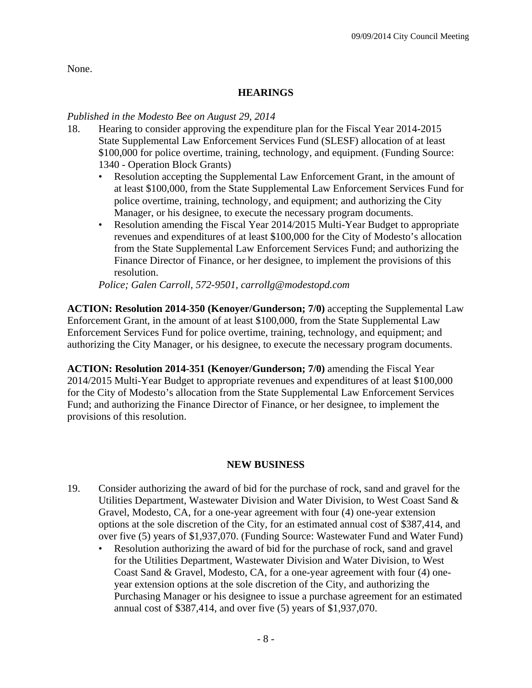None.

# **HEARINGS**

### *Published in the Modesto Bee on August 29, 2014*

- 18. Hearing to consider approving the expenditure plan for the Fiscal Year 2014-2015 State Supplemental Law Enforcement Services Fund (SLESF) allocation of at least \$100,000 for police overtime, training, technology, and equipment. (Funding Source: 1340 - Operation Block Grants)
	- Resolution accepting the Supplemental Law Enforcement Grant, in the amount of at least \$100,000, from the State Supplemental Law Enforcement Services Fund for police overtime, training, technology, and equipment; and authorizing the City Manager, or his designee, to execute the necessary program documents.
	- Resolution amending the Fiscal Year 2014/2015 Multi-Year Budget to appropriate revenues and expenditures of at least \$100,000 for the City of Modesto's allocation from the State Supplemental Law Enforcement Services Fund; and authorizing the Finance Director of Finance, or her designee, to implement the provisions of this resolution.

*Police; Galen Carroll, 572-9501, carrollg@modestopd.com* 

**ACTION: Resolution 2014-350 (Kenoyer/Gunderson; 7/0)** accepting the Supplemental Law Enforcement Grant, in the amount of at least \$100,000, from the State Supplemental Law Enforcement Services Fund for police overtime, training, technology, and equipment; and authorizing the City Manager, or his designee, to execute the necessary program documents.

**ACTION: Resolution 2014-351 (Kenoyer/Gunderson; 7/0)** amending the Fiscal Year 2014/2015 Multi-Year Budget to appropriate revenues and expenditures of at least \$100,000 for the City of Modesto's allocation from the State Supplemental Law Enforcement Services Fund; and authorizing the Finance Director of Finance, or her designee, to implement the provisions of this resolution.

# **NEW BUSINESS**

- 19. Consider authorizing the award of bid for the purchase of rock, sand and gravel for the Utilities Department, Wastewater Division and Water Division, to West Coast Sand & Gravel, Modesto, CA, for a one-year agreement with four (4) one-year extension options at the sole discretion of the City, for an estimated annual cost of \$387,414, and over five (5) years of \$1,937,070. (Funding Source: Wastewater Fund and Water Fund)
	- Resolution authorizing the award of bid for the purchase of rock, sand and gravel for the Utilities Department, Wastewater Division and Water Division, to West Coast Sand & Gravel, Modesto, CA, for a one-year agreement with four (4) oneyear extension options at the sole discretion of the City, and authorizing the Purchasing Manager or his designee to issue a purchase agreement for an estimated annual cost of \$387,414, and over five (5) years of \$1,937,070.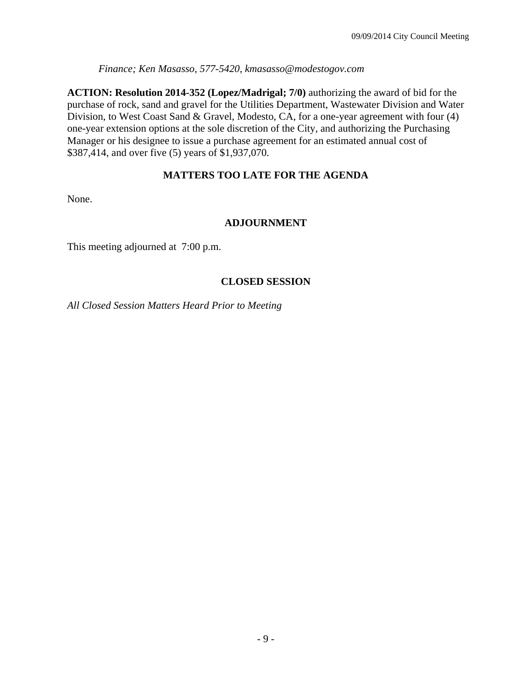*Finance; Ken Masasso, 577-5420, kmasasso@modestogov.com* 

**ACTION: Resolution 2014-352 (Lopez/Madrigal; 7/0)** authorizing the award of bid for the purchase of rock, sand and gravel for the Utilities Department, Wastewater Division and Water Division, to West Coast Sand & Gravel, Modesto, CA, for a one-year agreement with four (4) one-year extension options at the sole discretion of the City, and authorizing the Purchasing Manager or his designee to issue a purchase agreement for an estimated annual cost of \$387,414, and over five (5) years of \$1,937,070.

# **MATTERS TOO LATE FOR THE AGENDA**

None.

# **ADJOURNMENT**

This meeting adjourned at 7:00 p.m.

# **CLOSED SESSION**

*All Closed Session Matters Heard Prior to Meeting*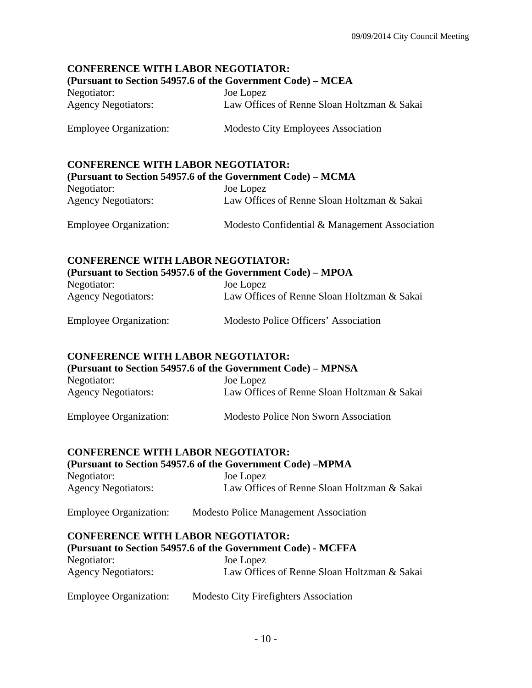# **CONFERENCE WITH LABOR NEGOTIATOR:**

#### **(Pursuant to Section 54957.6 of the Government Code) – MCEA**

| Negotiator:                | Joe Lopez                                   |
|----------------------------|---------------------------------------------|
| <b>Agency Negotiators:</b> | Law Offices of Renne Sloan Holtzman & Sakai |

Employee Organization: Modesto City Employees Association

# **CONFERENCE WITH LABOR NEGOTIATOR:**

| (Pursuant to Section 54957.6 of the Government Code) – MCMA |                                               |  |
|-------------------------------------------------------------|-----------------------------------------------|--|
| Negotiator:                                                 | Joe Lopez                                     |  |
| <b>Agency Negotiators:</b>                                  | Law Offices of Renne Sloan Holtzman & Sakai   |  |
| <b>Employee Organization:</b>                               | Modesto Confidential & Management Association |  |

# **CONFERENCE WITH LABOR NEGOTIATOR: (Pursuant to Section 54957.6 of the Government Code) – MPOA**

| Negotiator:                | Joe Lopez                                   |
|----------------------------|---------------------------------------------|
| <b>Agency Negotiators:</b> | Law Offices of Renne Sloan Holtzman & Sakai |
|                            |                                             |

| <b>Employee Organization:</b> | Modesto Police Officers' Association |
|-------------------------------|--------------------------------------|
|-------------------------------|--------------------------------------|

### **CONFERENCE WITH LABOR NEGOTIATOR:**

| (Pursuant to Section 54957.6 of the Government Code) – MPNSA |                                             |  |
|--------------------------------------------------------------|---------------------------------------------|--|
| Negotiator:                                                  | Joe Lopez                                   |  |
| <b>Agency Negotiators:</b>                                   | Law Offices of Renne Sloan Holtzman & Sakai |  |

# Employee Organization: Modesto Police Non Sworn Association

### **CONFERENCE WITH LABOR NEGOTIATOR:**

| (Pursuant to Section 54957.6 of the Government Code) – MPMA |                                              |  |
|-------------------------------------------------------------|----------------------------------------------|--|
| Negotiator:                                                 | Joe Lopez                                    |  |
| <b>Agency Negotiators:</b>                                  | Law Offices of Renne Sloan Holtzman & Sakai  |  |
| <b>Employee Organization:</b>                               | <b>Modesto Police Management Association</b> |  |

### **CONFERENCE WITH LABOR NEGOTIATOR:**

| (Pursuant to Section 54957.6 of the Government Code) - MCFFA |                                             |  |
|--------------------------------------------------------------|---------------------------------------------|--|
| Negotiator:                                                  | Joe Lopez                                   |  |
| <b>Agency Negotiators:</b>                                   | Law Offices of Renne Sloan Holtzman & Sakai |  |

| <b>Employee Organization:</b> | <b>Modesto City Firefighters Association</b> |
|-------------------------------|----------------------------------------------|
|-------------------------------|----------------------------------------------|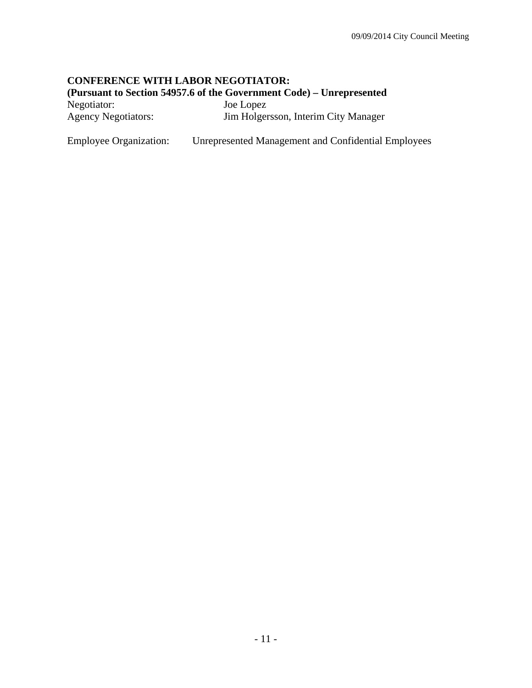# **CONFERENCE WITH LABOR NEGOTIATOR:**

**(Pursuant to Section 54957.6 of the Government Code) – Unrepresented** 

| Negotiator:                | Joe Lopez                            |
|----------------------------|--------------------------------------|
| <b>Agency Negotiators:</b> | Jim Holgersson, Interim City Manager |

Employee Organization: Unrepresented Management and Confidential Employees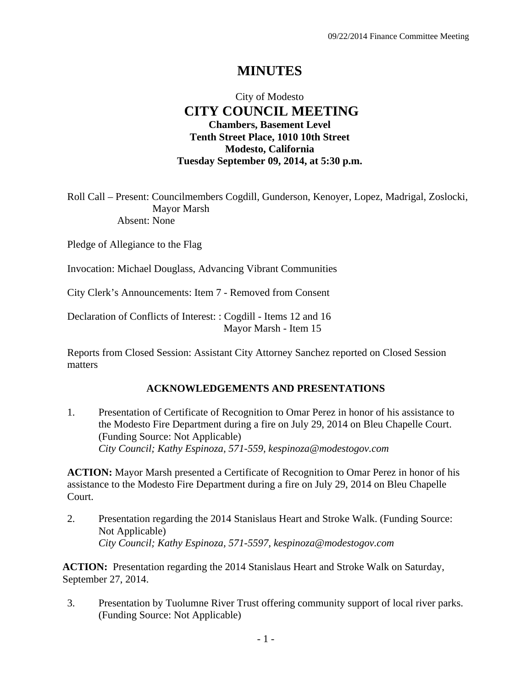# **MINUTES**

# City of Modesto  **CITY COUNCIL MEETING Chambers, Basement Level Tenth Street Place, 1010 10th Street Modesto, California Tuesday September 09, 2014, at 5:30 p.m.**

Roll Call – Present: Councilmembers Cogdill, Gunderson, Kenoyer, Lopez, Madrigal, Zoslocki, Mayor Marsh Absent: None

Pledge of Allegiance to the Flag

Invocation: Michael Douglass, Advancing Vibrant Communities

City Clerk's Announcements: Item 7 - Removed from Consent

Declaration of Conflicts of Interest: : Cogdill - Items 12 and 16 Mayor Marsh - Item 15

Reports from Closed Session: Assistant City Attorney Sanchez reported on Closed Session matters

### **ACKNOWLEDGEMENTS AND PRESENTATIONS**

1. Presentation of Certificate of Recognition to Omar Perez in honor of his assistance to the Modesto Fire Department during a fire on July 29, 2014 on Bleu Chapelle Court. (Funding Source: Not Applicable)  *City Council; Kathy Espinoza, 571-559, kespinoza@modestogov.com* 

**ACTION:** Mayor Marsh presented a Certificate of Recognition to Omar Perez in honor of his assistance to the Modesto Fire Department during a fire on July 29, 2014 on Bleu Chapelle Court.

2. Presentation regarding the 2014 Stanislaus Heart and Stroke Walk. (Funding Source: Not Applicable)  *City Council; Kathy Espinoza, 571-5597, kespinoza@modestogov.com* 

**ACTION:** Presentation regarding the 2014 Stanislaus Heart and Stroke Walk on Saturday, September 27, 2014.

3. Presentation by Tuolumne River Trust offering community support of local river parks. (Funding Source: Not Applicable)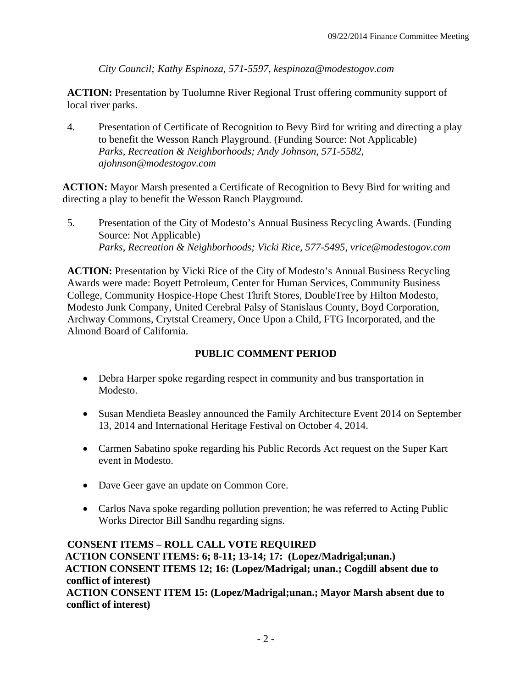*City Council; Kathy Espinoza, 571-5597, kespinoza@modestogov.com* 

**ACTION:** Presentation by Tuolumne River Regional Trust offering community support of local river parks.

4. Presentation of Certificate of Recognition to Bevy Bird for writing and directing a play to benefit the Wesson Ranch Playground. (Funding Source: Not Applicable)  *Parks, Recreation & Neighborhoods; Andy Johnson, 571-5582, ajohnson@modestogov.com* 

**ACTION:** Mayor Marsh presented a Certificate of Recognition to Bevy Bird for writing and directing a play to benefit the Wesson Ranch Playground.

5. Presentation of the City of Modesto's Annual Business Recycling Awards. (Funding Source: Not Applicable)  *Parks, Recreation & Neighborhoods; Vicki Rice, 577-5495, vrice@modestogov.com* 

**ACTION:** Presentation by Vicki Rice of the City of Modesto's Annual Business Recycling Awards were made: Boyett Petroleum, Center for Human Services, Community Business College, Community Hospice-Hope Chest Thrift Stores, DoubleTree by Hilton Modesto, Modesto Junk Company, United Cerebral Palsy of Stanislaus County, Boyd Corporation, Archway Commons, Crytstal Creamery, Once Upon a Child, FTG Incorporated, and the Almond Board of California.

# **PUBLIC COMMENT PERIOD**

- Debra Harper spoke regarding respect in community and bus transportation in Modesto.
- Susan Mendieta Beasley announced the Family Architecture Event 2014 on September 13, 2014 and International Heritage Festival on October 4, 2014.
- Carmen Sabatino spoke regarding his Public Records Act request on the Super Kart event in Modesto.
- Dave Geer gave an update on Common Core.
- Carlos Nava spoke regarding pollution prevention; he was referred to Acting Public Works Director Bill Sandhu regarding signs.

**CONSENT ITEMS – ROLL CALL VOTE REQUIRED ACTION CONSENT ITEMS: 6; 8-11; 13-14; 17: (Lopez/Madrigal;unan.) ACTION CONSENT ITEMS 12; 16: (Lopez/Madrigal; unan.; Cogdill absent due to conflict of interest) ACTION CONSENT ITEM 15: (Lopez/Madrigal;unan.; Mayor Marsh absent due to conflict of interest)**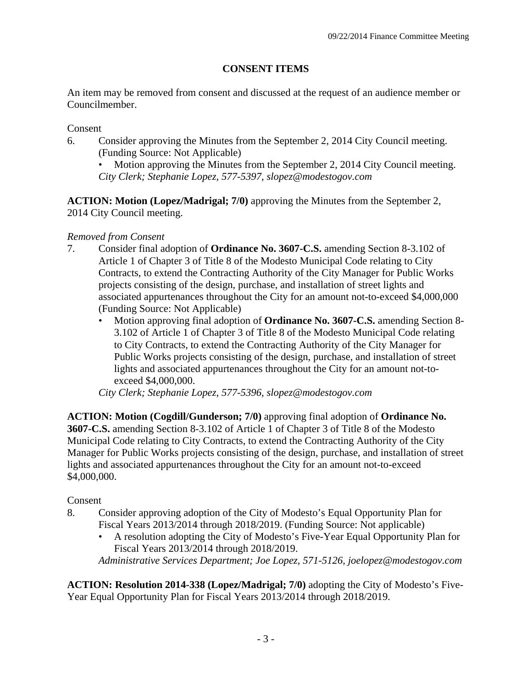# **CONSENT ITEMS**

An item may be removed from consent and discussed at the request of an audience member or Councilmember.

Consent

- 6. Consider approving the Minutes from the September 2, 2014 City Council meeting. (Funding Source: Not Applicable)
	- Motion approving the Minutes from the September 2, 2014 City Council meeting. *City Clerk; Stephanie Lopez, 577-5397, slopez@modestogov.com*

**ACTION: Motion (Lopez/Madrigal; 7/0)** approving the Minutes from the September 2, 2014 City Council meeting.

# *Removed from Consent*

- 7. Consider final adoption of **Ordinance No. 3607-C.S.** amending Section 8-3.102 of Article 1 of Chapter 3 of Title 8 of the Modesto Municipal Code relating to City Contracts, to extend the Contracting Authority of the City Manager for Public Works projects consisting of the design, purchase, and installation of street lights and associated appurtenances throughout the City for an amount not-to-exceed \$4,000,000 (Funding Source: Not Applicable)
	- Motion approving final adoption of **Ordinance No. 3607-C.S.** amending Section 8- 3.102 of Article 1 of Chapter 3 of Title 8 of the Modesto Municipal Code relating to City Contracts, to extend the Contracting Authority of the City Manager for Public Works projects consisting of the design, purchase, and installation of street lights and associated appurtenances throughout the City for an amount not-toexceed \$4,000,000.

*City Clerk; Stephanie Lopez, 577-5396, slopez@modestogov.com* 

**ACTION: Motion (Cogdill/Gunderson; 7/0)** approving final adoption of **Ordinance No. 3607-C.S.** amending Section 8-3.102 of Article 1 of Chapter 3 of Title 8 of the Modesto Municipal Code relating to City Contracts, to extend the Contracting Authority of the City Manager for Public Works projects consisting of the design, purchase, and installation of street lights and associated appurtenances throughout the City for an amount not-to-exceed \$4,000,000.

# Consent

- 8. Consider approving adoption of the City of Modesto's Equal Opportunity Plan for Fiscal Years 2013/2014 through 2018/2019. (Funding Source: Not applicable)
	- A resolution adopting the City of Modesto's Five-Year Equal Opportunity Plan for Fiscal Years 2013/2014 through 2018/2019.

*Administrative Services Department; Joe Lopez, 571-5126, joelopez@modestogov.com* 

**ACTION: Resolution 2014-338 (Lopez/Madrigal; 7/0)** adopting the City of Modesto's Five-Year Equal Opportunity Plan for Fiscal Years 2013/2014 through 2018/2019.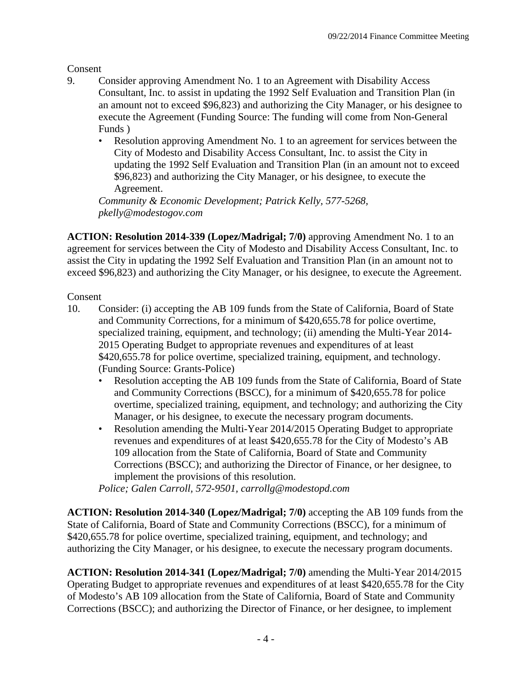Consent

- 9. Consider approving Amendment No. 1 to an Agreement with Disability Access Consultant, Inc. to assist in updating the 1992 Self Evaluation and Transition Plan (in an amount not to exceed \$96,823) and authorizing the City Manager, or his designee to execute the Agreement (Funding Source: The funding will come from Non-General Funds )
	- Resolution approving Amendment No. 1 to an agreement for services between the City of Modesto and Disability Access Consultant, Inc. to assist the City in updating the 1992 Self Evaluation and Transition Plan (in an amount not to exceed \$96,823) and authorizing the City Manager, or his designee, to execute the Agreement.

*Community & Economic Development; Patrick Kelly, 577-5268, pkelly@modestogov.com* 

**ACTION: Resolution 2014-339 (Lopez/Madrigal; 7/0)** approving Amendment No. 1 to an agreement for services between the City of Modesto and Disability Access Consultant, Inc. to assist the City in updating the 1992 Self Evaluation and Transition Plan (in an amount not to exceed \$96,823) and authorizing the City Manager, or his designee, to execute the Agreement.

## Consent

- 10. Consider: (i) accepting the AB 109 funds from the State of California, Board of State and Community Corrections, for a minimum of \$420,655.78 for police overtime, specialized training, equipment, and technology; (ii) amending the Multi-Year 2014- 2015 Operating Budget to appropriate revenues and expenditures of at least \$420,655.78 for police overtime, specialized training, equipment, and technology. (Funding Source: Grants-Police)
	- Resolution accepting the AB 109 funds from the State of California, Board of State and Community Corrections (BSCC), for a minimum of \$420,655.78 for police overtime, specialized training, equipment, and technology; and authorizing the City Manager, or his designee, to execute the necessary program documents.
	- Resolution amending the Multi-Year 2014/2015 Operating Budget to appropriate revenues and expenditures of at least \$420,655.78 for the City of Modesto's AB 109 allocation from the State of California, Board of State and Community Corrections (BSCC); and authorizing the Director of Finance, or her designee, to implement the provisions of this resolution.

*Police; Galen Carroll, 572-9501, carrollg@modestopd.com* 

**ACTION: Resolution 2014-340 (Lopez/Madrigal; 7/0)** accepting the AB 109 funds from the State of California, Board of State and Community Corrections (BSCC), for a minimum of \$420,655.78 for police overtime, specialized training, equipment, and technology; and authorizing the City Manager, or his designee, to execute the necessary program documents.

**ACTION: Resolution 2014-341 (Lopez/Madrigal; 7/0)** amending the Multi-Year 2014/2015 Operating Budget to appropriate revenues and expenditures of at least \$420,655.78 for the City of Modesto's AB 109 allocation from the State of California, Board of State and Community Corrections (BSCC); and authorizing the Director of Finance, or her designee, to implement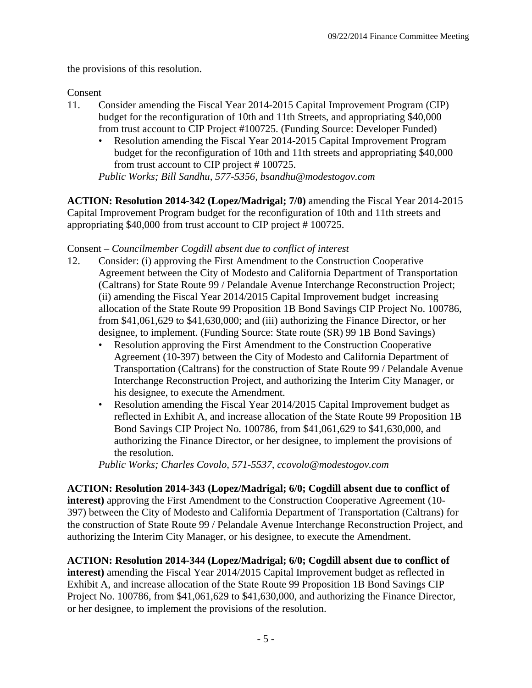the provisions of this resolution.

Consent

- 11. Consider amending the Fiscal Year 2014-2015 Capital Improvement Program (CIP) budget for the reconfiguration of 10th and 11th Streets, and appropriating \$40,000 from trust account to CIP Project #100725. (Funding Source: Developer Funded)
	- Resolution amending the Fiscal Year 2014-2015 Capital Improvement Program budget for the reconfiguration of 10th and 11th streets and appropriating \$40,000 from trust account to CIP project # 100725.

*Public Works; Bill Sandhu, 577-5356, bsandhu@modestogov.com* 

**ACTION: Resolution 2014-342 (Lopez/Madrigal; 7/0)** amending the Fiscal Year 2014-2015 Capital Improvement Program budget for the reconfiguration of 10th and 11th streets and appropriating \$40,000 from trust account to CIP project # 100725.

# Consent – *Councilmember Cogdill absent due to conflict of interest*

- 12. Consider: (i) approving the First Amendment to the Construction Cooperative Agreement between the City of Modesto and California Department of Transportation (Caltrans) for State Route 99 / Pelandale Avenue Interchange Reconstruction Project; (ii) amending the Fiscal Year 2014/2015 Capital Improvement budget increasing allocation of the State Route 99 Proposition 1B Bond Savings CIP Project No. 100786, from \$41,061,629 to \$41,630,000; and (iii) authorizing the Finance Director, or her designee, to implement. (Funding Source: State route (SR) 99 1B Bond Savings)
	- Resolution approving the First Amendment to the Construction Cooperative Agreement (10-397) between the City of Modesto and California Department of Transportation (Caltrans) for the construction of State Route 99 / Pelandale Avenue Interchange Reconstruction Project, and authorizing the Interim City Manager, or his designee, to execute the Amendment.
	- Resolution amending the Fiscal Year 2014/2015 Capital Improvement budget as reflected in Exhibit A, and increase allocation of the State Route 99 Proposition 1B Bond Savings CIP Project No. 100786, from \$41,061,629 to \$41,630,000, and authorizing the Finance Director, or her designee, to implement the provisions of the resolution.

*Public Works; Charles Covolo, 571-5537, ccovolo@modestogov.com* 

**ACTION: Resolution 2014-343 (Lopez/Madrigal; 6/0; Cogdill absent due to conflict of interest)** approving the First Amendment to the Construction Cooperative Agreement (10- 397) between the City of Modesto and California Department of Transportation (Caltrans) for the construction of State Route 99 / Pelandale Avenue Interchange Reconstruction Project, and authorizing the Interim City Manager, or his designee, to execute the Amendment.

**ACTION: Resolution 2014-344 (Lopez/Madrigal; 6/0; Cogdill absent due to conflict of interest)** amending the Fiscal Year 2014/2015 Capital Improvement budget as reflected in Exhibit A, and increase allocation of the State Route 99 Proposition 1B Bond Savings CIP Project No. 100786, from \$41,061,629 to \$41,630,000, and authorizing the Finance Director, or her designee, to implement the provisions of the resolution.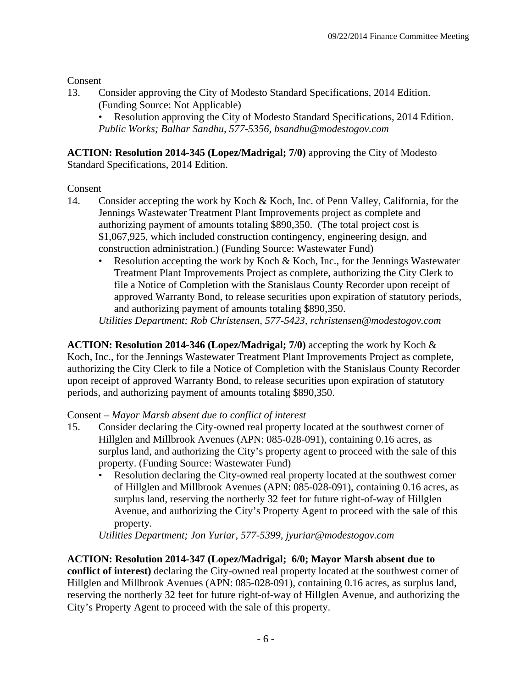Consent

13. Consider approving the City of Modesto Standard Specifications, 2014 Edition. (Funding Source: Not Applicable)

• Resolution approving the City of Modesto Standard Specifications, 2014 Edition. *Public Works; Balhar Sandhu, 577-5356, bsandhu@modestogov.com* 

**ACTION: Resolution 2014-345 (Lopez/Madrigal; 7/0)** approving the City of Modesto Standard Specifications, 2014 Edition.

# **Consent**

- 14. Consider accepting the work by Koch & Koch, Inc. of Penn Valley, California, for the Jennings Wastewater Treatment Plant Improvements project as complete and authorizing payment of amounts totaling \$890,350. (The total project cost is \$1,067,925, which included construction contingency, engineering design, and construction administration.) (Funding Source: Wastewater Fund)
	- Resolution accepting the work by Koch & Koch, Inc., for the Jennings Wastewater Treatment Plant Improvements Project as complete, authorizing the City Clerk to file a Notice of Completion with the Stanislaus County Recorder upon receipt of approved Warranty Bond, to release securities upon expiration of statutory periods, and authorizing payment of amounts totaling \$890,350.

*Utilities Department; Rob Christensen, 577-5423, rchristensen@modestogov.com* 

**ACTION: Resolution 2014-346 (Lopez/Madrigal; 7/0)** accepting the work by Koch & Koch, Inc., for the Jennings Wastewater Treatment Plant Improvements Project as complete, authorizing the City Clerk to file a Notice of Completion with the Stanislaus County Recorder upon receipt of approved Warranty Bond, to release securities upon expiration of statutory periods, and authorizing payment of amounts totaling \$890,350.

# Consent – *Mayor Marsh absent due to conflict of interest*

- 15. Consider declaring the City-owned real property located at the southwest corner of Hillglen and Millbrook Avenues (APN: 085-028-091), containing 0.16 acres, as surplus land, and authorizing the City's property agent to proceed with the sale of this property. (Funding Source: Wastewater Fund)
	- Resolution declaring the City-owned real property located at the southwest corner of Hillglen and Millbrook Avenues (APN: 085-028-091), containing 0.16 acres, as surplus land, reserving the northerly 32 feet for future right-of-way of Hillglen Avenue, and authorizing the City's Property Agent to proceed with the sale of this property.

*Utilities Department; Jon Yuriar, 577-5399, jyuriar@modestogov.com* 

# **ACTION: Resolution 2014-347 (Lopez/Madrigal; 6/0; Mayor Marsh absent due to**

**conflict of interest)** declaring the City-owned real property located at the southwest corner of Hillglen and Millbrook Avenues (APN: 085-028-091), containing 0.16 acres, as surplus land, reserving the northerly 32 feet for future right-of-way of Hillglen Avenue, and authorizing the City's Property Agent to proceed with the sale of this property.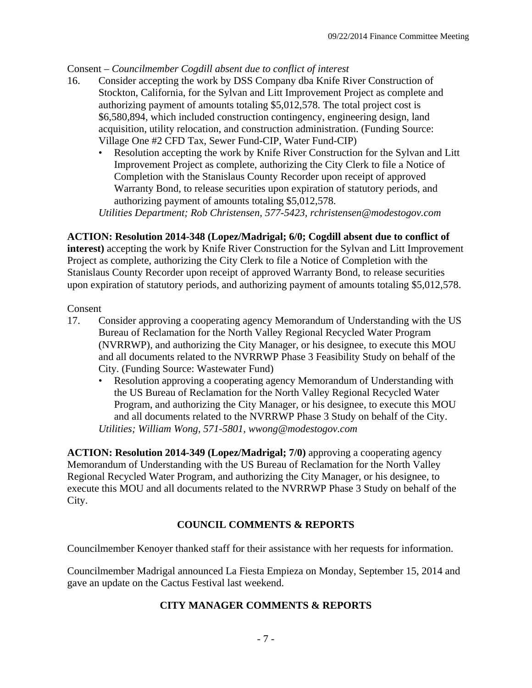### Consent – *Councilmember Cogdill absent due to conflict of interest*

- 16. Consider accepting the work by DSS Company dba Knife River Construction of Stockton, California, for the Sylvan and Litt Improvement Project as complete and authorizing payment of amounts totaling \$5,012,578. The total project cost is \$6,580,894, which included construction contingency, engineering design, land acquisition, utility relocation, and construction administration. (Funding Source: Village One #2 CFD Tax, Sewer Fund-CIP, Water Fund-CIP)
	- Resolution accepting the work by Knife River Construction for the Sylvan and Litt Improvement Project as complete, authorizing the City Clerk to file a Notice of Completion with the Stanislaus County Recorder upon receipt of approved Warranty Bond, to release securities upon expiration of statutory periods, and authorizing payment of amounts totaling \$5,012,578.

*Utilities Department; Rob Christensen, 577-5423, rchristensen@modestogov.com* 

### **ACTION: Resolution 2014-348 (Lopez/Madrigal; 6/0; Cogdill absent due to conflict of**

**interest)** accepting the work by Knife River Construction for the Sylvan and Litt Improvement Project as complete, authorizing the City Clerk to file a Notice of Completion with the Stanislaus County Recorder upon receipt of approved Warranty Bond, to release securities upon expiration of statutory periods, and authorizing payment of amounts totaling \$5,012,578.

#### Consent

- 17. Consider approving a cooperating agency Memorandum of Understanding with the US Bureau of Reclamation for the North Valley Regional Recycled Water Program (NVRRWP), and authorizing the City Manager, or his designee, to execute this MOU and all documents related to the NVRRWP Phase 3 Feasibility Study on behalf of the City. (Funding Source: Wastewater Fund)
	- Resolution approving a cooperating agency Memorandum of Understanding with the US Bureau of Reclamation for the North Valley Regional Recycled Water Program, and authorizing the City Manager, or his designee, to execute this MOU and all documents related to the NVRRWP Phase 3 Study on behalf of the City. *Utilities; William Wong, 571-5801, wwong@modestogov.com*

**ACTION: Resolution 2014-349 (Lopez/Madrigal; 7/0)** approving a cooperating agency Memorandum of Understanding with the US Bureau of Reclamation for the North Valley Regional Recycled Water Program, and authorizing the City Manager, or his designee, to execute this MOU and all documents related to the NVRRWP Phase 3 Study on behalf of the City.

### **COUNCIL COMMENTS & REPORTS**

Councilmember Kenoyer thanked staff for their assistance with her requests for information.

Councilmember Madrigal announced La Fiesta Empieza on Monday, September 15, 2014 and gave an update on the Cactus Festival last weekend.

### **CITY MANAGER COMMENTS & REPORTS**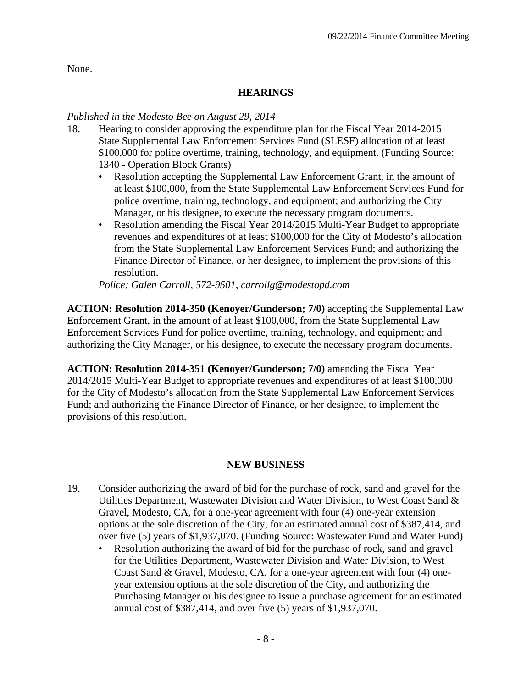None.

# **HEARINGS**

### *Published in the Modesto Bee on August 29, 2014*

- 18. Hearing to consider approving the expenditure plan for the Fiscal Year 2014-2015 State Supplemental Law Enforcement Services Fund (SLESF) allocation of at least \$100,000 for police overtime, training, technology, and equipment. (Funding Source: 1340 - Operation Block Grants)
	- Resolution accepting the Supplemental Law Enforcement Grant, in the amount of at least \$100,000, from the State Supplemental Law Enforcement Services Fund for police overtime, training, technology, and equipment; and authorizing the City Manager, or his designee, to execute the necessary program documents.
	- Resolution amending the Fiscal Year 2014/2015 Multi-Year Budget to appropriate revenues and expenditures of at least \$100,000 for the City of Modesto's allocation from the State Supplemental Law Enforcement Services Fund; and authorizing the Finance Director of Finance, or her designee, to implement the provisions of this resolution.

*Police; Galen Carroll, 572-9501, carrollg@modestopd.com* 

**ACTION: Resolution 2014-350 (Kenoyer/Gunderson; 7/0)** accepting the Supplemental Law Enforcement Grant, in the amount of at least \$100,000, from the State Supplemental Law Enforcement Services Fund for police overtime, training, technology, and equipment; and authorizing the City Manager, or his designee, to execute the necessary program documents.

**ACTION: Resolution 2014-351 (Kenoyer/Gunderson; 7/0)** amending the Fiscal Year 2014/2015 Multi-Year Budget to appropriate revenues and expenditures of at least \$100,000 for the City of Modesto's allocation from the State Supplemental Law Enforcement Services Fund; and authorizing the Finance Director of Finance, or her designee, to implement the provisions of this resolution.

### **NEW BUSINESS**

- 19. Consider authorizing the award of bid for the purchase of rock, sand and gravel for the Utilities Department, Wastewater Division and Water Division, to West Coast Sand & Gravel, Modesto, CA, for a one-year agreement with four (4) one-year extension options at the sole discretion of the City, for an estimated annual cost of \$387,414, and over five (5) years of \$1,937,070. (Funding Source: Wastewater Fund and Water Fund)
	- Resolution authorizing the award of bid for the purchase of rock, sand and gravel for the Utilities Department, Wastewater Division and Water Division, to West Coast Sand & Gravel, Modesto, CA, for a one-year agreement with four (4) oneyear extension options at the sole discretion of the City, and authorizing the Purchasing Manager or his designee to issue a purchase agreement for an estimated annual cost of \$387,414, and over five (5) years of \$1,937,070.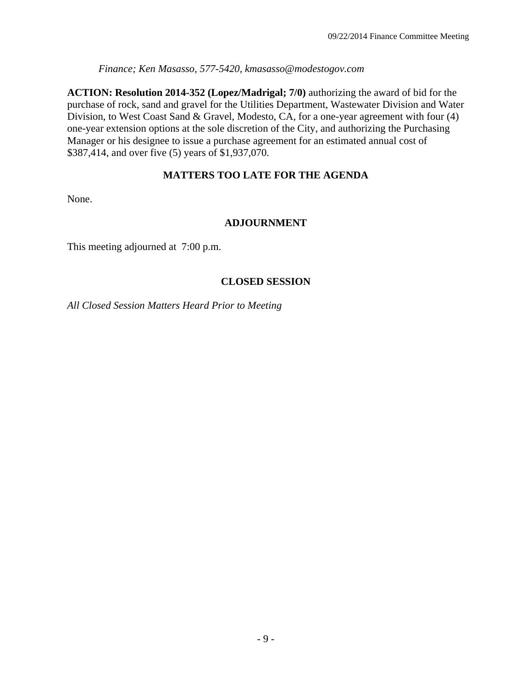*Finance; Ken Masasso, 577-5420, kmasasso@modestogov.com* 

**ACTION: Resolution 2014-352 (Lopez/Madrigal; 7/0)** authorizing the award of bid for the purchase of rock, sand and gravel for the Utilities Department, Wastewater Division and Water Division, to West Coast Sand & Gravel, Modesto, CA, for a one-year agreement with four (4) one-year extension options at the sole discretion of the City, and authorizing the Purchasing Manager or his designee to issue a purchase agreement for an estimated annual cost of \$387,414, and over five (5) years of \$1,937,070.

## **MATTERS TOO LATE FOR THE AGENDA**

None.

### **ADJOURNMENT**

This meeting adjourned at 7:00 p.m.

### **CLOSED SESSION**

*All Closed Session Matters Heard Prior to Meeting*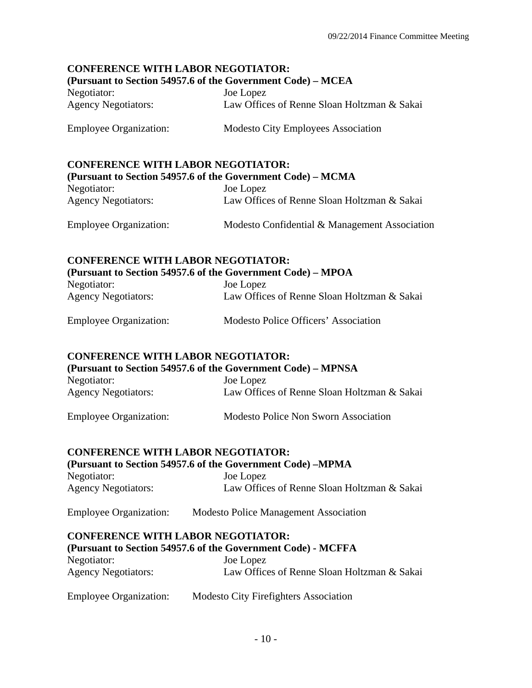# **CONFERENCE WITH LABOR NEGOTIATOR:**

### **(Pursuant to Section 54957.6 of the Government Code) – MCEA**

| Negotiator:                | Joe Lopez                                   |
|----------------------------|---------------------------------------------|
| <b>Agency Negotiators:</b> | Law Offices of Renne Sloan Holtzman & Sakai |

Employee Organization: Modesto City Employees Association

# **CONFERENCE WITH LABOR NEGOTIATOR:**

| (Pursuant to Section 54957.6 of the Government Code) – MCMA |                                               |  |
|-------------------------------------------------------------|-----------------------------------------------|--|
| Negotiator:                                                 | Joe Lopez                                     |  |
| <b>Agency Negotiators:</b>                                  | Law Offices of Renne Sloan Holtzman & Sakai   |  |
| <b>Employee Organization:</b>                               | Modesto Confidential & Management Association |  |

# **CONFERENCE WITH LABOR NEGOTIATOR: (Pursuant to Section 54957.6 of the Government Code) – MPOA**

| Negotiator:                | Joe Lopez                                   |
|----------------------------|---------------------------------------------|
| <b>Agency Negotiators:</b> | Law Offices of Renne Sloan Holtzman & Sakai |

| <b>Employee Organization:</b> | Modesto Police Officers' Association |
|-------------------------------|--------------------------------------|
|-------------------------------|--------------------------------------|

### **CONFERENCE WITH LABOR NEGOTIATOR:**

| (Pursuant to Section 54957.6 of the Government Code) – MPNSA |                                             |
|--------------------------------------------------------------|---------------------------------------------|
| Negotiator:                                                  | Joe Lopez                                   |
| <b>Agency Negotiators:</b>                                   | Law Offices of Renne Sloan Holtzman & Sakai |

# Employee Organization: Modesto Police Non Sworn Association

### **CONFERENCE WITH LABOR NEGOTIATOR:**

| (Pursuant to Section 54957.6 of the Government Code) – MPMA |                                              |  |
|-------------------------------------------------------------|----------------------------------------------|--|
| Negotiator:                                                 | Joe Lopez                                    |  |
| <b>Agency Negotiators:</b>                                  | Law Offices of Renne Sloan Holtzman & Sakai  |  |
| <b>Employee Organization:</b>                               | <b>Modesto Police Management Association</b> |  |

### **CONFERENCE WITH LABOR NEGOTIATOR:**

| (Pursuant to Section 54957.6 of the Government Code) - MCFFA |                                             |
|--------------------------------------------------------------|---------------------------------------------|
| Negotiator:                                                  | Joe Lopez                                   |
| <b>Agency Negotiators:</b>                                   | Law Offices of Renne Sloan Holtzman & Sakai |

| <b>Employee Organization:</b> | <b>Modesto City Firefighters Association</b> |
|-------------------------------|----------------------------------------------|
|-------------------------------|----------------------------------------------|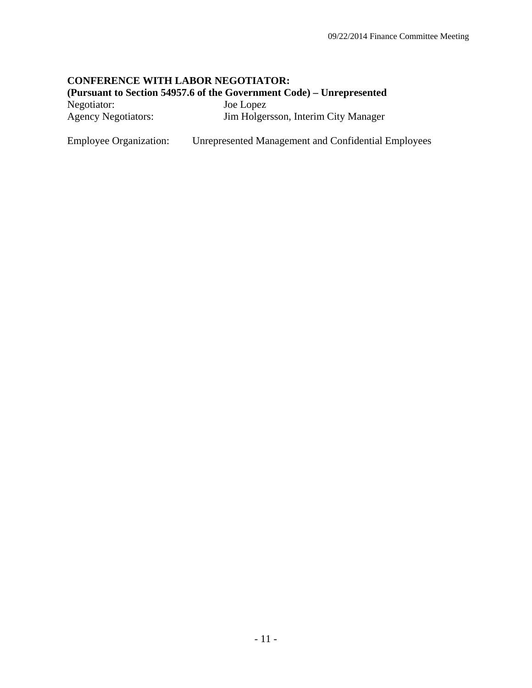# **CONFERENCE WITH LABOR NEGOTIATOR:**

**(Pursuant to Section 54957.6 of the Government Code) – Unrepresented** 

| Negotiator:                | Joe Lopez                            |
|----------------------------|--------------------------------------|
| <b>Agency Negotiators:</b> | Jim Holgersson, Interim City Manager |

Employee Organization: Unrepresented Management and Confidential Employees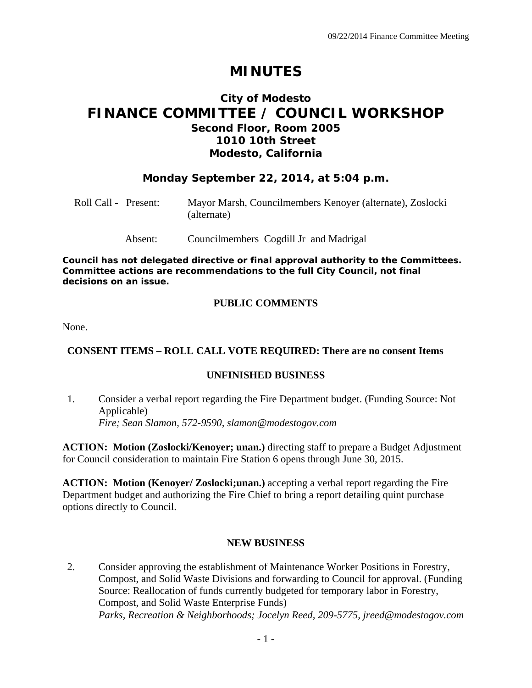# **MINUTES**

# **City of Modesto FINANCE COMMITTEE / COUNCIL WORKSHOP Second Floor, Room 2005 1010 10th Street Modesto, California**

## **Monday September 22, 2014, at 5:04 p.m.**

| Roll Call - Present: |         | Mayor Marsh, Councilmembers Kenoyer (alternate), Zoslocki<br>(alternate) |
|----------------------|---------|--------------------------------------------------------------------------|
|                      | Absent: | Councilmembers Cogdill Jr and Madrigal                                   |

*Council has not delegated directive or final approval authority to the Committees. Committee actions are recommendations to the full City Council, not final decisions on an issue.* 

## **PUBLIC COMMENTS**

None.

### **CONSENT ITEMS – ROLL CALL VOTE REQUIRED: There are no consent Items**

### **UNFINISHED BUSINESS**

1. Consider a verbal report regarding the Fire Department budget. (Funding Source: Not Applicable)  *Fire; Sean Slamon, 572-9590, slamon@modestogov.com* 

**ACTION: Motion (Zoslocki/Kenoyer; unan.)** directing staff to prepare a Budget Adjustment for Council consideration to maintain Fire Station 6 opens through June 30, 2015.

**ACTION: Motion (Kenoyer/ Zoslocki;unan.)** accepting a verbal report regarding the Fire Department budget and authorizing the Fire Chief to bring a report detailing quint purchase options directly to Council.

### **NEW BUSINESS**

2. Consider approving the establishment of Maintenance Worker Positions in Forestry, Compost, and Solid Waste Divisions and forwarding to Council for approval. (Funding Source: Reallocation of funds currently budgeted for temporary labor in Forestry, Compost, and Solid Waste Enterprise Funds)  *Parks, Recreation & Neighborhoods; Jocelyn Reed, 209-5775, jreed@modestogov.com*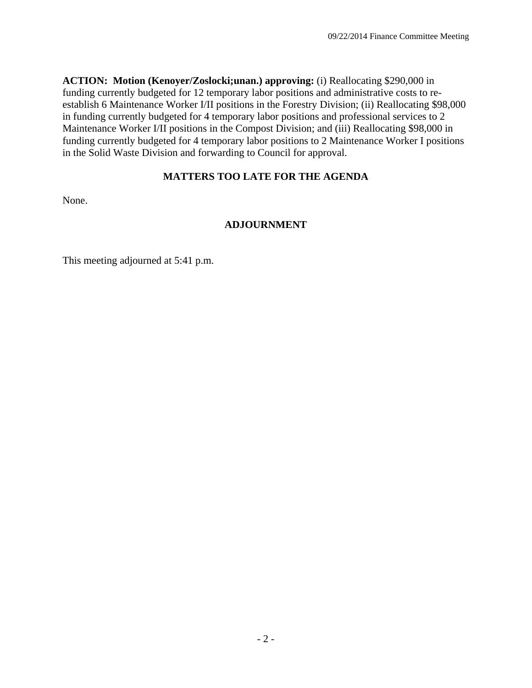**ACTION: Motion (Kenoyer/Zoslocki;unan.) approving:** (i) Reallocating \$290,000 in funding currently budgeted for 12 temporary labor positions and administrative costs to reestablish 6 Maintenance Worker I/II positions in the Forestry Division; (ii) Reallocating \$98,000 in funding currently budgeted for 4 temporary labor positions and professional services to 2 Maintenance Worker I/II positions in the Compost Division; and (iii) Reallocating \$98,000 in funding currently budgeted for 4 temporary labor positions to 2 Maintenance Worker I positions in the Solid Waste Division and forwarding to Council for approval.

# **MATTERS TOO LATE FOR THE AGENDA**

None.

## **ADJOURNMENT**

This meeting adjourned at 5:41 p.m.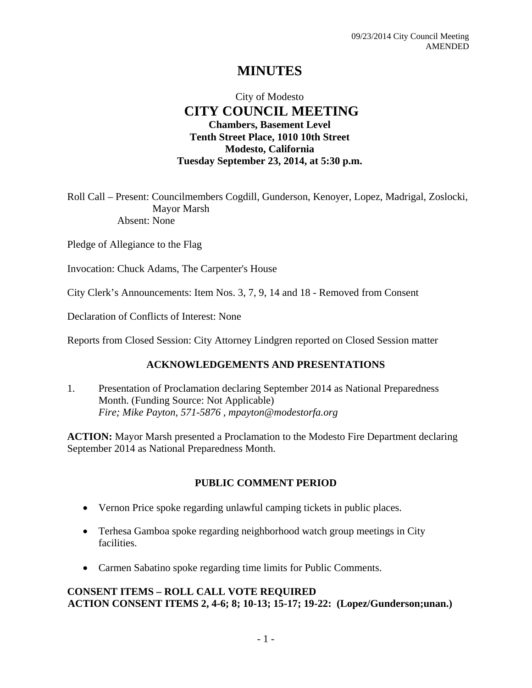# **MINUTES**

# City of Modesto  **CITY COUNCIL MEETING Chambers, Basement Level Tenth Street Place, 1010 10th Street Modesto, California Tuesday September 23, 2014, at 5:30 p.m.**

Roll Call – Present: Councilmembers Cogdill, Gunderson, Kenoyer, Lopez, Madrigal, Zoslocki, Mayor Marsh Absent: None

Pledge of Allegiance to the Flag

Invocation: Chuck Adams, The Carpenter's House

City Clerk's Announcements: Item Nos. 3, 7, 9, 14 and 18 - Removed from Consent

Declaration of Conflicts of Interest: None

Reports from Closed Session: City Attorney Lindgren reported on Closed Session matter

#### **ACKNOWLEDGEMENTS AND PRESENTATIONS**

1. Presentation of Proclamation declaring September 2014 as National Preparedness Month. (Funding Source: Not Applicable)  *Fire; Mike Payton, 571-5876 , mpayton@modestorfa.org* 

**ACTION:** Mayor Marsh presented a Proclamation to the Modesto Fire Department declaring September 2014 as National Preparedness Month.

#### **PUBLIC COMMENT PERIOD**

- Vernon Price spoke regarding unlawful camping tickets in public places.
- Terhesa Gamboa spoke regarding neighborhood watch group meetings in City facilities.
- Carmen Sabatino spoke regarding time limits for Public Comments.

### **CONSENT ITEMS – ROLL CALL VOTE REQUIRED ACTION CONSENT ITEMS 2, 4-6; 8; 10-13; 15-17; 19-22: (Lopez/Gunderson;unan.)**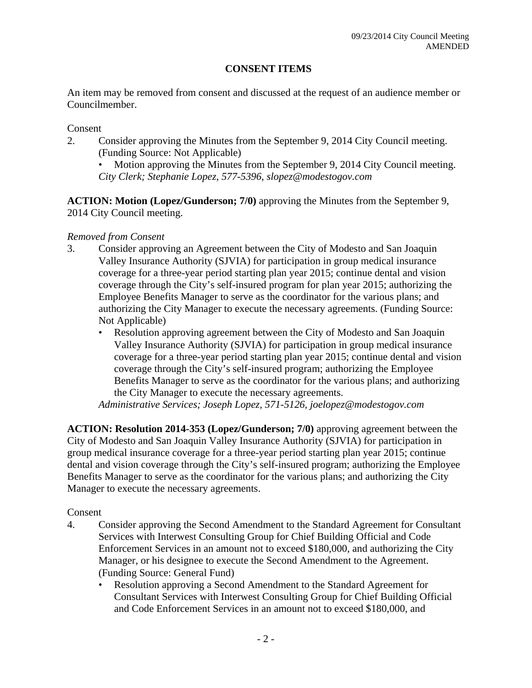### **CONSENT ITEMS**

An item may be removed from consent and discussed at the request of an audience member or Councilmember.

Consent

- 2. Consider approving the Minutes from the September 9, 2014 City Council meeting. (Funding Source: Not Applicable)
	- Motion approving the Minutes from the September 9, 2014 City Council meeting. *City Clerk; Stephanie Lopez, 577-5396, slopez@modestogov.com*

**ACTION: Motion (Lopez/Gunderson; 7/0)** approving the Minutes from the September 9, 2014 City Council meeting.

#### *Removed from Consent*

- 3. Consider approving an Agreement between the City of Modesto and San Joaquin Valley Insurance Authority (SJVIA) for participation in group medical insurance coverage for a three-year period starting plan year 2015; continue dental and vision coverage through the City's self-insured program for plan year 2015; authorizing the Employee Benefits Manager to serve as the coordinator for the various plans; and authorizing the City Manager to execute the necessary agreements. (Funding Source: Not Applicable)
	- Resolution approving agreement between the City of Modesto and San Joaquin Valley Insurance Authority (SJVIA) for participation in group medical insurance coverage for a three-year period starting plan year 2015; continue dental and vision coverage through the City's self-insured program; authorizing the Employee Benefits Manager to serve as the coordinator for the various plans; and authorizing the City Manager to execute the necessary agreements.

*Administrative Services; Joseph Lopez, 571-5126, joelopez@modestogov.com* 

**ACTION: Resolution 2014-353 (Lopez/Gunderson; 7/0)** approving agreement between the City of Modesto and San Joaquin Valley Insurance Authority (SJVIA) for participation in group medical insurance coverage for a three-year period starting plan year 2015; continue dental and vision coverage through the City's self-insured program; authorizing the Employee Benefits Manager to serve as the coordinator for the various plans; and authorizing the City Manager to execute the necessary agreements.

#### Consent

- 4. Consider approving the Second Amendment to the Standard Agreement for Consultant Services with Interwest Consulting Group for Chief Building Official and Code Enforcement Services in an amount not to exceed \$180,000, and authorizing the City Manager, or his designee to execute the Second Amendment to the Agreement. (Funding Source: General Fund)
	- Resolution approving a Second Amendment to the Standard Agreement for Consultant Services with Interwest Consulting Group for Chief Building Official and Code Enforcement Services in an amount not to exceed \$180,000, and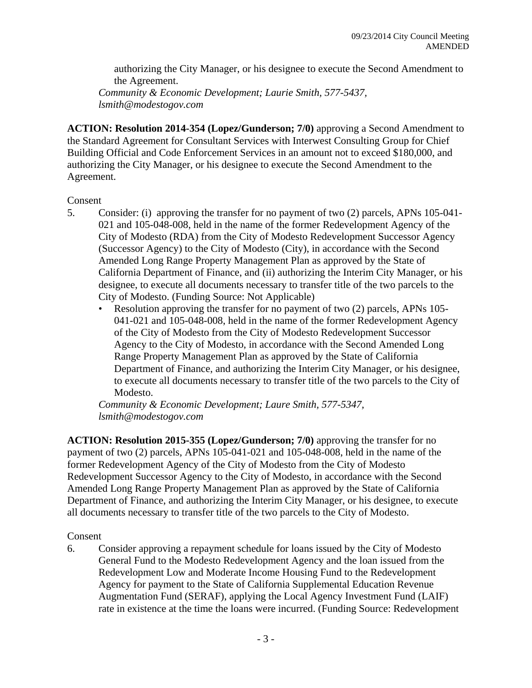authorizing the City Manager, or his designee to execute the Second Amendment to the Agreement.

*Community & Economic Development; Laurie Smith, 577-5437, lsmith@modestogov.com* 

**ACTION: Resolution 2014-354 (Lopez/Gunderson; 7/0)** approving a Second Amendment to the Standard Agreement for Consultant Services with Interwest Consulting Group for Chief Building Official and Code Enforcement Services in an amount not to exceed \$180,000, and authorizing the City Manager, or his designee to execute the Second Amendment to the Agreement.

#### Consent

- 5. Consider: (i) approving the transfer for no payment of two (2) parcels, APNs 105-041- 021 and 105-048-008, held in the name of the former Redevelopment Agency of the City of Modesto (RDA) from the City of Modesto Redevelopment Successor Agency (Successor Agency) to the City of Modesto (City), in accordance with the Second Amended Long Range Property Management Plan as approved by the State of California Department of Finance, and (ii) authorizing the Interim City Manager, or his designee, to execute all documents necessary to transfer title of the two parcels to the City of Modesto. (Funding Source: Not Applicable)
	- Resolution approving the transfer for no payment of two (2) parcels, APNs 105- 041-021 and 105-048-008, held in the name of the former Redevelopment Agency of the City of Modesto from the City of Modesto Redevelopment Successor Agency to the City of Modesto, in accordance with the Second Amended Long Range Property Management Plan as approved by the State of California Department of Finance, and authorizing the Interim City Manager, or his designee, to execute all documents necessary to transfer title of the two parcels to the City of Modesto.

*Community & Economic Development; Laure Smith, 577-5347, lsmith@modestogov.com* 

**ACTION: Resolution 2015-355 (Lopez/Gunderson; 7/0)** approving the transfer for no payment of two (2) parcels, APNs 105-041-021 and 105-048-008, held in the name of the former Redevelopment Agency of the City of Modesto from the City of Modesto Redevelopment Successor Agency to the City of Modesto, in accordance with the Second Amended Long Range Property Management Plan as approved by the State of California Department of Finance, and authorizing the Interim City Manager, or his designee, to execute all documents necessary to transfer title of the two parcels to the City of Modesto.

#### Consent

6. Consider approving a repayment schedule for loans issued by the City of Modesto General Fund to the Modesto Redevelopment Agency and the loan issued from the Redevelopment Low and Moderate Income Housing Fund to the Redevelopment Agency for payment to the State of California Supplemental Education Revenue Augmentation Fund (SERAF), applying the Local Agency Investment Fund (LAIF) rate in existence at the time the loans were incurred. (Funding Source: Redevelopment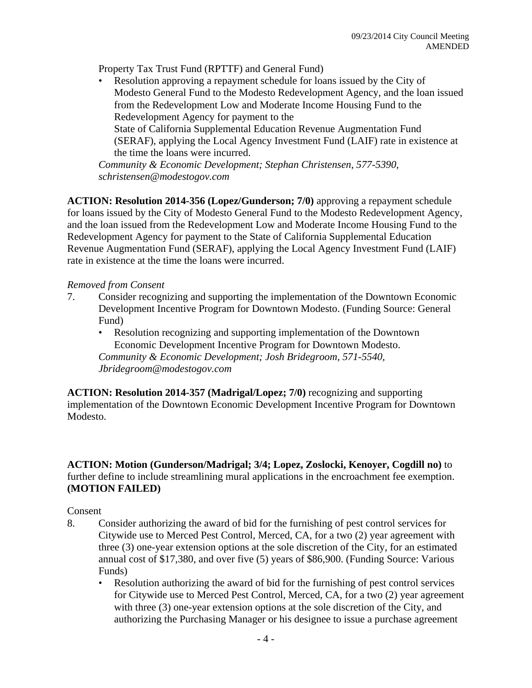Property Tax Trust Fund (RPTTF) and General Fund)

• Resolution approving a repayment schedule for loans issued by the City of Modesto General Fund to the Modesto Redevelopment Agency, and the loan issued from the Redevelopment Low and Moderate Income Housing Fund to the Redevelopment Agency for payment to the State of California Supplemental Education Revenue Augmentation Fund (SERAF), applying the Local Agency Investment Fund (LAIF) rate in existence at the time the loans were incurred.

*Community & Economic Development; Stephan Christensen, 577-5390, schristensen@modestogov.com* 

**ACTION: Resolution 2014-356 (Lopez/Gunderson; 7/0)** approving a repayment schedule for loans issued by the City of Modesto General Fund to the Modesto Redevelopment Agency, and the loan issued from the Redevelopment Low and Moderate Income Housing Fund to the Redevelopment Agency for payment to the State of California Supplemental Education Revenue Augmentation Fund (SERAF), applying the Local Agency Investment Fund (LAIF) rate in existence at the time the loans were incurred.

#### *Removed from Consent*

- 7. Consider recognizing and supporting the implementation of the Downtown Economic Development Incentive Program for Downtown Modesto. (Funding Source: General Fund)
	- Resolution recognizing and supporting implementation of the Downtown Economic Development Incentive Program for Downtown Modesto. *Community & Economic Development; Josh Bridegroom, 571-5540,*

*Jbridegroom@modestogov.com* 

**ACTION: Resolution 2014-357 (Madrigal/Lopez; 7/0)** recognizing and supporting implementation of the Downtown Economic Development Incentive Program for Downtown Modesto.

**ACTION: Motion (Gunderson/Madrigal; 3/4; Lopez, Zoslocki, Kenoyer, Cogdill no)** to further define to include streamlining mural applications in the encroachment fee exemption. **(MOTION FAILED)**

### Consent

- 8. Consider authorizing the award of bid for the furnishing of pest control services for Citywide use to Merced Pest Control, Merced, CA, for a two (2) year agreement with three (3) one-year extension options at the sole discretion of the City, for an estimated annual cost of \$17,380, and over five (5) years of \$86,900. (Funding Source: Various Funds)
	- Resolution authorizing the award of bid for the furnishing of pest control services for Citywide use to Merced Pest Control, Merced, CA, for a two (2) year agreement with three (3) one-year extension options at the sole discretion of the City, and authorizing the Purchasing Manager or his designee to issue a purchase agreement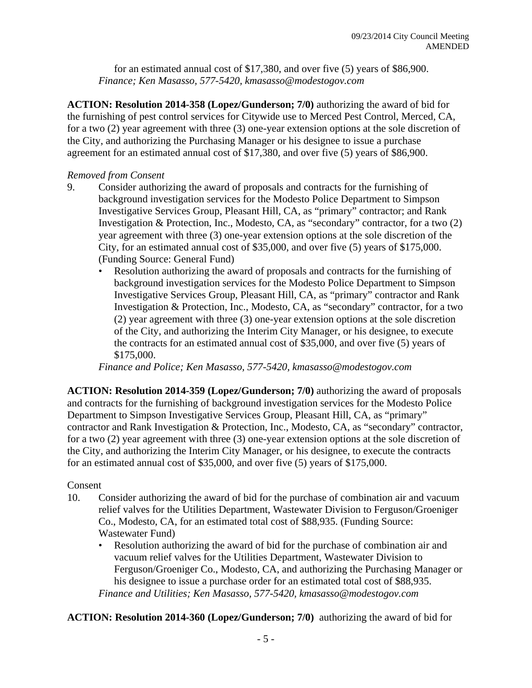for an estimated annual cost of \$17,380, and over five (5) years of \$86,900. *Finance; Ken Masasso, 577-5420, kmasasso@modestogov.com* 

**ACTION: Resolution 2014-358 (Lopez/Gunderson; 7/0)** authorizing the award of bid for the furnishing of pest control services for Citywide use to Merced Pest Control, Merced, CA, for a two (2) year agreement with three (3) one-year extension options at the sole discretion of the City, and authorizing the Purchasing Manager or his designee to issue a purchase agreement for an estimated annual cost of \$17,380, and over five (5) years of \$86,900.

#### *Removed from Consent*

- 9. Consider authorizing the award of proposals and contracts for the furnishing of background investigation services for the Modesto Police Department to Simpson Investigative Services Group, Pleasant Hill, CA, as "primary" contractor; and Rank Investigation & Protection, Inc., Modesto, CA, as "secondary" contractor, for a two (2) year agreement with three (3) one-year extension options at the sole discretion of the City, for an estimated annual cost of \$35,000, and over five (5) years of \$175,000. (Funding Source: General Fund)
	- Resolution authorizing the award of proposals and contracts for the furnishing of background investigation services for the Modesto Police Department to Simpson Investigative Services Group, Pleasant Hill, CA, as "primary" contractor and Rank Investigation & Protection, Inc., Modesto, CA, as "secondary" contractor, for a two (2) year agreement with three (3) one-year extension options at the sole discretion of the City, and authorizing the Interim City Manager, or his designee, to execute the contracts for an estimated annual cost of \$35,000, and over five (5) years of \$175,000.

*Finance and Police; Ken Masasso, 577-5420, kmasasso@modestogov.com* 

**ACTION: Resolution 2014-359 (Lopez/Gunderson; 7/0)** authorizing the award of proposals and contracts for the furnishing of background investigation services for the Modesto Police Department to Simpson Investigative Services Group, Pleasant Hill, CA, as "primary" contractor and Rank Investigation & Protection, Inc., Modesto, CA, as "secondary" contractor, for a two (2) year agreement with three (3) one-year extension options at the sole discretion of the City, and authorizing the Interim City Manager, or his designee, to execute the contracts for an estimated annual cost of \$35,000, and over five (5) years of \$175,000.

#### Consent

- 10. Consider authorizing the award of bid for the purchase of combination air and vacuum relief valves for the Utilities Department, Wastewater Division to Ferguson/Groeniger Co., Modesto, CA, for an estimated total cost of \$88,935. (Funding Source: Wastewater Fund)
	- Resolution authorizing the award of bid for the purchase of combination air and vacuum relief valves for the Utilities Department, Wastewater Division to Ferguson/Groeniger Co., Modesto, CA, and authorizing the Purchasing Manager or his designee to issue a purchase order for an estimated total cost of \$88,935. *Finance and Utilities; Ken Masasso, 577-5420, kmasasso@modestogov.com*

**ACTION: Resolution 2014-360 (Lopez/Gunderson; 7/0)** authorizing the award of bid for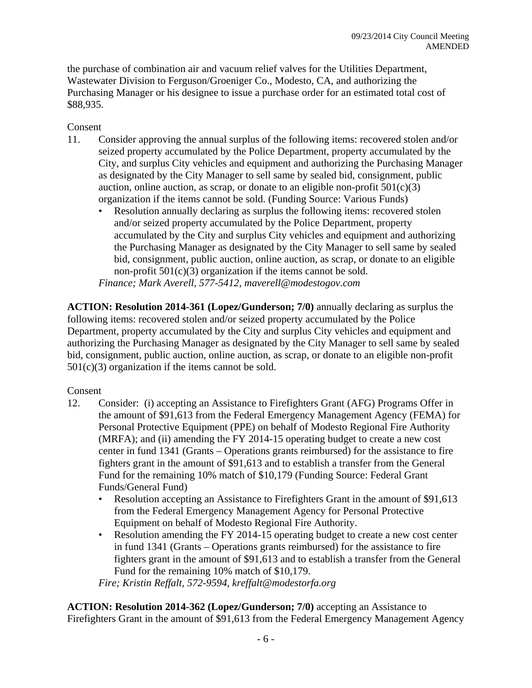the purchase of combination air and vacuum relief valves for the Utilities Department, Wastewater Division to Ferguson/Groeniger Co., Modesto, CA, and authorizing the Purchasing Manager or his designee to issue a purchase order for an estimated total cost of \$88,935.

### Consent

- 11. Consider approving the annual surplus of the following items: recovered stolen and/or seized property accumulated by the Police Department, property accumulated by the City, and surplus City vehicles and equipment and authorizing the Purchasing Manager as designated by the City Manager to sell same by sealed bid, consignment, public auction, online auction, as scrap, or donate to an eligible non-profit  $501(c)(3)$ organization if the items cannot be sold. (Funding Source: Various Funds)
	- Resolution annually declaring as surplus the following items: recovered stolen and/or seized property accumulated by the Police Department, property accumulated by the City and surplus City vehicles and equipment and authorizing the Purchasing Manager as designated by the City Manager to sell same by sealed bid, consignment, public auction, online auction, as scrap, or donate to an eligible non-profit  $501(c)(3)$  organization if the items cannot be sold.

*Finance; Mark Averell, 577-5412, maverell@modestogov.com* 

**ACTION: Resolution 2014-361 (Lopez/Gunderson; 7/0)** annually declaring as surplus the following items: recovered stolen and/or seized property accumulated by the Police Department, property accumulated by the City and surplus City vehicles and equipment and authorizing the Purchasing Manager as designated by the City Manager to sell same by sealed bid, consignment, public auction, online auction, as scrap, or donate to an eligible non-profit  $501(c)(3)$  organization if the items cannot be sold.

#### Consent

- 12. Consider: (i) accepting an Assistance to Firefighters Grant (AFG) Programs Offer in the amount of \$91,613 from the Federal Emergency Management Agency (FEMA) for Personal Protective Equipment (PPE) on behalf of Modesto Regional Fire Authority (MRFA); and (ii) amending the FY 2014-15 operating budget to create a new cost center in fund 1341 (Grants – Operations grants reimbursed) for the assistance to fire fighters grant in the amount of \$91,613 and to establish a transfer from the General Fund for the remaining 10% match of \$10,179 (Funding Source: Federal Grant Funds/General Fund)
	- Resolution accepting an Assistance to Firefighters Grant in the amount of \$91,613 from the Federal Emergency Management Agency for Personal Protective Equipment on behalf of Modesto Regional Fire Authority.
	- Resolution amending the FY 2014-15 operating budget to create a new cost center in fund 1341 (Grants – Operations grants reimbursed) for the assistance to fire fighters grant in the amount of \$91,613 and to establish a transfer from the General Fund for the remaining 10% match of \$10,179.

*Fire; Kristin Reffalt, 572-9594, kreffalt@modestorfa.org* 

**ACTION: Resolution 2014-362 (Lopez/Gunderson; 7/0)** accepting an Assistance to Firefighters Grant in the amount of \$91,613 from the Federal Emergency Management Agency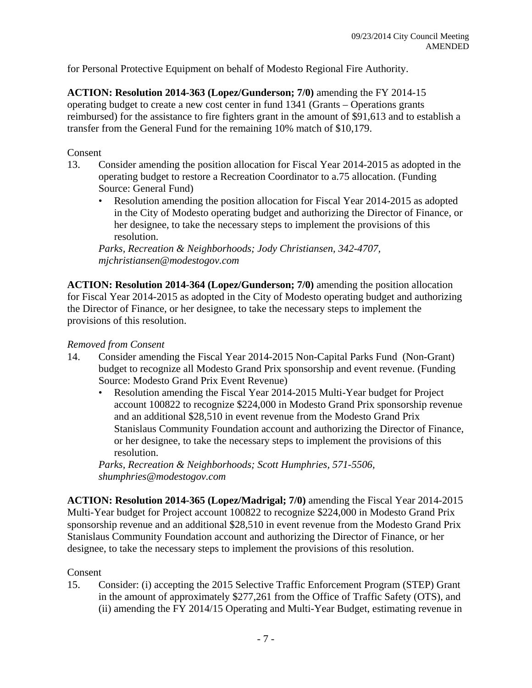for Personal Protective Equipment on behalf of Modesto Regional Fire Authority.

**ACTION: Resolution 2014-363 (Lopez/Gunderson; 7/0)** amending the FY 2014-15 operating budget to create a new cost center in fund 1341 (Grants – Operations grants reimbursed) for the assistance to fire fighters grant in the amount of \$91,613 and to establish a transfer from the General Fund for the remaining 10% match of \$10,179.

#### Consent

- 13. Consider amending the position allocation for Fiscal Year 2014-2015 as adopted in the operating budget to restore a Recreation Coordinator to a.75 allocation. (Funding Source: General Fund)
	- Resolution amending the position allocation for Fiscal Year 2014-2015 as adopted in the City of Modesto operating budget and authorizing the Director of Finance, or her designee, to take the necessary steps to implement the provisions of this resolution.

*Parks, Recreation & Neighborhoods; Jody Christiansen, 342-4707, mjchristiansen@modestogov.com* 

**ACTION: Resolution 2014-364 (Lopez/Gunderson; 7/0)** amending the position allocation for Fiscal Year 2014-2015 as adopted in the City of Modesto operating budget and authorizing the Director of Finance, or her designee, to take the necessary steps to implement the provisions of this resolution.

#### *Removed from Consent*

- 14. Consider amending the Fiscal Year 2014-2015 Non-Capital Parks Fund (Non-Grant) budget to recognize all Modesto Grand Prix sponsorship and event revenue. (Funding Source: Modesto Grand Prix Event Revenue)
	- Resolution amending the Fiscal Year 2014-2015 Multi-Year budget for Project account 100822 to recognize \$224,000 in Modesto Grand Prix sponsorship revenue and an additional \$28,510 in event revenue from the Modesto Grand Prix Stanislaus Community Foundation account and authorizing the Director of Finance, or her designee, to take the necessary steps to implement the provisions of this resolution.

*Parks, Recreation & Neighborhoods; Scott Humphries, 571-5506, shumphries@modestogov.com* 

**ACTION: Resolution 2014-365 (Lopez/Madrigal; 7/0)** amending the Fiscal Year 2014-2015 Multi-Year budget for Project account 100822 to recognize \$224,000 in Modesto Grand Prix sponsorship revenue and an additional \$28,510 in event revenue from the Modesto Grand Prix Stanislaus Community Foundation account and authorizing the Director of Finance, or her designee, to take the necessary steps to implement the provisions of this resolution.

#### Consent

15. Consider: (i) accepting the 2015 Selective Traffic Enforcement Program (STEP) Grant in the amount of approximately \$277,261 from the Office of Traffic Safety (OTS), and (ii) amending the FY 2014/15 Operating and Multi-Year Budget, estimating revenue in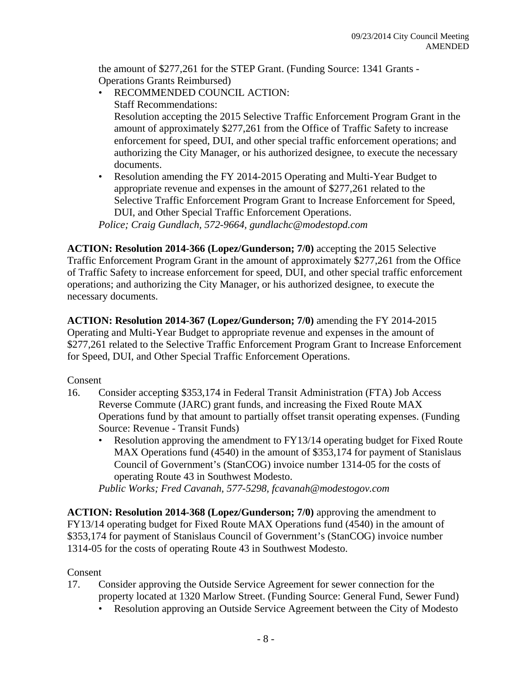the amount of \$277,261 for the STEP Grant. (Funding Source: 1341 Grants - Operations Grants Reimbursed)

- RECOMMENDED COUNCIL ACTION: Staff Recommendations: Resolution accepting the 2015 Selective Traffic Enforcement Program Grant in the amount of approximately \$277,261 from the Office of Traffic Safety to increase enforcement for speed, DUI, and other special traffic enforcement operations; and authorizing the City Manager, or his authorized designee, to execute the necessary documents.
- Resolution amending the FY 2014-2015 Operating and Multi-Year Budget to appropriate revenue and expenses in the amount of \$277,261 related to the Selective Traffic Enforcement Program Grant to Increase Enforcement for Speed, DUI, and Other Special Traffic Enforcement Operations.

*Police; Craig Gundlach, 572-9664, gundlachc@modestopd.com* 

**ACTION: Resolution 2014-366 (Lopez/Gunderson; 7/0)** accepting the 2015 Selective Traffic Enforcement Program Grant in the amount of approximately \$277,261 from the Office of Traffic Safety to increase enforcement for speed, DUI, and other special traffic enforcement operations; and authorizing the City Manager, or his authorized designee, to execute the necessary documents.

**ACTION: Resolution 2014-367 (Lopez/Gunderson; 7/0)** amending the FY 2014-2015 Operating and Multi-Year Budget to appropriate revenue and expenses in the amount of \$277,261 related to the Selective Traffic Enforcement Program Grant to Increase Enforcement for Speed, DUI, and Other Special Traffic Enforcement Operations.

Consent

- 16. Consider accepting \$353,174 in Federal Transit Administration (FTA) Job Access Reverse Commute (JARC) grant funds, and increasing the Fixed Route MAX Operations fund by that amount to partially offset transit operating expenses. (Funding Source: Revenue - Transit Funds)
	- Resolution approving the amendment to FY13/14 operating budget for Fixed Route MAX Operations fund (4540) in the amount of \$353,174 for payment of Stanislaus Council of Government's (StanCOG) invoice number 1314-05 for the costs of operating Route 43 in Southwest Modesto.

*Public Works; Fred Cavanah, 577-5298, fcavanah@modestogov.com* 

**ACTION: Resolution 2014-368 (Lopez/Gunderson; 7/0)** approving the amendment to FY13/14 operating budget for Fixed Route MAX Operations fund (4540) in the amount of \$353,174 for payment of Stanislaus Council of Government's (StanCOG) invoice number 1314-05 for the costs of operating Route 43 in Southwest Modesto.

### Consent

- 17. Consider approving the Outside Service Agreement for sewer connection for the property located at 1320 Marlow Street. (Funding Source: General Fund, Sewer Fund)
	- Resolution approving an Outside Service Agreement between the City of Modesto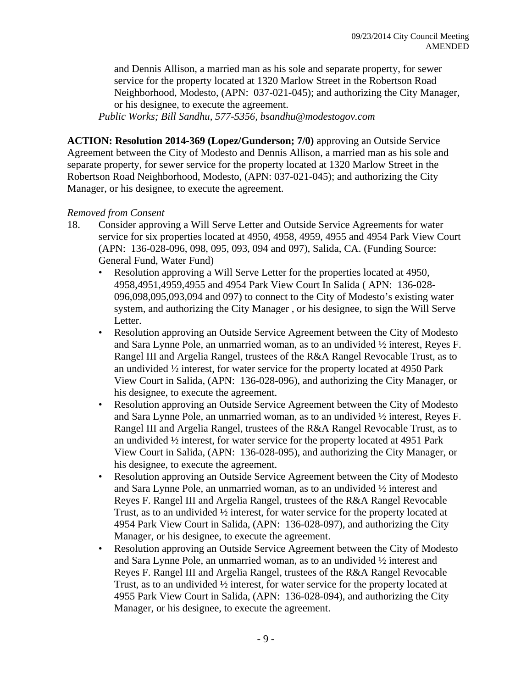and Dennis Allison, a married man as his sole and separate property, for sewer service for the property located at 1320 Marlow Street in the Robertson Road Neighborhood, Modesto, (APN: 037-021-045); and authorizing the City Manager, or his designee, to execute the agreement.

*Public Works; Bill Sandhu, 577-5356, bsandhu@modestogov.com* 

**ACTION: Resolution 2014-369 (Lopez/Gunderson; 7/0)** approving an Outside Service Agreement between the City of Modesto and Dennis Allison, a married man as his sole and separate property, for sewer service for the property located at 1320 Marlow Street in the Robertson Road Neighborhood, Modesto, (APN: 037-021-045); and authorizing the City Manager, or his designee, to execute the agreement.

#### *Removed from Consent*

- 18. Consider approving a Will Serve Letter and Outside Service Agreements for water service for six properties located at 4950, 4958, 4959, 4955 and 4954 Park View Court (APN: 136-028-096, 098, 095, 093, 094 and 097), Salida, CA. (Funding Source: General Fund, Water Fund)
	- Resolution approving a Will Serve Letter for the properties located at 4950, 4958,4951,4959,4955 and 4954 Park View Court In Salida ( APN: 136-028- 096,098,095,093,094 and 097) to connect to the City of Modesto's existing water system, and authorizing the City Manager , or his designee, to sign the Will Serve Letter.
	- Resolution approving an Outside Service Agreement between the City of Modesto and Sara Lynne Pole, an unmarried woman, as to an undivided ½ interest, Reyes F. Rangel III and Argelia Rangel, trustees of the R&A Rangel Revocable Trust, as to an undivided ½ interest, for water service for the property located at 4950 Park View Court in Salida, (APN: 136-028-096), and authorizing the City Manager, or his designee, to execute the agreement.
	- Resolution approving an Outside Service Agreement between the City of Modesto and Sara Lynne Pole, an unmarried woman, as to an undivided ½ interest, Reyes F. Rangel III and Argelia Rangel, trustees of the R&A Rangel Revocable Trust, as to an undivided ½ interest, for water service for the property located at 4951 Park View Court in Salida, (APN: 136-028-095), and authorizing the City Manager, or his designee, to execute the agreement.
	- Resolution approving an Outside Service Agreement between the City of Modesto and Sara Lynne Pole, an unmarried woman, as to an undivided ½ interest and Reyes F. Rangel III and Argelia Rangel, trustees of the R&A Rangel Revocable Trust, as to an undivided ½ interest, for water service for the property located at 4954 Park View Court in Salida, (APN: 136-028-097), and authorizing the City Manager, or his designee, to execute the agreement.
	- Resolution approving an Outside Service Agreement between the City of Modesto and Sara Lynne Pole, an unmarried woman, as to an undivided ½ interest and Reyes F. Rangel III and Argelia Rangel, trustees of the R&A Rangel Revocable Trust, as to an undivided ½ interest, for water service for the property located at 4955 Park View Court in Salida, (APN: 136-028-094), and authorizing the City Manager, or his designee, to execute the agreement.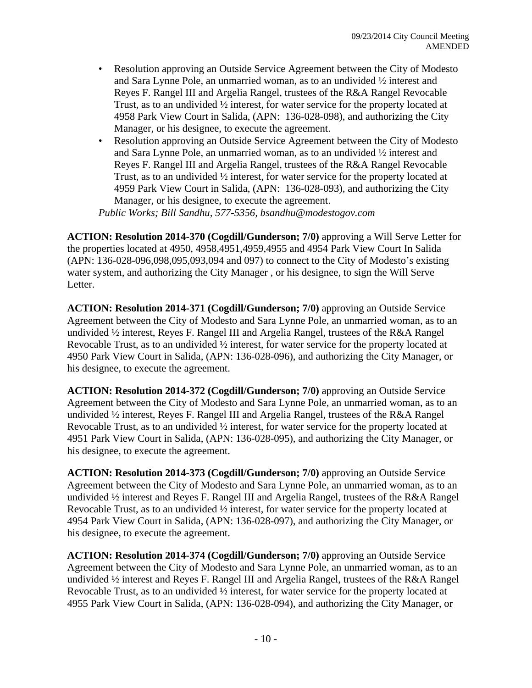- Resolution approving an Outside Service Agreement between the City of Modesto and Sara Lynne Pole, an unmarried woman, as to an undivided ½ interest and Reyes F. Rangel III and Argelia Rangel, trustees of the R&A Rangel Revocable Trust, as to an undivided ½ interest, for water service for the property located at 4958 Park View Court in Salida, (APN: 136-028-098), and authorizing the City Manager, or his designee, to execute the agreement.
- Resolution approving an Outside Service Agreement between the City of Modesto and Sara Lynne Pole, an unmarried woman, as to an undivided ½ interest and Reyes F. Rangel III and Argelia Rangel, trustees of the R&A Rangel Revocable Trust, as to an undivided ½ interest, for water service for the property located at 4959 Park View Court in Salida, (APN: 136-028-093), and authorizing the City Manager, or his designee, to execute the agreement.

*Public Works; Bill Sandhu, 577-5356, bsandhu@modestogov.com* 

**ACTION: Resolution 2014-370 (Cogdill/Gunderson; 7/0)** approving a Will Serve Letter for the properties located at 4950, 4958,4951,4959,4955 and 4954 Park View Court In Salida (APN: 136-028-096,098,095,093,094 and 097) to connect to the City of Modesto's existing water system, and authorizing the City Manager , or his designee, to sign the Will Serve Letter.

**ACTION: Resolution 2014-371 (Cogdill/Gunderson; 7/0)** approving an Outside Service Agreement between the City of Modesto and Sara Lynne Pole, an unmarried woman, as to an undivided ½ interest, Reyes F. Rangel III and Argelia Rangel, trustees of the R&A Rangel Revocable Trust, as to an undivided ½ interest, for water service for the property located at 4950 Park View Court in Salida, (APN: 136-028-096), and authorizing the City Manager, or his designee, to execute the agreement.

**ACTION: Resolution 2014-372 (Cogdill/Gunderson; 7/0)** approving an Outside Service Agreement between the City of Modesto and Sara Lynne Pole, an unmarried woman, as to an undivided ½ interest, Reyes F. Rangel III and Argelia Rangel, trustees of the R&A Rangel Revocable Trust, as to an undivided ½ interest, for water service for the property located at 4951 Park View Court in Salida, (APN: 136-028-095), and authorizing the City Manager, or his designee, to execute the agreement.

**ACTION: Resolution 2014-373 (Cogdill/Gunderson; 7/0)** approving an Outside Service Agreement between the City of Modesto and Sara Lynne Pole, an unmarried woman, as to an undivided ½ interest and Reyes F. Rangel III and Argelia Rangel, trustees of the R&A Rangel Revocable Trust, as to an undivided ½ interest, for water service for the property located at 4954 Park View Court in Salida, (APN: 136-028-097), and authorizing the City Manager, or his designee, to execute the agreement.

**ACTION: Resolution 2014-374 (Cogdill/Gunderson; 7/0)** approving an Outside Service Agreement between the City of Modesto and Sara Lynne Pole, an unmarried woman, as to an undivided ½ interest and Reyes F. Rangel III and Argelia Rangel, trustees of the R&A Rangel Revocable Trust, as to an undivided ½ interest, for water service for the property located at 4955 Park View Court in Salida, (APN: 136-028-094), and authorizing the City Manager, or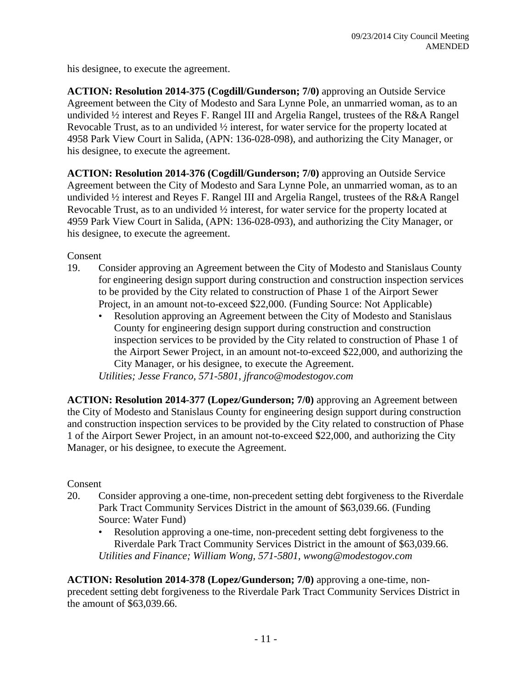his designee, to execute the agreement.

**ACTION: Resolution 2014-375 (Cogdill/Gunderson; 7/0)** approving an Outside Service Agreement between the City of Modesto and Sara Lynne Pole, an unmarried woman, as to an undivided ½ interest and Reyes F. Rangel III and Argelia Rangel, trustees of the R&A Rangel Revocable Trust, as to an undivided ½ interest, for water service for the property located at 4958 Park View Court in Salida, (APN: 136-028-098), and authorizing the City Manager, or his designee, to execute the agreement.

**ACTION: Resolution 2014-376 (Cogdill/Gunderson; 7/0)** approving an Outside Service Agreement between the City of Modesto and Sara Lynne Pole, an unmarried woman, as to an undivided ½ interest and Reyes F. Rangel III and Argelia Rangel, trustees of the R&A Rangel Revocable Trust, as to an undivided ½ interest, for water service for the property located at 4959 Park View Court in Salida, (APN: 136-028-093), and authorizing the City Manager, or his designee, to execute the agreement.

Consent

- 19. Consider approving an Agreement between the City of Modesto and Stanislaus County for engineering design support during construction and construction inspection services to be provided by the City related to construction of Phase 1 of the Airport Sewer Project, in an amount not-to-exceed \$22,000. (Funding Source: Not Applicable)
	- Resolution approving an Agreement between the City of Modesto and Stanislaus County for engineering design support during construction and construction inspection services to be provided by the City related to construction of Phase 1 of the Airport Sewer Project, in an amount not-to-exceed \$22,000, and authorizing the City Manager, or his designee, to execute the Agreement.

*Utilities; Jesse Franco, 571-5801, jfranco@modestogov.com* 

**ACTION: Resolution 2014-377 (Lopez/Gunderson; 7/0)** approving an Agreement between the City of Modesto and Stanislaus County for engineering design support during construction and construction inspection services to be provided by the City related to construction of Phase 1 of the Airport Sewer Project, in an amount not-to-exceed \$22,000, and authorizing the City Manager, or his designee, to execute the Agreement.

Consent

- 20. Consider approving a one-time, non-precedent setting debt forgiveness to the Riverdale Park Tract Community Services District in the amount of \$63,039.66. (Funding Source: Water Fund)
	- Resolution approving a one-time, non-precedent setting debt forgiveness to the Riverdale Park Tract Community Services District in the amount of \$63,039.66. *Utilities and Finance; William Wong, 571-5801, wwong@modestogov.com*

**ACTION: Resolution 2014-378 (Lopez/Gunderson; 7/0)** approving a one-time, nonprecedent setting debt forgiveness to the Riverdale Park Tract Community Services District in the amount of \$63,039.66.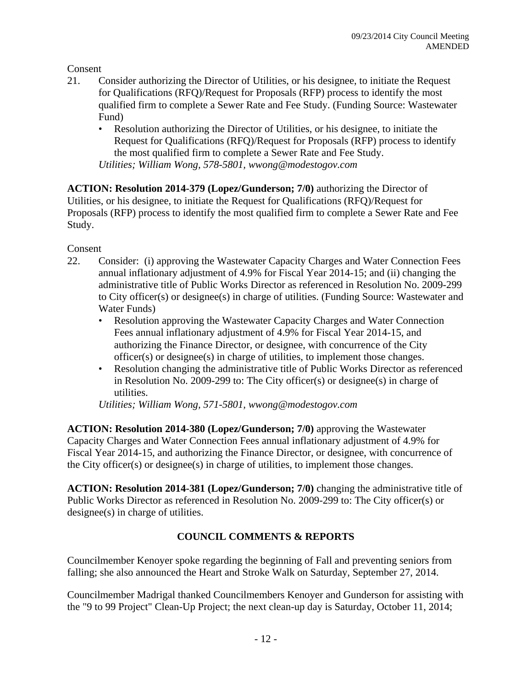Consent

- 21. Consider authorizing the Director of Utilities, or his designee, to initiate the Request for Qualifications (RFQ)/Request for Proposals (RFP) process to identify the most qualified firm to complete a Sewer Rate and Fee Study. (Funding Source: Wastewater Fund)
	- Resolution authorizing the Director of Utilities, or his designee, to initiate the Request for Qualifications (RFQ)/Request for Proposals (RFP) process to identify the most qualified firm to complete a Sewer Rate and Fee Study. *Utilities; William Wong, 578-5801, wwong@modestogov.com*

**ACTION: Resolution 2014-379 (Lopez/Gunderson; 7/0)** authorizing the Director of Utilities, or his designee, to initiate the Request for Qualifications (RFQ)/Request for Proposals (RFP) process to identify the most qualified firm to complete a Sewer Rate and Fee Study.

Consent

- 22. Consider: (i) approving the Wastewater Capacity Charges and Water Connection Fees annual inflationary adjustment of 4.9% for Fiscal Year 2014-15; and (ii) changing the administrative title of Public Works Director as referenced in Resolution No. 2009-299 to City officer(s) or designee(s) in charge of utilities. (Funding Source: Wastewater and Water Funds)
	- Resolution approving the Wastewater Capacity Charges and Water Connection Fees annual inflationary adjustment of 4.9% for Fiscal Year 2014-15, and authorizing the Finance Director, or designee, with concurrence of the City officer(s) or designee(s) in charge of utilities, to implement those changes.
	- Resolution changing the administrative title of Public Works Director as referenced in Resolution No. 2009-299 to: The City officer(s) or designee(s) in charge of utilities.

*Utilities; William Wong, 571-5801, wwong@modestogov.com* 

**ACTION: Resolution 2014-380 (Lopez/Gunderson; 7/0)** approving the Wastewater Capacity Charges and Water Connection Fees annual inflationary adjustment of 4.9% for Fiscal Year 2014-15, and authorizing the Finance Director, or designee, with concurrence of the City officer(s) or designee(s) in charge of utilities, to implement those changes.

**ACTION: Resolution 2014-381 (Lopez/Gunderson; 7/0)** changing the administrative title of Public Works Director as referenced in Resolution No. 2009-299 to: The City officer(s) or designee(s) in charge of utilities.

## **COUNCIL COMMENTS & REPORTS**

Councilmember Kenoyer spoke regarding the beginning of Fall and preventing seniors from falling; she also announced the Heart and Stroke Walk on Saturday, September 27, 2014.

Councilmember Madrigal thanked Councilmembers Kenoyer and Gunderson for assisting with the "9 to 99 Project" Clean-Up Project; the next clean-up day is Saturday, October 11, 2014;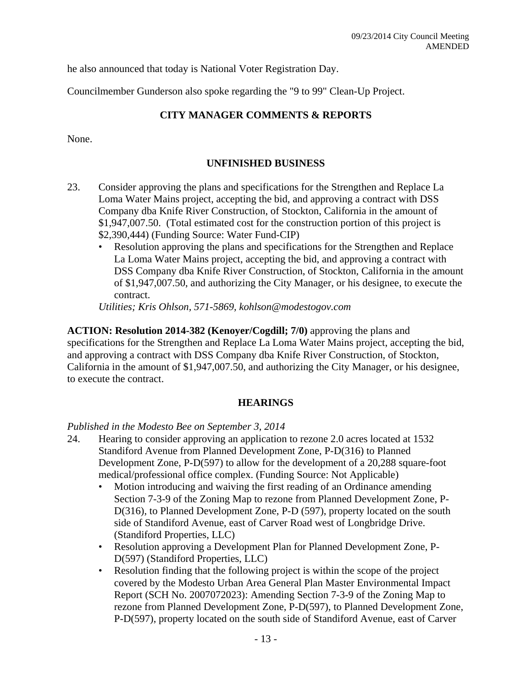he also announced that today is National Voter Registration Day.

Councilmember Gunderson also spoke regarding the "9 to 99" Clean-Up Project.

#### **CITY MANAGER COMMENTS & REPORTS**

None.

#### **UNFINISHED BUSINESS**

- 23. Consider approving the plans and specifications for the Strengthen and Replace La Loma Water Mains project, accepting the bid, and approving a contract with DSS Company dba Knife River Construction, of Stockton, California in the amount of \$1,947,007.50. (Total estimated cost for the construction portion of this project is \$2,390,444) (Funding Source: Water Fund-CIP)
	- Resolution approving the plans and specifications for the Strengthen and Replace La Loma Water Mains project, accepting the bid, and approving a contract with DSS Company dba Knife River Construction, of Stockton, California in the amount of \$1,947,007.50, and authorizing the City Manager, or his designee, to execute the contract.

*Utilities; Kris Ohlson, 571-5869, kohlson@modestogov.com* 

**ACTION: Resolution 2014-382 (Kenoyer/Cogdill; 7/0)** approving the plans and specifications for the Strengthen and Replace La Loma Water Mains project, accepting the bid, and approving a contract with DSS Company dba Knife River Construction, of Stockton, California in the amount of \$1,947,007.50, and authorizing the City Manager, or his designee, to execute the contract.

#### **HEARINGS**

#### *Published in the Modesto Bee on September 3, 2014*

- 24. Hearing to consider approving an application to rezone 2.0 acres located at 1532 Standiford Avenue from Planned Development Zone, P-D(316) to Planned Development Zone, P-D(597) to allow for the development of a 20,288 square-foot medical/professional office complex. (Funding Source: Not Applicable)
	- Motion introducing and waiving the first reading of an Ordinance amending Section 7-3-9 of the Zoning Map to rezone from Planned Development Zone, P-D(316), to Planned Development Zone, P-D (597), property located on the south side of Standiford Avenue, east of Carver Road west of Longbridge Drive. (Standiford Properties, LLC)
	- Resolution approving a Development Plan for Planned Development Zone, P-D(597) (Standiford Properties, LLC)
	- Resolution finding that the following project is within the scope of the project covered by the Modesto Urban Area General Plan Master Environmental Impact Report (SCH No. 2007072023): Amending Section 7-3-9 of the Zoning Map to rezone from Planned Development Zone, P-D(597), to Planned Development Zone, P-D(597), property located on the south side of Standiford Avenue, east of Carver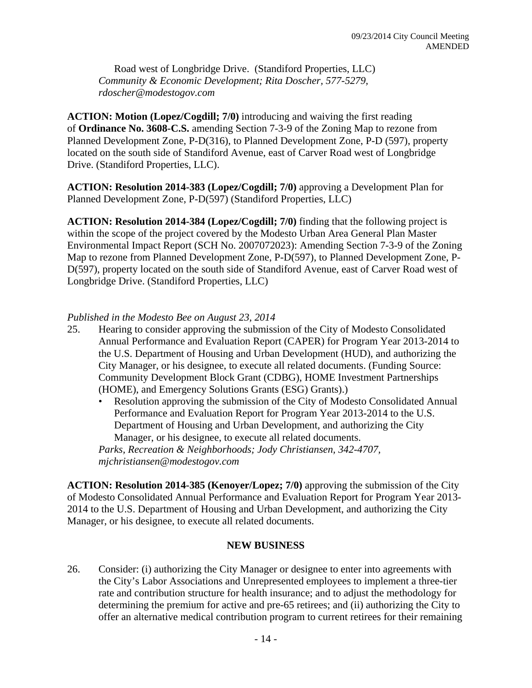Road west of Longbridge Drive. (Standiford Properties, LLC) *Community & Economic Development; Rita Doscher, 577-5279, rdoscher@modestogov.com* 

**ACTION: Motion (Lopez/Cogdill; 7/0)** introducing and waiving the first reading of **Ordinance No. 3608-C.S.** amending Section 7-3-9 of the Zoning Map to rezone from Planned Development Zone, P-D(316), to Planned Development Zone, P-D (597), property located on the south side of Standiford Avenue, east of Carver Road west of Longbridge Drive. (Standiford Properties, LLC).

**ACTION: Resolution 2014-383 (Lopez/Cogdill; 7/0)** approving a Development Plan for Planned Development Zone, P-D(597) (Standiford Properties, LLC)

**ACTION: Resolution 2014-384 (Lopez/Cogdill; 7/0)** finding that the following project is within the scope of the project covered by the Modesto Urban Area General Plan Master Environmental Impact Report (SCH No. 2007072023): Amending Section 7-3-9 of the Zoning Map to rezone from Planned Development Zone, P-D(597), to Planned Development Zone, P-D(597), property located on the south side of Standiford Avenue, east of Carver Road west of Longbridge Drive. (Standiford Properties, LLC)

#### *Published in the Modesto Bee on August 23, 2014*

- 25. Hearing to consider approving the submission of the City of Modesto Consolidated Annual Performance and Evaluation Report (CAPER) for Program Year 2013-2014 to the U.S. Department of Housing and Urban Development (HUD), and authorizing the City Manager, or his designee, to execute all related documents. (Funding Source: Community Development Block Grant (CDBG), HOME Investment Partnerships (HOME), and Emergency Solutions Grants (ESG) Grants).)
	- Resolution approving the submission of the City of Modesto Consolidated Annual Performance and Evaluation Report for Program Year 2013-2014 to the U.S. Department of Housing and Urban Development, and authorizing the City Manager, or his designee, to execute all related documents.

*Parks, Recreation & Neighborhoods; Jody Christiansen, 342-4707, mjchristiansen@modestogov.com* 

**ACTION: Resolution 2014-385 (Kenoyer/Lopez; 7/0)** approving the submission of the City of Modesto Consolidated Annual Performance and Evaluation Report for Program Year 2013- 2014 to the U.S. Department of Housing and Urban Development, and authorizing the City Manager, or his designee, to execute all related documents.

#### **NEW BUSINESS**

26. Consider: (i) authorizing the City Manager or designee to enter into agreements with the City's Labor Associations and Unrepresented employees to implement a three-tier rate and contribution structure for health insurance; and to adjust the methodology for determining the premium for active and pre-65 retirees; and (ii) authorizing the City to offer an alternative medical contribution program to current retirees for their remaining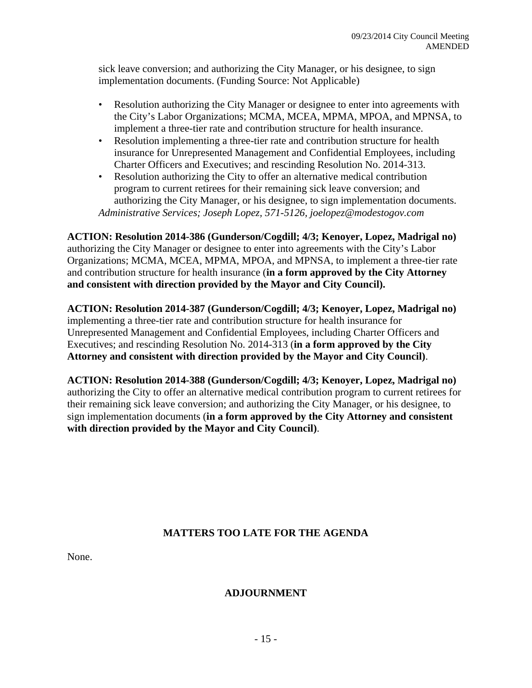sick leave conversion; and authorizing the City Manager, or his designee, to sign implementation documents. (Funding Source: Not Applicable)

- Resolution authorizing the City Manager or designee to enter into agreements with the City's Labor Organizations; MCMA, MCEA, MPMA, MPOA, and MPNSA, to implement a three-tier rate and contribution structure for health insurance.
- Resolution implementing a three-tier rate and contribution structure for health insurance for Unrepresented Management and Confidential Employees, including Charter Officers and Executives; and rescinding Resolution No. 2014-313.
- Resolution authorizing the City to offer an alternative medical contribution program to current retirees for their remaining sick leave conversion; and authorizing the City Manager, or his designee, to sign implementation documents. *Administrative Services; Joseph Lopez, 571-5126, joelopez@modestogov.com*

**ACTION: Resolution 2014-386 (Gunderson/Cogdill; 4/3; Kenoyer, Lopez, Madrigal no)** authorizing the City Manager or designee to enter into agreements with the City's Labor Organizations; MCMA, MCEA, MPMA, MPOA, and MPNSA, to implement a three-tier rate and contribution structure for health insurance (**in a form approved by the City Attorney and consistent with direction provided by the Mayor and City Council).** 

**ACTION: Resolution 2014-387 (Gunderson/Cogdill; 4/3; Kenoyer, Lopez, Madrigal no)** implementing a three-tier rate and contribution structure for health insurance for Unrepresented Management and Confidential Employees, including Charter Officers and Executives; and rescinding Resolution No. 2014-313 (**in a form approved by the City Attorney and consistent with direction provided by the Mayor and City Council)**.

**ACTION: Resolution 2014-388 (Gunderson/Cogdill; 4/3; Kenoyer, Lopez, Madrigal no)** authorizing the City to offer an alternative medical contribution program to current retirees for their remaining sick leave conversion; and authorizing the City Manager, or his designee, to sign implementation documents (**in a form approved by the City Attorney and consistent with direction provided by the Mayor and City Council)**.

## **MATTERS TOO LATE FOR THE AGENDA**

None.

#### **ADJOURNMENT**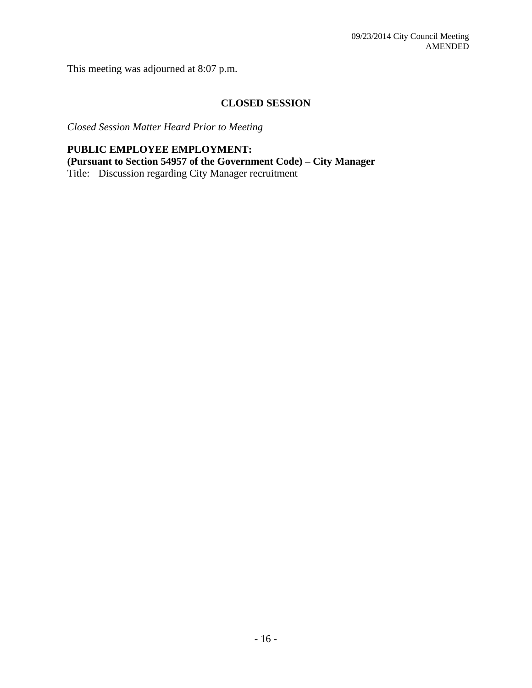This meeting was adjourned at 8:07 p.m.

## **CLOSED SESSION**

*Closed Session Matter Heard Prior to Meeting* 

**PUBLIC EMPLOYEE EMPLOYMENT: (Pursuant to Section 54957 of the Government Code) – City Manager**  Title: Discussion regarding City Manager recruitment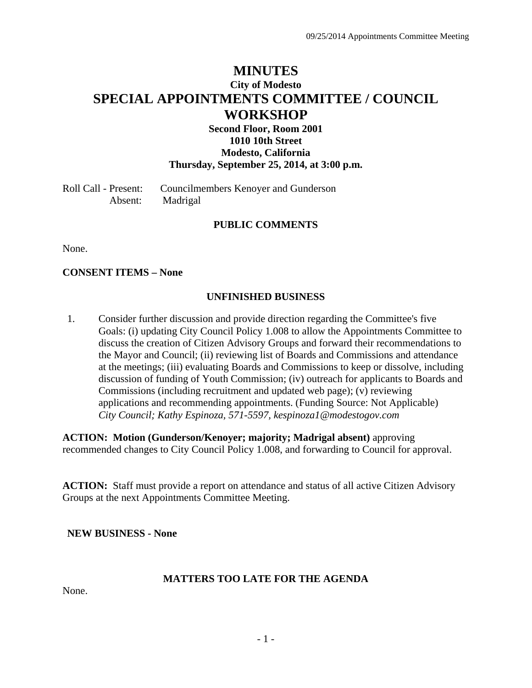## **MINUTES City of Modesto SPECIAL APPOINTMENTS COMMITTEE / COUNCIL WORKSHOP**

#### **Second Floor, Room 2001 1010 10th Street Modesto, California Thursday, September 25, 2014, at 3:00 p.m.**

Roll Call - Present: Councilmembers Kenoyer and Gunderson Absent: Madrigal

#### **PUBLIC COMMENTS**

None.

#### **CONSENT ITEMS – None**

#### **UNFINISHED BUSINESS**

1. Consider further discussion and provide direction regarding the Committee's five Goals: (i) updating City Council Policy 1.008 to allow the Appointments Committee to discuss the creation of Citizen Advisory Groups and forward their recommendations to the Mayor and Council; (ii) reviewing list of Boards and Commissions and attendance at the meetings; (iii) evaluating Boards and Commissions to keep or dissolve, including discussion of funding of Youth Commission; (iv) outreach for applicants to Boards and Commissions (including recruitment and updated web page); (v) reviewing applications and recommending appointments. (Funding Source: Not Applicable)  *City Council; Kathy Espinoza, 571-5597, kespinoza1@modestogov.com* 

**ACTION: Motion (Gunderson/Kenoyer; majority; Madrigal absent)** approving recommended changes to City Council Policy 1.008, and forwarding to Council for approval.

**ACTION:** Staff must provide a report on attendance and status of all active Citizen Advisory Groups at the next Appointments Committee Meeting.

**NEW BUSINESS - None** 

#### **MATTERS TOO LATE FOR THE AGENDA**

None.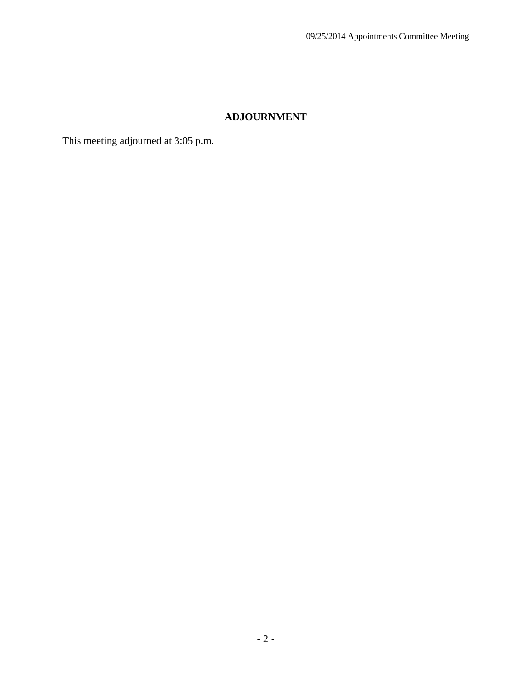## **ADJOURNMENT**

This meeting adjourned at 3:05 p.m.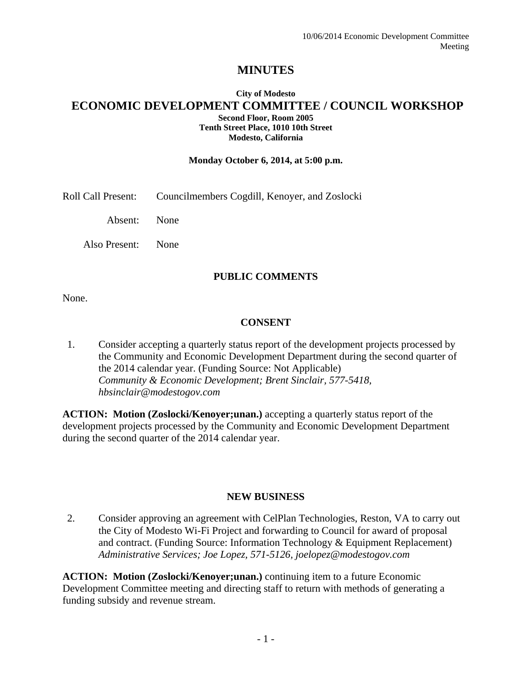## **MINUTES**

#### **City of Modesto ECONOMIC DEVELOPMENT COMMITTEE / COUNCIL WORKSHOP Second Floor, Room 2005 Tenth Street Place, 1010 10th Street Modesto, California**

#### **Monday October 6, 2014, at 5:00 p.m.**

Roll Call Present: Councilmembers Cogdill, Kenoyer, and Zoslocki

Absent: None

Also Present: None

#### **PUBLIC COMMENTS**

None.

#### **CONSENT**

1. Consider accepting a quarterly status report of the development projects processed by the Community and Economic Development Department during the second quarter of the 2014 calendar year. (Funding Source: Not Applicable)  *Community & Economic Development; Brent Sinclair, 577-5418, hbsinclair@modestogov.com* 

**ACTION: Motion (Zoslocki/Kenoyer;unan.)** accepting a quarterly status report of the development projects processed by the Community and Economic Development Department during the second quarter of the 2014 calendar year.

#### **NEW BUSINESS**

2. Consider approving an agreement with CelPlan Technologies, Reston, VA to carry out the City of Modesto Wi-Fi Project and forwarding to Council for award of proposal and contract. (Funding Source: Information Technology & Equipment Replacement)  *Administrative Services; Joe Lopez, 571-5126, joelopez@modestogov.com* 

**ACTION: Motion (Zoslocki/Kenoyer;unan.)** continuing item to a future Economic Development Committee meeting and directing staff to return with methods of generating a funding subsidy and revenue stream.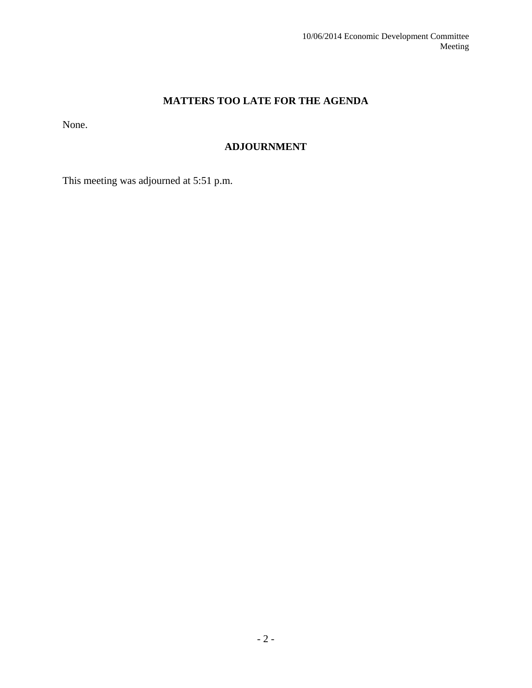## **MATTERS TOO LATE FOR THE AGENDA**

None.

## **ADJOURNMENT**

This meeting was adjourned at 5:51 p.m.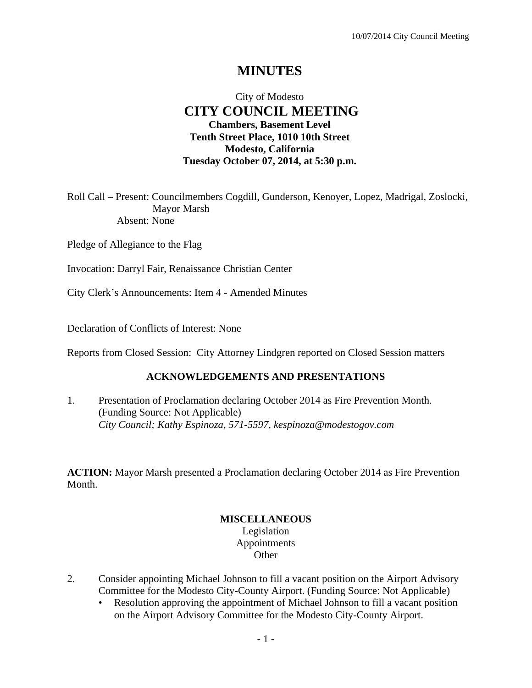## **MINUTES**

## City of Modesto  **CITY COUNCIL MEETING Chambers, Basement Level Tenth Street Place, 1010 10th Street Modesto, California Tuesday October 07, 2014, at 5:30 p.m.**

Roll Call – Present: Councilmembers Cogdill, Gunderson, Kenoyer, Lopez, Madrigal, Zoslocki, Mayor Marsh Absent: None

Pledge of Allegiance to the Flag

Invocation: Darryl Fair, Renaissance Christian Center

City Clerk's Announcements: Item 4 - Amended Minutes

Declaration of Conflicts of Interest: None

Reports from Closed Session: City Attorney Lindgren reported on Closed Session matters

#### **ACKNOWLEDGEMENTS AND PRESENTATIONS**

1. Presentation of Proclamation declaring October 2014 as Fire Prevention Month. (Funding Source: Not Applicable)  *City Council; Kathy Espinoza, 571-5597, kespinoza@modestogov.com* 

**ACTION:** Mayor Marsh presented a Proclamation declaring October 2014 as Fire Prevention Month.

#### **MISCELLANEOUS**  Legislation Appointments **Other**

- 2. Consider appointing Michael Johnson to fill a vacant position on the Airport Advisory Committee for the Modesto City-County Airport. (Funding Source: Not Applicable)
	- Resolution approving the appointment of Michael Johnson to fill a vacant position on the Airport Advisory Committee for the Modesto City-County Airport.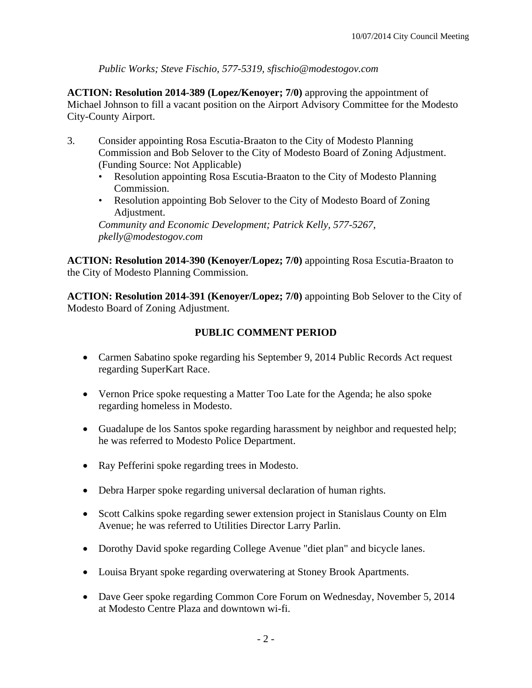*Public Works; Steve Fischio, 577-5319, sfischio@modestogov.com* 

**ACTION: Resolution 2014-389 (Lopez/Kenoyer; 7/0)** approving the appointment of Michael Johnson to fill a vacant position on the Airport Advisory Committee for the Modesto City-County Airport.

- 3. Consider appointing Rosa Escutia-Braaton to the City of Modesto Planning Commission and Bob Selover to the City of Modesto Board of Zoning Adjustment. (Funding Source: Not Applicable)
	- Resolution appointing Rosa Escutia-Braaton to the City of Modesto Planning Commission.
	- Resolution appointing Bob Selover to the City of Modesto Board of Zoning Adjustment.

*Community and Economic Development; Patrick Kelly, 577-5267, pkelly@modestogov.com* 

**ACTION: Resolution 2014-390 (Kenoyer/Lopez; 7/0)** appointing Rosa Escutia-Braaton to the City of Modesto Planning Commission.

**ACTION: Resolution 2014-391 (Kenoyer/Lopez; 7/0)** appointing Bob Selover to the City of Modesto Board of Zoning Adjustment.

## **PUBLIC COMMENT PERIOD**

- Carmen Sabatino spoke regarding his September 9, 2014 Public Records Act request regarding SuperKart Race.
- Vernon Price spoke requesting a Matter Too Late for the Agenda; he also spoke regarding homeless in Modesto.
- Guadalupe de los Santos spoke regarding harassment by neighbor and requested help; he was referred to Modesto Police Department.
- Ray Pefferini spoke regarding trees in Modesto.
- Debra Harper spoke regarding universal declaration of human rights.
- Scott Calkins spoke regarding sewer extension project in Stanislaus County on Elm Avenue; he was referred to Utilities Director Larry Parlin.
- Dorothy David spoke regarding College Avenue "diet plan" and bicycle lanes.
- Louisa Bryant spoke regarding overwatering at Stoney Brook Apartments.
- Dave Geer spoke regarding Common Core Forum on Wednesday, November 5, 2014 at Modesto Centre Plaza and downtown wi-fi.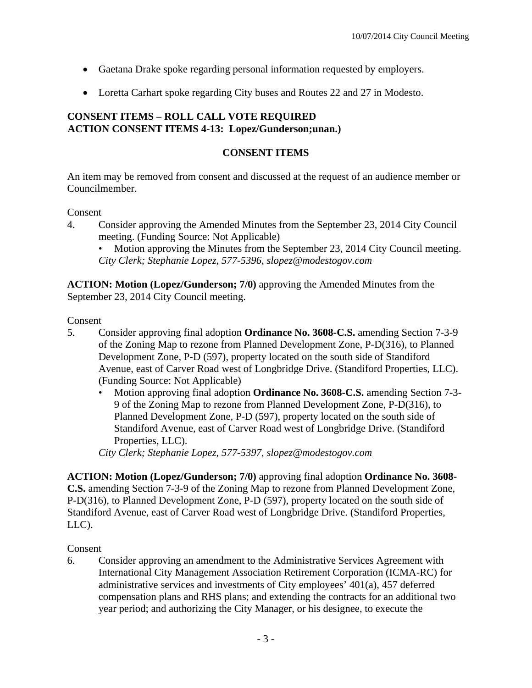- Gaetana Drake spoke regarding personal information requested by employers.
- Loretta Carhart spoke regarding City buses and Routes 22 and 27 in Modesto.

## **CONSENT ITEMS – ROLL CALL VOTE REQUIRED ACTION CONSENT ITEMS 4-13: Lopez/Gunderson;unan.)**

#### **CONSENT ITEMS**

An item may be removed from consent and discussed at the request of an audience member or Councilmember.

Consent

4. Consider approving the Amended Minutes from the September 23, 2014 City Council meeting. (Funding Source: Not Applicable)

Motion approving the Minutes from the September 23, 2014 City Council meeting. *City Clerk; Stephanie Lopez, 577-5396, slopez@modestogov.com* 

**ACTION: Motion (Lopez/Gunderson; 7/0)** approving the Amended Minutes from the September 23, 2014 City Council meeting.

Consent

- 5. Consider approving final adoption **Ordinance No. 3608-C.S.** amending Section 7-3-9 of the Zoning Map to rezone from Planned Development Zone, P-D(316), to Planned Development Zone, P-D (597), property located on the south side of Standiford Avenue, east of Carver Road west of Longbridge Drive. (Standiford Properties, LLC). (Funding Source: Not Applicable)
	- Motion approving final adoption **Ordinance No. 3608-C.S.** amending Section 7-3- 9 of the Zoning Map to rezone from Planned Development Zone, P-D(316), to Planned Development Zone, P-D (597), property located on the south side of Standiford Avenue, east of Carver Road west of Longbridge Drive. (Standiford Properties, LLC).

*City Clerk; Stephanie Lopez, 577-5397, slopez@modestogov.com* 

**ACTION: Motion (Lopez/Gunderson; 7/0)** approving final adoption **Ordinance No. 3608- C.S.** amending Section 7-3-9 of the Zoning Map to rezone from Planned Development Zone, P-D(316), to Planned Development Zone, P-D (597), property located on the south side of Standiford Avenue, east of Carver Road west of Longbridge Drive. (Standiford Properties, LLC).

#### Consent

6. Consider approving an amendment to the Administrative Services Agreement with International City Management Association Retirement Corporation (ICMA-RC) for administrative services and investments of City employees' 401(a), 457 deferred compensation plans and RHS plans; and extending the contracts for an additional two year period; and authorizing the City Manager, or his designee, to execute the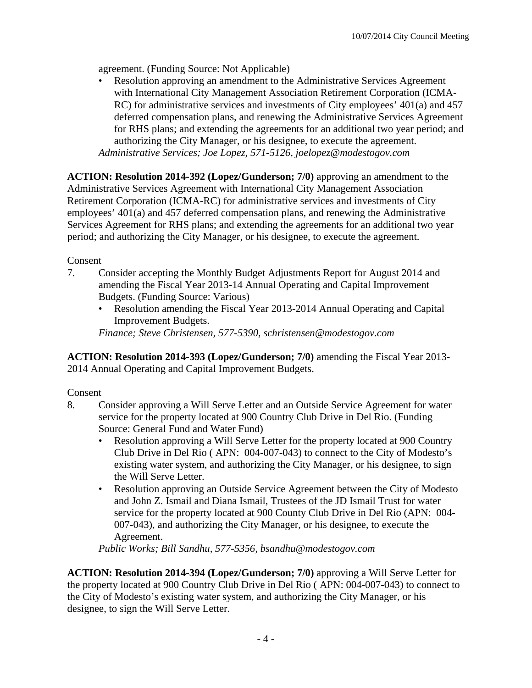agreement. (Funding Source: Not Applicable)

• Resolution approving an amendment to the Administrative Services Agreement with International City Management Association Retirement Corporation (ICMA-RC) for administrative services and investments of City employees' 401(a) and 457 deferred compensation plans, and renewing the Administrative Services Agreement for RHS plans; and extending the agreements for an additional two year period; and authorizing the City Manager, or his designee, to execute the agreement. *Administrative Services; Joe Lopez, 571-5126, joelopez@modestogov.com* 

**ACTION: Resolution 2014-392 (Lopez/Gunderson; 7/0)** approving an amendment to the Administrative Services Agreement with International City Management Association Retirement Corporation (ICMA-RC) for administrative services and investments of City employees' 401(a) and 457 deferred compensation plans, and renewing the Administrative Services Agreement for RHS plans; and extending the agreements for an additional two year period; and authorizing the City Manager, or his designee, to execute the agreement.

## Consent

- 7. Consider accepting the Monthly Budget Adjustments Report for August 2014 and amending the Fiscal Year 2013-14 Annual Operating and Capital Improvement Budgets. (Funding Source: Various)
	- Resolution amending the Fiscal Year 2013-2014 Annual Operating and Capital Improvement Budgets.

*Finance; Steve Christensen, 577-5390, schristensen@modestogov.com* 

**ACTION: Resolution 2014-393 (Lopez/Gunderson; 7/0)** amending the Fiscal Year 2013- 2014 Annual Operating and Capital Improvement Budgets.

## Consent

- 8. Consider approving a Will Serve Letter and an Outside Service Agreement for water service for the property located at 900 Country Club Drive in Del Rio. (Funding Source: General Fund and Water Fund)
	- Resolution approving a Will Serve Letter for the property located at 900 Country Club Drive in Del Rio ( APN: 004-007-043) to connect to the City of Modesto's existing water system, and authorizing the City Manager, or his designee, to sign the Will Serve Letter.
	- Resolution approving an Outside Service Agreement between the City of Modesto and John Z. Ismail and Diana Ismail, Trustees of the JD Ismail Trust for water service for the property located at 900 County Club Drive in Del Rio (APN: 004- 007-043), and authorizing the City Manager, or his designee, to execute the Agreement.

*Public Works; Bill Sandhu, 577-5356, bsandhu@modestogov.com* 

**ACTION: Resolution 2014-394 (Lopez/Gunderson; 7/0)** approving a Will Serve Letter for the property located at 900 Country Club Drive in Del Rio ( APN: 004-007-043) to connect to the City of Modesto's existing water system, and authorizing the City Manager, or his designee, to sign the Will Serve Letter.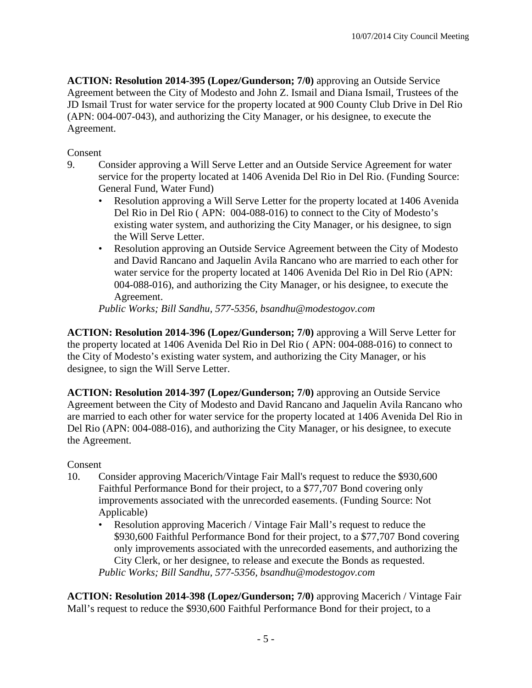**ACTION: Resolution 2014-395 (Lopez/Gunderson; 7/0)** approving an Outside Service Agreement between the City of Modesto and John Z. Ismail and Diana Ismail, Trustees of the JD Ismail Trust for water service for the property located at 900 County Club Drive in Del Rio (APN: 004-007-043), and authorizing the City Manager, or his designee, to execute the Agreement.

## Consent

- 9. Consider approving a Will Serve Letter and an Outside Service Agreement for water service for the property located at 1406 Avenida Del Rio in Del Rio. (Funding Source: General Fund, Water Fund)
	- Resolution approving a Will Serve Letter for the property located at 1406 Avenida Del Rio in Del Rio ( APN: 004-088-016) to connect to the City of Modesto's existing water system, and authorizing the City Manager, or his designee, to sign the Will Serve Letter.
	- Resolution approving an Outside Service Agreement between the City of Modesto and David Rancano and Jaquelin Avila Rancano who are married to each other for water service for the property located at 1406 Avenida Del Rio in Del Rio (APN: 004-088-016), and authorizing the City Manager, or his designee, to execute the Agreement.

*Public Works; Bill Sandhu, 577-5356, bsandhu@modestogov.com* 

**ACTION: Resolution 2014-396 (Lopez/Gunderson; 7/0)** approving a Will Serve Letter for the property located at 1406 Avenida Del Rio in Del Rio ( APN: 004-088-016) to connect to the City of Modesto's existing water system, and authorizing the City Manager, or his designee, to sign the Will Serve Letter.

**ACTION: Resolution 2014-397 (Lopez/Gunderson; 7/0)** approving an Outside Service Agreement between the City of Modesto and David Rancano and Jaquelin Avila Rancano who are married to each other for water service for the property located at 1406 Avenida Del Rio in Del Rio (APN: 004-088-016), and authorizing the City Manager, or his designee, to execute the Agreement.

## Consent

- 10. Consider approving Macerich/Vintage Fair Mall's request to reduce the \$930,600 Faithful Performance Bond for their project, to a \$77,707 Bond covering only improvements associated with the unrecorded easements. (Funding Source: Not Applicable)
	- Resolution approving Macerich / Vintage Fair Mall's request to reduce the \$930,600 Faithful Performance Bond for their project, to a \$77,707 Bond covering only improvements associated with the unrecorded easements, and authorizing the City Clerk, or her designee, to release and execute the Bonds as requested. *Public Works; Bill Sandhu, 577-5356, bsandhu@modestogov.com*

**ACTION: Resolution 2014-398 (Lopez/Gunderson; 7/0)** approving Macerich / Vintage Fair Mall's request to reduce the \$930,600 Faithful Performance Bond for their project, to a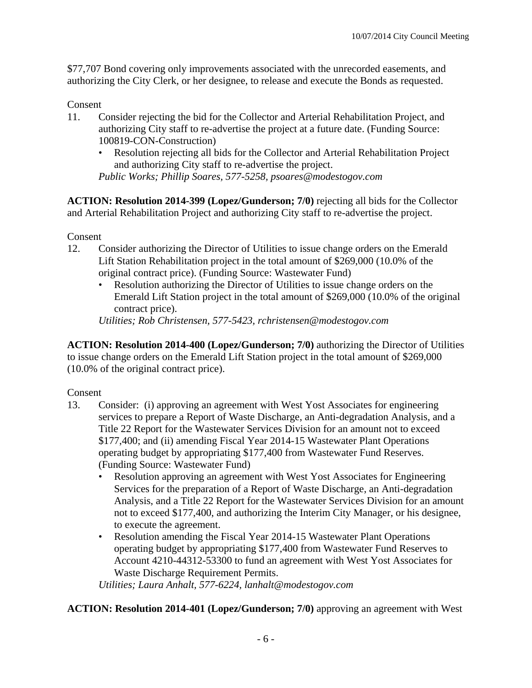\$77,707 Bond covering only improvements associated with the unrecorded easements, and authorizing the City Clerk, or her designee, to release and execute the Bonds as requested.

#### Consent

- 11. Consider rejecting the bid for the Collector and Arterial Rehabilitation Project, and authorizing City staff to re-advertise the project at a future date. (Funding Source: 100819-CON-Construction)
	- Resolution rejecting all bids for the Collector and Arterial Rehabilitation Project and authorizing City staff to re-advertise the project. *Public Works; Phillip Soares, 577-5258, psoares@modestogov.com*

**ACTION: Resolution 2014-399 (Lopez/Gunderson; 7/0)** rejecting all bids for the Collector and Arterial Rehabilitation Project and authorizing City staff to re-advertise the project.

Consent

- 12. Consider authorizing the Director of Utilities to issue change orders on the Emerald Lift Station Rehabilitation project in the total amount of \$269,000 (10.0% of the original contract price). (Funding Source: Wastewater Fund)
	- Resolution authorizing the Director of Utilities to issue change orders on the Emerald Lift Station project in the total amount of \$269,000 (10.0% of the original contract price).

*Utilities; Rob Christensen, 577-5423, rchristensen@modestogov.com* 

**ACTION: Resolution 2014-400 (Lopez/Gunderson; 7/0)** authorizing the Director of Utilities to issue change orders on the Emerald Lift Station project in the total amount of \$269,000 (10.0% of the original contract price).

#### Consent

- 13. Consider: (i) approving an agreement with West Yost Associates for engineering services to prepare a Report of Waste Discharge, an Anti-degradation Analysis, and a Title 22 Report for the Wastewater Services Division for an amount not to exceed \$177,400; and (ii) amending Fiscal Year 2014-15 Wastewater Plant Operations operating budget by appropriating \$177,400 from Wastewater Fund Reserves. (Funding Source: Wastewater Fund)
	- Resolution approving an agreement with West Yost Associates for Engineering Services for the preparation of a Report of Waste Discharge, an Anti-degradation Analysis, and a Title 22 Report for the Wastewater Services Division for an amount not to exceed \$177,400, and authorizing the Interim City Manager, or his designee, to execute the agreement.
	- Resolution amending the Fiscal Year 2014-15 Wastewater Plant Operations operating budget by appropriating \$177,400 from Wastewater Fund Reserves to Account 4210-44312-53300 to fund an agreement with West Yost Associates for Waste Discharge Requirement Permits.

*Utilities; Laura Anhalt, 577-6224, lanhalt@modestogov.com* 

#### **ACTION: Resolution 2014-401 (Lopez/Gunderson; 7/0)** approving an agreement with West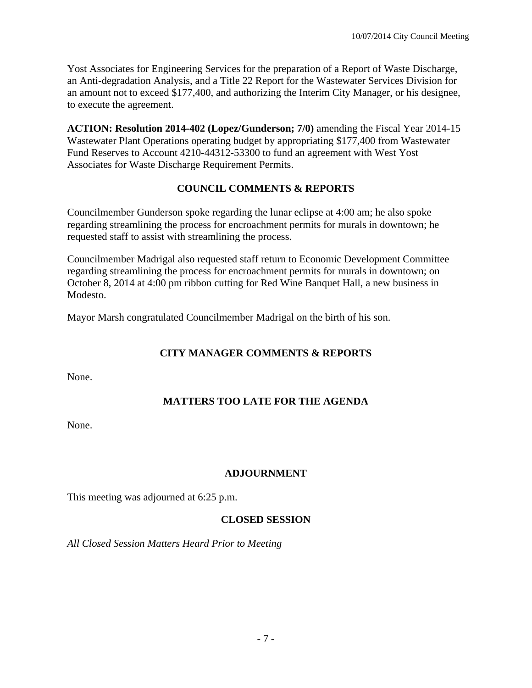Yost Associates for Engineering Services for the preparation of a Report of Waste Discharge, an Anti-degradation Analysis, and a Title 22 Report for the Wastewater Services Division for an amount not to exceed \$177,400, and authorizing the Interim City Manager, or his designee, to execute the agreement.

**ACTION: Resolution 2014-402 (Lopez/Gunderson; 7/0)** amending the Fiscal Year 2014-15 Wastewater Plant Operations operating budget by appropriating \$177,400 from Wastewater Fund Reserves to Account 4210-44312-53300 to fund an agreement with West Yost Associates for Waste Discharge Requirement Permits.

## **COUNCIL COMMENTS & REPORTS**

Councilmember Gunderson spoke regarding the lunar eclipse at 4:00 am; he also spoke regarding streamlining the process for encroachment permits for murals in downtown; he requested staff to assist with streamlining the process.

Councilmember Madrigal also requested staff return to Economic Development Committee regarding streamlining the process for encroachment permits for murals in downtown; on October 8, 2014 at 4:00 pm ribbon cutting for Red Wine Banquet Hall, a new business in Modesto.

Mayor Marsh congratulated Councilmember Madrigal on the birth of his son.

## **CITY MANAGER COMMENTS & REPORTS**

None.

## **MATTERS TOO LATE FOR THE AGENDA**

None.

## **ADJOURNMENT**

This meeting was adjourned at 6:25 p.m.

#### **CLOSED SESSION**

*All Closed Session Matters Heard Prior to Meeting*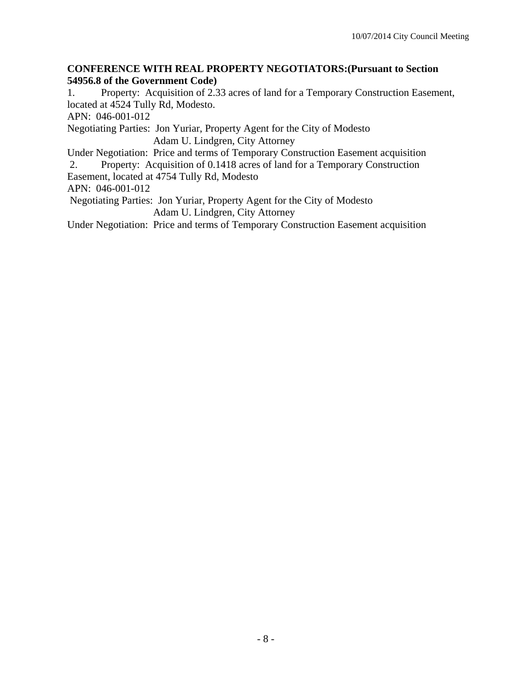#### **CONFERENCE WITH REAL PROPERTY NEGOTIATORS:(Pursuant to Section 54956.8 of the Government Code)**

1. Property: Acquisition of 2.33 acres of land for a Temporary Construction Easement, located at 4524 Tully Rd, Modesto.

APN: 046-001-012

Negotiating Parties: Jon Yuriar, Property Agent for the City of Modesto Adam U. Lindgren, City Attorney

Under Negotiation: Price and terms of Temporary Construction Easement acquisition

 2. Property: Acquisition of 0.1418 acres of land for a Temporary Construction Easement, located at 4754 Tully Rd, Modesto

APN: 046-001-012

 Negotiating Parties: Jon Yuriar, Property Agent for the City of Modesto Adam U. Lindgren, City Attorney

Under Negotiation: Price and terms of Temporary Construction Easement acquisition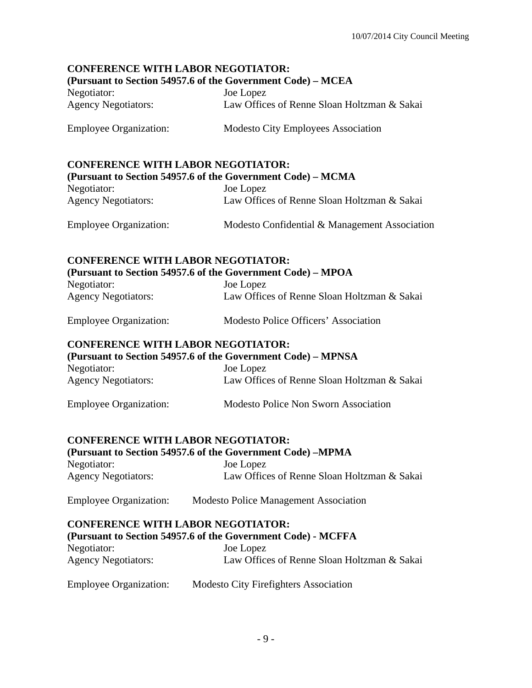## **CONFERENCE WITH LABOR NEGOTIATOR:**

#### **(Pursuant to Section 54957.6 of the Government Code) – MCEA**

| Negotiator:                | Joe Lopez                                   |
|----------------------------|---------------------------------------------|
| <b>Agency Negotiators:</b> | Law Offices of Renne Sloan Holtzman & Sakai |

Employee Organization: Modesto City Employees Association

#### **CONFERENCE WITH LABOR NEGOTIATOR:**

| (Pursuant to Section 54957.6 of the Government Code) – MCMA |                                               |  |
|-------------------------------------------------------------|-----------------------------------------------|--|
| Negotiator:                                                 | Joe Lopez                                     |  |
| <b>Agency Negotiators:</b>                                  | Law Offices of Renne Sloan Holtzman & Sakai   |  |
| <b>Employee Organization:</b>                               | Modesto Confidential & Management Association |  |

# **CONFERENCE WITH LABOR NEGOTIATOR:**

**(Pursuant to Section 54957.6 of the Government Code) – MPOA**

| Negotiator:                | Joe Lopez                                   |
|----------------------------|---------------------------------------------|
| <b>Agency Negotiators:</b> | Law Offices of Renne Sloan Holtzman & Sakai |
|                            |                                             |

| <b>Employee Organization:</b> | Modesto Police Officers' Association |
|-------------------------------|--------------------------------------|
|-------------------------------|--------------------------------------|

#### **CONFERENCE WITH LABOR NEGOTIATOR:**

| (Pursuant to Section 54957.6 of the Government Code) – MPNSA |                                             |  |
|--------------------------------------------------------------|---------------------------------------------|--|
| Negotiator:                                                  | Joe Lopez                                   |  |
| <b>Agency Negotiators:</b>                                   | Law Offices of Renne Sloan Holtzman & Sakai |  |
| <b>Employee Organization:</b>                                | Modesto Police Non Sworn Association        |  |

#### **CONFERENCE WITH LABOR NEGOTIATOR:**

| (Pursuant to Section 54957.6 of the Government Code) –MPMA |                                             |  |
|------------------------------------------------------------|---------------------------------------------|--|
| Negotiator:                                                | Joe Lopez                                   |  |
| <b>Agency Negotiators:</b>                                 | Law Offices of Renne Sloan Holtzman & Sakai |  |

Employee Organization: Modesto Police Management Association

#### **CONFERENCE WITH LABOR NEGOTIATOR:**

#### **(Pursuant to Section 54957.6 of the Government Code) - MCFFA**  Negotiator:

| <i>ivegotiatoi.</i>        | JUC LUPCZ                                   |
|----------------------------|---------------------------------------------|
| <b>Agency Negotiators:</b> | Law Offices of Renne Sloan Holtzman & Sakai |
|                            |                                             |

Employee Organization: Modesto City Firefighters Association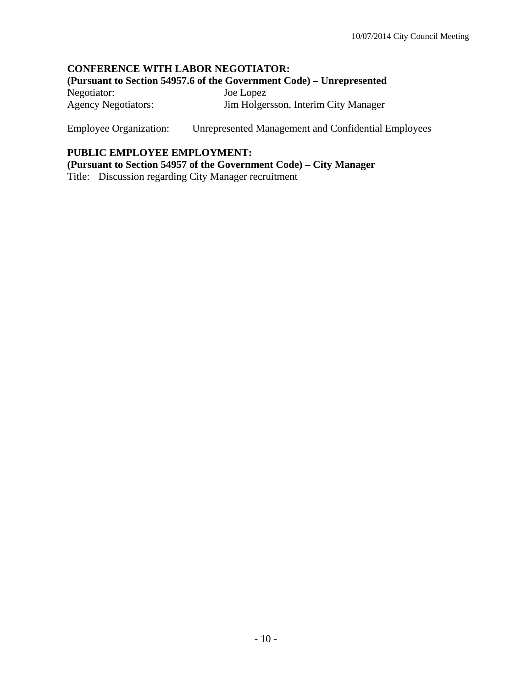#### **CONFERENCE WITH LABOR NEGOTIATOR: (Pursuant to Section 54957.6 of the Government Code) – Unrepresented**  Negotiator: Joe Lopez Agency Negotiators: Jim Holgersson, Interim City Manager

Employee Organization: Unrepresented Management and Confidential Employees

#### **PUBLIC EMPLOYEE EMPLOYMENT:**

**(Pursuant to Section 54957 of the Government Code) – City Manager** 

Title: Discussion regarding City Manager recruitment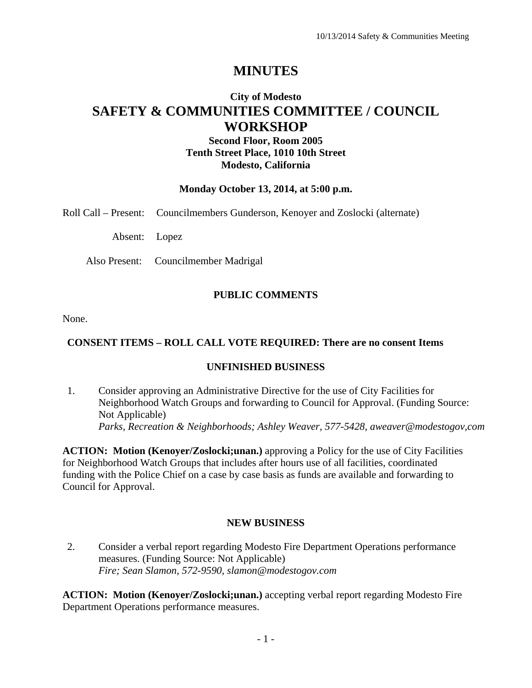## **MINUTES**

## **City of Modesto SAFETY & COMMUNITIES COMMITTEE / COUNCIL WORKSHOP**

## **Second Floor, Room 2005 Tenth Street Place, 1010 10th Street Modesto, California**

#### **Monday October 13, 2014, at 5:00 p.m.**

Roll Call – Present: Councilmembers Gunderson, Kenoyer and Zoslocki (alternate)

Absent: Lopez

Also Present: Councilmember Madrigal

#### **PUBLIC COMMENTS**

None.

#### **CONSENT ITEMS – ROLL CALL VOTE REQUIRED: There are no consent Items**

#### **UNFINISHED BUSINESS**

1. Consider approving an Administrative Directive for the use of City Facilities for Neighborhood Watch Groups and forwarding to Council for Approval. (Funding Source: Not Applicable)  *Parks, Recreation & Neighborhoods; Ashley Weaver, 577-5428, aweaver@modestogov,com* 

**ACTION: Motion (Kenoyer/Zoslocki;unan.)** approving a Policy for the use of City Facilities for Neighborhood Watch Groups that includes after hours use of all facilities, coordinated funding with the Police Chief on a case by case basis as funds are available and forwarding to Council for Approval.

#### **NEW BUSINESS**

2. Consider a verbal report regarding Modesto Fire Department Operations performance measures. (Funding Source: Not Applicable)  *Fire; Sean Slamon, 572-9590, slamon@modestogov.com* 

**ACTION: Motion (Kenoyer/Zoslocki;unan.)** accepting verbal report regarding Modesto Fire Department Operations performance measures.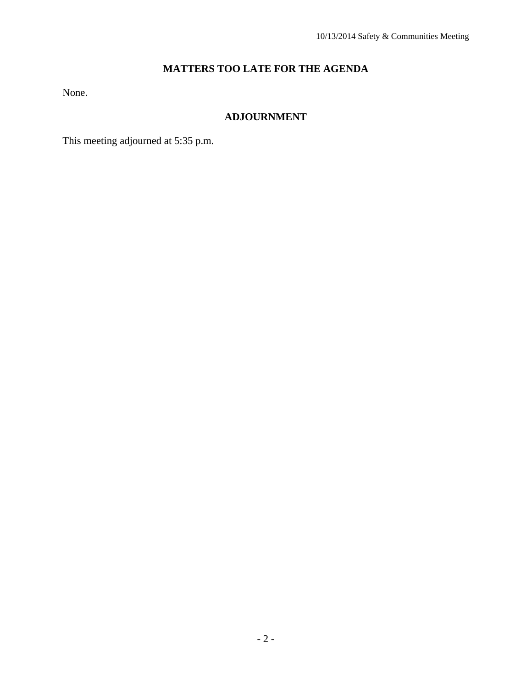## **MATTERS TOO LATE FOR THE AGENDA**

None.

## **ADJOURNMENT**

This meeting adjourned at 5:35 p.m.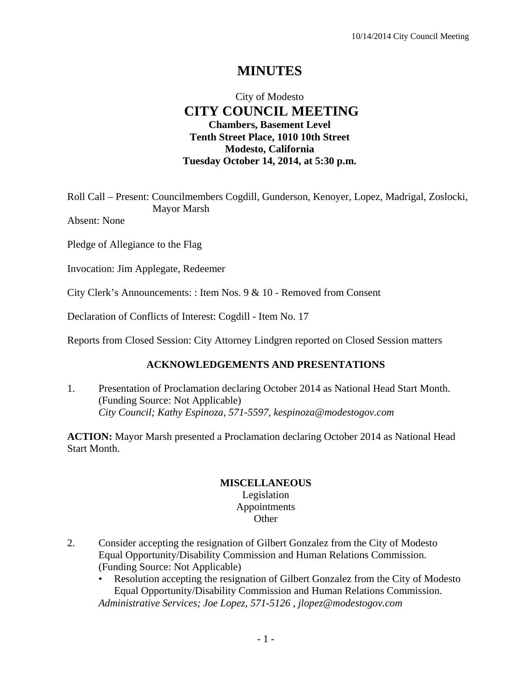## **MINUTES**

## City of Modesto  **CITY COUNCIL MEETING Chambers, Basement Level Tenth Street Place, 1010 10th Street Modesto, California Tuesday October 14, 2014, at 5:30 p.m.**

Roll Call – Present: Councilmembers Cogdill, Gunderson, Kenoyer, Lopez, Madrigal, Zoslocki, Mayor Marsh

Absent: None

Pledge of Allegiance to the Flag

Invocation: Jim Applegate, Redeemer

City Clerk's Announcements: : Item Nos. 9 & 10 - Removed from Consent

Declaration of Conflicts of Interest: Cogdill - Item No. 17

Reports from Closed Session: City Attorney Lindgren reported on Closed Session matters

#### **ACKNOWLEDGEMENTS AND PRESENTATIONS**

1. Presentation of Proclamation declaring October 2014 as National Head Start Month. (Funding Source: Not Applicable)  *City Council; Kathy Espinoza, 571-5597, kespinoza@modestogov.com* 

**ACTION:** Mayor Marsh presented a Proclamation declaring October 2014 as National Head Start Month.

#### **MISCELLANEOUS**

Legislation Appointments **Other** 

- 2. Consider accepting the resignation of Gilbert Gonzalez from the City of Modesto Equal Opportunity/Disability Commission and Human Relations Commission. (Funding Source: Not Applicable)
	- Resolution accepting the resignation of Gilbert Gonzalez from the City of Modesto Equal Opportunity/Disability Commission and Human Relations Commission. *Administrative Services; Joe Lopez, 571-5126 , jlopez@modestogov.com*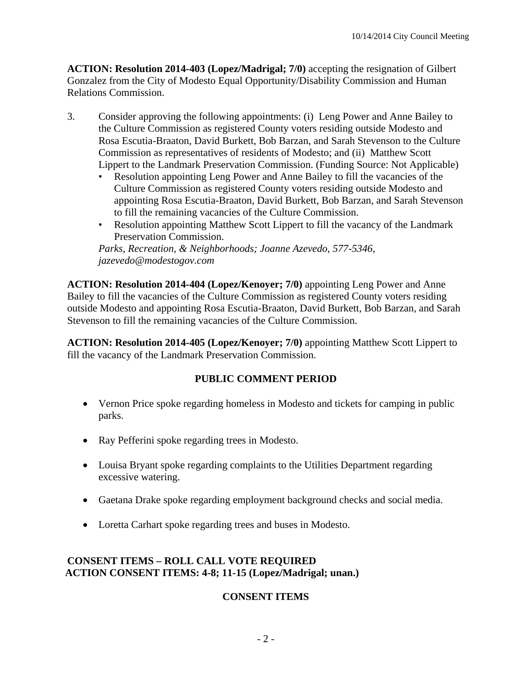**ACTION: Resolution 2014-403 (Lopez/Madrigal; 7/0)** accepting the resignation of Gilbert Gonzalez from the City of Modesto Equal Opportunity/Disability Commission and Human Relations Commission.

- 3. Consider approving the following appointments: (i) Leng Power and Anne Bailey to the Culture Commission as registered County voters residing outside Modesto and Rosa Escutia-Braaton, David Burkett, Bob Barzan, and Sarah Stevenson to the Culture Commission as representatives of residents of Modesto; and (ii) Matthew Scott Lippert to the Landmark Preservation Commission. (Funding Source: Not Applicable)
	- Resolution appointing Leng Power and Anne Bailey to fill the vacancies of the Culture Commission as registered County voters residing outside Modesto and appointing Rosa Escutia-Braaton, David Burkett, Bob Barzan, and Sarah Stevenson to fill the remaining vacancies of the Culture Commission.
	- Resolution appointing Matthew Scott Lippert to fill the vacancy of the Landmark Preservation Commission.

*Parks, Recreation, & Neighborhoods; Joanne Azevedo, 577-5346, jazevedo@modestogov.com* 

**ACTION: Resolution 2014-404 (Lopez/Kenoyer; 7/0)** appointing Leng Power and Anne Bailey to fill the vacancies of the Culture Commission as registered County voters residing outside Modesto and appointing Rosa Escutia-Braaton, David Burkett, Bob Barzan, and Sarah Stevenson to fill the remaining vacancies of the Culture Commission.

**ACTION: Resolution 2014-405 (Lopez/Kenoyer; 7/0)** appointing Matthew Scott Lippert to fill the vacancy of the Landmark Preservation Commission.

## **PUBLIC COMMENT PERIOD**

- Vernon Price spoke regarding homeless in Modesto and tickets for camping in public parks.
- Ray Pefferini spoke regarding trees in Modesto.
- Louisa Bryant spoke regarding complaints to the Utilities Department regarding excessive watering.
- Gaetana Drake spoke regarding employment background checks and social media.
- Loretta Carhart spoke regarding trees and buses in Modesto.

## **CONSENT ITEMS – ROLL CALL VOTE REQUIRED ACTION CONSENT ITEMS: 4-8; 11-15 (Lopez/Madrigal; unan.)**

## **CONSENT ITEMS**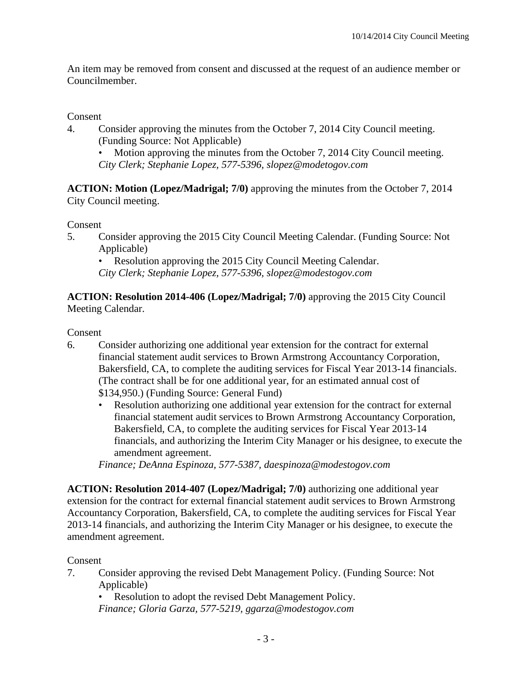An item may be removed from consent and discussed at the request of an audience member or Councilmember.

## Consent

4. Consider approving the minutes from the October 7, 2014 City Council meeting. (Funding Source: Not Applicable)

• Motion approving the minutes from the October 7, 2014 City Council meeting. *City Clerk; Stephanie Lopez, 577-5396, slopez@modetogov.com* 

**ACTION: Motion (Lopez/Madrigal; 7/0)** approving the minutes from the October 7, 2014 City Council meeting.

Consent

5. Consider approving the 2015 City Council Meeting Calendar. (Funding Source: Not Applicable)

• Resolution approving the 2015 City Council Meeting Calendar.

*City Clerk; Stephanie Lopez, 577-5396, slopez@modestogov.com* 

**ACTION: Resolution 2014-406 (Lopez/Madrigal; 7/0)** approving the 2015 City Council Meeting Calendar.

#### Consent

- 6. Consider authorizing one additional year extension for the contract for external financial statement audit services to Brown Armstrong Accountancy Corporation, Bakersfield, CA, to complete the auditing services for Fiscal Year 2013-14 financials. (The contract shall be for one additional year, for an estimated annual cost of \$134,950.) (Funding Source: General Fund)
	- Resolution authorizing one additional year extension for the contract for external financial statement audit services to Brown Armstrong Accountancy Corporation, Bakersfield, CA, to complete the auditing services for Fiscal Year 2013-14 financials, and authorizing the Interim City Manager or his designee, to execute the amendment agreement.

*Finance; DeAnna Espinoza, 577-5387, daespinoza@modestogov.com* 

**ACTION: Resolution 2014-407 (Lopez/Madrigal; 7/0)** authorizing one additional year extension for the contract for external financial statement audit services to Brown Armstrong Accountancy Corporation, Bakersfield, CA, to complete the auditing services for Fiscal Year 2013-14 financials, and authorizing the Interim City Manager or his designee, to execute the amendment agreement.

#### Consent

7. Consider approving the revised Debt Management Policy. (Funding Source: Not Applicable)

• Resolution to adopt the revised Debt Management Policy. *Finance; Gloria Garza, 577-5219, ggarza@modestogov.com*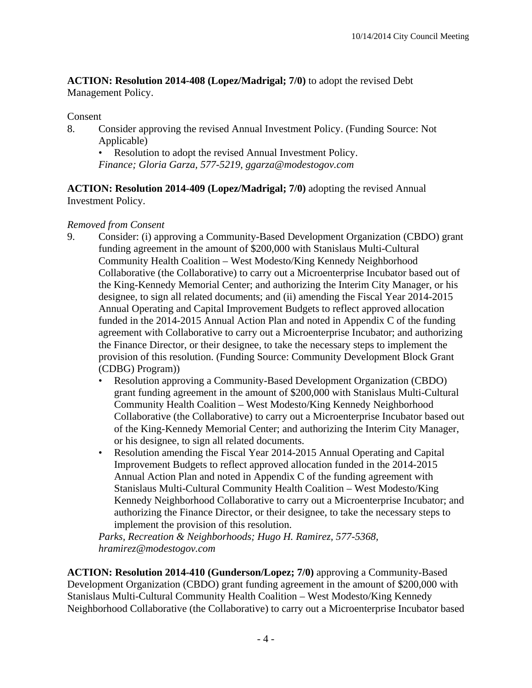**ACTION: Resolution 2014-408 (Lopez/Madrigal; 7/0)** to adopt the revised Debt Management Policy.

#### **Consent**

8. Consider approving the revised Annual Investment Policy. (Funding Source: Not Applicable)

• Resolution to adopt the revised Annual Investment Policy. *Finance; Gloria Garza, 577-5219, ggarza@modestogov.com* 

**ACTION: Resolution 2014-409 (Lopez/Madrigal; 7/0)** adopting the revised Annual Investment Policy.

## *Removed from Consent*

- 9. Consider: (i) approving a Community-Based Development Organization (CBDO) grant funding agreement in the amount of \$200,000 with Stanislaus Multi-Cultural Community Health Coalition – West Modesto/King Kennedy Neighborhood Collaborative (the Collaborative) to carry out a Microenterprise Incubator based out of the King-Kennedy Memorial Center; and authorizing the Interim City Manager, or his designee, to sign all related documents; and (ii) amending the Fiscal Year 2014-2015 Annual Operating and Capital Improvement Budgets to reflect approved allocation funded in the 2014-2015 Annual Action Plan and noted in Appendix C of the funding agreement with Collaborative to carry out a Microenterprise Incubator; and authorizing the Finance Director, or their designee, to take the necessary steps to implement the provision of this resolution. (Funding Source: Community Development Block Grant (CDBG) Program))
	- Resolution approving a Community-Based Development Organization (CBDO) grant funding agreement in the amount of \$200,000 with Stanislaus Multi-Cultural Community Health Coalition – West Modesto/King Kennedy Neighborhood Collaborative (the Collaborative) to carry out a Microenterprise Incubator based out of the King-Kennedy Memorial Center; and authorizing the Interim City Manager, or his designee, to sign all related documents.
	- Resolution amending the Fiscal Year 2014-2015 Annual Operating and Capital Improvement Budgets to reflect approved allocation funded in the 2014-2015 Annual Action Plan and noted in Appendix C of the funding agreement with Stanislaus Multi-Cultural Community Health Coalition – West Modesto/King Kennedy Neighborhood Collaborative to carry out a Microenterprise Incubator; and authorizing the Finance Director, or their designee, to take the necessary steps to implement the provision of this resolution.

*Parks, Recreation & Neighborhoods; Hugo H. Ramirez, 577-5368, hramirez@modestogov.com* 

**ACTION: Resolution 2014-410 (Gunderson/Lopez; 7/0)** approving a Community-Based Development Organization (CBDO) grant funding agreement in the amount of \$200,000 with Stanislaus Multi-Cultural Community Health Coalition – West Modesto/King Kennedy Neighborhood Collaborative (the Collaborative) to carry out a Microenterprise Incubator based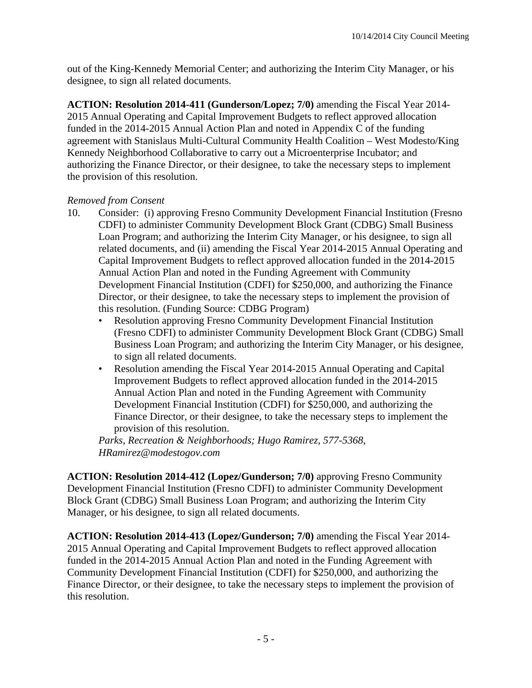out of the King-Kennedy Memorial Center; and authorizing the Interim City Manager, or his designee, to sign all related documents.

**ACTION: Resolution 2014-411 (Gunderson/Lopez; 7/0)** amending the Fiscal Year 2014- 2015 Annual Operating and Capital Improvement Budgets to reflect approved allocation funded in the 2014-2015 Annual Action Plan and noted in Appendix C of the funding agreement with Stanislaus Multi-Cultural Community Health Coalition – West Modesto/King Kennedy Neighborhood Collaborative to carry out a Microenterprise Incubator; and authorizing the Finance Director, or their designee, to take the necessary steps to implement the provision of this resolution.

## *Removed from Consent*

- 10. Consider: (i) approving Fresno Community Development Financial Institution (Fresno CDFI) to administer Community Development Block Grant (CDBG) Small Business Loan Program; and authorizing the Interim City Manager, or his designee, to sign all related documents, and (ii) amending the Fiscal Year 2014-2015 Annual Operating and Capital Improvement Budgets to reflect approved allocation funded in the 2014-2015 Annual Action Plan and noted in the Funding Agreement with Community Development Financial Institution (CDFI) for \$250,000, and authorizing the Finance Director, or their designee, to take the necessary steps to implement the provision of this resolution. (Funding Source: CDBG Program)
	- Resolution approving Fresno Community Development Financial Institution (Fresno CDFI) to administer Community Development Block Grant (CDBG) Small Business Loan Program; and authorizing the Interim City Manager, or his designee, to sign all related documents.
	- Resolution amending the Fiscal Year 2014-2015 Annual Operating and Capital Improvement Budgets to reflect approved allocation funded in the 2014-2015 Annual Action Plan and noted in the Funding Agreement with Community Development Financial Institution (CDFI) for \$250,000, and authorizing the Finance Director, or their designee, to take the necessary steps to implement the provision of this resolution.

*Parks, Recreation & Neighborhoods; Hugo Ramirez, 577-5368, HRamirez@modestogov.com* 

**ACTION: Resolution 2014-412 (Lopez/Gunderson; 7/0)** approving Fresno Community Development Financial Institution (Fresno CDFI) to administer Community Development Block Grant (CDBG) Small Business Loan Program; and authorizing the Interim City Manager, or his designee, to sign all related documents.

**ACTION: Resolution 2014-413 (Lopez/Gunderson; 7/0)** amending the Fiscal Year 2014- 2015 Annual Operating and Capital Improvement Budgets to reflect approved allocation funded in the 2014-2015 Annual Action Plan and noted in the Funding Agreement with Community Development Financial Institution (CDFI) for \$250,000, and authorizing the Finance Director, or their designee, to take the necessary steps to implement the provision of this resolution.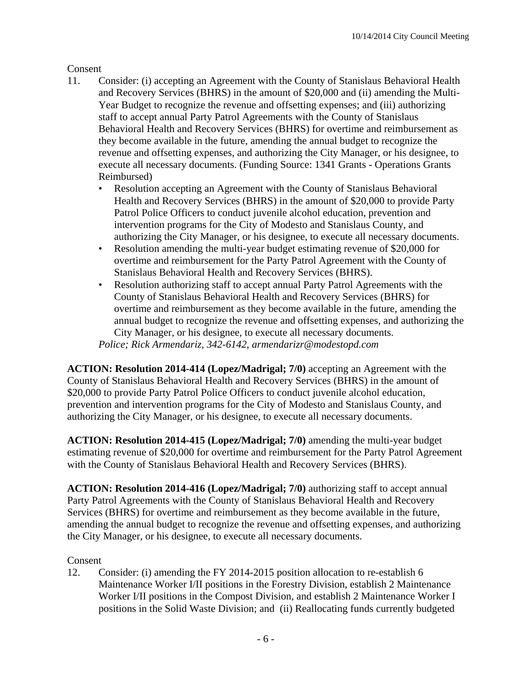## Consent

- 11. Consider: (i) accepting an Agreement with the County of Stanislaus Behavioral Health and Recovery Services (BHRS) in the amount of \$20,000 and (ii) amending the Multi-Year Budget to recognize the revenue and offsetting expenses; and (iii) authorizing staff to accept annual Party Patrol Agreements with the County of Stanislaus Behavioral Health and Recovery Services (BHRS) for overtime and reimbursement as they become available in the future, amending the annual budget to recognize the revenue and offsetting expenses, and authorizing the City Manager, or his designee, to execute all necessary documents. (Funding Source: 1341 Grants - Operations Grants Reimbursed)
	- Resolution accepting an Agreement with the County of Stanislaus Behavioral Health and Recovery Services (BHRS) in the amount of \$20,000 to provide Party Patrol Police Officers to conduct juvenile alcohol education, prevention and intervention programs for the City of Modesto and Stanislaus County, and authorizing the City Manager, or his designee, to execute all necessary documents.
	- Resolution amending the multi-year budget estimating revenue of \$20,000 for overtime and reimbursement for the Party Patrol Agreement with the County of Stanislaus Behavioral Health and Recovery Services (BHRS).
	- Resolution authorizing staff to accept annual Party Patrol Agreements with the County of Stanislaus Behavioral Health and Recovery Services (BHRS) for overtime and reimbursement as they become available in the future, amending the annual budget to recognize the revenue and offsetting expenses, and authorizing the City Manager, or his designee, to execute all necessary documents.

*Police; Rick Armendariz, 342-6142, armendarizr@modestopd.com* 

**ACTION: Resolution 2014-414 (Lopez/Madrigal; 7/0)** accepting an Agreement with the County of Stanislaus Behavioral Health and Recovery Services (BHRS) in the amount of \$20,000 to provide Party Patrol Police Officers to conduct juvenile alcohol education, prevention and intervention programs for the City of Modesto and Stanislaus County, and authorizing the City Manager, or his designee, to execute all necessary documents.

**ACTION: Resolution 2014-415 (Lopez/Madrigal; 7/0)** amending the multi-year budget estimating revenue of \$20,000 for overtime and reimbursement for the Party Patrol Agreement with the County of Stanislaus Behavioral Health and Recovery Services (BHRS).

**ACTION: Resolution 2014-416 (Lopez/Madrigal; 7/0)** authorizing staff to accept annual Party Patrol Agreements with the County of Stanislaus Behavioral Health and Recovery Services (BHRS) for overtime and reimbursement as they become available in the future, amending the annual budget to recognize the revenue and offsetting expenses, and authorizing the City Manager, or his designee, to execute all necessary documents.

## Consent

12. Consider: (i) amending the FY 2014-2015 position allocation to re-establish 6 Maintenance Worker I/II positions in the Forestry Division, establish 2 Maintenance Worker I/II positions in the Compost Division, and establish 2 Maintenance Worker I positions in the Solid Waste Division; and (ii) Reallocating funds currently budgeted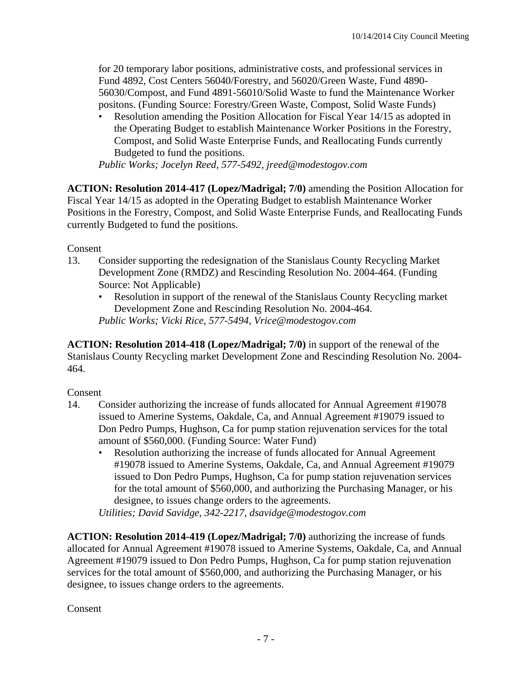for 20 temporary labor positions, administrative costs, and professional services in Fund 4892, Cost Centers 56040/Forestry, and 56020/Green Waste, Fund 4890- 56030/Compost, and Fund 4891-56010/Solid Waste to fund the Maintenance Worker positons. (Funding Source: Forestry/Green Waste, Compost, Solid Waste Funds)

• Resolution amending the Position Allocation for Fiscal Year 14/15 as adopted in the Operating Budget to establish Maintenance Worker Positions in the Forestry, Compost, and Solid Waste Enterprise Funds, and Reallocating Funds currently Budgeted to fund the positions.

*Public Works; Jocelyn Reed, 577-5492, jreed@modestogov.com* 

**ACTION: Resolution 2014-417 (Lopez/Madrigal; 7/0)** amending the Position Allocation for Fiscal Year 14/15 as adopted in the Operating Budget to establish Maintenance Worker Positions in the Forestry, Compost, and Solid Waste Enterprise Funds, and Reallocating Funds currently Budgeted to fund the positions.

Consent

- 13. Consider supporting the redesignation of the Stanislaus County Recycling Market Development Zone (RMDZ) and Rescinding Resolution No. 2004-464. (Funding Source: Not Applicable)
	- Resolution in support of the renewal of the Stanislaus County Recycling market Development Zone and Rescinding Resolution No. 2004-464. *Public Works; Vicki Rice, 577-5494, Vrice@modestogov.com*

**ACTION: Resolution 2014-418 (Lopez/Madrigal; 7/0)** in support of the renewal of the Stanislaus County Recycling market Development Zone and Rescinding Resolution No. 2004- 464.

## Consent

- 14. Consider authorizing the increase of funds allocated for Annual Agreement #19078 issued to Amerine Systems, Oakdale, Ca, and Annual Agreement #19079 issued to Don Pedro Pumps, Hughson, Ca for pump station rejuvenation services for the total amount of \$560,000. (Funding Source: Water Fund)
	- Resolution authorizing the increase of funds allocated for Annual Agreement #19078 issued to Amerine Systems, Oakdale, Ca, and Annual Agreement #19079 issued to Don Pedro Pumps, Hughson, Ca for pump station rejuvenation services for the total amount of \$560,000, and authorizing the Purchasing Manager, or his designee, to issues change orders to the agreements.

*Utilities; David Savidge, 342-2217, dsavidge@modestogov.com* 

**ACTION: Resolution 2014-419 (Lopez/Madrigal; 7/0)** authorizing the increase of funds allocated for Annual Agreement #19078 issued to Amerine Systems, Oakdale, Ca, and Annual Agreement #19079 issued to Don Pedro Pumps, Hughson, Ca for pump station rejuvenation services for the total amount of \$560,000, and authorizing the Purchasing Manager, or his designee, to issues change orders to the agreements.

**Consent**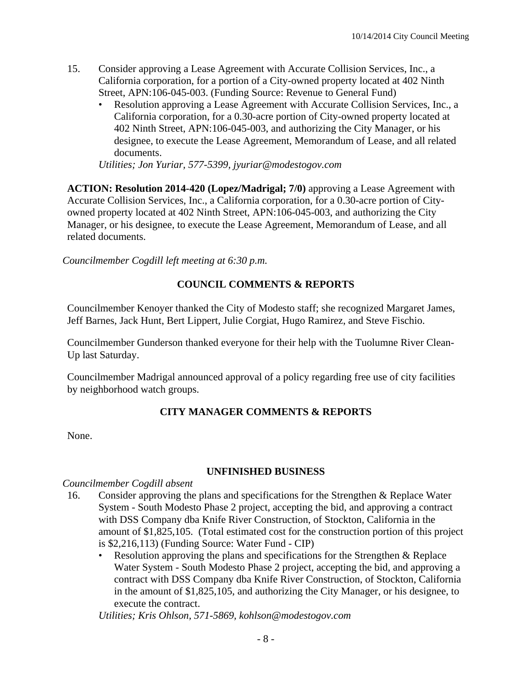- 15. Consider approving a Lease Agreement with Accurate Collision Services, Inc., a California corporation, for a portion of a City-owned property located at 402 Ninth Street, APN:106-045-003. (Funding Source: Revenue to General Fund)
	- Resolution approving a Lease Agreement with Accurate Collision Services, Inc., a California corporation, for a 0.30-acre portion of City-owned property located at 402 Ninth Street, APN:106-045-003, and authorizing the City Manager, or his designee, to execute the Lease Agreement, Memorandum of Lease, and all related documents.

*Utilities; Jon Yuriar, 577-5399, jyuriar@modestogov.com* 

**ACTION: Resolution 2014-420 (Lopez/Madrigal; 7/0)** approving a Lease Agreement with Accurate Collision Services, Inc., a California corporation, for a 0.30-acre portion of Cityowned property located at 402 Ninth Street, APN:106-045-003, and authorizing the City Manager, or his designee, to execute the Lease Agreement, Memorandum of Lease, and all related documents.

*Councilmember Cogdill left meeting at 6:30 p.m.* 

## **COUNCIL COMMENTS & REPORTS**

Councilmember Kenoyer thanked the City of Modesto staff; she recognized Margaret James, Jeff Barnes, Jack Hunt, Bert Lippert, Julie Corgiat, Hugo Ramirez, and Steve Fischio.

Councilmember Gunderson thanked everyone for their help with the Tuolumne River Clean-Up last Saturday.

Councilmember Madrigal announced approval of a policy regarding free use of city facilities by neighborhood watch groups.

## **CITY MANAGER COMMENTS & REPORTS**

None.

#### **UNFINISHED BUSINESS**

*Councilmember Cogdill absent* 

- 16. Consider approving the plans and specifications for the Strengthen & Replace Water System - South Modesto Phase 2 project, accepting the bid, and approving a contract with DSS Company dba Knife River Construction, of Stockton, California in the amount of \$1,825,105. (Total estimated cost for the construction portion of this project is \$2,216,113) (Funding Source: Water Fund - CIP)
	- Resolution approving the plans and specifications for the Strengthen & Replace Water System - South Modesto Phase 2 project, accepting the bid, and approving a contract with DSS Company dba Knife River Construction, of Stockton, California in the amount of \$1,825,105, and authorizing the City Manager, or his designee, to execute the contract.

*Utilities; Kris Ohlson, 571-5869, kohlson@modestogov.com*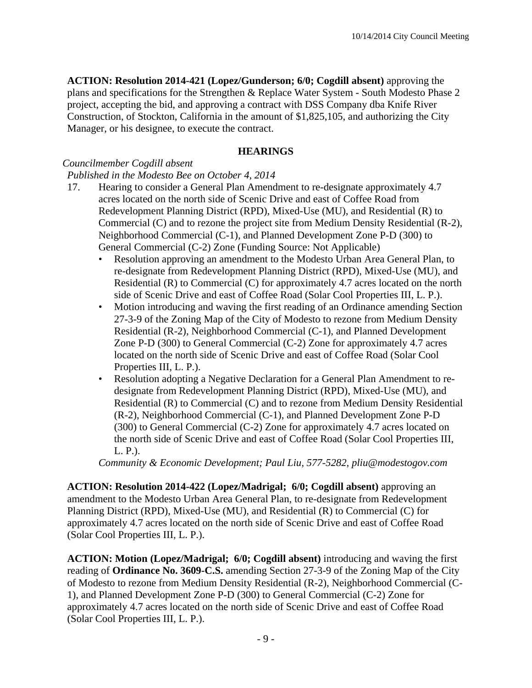**ACTION: Resolution 2014-421 (Lopez/Gunderson; 6/0; Cogdill absent)** approving the plans and specifications for the Strengthen & Replace Water System - South Modesto Phase 2 project, accepting the bid, and approving a contract with DSS Company dba Knife River Construction, of Stockton, California in the amount of \$1,825,105, and authorizing the City Manager, or his designee, to execute the contract.

## **HEARINGS**

## *Councilmember Cogdill absent*

#### *Published in the Modesto Bee on October 4, 2014*

- 17. Hearing to consider a General Plan Amendment to re-designate approximately 4.7 acres located on the north side of Scenic Drive and east of Coffee Road from Redevelopment Planning District (RPD), Mixed-Use (MU), and Residential (R) to Commercial (C) and to rezone the project site from Medium Density Residential (R-2), Neighborhood Commercial (C-1), and Planned Development Zone P-D (300) to General Commercial (C-2) Zone (Funding Source: Not Applicable)
	- Resolution approving an amendment to the Modesto Urban Area General Plan, to re-designate from Redevelopment Planning District (RPD), Mixed-Use (MU), and Residential (R) to Commercial (C) for approximately 4.7 acres located on the north side of Scenic Drive and east of Coffee Road (Solar Cool Properties III, L. P.).
	- Motion introducing and waving the first reading of an Ordinance amending Section 27-3-9 of the Zoning Map of the City of Modesto to rezone from Medium Density Residential (R-2), Neighborhood Commercial (C-1), and Planned Development Zone P-D (300) to General Commercial (C-2) Zone for approximately 4.7 acres located on the north side of Scenic Drive and east of Coffee Road (Solar Cool Properties III, L. P.).
	- Resolution adopting a Negative Declaration for a General Plan Amendment to redesignate from Redevelopment Planning District (RPD), Mixed-Use (MU), and Residential (R) to Commercial (C) and to rezone from Medium Density Residential (R-2), Neighborhood Commercial (C-1), and Planned Development Zone P-D (300) to General Commercial (C-2) Zone for approximately 4.7 acres located on the north side of Scenic Drive and east of Coffee Road (Solar Cool Properties III, L. P.).

*Community & Economic Development; Paul Liu, 577-5282, pliu@modestogov.com* 

**ACTION: Resolution 2014-422 (Lopez/Madrigal; 6/0; Cogdill absent)** approving an amendment to the Modesto Urban Area General Plan, to re-designate from Redevelopment Planning District (RPD), Mixed-Use (MU), and Residential (R) to Commercial (C) for approximately 4.7 acres located on the north side of Scenic Drive and east of Coffee Road (Solar Cool Properties III, L. P.).

**ACTION: Motion (Lopez/Madrigal; 6/0; Cogdill absent)** introducing and waving the first reading of **Ordinance No. 3609-C.S.** amending Section 27-3-9 of the Zoning Map of the City of Modesto to rezone from Medium Density Residential (R-2), Neighborhood Commercial (C-1), and Planned Development Zone P-D (300) to General Commercial (C-2) Zone for approximately 4.7 acres located on the north side of Scenic Drive and east of Coffee Road (Solar Cool Properties III, L. P.).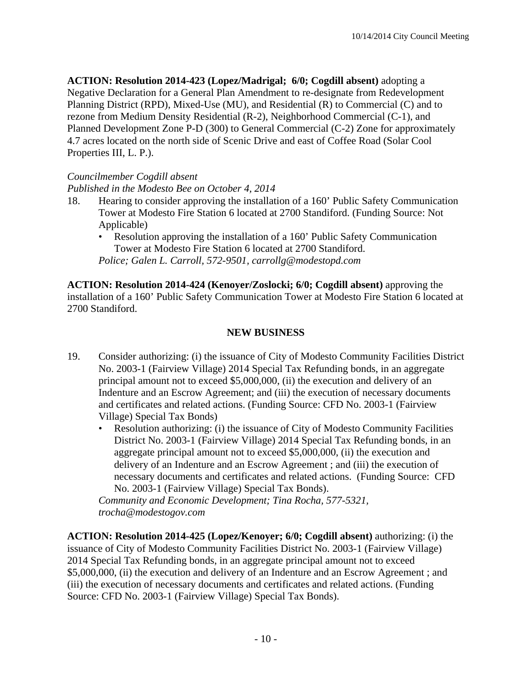**ACTION: Resolution 2014-423 (Lopez/Madrigal; 6/0; Cogdill absent)** adopting a Negative Declaration for a General Plan Amendment to re-designate from Redevelopment Planning District (RPD), Mixed-Use (MU), and Residential (R) to Commercial (C) and to rezone from Medium Density Residential (R-2), Neighborhood Commercial (C-1), and Planned Development Zone P-D (300) to General Commercial (C-2) Zone for approximately 4.7 acres located on the north side of Scenic Drive and east of Coffee Road (Solar Cool Properties III, L. P.).

## *Councilmember Cogdill absent*

*Published in the Modesto Bee on October 4, 2014* 

- 18. Hearing to consider approving the installation of a 160' Public Safety Communication Tower at Modesto Fire Station 6 located at 2700 Standiford. (Funding Source: Not Applicable)
	- Resolution approving the installation of a 160' Public Safety Communication Tower at Modesto Fire Station 6 located at 2700 Standiford. *Police; Galen L. Carroll, 572-9501, carrollg@modestopd.com*

**ACTION: Resolution 2014-424 (Kenoyer/Zoslocki; 6/0; Cogdill absent)** approving the installation of a 160' Public Safety Communication Tower at Modesto Fire Station 6 located at 2700 Standiford.

## **NEW BUSINESS**

- 19. Consider authorizing: (i) the issuance of City of Modesto Community Facilities District No. 2003-1 (Fairview Village) 2014 Special Tax Refunding bonds, in an aggregate principal amount not to exceed \$5,000,000, (ii) the execution and delivery of an Indenture and an Escrow Agreement; and (iii) the execution of necessary documents and certificates and related actions. (Funding Source: CFD No. 2003-1 (Fairview Village) Special Tax Bonds)
	- Resolution authorizing: (i) the issuance of City of Modesto Community Facilities District No. 2003-1 (Fairview Village) 2014 Special Tax Refunding bonds, in an aggregate principal amount not to exceed \$5,000,000, (ii) the execution and delivery of an Indenture and an Escrow Agreement ; and (iii) the execution of necessary documents and certificates and related actions. (Funding Source: CFD No. 2003-1 (Fairview Village) Special Tax Bonds).

*Community and Economic Development; Tina Rocha, 577-5321, trocha@modestogov.com* 

**ACTION: Resolution 2014-425 (Lopez/Kenoyer; 6/0; Cogdill absent)** authorizing: (i) the issuance of City of Modesto Community Facilities District No. 2003-1 (Fairview Village) 2014 Special Tax Refunding bonds, in an aggregate principal amount not to exceed \$5,000,000, (ii) the execution and delivery of an Indenture and an Escrow Agreement ; and (iii) the execution of necessary documents and certificates and related actions. (Funding Source: CFD No. 2003-1 (Fairview Village) Special Tax Bonds).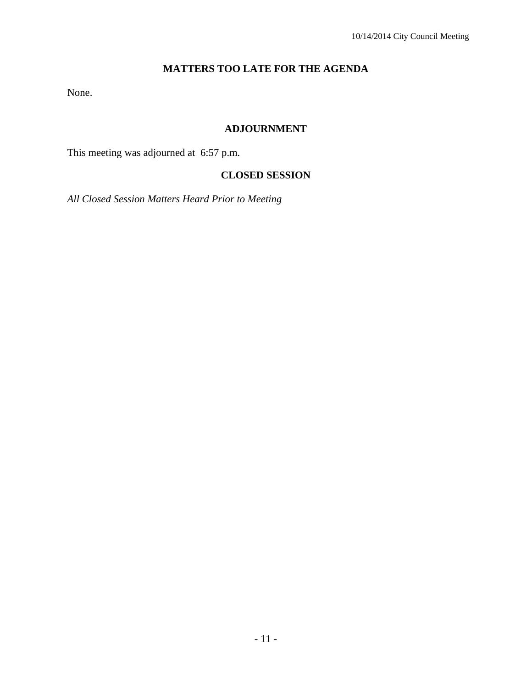## **MATTERS TOO LATE FOR THE AGENDA**

None.

## **ADJOURNMENT**

This meeting was adjourned at 6:57 p.m.

## **CLOSED SESSION**

*All Closed Session Matters Heard Prior to Meeting*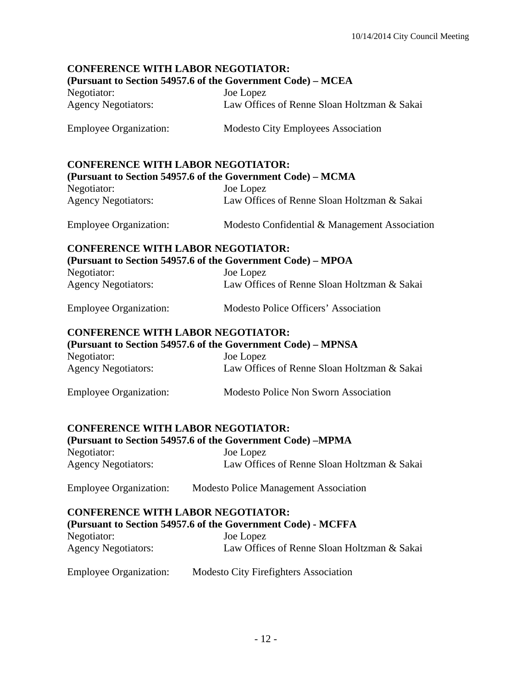# **CONFERENCE WITH LABOR NEGOTIATOR: (Pursuant to Section 54957.6 of the Government Code) – MCEA**  Negotiator: Joe Lopez Agency Negotiators: Law Offices of Renne Sloan Holtzman & Sakai Employee Organization: Modesto City Employees Association **CONFERENCE WITH LABOR NEGOTIATOR: (Pursuant to Section 54957.6 of the Government Code) – MCMA**  Negotiator: Joe Lopez Agency Negotiators: Law Offices of Renne Sloan Holtzman & Sakai Employee Organization: Modesto Confidential & Management Association **CONFERENCE WITH LABOR NEGOTIATOR: (Pursuant to Section 54957.6 of the Government Code) – MPOA**  Negotiator: Joe Lopez Agency Negotiators: Law Offices of Renne Sloan Holtzman & Sakai Employee Organization: Modesto Police Officers' Association **CONFERENCE WITH LABOR NEGOTIATOR: (Pursuant to Section 54957.6 of the Government Code) – MPNSA**  Negotiator: Joe Lopez Agency Negotiators: Law Offices of Renne Sloan Holtzman & Sakai Employee Organization: Modesto Police Non Sworn Association **CONFERENCE WITH LABOR NEGOTIATOR: (Pursuant to Section 54957.6 of the Government Code) –MPMA**  Negotiator: Joe Lopez Agency Negotiators: Law Offices of Renne Sloan Holtzman & Sakai Employee Organization: Modesto Police Management Association **CONFERENCE WITH LABOR NEGOTIATOR: (Pursuant to Section 54957.6 of the Government Code) - MCFFA**  Negotiator: Joe Lopez Agency Negotiators: Law Offices of Renne Sloan Holtzman & Sakai Employee Organization: Modesto City Firefighters Association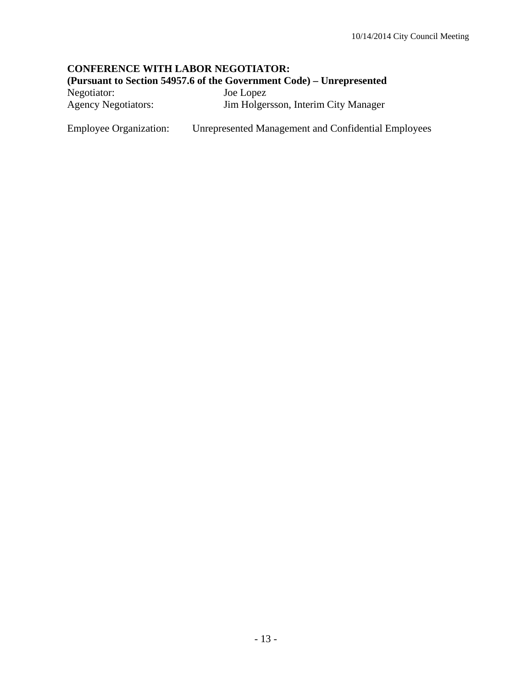## **CONFERENCE WITH LABOR NEGOTIATOR: (Pursuant to Section 54957.6 of the Government Code) – Unrepresented**

Negotiator: Joe Lopez Agency Negotiators: Jim Holgersson, Interim City Manager

Employee Organization: Unrepresented Management and Confidential Employees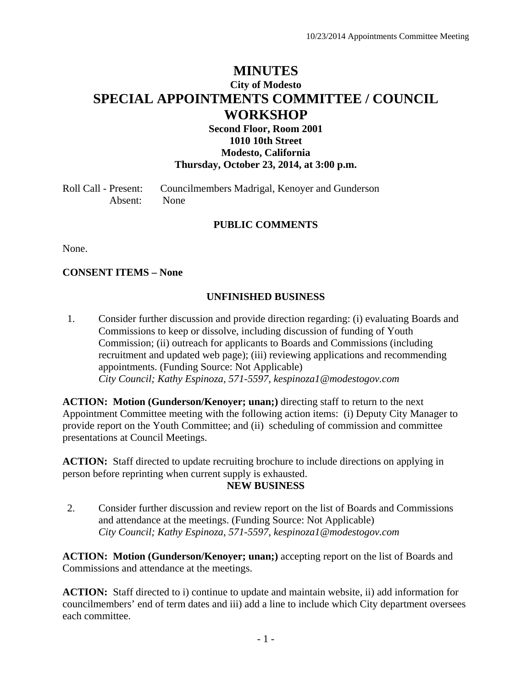# **MINUTES City of Modesto SPECIAL APPOINTMENTS COMMITTEE / COUNCIL WORKSHOP**

#### **Second Floor, Room 2001 1010 10th Street Modesto, California Thursday, October 23, 2014, at 3:00 p.m.**

Roll Call - Present: Councilmembers Madrigal, Kenoyer and Gunderson Absent: None

#### **PUBLIC COMMENTS**

None.

**CONSENT ITEMS – None** 

#### **UNFINISHED BUSINESS**

1. Consider further discussion and provide direction regarding: (i) evaluating Boards and Commissions to keep or dissolve, including discussion of funding of Youth Commission; (ii) outreach for applicants to Boards and Commissions (including recruitment and updated web page); (iii) reviewing applications and recommending appointments. (Funding Source: Not Applicable)  *City Council; Kathy Espinoza, 571-5597, kespinoza1@modestogov.com* 

**ACTION: Motion (Gunderson/Kenoyer; unan;)** directing staff to return to the next Appointment Committee meeting with the following action items: (i) Deputy City Manager to provide report on the Youth Committee; and (ii) scheduling of commission and committee presentations at Council Meetings.

**ACTION:** Staff directed to update recruiting brochure to include directions on applying in person before reprinting when current supply is exhausted.

#### **NEW BUSINESS**

2. Consider further discussion and review report on the list of Boards and Commissions and attendance at the meetings. (Funding Source: Not Applicable)  *City Council; Kathy Espinoza, 571-5597, kespinoza1@modestogov.com* 

**ACTION: Motion (Gunderson/Kenoyer; unan;)** accepting report on the list of Boards and Commissions and attendance at the meetings.

**ACTION:** Staff directed to i) continue to update and maintain website, ii) add information for councilmembers' end of term dates and iii) add a line to include which City department oversees each committee.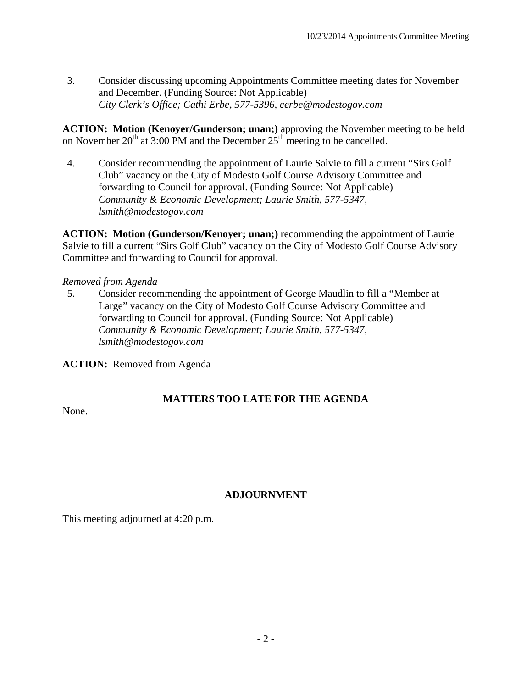3. Consider discussing upcoming Appointments Committee meeting dates for November and December. (Funding Source: Not Applicable)  *City Clerk's Office; Cathi Erbe, 577-5396, cerbe@modestogov.com* 

**ACTION: Motion (Kenoyer/Gunderson; unan;)** approving the November meeting to be held on November  $20^{th}$  at 3:00 PM and the December  $25^{th}$  meeting to be cancelled.

4. Consider recommending the appointment of Laurie Salvie to fill a current "Sirs Golf Club" vacancy on the City of Modesto Golf Course Advisory Committee and forwarding to Council for approval. (Funding Source: Not Applicable)  *Community & Economic Development; Laurie Smith, 577-5347, lsmith@modestogov.com* 

**ACTION: Motion (Gunderson/Kenoyer; unan;)** recommending the appointment of Laurie Salvie to fill a current "Sirs Golf Club" vacancy on the City of Modesto Golf Course Advisory Committee and forwarding to Council for approval.

#### *Removed from Agenda*

5. Consider recommending the appointment of George Maudlin to fill a "Member at Large" vacancy on the City of Modesto Golf Course Advisory Committee and forwarding to Council for approval. (Funding Source: Not Applicable)  *Community & Economic Development; Laurie Smith, 577-5347, lsmith@modestogov.com* 

**ACTION:** Removed from Agenda

# **MATTERS TOO LATE FOR THE AGENDA**

None.

# **ADJOURNMENT**

This meeting adjourned at 4:20 p.m.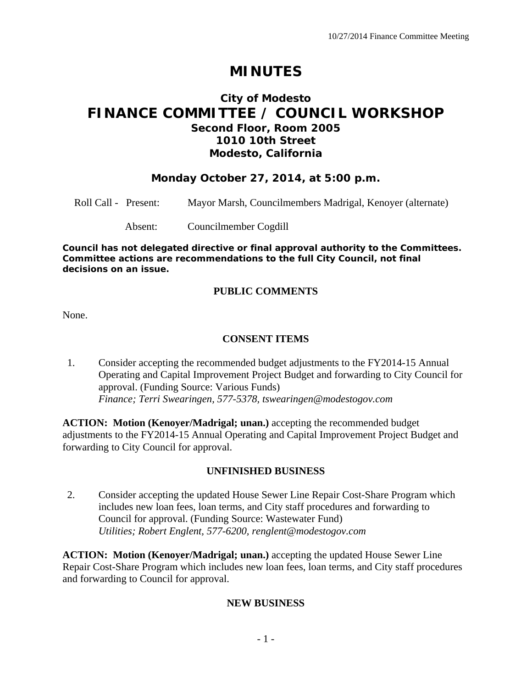# **MINUTES**

# **City of Modesto FINANCE COMMITTEE / COUNCIL WORKSHOP Second Floor, Room 2005 1010 10th Street Modesto, California**

# **Monday October 27, 2014, at 5:00 p.m.**

Roll Call - Present: Mayor Marsh, Councilmembers Madrigal, Kenoyer (alternate)

Absent: Councilmember Cogdill

*Council has not delegated directive or final approval authority to the Committees. Committee actions are recommendations to the full City Council, not final decisions on an issue.* 

#### **PUBLIC COMMENTS**

None.

#### **CONSENT ITEMS**

1. Consider accepting the recommended budget adjustments to the FY2014-15 Annual Operating and Capital Improvement Project Budget and forwarding to City Council for approval. (Funding Source: Various Funds)  *Finance; Terri Swearingen, 577-5378, tswearingen@modestogov.com* 

**ACTION: Motion (Kenoyer/Madrigal; unan.)** accepting the recommended budget adjustments to the FY2014-15 Annual Operating and Capital Improvement Project Budget and forwarding to City Council for approval.

#### **UNFINISHED BUSINESS**

2. Consider accepting the updated House Sewer Line Repair Cost-Share Program which includes new loan fees, loan terms, and City staff procedures and forwarding to Council for approval. (Funding Source: Wastewater Fund)  *Utilities; Robert Englent, 577-6200, renglent@modestogov.com* 

**ACTION: Motion (Kenoyer/Madrigal; unan.)** accepting the updated House Sewer Line Repair Cost-Share Program which includes new loan fees, loan terms, and City staff procedures and forwarding to Council for approval.

#### **NEW BUSINESS**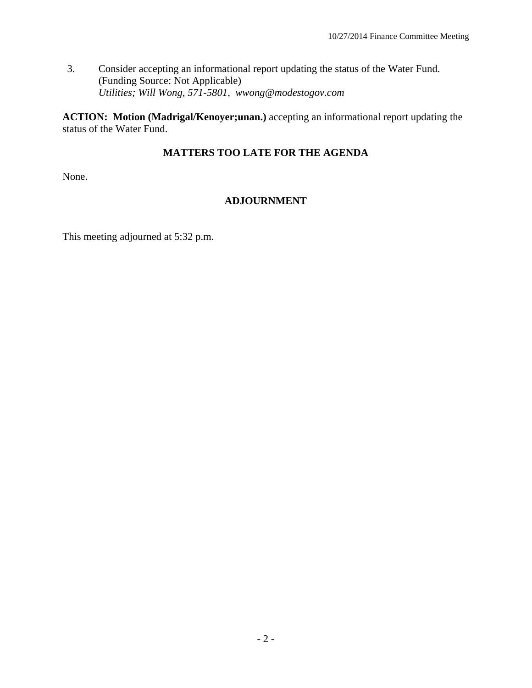3. Consider accepting an informational report updating the status of the Water Fund. (Funding Source: Not Applicable)  *Utilities; Will Wong, 571-5801, wwong@modestogov.com* 

**ACTION: Motion (Madrigal/Kenoyer;unan.)** accepting an informational report updating the status of the Water Fund.

# **MATTERS TOO LATE FOR THE AGENDA**

None.

# **ADJOURNMENT**

This meeting adjourned at 5:32 p.m.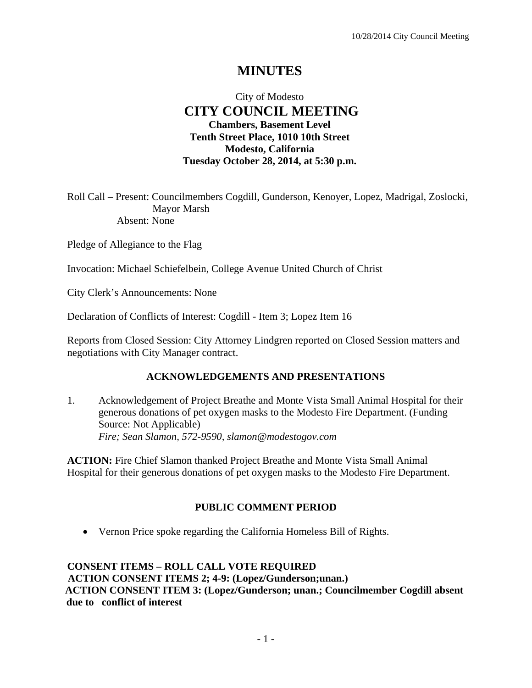# **MINUTES**

# City of Modesto  **CITY COUNCIL MEETING Chambers, Basement Level Tenth Street Place, 1010 10th Street Modesto, California Tuesday October 28, 2014, at 5:30 p.m.**

Roll Call – Present: Councilmembers Cogdill, Gunderson, Kenoyer, Lopez, Madrigal, Zoslocki, Mayor Marsh Absent: None

Pledge of Allegiance to the Flag

Invocation: Michael Schiefelbein, College Avenue United Church of Christ

City Clerk's Announcements: None

Declaration of Conflicts of Interest: Cogdill - Item 3; Lopez Item 16

Reports from Closed Session: City Attorney Lindgren reported on Closed Session matters and negotiations with City Manager contract.

#### **ACKNOWLEDGEMENTS AND PRESENTATIONS**

1. Acknowledgement of Project Breathe and Monte Vista Small Animal Hospital for their generous donations of pet oxygen masks to the Modesto Fire Department. (Funding Source: Not Applicable)  *Fire; Sean Slamon, 572-9590, slamon@modestogov.com* 

**ACTION:** Fire Chief Slamon thanked Project Breathe and Monte Vista Small Animal Hospital for their generous donations of pet oxygen masks to the Modesto Fire Department.

#### **PUBLIC COMMENT PERIOD**

Vernon Price spoke regarding the California Homeless Bill of Rights.

**CONSENT ITEMS – ROLL CALL VOTE REQUIRED ACTION CONSENT ITEMS 2; 4-9: (Lopez/Gunderson;unan.) ACTION CONSENT ITEM 3: (Lopez/Gunderson; unan.; Councilmember Cogdill absent due to conflict of interest**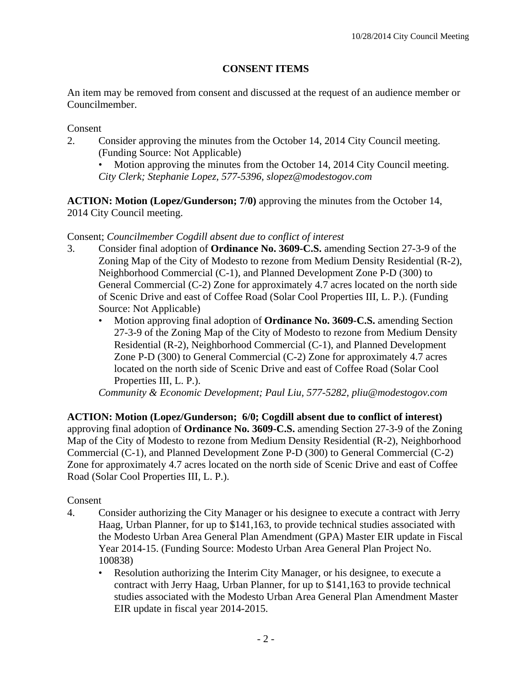# **CONSENT ITEMS**

An item may be removed from consent and discussed at the request of an audience member or Councilmember.

## Consent

- 2. Consider approving the minutes from the October 14, 2014 City Council meeting. (Funding Source: Not Applicable)
	- Motion approving the minutes from the October 14, 2014 City Council meeting. *City Clerk; Stephanie Lopez, 577-5396, slopez@modestogov.com*

**ACTION: Motion (Lopez/Gunderson; 7/0)** approving the minutes from the October 14, 2014 City Council meeting.

#### Consent; *Councilmember Cogdill absent due to conflict of interest*

- 3. Consider final adoption of **Ordinance No. 3609-C.S.** amending Section 27-3-9 of the Zoning Map of the City of Modesto to rezone from Medium Density Residential (R-2), Neighborhood Commercial (C-1), and Planned Development Zone P-D (300) to General Commercial (C-2) Zone for approximately 4.7 acres located on the north side of Scenic Drive and east of Coffee Road (Solar Cool Properties III, L. P.). (Funding Source: Not Applicable)
	- Motion approving final adoption of **Ordinance No. 3609-C.S.** amending Section 27-3-9 of the Zoning Map of the City of Modesto to rezone from Medium Density Residential (R-2), Neighborhood Commercial (C-1), and Planned Development Zone P-D (300) to General Commercial (C-2) Zone for approximately 4.7 acres located on the north side of Scenic Drive and east of Coffee Road (Solar Cool Properties III, L. P.).

*Community & Economic Development; Paul Liu, 577-5282, pliu@modestogov.com* 

**ACTION: Motion (Lopez/Gunderson; 6/0; Cogdill absent due to conflict of interest)** approving final adoption of **Ordinance No. 3609-C.S.** amending Section 27-3-9 of the Zoning Map of the City of Modesto to rezone from Medium Density Residential (R-2), Neighborhood Commercial (C-1), and Planned Development Zone P-D (300) to General Commercial (C-2) Zone for approximately 4.7 acres located on the north side of Scenic Drive and east of Coffee Road (Solar Cool Properties III, L. P.).

#### Consent

- 4. Consider authorizing the City Manager or his designee to execute a contract with Jerry Haag, Urban Planner, for up to \$141,163, to provide technical studies associated with the Modesto Urban Area General Plan Amendment (GPA) Master EIR update in Fiscal Year 2014-15. (Funding Source: Modesto Urban Area General Plan Project No. 100838)
	- Resolution authorizing the Interim City Manager, or his designee, to execute a contract with Jerry Haag, Urban Planner, for up to \$141,163 to provide technical studies associated with the Modesto Urban Area General Plan Amendment Master EIR update in fiscal year 2014-2015.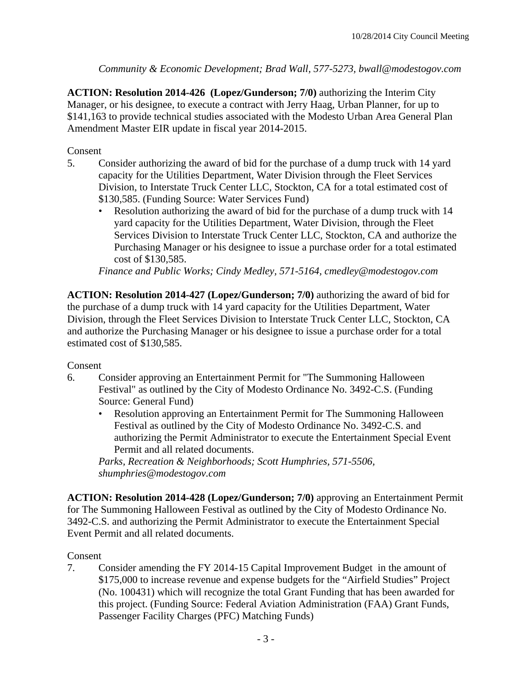*Community & Economic Development; Brad Wall, 577-5273, bwall@modestogov.com* 

**ACTION: Resolution 2014-426 (Lopez/Gunderson; 7/0)** authorizing the Interim City Manager, or his designee, to execute a contract with Jerry Haag, Urban Planner, for up to \$141,163 to provide technical studies associated with the Modesto Urban Area General Plan Amendment Master EIR update in fiscal year 2014-2015.

## Consent

- 5. Consider authorizing the award of bid for the purchase of a dump truck with 14 yard capacity for the Utilities Department, Water Division through the Fleet Services Division, to Interstate Truck Center LLC, Stockton, CA for a total estimated cost of \$130,585. (Funding Source: Water Services Fund)
	- Resolution authorizing the award of bid for the purchase of a dump truck with 14 yard capacity for the Utilities Department, Water Division, through the Fleet Services Division to Interstate Truck Center LLC, Stockton, CA and authorize the Purchasing Manager or his designee to issue a purchase order for a total estimated cost of \$130,585.

*Finance and Public Works; Cindy Medley, 571-5164, cmedley@modestogov.com* 

**ACTION: Resolution 2014-427 (Lopez/Gunderson; 7/0)** authorizing the award of bid for the purchase of a dump truck with 14 yard capacity for the Utilities Department, Water Division, through the Fleet Services Division to Interstate Truck Center LLC, Stockton, CA and authorize the Purchasing Manager or his designee to issue a purchase order for a total estimated cost of \$130,585.

#### Consent

- 6. Consider approving an Entertainment Permit for "The Summoning Halloween Festival" as outlined by the City of Modesto Ordinance No. 3492-C.S. (Funding Source: General Fund)
	- Resolution approving an Entertainment Permit for The Summoning Halloween Festival as outlined by the City of Modesto Ordinance No. 3492-C.S. and authorizing the Permit Administrator to execute the Entertainment Special Event Permit and all related documents.

*Parks, Recreation & Neighborhoods; Scott Humphries, 571-5506, shumphries@modestogov.com* 

**ACTION: Resolution 2014-428 (Lopez/Gunderson; 7/0)** approving an Entertainment Permit for The Summoning Halloween Festival as outlined by the City of Modesto Ordinance No. 3492-C.S. and authorizing the Permit Administrator to execute the Entertainment Special Event Permit and all related documents.

#### Consent

7. Consider amending the FY 2014-15 Capital Improvement Budget in the amount of \$175,000 to increase revenue and expense budgets for the "Airfield Studies" Project (No. 100431) which will recognize the total Grant Funding that has been awarded for this project. (Funding Source: Federal Aviation Administration (FAA) Grant Funds, Passenger Facility Charges (PFC) Matching Funds)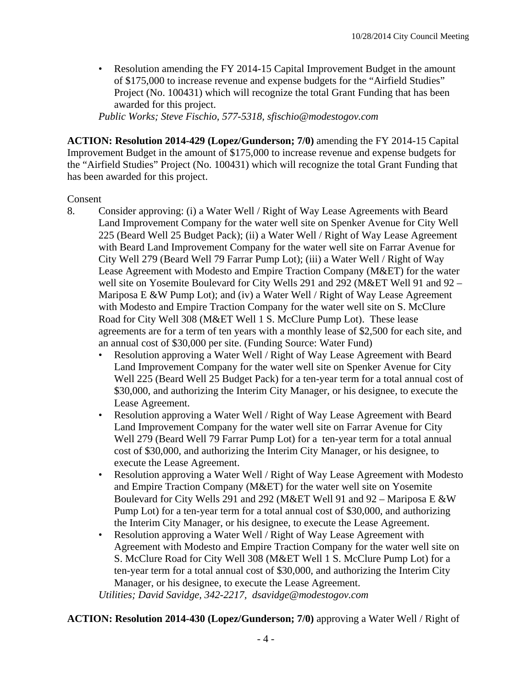• Resolution amending the FY 2014-15 Capital Improvement Budget in the amount of \$175,000 to increase revenue and expense budgets for the "Airfield Studies" Project (No. 100431) which will recognize the total Grant Funding that has been awarded for this project.

*Public Works; Steve Fischio, 577-5318, sfischio@modestogov.com* 

**ACTION: Resolution 2014-429 (Lopez/Gunderson; 7/0)** amending the FY 2014-15 Capital Improvement Budget in the amount of \$175,000 to increase revenue and expense budgets for the "Airfield Studies" Project (No. 100431) which will recognize the total Grant Funding that has been awarded for this project.

#### Consent

- 8. Consider approving: (i) a Water Well / Right of Way Lease Agreements with Beard Land Improvement Company for the water well site on Spenker Avenue for City Well 225 (Beard Well 25 Budget Pack); (ii) a Water Well / Right of Way Lease Agreement with Beard Land Improvement Company for the water well site on Farrar Avenue for City Well 279 (Beard Well 79 Farrar Pump Lot); (iii) a Water Well / Right of Way Lease Agreement with Modesto and Empire Traction Company (M&ET) for the water well site on Yosemite Boulevard for City Wells 291 and 292 (M&ET Well 91 and 92 – Mariposa E &W Pump Lot); and (iv) a Water Well / Right of Way Lease Agreement with Modesto and Empire Traction Company for the water well site on S. McClure Road for City Well 308 (M&ET Well 1 S. McClure Pump Lot). These lease agreements are for a term of ten years with a monthly lease of \$2,500 for each site, and an annual cost of \$30,000 per site. (Funding Source: Water Fund)
	- Resolution approving a Water Well / Right of Way Lease Agreement with Beard Land Improvement Company for the water well site on Spenker Avenue for City Well 225 (Beard Well 25 Budget Pack) for a ten-year term for a total annual cost of \$30,000, and authorizing the Interim City Manager, or his designee, to execute the Lease Agreement.
	- Resolution approving a Water Well / Right of Way Lease Agreement with Beard Land Improvement Company for the water well site on Farrar Avenue for City Well 279 (Beard Well 79 Farrar Pump Lot) for a ten-year term for a total annual cost of \$30,000, and authorizing the Interim City Manager, or his designee, to execute the Lease Agreement.
	- Resolution approving a Water Well / Right of Way Lease Agreement with Modesto and Empire Traction Company (M&ET) for the water well site on Yosemite Boulevard for City Wells 291 and 292 (M&ET Well 91 and 92 – Mariposa E &W Pump Lot) for a ten-year term for a total annual cost of \$30,000, and authorizing the Interim City Manager, or his designee, to execute the Lease Agreement.
	- Resolution approving a Water Well / Right of Way Lease Agreement with Agreement with Modesto and Empire Traction Company for the water well site on S. McClure Road for City Well 308 (M&ET Well 1 S. McClure Pump Lot) for a ten-year term for a total annual cost of \$30,000, and authorizing the Interim City Manager, or his designee, to execute the Lease Agreement.

*Utilities; David Savidge, 342-2217, dsavidge@modestogov.com* 

**ACTION: Resolution 2014-430 (Lopez/Gunderson; 7/0)** approving a Water Well / Right of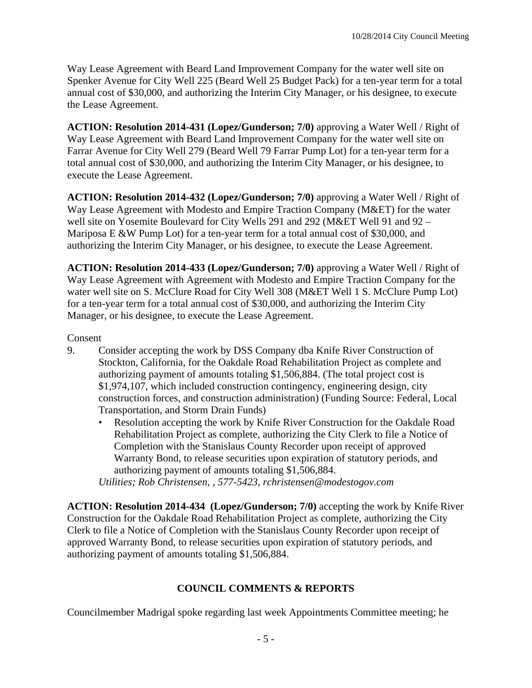Way Lease Agreement with Beard Land Improvement Company for the water well site on Spenker Avenue for City Well 225 (Beard Well 25 Budget Pack) for a ten-year term for a total annual cost of \$30,000, and authorizing the Interim City Manager, or his designee, to execute the Lease Agreement.

**ACTION: Resolution 2014-431 (Lopez/Gunderson; 7/0)** approving a Water Well / Right of Way Lease Agreement with Beard Land Improvement Company for the water well site on Farrar Avenue for City Well 279 (Beard Well 79 Farrar Pump Lot) for a ten-year term for a total annual cost of \$30,000, and authorizing the Interim City Manager, or his designee, to execute the Lease Agreement.

**ACTION: Resolution 2014-432 (Lopez/Gunderson; 7/0)** approving a Water Well / Right of Way Lease Agreement with Modesto and Empire Traction Company (M&ET) for the water well site on Yosemite Boulevard for City Wells 291 and 292 (M&ET Well 91 and 92 – Mariposa E &W Pump Lot) for a ten-year term for a total annual cost of \$30,000, and authorizing the Interim City Manager, or his designee, to execute the Lease Agreement.

**ACTION: Resolution 2014-433 (Lopez/Gunderson; 7/0)** approving a Water Well / Right of Way Lease Agreement with Agreement with Modesto and Empire Traction Company for the water well site on S. McClure Road for City Well 308 (M&ET Well 1 S. McClure Pump Lot) for a ten-year term for a total annual cost of \$30,000, and authorizing the Interim City Manager, or his designee, to execute the Lease Agreement.

# Consent

- 9. Consider accepting the work by DSS Company dba Knife River Construction of Stockton, California, for the Oakdale Road Rehabilitation Project as complete and authorizing payment of amounts totaling \$1,506,884. (The total project cost is \$1,974,107, which included construction contingency, engineering design, city construction forces, and construction administration) (Funding Source: Federal, Local Transportation, and Storm Drain Funds)
	- Resolution accepting the work by Knife River Construction for the Oakdale Road Rehabilitation Project as complete, authorizing the City Clerk to file a Notice of Completion with the Stanislaus County Recorder upon receipt of approved Warranty Bond, to release securities upon expiration of statutory periods, and authorizing payment of amounts totaling \$1,506,884.

*Utilities; Rob Christensen, , 577-5423, rchristensen@modestogov.com* 

**ACTION: Resolution 2014-434 (Lopez/Gunderson; 7/0)** accepting the work by Knife River Construction for the Oakdale Road Rehabilitation Project as complete, authorizing the City Clerk to file a Notice of Completion with the Stanislaus County Recorder upon receipt of approved Warranty Bond, to release securities upon expiration of statutory periods, and authorizing payment of amounts totaling \$1,506,884.

#### **COUNCIL COMMENTS & REPORTS**

Councilmember Madrigal spoke regarding last week Appointments Committee meeting; he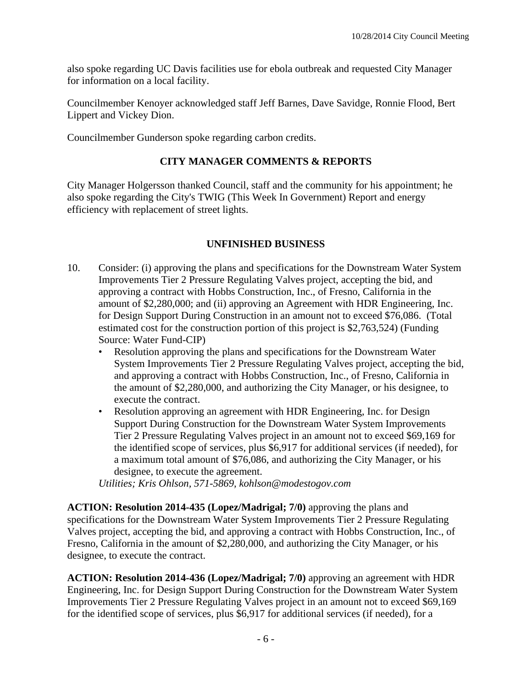also spoke regarding UC Davis facilities use for ebola outbreak and requested City Manager for information on a local facility.

Councilmember Kenoyer acknowledged staff Jeff Barnes, Dave Savidge, Ronnie Flood, Bert Lippert and Vickey Dion.

Councilmember Gunderson spoke regarding carbon credits.

## **CITY MANAGER COMMENTS & REPORTS**

City Manager Holgersson thanked Council, staff and the community for his appointment; he also spoke regarding the City's TWIG (This Week In Government) Report and energy efficiency with replacement of street lights.

#### **UNFINISHED BUSINESS**

- 10. Consider: (i) approving the plans and specifications for the Downstream Water System Improvements Tier 2 Pressure Regulating Valves project, accepting the bid, and approving a contract with Hobbs Construction, Inc., of Fresno, California in the amount of \$2,280,000; and (ii) approving an Agreement with HDR Engineering, Inc. for Design Support During Construction in an amount not to exceed \$76,086. (Total estimated cost for the construction portion of this project is \$2,763,524) (Funding Source: Water Fund-CIP)
	- Resolution approving the plans and specifications for the Downstream Water System Improvements Tier 2 Pressure Regulating Valves project, accepting the bid, and approving a contract with Hobbs Construction, Inc., of Fresno, California in the amount of \$2,280,000, and authorizing the City Manager, or his designee, to execute the contract.
	- Resolution approving an agreement with HDR Engineering, Inc. for Design Support During Construction for the Downstream Water System Improvements Tier 2 Pressure Regulating Valves project in an amount not to exceed \$69,169 for the identified scope of services, plus \$6,917 for additional services (if needed), for a maximum total amount of \$76,086, and authorizing the City Manager, or his designee, to execute the agreement.

*Utilities; Kris Ohlson, 571-5869, kohlson@modestogov.com* 

**ACTION: Resolution 2014-435 (Lopez/Madrigal; 7/0)** approving the plans and specifications for the Downstream Water System Improvements Tier 2 Pressure Regulating Valves project, accepting the bid, and approving a contract with Hobbs Construction, Inc., of Fresno, California in the amount of \$2,280,000, and authorizing the City Manager, or his designee, to execute the contract.

**ACTION: Resolution 2014-436 (Lopez/Madrigal; 7/0)** approving an agreement with HDR Engineering, Inc. for Design Support During Construction for the Downstream Water System Improvements Tier 2 Pressure Regulating Valves project in an amount not to exceed \$69,169 for the identified scope of services, plus \$6,917 for additional services (if needed), for a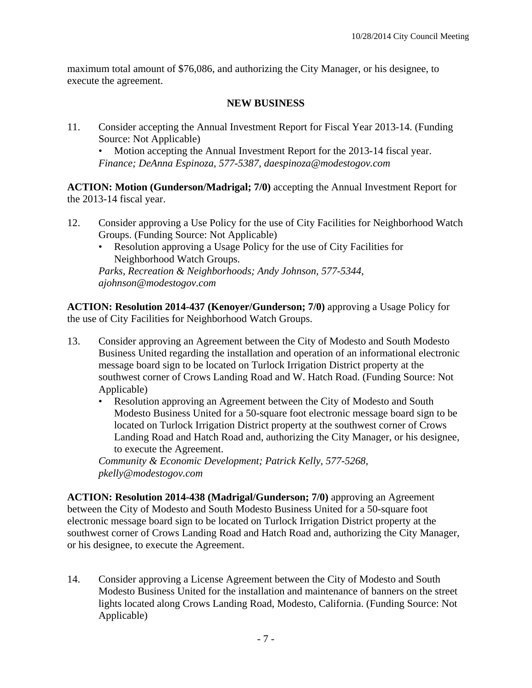maximum total amount of \$76,086, and authorizing the City Manager, or his designee, to execute the agreement.

# **NEW BUSINESS**

11. Consider accepting the Annual Investment Report for Fiscal Year 2013-14. (Funding Source: Not Applicable)

Motion accepting the Annual Investment Report for the 2013-14 fiscal year. *Finance; DeAnna Espinoza, 577-5387, daespinoza@modestogov.com* 

**ACTION: Motion (Gunderson/Madrigal; 7/0)** accepting the Annual Investment Report for the 2013-14 fiscal year.

- 12. Consider approving a Use Policy for the use of City Facilities for Neighborhood Watch Groups. (Funding Source: Not Applicable)
	- Resolution approving a Usage Policy for the use of City Facilities for Neighborhood Watch Groups.

*Parks, Recreation & Neighborhoods; Andy Johnson, 577-5344, ajohnson@modestogov.com* 

**ACTION: Resolution 2014-437 (Kenoyer/Gunderson; 7/0)** approving a Usage Policy for the use of City Facilities for Neighborhood Watch Groups.

- 13. Consider approving an Agreement between the City of Modesto and South Modesto Business United regarding the installation and operation of an informational electronic message board sign to be located on Turlock Irrigation District property at the southwest corner of Crows Landing Road and W. Hatch Road. (Funding Source: Not Applicable)
	- Resolution approving an Agreement between the City of Modesto and South Modesto Business United for a 50-square foot electronic message board sign to be located on Turlock Irrigation District property at the southwest corner of Crows Landing Road and Hatch Road and, authorizing the City Manager, or his designee, to execute the Agreement.

*Community & Economic Development; Patrick Kelly, 577-5268, pkelly@modestogov.com* 

**ACTION: Resolution 2014-438 (Madrigal/Gunderson; 7/0)** approving an Agreement between the City of Modesto and South Modesto Business United for a 50-square foot electronic message board sign to be located on Turlock Irrigation District property at the southwest corner of Crows Landing Road and Hatch Road and, authorizing the City Manager, or his designee, to execute the Agreement.

14. Consider approving a License Agreement between the City of Modesto and South Modesto Business United for the installation and maintenance of banners on the street lights located along Crows Landing Road, Modesto, California. (Funding Source: Not Applicable)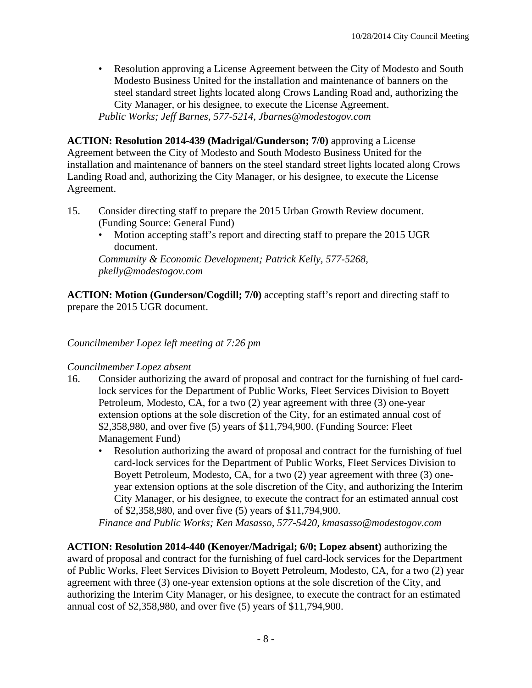• Resolution approving a License Agreement between the City of Modesto and South Modesto Business United for the installation and maintenance of banners on the steel standard street lights located along Crows Landing Road and, authorizing the City Manager, or his designee, to execute the License Agreement. *Public Works; Jeff Barnes, 577-5214, Jbarnes@modestogov.com* 

**ACTION: Resolution 2014-439 (Madrigal/Gunderson; 7/0)** approving a License Agreement between the City of Modesto and South Modesto Business United for the installation and maintenance of banners on the steel standard street lights located along Crows Landing Road and, authorizing the City Manager, or his designee, to execute the License Agreement.

- 15. Consider directing staff to prepare the 2015 Urban Growth Review document. (Funding Source: General Fund)
	- Motion accepting staff's report and directing staff to prepare the 2015 UGR document.

*Community & Economic Development; Patrick Kelly, 577-5268, pkelly@modestogov.com* 

**ACTION: Motion (Gunderson/Cogdill; 7/0)** accepting staff's report and directing staff to prepare the 2015 UGR document.

*Councilmember Lopez left meeting at 7:26 pm* 

#### *Councilmember Lopez absent*

- 16. Consider authorizing the award of proposal and contract for the furnishing of fuel cardlock services for the Department of Public Works, Fleet Services Division to Boyett Petroleum, Modesto, CA, for a two (2) year agreement with three (3) one-year extension options at the sole discretion of the City, for an estimated annual cost of \$2,358,980, and over five (5) years of \$11,794,900. (Funding Source: Fleet Management Fund)
	- Resolution authorizing the award of proposal and contract for the furnishing of fuel card-lock services for the Department of Public Works, Fleet Services Division to Boyett Petroleum, Modesto, CA, for a two (2) year agreement with three (3) oneyear extension options at the sole discretion of the City, and authorizing the Interim City Manager, or his designee, to execute the contract for an estimated annual cost of \$2,358,980, and over five (5) years of \$11,794,900.

*Finance and Public Works; Ken Masasso, 577-5420, kmasasso@modestogov.com* 

**ACTION: Resolution 2014-440 (Kenoyer/Madrigal; 6/0; Lopez absent)** authorizing the award of proposal and contract for the furnishing of fuel card-lock services for the Department of Public Works, Fleet Services Division to Boyett Petroleum, Modesto, CA, for a two (2) year agreement with three (3) one-year extension options at the sole discretion of the City, and authorizing the Interim City Manager, or his designee, to execute the contract for an estimated annual cost of \$2,358,980, and over five (5) years of \$11,794,900.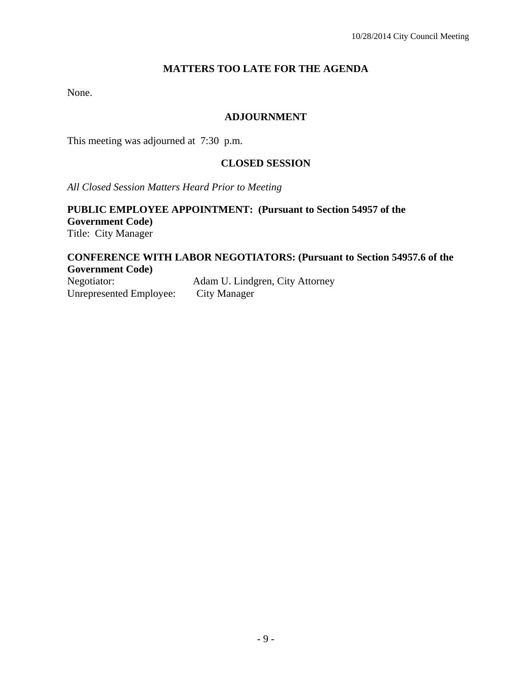# **MATTERS TOO LATE FOR THE AGENDA**

None.

#### **ADJOURNMENT**

This meeting was adjourned at 7:30 p.m.

#### **CLOSED SESSION**

*All Closed Session Matters Heard Prior to Meeting*

#### **PUBLIC EMPLOYEE APPOINTMENT: (Pursuant to Section 54957 of the Government Code)**  Title: City Manager

# **CONFERENCE WITH LABOR NEGOTIATORS: (Pursuant to Section 54957.6 of the Government Code)**

Negotiator: Adam U. Lindgren, City Attorney Unrepresented Employee: City Manager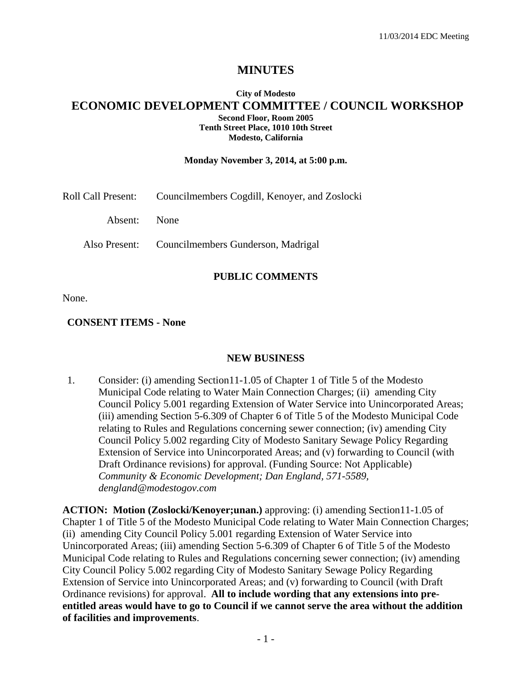# **MINUTES**

#### **City of Modesto ECONOMIC DEVELOPMENT COMMITTEE / COUNCIL WORKSHOP Second Floor, Room 2005 Tenth Street Place, 1010 10th Street Modesto, California**

#### **Monday November 3, 2014, at 5:00 p.m.**

| Roll Call Present: | Councilmembers Cogdill, Kenoyer, and Zoslocki    |
|--------------------|--------------------------------------------------|
| Absent: None       |                                                  |
|                    | Also Present: Councilmembers Gunderson, Madrigal |

#### **PUBLIC COMMENTS**

None.

#### **CONSENT ITEMS - None**

#### **NEW BUSINESS**

1. Consider: (i) amending Section11-1.05 of Chapter 1 of Title 5 of the Modesto Municipal Code relating to Water Main Connection Charges; (ii) amending City Council Policy 5.001 regarding Extension of Water Service into Unincorporated Areas; (iii) amending Section 5-6.309 of Chapter 6 of Title 5 of the Modesto Municipal Code relating to Rules and Regulations concerning sewer connection; (iv) amending City Council Policy 5.002 regarding City of Modesto Sanitary Sewage Policy Regarding Extension of Service into Unincorporated Areas; and (v) forwarding to Council (with Draft Ordinance revisions) for approval. (Funding Source: Not Applicable)  *Community & Economic Development; Dan England, 571-5589, dengland@modestogov.com* 

**ACTION: Motion (Zoslocki/Kenoyer;unan.)** approving: (i) amending Section11-1.05 of Chapter 1 of Title 5 of the Modesto Municipal Code relating to Water Main Connection Charges; (ii) amending City Council Policy 5.001 regarding Extension of Water Service into Unincorporated Areas; (iii) amending Section 5-6.309 of Chapter 6 of Title 5 of the Modesto Municipal Code relating to Rules and Regulations concerning sewer connection; (iv) amending City Council Policy 5.002 regarding City of Modesto Sanitary Sewage Policy Regarding Extension of Service into Unincorporated Areas; and (v) forwarding to Council (with Draft Ordinance revisions) for approval. **All to include wording that any extensions into preentitled areas would have to go to Council if we cannot serve the area without the addition of facilities and improvements**.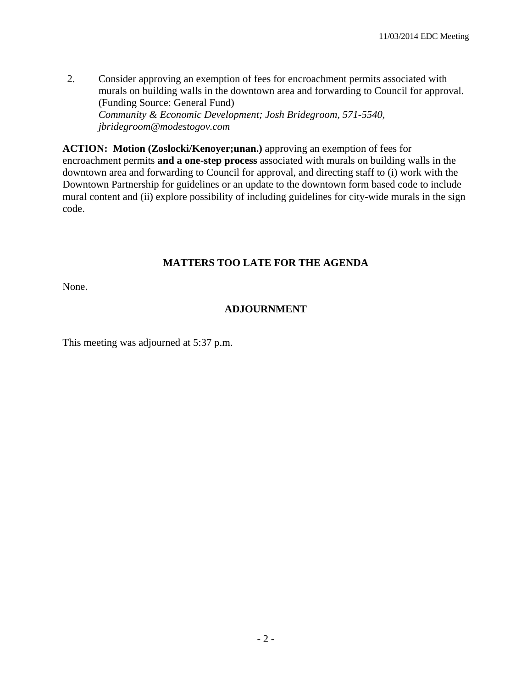2. Consider approving an exemption of fees for encroachment permits associated with murals on building walls in the downtown area and forwarding to Council for approval. (Funding Source: General Fund)  *Community & Economic Development; Josh Bridegroom, 571-5540, jbridegroom@modestogov.com* 

**ACTION: Motion (Zoslocki/Kenoyer;unan.)** approving an exemption of fees for encroachment permits **and a one-step process** associated with murals on building walls in the downtown area and forwarding to Council for approval, and directing staff to (i) work with the Downtown Partnership for guidelines or an update to the downtown form based code to include mural content and (ii) explore possibility of including guidelines for city-wide murals in the sign code.

# **MATTERS TOO LATE FOR THE AGENDA**

None.

# **ADJOURNMENT**

This meeting was adjourned at 5:37 p.m.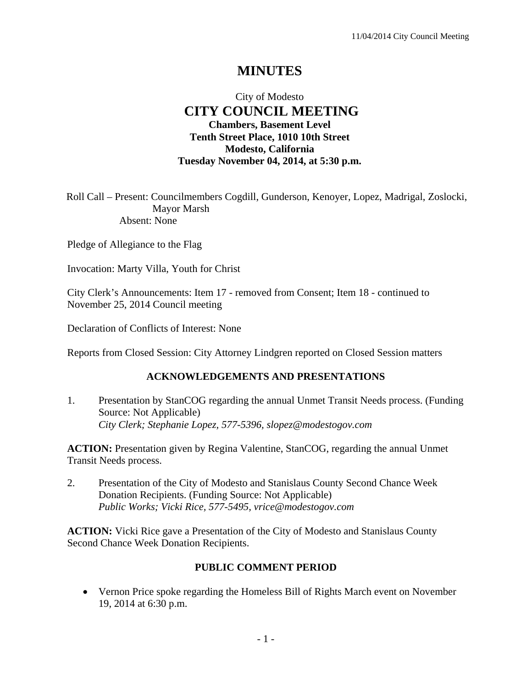# **MINUTES**

# City of Modesto  **CITY COUNCIL MEETING Chambers, Basement Level Tenth Street Place, 1010 10th Street Modesto, California Tuesday November 04, 2014, at 5:30 p.m.**

Roll Call – Present: Councilmembers Cogdill, Gunderson, Kenoyer, Lopez, Madrigal, Zoslocki, Mayor Marsh Absent: None

Pledge of Allegiance to the Flag

Invocation: Marty Villa, Youth for Christ

City Clerk's Announcements: Item 17 - removed from Consent; Item 18 - continued to November 25, 2014 Council meeting

Declaration of Conflicts of Interest: None

Reports from Closed Session: City Attorney Lindgren reported on Closed Session matters

#### **ACKNOWLEDGEMENTS AND PRESENTATIONS**

1. Presentation by StanCOG regarding the annual Unmet Transit Needs process. (Funding Source: Not Applicable)  *City Clerk; Stephanie Lopez, 577-5396, slopez@modestogov.com* 

**ACTION:** Presentation given by Regina Valentine, StanCOG, regarding the annual Unmet Transit Needs process.

2. Presentation of the City of Modesto and Stanislaus County Second Chance Week Donation Recipients. (Funding Source: Not Applicable)  *Public Works; Vicki Rice, 577-5495, vrice@modestogov.com* 

**ACTION:** Vicki Rice gave a Presentation of the City of Modesto and Stanislaus County Second Chance Week Donation Recipients.

#### **PUBLIC COMMENT PERIOD**

 Vernon Price spoke regarding the Homeless Bill of Rights March event on November 19, 2014 at 6:30 p.m.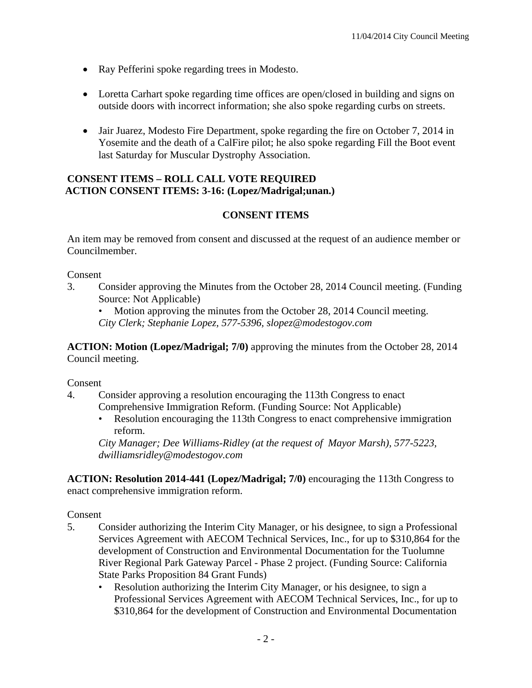- Ray Pefferini spoke regarding trees in Modesto.
- Loretta Carhart spoke regarding time offices are open/closed in building and signs on outside doors with incorrect information; she also spoke regarding curbs on streets.
- Jair Juarez, Modesto Fire Department, spoke regarding the fire on October 7, 2014 in Yosemite and the death of a CalFire pilot; he also spoke regarding Fill the Boot event last Saturday for Muscular Dystrophy Association.

#### **CONSENT ITEMS – ROLL CALL VOTE REQUIRED ACTION CONSENT ITEMS: 3-16: (Lopez/Madrigal;unan.)**

# **CONSENT ITEMS**

An item may be removed from consent and discussed at the request of an audience member or Councilmember.

Consent

3. Consider approving the Minutes from the October 28, 2014 Council meeting. (Funding Source: Not Applicable)

Motion approving the minutes from the October 28, 2014 Council meeting. *City Clerk; Stephanie Lopez, 577-5396, slopez@modestogov.com* 

**ACTION: Motion (Lopez/Madrigal; 7/0)** approving the minutes from the October 28, 2014 Council meeting.

Consent

- 4. Consider approving a resolution encouraging the 113th Congress to enact Comprehensive Immigration Reform. (Funding Source: Not Applicable)
	- Resolution encouraging the 113th Congress to enact comprehensive immigration reform.

*City Manager; Dee Williams-Ridley (at the request of Mayor Marsh), 577-5223, dwilliamsridley@modestogov.com* 

**ACTION: Resolution 2014-441 (Lopez/Madrigal; 7/0)** encouraging the 113th Congress to enact comprehensive immigration reform.

Consent

- 5. Consider authorizing the Interim City Manager, or his designee, to sign a Professional Services Agreement with AECOM Technical Services, Inc., for up to \$310,864 for the development of Construction and Environmental Documentation for the Tuolumne River Regional Park Gateway Parcel - Phase 2 project. (Funding Source: California State Parks Proposition 84 Grant Funds)
	- Resolution authorizing the Interim City Manager, or his designee, to sign a Professional Services Agreement with AECOM Technical Services, Inc., for up to \$310,864 for the development of Construction and Environmental Documentation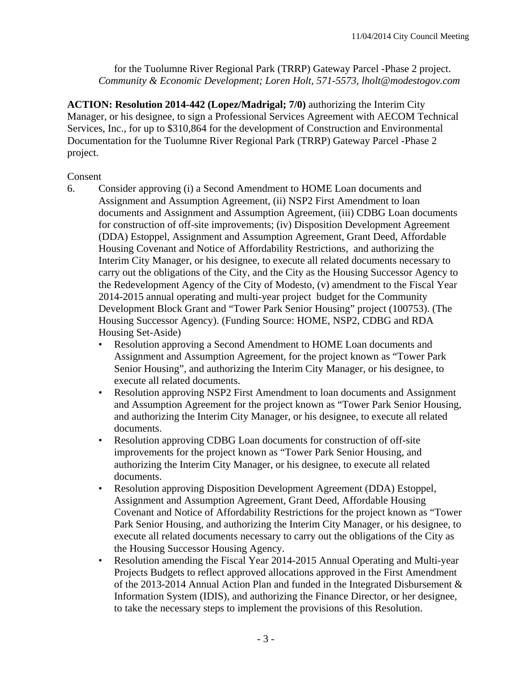for the Tuolumne River Regional Park (TRRP) Gateway Parcel -Phase 2 project. *Community & Economic Development; Loren Holt, 571-5573, lholt@modestogov.com* 

**ACTION: Resolution 2014-442 (Lopez/Madrigal; 7/0)** authorizing the Interim City Manager, or his designee, to sign a Professional Services Agreement with AECOM Technical Services, Inc., for up to \$310,864 for the development of Construction and Environmental Documentation for the Tuolumne River Regional Park (TRRP) Gateway Parcel -Phase 2 project.

# Consent

- 6. Consider approving (i) a Second Amendment to HOME Loan documents and Assignment and Assumption Agreement, (ii) NSP2 First Amendment to loan documents and Assignment and Assumption Agreement, (iii) CDBG Loan documents for construction of off-site improvements; (iv) Disposition Development Agreement (DDA) Estoppel, Assignment and Assumption Agreement, Grant Deed, Affordable Housing Covenant and Notice of Affordability Restrictions, and authorizing the Interim City Manager, or his designee, to execute all related documents necessary to carry out the obligations of the City, and the City as the Housing Successor Agency to the Redevelopment Agency of the City of Modesto, (v) amendment to the Fiscal Year 2014-2015 annual operating and multi-year project budget for the Community Development Block Grant and "Tower Park Senior Housing" project (100753). (The Housing Successor Agency). (Funding Source: HOME, NSP2, CDBG and RDA Housing Set-Aside)
	- Resolution approving a Second Amendment to HOME Loan documents and Assignment and Assumption Agreement, for the project known as "Tower Park Senior Housing", and authorizing the Interim City Manager, or his designee, to execute all related documents.
	- Resolution approving NSP2 First Amendment to loan documents and Assignment and Assumption Agreement for the project known as "Tower Park Senior Housing, and authorizing the Interim City Manager, or his designee, to execute all related documents.
	- Resolution approving CDBG Loan documents for construction of off-site improvements for the project known as "Tower Park Senior Housing, and authorizing the Interim City Manager, or his designee, to execute all related documents.
	- Resolution approving Disposition Development Agreement (DDA) Estoppel, Assignment and Assumption Agreement, Grant Deed, Affordable Housing Covenant and Notice of Affordability Restrictions for the project known as "Tower Park Senior Housing, and authorizing the Interim City Manager, or his designee, to execute all related documents necessary to carry out the obligations of the City as the Housing Successor Housing Agency.
	- Resolution amending the Fiscal Year 2014-2015 Annual Operating and Multi-year Projects Budgets to reflect approved allocations approved in the First Amendment of the 2013-2014 Annual Action Plan and funded in the Integrated Disbursement & Information System (IDIS), and authorizing the Finance Director, or her designee, to take the necessary steps to implement the provisions of this Resolution.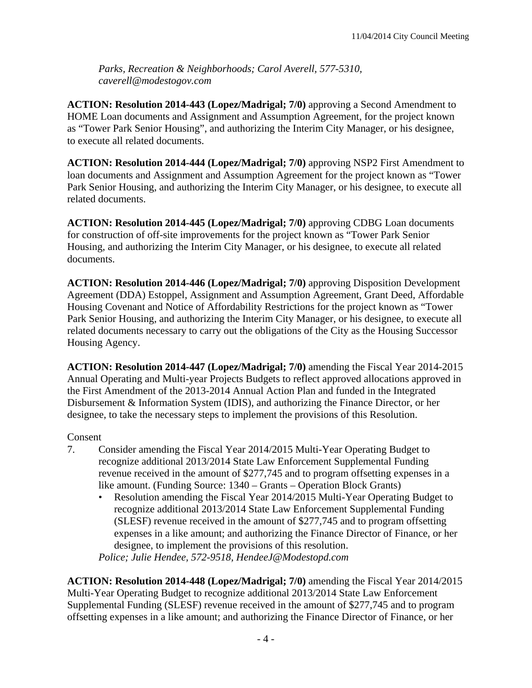*Parks, Recreation & Neighborhoods; Carol Averell, 577-5310, caverell@modestogov.com* 

**ACTION: Resolution 2014-443 (Lopez/Madrigal; 7/0)** approving a Second Amendment to HOME Loan documents and Assignment and Assumption Agreement, for the project known as "Tower Park Senior Housing", and authorizing the Interim City Manager, or his designee, to execute all related documents.

**ACTION: Resolution 2014-444 (Lopez/Madrigal; 7/0)** approving NSP2 First Amendment to loan documents and Assignment and Assumption Agreement for the project known as "Tower Park Senior Housing, and authorizing the Interim City Manager, or his designee, to execute all related documents.

**ACTION: Resolution 2014-445 (Lopez/Madrigal; 7/0)** approving CDBG Loan documents for construction of off-site improvements for the project known as "Tower Park Senior Housing, and authorizing the Interim City Manager, or his designee, to execute all related documents.

**ACTION: Resolution 2014-446 (Lopez/Madrigal; 7/0)** approving Disposition Development Agreement (DDA) Estoppel, Assignment and Assumption Agreement, Grant Deed, Affordable Housing Covenant and Notice of Affordability Restrictions for the project known as "Tower Park Senior Housing, and authorizing the Interim City Manager, or his designee, to execute all related documents necessary to carry out the obligations of the City as the Housing Successor Housing Agency.

**ACTION: Resolution 2014-447 (Lopez/Madrigal; 7/0)** amending the Fiscal Year 2014-2015 Annual Operating and Multi-year Projects Budgets to reflect approved allocations approved in the First Amendment of the 2013-2014 Annual Action Plan and funded in the Integrated Disbursement & Information System (IDIS), and authorizing the Finance Director, or her designee, to take the necessary steps to implement the provisions of this Resolution.

#### Consent

- 7. Consider amending the Fiscal Year 2014/2015 Multi-Year Operating Budget to recognize additional 2013/2014 State Law Enforcement Supplemental Funding revenue received in the amount of \$277,745 and to program offsetting expenses in a like amount. (Funding Source: 1340 – Grants – Operation Block Grants)
	- Resolution amending the Fiscal Year 2014/2015 Multi-Year Operating Budget to recognize additional 2013/2014 State Law Enforcement Supplemental Funding (SLESF) revenue received in the amount of \$277,745 and to program offsetting expenses in a like amount; and authorizing the Finance Director of Finance, or her designee, to implement the provisions of this resolution.

*Police; Julie Hendee, 572-9518, HendeeJ@Modestopd.com* 

**ACTION: Resolution 2014-448 (Lopez/Madrigal; 7/0)** amending the Fiscal Year 2014/2015 Multi-Year Operating Budget to recognize additional 2013/2014 State Law Enforcement Supplemental Funding (SLESF) revenue received in the amount of \$277,745 and to program offsetting expenses in a like amount; and authorizing the Finance Director of Finance, or her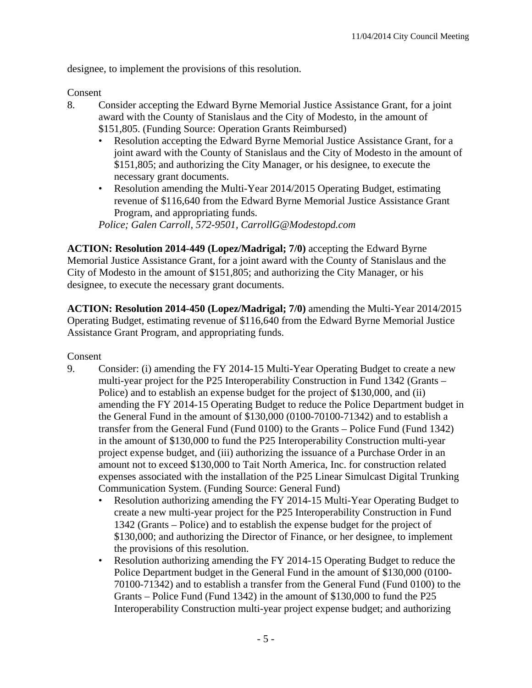designee, to implement the provisions of this resolution.

Consent

- 8. Consider accepting the Edward Byrne Memorial Justice Assistance Grant, for a joint award with the County of Stanislaus and the City of Modesto, in the amount of \$151,805. (Funding Source: Operation Grants Reimbursed)
	- Resolution accepting the Edward Byrne Memorial Justice Assistance Grant, for a joint award with the County of Stanislaus and the City of Modesto in the amount of \$151,805; and authorizing the City Manager, or his designee, to execute the necessary grant documents.
	- Resolution amending the Multi-Year 2014/2015 Operating Budget, estimating revenue of \$116,640 from the Edward Byrne Memorial Justice Assistance Grant Program, and appropriating funds.

*Police; Galen Carroll, 572-9501, CarrollG@Modestopd.com* 

**ACTION: Resolution 2014-449 (Lopez/Madrigal; 7/0)** accepting the Edward Byrne Memorial Justice Assistance Grant, for a joint award with the County of Stanislaus and the City of Modesto in the amount of \$151,805; and authorizing the City Manager, or his designee, to execute the necessary grant documents.

**ACTION: Resolution 2014-450 (Lopez/Madrigal; 7/0)** amending the Multi-Year 2014/2015 Operating Budget, estimating revenue of \$116,640 from the Edward Byrne Memorial Justice Assistance Grant Program, and appropriating funds.

Consent

- 9. Consider: (i) amending the FY 2014-15 Multi-Year Operating Budget to create a new multi-year project for the P25 Interoperability Construction in Fund 1342 (Grants – Police) and to establish an expense budget for the project of \$130,000, and (ii) amending the FY 2014-15 Operating Budget to reduce the Police Department budget in the General Fund in the amount of \$130,000 (0100-70100-71342) and to establish a transfer from the General Fund (Fund 0100) to the Grants – Police Fund (Fund 1342) in the amount of \$130,000 to fund the P25 Interoperability Construction multi-year project expense budget, and (iii) authorizing the issuance of a Purchase Order in an amount not to exceed \$130,000 to Tait North America, Inc. for construction related expenses associated with the installation of the P25 Linear Simulcast Digital Trunking Communication System. (Funding Source: General Fund)
	- Resolution authorizing amending the FY 2014-15 Multi-Year Operating Budget to create a new multi-year project for the P25 Interoperability Construction in Fund 1342 (Grants – Police) and to establish the expense budget for the project of \$130,000; and authorizing the Director of Finance, or her designee, to implement the provisions of this resolution.
	- Resolution authorizing amending the FY 2014-15 Operating Budget to reduce the Police Department budget in the General Fund in the amount of \$130,000 (0100- 70100-71342) and to establish a transfer from the General Fund (Fund 0100) to the Grants – Police Fund (Fund 1342) in the amount of \$130,000 to fund the P25 Interoperability Construction multi-year project expense budget; and authorizing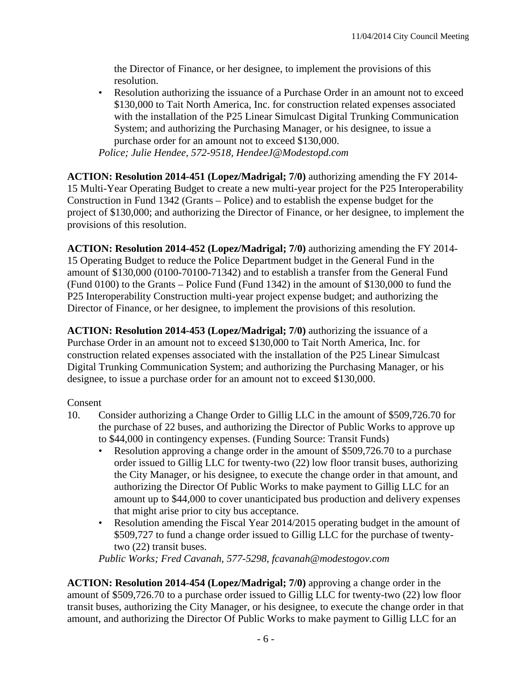the Director of Finance, or her designee, to implement the provisions of this resolution.

• Resolution authorizing the issuance of a Purchase Order in an amount not to exceed \$130,000 to Tait North America, Inc. for construction related expenses associated with the installation of the P25 Linear Simulcast Digital Trunking Communication System; and authorizing the Purchasing Manager, or his designee, to issue a purchase order for an amount not to exceed \$130,000. *Police; Julie Hendee, 572-9518, HendeeJ@Modestopd.com* 

**ACTION: Resolution 2014-451 (Lopez/Madrigal; 7/0)** authorizing amending the FY 2014- 15 Multi-Year Operating Budget to create a new multi-year project for the P25 Interoperability Construction in Fund 1342 (Grants – Police) and to establish the expense budget for the project of \$130,000; and authorizing the Director of Finance, or her designee, to implement the provisions of this resolution.

**ACTION: Resolution 2014-452 (Lopez/Madrigal; 7/0)** authorizing amending the FY 2014- 15 Operating Budget to reduce the Police Department budget in the General Fund in the amount of \$130,000 (0100-70100-71342) and to establish a transfer from the General Fund (Fund 0100) to the Grants – Police Fund (Fund 1342) in the amount of \$130,000 to fund the P25 Interoperability Construction multi-year project expense budget; and authorizing the Director of Finance, or her designee, to implement the provisions of this resolution.

**ACTION: Resolution 2014-453 (Lopez/Madrigal; 7/0)** authorizing the issuance of a Purchase Order in an amount not to exceed \$130,000 to Tait North America, Inc. for construction related expenses associated with the installation of the P25 Linear Simulcast Digital Trunking Communication System; and authorizing the Purchasing Manager, or his designee, to issue a purchase order for an amount not to exceed \$130,000.

#### Consent

- 10. Consider authorizing a Change Order to Gillig LLC in the amount of \$509,726.70 for the purchase of 22 buses, and authorizing the Director of Public Works to approve up to \$44,000 in contingency expenses. (Funding Source: Transit Funds)
	- Resolution approving a change order in the amount of \$509,726.70 to a purchase order issued to Gillig LLC for twenty-two (22) low floor transit buses, authorizing the City Manager, or his designee, to execute the change order in that amount, and authorizing the Director Of Public Works to make payment to Gillig LLC for an amount up to \$44,000 to cover unanticipated bus production and delivery expenses that might arise prior to city bus acceptance.
	- Resolution amending the Fiscal Year 2014/2015 operating budget in the amount of \$509,727 to fund a change order issued to Gillig LLC for the purchase of twentytwo (22) transit buses.

*Public Works; Fred Cavanah, 577-5298, fcavanah@modestogov.com* 

**ACTION: Resolution 2014-454 (Lopez/Madrigal; 7/0)** approving a change order in the amount of \$509,726.70 to a purchase order issued to Gillig LLC for twenty-two (22) low floor transit buses, authorizing the City Manager, or his designee, to execute the change order in that amount, and authorizing the Director Of Public Works to make payment to Gillig LLC for an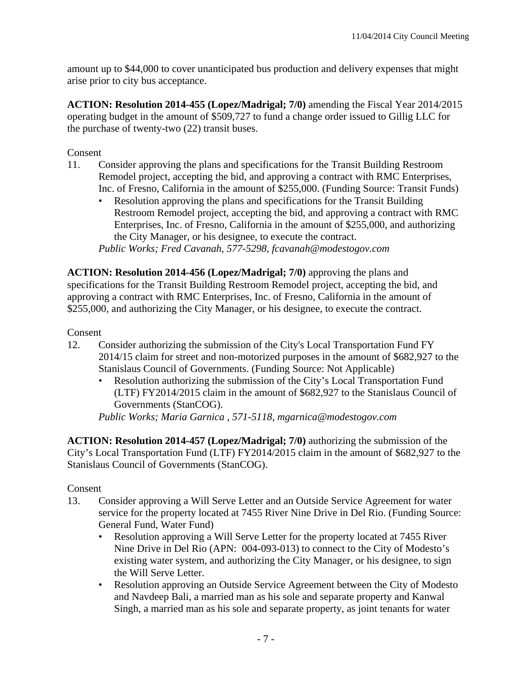amount up to \$44,000 to cover unanticipated bus production and delivery expenses that might arise prior to city bus acceptance.

**ACTION: Resolution 2014-455 (Lopez/Madrigal; 7/0)** amending the Fiscal Year 2014/2015 operating budget in the amount of \$509,727 to fund a change order issued to Gillig LLC for the purchase of twenty-two (22) transit buses.

Consent

- 11. Consider approving the plans and specifications for the Transit Building Restroom Remodel project, accepting the bid, and approving a contract with RMC Enterprises, Inc. of Fresno, California in the amount of \$255,000. (Funding Source: Transit Funds)
	- Resolution approving the plans and specifications for the Transit Building Restroom Remodel project, accepting the bid, and approving a contract with RMC Enterprises, Inc. of Fresno, California in the amount of \$255,000, and authorizing the City Manager, or his designee, to execute the contract. *Public Works; Fred Cavanah, 577-5298, fcavanah@modestogov.com*

**ACTION: Resolution 2014-456 (Lopez/Madrigal; 7/0)** approving the plans and specifications for the Transit Building Restroom Remodel project, accepting the bid, and approving a contract with RMC Enterprises, Inc. of Fresno, California in the amount of \$255,000, and authorizing the City Manager, or his designee, to execute the contract.

#### Consent

- 12. Consider authorizing the submission of the City's Local Transportation Fund FY 2014/15 claim for street and non-motorized purposes in the amount of \$682,927 to the Stanislaus Council of Governments. (Funding Source: Not Applicable)
	- Resolution authorizing the submission of the City's Local Transportation Fund (LTF) FY2014/2015 claim in the amount of \$682,927 to the Stanislaus Council of Governments (StanCOG).

*Public Works; Maria Garnica , 571-5118, mgarnica@modestogov.com* 

**ACTION: Resolution 2014-457 (Lopez/Madrigal; 7/0)** authorizing the submission of the City's Local Transportation Fund (LTF) FY2014/2015 claim in the amount of \$682,927 to the Stanislaus Council of Governments (StanCOG).

#### Consent

- 13. Consider approving a Will Serve Letter and an Outside Service Agreement for water service for the property located at 7455 River Nine Drive in Del Rio. (Funding Source: General Fund, Water Fund)
	- Resolution approving a Will Serve Letter for the property located at 7455 River Nine Drive in Del Rio (APN: 004-093-013) to connect to the City of Modesto's existing water system, and authorizing the City Manager, or his designee, to sign the Will Serve Letter.
	- Resolution approving an Outside Service Agreement between the City of Modesto and Navdeep Bali, a married man as his sole and separate property and Kanwal Singh, a married man as his sole and separate property, as joint tenants for water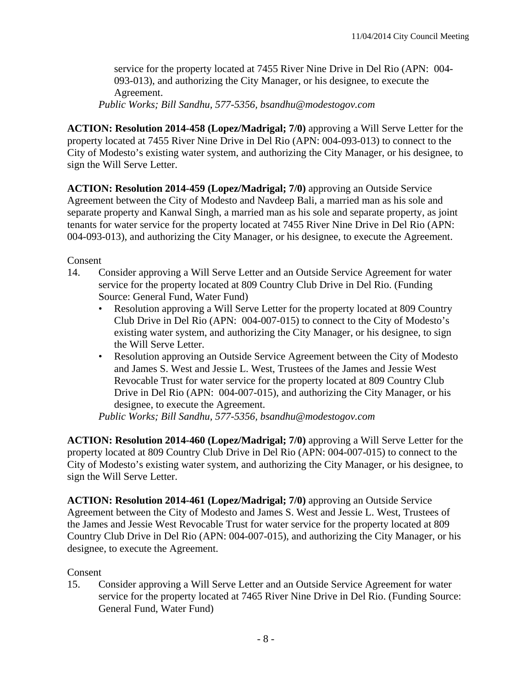service for the property located at 7455 River Nine Drive in Del Rio (APN: 004- 093-013), and authorizing the City Manager, or his designee, to execute the Agreement.

*Public Works; Bill Sandhu, 577-5356, bsandhu@modestogov.com* 

**ACTION: Resolution 2014-458 (Lopez/Madrigal; 7/0)** approving a Will Serve Letter for the property located at 7455 River Nine Drive in Del Rio (APN: 004-093-013) to connect to the City of Modesto's existing water system, and authorizing the City Manager, or his designee, to sign the Will Serve Letter.

**ACTION: Resolution 2014-459 (Lopez/Madrigal; 7/0)** approving an Outside Service Agreement between the City of Modesto and Navdeep Bali, a married man as his sole and separate property and Kanwal Singh, a married man as his sole and separate property, as joint tenants for water service for the property located at 7455 River Nine Drive in Del Rio (APN: 004-093-013), and authorizing the City Manager, or his designee, to execute the Agreement.

#### Consent

- 14. Consider approving a Will Serve Letter and an Outside Service Agreement for water service for the property located at 809 Country Club Drive in Del Rio. (Funding Source: General Fund, Water Fund)
	- Resolution approving a Will Serve Letter for the property located at 809 Country Club Drive in Del Rio (APN: 004-007-015) to connect to the City of Modesto's existing water system, and authorizing the City Manager, or his designee, to sign the Will Serve Letter.
	- Resolution approving an Outside Service Agreement between the City of Modesto and James S. West and Jessie L. West, Trustees of the James and Jessie West Revocable Trust for water service for the property located at 809 Country Club Drive in Del Rio (APN: 004-007-015), and authorizing the City Manager, or his designee, to execute the Agreement.

*Public Works; Bill Sandhu, 577-5356, bsandhu@modestogov.com* 

**ACTION: Resolution 2014-460 (Lopez/Madrigal; 7/0)** approving a Will Serve Letter for the property located at 809 Country Club Drive in Del Rio (APN: 004-007-015) to connect to the City of Modesto's existing water system, and authorizing the City Manager, or his designee, to sign the Will Serve Letter.

**ACTION: Resolution 2014-461 (Lopez/Madrigal; 7/0)** approving an Outside Service Agreement between the City of Modesto and James S. West and Jessie L. West, Trustees of the James and Jessie West Revocable Trust for water service for the property located at 809 Country Club Drive in Del Rio (APN: 004-007-015), and authorizing the City Manager, or his designee, to execute the Agreement.

#### Consent

15. Consider approving a Will Serve Letter and an Outside Service Agreement for water service for the property located at 7465 River Nine Drive in Del Rio. (Funding Source: General Fund, Water Fund)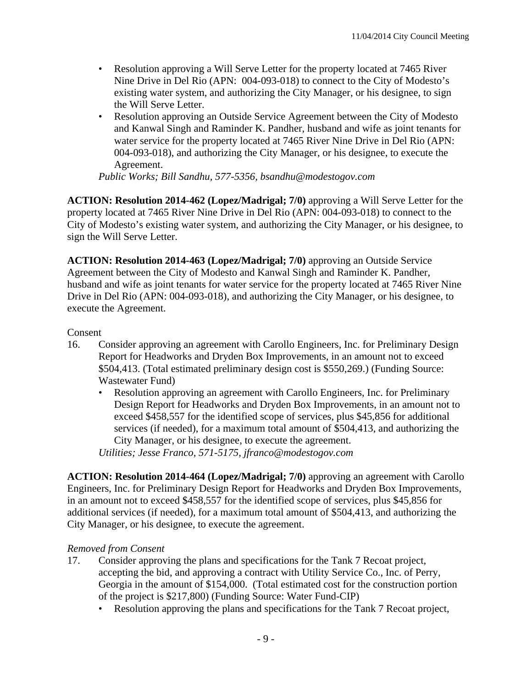- Resolution approving a Will Serve Letter for the property located at 7465 River Nine Drive in Del Rio (APN: 004-093-018) to connect to the City of Modesto's existing water system, and authorizing the City Manager, or his designee, to sign the Will Serve Letter.
- Resolution approving an Outside Service Agreement between the City of Modesto and Kanwal Singh and Raminder K. Pandher, husband and wife as joint tenants for water service for the property located at 7465 River Nine Drive in Del Rio (APN: 004-093-018), and authorizing the City Manager, or his designee, to execute the Agreement.

*Public Works; Bill Sandhu, 577-5356, bsandhu@modestogov.com* 

**ACTION: Resolution 2014-462 (Lopez/Madrigal; 7/0)** approving a Will Serve Letter for the property located at 7465 River Nine Drive in Del Rio (APN: 004-093-018) to connect to the City of Modesto's existing water system, and authorizing the City Manager, or his designee, to sign the Will Serve Letter.

**ACTION: Resolution 2014-463 (Lopez/Madrigal; 7/0)** approving an Outside Service Agreement between the City of Modesto and Kanwal Singh and Raminder K. Pandher, husband and wife as joint tenants for water service for the property located at 7465 River Nine Drive in Del Rio (APN: 004-093-018), and authorizing the City Manager, or his designee, to execute the Agreement.

#### Consent

- 16. Consider approving an agreement with Carollo Engineers, Inc. for Preliminary Design Report for Headworks and Dryden Box Improvements, in an amount not to exceed \$504,413. (Total estimated preliminary design cost is \$550,269.) (Funding Source: Wastewater Fund)
	- Resolution approving an agreement with Carollo Engineers, Inc. for Preliminary Design Report for Headworks and Dryden Box Improvements, in an amount not to exceed \$458,557 for the identified scope of services, plus \$45,856 for additional services (if needed), for a maximum total amount of \$504,413, and authorizing the City Manager, or his designee, to execute the agreement.

*Utilities; Jesse Franco, 571-5175, jfranco@modestogov.com* 

**ACTION: Resolution 2014-464 (Lopez/Madrigal; 7/0)** approving an agreement with Carollo Engineers, Inc. for Preliminary Design Report for Headworks and Dryden Box Improvements, in an amount not to exceed \$458,557 for the identified scope of services, plus \$45,856 for additional services (if needed), for a maximum total amount of \$504,413, and authorizing the City Manager, or his designee, to execute the agreement.

#### *Removed from Consent*

- 17. Consider approving the plans and specifications for the Tank 7 Recoat project, accepting the bid, and approving a contract with Utility Service Co., Inc. of Perry, Georgia in the amount of \$154,000. (Total estimated cost for the construction portion of the project is \$217,800) (Funding Source: Water Fund-CIP)
	- Resolution approving the plans and specifications for the Tank 7 Recoat project,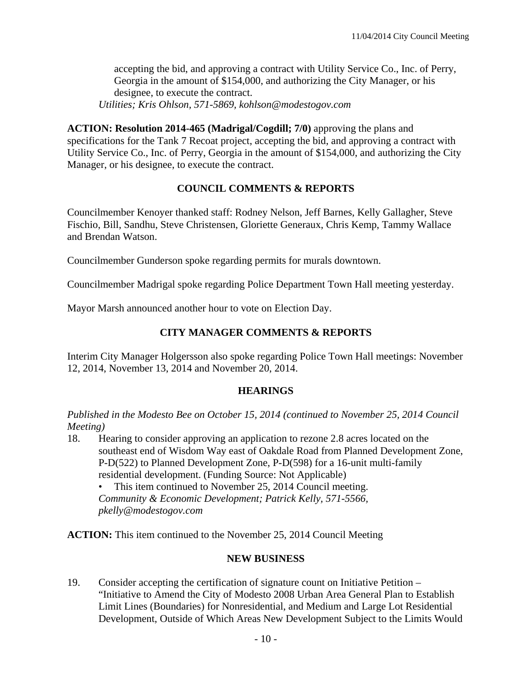accepting the bid, and approving a contract with Utility Service Co., Inc. of Perry, Georgia in the amount of \$154,000, and authorizing the City Manager, or his designee, to execute the contract. *Utilities; Kris Ohlson, 571-5869, kohlson@modestogov.com* 

**ACTION: Resolution 2014-465 (Madrigal/Cogdill; 7/0)** approving the plans and specifications for the Tank 7 Recoat project, accepting the bid, and approving a contract with Utility Service Co., Inc. of Perry, Georgia in the amount of \$154,000, and authorizing the City Manager, or his designee, to execute the contract.

# **COUNCIL COMMENTS & REPORTS**

Councilmember Kenoyer thanked staff: Rodney Nelson, Jeff Barnes, Kelly Gallagher, Steve Fischio, Bill, Sandhu, Steve Christensen, Gloriette Generaux, Chris Kemp, Tammy Wallace and Brendan Watson.

Councilmember Gunderson spoke regarding permits for murals downtown.

Councilmember Madrigal spoke regarding Police Department Town Hall meeting yesterday.

Mayor Marsh announced another hour to vote on Election Day.

# **CITY MANAGER COMMENTS & REPORTS**

Interim City Manager Holgersson also spoke regarding Police Town Hall meetings: November 12, 2014, November 13, 2014 and November 20, 2014.

#### **HEARINGS**

*Published in the Modesto Bee on October 15, 2014 (continued to November 25, 2014 Council Meeting)* 

18. Hearing to consider approving an application to rezone 2.8 acres located on the southeast end of Wisdom Way east of Oakdale Road from Planned Development Zone, P-D(522) to Planned Development Zone, P-D(598) for a 16-unit multi-family residential development. (Funding Source: Not Applicable)

This item continued to November 25, 2014 Council meeting.

*Community & Economic Development; Patrick Kelly, 571-5566, pkelly@modestogov.com* 

**ACTION:** This item continued to the November 25, 2014 Council Meeting

#### **NEW BUSINESS**

19. Consider accepting the certification of signature count on Initiative Petition – "Initiative to Amend the City of Modesto 2008 Urban Area General Plan to Establish Limit Lines (Boundaries) for Nonresidential, and Medium and Large Lot Residential Development, Outside of Which Areas New Development Subject to the Limits Would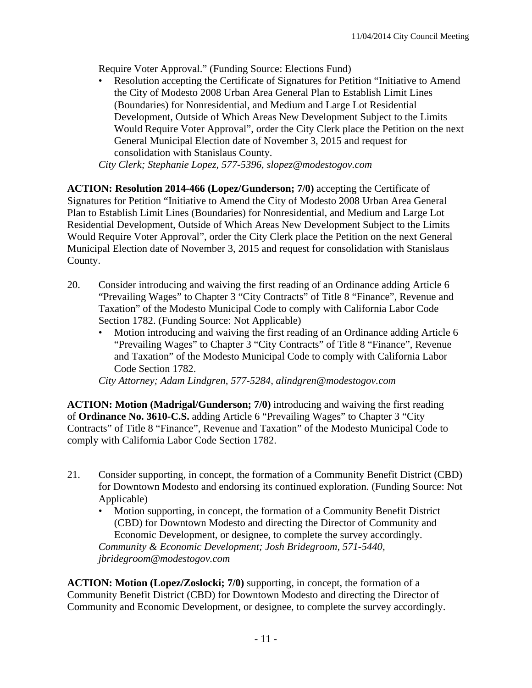Require Voter Approval." (Funding Source: Elections Fund)

• Resolution accepting the Certificate of Signatures for Petition "Initiative to Amend the City of Modesto 2008 Urban Area General Plan to Establish Limit Lines (Boundaries) for Nonresidential, and Medium and Large Lot Residential Development, Outside of Which Areas New Development Subject to the Limits Would Require Voter Approval", order the City Clerk place the Petition on the next General Municipal Election date of November 3, 2015 and request for consolidation with Stanislaus County.

*City Clerk; Stephanie Lopez, 577-5396, slopez@modestogov.com* 

**ACTION: Resolution 2014-466 (Lopez/Gunderson; 7/0)** accepting the Certificate of Signatures for Petition "Initiative to Amend the City of Modesto 2008 Urban Area General Plan to Establish Limit Lines (Boundaries) for Nonresidential, and Medium and Large Lot Residential Development, Outside of Which Areas New Development Subject to the Limits Would Require Voter Approval", order the City Clerk place the Petition on the next General Municipal Election date of November 3, 2015 and request for consolidation with Stanislaus County.

- 20. Consider introducing and waiving the first reading of an Ordinance adding Article 6 "Prevailing Wages" to Chapter 3 "City Contracts" of Title 8 "Finance", Revenue and Taxation" of the Modesto Municipal Code to comply with California Labor Code Section 1782. (Funding Source: Not Applicable)
	- Motion introducing and waiving the first reading of an Ordinance adding Article 6 "Prevailing Wages" to Chapter 3 "City Contracts" of Title 8 "Finance", Revenue and Taxation" of the Modesto Municipal Code to comply with California Labor Code Section 1782.

*City Attorney; Adam Lindgren, 577-5284, alindgren@modestogov.com* 

**ACTION: Motion (Madrigal/Gunderson; 7/0)** introducing and waiving the first reading of **Ordinance No. 3610-C.S.** adding Article 6 "Prevailing Wages" to Chapter 3 "City Contracts" of Title 8 "Finance", Revenue and Taxation" of the Modesto Municipal Code to comply with California Labor Code Section 1782.

- 21. Consider supporting, in concept, the formation of a Community Benefit District (CBD) for Downtown Modesto and endorsing its continued exploration. (Funding Source: Not Applicable)
	- Motion supporting, in concept, the formation of a Community Benefit District (CBD) for Downtown Modesto and directing the Director of Community and Economic Development, or designee, to complete the survey accordingly. *Community & Economic Development; Josh Bridegroom, 571-5440, jbridegroom@modestogov.com*

**ACTION: Motion (Lopez/Zoslocki; 7/0)** supporting, in concept, the formation of a Community Benefit District (CBD) for Downtown Modesto and directing the Director of Community and Economic Development, or designee, to complete the survey accordingly.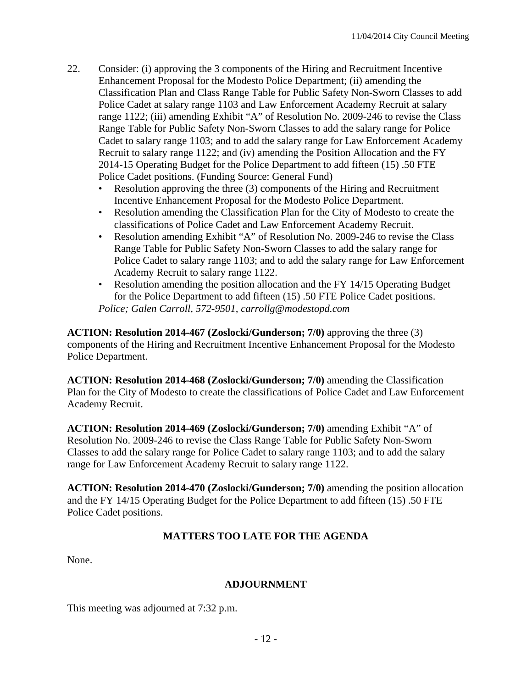- 22. Consider: (i) approving the 3 components of the Hiring and Recruitment Incentive Enhancement Proposal for the Modesto Police Department; (ii) amending the Classification Plan and Class Range Table for Public Safety Non-Sworn Classes to add Police Cadet at salary range 1103 and Law Enforcement Academy Recruit at salary range 1122; (iii) amending Exhibit "A" of Resolution No. 2009-246 to revise the Class Range Table for Public Safety Non-Sworn Classes to add the salary range for Police Cadet to salary range 1103; and to add the salary range for Law Enforcement Academy Recruit to salary range 1122; and (iv) amending the Position Allocation and the FY 2014-15 Operating Budget for the Police Department to add fifteen (15) .50 FTE Police Cadet positions. (Funding Source: General Fund)
	- Resolution approving the three (3) components of the Hiring and Recruitment Incentive Enhancement Proposal for the Modesto Police Department.
	- Resolution amending the Classification Plan for the City of Modesto to create the classifications of Police Cadet and Law Enforcement Academy Recruit.
	- Resolution amending Exhibit "A" of Resolution No. 2009-246 to revise the Class Range Table for Public Safety Non-Sworn Classes to add the salary range for Police Cadet to salary range 1103; and to add the salary range for Law Enforcement Academy Recruit to salary range 1122.
	- Resolution amending the position allocation and the FY 14/15 Operating Budget for the Police Department to add fifteen (15) .50 FTE Police Cadet positions. *Police; Galen Carroll, 572-9501, carrollg@modestopd.com*

**ACTION: Resolution 2014-467 (Zoslocki/Gunderson; 7/0)** approving the three (3) components of the Hiring and Recruitment Incentive Enhancement Proposal for the Modesto Police Department.

**ACTION: Resolution 2014-468 (Zoslocki/Gunderson; 7/0)** amending the Classification Plan for the City of Modesto to create the classifications of Police Cadet and Law Enforcement Academy Recruit.

**ACTION: Resolution 2014-469 (Zoslocki/Gunderson; 7/0)** amending Exhibit "A" of Resolution No. 2009-246 to revise the Class Range Table for Public Safety Non-Sworn Classes to add the salary range for Police Cadet to salary range 1103; and to add the salary range for Law Enforcement Academy Recruit to salary range 1122.

**ACTION: Resolution 2014-470 (Zoslocki/Gunderson; 7/0)** amending the position allocation and the FY 14/15 Operating Budget for the Police Department to add fifteen (15) .50 FTE Police Cadet positions.

# **MATTERS TOO LATE FOR THE AGENDA**

None.

#### **ADJOURNMENT**

This meeting was adjourned at 7:32 p.m.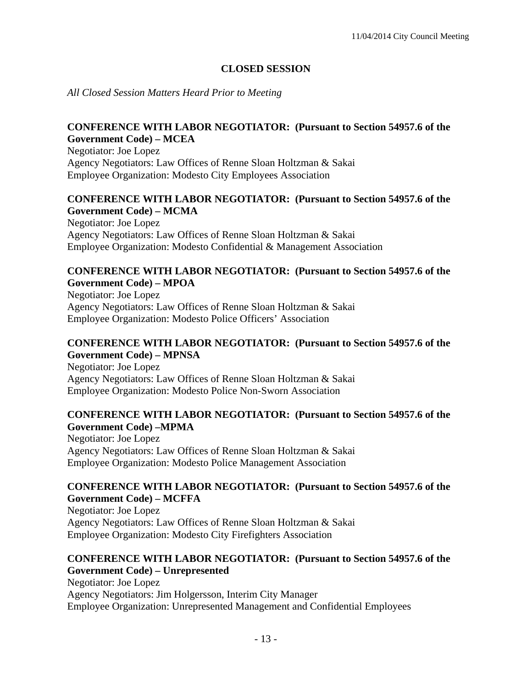# **CLOSED SESSION**

*All Closed Session Matters Heard Prior to Meeting*

#### **CONFERENCE WITH LABOR NEGOTIATOR: (Pursuant to Section 54957.6 of the Government Code) – MCEA**

Negotiator: Joe Lopez Agency Negotiators: Law Offices of Renne Sloan Holtzman & Sakai Employee Organization: Modesto City Employees Association

# **CONFERENCE WITH LABOR NEGOTIATOR: (Pursuant to Section 54957.6 of the Government Code) – MCMA**

Negotiator: Joe Lopez Agency Negotiators: Law Offices of Renne Sloan Holtzman & Sakai Employee Organization: Modesto Confidential & Management Association

#### **CONFERENCE WITH LABOR NEGOTIATOR: (Pursuant to Section 54957.6 of the Government Code) – MPOA**

Negotiator: Joe Lopez Agency Negotiators: Law Offices of Renne Sloan Holtzman & Sakai Employee Organization: Modesto Police Officers' Association

#### **CONFERENCE WITH LABOR NEGOTIATOR: (Pursuant to Section 54957.6 of the Government Code) – MPNSA**

Negotiator: Joe Lopez Agency Negotiators: Law Offices of Renne Sloan Holtzman & Sakai Employee Organization: Modesto Police Non-Sworn Association

#### **CONFERENCE WITH LABOR NEGOTIATOR: (Pursuant to Section 54957.6 of the Government Code) –MPMA**

Negotiator: Joe Lopez Agency Negotiators: Law Offices of Renne Sloan Holtzman & Sakai Employee Organization: Modesto Police Management Association

#### **CONFERENCE WITH LABOR NEGOTIATOR: (Pursuant to Section 54957.6 of the Government Code) – MCFFA**

Negotiator: Joe Lopez Agency Negotiators: Law Offices of Renne Sloan Holtzman & Sakai Employee Organization: Modesto City Firefighters Association

#### **CONFERENCE WITH LABOR NEGOTIATOR: (Pursuant to Section 54957.6 of the Government Code) – Unrepresented**

Negotiator: Joe Lopez Agency Negotiators: Jim Holgersson, Interim City Manager Employee Organization: Unrepresented Management and Confidential Employees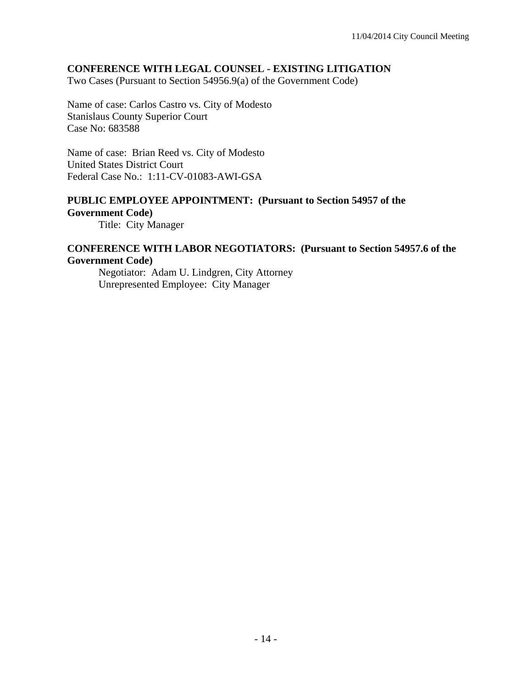### **CONFERENCE WITH LEGAL COUNSEL - EXISTING LITIGATION**

Two Cases (Pursuant to Section 54956.9(a) of the Government Code)

Name of case: Carlos Castro vs. City of Modesto Stanislaus County Superior Court Case No: 683588

Name of case: Brian Reed vs. City of Modesto United States District Court Federal Case No.: 1:11-CV-01083-AWI-GSA

# **PUBLIC EMPLOYEE APPOINTMENT: (Pursuant to Section 54957 of the**

**Government Code)** 

Title: City Manager

#### **CONFERENCE WITH LABOR NEGOTIATORS: (Pursuant to Section 54957.6 of the Government Code)**

 Negotiator: Adam U. Lindgren, City Attorney Unrepresented Employee: City Manager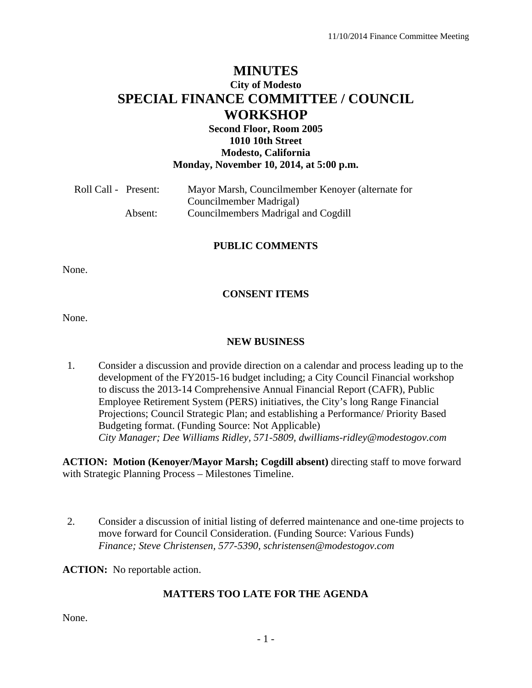# **MINUTES City of Modesto SPECIAL FINANCE COMMITTEE / COUNCIL WORKSHOP**

## **Second Floor, Room 2005 1010 10th Street Modesto, California Monday, November 10, 2014, at 5:00 p.m.**

| Roll Call - Present: | Mayor Marsh, Councilmember Kenoyer (alternate for |
|----------------------|---------------------------------------------------|
|                      | Councilmember Madrigal)                           |
| Absent:              | Councilmembers Madrigal and Cogdill               |

#### **PUBLIC COMMENTS**

None.

#### **CONSENT ITEMS**

None.

## **NEW BUSINESS**

1. Consider a discussion and provide direction on a calendar and process leading up to the development of the FY2015-16 budget including; a City Council Financial workshop to discuss the 2013-14 Comprehensive Annual Financial Report (CAFR), Public Employee Retirement System (PERS) initiatives, the City's long Range Financial Projections; Council Strategic Plan; and establishing a Performance/ Priority Based Budgeting format. (Funding Source: Not Applicable)  *City Manager; Dee Williams Ridley, 571-5809, dwilliams-ridley@modestogov.com* 

**ACTION: Motion (Kenoyer/Mayor Marsh; Cogdill absent)** directing staff to move forward with Strategic Planning Process – Milestones Timeline.

2. Consider a discussion of initial listing of deferred maintenance and one-time projects to move forward for Council Consideration. (Funding Source: Various Funds)  *Finance; Steve Christensen, 577-5390, schristensen@modestogov.com* 

**ACTION:** No reportable action.

#### **MATTERS TOO LATE FOR THE AGENDA**

None.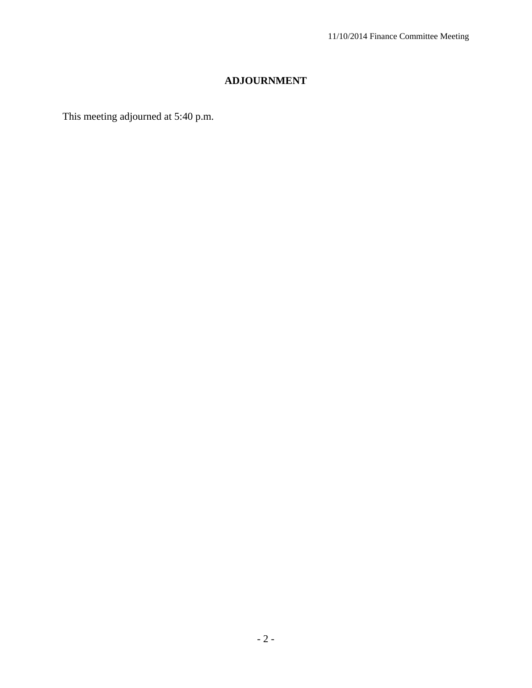# **ADJOURNMENT**

This meeting adjourned at 5:40 p.m.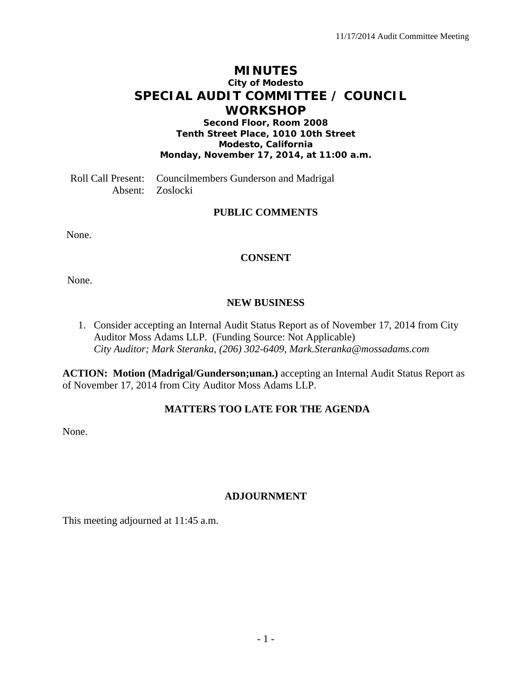# **MINUTES City of Modesto SPECIAL AUDIT COMMITTEE / COUNCIL WORKSHOP**

**Second Floor, Room 2008 Tenth Street Place, 1010 10th Street Modesto, California Monday, November 17, 2014, at 11:00 a.m.** 

Roll Call Present: Councilmembers Gunderson and Madrigal Absent: Zoslocki

# **PUBLIC COMMENTS**

None.

#### **CONSENT**

None.

#### **NEW BUSINESS**

1. Consider accepting an Internal Audit Status Report as of November 17, 2014 from City Auditor Moss Adams LLP. (Funding Source: Not Applicable) *City Auditor; Mark Steranka, (206) 302-6409, Mark.Steranka@mossadams.com* 

**ACTION: Motion (Madrigal/Gunderson;unan.)** accepting an Internal Audit Status Report as of November 17, 2014 from City Auditor Moss Adams LLP.

#### **MATTERS TOO LATE FOR THE AGENDA**

None.

#### **ADJOURNMENT**

This meeting adjourned at 11:45 a.m.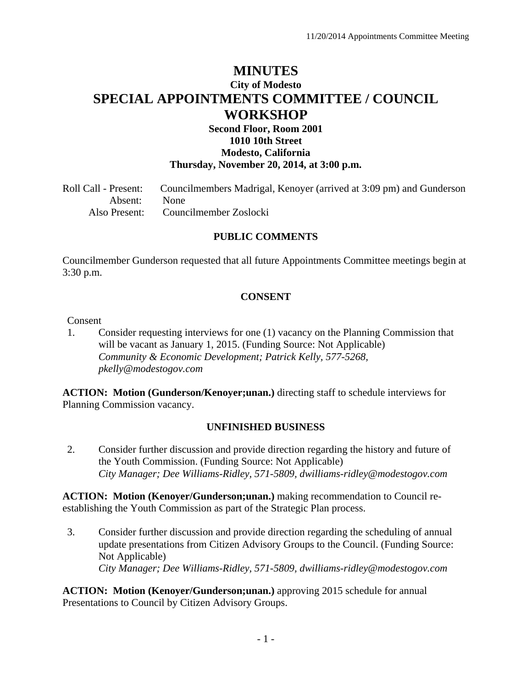# **MINUTES City of Modesto SPECIAL APPOINTMENTS COMMITTEE / COUNCIL WORKSHOP**

# **Second Floor, Room 2001 1010 10th Street Modesto, California Thursday, November 20, 2014, at 3:00 p.m.**

Roll Call - Present: Councilmembers Madrigal, Kenoyer (arrived at 3:09 pm) and Gunderson Absent: None Also Present: Councilmember Zoslocki

# **PUBLIC COMMENTS**

Councilmember Gunderson requested that all future Appointments Committee meetings begin at 3:30 p.m.

#### **CONSENT**

#### Consent

1. Consider requesting interviews for one (1) vacancy on the Planning Commission that will be vacant as January 1, 2015. (Funding Source: Not Applicable)  *Community & Economic Development; Patrick Kelly, 577-5268, pkelly@modestogov.com* 

**ACTION: Motion (Gunderson/Kenoyer;unan.)** directing staff to schedule interviews for Planning Commission vacancy.

#### **UNFINISHED BUSINESS**

2. Consider further discussion and provide direction regarding the history and future of the Youth Commission. (Funding Source: Not Applicable)  *City Manager; Dee Williams-Ridley, 571-5809, dwilliams-ridley@modestogov.com* 

**ACTION: Motion (Kenoyer/Gunderson;unan.)** making recommendation to Council reestablishing the Youth Commission as part of the Strategic Plan process.

3. Consider further discussion and provide direction regarding the scheduling of annual update presentations from Citizen Advisory Groups to the Council. (Funding Source: Not Applicable)  *City Manager; Dee Williams-Ridley, 571-5809, dwilliams-ridley@modestogov.com* 

**ACTION: Motion (Kenoyer/Gunderson;unan.)** approving 2015 schedule for annual Presentations to Council by Citizen Advisory Groups.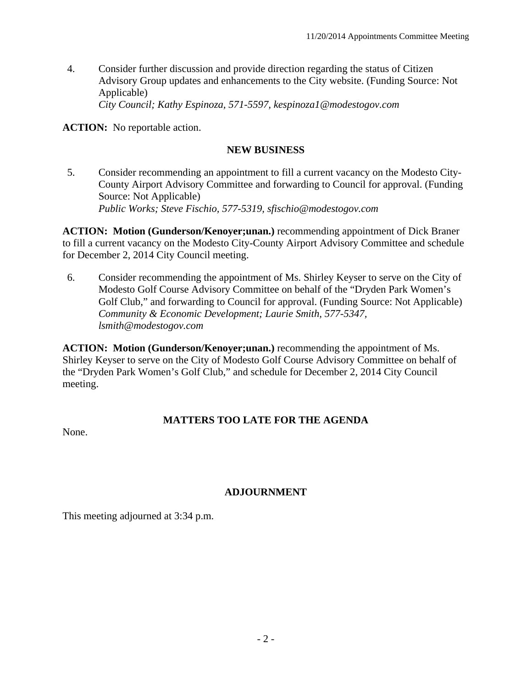4. Consider further discussion and provide direction regarding the status of Citizen Advisory Group updates and enhancements to the City website. (Funding Source: Not Applicable)  *City Council; Kathy Espinoza, 571-5597, kespinoza1@modestogov.com* 

**ACTION:** No reportable action.

# **NEW BUSINESS**

5. Consider recommending an appointment to fill a current vacancy on the Modesto City-County Airport Advisory Committee and forwarding to Council for approval. (Funding Source: Not Applicable)  *Public Works; Steve Fischio, 577-5319, sfischio@modestogov.com* 

**ACTION: Motion (Gunderson/Kenoyer;unan.)** recommending appointment of Dick Braner to fill a current vacancy on the Modesto City-County Airport Advisory Committee and schedule for December 2, 2014 City Council meeting.

6. Consider recommending the appointment of Ms. Shirley Keyser to serve on the City of Modesto Golf Course Advisory Committee on behalf of the "Dryden Park Women's Golf Club," and forwarding to Council for approval. (Funding Source: Not Applicable)  *Community & Economic Development; Laurie Smith, 577-5347, lsmith@modestogov.com* 

**ACTION: Motion (Gunderson/Kenoyer;unan.)** recommending the appointment of Ms. Shirley Keyser to serve on the City of Modesto Golf Course Advisory Committee on behalf of the "Dryden Park Women's Golf Club," and schedule for December 2, 2014 City Council meeting.

# **MATTERS TOO LATE FOR THE AGENDA**

None.

# **ADJOURNMENT**

This meeting adjourned at 3:34 p.m.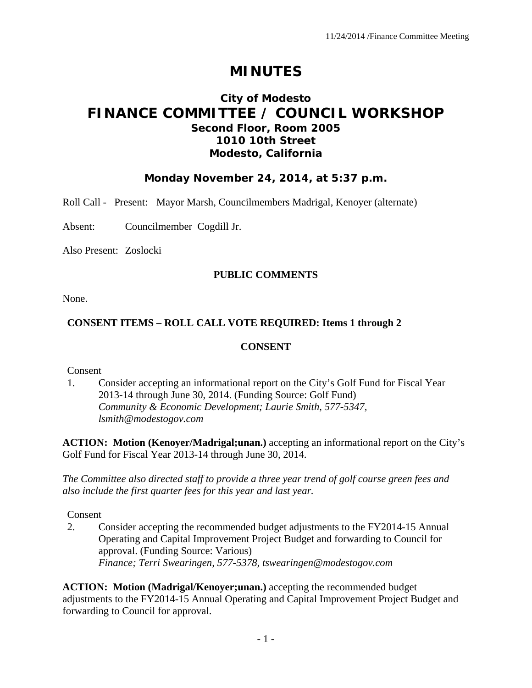# **MINUTES**

# **City of Modesto FINANCE COMMITTEE / COUNCIL WORKSHOP Second Floor, Room 2005 1010 10th Street Modesto, California**

# **Monday November 24, 2014, at 5:37 p.m.**

Roll Call - Present: Mayor Marsh, Councilmembers Madrigal, Kenoyer (alternate)

Absent: Councilmember Cogdill Jr.

Also Present: Zoslocki

#### **PUBLIC COMMENTS**

None.

#### **CONSENT ITEMS – ROLL CALL VOTE REQUIRED: Items 1 through 2**

#### **CONSENT**

Consent

1. Consider accepting an informational report on the City's Golf Fund for Fiscal Year 2013-14 through June 30, 2014. (Funding Source: Golf Fund)  *Community & Economic Development; Laurie Smith, 577-5347, lsmith@modestogov.com* 

**ACTION: Motion (Kenoyer/Madrigal;unan.)** accepting an informational report on the City's Golf Fund for Fiscal Year 2013-14 through June 30, 2014.

*The Committee also directed staff to provide a three year trend of golf course green fees and also include the first quarter fees for this year and last year.* 

Consent

2. Consider accepting the recommended budget adjustments to the FY2014-15 Annual Operating and Capital Improvement Project Budget and forwarding to Council for approval. (Funding Source: Various)  *Finance; Terri Swearingen, 577-5378, tswearingen@modestogov.com* 

**ACTION: Motion (Madrigal/Kenoyer;unan.)** accepting the recommended budget adjustments to the FY2014-15 Annual Operating and Capital Improvement Project Budget and forwarding to Council for approval.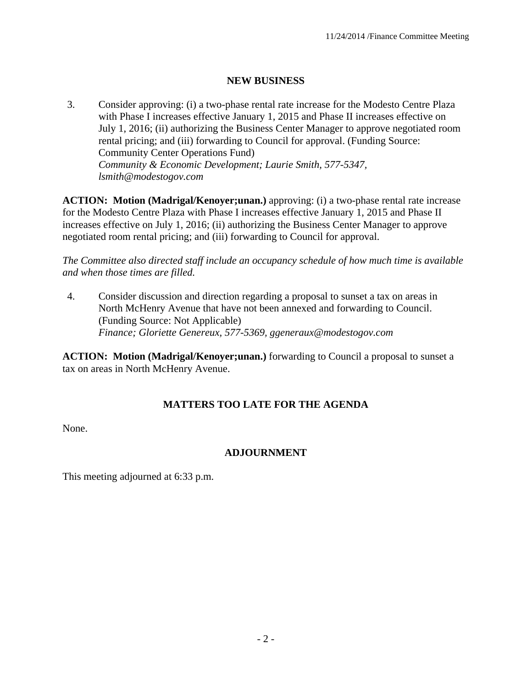## **NEW BUSINESS**

3. Consider approving: (i) a two-phase rental rate increase for the Modesto Centre Plaza with Phase I increases effective January 1, 2015 and Phase II increases effective on July 1, 2016; (ii) authorizing the Business Center Manager to approve negotiated room rental pricing; and (iii) forwarding to Council for approval. (Funding Source: Community Center Operations Fund)  *Community & Economic Development; Laurie Smith, 577-5347, lsmith@modestogov.com* 

**ACTION: Motion (Madrigal/Kenoyer;unan.)** approving: (i) a two-phase rental rate increase for the Modesto Centre Plaza with Phase I increases effective January 1, 2015 and Phase II increases effective on July 1, 2016; (ii) authorizing the Business Center Manager to approve negotiated room rental pricing; and (iii) forwarding to Council for approval.

*The Committee also directed staff include an occupancy schedule of how much time is available and when those times are filled.* 

4. Consider discussion and direction regarding a proposal to sunset a tax on areas in North McHenry Avenue that have not been annexed and forwarding to Council. (Funding Source: Not Applicable)  *Finance; Gloriette Genereux, 577-5369, ggeneraux@modestogov.com* 

**ACTION: Motion (Madrigal/Kenoyer;unan.)** forwarding to Council a proposal to sunset a tax on areas in North McHenry Avenue.

# **MATTERS TOO LATE FOR THE AGENDA**

None.

# **ADJOURNMENT**

This meeting adjourned at 6:33 p.m.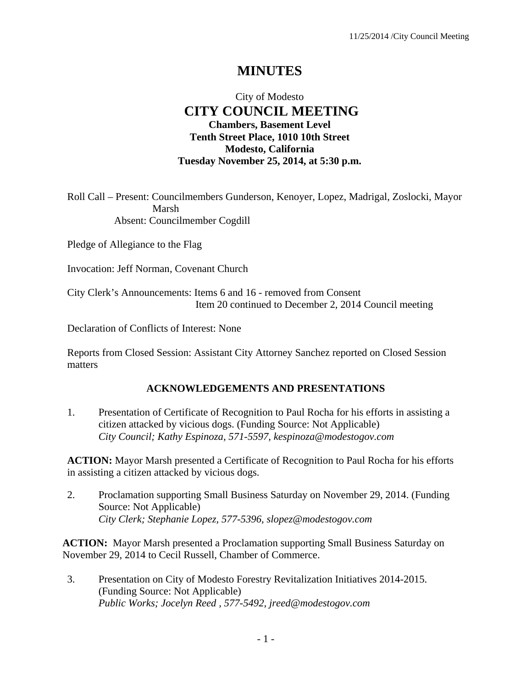# **MINUTES**

# City of Modesto  **CITY COUNCIL MEETING Chambers, Basement Level Tenth Street Place, 1010 10th Street Modesto, California Tuesday November 25, 2014, at 5:30 p.m.**

Roll Call – Present: Councilmembers Gunderson, Kenoyer, Lopez, Madrigal, Zoslocki, Mayor Marsh Absent: Councilmember Cogdill

Pledge of Allegiance to the Flag

Invocation: Jeff Norman, Covenant Church

City Clerk's Announcements: Items 6 and 16 - removed from Consent Item 20 continued to December 2, 2014 Council meeting

Declaration of Conflicts of Interest: None

Reports from Closed Session: Assistant City Attorney Sanchez reported on Closed Session matters

#### **ACKNOWLEDGEMENTS AND PRESENTATIONS**

1. Presentation of Certificate of Recognition to Paul Rocha for his efforts in assisting a citizen attacked by vicious dogs. (Funding Source: Not Applicable)  *City Council; Kathy Espinoza, 571-5597, kespinoza@modestogov.com* 

**ACTION:** Mayor Marsh presented a Certificate of Recognition to Paul Rocha for his efforts in assisting a citizen attacked by vicious dogs.

2. Proclamation supporting Small Business Saturday on November 29, 2014. (Funding Source: Not Applicable)  *City Clerk; Stephanie Lopez, 577-5396, slopez@modestogov.com* 

**ACTION:** Mayor Marsh presented a Proclamation supporting Small Business Saturday on November 29, 2014 to Cecil Russell, Chamber of Commerce.

3. Presentation on City of Modesto Forestry Revitalization Initiatives 2014-2015. (Funding Source: Not Applicable)  *Public Works; Jocelyn Reed , 577-5492, jreed@modestogov.com*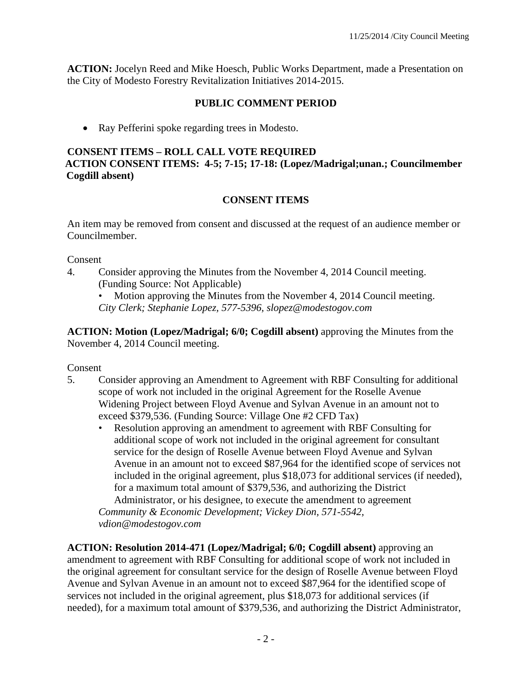**ACTION:** Jocelyn Reed and Mike Hoesch, Public Works Department, made a Presentation on the City of Modesto Forestry Revitalization Initiatives 2014-2015.

#### **PUBLIC COMMENT PERIOD**

• Ray Pefferini spoke regarding trees in Modesto.

#### **CONSENT ITEMS – ROLL CALL VOTE REQUIRED**

**ACTION CONSENT ITEMS: 4-5; 7-15; 17-18: (Lopez/Madrigal;unan.; Councilmember Cogdill absent)** 

#### **CONSENT ITEMS**

An item may be removed from consent and discussed at the request of an audience member or Councilmember.

#### Consent

4. Consider approving the Minutes from the November 4, 2014 Council meeting. (Funding Source: Not Applicable)

Motion approving the Minutes from the November 4, 2014 Council meeting. *City Clerk; Stephanie Lopez, 577-5396, slopez@modestogov.com* 

**ACTION: Motion (Lopez/Madrigal; 6/0; Cogdill absent)** approving the Minutes from the November 4, 2014 Council meeting.

#### Consent

- 5. Consider approving an Amendment to Agreement with RBF Consulting for additional scope of work not included in the original Agreement for the Roselle Avenue Widening Project between Floyd Avenue and Sylvan Avenue in an amount not to exceed \$379,536. (Funding Source: Village One #2 CFD Tax)
	- Resolution approving an amendment to agreement with RBF Consulting for additional scope of work not included in the original agreement for consultant service for the design of Roselle Avenue between Floyd Avenue and Sylvan Avenue in an amount not to exceed \$87,964 for the identified scope of services not included in the original agreement, plus \$18,073 for additional services (if needed), for a maximum total amount of \$379,536, and authorizing the District Administrator, or his designee, to execute the amendment to agreement *Community & Economic Development; Vickey Dion, 571-5542, vdion@modestogov.com*

**ACTION: Resolution 2014-471 (Lopez/Madrigal; 6/0; Cogdill absent)** approving an amendment to agreement with RBF Consulting for additional scope of work not included in the original agreement for consultant service for the design of Roselle Avenue between Floyd Avenue and Sylvan Avenue in an amount not to exceed \$87,964 for the identified scope of services not included in the original agreement, plus \$18,073 for additional services (if needed), for a maximum total amount of \$379,536, and authorizing the District Administrator,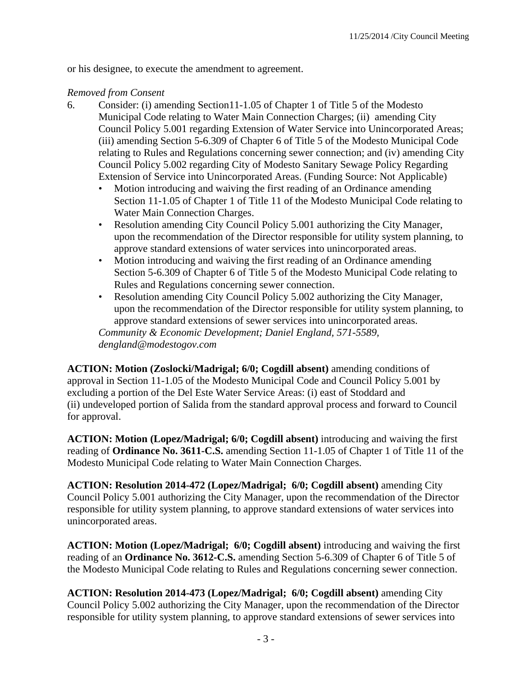or his designee, to execute the amendment to agreement.

#### *Removed from Consent*

- 6. Consider: (i) amending Section11-1.05 of Chapter 1 of Title 5 of the Modesto Municipal Code relating to Water Main Connection Charges; (ii) amending City Council Policy 5.001 regarding Extension of Water Service into Unincorporated Areas; (iii) amending Section 5-6.309 of Chapter 6 of Title 5 of the Modesto Municipal Code relating to Rules and Regulations concerning sewer connection; and (iv) amending City Council Policy 5.002 regarding City of Modesto Sanitary Sewage Policy Regarding Extension of Service into Unincorporated Areas. (Funding Source: Not Applicable)
	- Motion introducing and waiving the first reading of an Ordinance amending Section 11-1.05 of Chapter 1 of Title 11 of the Modesto Municipal Code relating to Water Main Connection Charges.
	- Resolution amending City Council Policy 5.001 authorizing the City Manager, upon the recommendation of the Director responsible for utility system planning, to approve standard extensions of water services into unincorporated areas.
	- Motion introducing and waiving the first reading of an Ordinance amending Section 5-6.309 of Chapter 6 of Title 5 of the Modesto Municipal Code relating to Rules and Regulations concerning sewer connection.
	- Resolution amending City Council Policy 5.002 authorizing the City Manager, upon the recommendation of the Director responsible for utility system planning, to approve standard extensions of sewer services into unincorporated areas.

*Community & Economic Development; Daniel England, 571-5589, dengland@modestogov.com* 

**ACTION: Motion (Zoslocki/Madrigal; 6/0; Cogdill absent)** amending conditions of approval in Section 11-1.05 of the Modesto Municipal Code and Council Policy 5.001 by excluding a portion of the Del Este Water Service Areas: (i) east of Stoddard and (ii) undeveloped portion of Salida from the standard approval process and forward to Council for approval.

**ACTION: Motion (Lopez/Madrigal; 6/0; Cogdill absent)** introducing and waiving the first reading of **Ordinance No. 3611-C.S.** amending Section 11-1.05 of Chapter 1 of Title 11 of the Modesto Municipal Code relating to Water Main Connection Charges.

**ACTION: Resolution 2014-472 (Lopez/Madrigal; 6/0; Cogdill absent)** amending City Council Policy 5.001 authorizing the City Manager, upon the recommendation of the Director responsible for utility system planning, to approve standard extensions of water services into unincorporated areas.

**ACTION: Motion (Lopez/Madrigal; 6/0; Cogdill absent)** introducing and waiving the first reading of an **Ordinance No. 3612-C.S.** amending Section 5-6.309 of Chapter 6 of Title 5 of the Modesto Municipal Code relating to Rules and Regulations concerning sewer connection.

**ACTION: Resolution 2014-473 (Lopez/Madrigal; 6/0; Cogdill absent)** amending City Council Policy 5.002 authorizing the City Manager, upon the recommendation of the Director responsible for utility system planning, to approve standard extensions of sewer services into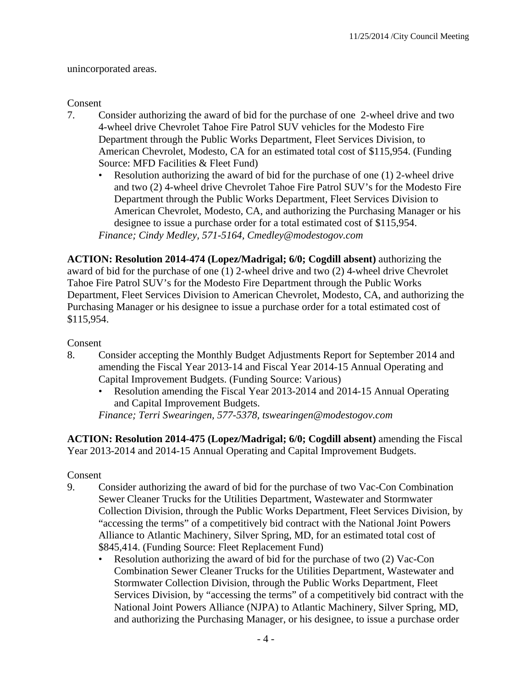unincorporated areas.

#### Consent

- 7. Consider authorizing the award of bid for the purchase of one 2-wheel drive and two 4-wheel drive Chevrolet Tahoe Fire Patrol SUV vehicles for the Modesto Fire Department through the Public Works Department, Fleet Services Division, to American Chevrolet, Modesto, CA for an estimated total cost of \$115,954. (Funding Source: MFD Facilities & Fleet Fund)
	- Resolution authorizing the award of bid for the purchase of one (1) 2-wheel drive and two (2) 4-wheel drive Chevrolet Tahoe Fire Patrol SUV's for the Modesto Fire Department through the Public Works Department, Fleet Services Division to American Chevrolet, Modesto, CA, and authorizing the Purchasing Manager or his designee to issue a purchase order for a total estimated cost of \$115,954. *Finance; Cindy Medley, 571-5164, Cmedley@modestogov.com*

**ACTION: Resolution 2014-474 (Lopez/Madrigal; 6/0; Cogdill absent)** authorizing the award of bid for the purchase of one (1) 2-wheel drive and two (2) 4-wheel drive Chevrolet Tahoe Fire Patrol SUV's for the Modesto Fire Department through the Public Works Department, Fleet Services Division to American Chevrolet, Modesto, CA, and authorizing the Purchasing Manager or his designee to issue a purchase order for a total estimated cost of \$115,954.

#### Consent

- 8. Consider accepting the Monthly Budget Adjustments Report for September 2014 and amending the Fiscal Year 2013-14 and Fiscal Year 2014-15 Annual Operating and Capital Improvement Budgets. (Funding Source: Various)
	- Resolution amending the Fiscal Year 2013-2014 and 2014-15 Annual Operating and Capital Improvement Budgets.

*Finance; Terri Swearingen, 577-5378, tswearingen@modestogov.com* 

**ACTION: Resolution 2014-475 (Lopez/Madrigal; 6/0; Cogdill absent)** amending the Fiscal Year 2013-2014 and 2014-15 Annual Operating and Capital Improvement Budgets.

- 9. Consider authorizing the award of bid for the purchase of two Vac-Con Combination Sewer Cleaner Trucks for the Utilities Department, Wastewater and Stormwater Collection Division, through the Public Works Department, Fleet Services Division, by "accessing the terms" of a competitively bid contract with the National Joint Powers Alliance to Atlantic Machinery, Silver Spring, MD, for an estimated total cost of \$845,414. (Funding Source: Fleet Replacement Fund)
	- Resolution authorizing the award of bid for the purchase of two (2) Vac-Con Combination Sewer Cleaner Trucks for the Utilities Department, Wastewater and Stormwater Collection Division, through the Public Works Department, Fleet Services Division, by "accessing the terms" of a competitively bid contract with the National Joint Powers Alliance (NJPA) to Atlantic Machinery, Silver Spring, MD, and authorizing the Purchasing Manager, or his designee, to issue a purchase order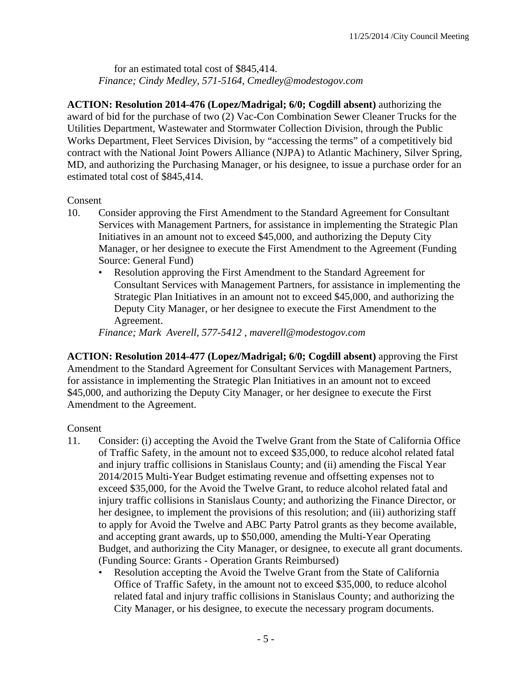for an estimated total cost of \$845,414. *Finance; Cindy Medley, 571-5164, Cmedley@modestogov.com* 

**ACTION: Resolution 2014-476 (Lopez/Madrigal; 6/0; Cogdill absent)** authorizing the award of bid for the purchase of two (2) Vac-Con Combination Sewer Cleaner Trucks for the Utilities Department, Wastewater and Stormwater Collection Division, through the Public Works Department, Fleet Services Division, by "accessing the terms" of a competitively bid contract with the National Joint Powers Alliance (NJPA) to Atlantic Machinery, Silver Spring, MD, and authorizing the Purchasing Manager, or his designee, to issue a purchase order for an estimated total cost of \$845,414.

#### Consent

- 10. Consider approving the First Amendment to the Standard Agreement for Consultant Services with Management Partners, for assistance in implementing the Strategic Plan Initiatives in an amount not to exceed \$45,000, and authorizing the Deputy City Manager, or her designee to execute the First Amendment to the Agreement (Funding Source: General Fund)
	- Resolution approving the First Amendment to the Standard Agreement for Consultant Services with Management Partners, for assistance in implementing the Strategic Plan Initiatives in an amount not to exceed \$45,000, and authorizing the Deputy City Manager, or her designee to execute the First Amendment to the Agreement.

*Finance; Mark Averell, 577-5412 , maverell@modestogov.com* 

**ACTION: Resolution 2014-477 (Lopez/Madrigal; 6/0; Cogdill absent)** approving the First Amendment to the Standard Agreement for Consultant Services with Management Partners, for assistance in implementing the Strategic Plan Initiatives in an amount not to exceed \$45,000, and authorizing the Deputy City Manager, or her designee to execute the First Amendment to the Agreement.

- 11. Consider: (i) accepting the Avoid the Twelve Grant from the State of California Office of Traffic Safety, in the amount not to exceed \$35,000, to reduce alcohol related fatal and injury traffic collisions in Stanislaus County; and (ii) amending the Fiscal Year 2014/2015 Multi-Year Budget estimating revenue and offsetting expenses not to exceed \$35,000, for the Avoid the Twelve Grant, to reduce alcohol related fatal and injury traffic collisions in Stanislaus County; and authorizing the Finance Director, or her designee, to implement the provisions of this resolution; and (iii) authorizing staff to apply for Avoid the Twelve and ABC Party Patrol grants as they become available, and accepting grant awards, up to \$50,000, amending the Multi-Year Operating Budget, and authorizing the City Manager, or designee, to execute all grant documents. (Funding Source: Grants - Operation Grants Reimbursed)
	- Resolution accepting the Avoid the Twelve Grant from the State of California Office of Traffic Safety, in the amount not to exceed \$35,000, to reduce alcohol related fatal and injury traffic collisions in Stanislaus County; and authorizing the City Manager, or his designee, to execute the necessary program documents.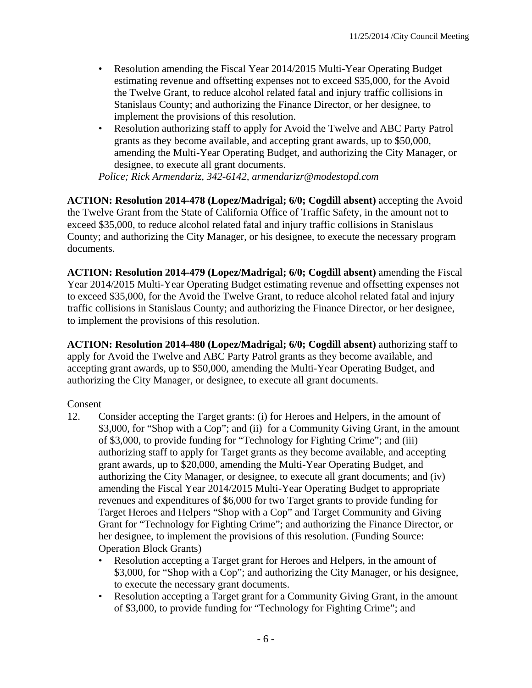- Resolution amending the Fiscal Year 2014/2015 Multi-Year Operating Budget estimating revenue and offsetting expenses not to exceed \$35,000, for the Avoid the Twelve Grant, to reduce alcohol related fatal and injury traffic collisions in Stanislaus County; and authorizing the Finance Director, or her designee, to implement the provisions of this resolution.
- Resolution authorizing staff to apply for Avoid the Twelve and ABC Party Patrol grants as they become available, and accepting grant awards, up to \$50,000, amending the Multi-Year Operating Budget, and authorizing the City Manager, or designee, to execute all grant documents.

*Police; Rick Armendariz, 342-6142, armendarizr@modestopd.com* 

**ACTION: Resolution 2014-478 (Lopez/Madrigal; 6/0; Cogdill absent)** accepting the Avoid the Twelve Grant from the State of California Office of Traffic Safety, in the amount not to exceed \$35,000, to reduce alcohol related fatal and injury traffic collisions in Stanislaus County; and authorizing the City Manager, or his designee, to execute the necessary program documents.

**ACTION: Resolution 2014-479 (Lopez/Madrigal; 6/0; Cogdill absent)** amending the Fiscal Year 2014/2015 Multi-Year Operating Budget estimating revenue and offsetting expenses not to exceed \$35,000, for the Avoid the Twelve Grant, to reduce alcohol related fatal and injury traffic collisions in Stanislaus County; and authorizing the Finance Director, or her designee, to implement the provisions of this resolution.

**ACTION: Resolution 2014-480 (Lopez/Madrigal; 6/0; Cogdill absent)** authorizing staff to apply for Avoid the Twelve and ABC Party Patrol grants as they become available, and accepting grant awards, up to \$50,000, amending the Multi-Year Operating Budget, and authorizing the City Manager, or designee, to execute all grant documents.

- 12. Consider accepting the Target grants: (i) for Heroes and Helpers, in the amount of \$3,000, for "Shop with a Cop"; and (ii) for a Community Giving Grant, in the amount of \$3,000, to provide funding for "Technology for Fighting Crime"; and (iii) authorizing staff to apply for Target grants as they become available, and accepting grant awards, up to \$20,000, amending the Multi-Year Operating Budget, and authorizing the City Manager, or designee, to execute all grant documents; and (iv) amending the Fiscal Year 2014/2015 Multi-Year Operating Budget to appropriate revenues and expenditures of \$6,000 for two Target grants to provide funding for Target Heroes and Helpers "Shop with a Cop" and Target Community and Giving Grant for "Technology for Fighting Crime"; and authorizing the Finance Director, or her designee, to implement the provisions of this resolution. (Funding Source: Operation Block Grants)
	- Resolution accepting a Target grant for Heroes and Helpers, in the amount of \$3,000, for "Shop with a Cop"; and authorizing the City Manager, or his designee, to execute the necessary grant documents.
	- Resolution accepting a Target grant for a Community Giving Grant, in the amount of \$3,000, to provide funding for "Technology for Fighting Crime"; and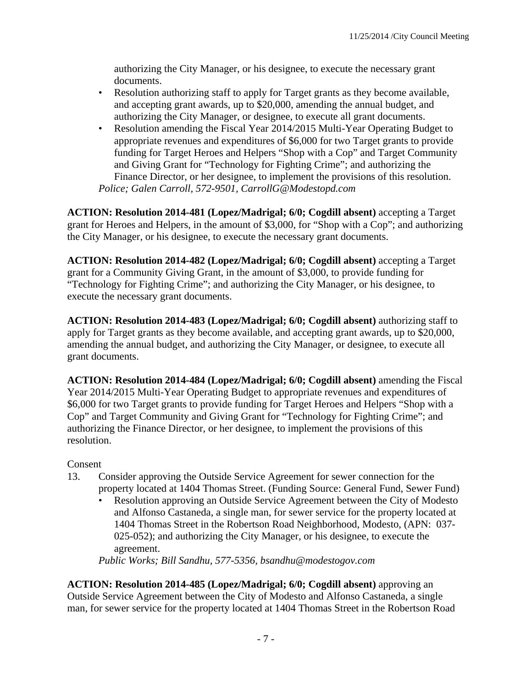authorizing the City Manager, or his designee, to execute the necessary grant documents.

- Resolution authorizing staff to apply for Target grants as they become available, and accepting grant awards, up to \$20,000, amending the annual budget, and authorizing the City Manager, or designee, to execute all grant documents.
- Resolution amending the Fiscal Year 2014/2015 Multi-Year Operating Budget to appropriate revenues and expenditures of \$6,000 for two Target grants to provide funding for Target Heroes and Helpers "Shop with a Cop" and Target Community and Giving Grant for "Technology for Fighting Crime"; and authorizing the Finance Director, or her designee, to implement the provisions of this resolution. *Police; Galen Carroll, 572-9501, CarrollG@Modestopd.com*

**ACTION: Resolution 2014-481 (Lopez/Madrigal; 6/0; Cogdill absent)** accepting a Target grant for Heroes and Helpers, in the amount of \$3,000, for "Shop with a Cop"; and authorizing the City Manager, or his designee, to execute the necessary grant documents.

**ACTION: Resolution 2014-482 (Lopez/Madrigal; 6/0; Cogdill absent)** accepting a Target grant for a Community Giving Grant, in the amount of \$3,000, to provide funding for "Technology for Fighting Crime"; and authorizing the City Manager, or his designee, to execute the necessary grant documents.

**ACTION: Resolution 2014-483 (Lopez/Madrigal; 6/0; Cogdill absent)** authorizing staff to apply for Target grants as they become available, and accepting grant awards, up to \$20,000, amending the annual budget, and authorizing the City Manager, or designee, to execute all grant documents.

**ACTION: Resolution 2014-484 (Lopez/Madrigal; 6/0; Cogdill absent)** amending the Fiscal Year 2014/2015 Multi-Year Operating Budget to appropriate revenues and expenditures of \$6,000 for two Target grants to provide funding for Target Heroes and Helpers "Shop with a Cop" and Target Community and Giving Grant for "Technology for Fighting Crime"; and authorizing the Finance Director, or her designee, to implement the provisions of this resolution.

#### Consent

- 13. Consider approving the Outside Service Agreement for sewer connection for the property located at 1404 Thomas Street. (Funding Source: General Fund, Sewer Fund)
	- Resolution approving an Outside Service Agreement between the City of Modesto and Alfonso Castaneda, a single man, for sewer service for the property located at 1404 Thomas Street in the Robertson Road Neighborhood, Modesto, (APN: 037- 025-052); and authorizing the City Manager, or his designee, to execute the agreement.

*Public Works; Bill Sandhu, 577-5356, bsandhu@modestogov.com* 

**ACTION: Resolution 2014-485 (Lopez/Madrigal; 6/0; Cogdill absent)** approving an Outside Service Agreement between the City of Modesto and Alfonso Castaneda, a single man, for sewer service for the property located at 1404 Thomas Street in the Robertson Road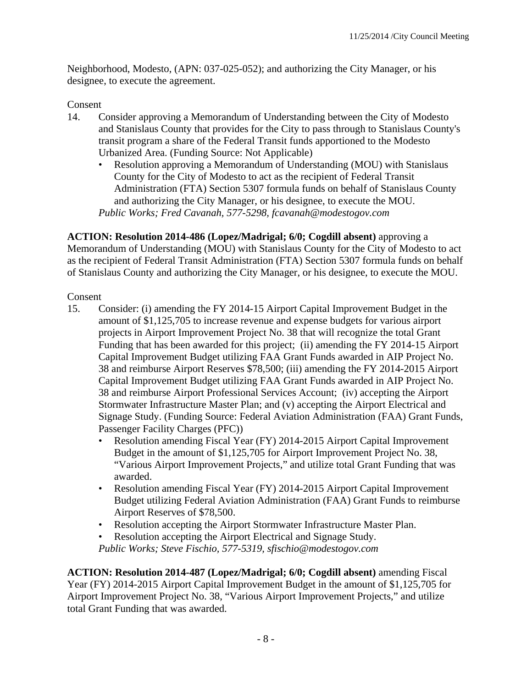Neighborhood, Modesto, (APN: 037-025-052); and authorizing the City Manager, or his designee, to execute the agreement.

#### Consent

- 14. Consider approving a Memorandum of Understanding between the City of Modesto and Stanislaus County that provides for the City to pass through to Stanislaus County's transit program a share of the Federal Transit funds apportioned to the Modesto Urbanized Area. (Funding Source: Not Applicable)
	- Resolution approving a Memorandum of Understanding (MOU) with Stanislaus County for the City of Modesto to act as the recipient of Federal Transit Administration (FTA) Section 5307 formula funds on behalf of Stanislaus County and authorizing the City Manager, or his designee, to execute the MOU. *Public Works; Fred Cavanah, 577-5298, fcavanah@modestogov.com*

**ACTION: Resolution 2014-486 (Lopez/Madrigal; 6/0; Cogdill absent)** approving a Memorandum of Understanding (MOU) with Stanislaus County for the City of Modesto to act as the recipient of Federal Transit Administration (FTA) Section 5307 formula funds on behalf of Stanislaus County and authorizing the City Manager, or his designee, to execute the MOU.

#### Consent

- 15. Consider: (i) amending the FY 2014-15 Airport Capital Improvement Budget in the amount of \$1,125,705 to increase revenue and expense budgets for various airport projects in Airport Improvement Project No. 38 that will recognize the total Grant Funding that has been awarded for this project; (ii) amending the FY 2014-15 Airport Capital Improvement Budget utilizing FAA Grant Funds awarded in AIP Project No. 38 and reimburse Airport Reserves \$78,500; (iii) amending the FY 2014-2015 Airport Capital Improvement Budget utilizing FAA Grant Funds awarded in AIP Project No. 38 and reimburse Airport Professional Services Account; (iv) accepting the Airport Stormwater Infrastructure Master Plan; and (v) accepting the Airport Electrical and Signage Study. (Funding Source: Federal Aviation Administration (FAA) Grant Funds, Passenger Facility Charges (PFC))
	- Resolution amending Fiscal Year (FY) 2014-2015 Airport Capital Improvement Budget in the amount of \$1,125,705 for Airport Improvement Project No. 38, "Various Airport Improvement Projects," and utilize total Grant Funding that was awarded.
	- Resolution amending Fiscal Year (FY) 2014-2015 Airport Capital Improvement Budget utilizing Federal Aviation Administration (FAA) Grant Funds to reimburse Airport Reserves of \$78,500.
	- Resolution accepting the Airport Stormwater Infrastructure Master Plan.
	- Resolution accepting the Airport Electrical and Signage Study. *Public Works; Steve Fischio, 577-5319, sfischio@modestogov.com*

**ACTION: Resolution 2014-487 (Lopez/Madrigal; 6/0; Cogdill absent)** amending Fiscal Year (FY) 2014-2015 Airport Capital Improvement Budget in the amount of \$1,125,705 for Airport Improvement Project No. 38, "Various Airport Improvement Projects," and utilize total Grant Funding that was awarded.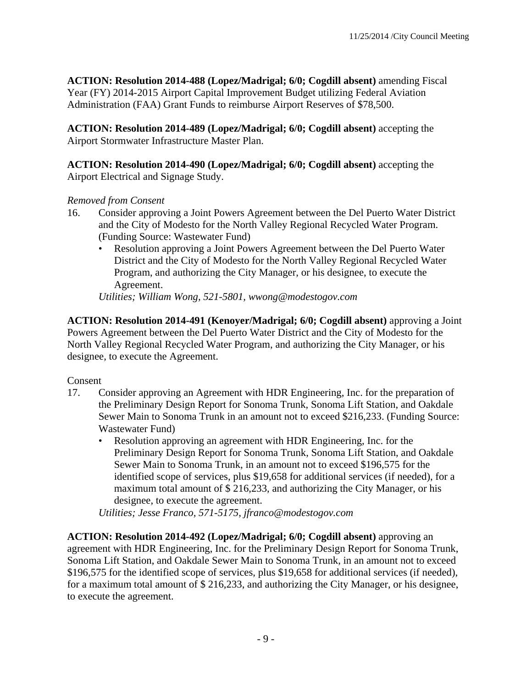**ACTION: Resolution 2014-488 (Lopez/Madrigal; 6/0; Cogdill absent)** amending Fiscal Year (FY) 2014-2015 Airport Capital Improvement Budget utilizing Federal Aviation Administration (FAA) Grant Funds to reimburse Airport Reserves of \$78,500.

**ACTION: Resolution 2014-489 (Lopez/Madrigal; 6/0; Cogdill absent)** accepting the Airport Stormwater Infrastructure Master Plan.

**ACTION: Resolution 2014-490 (Lopez/Madrigal; 6/0; Cogdill absent)** accepting the Airport Electrical and Signage Study.

#### *Removed from Consent*

- 16. Consider approving a Joint Powers Agreement between the Del Puerto Water District and the City of Modesto for the North Valley Regional Recycled Water Program. (Funding Source: Wastewater Fund)
	- Resolution approving a Joint Powers Agreement between the Del Puerto Water District and the City of Modesto for the North Valley Regional Recycled Water Program, and authorizing the City Manager, or his designee, to execute the Agreement.

*Utilities; William Wong, 521-5801, wwong@modestogov.com* 

**ACTION: Resolution 2014-491 (Kenoyer/Madrigal; 6/0; Cogdill absent)** approving a Joint Powers Agreement between the Del Puerto Water District and the City of Modesto for the North Valley Regional Recycled Water Program, and authorizing the City Manager, or his designee, to execute the Agreement.

#### Consent

- 17. Consider approving an Agreement with HDR Engineering, Inc. for the preparation of the Preliminary Design Report for Sonoma Trunk, Sonoma Lift Station, and Oakdale Sewer Main to Sonoma Trunk in an amount not to exceed \$216,233. (Funding Source: Wastewater Fund)
	- Resolution approving an agreement with HDR Engineering, Inc. for the Preliminary Design Report for Sonoma Trunk, Sonoma Lift Station, and Oakdale Sewer Main to Sonoma Trunk, in an amount not to exceed \$196,575 for the identified scope of services, plus \$19,658 for additional services (if needed), for a maximum total amount of \$ 216,233, and authorizing the City Manager, or his designee, to execute the agreement.

*Utilities; Jesse Franco, 571-5175, jfranco@modestogov.com* 

**ACTION: Resolution 2014-492 (Lopez/Madrigal; 6/0; Cogdill absent)** approving an agreement with HDR Engineering, Inc. for the Preliminary Design Report for Sonoma Trunk, Sonoma Lift Station, and Oakdale Sewer Main to Sonoma Trunk, in an amount not to exceed \$196,575 for the identified scope of services, plus \$19,658 for additional services (if needed), for a maximum total amount of \$ 216,233, and authorizing the City Manager, or his designee, to execute the agreement.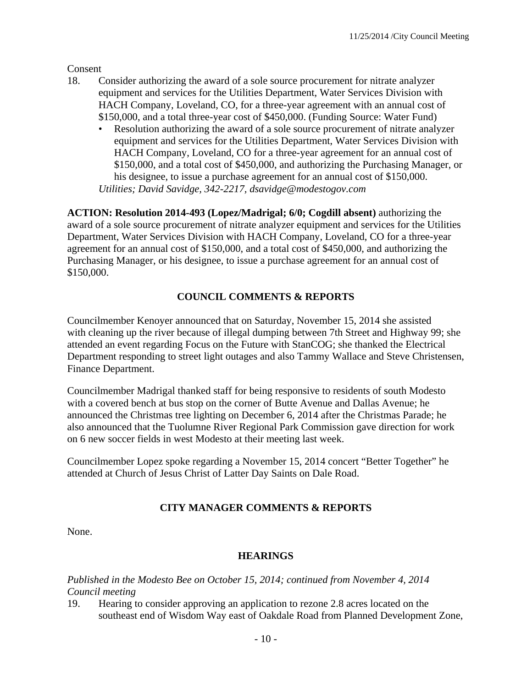Consent

- 18. Consider authorizing the award of a sole source procurement for nitrate analyzer equipment and services for the Utilities Department, Water Services Division with HACH Company, Loveland, CO, for a three-year agreement with an annual cost of \$150,000, and a total three-year cost of \$450,000. (Funding Source: Water Fund)
	- Resolution authorizing the award of a sole source procurement of nitrate analyzer equipment and services for the Utilities Department, Water Services Division with HACH Company, Loveland, CO for a three-year agreement for an annual cost of \$150,000, and a total cost of \$450,000, and authorizing the Purchasing Manager, or his designee, to issue a purchase agreement for an annual cost of \$150,000. *Utilities; David Savidge, 342-2217, dsavidge@modestogov.com*

**ACTION: Resolution 2014-493 (Lopez/Madrigal; 6/0; Cogdill absent)** authorizing the award of a sole source procurement of nitrate analyzer equipment and services for the Utilities Department, Water Services Division with HACH Company, Loveland, CO for a three-year agreement for an annual cost of \$150,000, and a total cost of \$450,000, and authorizing the Purchasing Manager, or his designee, to issue a purchase agreement for an annual cost of \$150,000.

# **COUNCIL COMMENTS & REPORTS**

Councilmember Kenoyer announced that on Saturday, November 15, 2014 she assisted with cleaning up the river because of illegal dumping between 7th Street and Highway 99; she attended an event regarding Focus on the Future with StanCOG; she thanked the Electrical Department responding to street light outages and also Tammy Wallace and Steve Christensen, Finance Department.

Councilmember Madrigal thanked staff for being responsive to residents of south Modesto with a covered bench at bus stop on the corner of Butte Avenue and Dallas Avenue; he announced the Christmas tree lighting on December 6, 2014 after the Christmas Parade; he also announced that the Tuolumne River Regional Park Commission gave direction for work on 6 new soccer fields in west Modesto at their meeting last week.

Councilmember Lopez spoke regarding a November 15, 2014 concert "Better Together" he attended at Church of Jesus Christ of Latter Day Saints on Dale Road.

#### **CITY MANAGER COMMENTS & REPORTS**

None.

#### **HEARINGS**

*Published in the Modesto Bee on October 15, 2014; continued from November 4, 2014 Council meeting* 

19. Hearing to consider approving an application to rezone 2.8 acres located on the southeast end of Wisdom Way east of Oakdale Road from Planned Development Zone,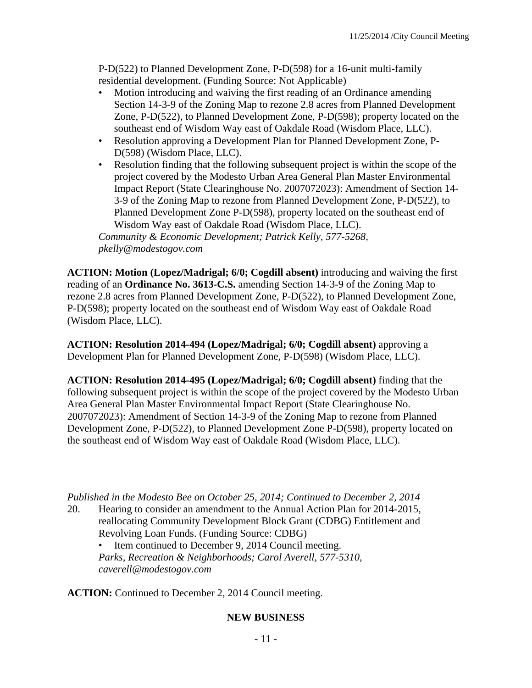P-D(522) to Planned Development Zone, P-D(598) for a 16-unit multi-family residential development. (Funding Source: Not Applicable)

- Motion introducing and waiving the first reading of an Ordinance amending Section 14-3-9 of the Zoning Map to rezone 2.8 acres from Planned Development Zone, P-D(522), to Planned Development Zone, P-D(598); property located on the southeast end of Wisdom Way east of Oakdale Road (Wisdom Place, LLC).
- Resolution approving a Development Plan for Planned Development Zone, P-D(598) (Wisdom Place, LLC).
- Resolution finding that the following subsequent project is within the scope of the project covered by the Modesto Urban Area General Plan Master Environmental Impact Report (State Clearinghouse No. 2007072023): Amendment of Section 14- 3-9 of the Zoning Map to rezone from Planned Development Zone, P-D(522), to Planned Development Zone P-D(598), property located on the southeast end of Wisdom Way east of Oakdale Road (Wisdom Place, LLC).

*Community & Economic Development; Patrick Kelly, 577-5268, pkelly@modestogov.com* 

**ACTION: Motion (Lopez/Madrigal; 6/0; Cogdill absent)** introducing and waiving the first reading of an **Ordinance No. 3613-C.S.** amending Section 14-3-9 of the Zoning Map to rezone 2.8 acres from Planned Development Zone, P-D(522), to Planned Development Zone, P-D(598); property located on the southeast end of Wisdom Way east of Oakdale Road (Wisdom Place, LLC).

**ACTION: Resolution 2014-494 (Lopez/Madrigal; 6/0; Cogdill absent)** approving a Development Plan for Planned Development Zone, P-D(598) (Wisdom Place, LLC).

**ACTION: Resolution 2014-495 (Lopez/Madrigal; 6/0; Cogdill absent)** finding that the following subsequent project is within the scope of the project covered by the Modesto Urban Area General Plan Master Environmental Impact Report (State Clearinghouse No. 2007072023): Amendment of Section 14-3-9 of the Zoning Map to rezone from Planned Development Zone, P-D(522), to Planned Development Zone P-D(598), property located on the southeast end of Wisdom Way east of Oakdale Road (Wisdom Place, LLC).

*Published in the Modesto Bee on October 25, 2014; Continued to December 2, 2014* 

20. Hearing to consider an amendment to the Annual Action Plan for 2014-2015, reallocating Community Development Block Grant (CDBG) Entitlement and Revolving Loan Funds. (Funding Source: CDBG)

Item continued to December 9, 2014 Council meeting. *Parks, Recreation & Neighborhoods; Carol Averell, 577-5310, caverell@modestogov.com* 

**ACTION:** Continued to December 2, 2014 Council meeting.

#### **NEW BUSINESS**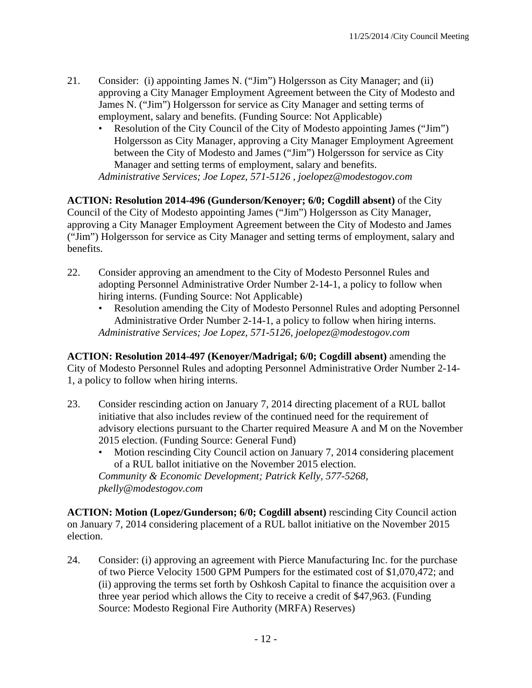- 21. Consider: (i) appointing James N. ("Jim") Holgersson as City Manager; and (ii) approving a City Manager Employment Agreement between the City of Modesto and James N. ("Jim") Holgersson for service as City Manager and setting terms of employment, salary and benefits. (Funding Source: Not Applicable)
	- Resolution of the City Council of the City of Modesto appointing James ("Jim") Holgersson as City Manager, approving a City Manager Employment Agreement between the City of Modesto and James ("Jim") Holgersson for service as City Manager and setting terms of employment, salary and benefits. *Administrative Services; Joe Lopez, 571-5126 , joelopez@modestogov.com*

**ACTION: Resolution 2014-496 (Gunderson/Kenoyer; 6/0; Cogdill absent)** of the City Council of the City of Modesto appointing James ("Jim") Holgersson as City Manager, approving a City Manager Employment Agreement between the City of Modesto and James ("Jim") Holgersson for service as City Manager and setting terms of employment, salary and benefits.

- 22. Consider approving an amendment to the City of Modesto Personnel Rules and adopting Personnel Administrative Order Number 2-14-1, a policy to follow when hiring interns. (Funding Source: Not Applicable)
	- Resolution amending the City of Modesto Personnel Rules and adopting Personnel Administrative Order Number 2-14-1, a policy to follow when hiring interns. *Administrative Services; Joe Lopez, 571-5126, joelopez@modestogov.com*

**ACTION: Resolution 2014-497 (Kenoyer/Madrigal; 6/0; Cogdill absent)** amending the City of Modesto Personnel Rules and adopting Personnel Administrative Order Number 2-14- 1, a policy to follow when hiring interns.

- 23. Consider rescinding action on January 7, 2014 directing placement of a RUL ballot initiative that also includes review of the continued need for the requirement of advisory elections pursuant to the Charter required Measure A and M on the November 2015 election. (Funding Source: General Fund)
	- Motion rescinding City Council action on January 7, 2014 considering placement of a RUL ballot initiative on the November 2015 election. *Community & Economic Development; Patrick Kelly, 577-5268, pkelly@modestogov.com*

**ACTION: Motion (Lopez/Gunderson; 6/0; Cogdill absent)** rescinding City Council action on January 7, 2014 considering placement of a RUL ballot initiative on the November 2015 election.

24. Consider: (i) approving an agreement with Pierce Manufacturing Inc. for the purchase of two Pierce Velocity 1500 GPM Pumpers for the estimated cost of \$1,070,472; and (ii) approving the terms set forth by Oshkosh Capital to finance the acquisition over a three year period which allows the City to receive a credit of \$47,963. (Funding Source: Modesto Regional Fire Authority (MRFA) Reserves)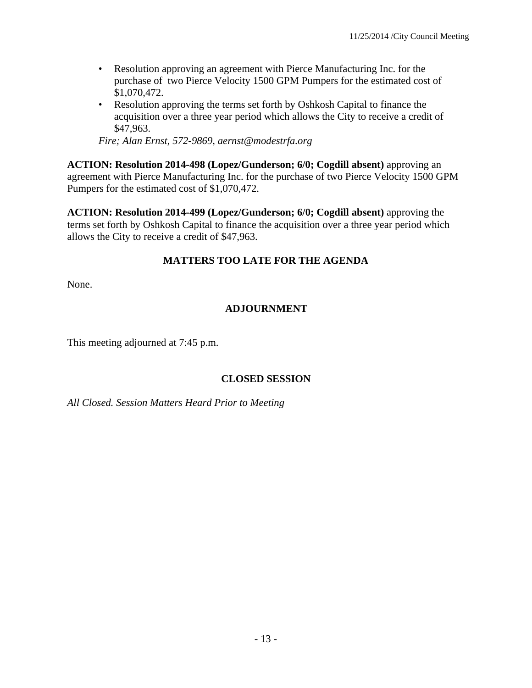- Resolution approving an agreement with Pierce Manufacturing Inc. for the purchase of two Pierce Velocity 1500 GPM Pumpers for the estimated cost of \$1,070,472.
- Resolution approving the terms set forth by Oshkosh Capital to finance the acquisition over a three year period which allows the City to receive a credit of \$47,963.

*Fire; Alan Ernst, 572-9869, aernst@modestrfa.org* 

**ACTION: Resolution 2014-498 (Lopez/Gunderson; 6/0; Cogdill absent)** approving an agreement with Pierce Manufacturing Inc. for the purchase of two Pierce Velocity 1500 GPM Pumpers for the estimated cost of \$1,070,472.

**ACTION: Resolution 2014-499 (Lopez/Gunderson; 6/0; Cogdill absent)** approving the terms set forth by Oshkosh Capital to finance the acquisition over a three year period which allows the City to receive a credit of \$47,963.

# **MATTERS TOO LATE FOR THE AGENDA**

None.

## **ADJOURNMENT**

This meeting adjourned at 7:45 p.m.

#### **CLOSED SESSION**

*All Closed. Session Matters Heard Prior to Meeting*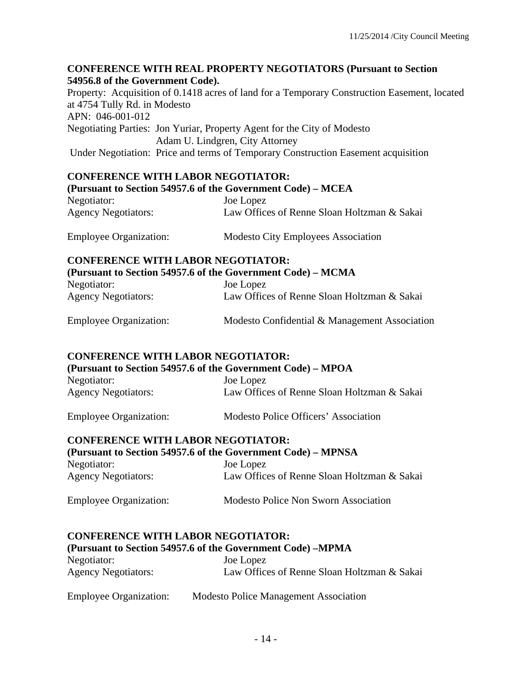## **CONFERENCE WITH REAL PROPERTY NEGOTIATORS (Pursuant to Section 54956.8 of the Government Code).**

Property: Acquisition of 0.1418 acres of land for a Temporary Construction Easement, located at 4754 Tully Rd. in Modesto APN: 046-001-012 Negotiating Parties: Jon Yuriar, Property Agent for the City of Modesto Adam U. Lindgren, City Attorney Under Negotiation: Price and terms of Temporary Construction Easement acquisition

#### **CONFERENCE WITH LABOR NEGOTIATOR:**

| (Pursuant to Section 54957.6 of the Government Code) – MCEA |                                             |
|-------------------------------------------------------------|---------------------------------------------|
| Negotiator:                                                 | Joe Lopez                                   |
| <b>Agency Negotiators:</b>                                  | Law Offices of Renne Sloan Holtzman & Sakai |

Employee Organization: Modesto City Employees Association

# **CONFERENCE WITH LABOR NEGOTIATOR:**

**(Pursuant to Section 54957.6 of the Government Code) – MCMA** 

| Negotiator:                | Joe Lopez                                   |
|----------------------------|---------------------------------------------|
| <b>Agency Negotiators:</b> | Law Offices of Renne Sloan Holtzman & Sakai |
|                            |                                             |

Employee Organization: Modesto Confidential & Management Association

# **CONFERENCE WITH LABOR NEGOTIATOR:**

**(Pursuant to Section 54957.6 of the Government Code) – MPOA**  Negotiator: Joe Lopez Agency Negotiators: Law Offices of Renne Sloan Holtzman & Sakai

Employee Organization: Modesto Police Officers' Association

# **CONFERENCE WITH LABOR NEGOTIATOR:**

| (Pursuant to Section 54957.6 of the Government Code) – MPNSA |                                             |  |
|--------------------------------------------------------------|---------------------------------------------|--|
| Negotiator:                                                  | Joe Lopez                                   |  |
| <b>Agency Negotiators:</b>                                   | Law Offices of Renne Sloan Holtzman & Sakai |  |
| <b>Employee Organization:</b>                                | Modesto Police Non Sworn Association        |  |

#### **CONFERENCE WITH LABOR NEGOTIATOR:**

#### **(Pursuant to Section 54957.6 of the Government Code) –MPMA**

| Negotiator:                | Joe Lopez                                   |
|----------------------------|---------------------------------------------|
| <b>Agency Negotiators:</b> | Law Offices of Renne Sloan Holtzman & Sakai |
|                            |                                             |

| <b>Employee Organization:</b> | <b>Modesto Police Management Association</b> |
|-------------------------------|----------------------------------------------|
|-------------------------------|----------------------------------------------|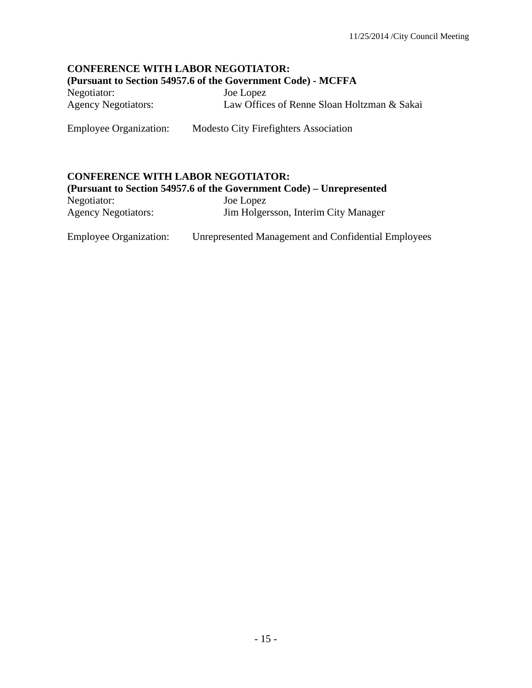#### **CONFERENCE WITH LABOR NEGOTIATOR: (Pursuant to Section 54957.6 of the Government Code) - MCFFA**

Negotiator: Joe Lopez Agency Negotiators: Law Offices of Renne Sloan Holtzman & Sakai

Employee Organization: Modesto City Firefighters Association

#### **CONFERENCE WITH LABOR NEGOTIATOR:**

|                            | (Pursuant to Section 54957.6 of the Government Code) – Unrepresented |
|----------------------------|----------------------------------------------------------------------|
| Negotiator:                | Joe Lopez                                                            |
| <b>Agency Negotiators:</b> | Jim Holgersson, Interim City Manager                                 |

Employee Organization: Unrepresented Management and Confidential Employees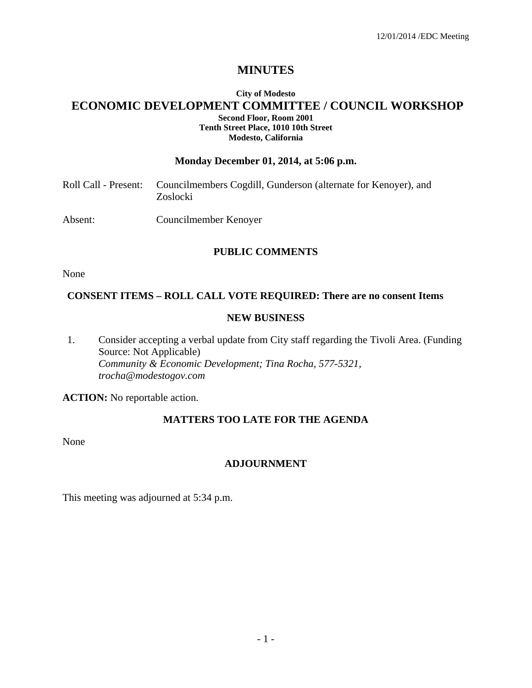# **MINUTES**

#### **City of Modesto ECONOMIC DEVELOPMENT COMMITTEE / COUNCIL WORKSHOP Second Floor, Room 2001 Tenth Street Place, 1010 10th Street Modesto, California**

#### **Monday December 01, 2014, at 5:06 p.m.**

|         | Roll Call - Present: Councilmembers Cogdill, Gunderson (alternate for Kenoyer), and<br>Zoslocki |
|---------|-------------------------------------------------------------------------------------------------|
| Absent: | Councilmember Kenoyer                                                                           |

#### **PUBLIC COMMENTS**

None

# **CONSENT ITEMS – ROLL CALL VOTE REQUIRED: There are no consent Items**

#### **NEW BUSINESS**

1. Consider accepting a verbal update from City staff regarding the Tivoli Area. (Funding Source: Not Applicable)  *Community & Economic Development; Tina Rocha, 577-5321, trocha@modestogov.com* 

**ACTION:** No reportable action.

#### **MATTERS TOO LATE FOR THE AGENDA**

None

#### **ADJOURNMENT**

This meeting was adjourned at 5:34 p.m.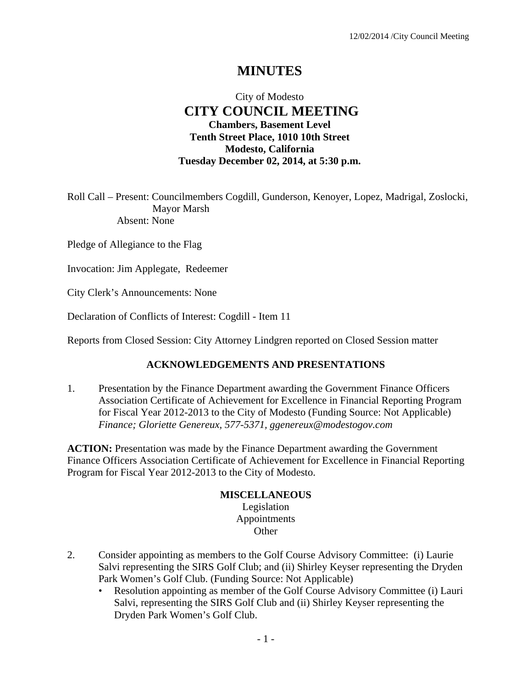# **MINUTES**

# City of Modesto  **CITY COUNCIL MEETING Chambers, Basement Level Tenth Street Place, 1010 10th Street Modesto, California Tuesday December 02, 2014, at 5:30 p.m.**

Roll Call – Present: Councilmembers Cogdill, Gunderson, Kenoyer, Lopez, Madrigal, Zoslocki, Mayor Marsh Absent: None

Pledge of Allegiance to the Flag

Invocation: Jim Applegate, Redeemer

City Clerk's Announcements: None

Declaration of Conflicts of Interest: Cogdill - Item 11

Reports from Closed Session: City Attorney Lindgren reported on Closed Session matter

#### **ACKNOWLEDGEMENTS AND PRESENTATIONS**

1. Presentation by the Finance Department awarding the Government Finance Officers Association Certificate of Achievement for Excellence in Financial Reporting Program for Fiscal Year 2012-2013 to the City of Modesto (Funding Source: Not Applicable)  *Finance; Gloriette Genereux, 577-5371, ggenereux@modestogov.com* 

**ACTION:** Presentation was made by the Finance Department awarding the Government Finance Officers Association Certificate of Achievement for Excellence in Financial Reporting Program for Fiscal Year 2012-2013 to the City of Modesto.

#### **MISCELLANEOUS**

Legislation Appointments **Other** 

- 2. Consider appointing as members to the Golf Course Advisory Committee: (i) Laurie Salvi representing the SIRS Golf Club; and (ii) Shirley Keyser representing the Dryden Park Women's Golf Club. (Funding Source: Not Applicable)
	- Resolution appointing as member of the Golf Course Advisory Committee (i) Lauri Salvi, representing the SIRS Golf Club and (ii) Shirley Keyser representing the Dryden Park Women's Golf Club.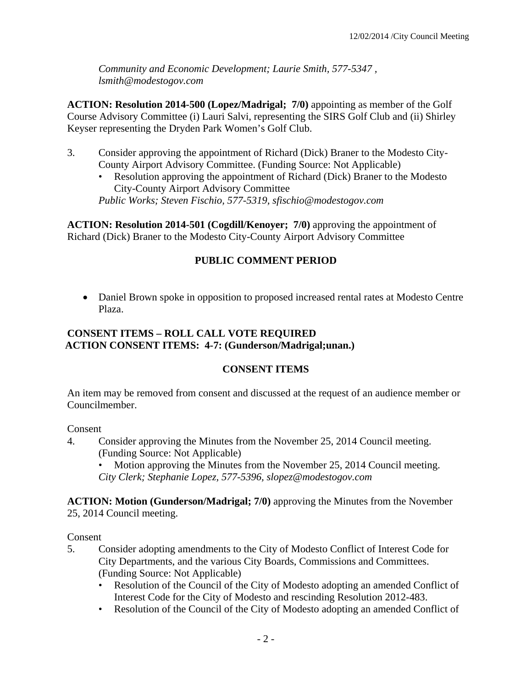*Community and Economic Development; Laurie Smith, 577-5347 , lsmith@modestogov.com* 

**ACTION: Resolution 2014-500 (Lopez/Madrigal; 7/0)** appointing as member of the Golf Course Advisory Committee (i) Lauri Salvi, representing the SIRS Golf Club and (ii) Shirley Keyser representing the Dryden Park Women's Golf Club.

- 3. Consider approving the appointment of Richard (Dick) Braner to the Modesto City-County Airport Advisory Committee. (Funding Source: Not Applicable)
	- Resolution approving the appointment of Richard (Dick) Braner to the Modesto City-County Airport Advisory Committee

*Public Works; Steven Fischio, 577-5319, sfischio@modestogov.com* 

**ACTION: Resolution 2014-501 (Cogdill/Kenoyer; 7/0)** approving the appointment of Richard (Dick) Braner to the Modesto City-County Airport Advisory Committee

## **PUBLIC COMMENT PERIOD**

 Daniel Brown spoke in opposition to proposed increased rental rates at Modesto Centre Plaza.

#### **CONSENT ITEMS – ROLL CALL VOTE REQUIRED ACTION CONSENT ITEMS: 4-7: (Gunderson/Madrigal;unan.)**

#### **CONSENT ITEMS**

An item may be removed from consent and discussed at the request of an audience member or Councilmember.

#### Consent

- 4. Consider approving the Minutes from the November 25, 2014 Council meeting. (Funding Source: Not Applicable)
	- Motion approving the Minutes from the November 25, 2014 Council meeting. *City Clerk; Stephanie Lopez, 577-5396, slopez@modestogov.com*

#### **ACTION: Motion (Gunderson/Madrigal; 7/0)** approving the Minutes from the November 25, 2014 Council meeting.

- 5. Consider adopting amendments to the City of Modesto Conflict of Interest Code for City Departments, and the various City Boards, Commissions and Committees. (Funding Source: Not Applicable)
	- Resolution of the Council of the City of Modesto adopting an amended Conflict of Interest Code for the City of Modesto and rescinding Resolution 2012-483.
	- Resolution of the Council of the City of Modesto adopting an amended Conflict of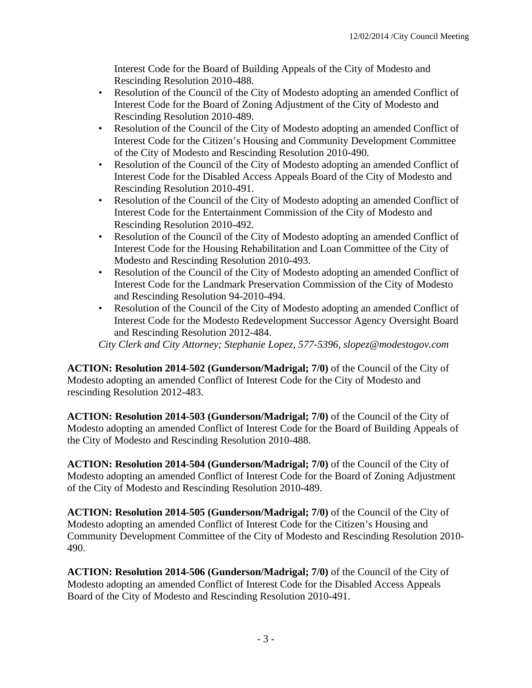Interest Code for the Board of Building Appeals of the City of Modesto and Rescinding Resolution 2010-488.

- Resolution of the Council of the City of Modesto adopting an amended Conflict of Interest Code for the Board of Zoning Adjustment of the City of Modesto and Rescinding Resolution 2010-489.
- Resolution of the Council of the City of Modesto adopting an amended Conflict of Interest Code for the Citizen's Housing and Community Development Committee of the City of Modesto and Rescinding Resolution 2010-490.
- Resolution of the Council of the City of Modesto adopting an amended Conflict of Interest Code for the Disabled Access Appeals Board of the City of Modesto and Rescinding Resolution 2010-491.
- Resolution of the Council of the City of Modesto adopting an amended Conflict of Interest Code for the Entertainment Commission of the City of Modesto and Rescinding Resolution 2010-492.
- Resolution of the Council of the City of Modesto adopting an amended Conflict of Interest Code for the Housing Rehabilitation and Loan Committee of the City of Modesto and Rescinding Resolution 2010-493.
- Resolution of the Council of the City of Modesto adopting an amended Conflict of Interest Code for the Landmark Preservation Commission of the City of Modesto and Rescinding Resolution 94-2010-494.
- Resolution of the Council of the City of Modesto adopting an amended Conflict of Interest Code for the Modesto Redevelopment Successor Agency Oversight Board and Rescinding Resolution 2012-484.

*City Clerk and City Attorney; Stephanie Lopez, 577-5396, slopez@modestogov.com* 

**ACTION: Resolution 2014-502 (Gunderson/Madrigal; 7/0)** of the Council of the City of Modesto adopting an amended Conflict of Interest Code for the City of Modesto and rescinding Resolution 2012-483.

**ACTION: Resolution 2014-503 (Gunderson/Madrigal; 7/0)** of the Council of the City of Modesto adopting an amended Conflict of Interest Code for the Board of Building Appeals of the City of Modesto and Rescinding Resolution 2010-488.

**ACTION: Resolution 2014-504 (Gunderson/Madrigal; 7/0)** of the Council of the City of Modesto adopting an amended Conflict of Interest Code for the Board of Zoning Adjustment of the City of Modesto and Rescinding Resolution 2010-489.

**ACTION: Resolution 2014-505 (Gunderson/Madrigal; 7/0)** of the Council of the City of Modesto adopting an amended Conflict of Interest Code for the Citizen's Housing and Community Development Committee of the City of Modesto and Rescinding Resolution 2010- 490.

**ACTION: Resolution 2014-506 (Gunderson/Madrigal; 7/0)** of the Council of the City of Modesto adopting an amended Conflict of Interest Code for the Disabled Access Appeals Board of the City of Modesto and Rescinding Resolution 2010-491.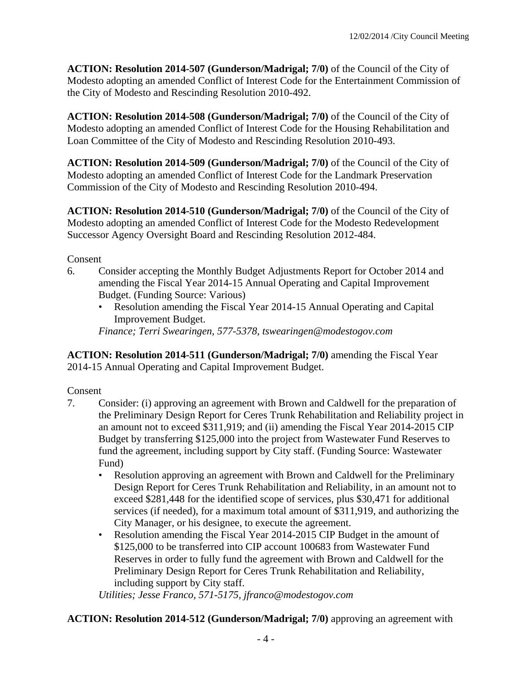**ACTION: Resolution 2014-507 (Gunderson/Madrigal; 7/0)** of the Council of the City of Modesto adopting an amended Conflict of Interest Code for the Entertainment Commission of the City of Modesto and Rescinding Resolution 2010-492.

**ACTION: Resolution 2014-508 (Gunderson/Madrigal; 7/0)** of the Council of the City of Modesto adopting an amended Conflict of Interest Code for the Housing Rehabilitation and Loan Committee of the City of Modesto and Rescinding Resolution 2010-493.

**ACTION: Resolution 2014-509 (Gunderson/Madrigal; 7/0)** of the Council of the City of Modesto adopting an amended Conflict of Interest Code for the Landmark Preservation Commission of the City of Modesto and Rescinding Resolution 2010-494.

**ACTION: Resolution 2014-510 (Gunderson/Madrigal; 7/0)** of the Council of the City of Modesto adopting an amended Conflict of Interest Code for the Modesto Redevelopment Successor Agency Oversight Board and Rescinding Resolution 2012-484.

#### Consent

- 6. Consider accepting the Monthly Budget Adjustments Report for October 2014 and amending the Fiscal Year 2014-15 Annual Operating and Capital Improvement Budget. (Funding Source: Various)
	- Resolution amending the Fiscal Year 2014-15 Annual Operating and Capital Improvement Budget.

*Finance; Terri Swearingen, 577-5378, tswearingen@modestogov.com* 

**ACTION: Resolution 2014-511 (Gunderson/Madrigal; 7/0)** amending the Fiscal Year 2014-15 Annual Operating and Capital Improvement Budget.

#### Consent

- 7. Consider: (i) approving an agreement with Brown and Caldwell for the preparation of the Preliminary Design Report for Ceres Trunk Rehabilitation and Reliability project in an amount not to exceed \$311,919; and (ii) amending the Fiscal Year 2014-2015 CIP Budget by transferring \$125,000 into the project from Wastewater Fund Reserves to fund the agreement, including support by City staff. (Funding Source: Wastewater Fund)
	- Resolution approving an agreement with Brown and Caldwell for the Preliminary Design Report for Ceres Trunk Rehabilitation and Reliability, in an amount not to exceed \$281,448 for the identified scope of services, plus \$30,471 for additional services (if needed), for a maximum total amount of \$311,919, and authorizing the City Manager, or his designee, to execute the agreement.
	- Resolution amending the Fiscal Year 2014-2015 CIP Budget in the amount of \$125,000 to be transferred into CIP account 100683 from Wastewater Fund Reserves in order to fully fund the agreement with Brown and Caldwell for the Preliminary Design Report for Ceres Trunk Rehabilitation and Reliability, including support by City staff.

*Utilities; Jesse Franco, 571-5175, jfranco@modestogov.com* 

# **ACTION: Resolution 2014-512 (Gunderson/Madrigal; 7/0)** approving an agreement with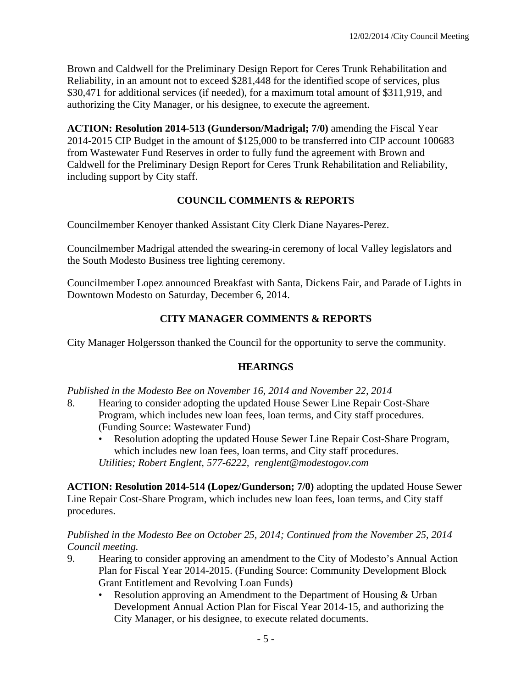Brown and Caldwell for the Preliminary Design Report for Ceres Trunk Rehabilitation and Reliability, in an amount not to exceed \$281,448 for the identified scope of services, plus \$30,471 for additional services (if needed), for a maximum total amount of \$311,919, and authorizing the City Manager, or his designee, to execute the agreement.

**ACTION: Resolution 2014-513 (Gunderson/Madrigal; 7/0)** amending the Fiscal Year 2014-2015 CIP Budget in the amount of \$125,000 to be transferred into CIP account 100683 from Wastewater Fund Reserves in order to fully fund the agreement with Brown and Caldwell for the Preliminary Design Report for Ceres Trunk Rehabilitation and Reliability, including support by City staff.

# **COUNCIL COMMENTS & REPORTS**

Councilmember Kenoyer thanked Assistant City Clerk Diane Nayares-Perez.

Councilmember Madrigal attended the swearing-in ceremony of local Valley legislators and the South Modesto Business tree lighting ceremony.

Councilmember Lopez announced Breakfast with Santa, Dickens Fair, and Parade of Lights in Downtown Modesto on Saturday, December 6, 2014.

# **CITY MANAGER COMMENTS & REPORTS**

City Manager Holgersson thanked the Council for the opportunity to serve the community.

# **HEARINGS**

*Published in the Modesto Bee on November 16, 2014 and November 22, 2014* 

- 8. Hearing to consider adopting the updated House Sewer Line Repair Cost-Share Program, which includes new loan fees, loan terms, and City staff procedures. (Funding Source: Wastewater Fund)
	- Resolution adopting the updated House Sewer Line Repair Cost-Share Program, which includes new loan fees, loan terms, and City staff procedures. *Utilities; Robert Englent, 577-6222, renglent@modestogov.com*

**ACTION: Resolution 2014-514 (Lopez/Gunderson; 7/0)** adopting the updated House Sewer Line Repair Cost-Share Program, which includes new loan fees, loan terms, and City staff procedures.

## *Published in the Modesto Bee on October 25, 2014; Continued from the November 25, 2014 Council meeting.*

- 9. Hearing to consider approving an amendment to the City of Modesto's Annual Action Plan for Fiscal Year 2014-2015. (Funding Source: Community Development Block Grant Entitlement and Revolving Loan Funds)
	- Resolution approving an Amendment to the Department of Housing & Urban Development Annual Action Plan for Fiscal Year 2014-15, and authorizing the City Manager, or his designee, to execute related documents.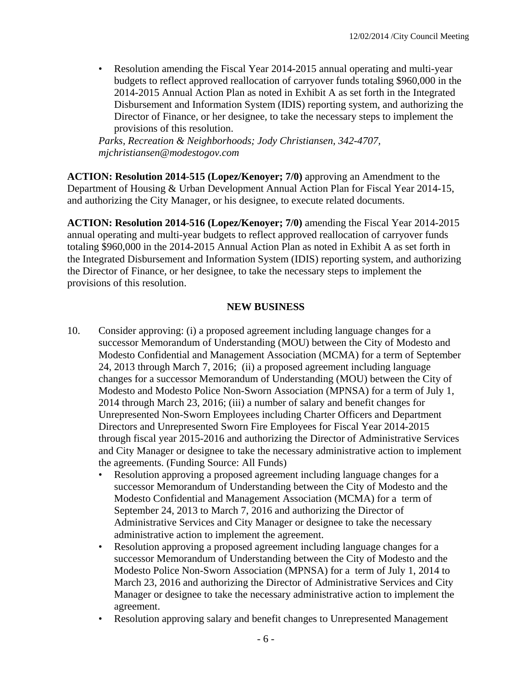• Resolution amending the Fiscal Year 2014-2015 annual operating and multi-year budgets to reflect approved reallocation of carryover funds totaling \$960,000 in the 2014-2015 Annual Action Plan as noted in Exhibit A as set forth in the Integrated Disbursement and Information System (IDIS) reporting system, and authorizing the Director of Finance, or her designee, to take the necessary steps to implement the provisions of this resolution.

*Parks, Recreation & Neighborhoods; Jody Christiansen, 342-4707, mjchristiansen@modestogov.com* 

**ACTION: Resolution 2014-515 (Lopez/Kenoyer; 7/0)** approving an Amendment to the Department of Housing & Urban Development Annual Action Plan for Fiscal Year 2014-15, and authorizing the City Manager, or his designee, to execute related documents.

**ACTION: Resolution 2014-516 (Lopez/Kenoyer; 7/0)** amending the Fiscal Year 2014-2015 annual operating and multi-year budgets to reflect approved reallocation of carryover funds totaling \$960,000 in the 2014-2015 Annual Action Plan as noted in Exhibit A as set forth in the Integrated Disbursement and Information System (IDIS) reporting system, and authorizing the Director of Finance, or her designee, to take the necessary steps to implement the provisions of this resolution.

#### **NEW BUSINESS**

- 10. Consider approving: (i) a proposed agreement including language changes for a successor Memorandum of Understanding (MOU) between the City of Modesto and Modesto Confidential and Management Association (MCMA) for a term of September 24, 2013 through March 7, 2016; (ii) a proposed agreement including language changes for a successor Memorandum of Understanding (MOU) between the City of Modesto and Modesto Police Non-Sworn Association (MPNSA) for a term of July 1, 2014 through March 23, 2016; (iii) a number of salary and benefit changes for Unrepresented Non-Sworn Employees including Charter Officers and Department Directors and Unrepresented Sworn Fire Employees for Fiscal Year 2014-2015 through fiscal year 2015-2016 and authorizing the Director of Administrative Services and City Manager or designee to take the necessary administrative action to implement the agreements. (Funding Source: All Funds)
	- Resolution approving a proposed agreement including language changes for a successor Memorandum of Understanding between the City of Modesto and the Modesto Confidential and Management Association (MCMA) for a term of September 24, 2013 to March 7, 2016 and authorizing the Director of Administrative Services and City Manager or designee to take the necessary administrative action to implement the agreement.
	- Resolution approving a proposed agreement including language changes for a successor Memorandum of Understanding between the City of Modesto and the Modesto Police Non-Sworn Association (MPNSA) for a term of July 1, 2014 to March 23, 2016 and authorizing the Director of Administrative Services and City Manager or designee to take the necessary administrative action to implement the agreement.
	- Resolution approving salary and benefit changes to Unrepresented Management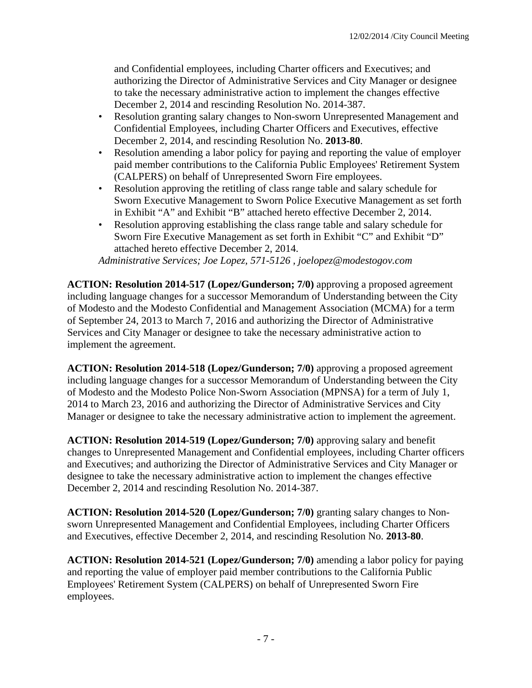and Confidential employees, including Charter officers and Executives; and authorizing the Director of Administrative Services and City Manager or designee to take the necessary administrative action to implement the changes effective December 2, 2014 and rescinding Resolution No. 2014-387.

- Resolution granting salary changes to Non-sworn Unrepresented Management and Confidential Employees, including Charter Officers and Executives, effective December 2, 2014, and rescinding Resolution No. **2013-80**.
- Resolution amending a labor policy for paying and reporting the value of employer paid member contributions to the California Public Employees' Retirement System (CALPERS) on behalf of Unrepresented Sworn Fire employees.
- Resolution approving the retitling of class range table and salary schedule for Sworn Executive Management to Sworn Police Executive Management as set forth in Exhibit "A" and Exhibit "B" attached hereto effective December 2, 2014.
- Resolution approving establishing the class range table and salary schedule for Sworn Fire Executive Management as set forth in Exhibit "C" and Exhibit "D" attached hereto effective December 2, 2014.

*Administrative Services; Joe Lopez, 571-5126 , joelopez@modestogov.com* 

**ACTION: Resolution 2014-517 (Lopez/Gunderson; 7/0)** approving a proposed agreement including language changes for a successor Memorandum of Understanding between the City of Modesto and the Modesto Confidential and Management Association (MCMA) for a term of September 24, 2013 to March 7, 2016 and authorizing the Director of Administrative Services and City Manager or designee to take the necessary administrative action to implement the agreement.

**ACTION: Resolution 2014-518 (Lopez/Gunderson; 7/0)** approving a proposed agreement including language changes for a successor Memorandum of Understanding between the City of Modesto and the Modesto Police Non-Sworn Association (MPNSA) for a term of July 1, 2014 to March 23, 2016 and authorizing the Director of Administrative Services and City Manager or designee to take the necessary administrative action to implement the agreement.

**ACTION: Resolution 2014-519 (Lopez/Gunderson; 7/0)** approving salary and benefit changes to Unrepresented Management and Confidential employees, including Charter officers and Executives; and authorizing the Director of Administrative Services and City Manager or designee to take the necessary administrative action to implement the changes effective December 2, 2014 and rescinding Resolution No. 2014-387.

**ACTION: Resolution 2014-520 (Lopez/Gunderson; 7/0)** granting salary changes to Nonsworn Unrepresented Management and Confidential Employees, including Charter Officers and Executives, effective December 2, 2014, and rescinding Resolution No. **2013-80**.

**ACTION: Resolution 2014-521 (Lopez/Gunderson; 7/0)** amending a labor policy for paying and reporting the value of employer paid member contributions to the California Public Employees' Retirement System (CALPERS) on behalf of Unrepresented Sworn Fire employees.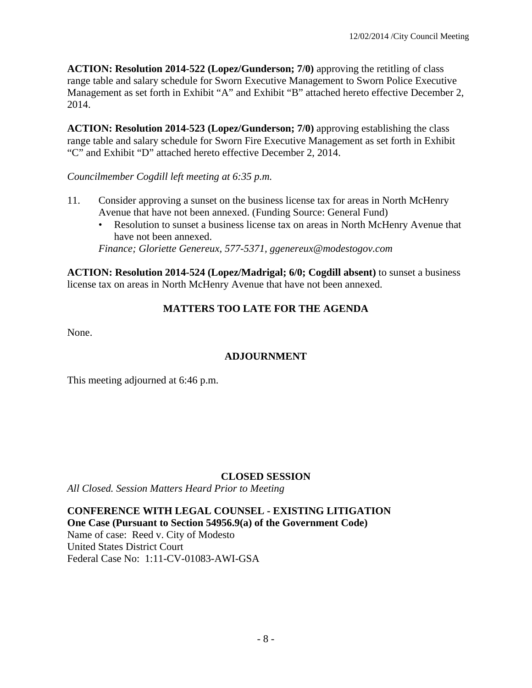**ACTION: Resolution 2014-522 (Lopez/Gunderson; 7/0)** approving the retitling of class range table and salary schedule for Sworn Executive Management to Sworn Police Executive Management as set forth in Exhibit "A" and Exhibit "B" attached hereto effective December 2, 2014.

**ACTION: Resolution 2014-523 (Lopez/Gunderson; 7/0)** approving establishing the class range table and salary schedule for Sworn Fire Executive Management as set forth in Exhibit "C" and Exhibit "D" attached hereto effective December 2, 2014.

*Councilmember Cogdill left meeting at 6:35 p.m.* 

- 11. Consider approving a sunset on the business license tax for areas in North McHenry Avenue that have not been annexed. (Funding Source: General Fund)
	- Resolution to sunset a business license tax on areas in North McHenry Avenue that have not been annexed.

*Finance; Gloriette Genereux, 577-5371, ggenereux@modestogov.com* 

**ACTION: Resolution 2014-524 (Lopez/Madrigal; 6/0; Cogdill absent)** to sunset a business license tax on areas in North McHenry Avenue that have not been annexed.

# **MATTERS TOO LATE FOR THE AGENDA**

None.

# **ADJOURNMENT**

This meeting adjourned at 6:46 p.m.

# **CLOSED SESSION**

*All Closed. Session Matters Heard Prior to Meeting*

**CONFERENCE WITH LEGAL COUNSEL - EXISTING LITIGATION One Case (Pursuant to Section 54956.9(a) of the Government Code)**  Name of case: Reed v. City of Modesto United States District Court Federal Case No: 1:11-CV-01083-AWI-GSA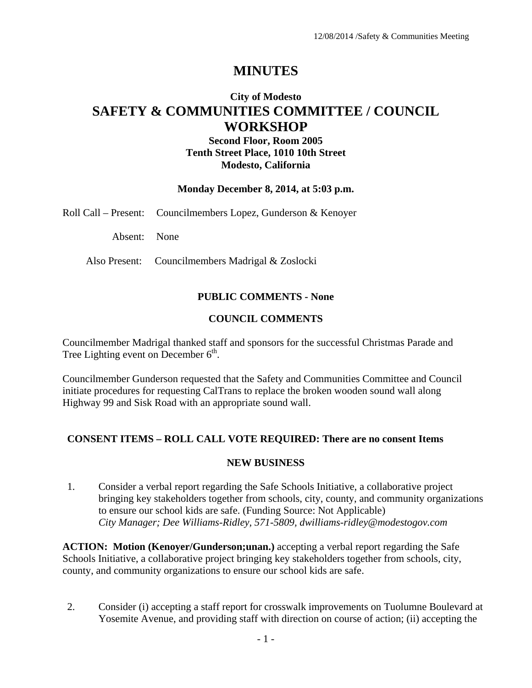# **MINUTES**

# **City of Modesto SAFETY & COMMUNITIES COMMITTEE / COUNCIL WORKSHOP**

## **Second Floor, Room 2005 Tenth Street Place, 1010 10th Street Modesto, California**

#### **Monday December 8, 2014, at 5:03 p.m.**

Roll Call – Present: Councilmembers Lopez, Gunderson & Kenoyer

Absent: None

Also Present: Councilmembers Madrigal & Zoslocki

#### **PUBLIC COMMENTS - None**

#### **COUNCIL COMMENTS**

Councilmember Madrigal thanked staff and sponsors for the successful Christmas Parade and Tree Lighting event on December  $6<sup>th</sup>$ .

Councilmember Gunderson requested that the Safety and Communities Committee and Council initiate procedures for requesting CalTrans to replace the broken wooden sound wall along Highway 99 and Sisk Road with an appropriate sound wall.

#### **CONSENT ITEMS – ROLL CALL VOTE REQUIRED: There are no consent Items**

#### **NEW BUSINESS**

1. Consider a verbal report regarding the Safe Schools Initiative, a collaborative project bringing key stakeholders together from schools, city, county, and community organizations to ensure our school kids are safe. (Funding Source: Not Applicable)  *City Manager; Dee Williams-Ridley, 571-5809, dwilliams-ridley@modestogov.com* 

**ACTION: Motion (Kenoyer/Gunderson;unan.)** accepting a verbal report regarding the Safe Schools Initiative, a collaborative project bringing key stakeholders together from schools, city, county, and community organizations to ensure our school kids are safe.

2. Consider (i) accepting a staff report for crosswalk improvements on Tuolumne Boulevard at Yosemite Avenue, and providing staff with direction on course of action; (ii) accepting the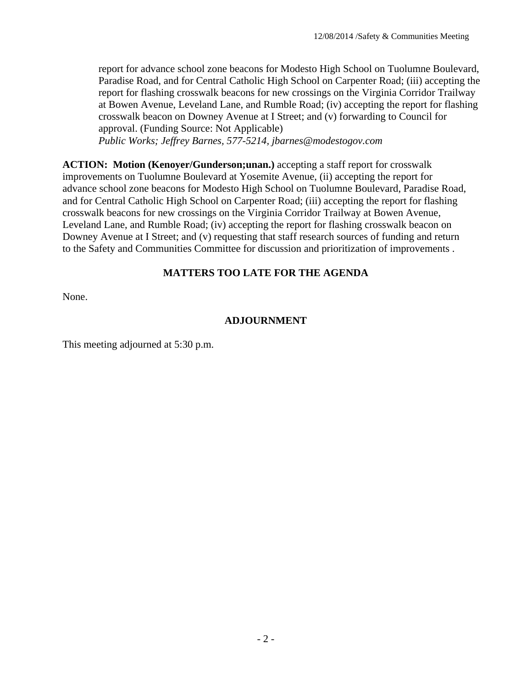report for advance school zone beacons for Modesto High School on Tuolumne Boulevard, Paradise Road, and for Central Catholic High School on Carpenter Road; (iii) accepting the report for flashing crosswalk beacons for new crossings on the Virginia Corridor Trailway at Bowen Avenue, Leveland Lane, and Rumble Road; (iv) accepting the report for flashing crosswalk beacon on Downey Avenue at I Street; and (v) forwarding to Council for approval. (Funding Source: Not Applicable)

 *Public Works; Jeffrey Barnes, 577-5214, jbarnes@modestogov.com* 

**ACTION: Motion (Kenoyer/Gunderson;unan.)** accepting a staff report for crosswalk improvements on Tuolumne Boulevard at Yosemite Avenue, (ii) accepting the report for advance school zone beacons for Modesto High School on Tuolumne Boulevard, Paradise Road, and for Central Catholic High School on Carpenter Road; (iii) accepting the report for flashing crosswalk beacons for new crossings on the Virginia Corridor Trailway at Bowen Avenue, Leveland Lane, and Rumble Road; (iv) accepting the report for flashing crosswalk beacon on Downey Avenue at I Street; and (v) requesting that staff research sources of funding and return to the Safety and Communities Committee for discussion and prioritization of improvements .

## **MATTERS TOO LATE FOR THE AGENDA**

None.

#### **ADJOURNMENT**

This meeting adjourned at 5:30 p.m.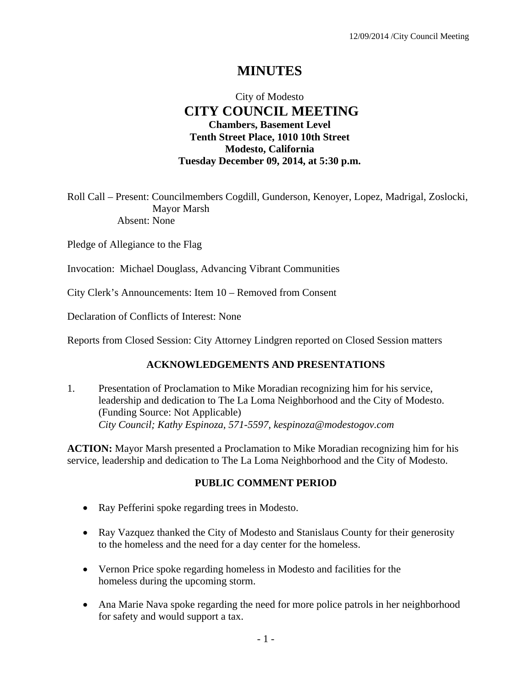# **MINUTES**

# City of Modesto  **CITY COUNCIL MEETING Chambers, Basement Level Tenth Street Place, 1010 10th Street Modesto, California Tuesday December 09, 2014, at 5:30 p.m.**

Roll Call – Present: Councilmembers Cogdill, Gunderson, Kenoyer, Lopez, Madrigal, Zoslocki, Mayor Marsh Absent: None

Pledge of Allegiance to the Flag

Invocation: Michael Douglass, Advancing Vibrant Communities

City Clerk's Announcements: Item 10 – Removed from Consent

Declaration of Conflicts of Interest: None

Reports from Closed Session: City Attorney Lindgren reported on Closed Session matters

#### **ACKNOWLEDGEMENTS AND PRESENTATIONS**

1. Presentation of Proclamation to Mike Moradian recognizing him for his service, leadership and dedication to The La Loma Neighborhood and the City of Modesto. (Funding Source: Not Applicable)  *City Council; Kathy Espinoza, 571-5597, kespinoza@modestogov.com* 

**ACTION:** Mayor Marsh presented a Proclamation to Mike Moradian recognizing him for his service, leadership and dedication to The La Loma Neighborhood and the City of Modesto.

#### **PUBLIC COMMENT PERIOD**

- Ray Pefferini spoke regarding trees in Modesto.
- Ray Vazquez thanked the City of Modesto and Stanislaus County for their generosity to the homeless and the need for a day center for the homeless.
- Vernon Price spoke regarding homeless in Modesto and facilities for the homeless during the upcoming storm.
- Ana Marie Nava spoke regarding the need for more police patrols in her neighborhood for safety and would support a tax.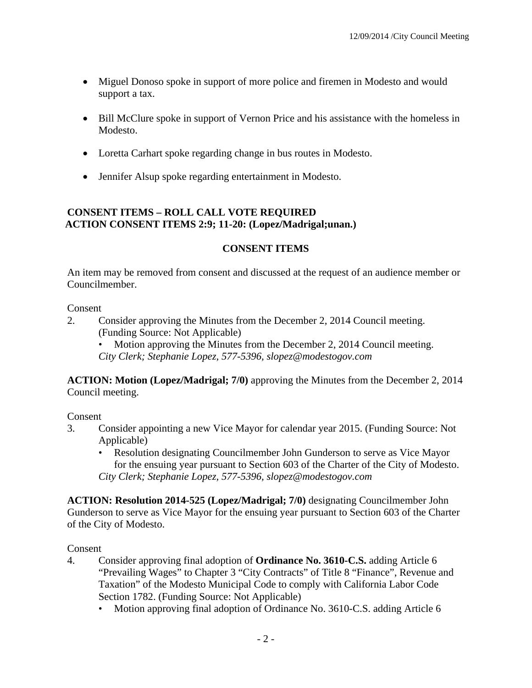- Miguel Donoso spoke in support of more police and firemen in Modesto and would support a tax.
- Bill McClure spoke in support of Vernon Price and his assistance with the homeless in Modesto.
- Loretta Carhart spoke regarding change in bus routes in Modesto.
- Jennifer Alsup spoke regarding entertainment in Modesto.

# **CONSENT ITEMS – ROLL CALL VOTE REQUIRED ACTION CONSENT ITEMS 2:9; 11-20: (Lopez/Madrigal;unan.)**

## **CONSENT ITEMS**

An item may be removed from consent and discussed at the request of an audience member or Councilmember.

#### Consent

- 2. Consider approving the Minutes from the December 2, 2014 Council meeting. (Funding Source: Not Applicable)
	- Motion approving the Minutes from the December 2, 2014 Council meeting. *City Clerk; Stephanie Lopez, 577-5396, slopez@modestogov.com*

**ACTION: Motion (Lopez/Madrigal; 7/0)** approving the Minutes from the December 2, 2014 Council meeting.

#### Consent

- 3. Consider appointing a new Vice Mayor for calendar year 2015. (Funding Source: Not Applicable)
	- Resolution designating Councilmember John Gunderson to serve as Vice Mayor for the ensuing year pursuant to Section 603 of the Charter of the City of Modesto. *City Clerk; Stephanie Lopez, 577-5396, slopez@modestogov.com*

**ACTION: Resolution 2014-525 (Lopez/Madrigal; 7/0)** designating Councilmember John Gunderson to serve as Vice Mayor for the ensuing year pursuant to Section 603 of the Charter of the City of Modesto.

- 4. Consider approving final adoption of **Ordinance No. 3610-C.S.** adding Article 6 "Prevailing Wages" to Chapter 3 "City Contracts" of Title 8 "Finance", Revenue and Taxation" of the Modesto Municipal Code to comply with California Labor Code Section 1782. (Funding Source: Not Applicable)
	- Motion approving final adoption of Ordinance No. 3610-C.S. adding Article 6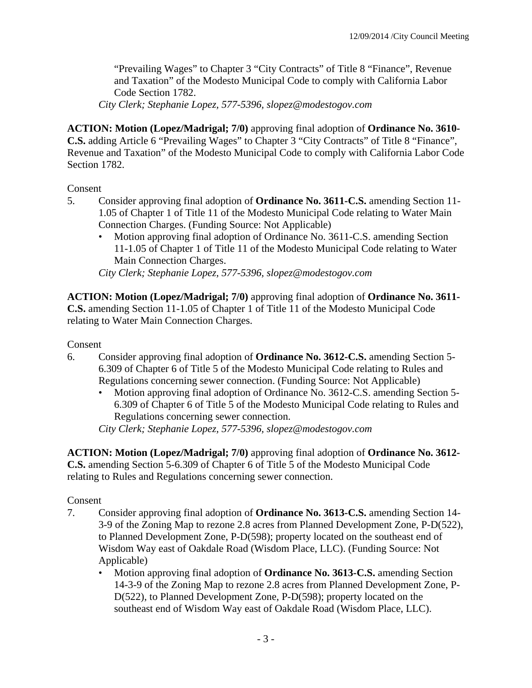"Prevailing Wages" to Chapter 3 "City Contracts" of Title 8 "Finance", Revenue and Taxation" of the Modesto Municipal Code to comply with California Labor Code Section 1782.

*City Clerk; Stephanie Lopez, 577-5396, slopez@modestogov.com* 

**ACTION: Motion (Lopez/Madrigal; 7/0)** approving final adoption of **Ordinance No. 3610- C.S.** adding Article 6 "Prevailing Wages" to Chapter 3 "City Contracts" of Title 8 "Finance", Revenue and Taxation" of the Modesto Municipal Code to comply with California Labor Code Section 1782.

#### Consent

- 5. Consider approving final adoption of **Ordinance No. 3611-C.S.** amending Section 11- 1.05 of Chapter 1 of Title 11 of the Modesto Municipal Code relating to Water Main Connection Charges. (Funding Source: Not Applicable)
	- Motion approving final adoption of Ordinance No. 3611-C.S. amending Section 11-1.05 of Chapter 1 of Title 11 of the Modesto Municipal Code relating to Water Main Connection Charges.

*City Clerk; Stephanie Lopez, 577-5396, slopez@modestogov.com* 

**ACTION: Motion (Lopez/Madrigal; 7/0)** approving final adoption of **Ordinance No. 3611- C.S.** amending Section 11-1.05 of Chapter 1 of Title 11 of the Modesto Municipal Code relating to Water Main Connection Charges.

Consent

- 6. Consider approving final adoption of **Ordinance No. 3612-C.S.** amending Section 5- 6.309 of Chapter 6 of Title 5 of the Modesto Municipal Code relating to Rules and Regulations concerning sewer connection. (Funding Source: Not Applicable)
	- Motion approving final adoption of Ordinance No. 3612-C.S. amending Section 5- 6.309 of Chapter 6 of Title 5 of the Modesto Municipal Code relating to Rules and Regulations concerning sewer connection.

*City Clerk; Stephanie Lopez, 577-5396, slopez@modestogov.com* 

**ACTION: Motion (Lopez/Madrigal; 7/0)** approving final adoption of **Ordinance No. 3612- C.S.** amending Section 5-6.309 of Chapter 6 of Title 5 of the Modesto Municipal Code relating to Rules and Regulations concerning sewer connection.

- 7. Consider approving final adoption of **Ordinance No. 3613-C.S.** amending Section 14- 3-9 of the Zoning Map to rezone 2.8 acres from Planned Development Zone, P-D(522), to Planned Development Zone, P-D(598); property located on the southeast end of Wisdom Way east of Oakdale Road (Wisdom Place, LLC). (Funding Source: Not Applicable)
	- Motion approving final adoption of **Ordinance No. 3613-C.S.** amending Section 14-3-9 of the Zoning Map to rezone 2.8 acres from Planned Development Zone, P-D(522), to Planned Development Zone, P-D(598); property located on the southeast end of Wisdom Way east of Oakdale Road (Wisdom Place, LLC).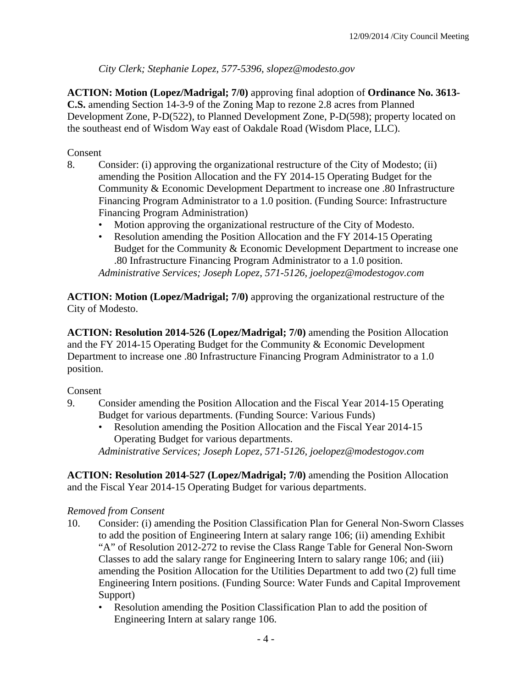*City Clerk; Stephanie Lopez, 577-5396, slopez@modesto.gov* 

**ACTION: Motion (Lopez/Madrigal; 7/0)** approving final adoption of **Ordinance No. 3613- C.S.** amending Section 14-3-9 of the Zoning Map to rezone 2.8 acres from Planned Development Zone, P-D(522), to Planned Development Zone, P-D(598); property located on the southeast end of Wisdom Way east of Oakdale Road (Wisdom Place, LLC).

# Consent

- 8. Consider: (i) approving the organizational restructure of the City of Modesto; (ii) amending the Position Allocation and the FY 2014-15 Operating Budget for the Community & Economic Development Department to increase one .80 Infrastructure Financing Program Administrator to a 1.0 position. (Funding Source: Infrastructure Financing Program Administration)
	- Motion approving the organizational restructure of the City of Modesto.
	- Resolution amending the Position Allocation and the FY 2014-15 Operating Budget for the Community & Economic Development Department to increase one .80 Infrastructure Financing Program Administrator to a 1.0 position.

*Administrative Services; Joseph Lopez, 571-5126, joelopez@modestogov.com* 

**ACTION: Motion (Lopez/Madrigal; 7/0)** approving the organizational restructure of the City of Modesto.

**ACTION: Resolution 2014-526 (Lopez/Madrigal; 7/0)** amending the Position Allocation and the FY 2014-15 Operating Budget for the Community & Economic Development Department to increase one .80 Infrastructure Financing Program Administrator to a 1.0 position.

#### Consent

- 9. Consider amending the Position Allocation and the Fiscal Year 2014-15 Operating Budget for various departments. (Funding Source: Various Funds)
	- Resolution amending the Position Allocation and the Fiscal Year 2014-15 Operating Budget for various departments.

*Administrative Services; Joseph Lopez, 571-5126, joelopez@modestogov.com* 

**ACTION: Resolution 2014-527 (Lopez/Madrigal; 7/0)** amending the Position Allocation and the Fiscal Year 2014-15 Operating Budget for various departments.

#### *Removed from Consent*

- 10. Consider: (i) amending the Position Classification Plan for General Non-Sworn Classes to add the position of Engineering Intern at salary range 106; (ii) amending Exhibit "A" of Resolution 2012-272 to revise the Class Range Table for General Non-Sworn Classes to add the salary range for Engineering Intern to salary range 106; and (iii) amending the Position Allocation for the Utilities Department to add two (2) full time Engineering Intern positions. (Funding Source: Water Funds and Capital Improvement Support)
	- Resolution amending the Position Classification Plan to add the position of Engineering Intern at salary range 106.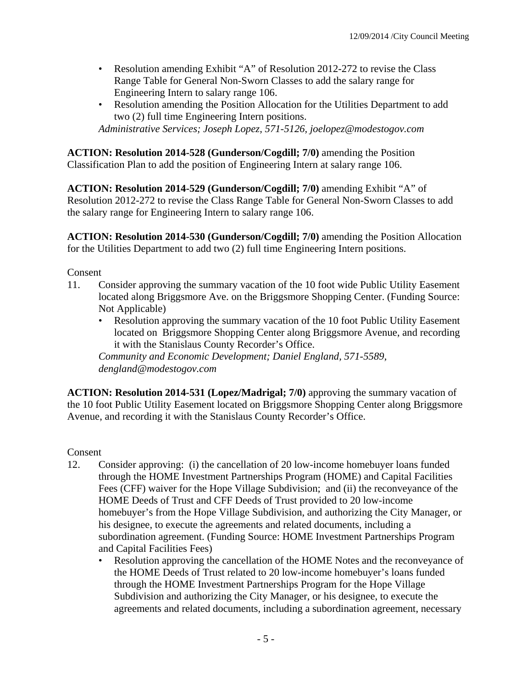- Resolution amending Exhibit "A" of Resolution 2012-272 to revise the Class Range Table for General Non-Sworn Classes to add the salary range for Engineering Intern to salary range 106.
- Resolution amending the Position Allocation for the Utilities Department to add two (2) full time Engineering Intern positions.

*Administrative Services; Joseph Lopez, 571-5126, joelopez@modestogov.com* 

**ACTION: Resolution 2014-528 (Gunderson/Cogdill; 7/0)** amending the Position Classification Plan to add the position of Engineering Intern at salary range 106.

**ACTION: Resolution 2014-529 (Gunderson/Cogdill; 7/0)** amending Exhibit "A" of Resolution 2012-272 to revise the Class Range Table for General Non-Sworn Classes to add the salary range for Engineering Intern to salary range 106.

**ACTION: Resolution 2014-530 (Gunderson/Cogdill; 7/0)** amending the Position Allocation for the Utilities Department to add two (2) full time Engineering Intern positions.

Consent

- 11. Consider approving the summary vacation of the 10 foot wide Public Utility Easement located along Briggsmore Ave. on the Briggsmore Shopping Center. (Funding Source: Not Applicable)
	- Resolution approving the summary vacation of the 10 foot Public Utility Easement located on Briggsmore Shopping Center along Briggsmore Avenue, and recording it with the Stanislaus County Recorder's Office.

*Community and Economic Development; Daniel England, 571-5589, dengland@modestogov.com* 

**ACTION: Resolution 2014-531 (Lopez/Madrigal; 7/0)** approving the summary vacation of the 10 foot Public Utility Easement located on Briggsmore Shopping Center along Briggsmore Avenue, and recording it with the Stanislaus County Recorder's Office.

- 12. Consider approving: (i) the cancellation of 20 low-income homebuyer loans funded through the HOME Investment Partnerships Program (HOME) and Capital Facilities Fees (CFF) waiver for the Hope Village Subdivision; and (ii) the reconveyance of the HOME Deeds of Trust and CFF Deeds of Trust provided to 20 low-income homebuyer's from the Hope Village Subdivision, and authorizing the City Manager, or his designee, to execute the agreements and related documents, including a subordination agreement. (Funding Source: HOME Investment Partnerships Program and Capital Facilities Fees)
	- Resolution approving the cancellation of the HOME Notes and the reconveyance of the HOME Deeds of Trust related to 20 low-income homebuyer's loans funded through the HOME Investment Partnerships Program for the Hope Village Subdivision and authorizing the City Manager, or his designee, to execute the agreements and related documents, including a subordination agreement, necessary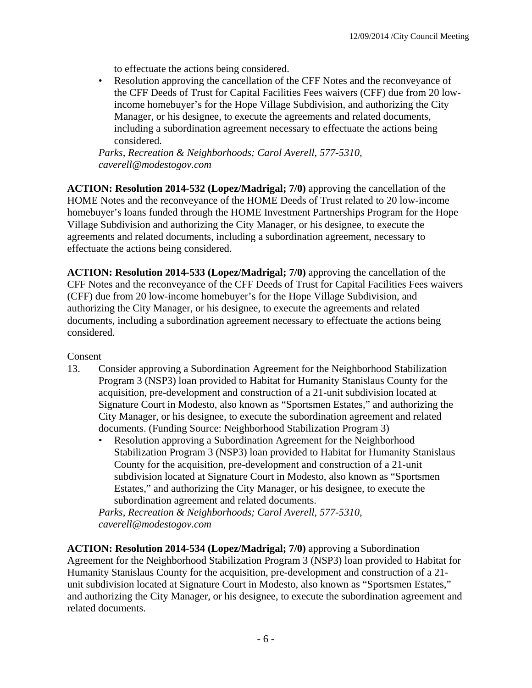to effectuate the actions being considered.

• Resolution approving the cancellation of the CFF Notes and the reconveyance of the CFF Deeds of Trust for Capital Facilities Fees waivers (CFF) due from 20 lowincome homebuyer's for the Hope Village Subdivision, and authorizing the City Manager, or his designee, to execute the agreements and related documents, including a subordination agreement necessary to effectuate the actions being considered.

*Parks, Recreation & Neighborhoods; Carol Averell, 577-5310, caverell@modestogov.com* 

**ACTION: Resolution 2014-532 (Lopez/Madrigal; 7/0)** approving the cancellation of the HOME Notes and the reconveyance of the HOME Deeds of Trust related to 20 low-income homebuyer's loans funded through the HOME Investment Partnerships Program for the Hope Village Subdivision and authorizing the City Manager, or his designee, to execute the agreements and related documents, including a subordination agreement, necessary to effectuate the actions being considered.

**ACTION: Resolution 2014-533 (Lopez/Madrigal; 7/0)** approving the cancellation of the CFF Notes and the reconveyance of the CFF Deeds of Trust for Capital Facilities Fees waivers (CFF) due from 20 low-income homebuyer's for the Hope Village Subdivision, and authorizing the City Manager, or his designee, to execute the agreements and related documents, including a subordination agreement necessary to effectuate the actions being considered.

Consent

- 13. Consider approving a Subordination Agreement for the Neighborhood Stabilization Program 3 (NSP3) loan provided to Habitat for Humanity Stanislaus County for the acquisition, pre-development and construction of a 21-unit subdivision located at Signature Court in Modesto, also known as "Sportsmen Estates," and authorizing the City Manager, or his designee, to execute the subordination agreement and related documents. (Funding Source: Neighborhood Stabilization Program 3)
	- Resolution approving a Subordination Agreement for the Neighborhood Stabilization Program 3 (NSP3) loan provided to Habitat for Humanity Stanislaus County for the acquisition, pre-development and construction of a 21-unit subdivision located at Signature Court in Modesto, also known as "Sportsmen Estates," and authorizing the City Manager, or his designee, to execute the subordination agreement and related documents.

*Parks, Recreation & Neighborhoods; Carol Averell, 577-5310, caverell@modestogov.com* 

**ACTION: Resolution 2014-534 (Lopez/Madrigal; 7/0)** approving a Subordination Agreement for the Neighborhood Stabilization Program 3 (NSP3) loan provided to Habitat for Humanity Stanislaus County for the acquisition, pre-development and construction of a 21 unit subdivision located at Signature Court in Modesto, also known as "Sportsmen Estates," and authorizing the City Manager, or his designee, to execute the subordination agreement and related documents.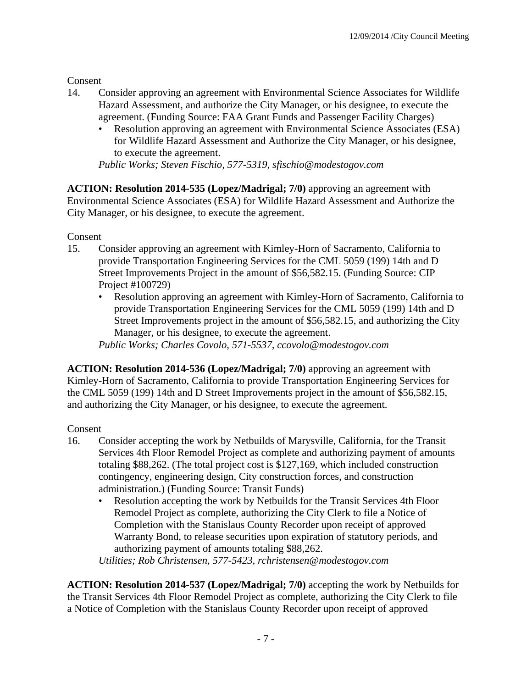**Consent** 

- 14. Consider approving an agreement with Environmental Science Associates for Wildlife Hazard Assessment, and authorize the City Manager, or his designee, to execute the agreement. (Funding Source: FAA Grant Funds and Passenger Facility Charges)
	- Resolution approving an agreement with Environmental Science Associates (ESA) for Wildlife Hazard Assessment and Authorize the City Manager, or his designee, to execute the agreement.

*Public Works; Steven Fischio, 577-5319, sfischio@modestogov.com* 

**ACTION: Resolution 2014-535 (Lopez/Madrigal; 7/0)** approving an agreement with Environmental Science Associates (ESA) for Wildlife Hazard Assessment and Authorize the City Manager, or his designee, to execute the agreement.

Consent

- 15. Consider approving an agreement with Kimley-Horn of Sacramento, California to provide Transportation Engineering Services for the CML 5059 (199) 14th and D Street Improvements Project in the amount of \$56,582.15. (Funding Source: CIP Project #100729)
	- Resolution approving an agreement with Kimley-Horn of Sacramento, California to provide Transportation Engineering Services for the CML 5059 (199) 14th and D Street Improvements project in the amount of \$56,582.15, and authorizing the City Manager, or his designee, to execute the agreement.

*Public Works; Charles Covolo, 571-5537, ccovolo@modestogov.com* 

**ACTION: Resolution 2014-536 (Lopez/Madrigal; 7/0)** approving an agreement with Kimley-Horn of Sacramento, California to provide Transportation Engineering Services for the CML 5059 (199) 14th and D Street Improvements project in the amount of \$56,582.15, and authorizing the City Manager, or his designee, to execute the agreement.

# Consent

- 16. Consider accepting the work by Netbuilds of Marysville, California, for the Transit Services 4th Floor Remodel Project as complete and authorizing payment of amounts totaling \$88,262. (The total project cost is \$127,169, which included construction contingency, engineering design, City construction forces, and construction administration.) (Funding Source: Transit Funds)
	- Resolution accepting the work by Netbuilds for the Transit Services 4th Floor Remodel Project as complete, authorizing the City Clerk to file a Notice of Completion with the Stanislaus County Recorder upon receipt of approved Warranty Bond, to release securities upon expiration of statutory periods, and authorizing payment of amounts totaling \$88,262.

*Utilities; Rob Christensen, 577-5423, rchristensen@modestogov.com* 

**ACTION: Resolution 2014-537 (Lopez/Madrigal; 7/0)** accepting the work by Netbuilds for the Transit Services 4th Floor Remodel Project as complete, authorizing the City Clerk to file a Notice of Completion with the Stanislaus County Recorder upon receipt of approved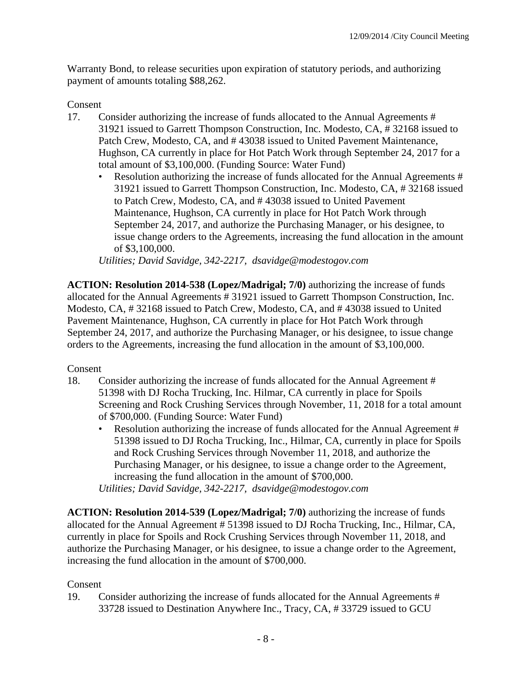Warranty Bond, to release securities upon expiration of statutory periods, and authorizing payment of amounts totaling \$88,262.

#### Consent

- 17. Consider authorizing the increase of funds allocated to the Annual Agreements # 31921 issued to Garrett Thompson Construction, Inc. Modesto, CA, # 32168 issued to Patch Crew, Modesto, CA, and # 43038 issued to United Pavement Maintenance, Hughson, CA currently in place for Hot Patch Work through September 24, 2017 for a total amount of \$3,100,000. (Funding Source: Water Fund)
	- Resolution authorizing the increase of funds allocated for the Annual Agreements # 31921 issued to Garrett Thompson Construction, Inc. Modesto, CA, # 32168 issued to Patch Crew, Modesto, CA, and # 43038 issued to United Pavement Maintenance, Hughson, CA currently in place for Hot Patch Work through September 24, 2017, and authorize the Purchasing Manager, or his designee, to issue change orders to the Agreements, increasing the fund allocation in the amount of \$3,100,000.

*Utilities; David Savidge, 342-2217, dsavidge@modestogov.com* 

**ACTION: Resolution 2014-538 (Lopez/Madrigal; 7/0)** authorizing the increase of funds allocated for the Annual Agreements # 31921 issued to Garrett Thompson Construction, Inc. Modesto, CA, # 32168 issued to Patch Crew, Modesto, CA, and # 43038 issued to United Pavement Maintenance, Hughson, CA currently in place for Hot Patch Work through September 24, 2017, and authorize the Purchasing Manager, or his designee, to issue change orders to the Agreements, increasing the fund allocation in the amount of \$3,100,000.

#### Consent

- 18. Consider authorizing the increase of funds allocated for the Annual Agreement # 51398 with DJ Rocha Trucking, Inc. Hilmar, CA currently in place for Spoils Screening and Rock Crushing Services through November, 11, 2018 for a total amount of \$700,000. (Funding Source: Water Fund)
	- Resolution authorizing the increase of funds allocated for the Annual Agreement # 51398 issued to DJ Rocha Trucking, Inc., Hilmar, CA, currently in place for Spoils and Rock Crushing Services through November 11, 2018, and authorize the Purchasing Manager, or his designee, to issue a change order to the Agreement, increasing the fund allocation in the amount of \$700,000.

*Utilities; David Savidge, 342-2217, dsavidge@modestogov.com* 

**ACTION: Resolution 2014-539 (Lopez/Madrigal; 7/0)** authorizing the increase of funds allocated for the Annual Agreement # 51398 issued to DJ Rocha Trucking, Inc., Hilmar, CA, currently in place for Spoils and Rock Crushing Services through November 11, 2018, and authorize the Purchasing Manager, or his designee, to issue a change order to the Agreement, increasing the fund allocation in the amount of \$700,000.

#### Consent

19. Consider authorizing the increase of funds allocated for the Annual Agreements # 33728 issued to Destination Anywhere Inc., Tracy, CA, # 33729 issued to GCU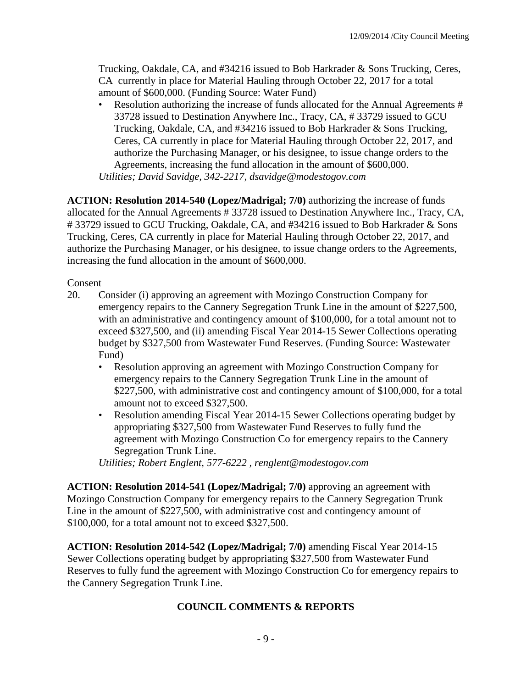Trucking, Oakdale, CA, and #34216 issued to Bob Harkrader & Sons Trucking, Ceres, CA currently in place for Material Hauling through October 22, 2017 for a total amount of \$600,000. (Funding Source: Water Fund)

Resolution authorizing the increase of funds allocated for the Annual Agreements # 33728 issued to Destination Anywhere Inc., Tracy, CA, # 33729 issued to GCU Trucking, Oakdale, CA, and #34216 issued to Bob Harkrader & Sons Trucking, Ceres, CA currently in place for Material Hauling through October 22, 2017, and authorize the Purchasing Manager, or his designee, to issue change orders to the Agreements, increasing the fund allocation in the amount of \$600,000. *Utilities; David Savidge, 342-2217, dsavidge@modestogov.com* 

**ACTION: Resolution 2014-540 (Lopez/Madrigal; 7/0)** authorizing the increase of funds allocated for the Annual Agreements # 33728 issued to Destination Anywhere Inc., Tracy, CA, # 33729 issued to GCU Trucking, Oakdale, CA, and #34216 issued to Bob Harkrader & Sons Trucking, Ceres, CA currently in place for Material Hauling through October 22, 2017, and authorize the Purchasing Manager, or his designee, to issue change orders to the Agreements, increasing the fund allocation in the amount of \$600,000.

Consent

- 20. Consider (i) approving an agreement with Mozingo Construction Company for emergency repairs to the Cannery Segregation Trunk Line in the amount of \$227,500, with an administrative and contingency amount of \$100,000, for a total amount not to exceed \$327,500, and (ii) amending Fiscal Year 2014-15 Sewer Collections operating budget by \$327,500 from Wastewater Fund Reserves. (Funding Source: Wastewater Fund)
	- Resolution approving an agreement with Mozingo Construction Company for emergency repairs to the Cannery Segregation Trunk Line in the amount of \$227,500, with administrative cost and contingency amount of \$100,000, for a total amount not to exceed \$327,500.
	- Resolution amending Fiscal Year 2014-15 Sewer Collections operating budget by appropriating \$327,500 from Wastewater Fund Reserves to fully fund the agreement with Mozingo Construction Co for emergency repairs to the Cannery Segregation Trunk Line.

*Utilities; Robert Englent, 577-6222 , renglent@modestogov.com* 

**ACTION: Resolution 2014-541 (Lopez/Madrigal; 7/0)** approving an agreement with Mozingo Construction Company for emergency repairs to the Cannery Segregation Trunk Line in the amount of \$227,500, with administrative cost and contingency amount of \$100,000, for a total amount not to exceed \$327,500.

**ACTION: Resolution 2014-542 (Lopez/Madrigal; 7/0)** amending Fiscal Year 2014-15 Sewer Collections operating budget by appropriating \$327,500 from Wastewater Fund Reserves to fully fund the agreement with Mozingo Construction Co for emergency repairs to the Cannery Segregation Trunk Line.

# **COUNCIL COMMENTS & REPORTS**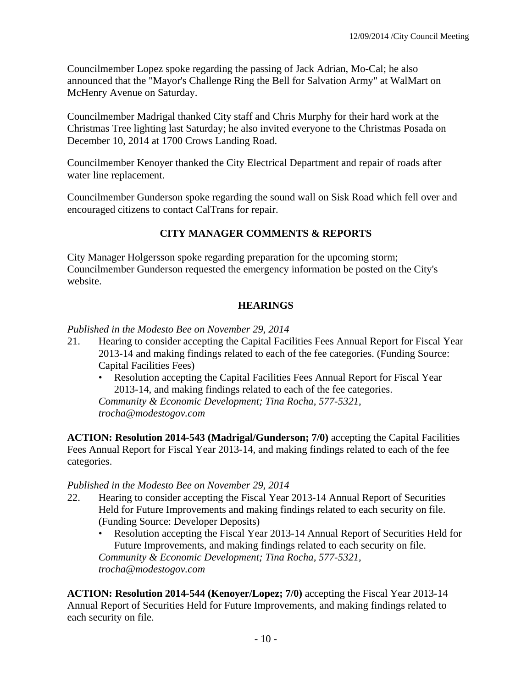Councilmember Lopez spoke regarding the passing of Jack Adrian, Mo-Cal; he also announced that the "Mayor's Challenge Ring the Bell for Salvation Army" at WalMart on McHenry Avenue on Saturday.

Councilmember Madrigal thanked City staff and Chris Murphy for their hard work at the Christmas Tree lighting last Saturday; he also invited everyone to the Christmas Posada on December 10, 2014 at 1700 Crows Landing Road.

Councilmember Kenoyer thanked the City Electrical Department and repair of roads after water line replacement.

Councilmember Gunderson spoke regarding the sound wall on Sisk Road which fell over and encouraged citizens to contact CalTrans for repair.

# **CITY MANAGER COMMENTS & REPORTS**

City Manager Holgersson spoke regarding preparation for the upcoming storm; Councilmember Gunderson requested the emergency information be posted on the City's website.

# **HEARINGS**

## *Published in the Modesto Bee on November 29, 2014*

- 21. Hearing to consider accepting the Capital Facilities Fees Annual Report for Fiscal Year 2013-14 and making findings related to each of the fee categories. (Funding Source: Capital Facilities Fees)
	- Resolution accepting the Capital Facilities Fees Annual Report for Fiscal Year 2013-14, and making findings related to each of the fee categories.

*Community & Economic Development; Tina Rocha, 577-5321, trocha@modestogov.com* 

**ACTION: Resolution 2014-543 (Madrigal/Gunderson; 7/0)** accepting the Capital Facilities Fees Annual Report for Fiscal Year 2013-14, and making findings related to each of the fee categories.

#### *Published in the Modesto Bee on November 29, 2014*

- 22. Hearing to consider accepting the Fiscal Year 2013-14 Annual Report of Securities Held for Future Improvements and making findings related to each security on file. (Funding Source: Developer Deposits)
	- Resolution accepting the Fiscal Year 2013-14 Annual Report of Securities Held for Future Improvements, and making findings related to each security on file. *Community & Economic Development; Tina Rocha, 577-5321, trocha@modestogov.com*

**ACTION: Resolution 2014-544 (Kenoyer/Lopez; 7/0)** accepting the Fiscal Year 2013-14 Annual Report of Securities Held for Future Improvements, and making findings related to each security on file.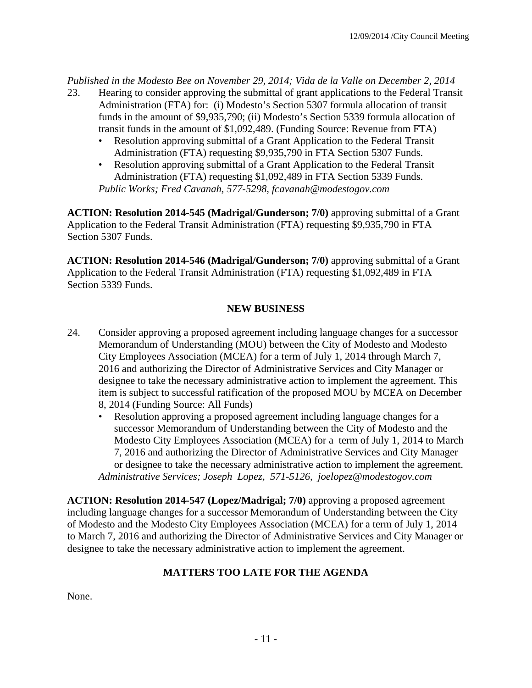*Published in the Modesto Bee on November 29, 2014; Vida de la Valle on December 2, 2014* 

- 23. Hearing to consider approving the submittal of grant applications to the Federal Transit Administration (FTA) for: (i) Modesto's Section 5307 formula allocation of transit funds in the amount of \$9,935,790; (ii) Modesto's Section 5339 formula allocation of transit funds in the amount of \$1,092,489. (Funding Source: Revenue from FTA)
	- Resolution approving submittal of a Grant Application to the Federal Transit Administration (FTA) requesting \$9,935,790 in FTA Section 5307 Funds.
	- Resolution approving submittal of a Grant Application to the Federal Transit Administration (FTA) requesting \$1,092,489 in FTA Section 5339 Funds. *Public Works; Fred Cavanah, 577-5298, fcavanah@modestogov.com*

**ACTION: Resolution 2014-545 (Madrigal/Gunderson; 7/0)** approving submittal of a Grant Application to the Federal Transit Administration (FTA) requesting \$9,935,790 in FTA Section 5307 Funds.

**ACTION: Resolution 2014-546 (Madrigal/Gunderson; 7/0)** approving submittal of a Grant Application to the Federal Transit Administration (FTA) requesting \$1,092,489 in FTA Section 5339 Funds.

# **NEW BUSINESS**

- 24. Consider approving a proposed agreement including language changes for a successor Memorandum of Understanding (MOU) between the City of Modesto and Modesto City Employees Association (MCEA) for a term of July 1, 2014 through March 7, 2016 and authorizing the Director of Administrative Services and City Manager or designee to take the necessary administrative action to implement the agreement. This item is subject to successful ratification of the proposed MOU by MCEA on December 8, 2014 (Funding Source: All Funds)
	- Resolution approving a proposed agreement including language changes for a successor Memorandum of Understanding between the City of Modesto and the Modesto City Employees Association (MCEA) for a term of July 1, 2014 to March 7, 2016 and authorizing the Director of Administrative Services and City Manager or designee to take the necessary administrative action to implement the agreement. *Administrative Services; Joseph Lopez, 571-5126, joelopez@modestogov.com*

**ACTION: Resolution 2014-547 (Lopez/Madrigal; 7/0)** approving a proposed agreement including language changes for a successor Memorandum of Understanding between the City of Modesto and the Modesto City Employees Association (MCEA) for a term of July 1, 2014 to March 7, 2016 and authorizing the Director of Administrative Services and City Manager or designee to take the necessary administrative action to implement the agreement.

# **MATTERS TOO LATE FOR THE AGENDA**

None.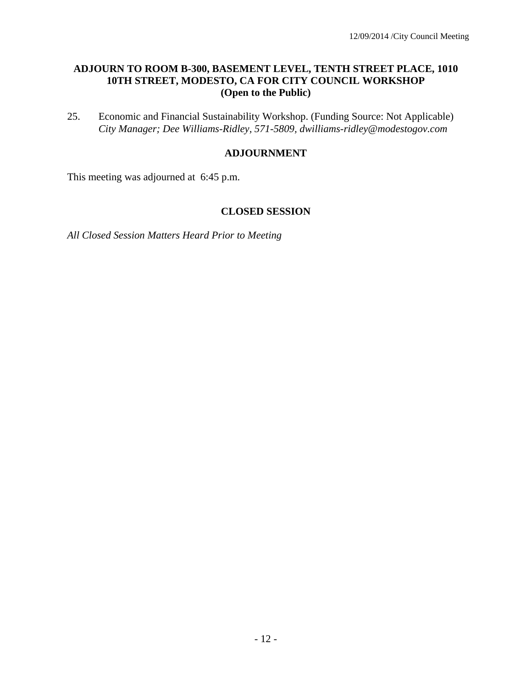### **ADJOURN TO ROOM B-300, BASEMENT LEVEL, TENTH STREET PLACE, 1010 10TH STREET, MODESTO, CA FOR CITY COUNCIL WORKSHOP (Open to the Public)**

25. Economic and Financial Sustainability Workshop. (Funding Source: Not Applicable)  *City Manager; Dee Williams-Ridley, 571-5809, dwilliams-ridley@modestogov.com* 

### **ADJOURNMENT**

This meeting was adjourned at 6:45 p.m.

#### **CLOSED SESSION**

*All Closed Session Matters Heard Prior to Meeting*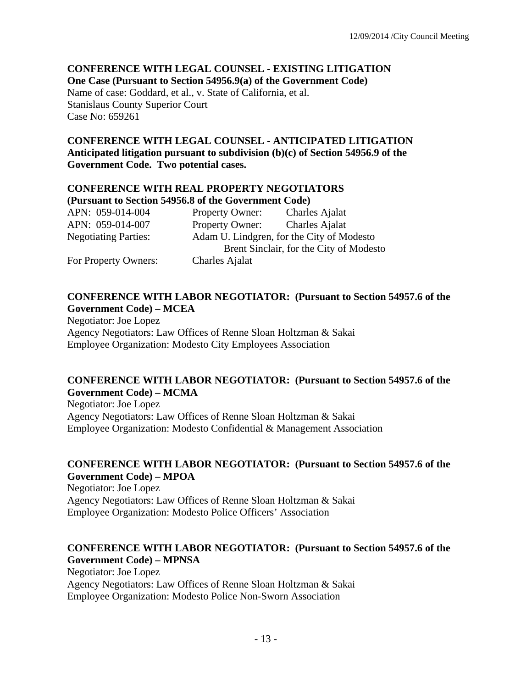# **CONFERENCE WITH LEGAL COUNSEL - EXISTING LITIGATION One Case (Pursuant to Section 54956.9(a) of the Government Code)**

Name of case: Goddard, et al., v. State of California, et al. Stanislaus County Superior Court Case No: 659261

### **CONFERENCE WITH LEGAL COUNSEL - ANTICIPATED LITIGATION Anticipated litigation pursuant to subdivision (b)(c) of Section 54956.9 of the Government Code. Two potential cases.**

#### **CONFERENCE WITH REAL PROPERTY NEGOTIATORS (Pursuant to Section 54956.8 of the Government Code)**

| APN: 059-014-004            | Property Owner:                           | Charles Ajalat                          |
|-----------------------------|-------------------------------------------|-----------------------------------------|
| APN: 059-014-007            | Property Owner:                           | Charles Ajalat                          |
| <b>Negotiating Parties:</b> | Adam U. Lindgren, for the City of Modesto |                                         |
|                             |                                           | Brent Sinclair, for the City of Modesto |
| For Property Owners:        | Charles Ajalat                            |                                         |

# **CONFERENCE WITH LABOR NEGOTIATOR: (Pursuant to Section 54957.6 of the Government Code) – MCEA**

Negotiator: Joe Lopez Agency Negotiators: Law Offices of Renne Sloan Holtzman & Sakai Employee Organization: Modesto City Employees Association

# **CONFERENCE WITH LABOR NEGOTIATOR: (Pursuant to Section 54957.6 of the Government Code) – MCMA**

Negotiator: Joe Lopez Agency Negotiators: Law Offices of Renne Sloan Holtzman & Sakai Employee Organization: Modesto Confidential & Management Association

# **CONFERENCE WITH LABOR NEGOTIATOR: (Pursuant to Section 54957.6 of the Government Code) – MPOA**

Negotiator: Joe Lopez Agency Negotiators: Law Offices of Renne Sloan Holtzman & Sakai Employee Organization: Modesto Police Officers' Association

# **CONFERENCE WITH LABOR NEGOTIATOR: (Pursuant to Section 54957.6 of the Government Code) – MPNSA**

Negotiator: Joe Lopez Agency Negotiators: Law Offices of Renne Sloan Holtzman & Sakai Employee Organization: Modesto Police Non-Sworn Association